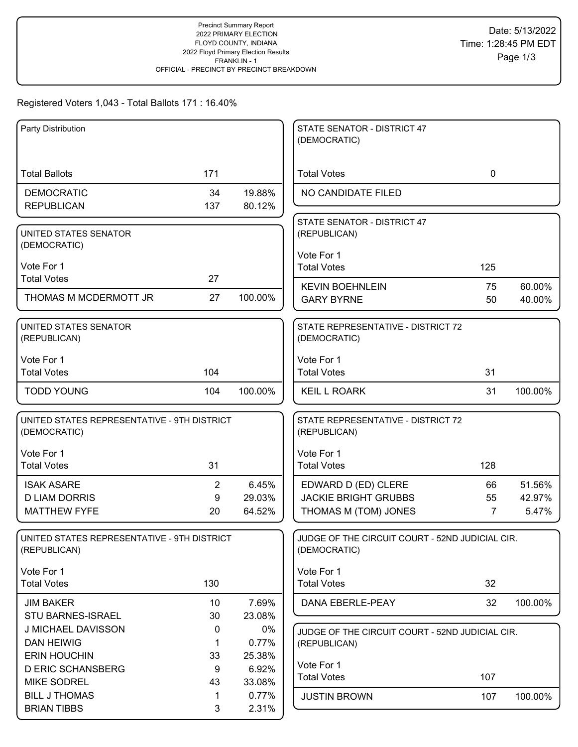# Registered Voters 1,043 - Total Ballots 171 : 16.40%

| Party Distribution                          |                |         | STATE SENATOR - DISTRICT 47                     |             |         |
|---------------------------------------------|----------------|---------|-------------------------------------------------|-------------|---------|
|                                             |                |         | (DEMOCRATIC)                                    |             |         |
|                                             |                |         |                                                 |             |         |
| <b>Total Ballots</b>                        | 171            |         | <b>Total Votes</b>                              | $\mathbf 0$ |         |
| <b>DEMOCRATIC</b>                           | 34             | 19.88%  | NO CANDIDATE FILED                              |             |         |
| <b>REPUBLICAN</b>                           | 137            | 80.12%  |                                                 |             |         |
|                                             |                |         | STATE SENATOR - DISTRICT 47                     |             |         |
| UNITED STATES SENATOR                       |                |         | (REPUBLICAN)                                    |             |         |
| (DEMOCRATIC)                                |                |         |                                                 |             |         |
|                                             |                |         | Vote For 1                                      |             |         |
| Vote For 1                                  |                |         | <b>Total Votes</b>                              | 125         |         |
| <b>Total Votes</b>                          | 27             |         | <b>KEVIN BOEHNLEIN</b>                          | 75          | 60.00%  |
| THOMAS M MCDERMOTT JR                       | 27             | 100.00% | <b>GARY BYRNE</b>                               | 50          | 40.00%  |
|                                             |                |         |                                                 |             |         |
| UNITED STATES SENATOR                       |                |         | STATE REPRESENTATIVE - DISTRICT 72              |             |         |
| (REPUBLICAN)                                |                |         | (DEMOCRATIC)                                    |             |         |
|                                             |                |         |                                                 |             |         |
| Vote For 1                                  |                |         | Vote For 1                                      |             |         |
| <b>Total Votes</b>                          | 104            |         | <b>Total Votes</b>                              | 31          |         |
| <b>TODD YOUNG</b>                           | 104            | 100.00% | <b>KEIL L ROARK</b>                             | 31          | 100.00% |
|                                             |                |         |                                                 |             |         |
| UNITED STATES REPRESENTATIVE - 9TH DISTRICT |                |         | STATE REPRESENTATIVE - DISTRICT 72              |             |         |
| (DEMOCRATIC)                                |                |         | (REPUBLICAN)                                    |             |         |
|                                             |                |         |                                                 |             |         |
| Vote For 1                                  |                |         | Vote For 1                                      |             |         |
| <b>Total Votes</b>                          | 31             |         | <b>Total Votes</b>                              | 128         |         |
| <b>ISAK ASARE</b>                           | $\overline{2}$ | 6.45%   | EDWARD D (ED) CLERE                             | 66          | 51.56%  |
| <b>D LIAM DORRIS</b>                        | 9              | 29.03%  | <b>JACKIE BRIGHT GRUBBS</b>                     | 55          | 42.97%  |
| <b>MATTHEW FYFE</b>                         | 20             | 64.52%  | THOMAS M (TOM) JONES                            | 7           | 5.47%   |
|                                             |                |         |                                                 |             |         |
| UNITED STATES REPRESENTATIVE - 9TH DISTRICT |                |         | JUDGE OF THE CIRCUIT COURT - 52ND JUDICIAL CIR. |             |         |
| (REPUBLICAN)                                |                |         | (DEMOCRATIC)                                    |             |         |
|                                             |                |         |                                                 |             |         |
| Vote For 1                                  |                |         | Vote For 1                                      |             |         |
| <b>Total Votes</b>                          | 130            |         | <b>Total Votes</b>                              | 32          |         |
| <b>JIM BAKER</b>                            | 10             | 7.69%   | DANA EBERLE-PEAY                                | 32          | 100.00% |
| <b>STU BARNES-ISRAEL</b>                    | 30             | 23.08%  |                                                 |             |         |
| J MICHAEL DAVISSON                          | 0              | 0%      | JUDGE OF THE CIRCUIT COURT - 52ND JUDICIAL CIR. |             |         |
| <b>DAN HEIWIG</b>                           | 1              | 0.77%   | (REPUBLICAN)                                    |             |         |
| <b>ERIN HOUCHIN</b>                         | 33             | 25.38%  |                                                 |             |         |
| <b>D ERIC SCHANSBERG</b>                    | 9              | 6.92%   | Vote For 1                                      |             |         |
| <b>MIKE SODREL</b>                          | 43             | 33.08%  | <b>Total Votes</b>                              | 107         |         |
|                                             |                |         |                                                 |             |         |
| <b>BILL J THOMAS</b>                        | 1              | 0.77%   | <b>JUSTIN BROWN</b>                             | 107         | 100.00% |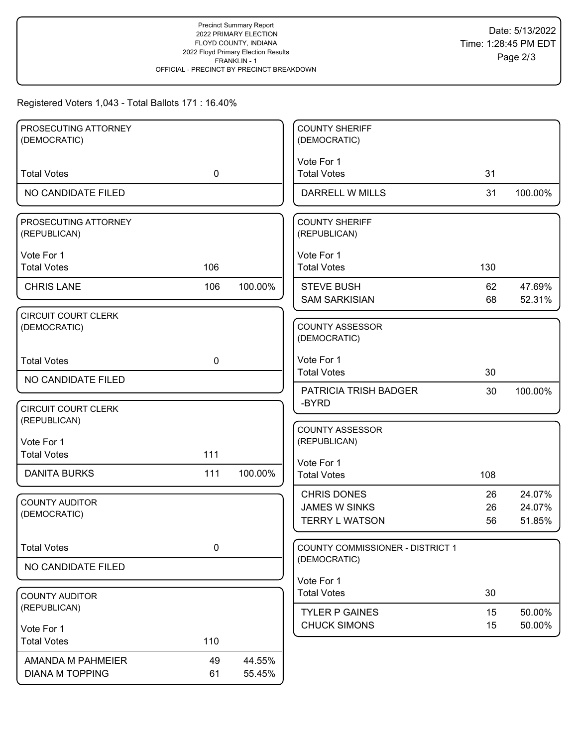# Registered Voters 1,043 - Total Ballots 171 : 16.40%

| PROSECUTING ATTORNEY<br>(DEMOCRATIC)        |             |                  | <b>COUNTY SHERIFF</b>                                               |                |                            |
|---------------------------------------------|-------------|------------------|---------------------------------------------------------------------|----------------|----------------------------|
|                                             |             |                  | (DEMOCRATIC)                                                        |                |                            |
| <b>Total Votes</b>                          | $\mathbf 0$ |                  | Vote For 1<br><b>Total Votes</b>                                    | 31             |                            |
| NO CANDIDATE FILED                          |             |                  | DARRELL W MILLS                                                     | 31             | 100.00%                    |
| PROSECUTING ATTORNEY<br>(REPUBLICAN)        |             |                  | <b>COUNTY SHERIFF</b><br>(REPUBLICAN)                               |                |                            |
| Vote For 1<br><b>Total Votes</b>            | 106         |                  | Vote For 1<br><b>Total Votes</b>                                    | 130            |                            |
| <b>CHRIS LANE</b>                           | 106         | 100.00%          | <b>STEVE BUSH</b><br><b>SAM SARKISIAN</b>                           | 62<br>68       | 47.69%<br>52.31%           |
| <b>CIRCUIT COURT CLERK</b><br>(DEMOCRATIC)  |             |                  | <b>COUNTY ASSESSOR</b><br>(DEMOCRATIC)                              |                |                            |
| <b>Total Votes</b>                          | $\mathbf 0$ |                  | Vote For 1<br><b>Total Votes</b>                                    | 30             |                            |
| NO CANDIDATE FILED                          |             |                  | PATRICIA TRISH BADGER                                               | 30             | 100.00%                    |
| <b>CIRCUIT COURT CLERK</b><br>(REPUBLICAN)  |             |                  | -BYRD                                                               |                |                            |
| Vote For 1<br><b>Total Votes</b>            | 111         |                  | <b>COUNTY ASSESSOR</b><br>(REPUBLICAN)                              |                |                            |
| <b>DANITA BURKS</b>                         | 111         | 100.00%          | Vote For 1<br><b>Total Votes</b>                                    | 108            |                            |
| <b>COUNTY AUDITOR</b><br>(DEMOCRATIC)       |             |                  | <b>CHRIS DONES</b><br><b>JAMES W SINKS</b><br><b>TERRY L WATSON</b> | 26<br>26<br>56 | 24.07%<br>24.07%<br>51.85% |
| <b>Total Votes</b>                          | 0           |                  | COUNTY COMMISSIONER - DISTRICT 1                                    |                |                            |
| NO CANDIDATE FILED                          |             |                  | (DEMOCRATIC)                                                        |                |                            |
| <b>COUNTY AUDITOR</b>                       |             |                  | Vote For 1<br><b>Total Votes</b>                                    | 30             |                            |
| (REPUBLICAN)                                |             |                  | <b>TYLER P GAINES</b>                                               | 15             | 50.00%                     |
| Vote For 1<br><b>Total Votes</b>            | 110         |                  | <b>CHUCK SIMONS</b>                                                 | 15             | 50.00%                     |
| AMANDA M PAHMEIER<br><b>DIANA M TOPPING</b> | 49<br>61    | 44.55%<br>55.45% |                                                                     |                |                            |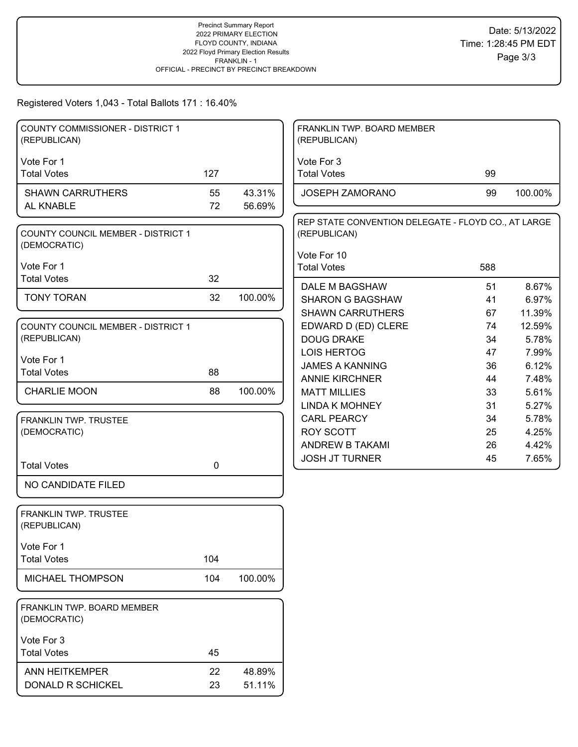#### Registered Voters 1,043 - Total Ballots 171 : 16.40%

| <b>COUNTY COMMISSIONER - DISTRICT 1</b><br>(REPUBLICAN)   |     |         | FRANKLIN TWP. BOARD MEMBER<br>(REPUBLICAN)                          |     |         |
|-----------------------------------------------------------|-----|---------|---------------------------------------------------------------------|-----|---------|
| Vote For 1                                                |     |         | Vote For 3                                                          |     |         |
| <b>Total Votes</b>                                        | 127 |         | <b>Total Votes</b>                                                  | 99  |         |
| <b>SHAWN CARRUTHERS</b>                                   | 55  | 43.31%  | JOSEPH ZAMORANO                                                     | 99  | 100.00% |
| AL KNABLE                                                 | 72  | 56.69%  |                                                                     |     |         |
| <b>COUNTY COUNCIL MEMBER - DISTRICT 1</b><br>(DEMOCRATIC) |     |         | REP STATE CONVENTION DELEGATE - FLOYD CO., AT LARGE<br>(REPUBLICAN) |     |         |
|                                                           |     |         | Vote For 10                                                         |     |         |
| Vote For 1                                                |     |         | <b>Total Votes</b>                                                  | 588 |         |
| <b>Total Votes</b>                                        | 32  |         | DALE M BAGSHAW                                                      | 51  | 8.67%   |
| <b>TONY TORAN</b>                                         | 32  | 100.00% | <b>SHARON G BAGSHAW</b>                                             | 41  | 6.97%   |
|                                                           |     |         | <b>SHAWN CARRUTHERS</b>                                             | 67  | 11.39%  |
| COUNTY COUNCIL MEMBER - DISTRICT 1                        |     |         | EDWARD D (ED) CLERE                                                 | 74  | 12.59%  |
| (REPUBLICAN)                                              |     |         | <b>DOUG DRAKE</b>                                                   | 34  | 5.78%   |
|                                                           |     |         | <b>LOIS HERTOG</b>                                                  | 47  | 7.99%   |
| Vote For 1                                                |     |         | <b>JAMES A KANNING</b>                                              | 36  | 6.12%   |
| <b>Total Votes</b>                                        | 88  |         | <b>ANNIE KIRCHNER</b>                                               | 44  | 7.48%   |
| <b>CHARLIE MOON</b>                                       | 88  | 100.00% | <b>MATT MILLIES</b>                                                 | 33  | 5.61%   |
|                                                           |     |         | <b>LINDA K MOHNEY</b>                                               | 31  | 5.27%   |
| FRANKLIN TWP. TRUSTEE                                     |     |         | <b>CARL PEARCY</b>                                                  | 34  | 5.78%   |
| (DEMOCRATIC)                                              |     |         | <b>ROY SCOTT</b>                                                    | 25  | 4.25%   |
|                                                           |     |         | ANDREW B TAKAMI                                                     | 26  | 4.42%   |
| <b>Total Votes</b>                                        | 0   |         | <b>JOSH JT TURNER</b>                                               | 45  | 7.65%   |
| NO CANDIDATE FILED                                        |     |         |                                                                     |     |         |
| <b>FRANKLIN TWP. TRUSTEE</b><br>(REPUBLICAN)              |     |         |                                                                     |     |         |
| Vote For 1                                                |     |         |                                                                     |     |         |
| <b>Total Votes</b>                                        | 104 |         |                                                                     |     |         |
| MICHAEL THOMPSON                                          | 104 | 100.00% |                                                                     |     |         |
| FRANKLIN TWP. BOARD MEMBER<br>(DEMOCRATIC)                |     |         |                                                                     |     |         |
| Vote For 3                                                |     |         |                                                                     |     |         |
| <b>Total Votes</b>                                        | 45  |         |                                                                     |     |         |
| ANN HEITKEMPER                                            | 22  | 48.89%  |                                                                     |     |         |
| DONALD R SCHICKEL                                         | 23  | 51.11%  |                                                                     |     |         |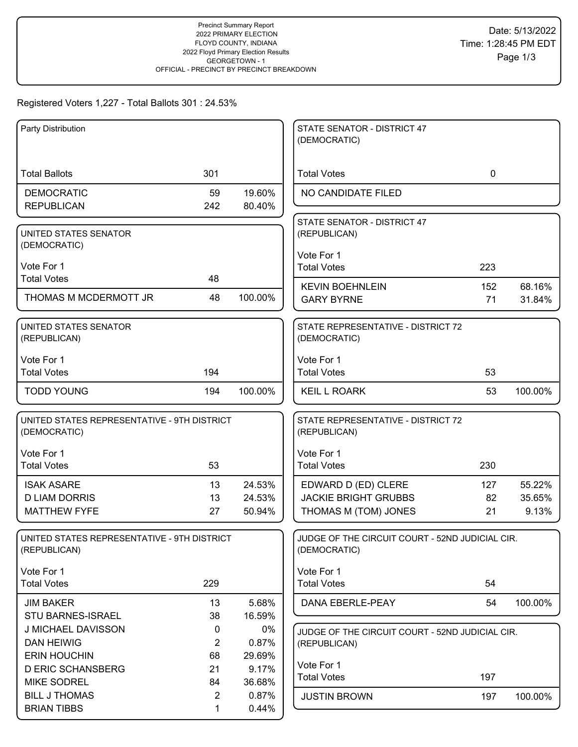# Registered Voters 1,227 - Total Ballots 301 : 24.53%

| Party Distribution                                          |                |         | STATE SENATOR - DISTRICT 47<br>(DEMOCRATIC)                     |             |         |
|-------------------------------------------------------------|----------------|---------|-----------------------------------------------------------------|-------------|---------|
|                                                             |                |         |                                                                 |             |         |
| <b>Total Ballots</b>                                        | 301            |         | <b>Total Votes</b>                                              | $\mathbf 0$ |         |
|                                                             | 59             | 19.60%  | NO CANDIDATE FILED                                              |             |         |
| <b>DEMOCRATIC</b><br><b>REPUBLICAN</b>                      | 242            | 80.40%  |                                                                 |             |         |
|                                                             |                |         |                                                                 |             |         |
| UNITED STATES SENATOR                                       |                |         | STATE SENATOR - DISTRICT 47<br>(REPUBLICAN)                     |             |         |
| (DEMOCRATIC)                                                |                |         |                                                                 |             |         |
|                                                             |                |         | Vote For 1                                                      |             |         |
| Vote For 1                                                  |                |         | <b>Total Votes</b>                                              | 223         |         |
| <b>Total Votes</b>                                          | 48             |         | <b>KEVIN BOEHNLEIN</b>                                          | 152         | 68.16%  |
| THOMAS M MCDERMOTT JR                                       | 48             | 100.00% | <b>GARY BYRNE</b>                                               | 71          | 31.84%  |
|                                                             |                |         |                                                                 |             |         |
| UNITED STATES SENATOR                                       |                |         | STATE REPRESENTATIVE - DISTRICT 72                              |             |         |
| (REPUBLICAN)                                                |                |         | (DEMOCRATIC)                                                    |             |         |
|                                                             |                |         |                                                                 |             |         |
| Vote For 1<br><b>Total Votes</b>                            | 194            |         | Vote For 1<br><b>Total Votes</b>                                |             |         |
|                                                             |                |         |                                                                 | 53          |         |
| <b>TODD YOUNG</b>                                           | 194            | 100.00% | <b>KEIL L ROARK</b>                                             | 53          | 100.00% |
|                                                             |                |         |                                                                 |             |         |
| UNITED STATES REPRESENTATIVE - 9TH DISTRICT                 |                |         | STATE REPRESENTATIVE - DISTRICT 72                              |             |         |
| (DEMOCRATIC)                                                |                |         | (REPUBLICAN)                                                    |             |         |
| Vote For 1                                                  |                |         | Vote For 1                                                      |             |         |
| <b>Total Votes</b>                                          | 53             |         | <b>Total Votes</b>                                              | 230         |         |
|                                                             |                |         |                                                                 |             |         |
| <b>ISAK ASARE</b>                                           | 13             | 24.53%  | EDWARD D (ED) CLERE                                             | 127         | 55.22%  |
| <b>D LIAM DORRIS</b>                                        | 13             | 24.53%  | <b>JACKIE BRIGHT GRUBBS</b>                                     | 82          | 35.65%  |
| <b>MATTHEW FYFE</b>                                         | 27             | 50.94%  | THOMAS M (TOM) JONES                                            | 21          | 9.13%   |
|                                                             |                |         |                                                                 |             |         |
| UNITED STATES REPRESENTATIVE - 9TH DISTRICT<br>(REPUBLICAN) |                |         | JUDGE OF THE CIRCUIT COURT - 52ND JUDICIAL CIR.<br>(DEMOCRATIC) |             |         |
|                                                             |                |         |                                                                 |             |         |
| Vote For 1                                                  |                |         | Vote For 1                                                      |             |         |
| <b>Total Votes</b>                                          | 229            |         | <b>Total Votes</b>                                              | 54          |         |
| <b>JIM BAKER</b>                                            | 13             | 5.68%   | DANA EBERLE-PEAY                                                | 54          | 100.00% |
| <b>STU BARNES-ISRAEL</b>                                    | 38             | 16.59%  |                                                                 |             |         |
| J MICHAEL DAVISSON                                          | $\mathbf 0$    | 0%      | JUDGE OF THE CIRCUIT COURT - 52ND JUDICIAL CIR.                 |             |         |
| <b>DAN HEIWIG</b>                                           | $\overline{2}$ | 0.87%   | (REPUBLICAN)                                                    |             |         |
| <b>ERIN HOUCHIN</b>                                         | 68             | 29.69%  |                                                                 |             |         |
| <b>D ERIC SCHANSBERG</b>                                    | 21             | 9.17%   | Vote For 1                                                      |             |         |
| <b>MIKE SODREL</b>                                          | 84             | 36.68%  | <b>Total Votes</b>                                              | 197         |         |
| <b>BILL J THOMAS</b>                                        | $\overline{2}$ | 0.87%   | <b>JUSTIN BROWN</b>                                             | 197         | 100.00% |
| <b>BRIAN TIBBS</b>                                          | 1              | 0.44%   |                                                                 |             |         |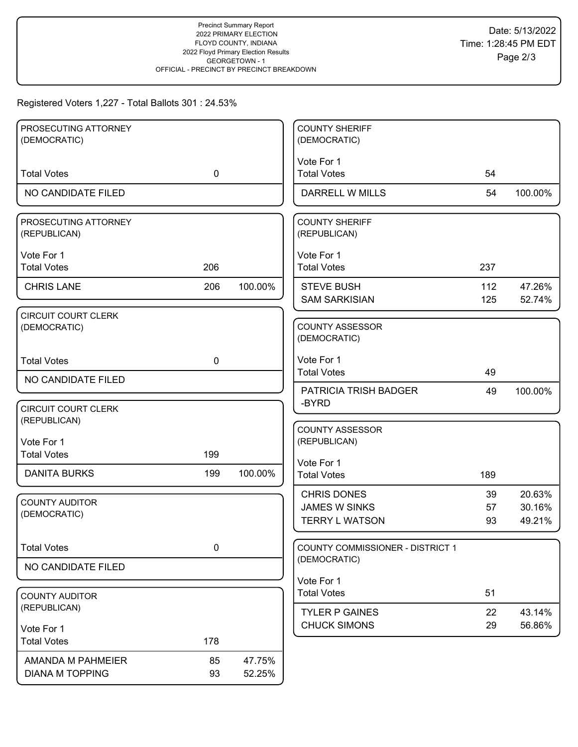## Registered Voters 1,227 - Total Ballots 301 : 24.53%

| PROSECUTING ATTORNEY                       |             |         | <b>COUNTY SHERIFF</b>                         |          |                  |
|--------------------------------------------|-------------|---------|-----------------------------------------------|----------|------------------|
| (DEMOCRATIC)                               |             |         | (DEMOCRATIC)                                  |          |                  |
|                                            |             |         | Vote For 1                                    |          |                  |
| <b>Total Votes</b>                         | $\mathbf 0$ |         | <b>Total Votes</b>                            | 54       |                  |
| NO CANDIDATE FILED                         |             |         | DARRELL W MILLS                               | 54       | 100.00%          |
|                                            |             |         |                                               |          |                  |
| PROSECUTING ATTORNEY<br>(REPUBLICAN)       |             |         | <b>COUNTY SHERIFF</b><br>(REPUBLICAN)         |          |                  |
|                                            |             |         |                                               |          |                  |
| Vote For 1                                 |             |         | Vote For 1                                    |          |                  |
| <b>Total Votes</b>                         | 206         |         | <b>Total Votes</b>                            | 237      |                  |
| <b>CHRIS LANE</b>                          | 206         | 100.00% | <b>STEVE BUSH</b>                             | 112      | 47.26%           |
|                                            |             |         | <b>SAM SARKISIAN</b>                          | 125      | 52.74%           |
| <b>CIRCUIT COURT CLERK</b>                 |             |         |                                               |          |                  |
| (DEMOCRATIC)                               |             |         | <b>COUNTY ASSESSOR</b>                        |          |                  |
|                                            |             |         | (DEMOCRATIC)                                  |          |                  |
| <b>Total Votes</b>                         | $\mathbf 0$ |         | Vote For 1                                    |          |                  |
|                                            |             |         | <b>Total Votes</b>                            | 49       |                  |
| NO CANDIDATE FILED                         |             |         | PATRICIA TRISH BADGER                         | 49       | 100.00%          |
|                                            |             |         | -BYRD                                         |          |                  |
| <b>CIRCUIT COURT CLERK</b><br>(REPUBLICAN) |             |         |                                               |          |                  |
|                                            |             |         | <b>COUNTY ASSESSOR</b>                        |          |                  |
| Vote For 1                                 |             |         | (REPUBLICAN)                                  |          |                  |
| <b>Total Votes</b>                         | 199         |         | Vote For 1                                    |          |                  |
| <b>DANITA BURKS</b>                        | 199         | 100.00% | <b>Total Votes</b>                            | 189      |                  |
|                                            |             |         |                                               |          |                  |
| <b>COUNTY AUDITOR</b>                      |             |         | <b>CHRIS DONES</b>                            | 39       | 20.63%           |
| (DEMOCRATIC)                               |             |         | <b>JAMES W SINKS</b><br><b>TERRY L WATSON</b> | 57<br>93 | 30.16%<br>49.21% |
|                                            |             |         |                                               |          |                  |
| <b>Total Votes</b>                         | 0           |         | <b>COUNTY COMMISSIONER - DISTRICT 1</b>       |          |                  |
|                                            |             |         | (DEMOCRATIC)                                  |          |                  |
| NO CANDIDATE FILED                         |             |         |                                               |          |                  |
|                                            |             |         | Vote For 1<br><b>Total Votes</b>              | 51       |                  |
| <b>COUNTY AUDITOR</b><br>(REPUBLICAN)      |             |         |                                               |          |                  |
|                                            |             |         | <b>TYLER P GAINES</b>                         | 22       | 43.14%           |
| Vote For 1                                 |             |         | <b>CHUCK SIMONS</b>                           | 29       | 56.86%           |
| <b>Total Votes</b>                         | 178         |         |                                               |          |                  |
| AMANDA M PAHMEIER                          | 85          | 47.75%  |                                               |          |                  |
| <b>DIANA M TOPPING</b>                     | 93          | 52.25%  |                                               |          |                  |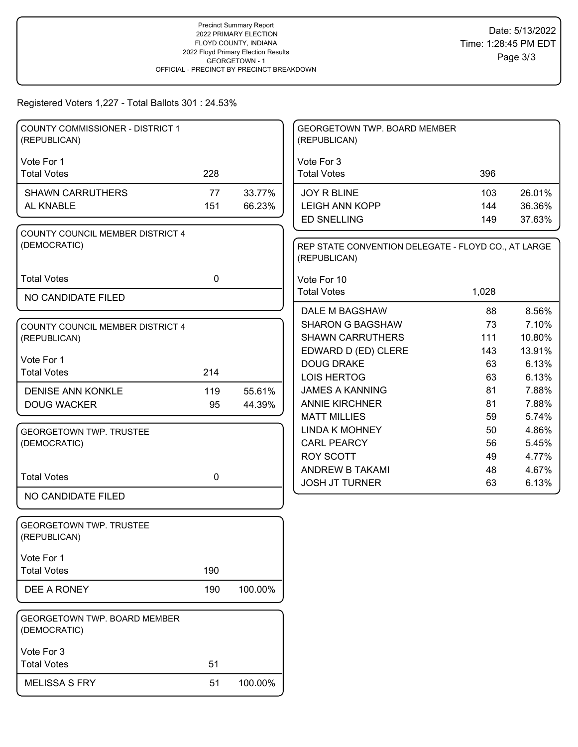Registered Voters 1,227 - Total Ballots 301 : 24.53%

| COUNTY COMMISSIONER - DISTRICT 1<br>(REPUBLICAN) |             |                  | GEORGETOWN TWP. BOARD MEMBER<br>(REPUBLICAN)                        |            |                  |
|--------------------------------------------------|-------------|------------------|---------------------------------------------------------------------|------------|------------------|
| Vote For 1<br><b>Total Votes</b>                 | 228         |                  | Vote For 3<br><b>Total Votes</b>                                    | 396        |                  |
|                                                  |             |                  |                                                                     |            |                  |
| <b>SHAWN CARRUTHERS</b><br>AL KNABLE             | 77<br>151   | 33.77%<br>66.23% | <b>JOY R BLINE</b><br><b>LEIGH ANN KOPP</b>                         | 103<br>144 | 26.01%<br>36.36% |
|                                                  |             |                  | <b>ED SNELLING</b>                                                  | 149        | 37.63%           |
| <b>COUNTY COUNCIL MEMBER DISTRICT 4</b>          |             |                  |                                                                     |            |                  |
| (DEMOCRATIC)                                     |             |                  | REP STATE CONVENTION DELEGATE - FLOYD CO., AT LARGE<br>(REPUBLICAN) |            |                  |
| <b>Total Votes</b>                               | $\mathbf 0$ |                  | Vote For 10                                                         |            |                  |
|                                                  |             |                  | <b>Total Votes</b>                                                  | 1,028      |                  |
| NO CANDIDATE FILED                               |             |                  | DALE M BAGSHAW                                                      | 88         | 8.56%            |
|                                                  |             |                  | <b>SHARON G BAGSHAW</b>                                             | 73         | 7.10%            |
| <b>COUNTY COUNCIL MEMBER DISTRICT 4</b>          |             |                  | <b>SHAWN CARRUTHERS</b>                                             | 111        | 10.80%           |
| (REPUBLICAN)                                     |             |                  | EDWARD D (ED) CLERE                                                 | 143        | 13.91%           |
| Vote For 1                                       |             |                  | <b>DOUG DRAKE</b>                                                   | 63         | 6.13%            |
| <b>Total Votes</b>                               | 214         |                  | <b>LOIS HERTOG</b>                                                  | 63         | 6.13%            |
| <b>DENISE ANN KONKLE</b>                         | 119         | 55.61%           | <b>JAMES A KANNING</b>                                              | 81         | 7.88%            |
| <b>DOUG WACKER</b>                               | 95          | 44.39%           | <b>ANNIE KIRCHNER</b>                                               | 81         | 7.88%            |
|                                                  |             |                  | <b>MATT MILLIES</b>                                                 | 59         | 5.74%            |
| <b>GEORGETOWN TWP. TRUSTEE</b>                   |             |                  | <b>LINDA K MOHNEY</b>                                               | 50         | 4.86%            |
| (DEMOCRATIC)                                     |             |                  | <b>CARL PEARCY</b>                                                  | 56         | 5.45%            |
|                                                  |             |                  | <b>ROY SCOTT</b>                                                    | 49         | 4.77%            |
|                                                  |             |                  | ANDREW B TAKAMI                                                     | 48         | 4.67%            |
| <b>Total Votes</b>                               | $\mathbf 0$ |                  | <b>JOSH JT TURNER</b>                                               | 63         | 6.13%            |
| NO CANDIDATE FILED                               |             |                  |                                                                     |            |                  |
| <b>GEORGETOWN TWP. TRUSTEE</b><br>(REPUBLICAN)   |             |                  |                                                                     |            |                  |
| Vote For 1                                       |             |                  |                                                                     |            |                  |
| <b>Total Votes</b>                               | 190         |                  |                                                                     |            |                  |
| DEE A RONEY                                      | 190         | 100.00%          |                                                                     |            |                  |
| GEORGETOWN TWP. BOARD MEMBER<br>(DEMOCRATIC)     |             |                  |                                                                     |            |                  |
| Vote For 3                                       |             |                  |                                                                     |            |                  |
| <b>Total Votes</b>                               | 51          |                  |                                                                     |            |                  |
| <b>MELISSA S FRY</b>                             | 51          | 100.00%          |                                                                     |            |                  |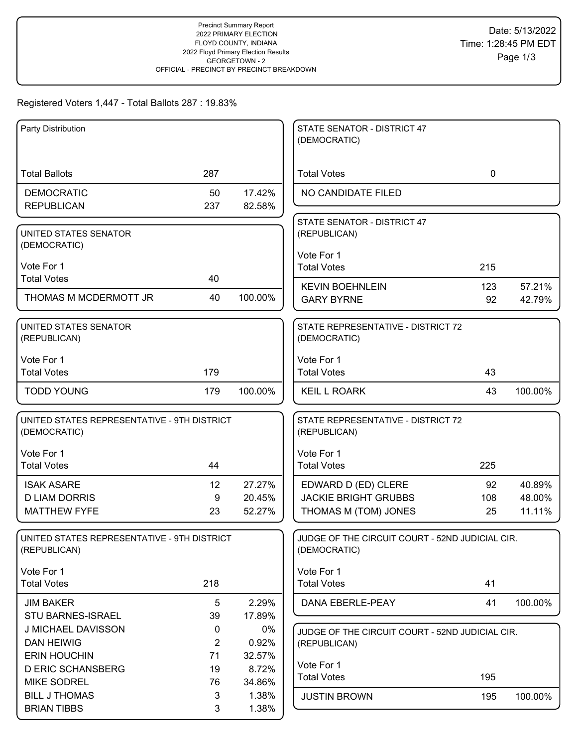## Registered Voters 1,447 - Total Ballots 287 : 19.83%

| Party Distribution                          |                 |         | STATE SENATOR - DISTRICT 47                     |             |         |
|---------------------------------------------|-----------------|---------|-------------------------------------------------|-------------|---------|
|                                             |                 |         | (DEMOCRATIC)                                    |             |         |
|                                             |                 |         |                                                 |             |         |
| <b>Total Ballots</b>                        | 287             |         | <b>Total Votes</b>                              | $\mathbf 0$ |         |
| <b>DEMOCRATIC</b>                           | 50              | 17.42%  | NO CANDIDATE FILED                              |             |         |
| <b>REPUBLICAN</b>                           | 237             | 82.58%  |                                                 |             |         |
|                                             |                 |         | STATE SENATOR - DISTRICT 47                     |             |         |
| UNITED STATES SENATOR                       |                 |         | (REPUBLICAN)                                    |             |         |
| (DEMOCRATIC)                                |                 |         |                                                 |             |         |
| Vote For 1                                  |                 |         | Vote For 1<br><b>Total Votes</b>                | 215         |         |
| <b>Total Votes</b>                          | 40              |         |                                                 |             |         |
|                                             |                 |         | <b>KEVIN BOEHNLEIN</b>                          | 123         | 57.21%  |
| THOMAS M MCDERMOTT JR                       | 40              | 100.00% | <b>GARY BYRNE</b>                               | 92          | 42.79%  |
| UNITED STATES SENATOR                       |                 |         | STATE REPRESENTATIVE - DISTRICT 72              |             |         |
| (REPUBLICAN)                                |                 |         | (DEMOCRATIC)                                    |             |         |
|                                             |                 |         |                                                 |             |         |
| Vote For 1<br><b>Total Votes</b>            | 179             |         | Vote For 1<br><b>Total Votes</b>                | 43          |         |
|                                             |                 |         |                                                 |             |         |
| <b>TODD YOUNG</b>                           | 179             | 100.00% | <b>KEIL L ROARK</b>                             | 43          | 100.00% |
| UNITED STATES REPRESENTATIVE - 9TH DISTRICT |                 |         | STATE REPRESENTATIVE - DISTRICT 72              |             |         |
| (DEMOCRATIC)                                |                 |         | (REPUBLICAN)                                    |             |         |
|                                             |                 |         |                                                 |             |         |
| Vote For 1                                  |                 |         | Vote For 1                                      |             |         |
| <b>Total Votes</b>                          | 44              |         | <b>Total Votes</b>                              | 225         |         |
| <b>ISAK ASARE</b>                           | 12 <sup>2</sup> | 27.27%  | EDWARD D (ED) CLERE                             | 92          | 40.89%  |
| <b>D LIAM DORRIS</b>                        | 9               | 20.45%  | <b>JACKIE BRIGHT GRUBBS</b>                     | 108         | 48.00%  |
| <b>MATTHEW FYFE</b>                         | 23              | 52.27%  | THOMAS M (TOM) JONES                            | 25          | 11.11%  |
|                                             |                 |         |                                                 |             |         |
| UNITED STATES REPRESENTATIVE - 9TH DISTRICT |                 |         | JUDGE OF THE CIRCUIT COURT - 52ND JUDICIAL CIR. |             |         |
| (REPUBLICAN)                                |                 |         | (DEMOCRATIC)                                    |             |         |
| Vote For 1                                  |                 |         | Vote For 1                                      |             |         |
| <b>Total Votes</b>                          | 218             |         | <b>Total Votes</b>                              | 41          |         |
| <b>JIM BAKER</b>                            | 5               | 2.29%   | DANA EBERLE-PEAY                                | 41          | 100.00% |
| STU BARNES-ISRAEL                           | 39              | 17.89%  |                                                 |             |         |
| J MICHAEL DAVISSON                          | 0               | $0\%$   | JUDGE OF THE CIRCUIT COURT - 52ND JUDICIAL CIR. |             |         |
| <b>DAN HEIWIG</b>                           | $\overline{2}$  | 0.92%   | (REPUBLICAN)                                    |             |         |
| <b>ERIN HOUCHIN</b>                         | 71              | 32.57%  |                                                 |             |         |
| <b>D ERIC SCHANSBERG</b>                    | 19              | 8.72%   | Vote For 1                                      |             |         |
| <b>MIKE SODREL</b>                          | 76              | 34.86%  | <b>Total Votes</b>                              | 195         |         |
| <b>BILL J THOMAS</b>                        | 3               | 1.38%   | <b>JUSTIN BROWN</b>                             | 195         | 100.00% |
| <b>BRIAN TIBBS</b>                          | 3               | 1.38%   |                                                 |             |         |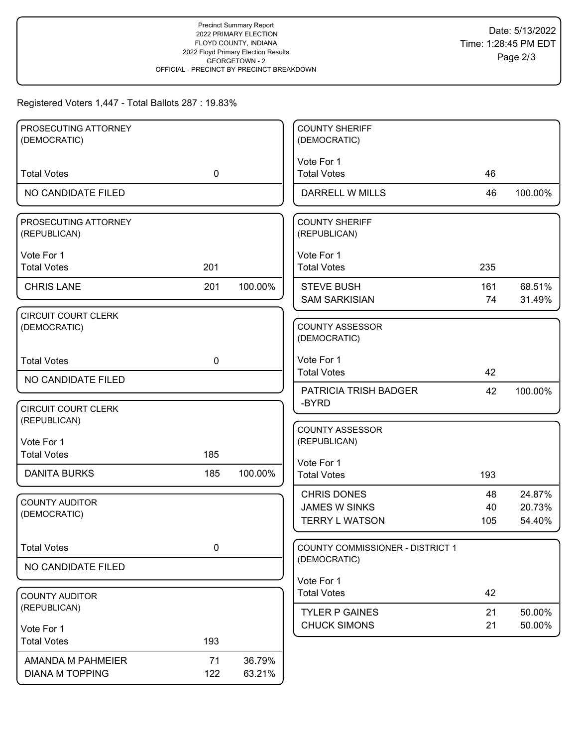## Registered Voters 1,447 - Total Ballots 287 : 19.83%

| PROSECUTING ATTORNEY                  |             |         | <b>COUNTY SHERIFF</b>                  |     |         |
|---------------------------------------|-------------|---------|----------------------------------------|-----|---------|
| (DEMOCRATIC)                          |             |         | (DEMOCRATIC)                           |     |         |
| <b>Total Votes</b>                    | $\mathbf 0$ |         | Vote For 1<br><b>Total Votes</b>       | 46  |         |
|                                       |             |         |                                        |     |         |
| NO CANDIDATE FILED                    |             |         | <b>DARRELL W MILLS</b>                 | 46  | 100.00% |
| PROSECUTING ATTORNEY<br>(REPUBLICAN)  |             |         | <b>COUNTY SHERIFF</b><br>(REPUBLICAN)  |     |         |
| Vote For 1                            |             |         | Vote For 1                             |     |         |
| <b>Total Votes</b>                    | 201         |         | <b>Total Votes</b>                     | 235 |         |
| <b>CHRIS LANE</b>                     | 201         | 100.00% | <b>STEVE BUSH</b>                      | 161 | 68.51%  |
|                                       |             |         | <b>SAM SARKISIAN</b>                   | 74  | 31.49%  |
| CIRCUIT COURT CLERK<br>(DEMOCRATIC)   |             |         | <b>COUNTY ASSESSOR</b><br>(DEMOCRATIC) |     |         |
| <b>Total Votes</b>                    | $\mathbf 0$ |         | Vote For 1                             |     |         |
| NO CANDIDATE FILED                    |             |         | <b>Total Votes</b>                     | 42  |         |
|                                       |             |         | PATRICIA TRISH BADGER<br>-BYRD         | 42  | 100.00% |
| <b>CIRCUIT COURT CLERK</b>            |             |         |                                        |     |         |
| (REPUBLICAN)                          |             |         | <b>COUNTY ASSESSOR</b>                 |     |         |
| Vote For 1                            |             |         | (REPUBLICAN)                           |     |         |
| <b>Total Votes</b>                    | 185         |         | Vote For 1                             |     |         |
| <b>DANITA BURKS</b>                   | 185         | 100.00% | <b>Total Votes</b>                     | 193 |         |
|                                       |             |         | <b>CHRIS DONES</b>                     | 48  | 24.87%  |
| <b>COUNTY AUDITOR</b><br>(DEMOCRATIC) |             |         | <b>JAMES W SINKS</b>                   | 40  | 20.73%  |
|                                       |             |         | <b>TERRY L WATSON</b>                  | 105 | 54.40%  |
| <b>Total Votes</b>                    | $\pmb{0}$   |         | COUNTY COMMISSIONER - DISTRICT 1       |     |         |
| NO CANDIDATE FILED                    |             |         | (DEMOCRATIC)                           |     |         |
|                                       |             |         | Vote For 1                             |     |         |
| <b>COUNTY AUDITOR</b>                 |             |         | <b>Total Votes</b>                     | 42  |         |
| (REPUBLICAN)                          |             |         | <b>TYLER P GAINES</b>                  | 21  | 50.00%  |
| Vote For 1                            |             |         | <b>CHUCK SIMONS</b>                    | 21  | 50.00%  |
| <b>Total Votes</b>                    | 193         |         |                                        |     |         |
| AMANDA M PAHMEIER                     | 71          | 36.79%  |                                        |     |         |
| <b>DIANA M TOPPING</b>                | 122         | 63.21%  |                                        |     |         |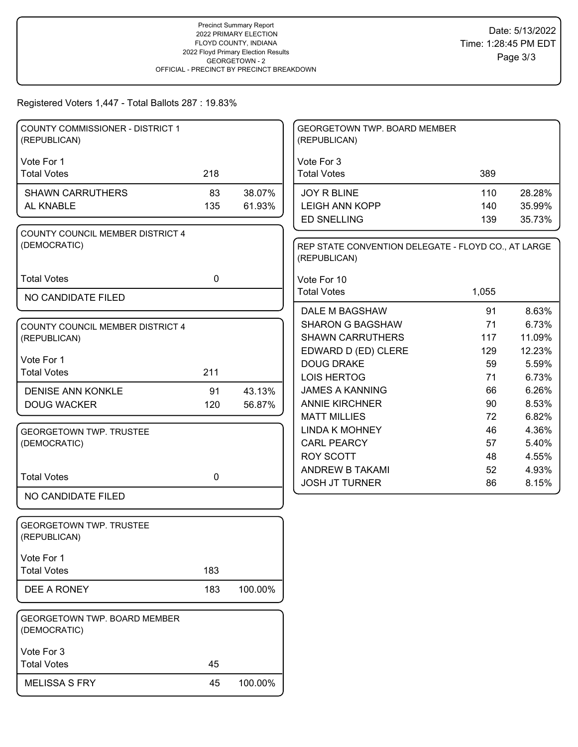### Registered Voters 1,447 - Total Ballots 287 : 19.83%

| <b>COUNTY COMMISSIONER - DISTRICT 1</b><br>(REPUBLICAN) |              |         | GEORGETOWN TWP. BOARD MEMBER<br>(REPUBLICAN)                        |       |        |
|---------------------------------------------------------|--------------|---------|---------------------------------------------------------------------|-------|--------|
| Vote For 1                                              |              |         | Vote For 3                                                          |       |        |
| <b>Total Votes</b>                                      | 218          |         | <b>Total Votes</b>                                                  | 389   |        |
| <b>SHAWN CARRUTHERS</b>                                 | 83           | 38.07%  | <b>JOY R BLINE</b>                                                  | 110   | 28.28% |
| AL KNABLE                                               | 135          | 61.93%  | <b>LEIGH ANN KOPP</b>                                               | 140   | 35.99% |
|                                                         |              |         | <b>ED SNELLING</b>                                                  | 139   | 35.73% |
| COUNTY COUNCIL MEMBER DISTRICT 4<br>(DEMOCRATIC)        |              |         | REP STATE CONVENTION DELEGATE - FLOYD CO., AT LARGE<br>(REPUBLICAN) |       |        |
| <b>Total Votes</b>                                      | $\mathbf{0}$ |         | Vote For 10                                                         |       |        |
| NO CANDIDATE FILED                                      |              |         | <b>Total Votes</b>                                                  | 1,055 |        |
|                                                         |              |         | <b>DALE M BAGSHAW</b>                                               | 91    | 8.63%  |
| COUNTY COUNCIL MEMBER DISTRICT 4                        |              |         | <b>SHARON G BAGSHAW</b>                                             | 71    | 6.73%  |
| (REPUBLICAN)                                            |              |         | <b>SHAWN CARRUTHERS</b>                                             | 117   | 11.09% |
|                                                         |              |         | EDWARD D (ED) CLERE                                                 | 129   | 12.23% |
| Vote For 1                                              |              |         | <b>DOUG DRAKE</b>                                                   | 59    | 5.59%  |
| <b>Total Votes</b>                                      | 211          |         | <b>LOIS HERTOG</b>                                                  | 71    | 6.73%  |
| <b>DENISE ANN KONKLE</b>                                | 91           | 43.13%  | <b>JAMES A KANNING</b>                                              | 66    | 6.26%  |
| <b>DOUG WACKER</b>                                      | 120          | 56.87%  | <b>ANNIE KIRCHNER</b>                                               | 90    | 8.53%  |
|                                                         |              |         | <b>MATT MILLIES</b>                                                 | 72    | 6.82%  |
| <b>GEORGETOWN TWP. TRUSTEE</b>                          |              |         | <b>LINDA K MOHNEY</b>                                               | 46    | 4.36%  |
| (DEMOCRATIC)                                            |              |         | <b>CARL PEARCY</b>                                                  | 57    | 5.40%  |
|                                                         |              |         | <b>ROY SCOTT</b>                                                    | 48    | 4.55%  |
| <b>Total Votes</b>                                      | 0            |         | ANDREW B TAKAMI                                                     | 52    | 4.93%  |
|                                                         |              |         | <b>JOSH JT TURNER</b>                                               | 86    | 8.15%  |
| NO CANDIDATE FILED                                      |              |         |                                                                     |       |        |
| <b>GEORGETOWN TWP. TRUSTEE</b><br>(REPUBLICAN)          |              |         |                                                                     |       |        |
| Vote For 1                                              |              |         |                                                                     |       |        |
| <b>Total Votes</b>                                      | 183          |         |                                                                     |       |        |
| DEE A RONEY                                             | 183          | 100.00% |                                                                     |       |        |
| <b>GEORGETOWN TWP. BOARD MEMBER</b><br>(DEMOCRATIC)     |              |         |                                                                     |       |        |
| Vote For 3                                              |              |         |                                                                     |       |        |
| <b>Total Votes</b>                                      | 45           |         |                                                                     |       |        |
| <b>MELISSA S FRY</b>                                    | 45           | 100.00% |                                                                     |       |        |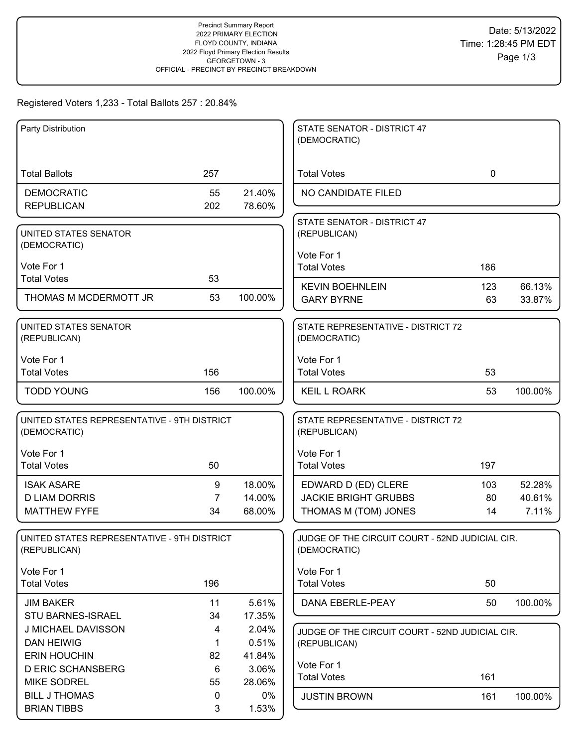## Registered Voters 1,233 - Total Ballots 257 : 20.84%

| Party Distribution                          |             |         | STATE SENATOR - DISTRICT 47<br>(DEMOCRATIC)     |             |         |
|---------------------------------------------|-------------|---------|-------------------------------------------------|-------------|---------|
|                                             |             |         |                                                 |             |         |
| <b>Total Ballots</b>                        | 257         |         | <b>Total Votes</b>                              | $\mathbf 0$ |         |
| <b>DEMOCRATIC</b>                           | 55          | 21.40%  | NO CANDIDATE FILED                              |             |         |
| <b>REPUBLICAN</b>                           | 202         | 78.60%  |                                                 |             |         |
|                                             |             |         | STATE SENATOR - DISTRICT 47                     |             |         |
| UNITED STATES SENATOR                       |             |         | (REPUBLICAN)                                    |             |         |
| (DEMOCRATIC)                                |             |         |                                                 |             |         |
|                                             |             |         | Vote For 1                                      |             |         |
| Vote For 1                                  |             |         | <b>Total Votes</b>                              | 186         |         |
| <b>Total Votes</b>                          | 53          |         | <b>KEVIN BOEHNLEIN</b>                          | 123         | 66.13%  |
| THOMAS M MCDERMOTT JR                       | 53          | 100.00% | <b>GARY BYRNE</b>                               | 63          | 33.87%  |
|                                             |             |         |                                                 |             |         |
| UNITED STATES SENATOR                       |             |         | STATE REPRESENTATIVE - DISTRICT 72              |             |         |
| (REPUBLICAN)                                |             |         | (DEMOCRATIC)                                    |             |         |
| Vote For 1                                  |             |         | Vote For 1                                      |             |         |
| <b>Total Votes</b>                          | 156         |         | <b>Total Votes</b>                              | 53          |         |
|                                             |             |         |                                                 |             |         |
| <b>TODD YOUNG</b>                           | 156         | 100.00% | <b>KEIL L ROARK</b>                             | 53          | 100.00% |
|                                             |             |         |                                                 |             |         |
| UNITED STATES REPRESENTATIVE - 9TH DISTRICT |             |         | STATE REPRESENTATIVE - DISTRICT 72              |             |         |
| (DEMOCRATIC)                                |             |         | (REPUBLICAN)                                    |             |         |
| Vote For 1                                  |             |         | Vote For 1                                      |             |         |
| <b>Total Votes</b>                          | 50          |         | <b>Total Votes</b>                              | 197         |         |
| <b>ISAK ASARE</b>                           | 9           | 18.00%  | EDWARD D (ED) CLERE                             | 103         | 52.28%  |
| <b>D LIAM DORRIS</b>                        | 7           | 14.00%  | <b>JACKIE BRIGHT GRUBBS</b>                     | 80          | 40.61%  |
| <b>MATTHEW FYFE</b>                         | 34          | 68.00%  | THOMAS M (TOM) JONES                            | 14          | 7.11%   |
|                                             |             |         |                                                 |             |         |
| UNITED STATES REPRESENTATIVE - 9TH DISTRICT |             |         | JUDGE OF THE CIRCUIT COURT - 52ND JUDICIAL CIR. |             |         |
| (REPUBLICAN)                                |             |         | (DEMOCRATIC)                                    |             |         |
|                                             |             |         |                                                 |             |         |
| Vote For 1                                  |             |         | Vote For 1                                      |             |         |
| <b>Total Votes</b>                          | 196         |         | <b>Total Votes</b>                              | 50          |         |
| <b>JIM BAKER</b>                            | 11          | 5.61%   | DANA EBERLE-PEAY                                | 50          | 100.00% |
| <b>STU BARNES-ISRAEL</b>                    | 34          | 17.35%  |                                                 |             |         |
| J MICHAEL DAVISSON                          | 4           | 2.04%   | JUDGE OF THE CIRCUIT COURT - 52ND JUDICIAL CIR. |             |         |
| <b>DAN HEIWIG</b>                           | $\mathbf 1$ | 0.51%   | (REPUBLICAN)                                    |             |         |
| <b>ERIN HOUCHIN</b>                         | 82          | 41.84%  | Vote For 1                                      |             |         |
| <b>D ERIC SCHANSBERG</b>                    | 6           | 3.06%   | <b>Total Votes</b>                              | 161         |         |
| <b>MIKE SODREL</b>                          | 55          | 28.06%  |                                                 |             |         |
| <b>BILL J THOMAS</b>                        | 0           | 0%      | <b>JUSTIN BROWN</b>                             | 161         | 100.00% |
| <b>BRIAN TIBBS</b>                          | 3           | 1.53%   |                                                 |             |         |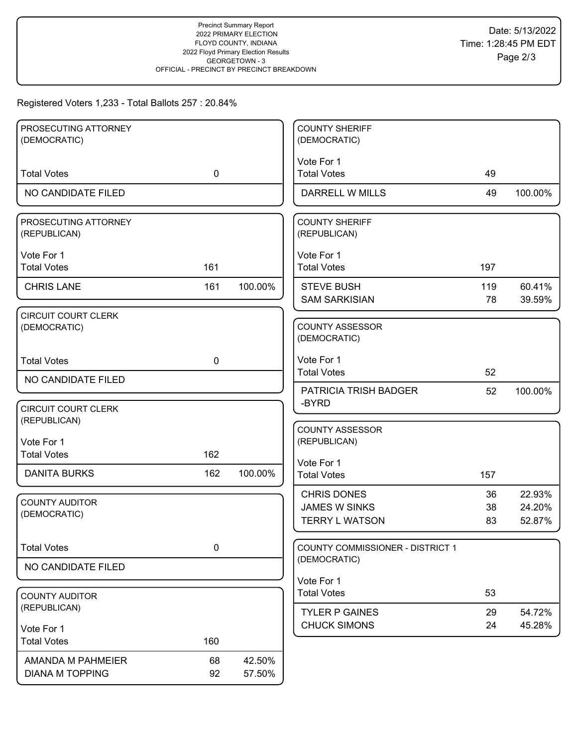## Registered Voters 1,233 - Total Ballots 257 : 20.84%

| PROSECUTING ATTORNEY                       |             |         | <b>COUNTY SHERIFF</b>                   |     |         |
|--------------------------------------------|-------------|---------|-----------------------------------------|-----|---------|
| (DEMOCRATIC)                               |             |         | (DEMOCRATIC)                            |     |         |
|                                            |             |         | Vote For 1                              |     |         |
| <b>Total Votes</b>                         | $\mathbf 0$ |         | <b>Total Votes</b>                      | 49  |         |
| NO CANDIDATE FILED                         |             |         | DARRELL W MILLS                         | 49  | 100.00% |
| PROSECUTING ATTORNEY                       |             |         | <b>COUNTY SHERIFF</b>                   |     |         |
| (REPUBLICAN)                               |             |         | (REPUBLICAN)                            |     |         |
| Vote For 1                                 |             |         | Vote For 1                              |     |         |
| <b>Total Votes</b>                         | 161         |         | <b>Total Votes</b>                      | 197 |         |
| <b>CHRIS LANE</b>                          | 161         | 100.00% | <b>STEVE BUSH</b>                       | 119 | 60.41%  |
|                                            |             |         | <b>SAM SARKISIAN</b>                    | 78  | 39.59%  |
| <b>CIRCUIT COURT CLERK</b>                 |             |         |                                         |     |         |
| (DEMOCRATIC)                               |             |         | <b>COUNTY ASSESSOR</b><br>(DEMOCRATIC)  |     |         |
|                                            |             |         |                                         |     |         |
| <b>Total Votes</b>                         | $\mathbf 0$ |         | Vote For 1<br><b>Total Votes</b>        | 52  |         |
| NO CANDIDATE FILED                         |             |         | <b>PATRICIA TRISH BADGER</b>            |     |         |
|                                            |             |         | -BYRD                                   | 52  | 100.00% |
| <b>CIRCUIT COURT CLERK</b><br>(REPUBLICAN) |             |         |                                         |     |         |
|                                            |             |         | <b>COUNTY ASSESSOR</b>                  |     |         |
| Vote For 1<br><b>Total Votes</b>           | 162         |         | (REPUBLICAN)                            |     |         |
|                                            |             |         | Vote For 1                              |     |         |
| <b>DANITA BURKS</b>                        | 162         | 100.00% | <b>Total Votes</b>                      | 157 |         |
| <b>COUNTY AUDITOR</b>                      |             |         | <b>CHRIS DONES</b>                      | 36  | 22.93%  |
| (DEMOCRATIC)                               |             |         | <b>JAMES W SINKS</b>                    | 38  | 24.20%  |
|                                            |             |         | <b>TERRY L WATSON</b>                   | 83  | 52.87%  |
| <b>Total Votes</b>                         | $\pmb{0}$   |         | <b>COUNTY COMMISSIONER - DISTRICT 1</b> |     |         |
| NO CANDIDATE FILED                         |             |         | (DEMOCRATIC)                            |     |         |
|                                            |             |         | Vote For 1                              |     |         |
| <b>COUNTY AUDITOR</b>                      |             |         | <b>Total Votes</b>                      | 53  |         |
| (REPUBLICAN)                               |             |         | <b>TYLER P GAINES</b>                   | 29  | 54.72%  |
| Vote For 1                                 |             |         | <b>CHUCK SIMONS</b>                     | 24  | 45.28%  |
| <b>Total Votes</b>                         | 160         |         |                                         |     |         |
| AMANDA M PAHMEIER                          | 68          | 42.50%  |                                         |     |         |
| <b>DIANA M TOPPING</b>                     | 92          | 57.50%  |                                         |     |         |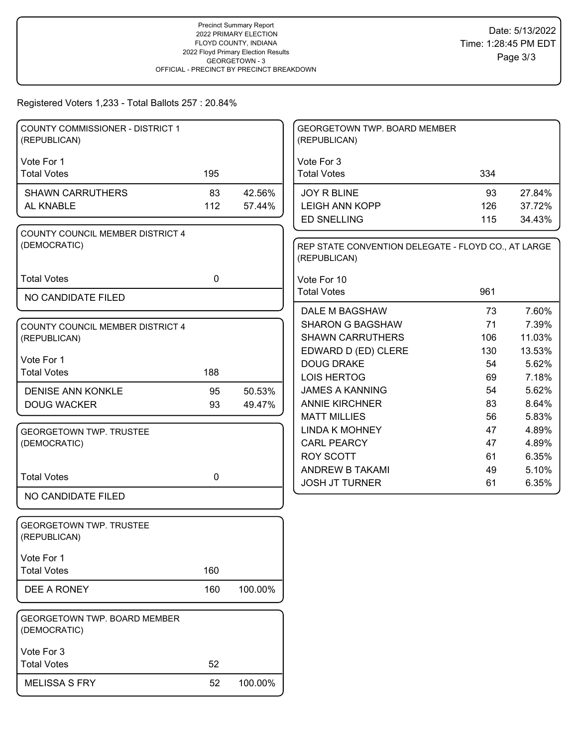Registered Voters 1,233 - Total Ballots 257 : 20.84%

| <b>COUNTY COMMISSIONER - DISTRICT 1</b><br>(REPUBLICAN) |             |         | GEORGETOWN TWP. BOARD MEMBER<br>(REPUBLICAN)                        |     |        |
|---------------------------------------------------------|-------------|---------|---------------------------------------------------------------------|-----|--------|
| Vote For 1                                              |             |         | Vote For 3                                                          |     |        |
| <b>Total Votes</b>                                      | 195         |         | <b>Total Votes</b>                                                  | 334 |        |
| <b>SHAWN CARRUTHERS</b>                                 | 83          | 42.56%  | JOY R BLINE                                                         | 93  | 27.84% |
| AL KNABLE                                               | 112         | 57.44%  | <b>LEIGH ANN KOPP</b>                                               | 126 | 37.72% |
|                                                         |             |         | <b>ED SNELLING</b>                                                  | 115 | 34.43% |
| COUNTY COUNCIL MEMBER DISTRICT 4                        |             |         |                                                                     |     |        |
| (DEMOCRATIC)                                            |             |         | REP STATE CONVENTION DELEGATE - FLOYD CO., AT LARGE<br>(REPUBLICAN) |     |        |
| <b>Total Votes</b>                                      | $\mathbf 0$ |         | Vote For 10                                                         |     |        |
| NO CANDIDATE FILED                                      |             |         | <b>Total Votes</b>                                                  | 961 |        |
|                                                         |             |         | DALE M BAGSHAW                                                      | 73  | 7.60%  |
| COUNTY COUNCIL MEMBER DISTRICT 4                        |             |         | <b>SHARON G BAGSHAW</b>                                             | 71  | 7.39%  |
| (REPUBLICAN)                                            |             |         | <b>SHAWN CARRUTHERS</b>                                             | 106 | 11.03% |
|                                                         |             |         | EDWARD D (ED) CLERE                                                 | 130 | 13.53% |
| Vote For 1                                              |             |         | <b>DOUG DRAKE</b>                                                   | 54  | 5.62%  |
| <b>Total Votes</b>                                      | 188         |         | <b>LOIS HERTOG</b>                                                  | 69  | 7.18%  |
| <b>DENISE ANN KONKLE</b>                                | 95          | 50.53%  | <b>JAMES A KANNING</b>                                              | 54  | 5.62%  |
| <b>DOUG WACKER</b>                                      | 93          | 49.47%  | <b>ANNIE KIRCHNER</b>                                               | 83  | 8.64%  |
|                                                         |             |         | <b>MATT MILLIES</b>                                                 | 56  | 5.83%  |
| <b>GEORGETOWN TWP. TRUSTEE</b>                          |             |         | <b>LINDA K MOHNEY</b>                                               | 47  | 4.89%  |
| (DEMOCRATIC)                                            |             |         | <b>CARL PEARCY</b>                                                  | 47  | 4.89%  |
|                                                         |             |         | <b>ROY SCOTT</b>                                                    | 61  | 6.35%  |
| <b>Total Votes</b>                                      | $\mathbf 0$ |         | ANDREW B TAKAMI                                                     | 49  | 5.10%  |
|                                                         |             |         | <b>JOSH JT TURNER</b>                                               | 61  | 6.35%  |
| NO CANDIDATE FILED                                      |             |         |                                                                     |     |        |
| <b>GEORGETOWN TWP. TRUSTEE</b><br>(REPUBLICAN)          |             |         |                                                                     |     |        |
| Vote For 1                                              |             |         |                                                                     |     |        |
| <b>Total Votes</b>                                      | 160         |         |                                                                     |     |        |
| DEE A RONEY                                             | 160         | 100.00% |                                                                     |     |        |
| <b>GEORGETOWN TWP. BOARD MEMBER</b><br>(DEMOCRATIC)     |             |         |                                                                     |     |        |
| Vote For 3                                              |             |         |                                                                     |     |        |
| <b>Total Votes</b>                                      | 52          |         |                                                                     |     |        |
| <b>MELISSA S FRY</b>                                    | 52          | 100.00% |                                                                     |     |        |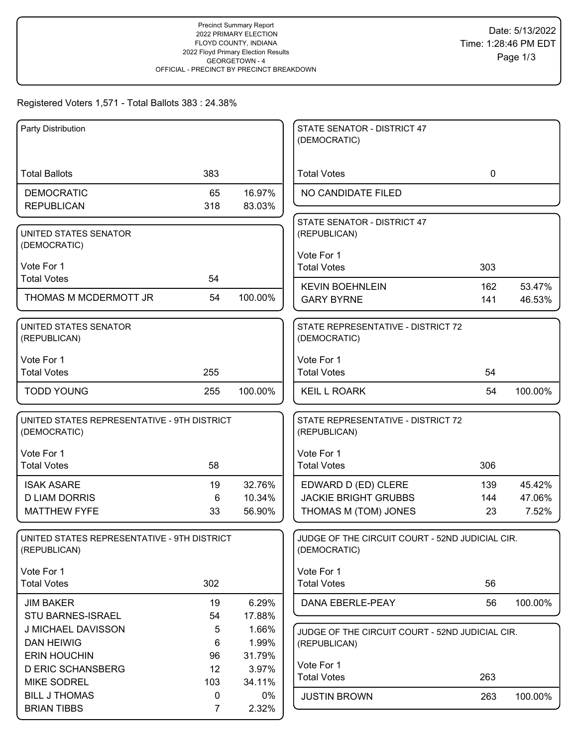# Registered Voters 1,571 - Total Ballots 383 : 24.38%

| Party Distribution                                          |          |                 | STATE SENATOR - DISTRICT 47<br>(DEMOCRATIC)                     |             |         |
|-------------------------------------------------------------|----------|-----------------|-----------------------------------------------------------------|-------------|---------|
|                                                             |          |                 |                                                                 |             |         |
| <b>Total Ballots</b>                                        | 383      |                 | <b>Total Votes</b>                                              | $\mathbf 0$ |         |
| <b>DEMOCRATIC</b>                                           | 65       | 16.97%          | NO CANDIDATE FILED                                              |             |         |
| <b>REPUBLICAN</b>                                           | 318      | 83.03%          |                                                                 |             |         |
| UNITED STATES SENATOR                                       |          |                 | STATE SENATOR - DISTRICT 47<br>(REPUBLICAN)                     |             |         |
| (DEMOCRATIC)                                                |          |                 |                                                                 |             |         |
| Vote For 1                                                  |          |                 | Vote For 1                                                      |             |         |
| <b>Total Votes</b>                                          | 54       |                 | <b>Total Votes</b>                                              | 303         |         |
|                                                             |          |                 | <b>KEVIN BOEHNLEIN</b>                                          | 162         | 53.47%  |
| THOMAS M MCDERMOTT JR                                       | 54       | 100.00%         | <b>GARY BYRNE</b>                                               | 141         | 46.53%  |
| UNITED STATES SENATOR                                       |          |                 | STATE REPRESENTATIVE - DISTRICT 72                              |             |         |
| (REPUBLICAN)                                                |          |                 | (DEMOCRATIC)                                                    |             |         |
| Vote For 1                                                  |          |                 | Vote For 1                                                      |             |         |
| <b>Total Votes</b>                                          | 255      |                 | <b>Total Votes</b>                                              | 54          |         |
| <b>TODD YOUNG</b>                                           | 255      | 100.00%         | <b>KEIL L ROARK</b>                                             | 54          | 100.00% |
| UNITED STATES REPRESENTATIVE - 9TH DISTRICT<br>(DEMOCRATIC) |          |                 | STATE REPRESENTATIVE - DISTRICT 72<br>(REPUBLICAN)              |             |         |
| Vote For 1                                                  |          |                 | Vote For 1                                                      |             |         |
| <b>Total Votes</b>                                          | 58       |                 | <b>Total Votes</b>                                              | 306         |         |
| <b>ISAK ASARE</b>                                           | 19       | 32.76%          | EDWARD D (ED) CLERE                                             | 139         | 45.42%  |
| <b>D LIAM DORRIS</b>                                        | 6        | 10.34%          | <b>JACKIE BRIGHT GRUBBS</b>                                     | 144         | 47.06%  |
| <b>MATTHEW FYFE</b>                                         | 33       | 56.90%          | THOMAS M (TOM) JONES                                            | 23          | 7.52%   |
| UNITED STATES REPRESENTATIVE - 9TH DISTRICT<br>(REPUBLICAN) |          |                 | JUDGE OF THE CIRCUIT COURT - 52ND JUDICIAL CIR.<br>(DEMOCRATIC) |             |         |
| Vote For 1                                                  |          |                 | Vote For 1                                                      |             |         |
| <b>Total Votes</b>                                          | 302      |                 | <b>Total Votes</b>                                              | 56          |         |
| <b>JIM BAKER</b>                                            | 19       | 6.29%           | DANA EBERLE-PEAY                                                | 56          | 100.00% |
| STU BARNES-ISRAEL                                           | 54       | 17.88%          |                                                                 |             |         |
| J MICHAEL DAVISSON                                          | 5        | 1.66%           | JUDGE OF THE CIRCUIT COURT - 52ND JUDICIAL CIR.                 |             |         |
| <b>DAN HEIWIG</b>                                           | 6        | 1.99%           | (REPUBLICAN)                                                    |             |         |
| <b>ERIN HOUCHIN</b>                                         | 96       | 31.79%          | Vote For 1                                                      |             |         |
| <b>D ERIC SCHANSBERG</b>                                    | 12       | 3.97%           | <b>Total Votes</b>                                              | 263         |         |
| <b>MIKE SODREL</b><br><b>BILL J THOMAS</b>                  | 103<br>0 | 34.11%<br>$0\%$ | <b>JUSTIN BROWN</b>                                             |             |         |
|                                                             |          |                 |                                                                 | 263         | 100.00% |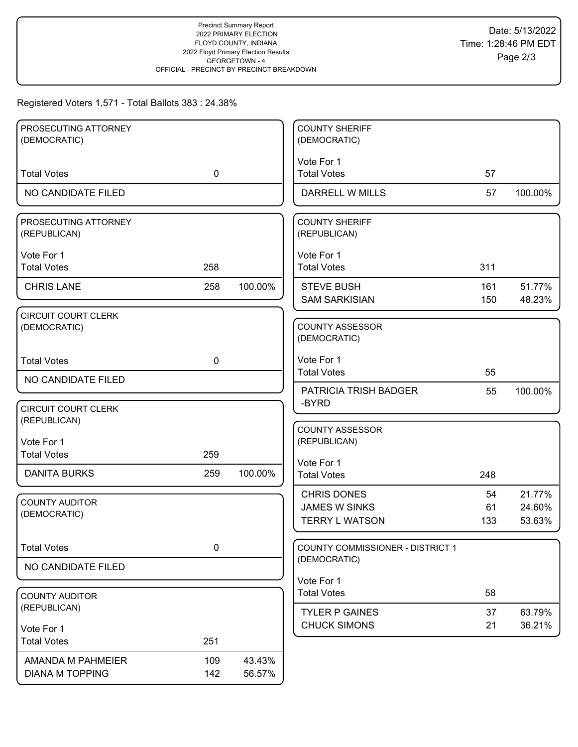### Registered Voters 1,571 - Total Ballots 383 : 24.38%

| PROSECUTING ATTORNEY                        |             |                  | <b>COUNTY SHERIFF</b>                                               |                 |                            |
|---------------------------------------------|-------------|------------------|---------------------------------------------------------------------|-----------------|----------------------------|
| (DEMOCRATIC)                                |             |                  | (DEMOCRATIC)                                                        |                 |                            |
| <b>Total Votes</b>                          | $\mathbf 0$ |                  | Vote For 1<br><b>Total Votes</b>                                    | 57              |                            |
| NO CANDIDATE FILED                          |             |                  | DARRELL W MILLS                                                     | 57              | 100.00%                    |
| PROSECUTING ATTORNEY<br>(REPUBLICAN)        |             |                  | <b>COUNTY SHERIFF</b><br>(REPUBLICAN)                               |                 |                            |
| Vote For 1<br><b>Total Votes</b>            | 258         |                  | Vote For 1<br><b>Total Votes</b>                                    | 311             |                            |
| <b>CHRIS LANE</b>                           | 258         | 100.00%          | <b>STEVE BUSH</b><br><b>SAM SARKISIAN</b>                           | 161<br>150      | 51.77%<br>48.23%           |
| <b>CIRCUIT COURT CLERK</b><br>(DEMOCRATIC)  |             |                  | <b>COUNTY ASSESSOR</b><br>(DEMOCRATIC)                              |                 |                            |
| <b>Total Votes</b>                          | $\mathbf 0$ |                  | Vote For 1<br><b>Total Votes</b>                                    | 55              |                            |
| NO CANDIDATE FILED                          |             |                  | PATRICIA TRISH BADGER                                               | 55              | 100.00%                    |
| <b>CIRCUIT COURT CLERK</b><br>(REPUBLICAN)  |             |                  | -BYRD                                                               |                 |                            |
| Vote For 1<br><b>Total Votes</b>            | 259         |                  | <b>COUNTY ASSESSOR</b><br>(REPUBLICAN)                              |                 |                            |
| <b>DANITA BURKS</b>                         | 259         | 100.00%          | Vote For 1<br><b>Total Votes</b>                                    | 248             |                            |
| <b>COUNTY AUDITOR</b><br>(DEMOCRATIC)       |             |                  | <b>CHRIS DONES</b><br><b>JAMES W SINKS</b><br><b>TERRY L WATSON</b> | 54<br>61<br>133 | 21.77%<br>24.60%<br>53.63% |
| <b>Total Votes</b>                          | 0           |                  | <b>COUNTY COMMISSIONER - DISTRICT 1</b>                             |                 |                            |
| NO CANDIDATE FILED                          |             |                  | (DEMOCRATIC)                                                        |                 |                            |
| <b>COUNTY AUDITOR</b>                       |             |                  | Vote For 1<br><b>Total Votes</b>                                    | 58              |                            |
| (REPUBLICAN)                                |             |                  | <b>TYLER P GAINES</b>                                               | 37              | 63.79%                     |
| Vote For 1<br><b>Total Votes</b>            | 251         |                  | <b>CHUCK SIMONS</b>                                                 | 21              | 36.21%                     |
| AMANDA M PAHMEIER<br><b>DIANA M TOPPING</b> | 109<br>142  | 43.43%<br>56.57% |                                                                     |                 |                            |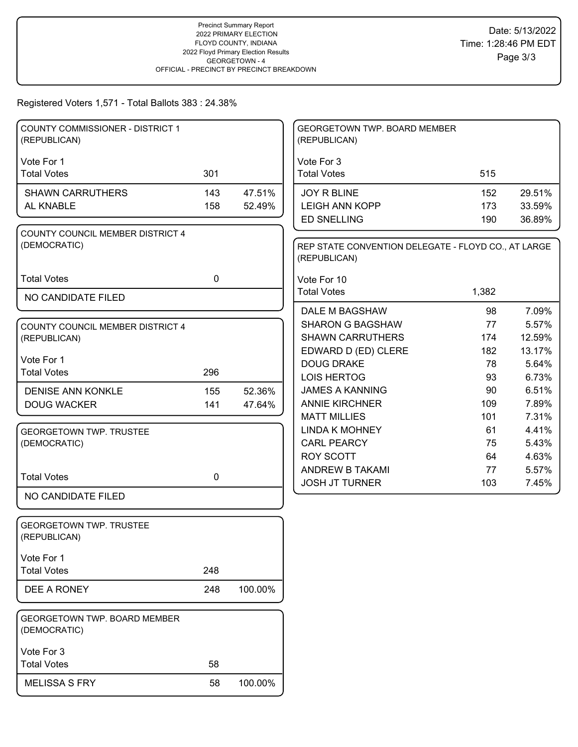Registered Voters 1,571 - Total Ballots 383 : 24.38%

| <b>COUNTY COMMISSIONER - DISTRICT 1</b><br>(REPUBLICAN) |             |         | GEORGETOWN TWP. BOARD MEMBER<br>(REPUBLICAN)                        |           |                |
|---------------------------------------------------------|-------------|---------|---------------------------------------------------------------------|-----------|----------------|
| Vote For 1                                              |             |         | Vote For 3                                                          |           |                |
| <b>Total Votes</b>                                      | 301         |         | <b>Total Votes</b>                                                  | 515       |                |
| <b>SHAWN CARRUTHERS</b>                                 | 143         | 47.51%  | <b>JOY R BLINE</b>                                                  | 152       | 29.51%         |
| AL KNABLE                                               | 158         | 52.49%  | <b>LEIGH ANN KOPP</b>                                               | 173       | 33.59%         |
|                                                         |             |         | <b>ED SNELLING</b>                                                  | 190       | 36.89%         |
| COUNTY COUNCIL MEMBER DISTRICT 4<br>(DEMOCRATIC)        |             |         | REP STATE CONVENTION DELEGATE - FLOYD CO., AT LARGE<br>(REPUBLICAN) |           |                |
| <b>Total Votes</b>                                      | $\mathbf 0$ |         | Vote For 10                                                         |           |                |
| NO CANDIDATE FILED                                      |             |         | <b>Total Votes</b>                                                  | 1,382     |                |
|                                                         |             |         | DALE M BAGSHAW                                                      | 98        | 7.09%          |
| COUNTY COUNCIL MEMBER DISTRICT 4                        |             |         | <b>SHARON G BAGSHAW</b>                                             | 77        | 5.57%          |
| (REPUBLICAN)                                            |             |         | <b>SHAWN CARRUTHERS</b>                                             | 174       | 12.59%         |
| Vote For 1                                              |             |         | EDWARD D (ED) CLERE                                                 | 182       | 13.17%         |
| <b>Total Votes</b>                                      | 296         |         | <b>DOUG DRAKE</b>                                                   | 78        | 5.64%          |
|                                                         |             |         | <b>LOIS HERTOG</b>                                                  | 93        | 6.73%          |
| <b>DENISE ANN KONKLE</b>                                | 155         | 52.36%  | <b>JAMES A KANNING</b>                                              | 90        | 6.51%          |
| <b>DOUG WACKER</b>                                      | 141         | 47.64%  | <b>ANNIE KIRCHNER</b><br><b>MATT MILLIES</b>                        | 109       | 7.89%<br>7.31% |
|                                                         |             |         | <b>LINDA K MOHNEY</b>                                               | 101<br>61 | 4.41%          |
| <b>GEORGETOWN TWP. TRUSTEE</b><br>(DEMOCRATIC)          |             |         | <b>CARL PEARCY</b>                                                  | 75        | 5.43%          |
|                                                         |             |         | <b>ROY SCOTT</b>                                                    | 64        | 4.63%          |
|                                                         |             |         | ANDREW B TAKAMI                                                     | 77        | 5.57%          |
| <b>Total Votes</b>                                      | $\mathbf 0$ |         | <b>JOSH JT TURNER</b>                                               | 103       | 7.45%          |
| NO CANDIDATE FILED                                      |             |         |                                                                     |           |                |
| <b>GEORGETOWN TWP. TRUSTEE</b><br>(REPUBLICAN)          |             |         |                                                                     |           |                |
| Vote For 1                                              |             |         |                                                                     |           |                |
| <b>Total Votes</b>                                      | 248         |         |                                                                     |           |                |
| DEE A RONEY                                             | 248         | 100.00% |                                                                     |           |                |
| GEORGETOWN TWP. BOARD MEMBER<br>(DEMOCRATIC)            |             |         |                                                                     |           |                |
| Vote For 3                                              |             |         |                                                                     |           |                |
| <b>Total Votes</b>                                      | 58          |         |                                                                     |           |                |
| <b>MELISSA S FRY</b>                                    | 58          | 100.00% |                                                                     |           |                |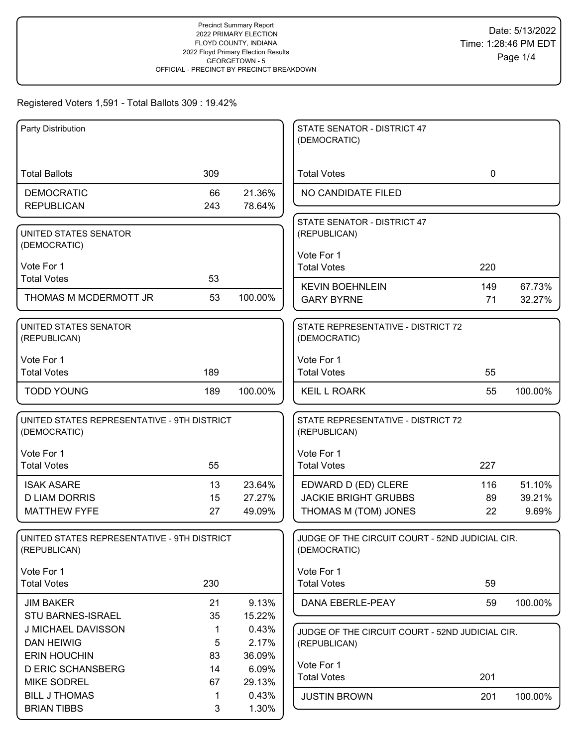| Party Distribution                          |     |         | STATE SENATOR - DISTRICT 47                                     |             |         |
|---------------------------------------------|-----|---------|-----------------------------------------------------------------|-------------|---------|
|                                             |     |         | (DEMOCRATIC)                                                    |             |         |
|                                             |     |         |                                                                 |             |         |
| <b>Total Ballots</b>                        | 309 |         | <b>Total Votes</b>                                              | $\mathbf 0$ |         |
| <b>DEMOCRATIC</b>                           | 66  | 21.36%  | NO CANDIDATE FILED                                              |             |         |
| <b>REPUBLICAN</b>                           | 243 | 78.64%  |                                                                 |             |         |
|                                             |     |         | STATE SENATOR - DISTRICT 47                                     |             |         |
| UNITED STATES SENATOR                       |     |         | (REPUBLICAN)                                                    |             |         |
| (DEMOCRATIC)                                |     |         |                                                                 |             |         |
|                                             |     |         | Vote For 1                                                      |             |         |
| Vote For 1                                  |     |         | <b>Total Votes</b>                                              | 220         |         |
| <b>Total Votes</b>                          | 53  |         | <b>KEVIN BOEHNLEIN</b>                                          | 149         | 67.73%  |
| THOMAS M MCDERMOTT JR                       | 53  | 100.00% | <b>GARY BYRNE</b>                                               | 71          | 32.27%  |
|                                             |     |         |                                                                 |             |         |
| UNITED STATES SENATOR                       |     |         | STATE REPRESENTATIVE - DISTRICT 72                              |             |         |
| (REPUBLICAN)                                |     |         | (DEMOCRATIC)                                                    |             |         |
|                                             |     |         |                                                                 |             |         |
| Vote For 1                                  |     |         | Vote For 1                                                      |             |         |
| <b>Total Votes</b>                          | 189 |         | <b>Total Votes</b>                                              | 55          |         |
| <b>TODD YOUNG</b>                           | 189 | 100.00% | <b>KEIL L ROARK</b>                                             | 55          | 100.00% |
|                                             |     |         |                                                                 |             |         |
| UNITED STATES REPRESENTATIVE - 9TH DISTRICT |     |         | STATE REPRESENTATIVE - DISTRICT 72                              |             |         |
| (DEMOCRATIC)                                |     |         | (REPUBLICAN)                                                    |             |         |
|                                             |     |         |                                                                 |             |         |
| Vote For 1                                  |     |         | Vote For 1                                                      |             |         |
| <b>Total Votes</b>                          | 55  |         | <b>Total Votes</b>                                              | 227         |         |
| <b>ISAK ASARE</b>                           | 13  | 23.64%  | EDWARD D (ED) CLERE                                             | 116         | 51.10%  |
| <b>D LIAM DORRIS</b>                        | 15  | 27.27%  | <b>JACKIE BRIGHT GRUBBS</b>                                     | 89          | 39.21%  |
| <b>MATTHEW FYFE</b>                         | 27  | 49.09%  |                                                                 | 22          | 9.69%   |
|                                             |     |         | THOMAS M (TOM) JONES                                            |             |         |
| UNITED STATES REPRESENTATIVE - 9TH DISTRICT |     |         | JUDGE OF THE CIRCUIT COURT - 52ND JUDICIAL CIR.                 |             |         |
| (REPUBLICAN)                                |     |         | (DEMOCRATIC)                                                    |             |         |
|                                             |     |         |                                                                 |             |         |
| Vote For 1                                  |     |         | Vote For 1                                                      |             |         |
| <b>Total Votes</b>                          | 230 |         | <b>Total Votes</b>                                              | 59          |         |
| <b>JIM BAKER</b>                            | 21  | 9.13%   | DANA EBERLE-PEAY                                                | 59          | 100.00% |
| STU BARNES-ISRAEL                           | 35  | 15.22%  |                                                                 |             |         |
| J MICHAEL DAVISSON                          | 1   | 0.43%   |                                                                 |             |         |
| <b>DAN HEIWIG</b>                           | 5   | 2.17%   | JUDGE OF THE CIRCUIT COURT - 52ND JUDICIAL CIR.<br>(REPUBLICAN) |             |         |
| <b>ERIN HOUCHIN</b>                         | 83  | 36.09%  |                                                                 |             |         |
| <b>D ERIC SCHANSBERG</b>                    | 14  | 6.09%   | Vote For 1                                                      |             |         |
| <b>MIKE SODREL</b>                          | 67  | 29.13%  | <b>Total Votes</b>                                              | 201         |         |
|                                             |     |         |                                                                 |             |         |
| <b>BILL J THOMAS</b>                        | 1   | 0.43%   | <b>JUSTIN BROWN</b>                                             | 201         | 100.00% |
| <b>BRIAN TIBBS</b>                          | 3   | 1.30%   |                                                                 |             |         |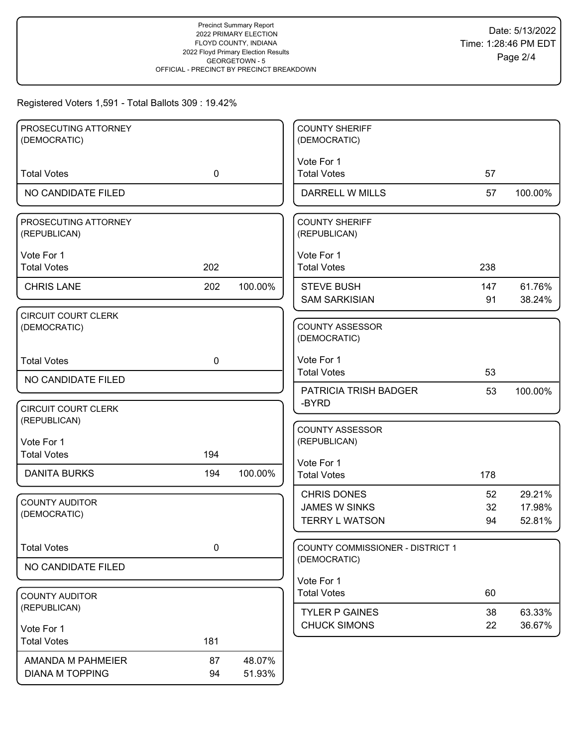| PROSECUTING ATTORNEY       |             |         | <b>COUNTY SHERIFF</b>                   |     |         |
|----------------------------|-------------|---------|-----------------------------------------|-----|---------|
| (DEMOCRATIC)               |             |         | (DEMOCRATIC)                            |     |         |
|                            |             |         | Vote For 1                              |     |         |
| <b>Total Votes</b>         | $\mathbf 0$ |         | <b>Total Votes</b>                      | 57  |         |
| NO CANDIDATE FILED         |             |         | DARRELL W MILLS                         | 57  | 100.00% |
| PROSECUTING ATTORNEY       |             |         | <b>COUNTY SHERIFF</b>                   |     |         |
| (REPUBLICAN)               |             |         | (REPUBLICAN)                            |     |         |
| Vote For 1                 |             |         | Vote For 1                              |     |         |
| <b>Total Votes</b>         | 202         |         | <b>Total Votes</b>                      | 238 |         |
| <b>CHRIS LANE</b>          | 202         | 100.00% | <b>STEVE BUSH</b>                       | 147 | 61.76%  |
|                            |             |         | <b>SAM SARKISIAN</b>                    | 91  | 38.24%  |
| <b>CIRCUIT COURT CLERK</b> |             |         |                                         |     |         |
| (DEMOCRATIC)               |             |         | <b>COUNTY ASSESSOR</b><br>(DEMOCRATIC)  |     |         |
|                            |             |         |                                         |     |         |
| <b>Total Votes</b>         | $\mathbf 0$ |         | Vote For 1                              |     |         |
| NO CANDIDATE FILED         |             |         | <b>Total Votes</b>                      | 53  |         |
|                            |             |         | <b>PATRICIA TRISH BADGER</b>            | 53  | 100.00% |
| <b>CIRCUIT COURT CLERK</b> |             |         | -BYRD                                   |     |         |
| (REPUBLICAN)               |             |         | <b>COUNTY ASSESSOR</b>                  |     |         |
| Vote For 1                 |             |         | (REPUBLICAN)                            |     |         |
| <b>Total Votes</b>         | 194         |         | Vote For 1                              |     |         |
| <b>DANITA BURKS</b>        | 194         | 100.00% | <b>Total Votes</b>                      | 178 |         |
|                            |             |         | <b>CHRIS DONES</b>                      | 52  | 29.21%  |
| <b>COUNTY AUDITOR</b>      |             |         | <b>JAMES W SINKS</b>                    | 32  | 17.98%  |
| (DEMOCRATIC)               |             |         | <b>TERRY L WATSON</b>                   | 94  | 52.81%  |
|                            |             |         |                                         |     |         |
| <b>Total Votes</b>         | $\pmb{0}$   |         | <b>COUNTY COMMISSIONER - DISTRICT 1</b> |     |         |
| NO CANDIDATE FILED         |             |         | (DEMOCRATIC)                            |     |         |
|                            |             |         | Vote For 1                              |     |         |
| <b>COUNTY AUDITOR</b>      |             |         | <b>Total Votes</b>                      | 60  |         |
| (REPUBLICAN)               |             |         | <b>TYLER P GAINES</b>                   | 38  | 63.33%  |
| Vote For 1                 |             |         | <b>CHUCK SIMONS</b>                     | 22  | 36.67%  |
| <b>Total Votes</b>         | 181         |         |                                         |     |         |
| AMANDA M PAHMEIER          | 87          | 48.07%  |                                         |     |         |
| <b>DIANA M TOPPING</b>     | 94          | 51.93%  |                                         |     |         |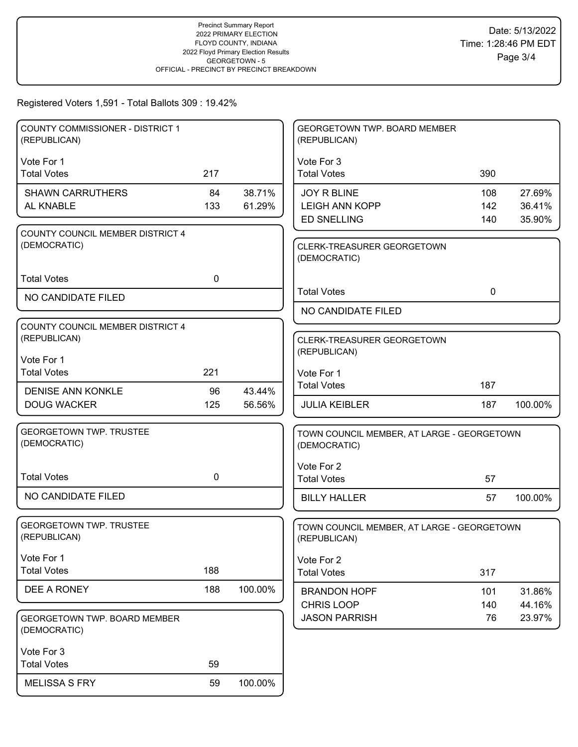| <b>COUNTY COMMISSIONER - DISTRICT 1</b><br>(REPUBLICAN) |     |         | GEORGETOWN TWP. BOARD MEMBER<br>(REPUBLICAN)               |             |         |
|---------------------------------------------------------|-----|---------|------------------------------------------------------------|-------------|---------|
| Vote For 1                                              |     |         | Vote For 3                                                 |             |         |
| <b>Total Votes</b>                                      | 217 |         | <b>Total Votes</b>                                         | 390         |         |
| <b>SHAWN CARRUTHERS</b>                                 | 84  | 38.71%  | <b>JOY R BLINE</b>                                         | 108         | 27.69%  |
| AL KNABLE                                               | 133 | 61.29%  | <b>LEIGH ANN KOPP</b>                                      | 142         | 36.41%  |
|                                                         |     |         | <b>ED SNELLING</b>                                         | 140         | 35.90%  |
| COUNTY COUNCIL MEMBER DISTRICT 4<br>(DEMOCRATIC)        |     |         | CLERK-TREASURER GEORGETOWN<br>(DEMOCRATIC)                 |             |         |
| <b>Total Votes</b>                                      | 0   |         |                                                            |             |         |
| NO CANDIDATE FILED                                      |     |         | <b>Total Votes</b>                                         | $\mathbf 0$ |         |
|                                                         |     |         | NO CANDIDATE FILED                                         |             |         |
| COUNTY COUNCIL MEMBER DISTRICT 4                        |     |         |                                                            |             |         |
| (REPUBLICAN)                                            |     |         | CLERK-TREASURER GEORGETOWN                                 |             |         |
| Vote For 1                                              |     |         | (REPUBLICAN)                                               |             |         |
| <b>Total Votes</b>                                      | 221 |         | Vote For 1                                                 |             |         |
| <b>DENISE ANN KONKLE</b>                                | 96  | 43.44%  | <b>Total Votes</b>                                         | 187         |         |
| <b>DOUG WACKER</b>                                      | 125 | 56.56%  | <b>JULIA KEIBLER</b>                                       | 187         | 100.00% |
|                                                         |     |         |                                                            |             |         |
| <b>GEORGETOWN TWP. TRUSTEE</b><br>(DEMOCRATIC)          |     |         | TOWN COUNCIL MEMBER, AT LARGE - GEORGETOWN<br>(DEMOCRATIC) |             |         |
|                                                         |     |         | Vote For 2                                                 |             |         |
| <b>Total Votes</b>                                      | 0   |         | <b>Total Votes</b>                                         | 57          |         |
| NO CANDIDATE FILED                                      |     |         | <b>BILLY HALLER</b>                                        | 57          | 100.00% |
| <b>GEORGETOWN TWP. TRUSTEE</b><br>(REPUBLICAN)          |     |         | TOWN COUNCIL MEMBER, AT LARGE - GEORGETOWN<br>(REPUBLICAN) |             |         |
| Vote For 1                                              |     |         | Vote For 2                                                 |             |         |
| <b>Total Votes</b>                                      | 188 |         | <b>Total Votes</b>                                         | 317         |         |
| DEE A RONEY                                             | 188 | 100.00% | <b>BRANDON HOPF</b>                                        | 101         | 31.86%  |
|                                                         |     |         | <b>CHRIS LOOP</b>                                          | 140         | 44.16%  |
| GEORGETOWN TWP. BOARD MEMBER<br>(DEMOCRATIC)            |     |         | <b>JASON PARRISH</b>                                       | 76          | 23.97%  |
| Vote For 3                                              |     |         |                                                            |             |         |
| <b>Total Votes</b>                                      | 59  |         |                                                            |             |         |
| <b>MELISSA S FRY</b>                                    | 59  | 100.00% |                                                            |             |         |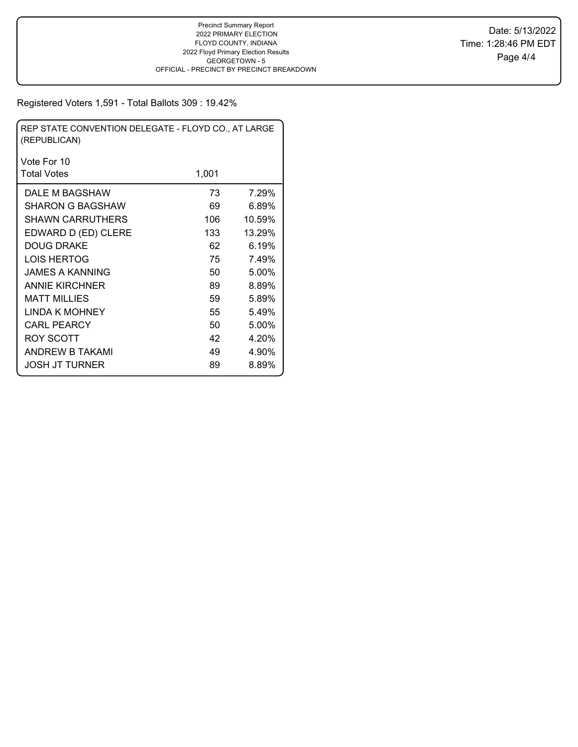| REP STATE CONVENTION DELEGATE - FLOYD CO., AT LARGE<br>(REPUBLICAN) |       |        |  |  |  |  |  |
|---------------------------------------------------------------------|-------|--------|--|--|--|--|--|
| Vote For 10                                                         |       |        |  |  |  |  |  |
| <b>Total Votes</b>                                                  | 1,001 |        |  |  |  |  |  |
| DALE M BAGSHAW                                                      | 73    | 7.29%  |  |  |  |  |  |
| SHARON G BAGSHAW                                                    | 69    | 6.89%  |  |  |  |  |  |
| <b>SHAWN CARRUTHERS</b>                                             | 106   | 10.59% |  |  |  |  |  |
| EDWARD D (ED) CLERE                                                 | 133   | 13.29% |  |  |  |  |  |
| <b>DOUG DRAKE</b>                                                   | 62    | 6.19%  |  |  |  |  |  |
| LOIS HERTOG                                                         | 75    | 7.49%  |  |  |  |  |  |
| JAMES A KANNING                                                     | 50    | 5.00%  |  |  |  |  |  |
| <b>ANNIE KIRCHNER</b>                                               | 89    | 8.89%  |  |  |  |  |  |
| MATT MILLIES                                                        | 59    | 5.89%  |  |  |  |  |  |
| LINDA K MOHNEY                                                      | 55    | 5.49%  |  |  |  |  |  |
| CARL PEARCY                                                         | 50    | 5.00%  |  |  |  |  |  |
| ROY SCOTT                                                           | 42    | 4.20%  |  |  |  |  |  |
| ANDREW B TAKAMI                                                     | 49    | 4.90%  |  |  |  |  |  |
| JOSH JT TURNER                                                      | 89    | 8.89%  |  |  |  |  |  |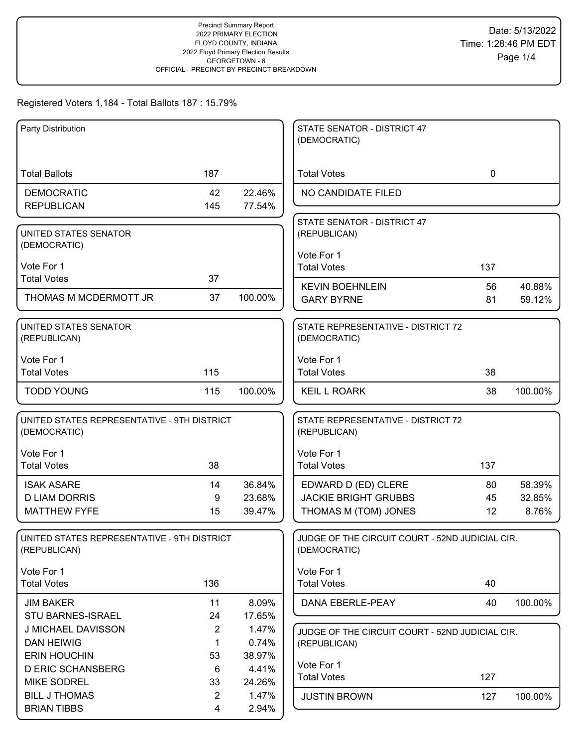| Party Distribution                          |                |         | STATE SENATOR - DISTRICT 47                     |             |         |
|---------------------------------------------|----------------|---------|-------------------------------------------------|-------------|---------|
|                                             |                |         | (DEMOCRATIC)                                    |             |         |
|                                             |                |         |                                                 |             |         |
| <b>Total Ballots</b>                        | 187            |         | <b>Total Votes</b>                              | $\mathbf 0$ |         |
| <b>DEMOCRATIC</b>                           | 42             | 22.46%  | NO CANDIDATE FILED                              |             |         |
| <b>REPUBLICAN</b>                           | 145            | 77.54%  |                                                 |             |         |
|                                             |                |         | STATE SENATOR - DISTRICT 47                     |             |         |
| UNITED STATES SENATOR                       |                |         | (REPUBLICAN)                                    |             |         |
| (DEMOCRATIC)                                |                |         |                                                 |             |         |
|                                             |                |         | Vote For 1                                      |             |         |
| Vote For 1                                  |                |         | <b>Total Votes</b>                              | 137         |         |
| <b>Total Votes</b>                          | 37             |         | <b>KEVIN BOEHNLEIN</b>                          | 56          | 40.88%  |
| THOMAS M MCDERMOTT JR                       | 37             | 100.00% | <b>GARY BYRNE</b>                               | 81          | 59.12%  |
|                                             |                |         |                                                 |             |         |
| UNITED STATES SENATOR                       |                |         | STATE REPRESENTATIVE - DISTRICT 72              |             |         |
| (REPUBLICAN)                                |                |         | (DEMOCRATIC)                                    |             |         |
|                                             |                |         |                                                 |             |         |
| Vote For 1                                  |                |         | Vote For 1                                      |             |         |
| <b>Total Votes</b>                          | 115            |         | <b>Total Votes</b>                              | 38          |         |
| <b>TODD YOUNG</b>                           | 115            | 100.00% | <b>KEIL L ROARK</b>                             | 38          | 100.00% |
|                                             |                |         |                                                 |             |         |
| UNITED STATES REPRESENTATIVE - 9TH DISTRICT |                |         | STATE REPRESENTATIVE - DISTRICT 72              |             |         |
| (DEMOCRATIC)                                |                |         | (REPUBLICAN)                                    |             |         |
|                                             |                |         |                                                 |             |         |
| Vote For 1                                  |                |         | Vote For 1                                      |             |         |
| <b>Total Votes</b>                          | 38             |         | <b>Total Votes</b>                              | 137         |         |
| <b>ISAK ASARE</b>                           | 14             | 36.84%  | EDWARD D (ED) CLERE                             | 80          | 58.39%  |
| <b>D LIAM DORRIS</b>                        | 9              | 23.68%  | <b>JACKIE BRIGHT GRUBBS</b>                     | 45          | 32.85%  |
| <b>MATTHEW FYFE</b>                         | 15             | 39.47%  | THOMAS M (TOM) JONES                            | 12          | 8.76%   |
|                                             |                |         |                                                 |             |         |
| UNITED STATES REPRESENTATIVE - 9TH DISTRICT |                |         | JUDGE OF THE CIRCUIT COURT - 52ND JUDICIAL CIR. |             |         |
| (REPUBLICAN)                                |                |         | (DEMOCRATIC)                                    |             |         |
|                                             |                |         |                                                 |             |         |
| Vote For 1                                  |                |         | Vote For 1                                      |             |         |
| <b>Total Votes</b>                          | 136            |         | <b>Total Votes</b>                              | 40          |         |
| <b>JIM BAKER</b>                            | 11             | 8.09%   | DANA EBERLE-PEAY                                | 40          | 100.00% |
| STU BARNES-ISRAEL                           | 24             | 17.65%  |                                                 |             |         |
| J MICHAEL DAVISSON                          | $\overline{2}$ | 1.47%   | JUDGE OF THE CIRCUIT COURT - 52ND JUDICIAL CIR. |             |         |
| <b>DAN HEIWIG</b>                           | $\mathbf{1}$   | 0.74%   | (REPUBLICAN)                                    |             |         |
| <b>ERIN HOUCHIN</b>                         | 53             | 38.97%  |                                                 |             |         |
| <b>D ERIC SCHANSBERG</b>                    | 6              | 4.41%   | Vote For 1                                      |             |         |
| <b>MIKE SODREL</b>                          | 33             | 24.26%  | <b>Total Votes</b>                              | 127         |         |
| <b>BILL J THOMAS</b>                        | $\overline{2}$ | 1.47%   | <b>JUSTIN BROWN</b>                             | 127         | 100.00% |
| <b>BRIAN TIBBS</b>                          | 4              | 2.94%   |                                                 |             |         |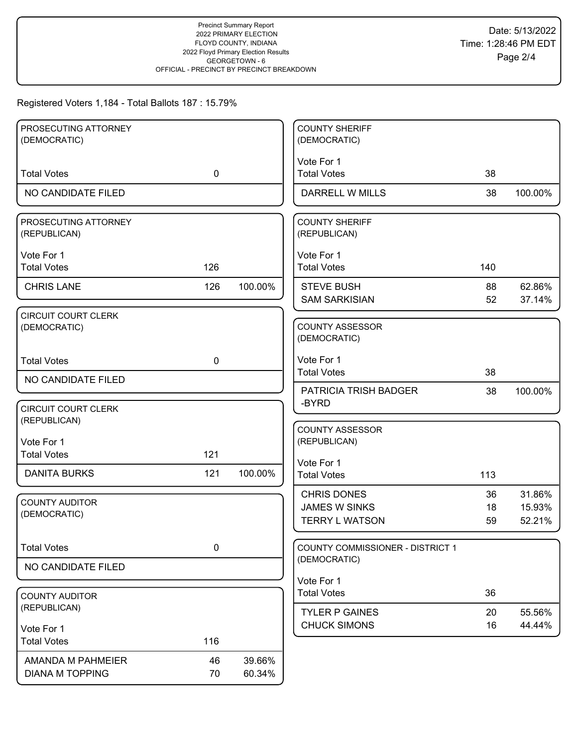| PROSECUTING ATTORNEY<br>(DEMOCRATIC)        |             |                  | <b>COUNTY SHERIFF</b><br>(DEMOCRATIC)                               |                |                            |
|---------------------------------------------|-------------|------------------|---------------------------------------------------------------------|----------------|----------------------------|
|                                             |             |                  |                                                                     |                |                            |
| <b>Total Votes</b>                          | $\mathbf 0$ |                  | Vote For 1<br><b>Total Votes</b>                                    | 38             |                            |
| NO CANDIDATE FILED                          |             |                  | <b>DARRELL W MILLS</b>                                              | 38             | 100.00%                    |
| PROSECUTING ATTORNEY<br>(REPUBLICAN)        |             |                  | <b>COUNTY SHERIFF</b><br>(REPUBLICAN)                               |                |                            |
| Vote For 1<br><b>Total Votes</b>            | 126         |                  | Vote For 1<br><b>Total Votes</b>                                    | 140            |                            |
| <b>CHRIS LANE</b>                           | 126         | 100.00%          | <b>STEVE BUSH</b><br><b>SAM SARKISIAN</b>                           | 88<br>52       | 62.86%<br>37.14%           |
| <b>CIRCUIT COURT CLERK</b><br>(DEMOCRATIC)  |             |                  | <b>COUNTY ASSESSOR</b><br>(DEMOCRATIC)                              |                |                            |
| <b>Total Votes</b>                          | $\mathbf 0$ |                  | Vote For 1<br><b>Total Votes</b>                                    | 38             |                            |
| NO CANDIDATE FILED                          |             |                  | PATRICIA TRISH BADGER                                               | 38             | 100.00%                    |
| <b>CIRCUIT COURT CLERK</b><br>(REPUBLICAN)  |             |                  | -BYRD                                                               |                |                            |
| Vote For 1<br><b>Total Votes</b>            | 121         |                  | <b>COUNTY ASSESSOR</b><br>(REPUBLICAN)                              |                |                            |
| <b>DANITA BURKS</b>                         | 121         | 100.00%          | Vote For 1<br><b>Total Votes</b>                                    | 113            |                            |
| <b>COUNTY AUDITOR</b><br>(DEMOCRATIC)       |             |                  | <b>CHRIS DONES</b><br><b>JAMES W SINKS</b><br><b>TERRY L WATSON</b> | 36<br>18<br>59 | 31.86%<br>15.93%<br>52.21% |
| <b>Total Votes</b>                          | 0           |                  | COUNTY COMMISSIONER - DISTRICT 1                                    |                |                            |
| NO CANDIDATE FILED                          |             |                  | (DEMOCRATIC)                                                        |                |                            |
| <b>COUNTY AUDITOR</b>                       |             |                  | Vote For 1<br><b>Total Votes</b>                                    | 36             |                            |
| (REPUBLICAN)                                |             |                  | <b>TYLER P GAINES</b><br><b>CHUCK SIMONS</b>                        | 20<br>16       | 55.56%<br>44.44%           |
| Vote For 1<br><b>Total Votes</b>            | 116         |                  |                                                                     |                |                            |
| AMANDA M PAHMEIER<br><b>DIANA M TOPPING</b> | 46<br>70    | 39.66%<br>60.34% |                                                                     |                |                            |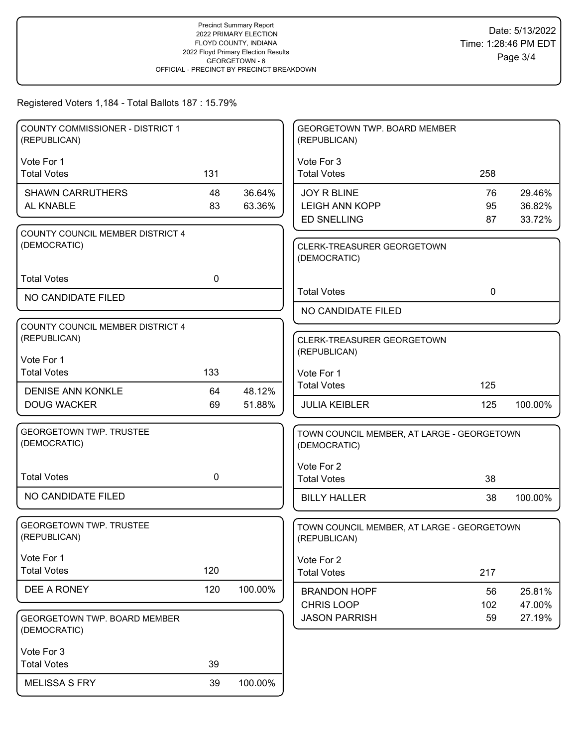| <b>COUNTY COMMISSIONER - DISTRICT 1</b><br>(REPUBLICAN) |     |         | GEORGETOWN TWP. BOARD MEMBER<br>(REPUBLICAN)               |             |         |
|---------------------------------------------------------|-----|---------|------------------------------------------------------------|-------------|---------|
| Vote For 1                                              |     |         | Vote For 3                                                 |             |         |
| <b>Total Votes</b>                                      | 131 |         | <b>Total Votes</b>                                         | 258         |         |
| <b>SHAWN CARRUTHERS</b>                                 | 48  | 36.64%  | <b>JOY R BLINE</b>                                         | 76          | 29.46%  |
| AL KNABLE                                               | 83  | 63.36%  | <b>LEIGH ANN KOPP</b>                                      | 95          | 36.82%  |
|                                                         |     |         | <b>ED SNELLING</b>                                         | 87          | 33.72%  |
| COUNTY COUNCIL MEMBER DISTRICT 4                        |     |         |                                                            |             |         |
| (DEMOCRATIC)                                            |     |         | CLERK-TREASURER GEORGETOWN<br>(DEMOCRATIC)                 |             |         |
| <b>Total Votes</b>                                      | 0   |         |                                                            |             |         |
| NO CANDIDATE FILED                                      |     |         | <b>Total Votes</b>                                         | $\mathbf 0$ |         |
|                                                         |     |         | NO CANDIDATE FILED                                         |             |         |
| COUNTY COUNCIL MEMBER DISTRICT 4                        |     |         |                                                            |             |         |
| (REPUBLICAN)                                            |     |         | CLERK-TREASURER GEORGETOWN                                 |             |         |
| Vote For 1                                              |     |         | (REPUBLICAN)                                               |             |         |
| <b>Total Votes</b>                                      | 133 |         | Vote For 1                                                 |             |         |
| <b>DENISE ANN KONKLE</b>                                | 64  | 48.12%  | <b>Total Votes</b>                                         | 125         |         |
| <b>DOUG WACKER</b>                                      | 69  | 51.88%  | <b>JULIA KEIBLER</b>                                       | 125         | 100.00% |
|                                                         |     |         |                                                            |             |         |
| <b>GEORGETOWN TWP. TRUSTEE</b><br>(DEMOCRATIC)          |     |         | TOWN COUNCIL MEMBER, AT LARGE - GEORGETOWN<br>(DEMOCRATIC) |             |         |
|                                                         |     |         | Vote For 2                                                 |             |         |
| <b>Total Votes</b>                                      | 0   |         | <b>Total Votes</b>                                         | 38          |         |
| NO CANDIDATE FILED                                      |     |         | <b>BILLY HALLER</b>                                        | 38          | 100.00% |
|                                                         |     |         |                                                            |             |         |
| <b>GEORGETOWN TWP. TRUSTEE</b><br>(REPUBLICAN)          |     |         | TOWN COUNCIL MEMBER, AT LARGE - GEORGETOWN<br>(REPUBLICAN) |             |         |
| Vote For 1                                              |     |         | Vote For 2                                                 |             |         |
| <b>Total Votes</b>                                      | 120 |         | <b>Total Votes</b>                                         | 217         |         |
| DEE A RONEY                                             | 120 | 100.00% | <b>BRANDON HOPF</b>                                        | 56          | 25.81%  |
|                                                         |     |         | CHRIS LOOP                                                 | 102         | 47.00%  |
| GEORGETOWN TWP. BOARD MEMBER                            |     |         | <b>JASON PARRISH</b>                                       | 59          | 27.19%  |
| (DEMOCRATIC)                                            |     |         |                                                            |             |         |
| Vote For 3                                              |     |         |                                                            |             |         |
| <b>Total Votes</b>                                      | 39  |         |                                                            |             |         |
| <b>MELISSA S FRY</b>                                    | 39  | 100.00% |                                                            |             |         |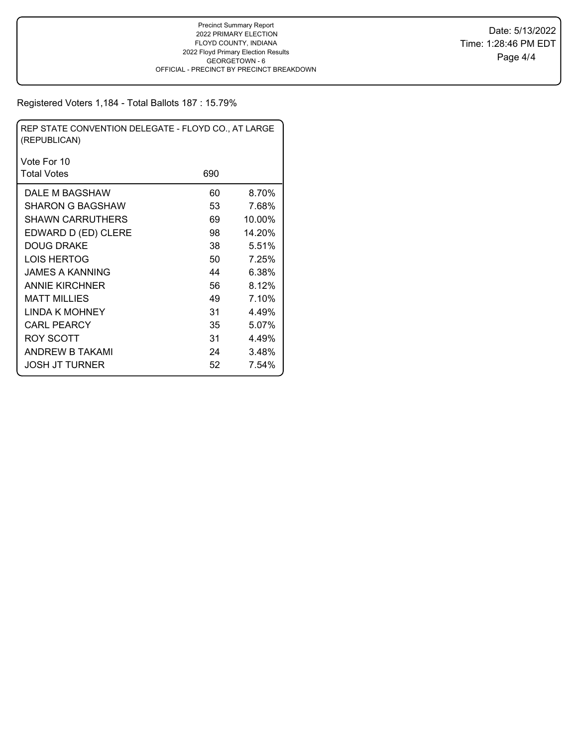| REP STATE CONVENTION DELEGATE - FLOYD CO., AT LARGE<br>(REPUBLICAN) |     |        |  |  |  |  |  |
|---------------------------------------------------------------------|-----|--------|--|--|--|--|--|
| Vote For 10                                                         |     |        |  |  |  |  |  |
| <b>Total Votes</b>                                                  | 690 |        |  |  |  |  |  |
| DALE M BAGSHAW                                                      | 60  | 8.70%  |  |  |  |  |  |
| SHARON G BAGSHAW                                                    | 53  | 7.68%  |  |  |  |  |  |
| <b>SHAWN CARRUTHERS</b>                                             | 69  | 10.00% |  |  |  |  |  |
| EDWARD D (ED) CLERE                                                 | 98  | 14.20% |  |  |  |  |  |
| DOUG DRAKE                                                          | 38  | 5.51%  |  |  |  |  |  |
| LOIS HERTOG                                                         | 50  | 7.25%  |  |  |  |  |  |
| JAMES A KANNING                                                     | 44  | 6.38%  |  |  |  |  |  |
| <b>ANNIE KIRCHNER</b>                                               | 56  | 8.12%  |  |  |  |  |  |
| MATT MILLIES                                                        | 49  | 7.10%  |  |  |  |  |  |
| LINDA K MOHNEY                                                      | 31  | 4.49%  |  |  |  |  |  |
| <b>CARL PEARCY</b>                                                  | 35  | 5.07%  |  |  |  |  |  |
| <b>ROY SCOTT</b>                                                    | 31  | 4.49%  |  |  |  |  |  |
| ANDREW B TAKAMI                                                     | 24  | 3.48%  |  |  |  |  |  |
| JOSH JT TURNER                                                      | 52  | 7.54%  |  |  |  |  |  |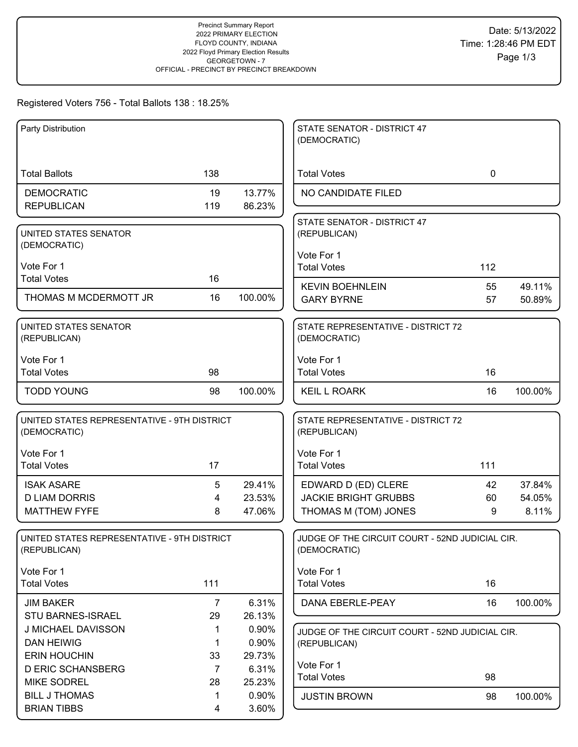# Registered Voters 756 - Total Ballots 138 : 18.25%

| Party Distribution                                          |                |                                                    | STATE SENATOR - DISTRICT 47<br>(DEMOCRATIC)                     |             |         |
|-------------------------------------------------------------|----------------|----------------------------------------------------|-----------------------------------------------------------------|-------------|---------|
|                                                             |                |                                                    |                                                                 |             |         |
| <b>Total Ballots</b>                                        | 138            |                                                    | <b>Total Votes</b>                                              | $\mathbf 0$ |         |
| <b>DEMOCRATIC</b>                                           | 19             | 13.77%                                             | NO CANDIDATE FILED                                              |             |         |
| <b>REPUBLICAN</b>                                           | 119            | 86.23%                                             |                                                                 |             |         |
| UNITED STATES SENATOR                                       |                |                                                    | STATE SENATOR - DISTRICT 47<br>(REPUBLICAN)                     |             |         |
| (DEMOCRATIC)                                                |                |                                                    |                                                                 |             |         |
| Vote For 1                                                  |                |                                                    | Vote For 1<br><b>Total Votes</b>                                | 112         |         |
| <b>Total Votes</b>                                          | 16             |                                                    |                                                                 |             |         |
| THOMAS M MCDERMOTT JR                                       | 16             | 100.00%                                            | <b>KEVIN BOEHNLEIN</b>                                          | 55          | 49.11%  |
|                                                             |                |                                                    | <b>GARY BYRNE</b>                                               | 57          | 50.89%  |
| UNITED STATES SENATOR<br>(REPUBLICAN)                       |                |                                                    | STATE REPRESENTATIVE - DISTRICT 72<br>(DEMOCRATIC)              |             |         |
|                                                             |                |                                                    |                                                                 |             |         |
| Vote For 1<br><b>Total Votes</b>                            | 98             |                                                    | Vote For 1<br><b>Total Votes</b>                                | 16          |         |
|                                                             |                |                                                    |                                                                 |             |         |
| <b>TODD YOUNG</b>                                           | 98             | 100.00%                                            | <b>KEIL L ROARK</b>                                             | 16          | 100.00% |
| UNITED STATES REPRESENTATIVE - 9TH DISTRICT<br>(DEMOCRATIC) |                | STATE REPRESENTATIVE - DISTRICT 72<br>(REPUBLICAN) |                                                                 |             |         |
| Vote For 1                                                  |                |                                                    | Vote For 1                                                      |             |         |
| <b>Total Votes</b>                                          | 17             |                                                    | <b>Total Votes</b>                                              | 111         |         |
| <b>ISAK ASARE</b>                                           | 5              | 29.41%                                             | EDWARD D (ED) CLERE                                             | 42          | 37.84%  |
| <b>D LIAM DORRIS</b>                                        | 4              | 23.53%                                             | <b>JACKIE BRIGHT GRUBBS</b>                                     | 60          | 54.05%  |
| <b>MATTHEW FYFE</b>                                         | 8              | 47.06%                                             | THOMAS M (TOM) JONES                                            | 9           | 8.11%   |
| UNITED STATES REPRESENTATIVE - 9TH DISTRICT<br>(REPUBLICAN) |                |                                                    | JUDGE OF THE CIRCUIT COURT - 52ND JUDICIAL CIR.<br>(DEMOCRATIC) |             |         |
| Vote For 1                                                  |                |                                                    | Vote For 1                                                      |             |         |
| <b>Total Votes</b>                                          | 111            |                                                    | <b>Total Votes</b>                                              | 16          |         |
| <b>JIM BAKER</b>                                            | 7              | 6.31%                                              | DANA EBERLE-PEAY                                                | 16          | 100.00% |
| <b>STU BARNES-ISRAEL</b>                                    | 29             | 26.13%                                             |                                                                 |             |         |
| J MICHAEL DAVISSON                                          | 1              | 0.90%                                              | JUDGE OF THE CIRCUIT COURT - 52ND JUDICIAL CIR.                 |             |         |
| <b>DAN HEIWIG</b><br><b>ERIN HOUCHIN</b>                    | 1<br>33        | 0.90%<br>29.73%                                    | (REPUBLICAN)                                                    |             |         |
| <b>D ERIC SCHANSBERG</b>                                    | $\overline{7}$ | 6.31%                                              | Vote For 1                                                      |             |         |
| <b>MIKE SODREL</b>                                          | 28             | 25.23%                                             | <b>Total Votes</b>                                              | 98          |         |
| <b>BILL J THOMAS</b>                                        | 1              | 0.90%                                              | <b>JUSTIN BROWN</b>                                             | 98          | 100.00% |
| <b>BRIAN TIBBS</b>                                          | 4              | 3.60%                                              |                                                                 |             |         |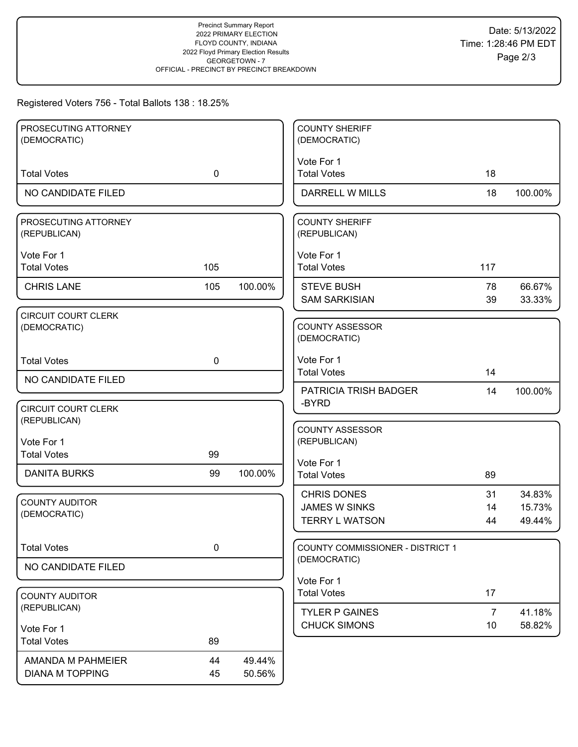# Registered Voters 756 - Total Ballots 138 : 18.25%

| PROSECUTING ATTORNEY                  |             |         | <b>COUNTY SHERIFF</b>                     |                |                  |
|---------------------------------------|-------------|---------|-------------------------------------------|----------------|------------------|
| (DEMOCRATIC)                          |             |         | (DEMOCRATIC)                              |                |                  |
|                                       |             |         | Vote For 1                                |                |                  |
| <b>Total Votes</b>                    | $\mathbf 0$ |         | <b>Total Votes</b>                        | 18             |                  |
| NO CANDIDATE FILED                    |             |         | DARRELL W MILLS                           | 18             | 100.00%          |
| PROSECUTING ATTORNEY<br>(REPUBLICAN)  |             |         | <b>COUNTY SHERIFF</b><br>(REPUBLICAN)     |                |                  |
| Vote For 1                            |             |         | Vote For 1                                |                |                  |
| <b>Total Votes</b>                    | 105         |         | <b>Total Votes</b>                        | 117            |                  |
| <b>CHRIS LANE</b>                     | 105         | 100.00% | <b>STEVE BUSH</b><br><b>SAM SARKISIAN</b> | 78<br>39       | 66.67%<br>33.33% |
| <b>CIRCUIT COURT CLERK</b>            |             |         |                                           |                |                  |
| (DEMOCRATIC)                          |             |         | <b>COUNTY ASSESSOR</b><br>(DEMOCRATIC)    |                |                  |
| <b>Total Votes</b>                    | $\mathbf 0$ |         | Vote For 1                                |                |                  |
| NO CANDIDATE FILED                    |             |         | <b>Total Votes</b>                        | 14             |                  |
|                                       |             |         | PATRICIA TRISH BADGER<br>-BYRD            | 14             | 100.00%          |
| <b>CIRCUIT COURT CLERK</b>            |             |         |                                           |                |                  |
| (REPUBLICAN)                          |             |         | <b>COUNTY ASSESSOR</b>                    |                |                  |
| Vote For 1                            |             |         | (REPUBLICAN)                              |                |                  |
| <b>Total Votes</b>                    | 99          |         | Vote For 1                                |                |                  |
| <b>DANITA BURKS</b>                   | 99          | 100.00% | <b>Total Votes</b>                        | 89             |                  |
|                                       |             |         | <b>CHRIS DONES</b>                        | 31             | 34.83%           |
| <b>COUNTY AUDITOR</b><br>(DEMOCRATIC) |             |         | <b>JAMES W SINKS</b>                      | 14             | 15.73%           |
|                                       |             |         | <b>TERRY L WATSON</b>                     | 44             | 49.44%           |
| <b>Total Votes</b>                    | $\mathbf 0$ |         | <b>COUNTY COMMISSIONER - DISTRICT 1</b>   |                |                  |
| NO CANDIDATE FILED                    |             |         | (DEMOCRATIC)                              |                |                  |
|                                       |             |         | Vote For 1                                |                |                  |
| <b>COUNTY AUDITOR</b>                 |             |         | <b>Total Votes</b>                        | 17             |                  |
| (REPUBLICAN)                          |             |         | <b>TYLER P GAINES</b>                     | $\overline{7}$ | 41.18%           |
| Vote For 1                            |             |         | <b>CHUCK SIMONS</b>                       | 10             | 58.82%           |
| <b>Total Votes</b>                    | 89          |         |                                           |                |                  |
| AMANDA M PAHMEIER                     | 44          | 49.44%  |                                           |                |                  |
| <b>DIANA M TOPPING</b>                | 45          | 50.56%  |                                           |                |                  |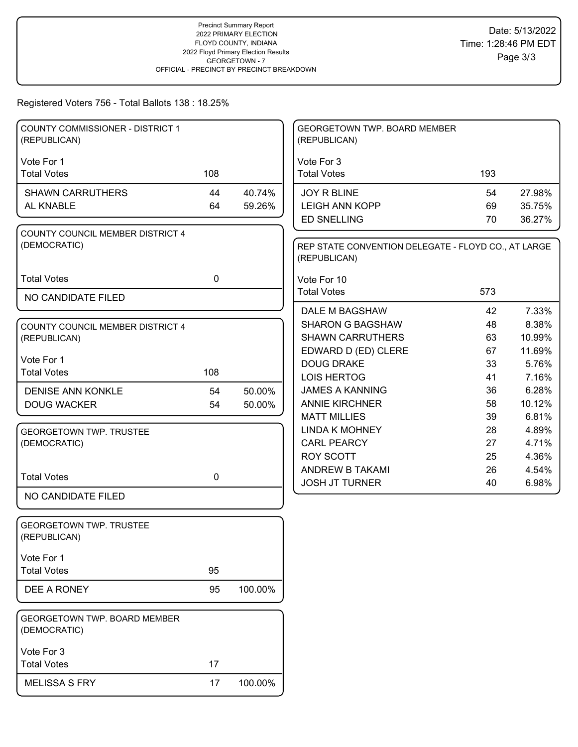### Registered Voters 756 - Total Ballots 138 : 18.25%

| COUNTY COMMISSIONER - DISTRICT 1<br>(REPUBLICAN) |             |         | GEORGETOWN TWP. BOARD MEMBER<br>(REPUBLICAN)                        |     |        |
|--------------------------------------------------|-------------|---------|---------------------------------------------------------------------|-----|--------|
| Vote For 1<br><b>Total Votes</b>                 | 108         |         | Vote For 3<br><b>Total Votes</b>                                    | 193 |        |
|                                                  |             |         |                                                                     |     |        |
| <b>SHAWN CARRUTHERS</b>                          | 44          | 40.74%  | JOY R BLINE                                                         | 54  | 27.98% |
| AL KNABLE                                        | 64          | 59.26%  | <b>LEIGH ANN KOPP</b>                                               | 69  | 35.75% |
|                                                  |             |         | <b>ED SNELLING</b>                                                  | 70  | 36.27% |
| COUNTY COUNCIL MEMBER DISTRICT 4<br>(DEMOCRATIC) |             |         | REP STATE CONVENTION DELEGATE - FLOYD CO., AT LARGE<br>(REPUBLICAN) |     |        |
| <b>Total Votes</b>                               | $\mathbf 0$ |         | Vote For 10                                                         |     |        |
| NO CANDIDATE FILED                               |             |         | <b>Total Votes</b>                                                  | 573 |        |
|                                                  |             |         | DALE M BAGSHAW                                                      | 42  | 7.33%  |
| COUNTY COUNCIL MEMBER DISTRICT 4                 |             |         | <b>SHARON G BAGSHAW</b>                                             | 48  | 8.38%  |
| (REPUBLICAN)                                     |             |         | <b>SHAWN CARRUTHERS</b>                                             | 63  | 10.99% |
|                                                  |             |         | EDWARD D (ED) CLERE                                                 | 67  | 11.69% |
| Vote For 1                                       |             |         | <b>DOUG DRAKE</b>                                                   | 33  | 5.76%  |
| <b>Total Votes</b>                               | 108         |         | <b>LOIS HERTOG</b>                                                  | 41  | 7.16%  |
| <b>DENISE ANN KONKLE</b>                         | 54          | 50.00%  | <b>JAMES A KANNING</b>                                              | 36  | 6.28%  |
| <b>DOUG WACKER</b>                               | 54          | 50.00%  | <b>ANNIE KIRCHNER</b>                                               | 58  | 10.12% |
|                                                  |             |         | <b>MATT MILLIES</b>                                                 | 39  | 6.81%  |
| <b>GEORGETOWN TWP. TRUSTEE</b>                   |             |         | <b>LINDA K MOHNEY</b>                                               | 28  | 4.89%  |
| (DEMOCRATIC)                                     |             |         | <b>CARL PEARCY</b>                                                  | 27  | 4.71%  |
|                                                  |             |         | <b>ROY SCOTT</b>                                                    | 25  | 4.36%  |
|                                                  |             |         | ANDREW B TAKAMI                                                     | 26  | 4.54%  |
| <b>Total Votes</b>                               | $\mathbf 0$ |         | <b>JOSH JT TURNER</b>                                               | 40  | 6.98%  |
| NO CANDIDATE FILED                               |             |         |                                                                     |     |        |
| <b>GEORGETOWN TWP. TRUSTEE</b><br>(REPUBLICAN)   |             |         |                                                                     |     |        |
| Vote For 1                                       |             |         |                                                                     |     |        |
| <b>Total Votes</b>                               | 95          |         |                                                                     |     |        |
| DEE A RONEY                                      | 95          | 100.00% |                                                                     |     |        |
| GEORGETOWN TWP. BOARD MEMBER<br>(DEMOCRATIC)     |             |         |                                                                     |     |        |
| Vote For 3                                       |             |         |                                                                     |     |        |
| <b>Total Votes</b>                               | 17          |         |                                                                     |     |        |
| <b>MELISSA S FRY</b>                             | 17          | 100.00% |                                                                     |     |        |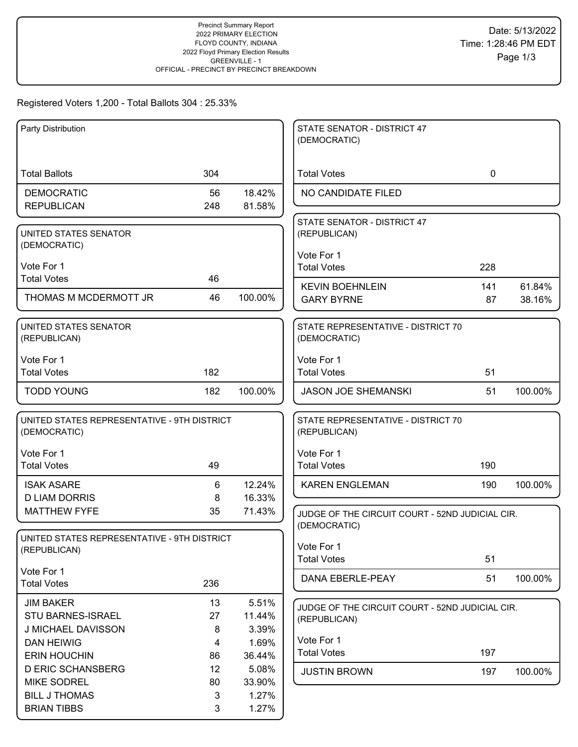# Registered Voters 1,200 - Total Ballots 304 : 25.33%

| Party Distribution                                          |        |         | STATE SENATOR - DISTRICT 47<br>(DEMOCRATIC)     |             |         |
|-------------------------------------------------------------|--------|---------|-------------------------------------------------|-------------|---------|
|                                                             |        |         |                                                 |             |         |
| <b>Total Ballots</b>                                        | 304    |         | <b>Total Votes</b>                              | $\mathbf 0$ |         |
| <b>DEMOCRATIC</b>                                           | 56     | 18.42%  | NO CANDIDATE FILED                              |             |         |
| <b>REPUBLICAN</b>                                           | 248    | 81.58%  |                                                 |             |         |
|                                                             |        |         | STATE SENATOR - DISTRICT 47                     |             |         |
| UNITED STATES SENATOR<br>(DEMOCRATIC)                       |        |         | (REPUBLICAN)                                    |             |         |
|                                                             |        |         | Vote For 1                                      |             |         |
| Vote For 1                                                  |        |         | <b>Total Votes</b>                              | 228         |         |
| <b>Total Votes</b>                                          | 46     |         | <b>KEVIN BOEHNLEIN</b>                          | 141         | 61.84%  |
| THOMAS M MCDERMOTT JR                                       | 46     | 100.00% | <b>GARY BYRNE</b>                               | 87          | 38.16%  |
|                                                             |        |         |                                                 |             |         |
| UNITED STATES SENATOR                                       |        |         | STATE REPRESENTATIVE - DISTRICT 70              |             |         |
| (REPUBLICAN)                                                |        |         | (DEMOCRATIC)                                    |             |         |
| Vote For 1                                                  |        |         | Vote For 1                                      |             |         |
| <b>Total Votes</b>                                          | 182    |         | <b>Total Votes</b>                              | 51          |         |
| <b>TODD YOUNG</b>                                           | 182    | 100.00% | <b>JASON JOE SHEMANSKI</b>                      | 51          | 100.00% |
|                                                             |        |         |                                                 |             |         |
| UNITED STATES REPRESENTATIVE - 9TH DISTRICT                 |        |         | STATE REPRESENTATIVE - DISTRICT 70              |             |         |
| (DEMOCRATIC)                                                |        |         | (REPUBLICAN)                                    |             |         |
| Vote For 1                                                  |        |         | Vote For 1                                      |             |         |
| <b>Total Votes</b>                                          | 49     |         | <b>Total Votes</b>                              | 190         |         |
| <b>ISAK ASARE</b>                                           | 6      | 12.24%  | <b>KAREN ENGLEMAN</b>                           | 190         | 100.00% |
| <b>D LIAM DORRIS</b>                                        | 8      | 16.33%  |                                                 |             |         |
| <b>MATTHEW FYFE</b>                                         | 35     | 71.43%  | JUDGE OF THE CIRCUIT COURT - 52ND JUDICIAL CIR. |             |         |
|                                                             |        |         | (DEMOCRATIC)                                    |             |         |
| UNITED STATES REPRESENTATIVE - 9TH DISTRICT<br>(REPUBLICAN) |        |         | Vote For 1                                      |             |         |
|                                                             |        |         | <b>Total Votes</b>                              | 51          |         |
| Vote For 1                                                  |        |         | DANA EBERLE-PEAY                                | 51          | 100.00% |
| <b>Total Votes</b>                                          | 236    |         |                                                 |             |         |
| <b>JIM BAKER</b>                                            | 13     | 5.51%   | JUDGE OF THE CIRCUIT COURT - 52ND JUDICIAL CIR. |             |         |
| STU BARNES-ISRAEL                                           | 27     | 11.44%  | (REPUBLICAN)                                    |             |         |
| J MICHAEL DAVISSON                                          | 8      | 3.39%   |                                                 |             |         |
| <b>DAN HEIWIG</b>                                           | 4      | 1.69%   | Vote For 1<br><b>Total Votes</b>                | 197         |         |
| <b>ERIN HOUCHIN</b>                                         | 86     | 36.44%  |                                                 |             |         |
| <b>D ERIC SCHANSBERG</b>                                    | 12     | 5.08%   | <b>JUSTIN BROWN</b>                             | 197         | 100.00% |
| <b>MIKE SODREL</b>                                          | 80     | 33.90%  |                                                 |             |         |
| <b>BILL J THOMAS</b><br><b>BRIAN TIBBS</b>                  | 3<br>3 | 1.27%   |                                                 |             |         |
|                                                             |        | 1.27%   |                                                 |             |         |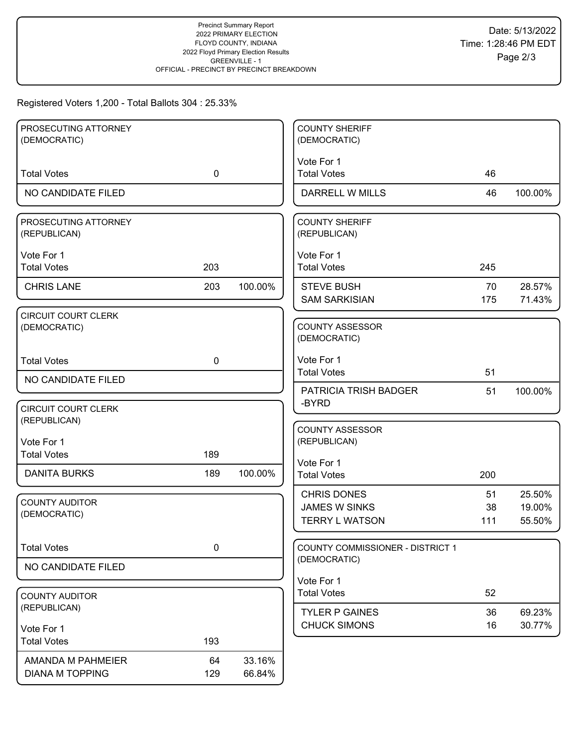## Registered Voters 1,200 - Total Ballots 304 : 25.33%

| PROSECUTING ATTORNEY<br>(DEMOCRATIC) |             |         | <b>COUNTY SHERIFF</b><br>(DEMOCRATIC)     |           |                  |
|--------------------------------------|-------------|---------|-------------------------------------------|-----------|------------------|
|                                      |             |         |                                           |           |                  |
| <b>Total Votes</b>                   | $\mathbf 0$ |         | Vote For 1<br><b>Total Votes</b>          | 46        |                  |
| NO CANDIDATE FILED                   |             |         | DARRELL W MILLS                           | 46        | 100.00%          |
| PROSECUTING ATTORNEY<br>(REPUBLICAN) |             |         | <b>COUNTY SHERIFF</b><br>(REPUBLICAN)     |           |                  |
| Vote For 1<br><b>Total Votes</b>     | 203         |         | Vote For 1<br><b>Total Votes</b>          | 245       |                  |
| <b>CHRIS LANE</b>                    | 203         | 100.00% | <b>STEVE BUSH</b><br><b>SAM SARKISIAN</b> | 70<br>175 | 28.57%<br>71.43% |
| CIRCUIT COURT CLERK                  |             |         |                                           |           |                  |
| (DEMOCRATIC)                         |             |         | <b>COUNTY ASSESSOR</b><br>(DEMOCRATIC)    |           |                  |
| <b>Total Votes</b>                   | $\mathbf 0$ |         | Vote For 1<br><b>Total Votes</b>          | 51        |                  |
| NO CANDIDATE FILED                   |             |         |                                           |           |                  |
|                                      |             |         | PATRICIA TRISH BADGER<br>-BYRD            | 51        | 100.00%          |
| <b>CIRCUIT COURT CLERK</b>           |             |         |                                           |           |                  |
| (REPUBLICAN)                         |             |         | <b>COUNTY ASSESSOR</b>                    |           |                  |
| Vote For 1                           |             |         | (REPUBLICAN)                              |           |                  |
| <b>Total Votes</b>                   | 189         |         |                                           |           |                  |
| <b>DANITA BURKS</b>                  | 189         | 100.00% | Vote For 1<br><b>Total Votes</b>          | 200       |                  |
|                                      |             |         |                                           |           |                  |
| <b>COUNTY AUDITOR</b>                |             |         | <b>CHRIS DONES</b>                        | 51        | 25.50%           |
| (DEMOCRATIC)                         |             |         | <b>JAMES W SINKS</b>                      | 38        | 19.00%           |
|                                      |             |         | <b>TERRY L WATSON</b>                     | 111       | 55.50%           |
| <b>Total Votes</b>                   | $\pmb{0}$   |         | COUNTY COMMISSIONER - DISTRICT 1          |           |                  |
| NO CANDIDATE FILED                   |             |         | (DEMOCRATIC)                              |           |                  |
|                                      |             |         | Vote For 1                                |           |                  |
| <b>COUNTY AUDITOR</b>                |             |         | <b>Total Votes</b>                        | 52        |                  |
| (REPUBLICAN)                         |             |         | <b>TYLER P GAINES</b>                     | 36        | 69.23%           |
| Vote For 1                           |             |         | <b>CHUCK SIMONS</b>                       | 16        | 30.77%           |
| <b>Total Votes</b>                   | 193         |         |                                           |           |                  |
| AMANDA M PAHMEIER                    | 64          | 33.16%  |                                           |           |                  |
| <b>DIANA M TOPPING</b>               | 129         | 66.84%  |                                           |           |                  |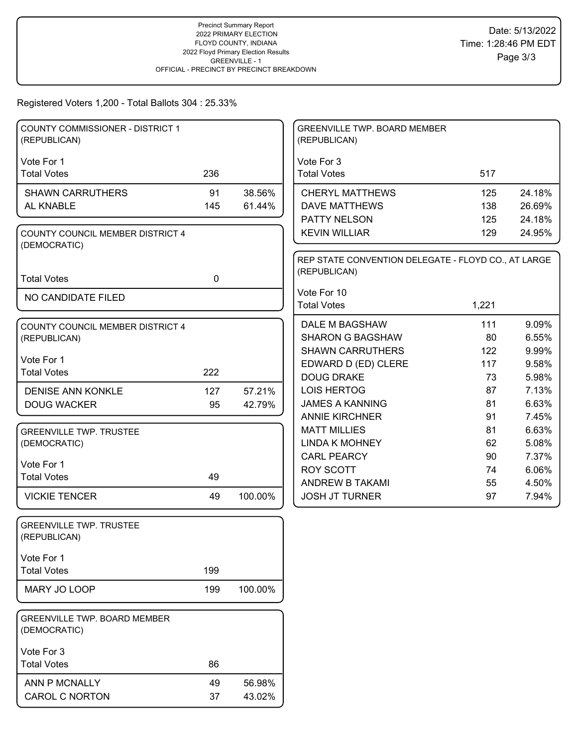Registered Voters 1,200 - Total Ballots 304 : 25.33%

| <b>COUNTY COMMISSIONER - DISTRICT 1</b><br>(REPUBLICAN) |             |         | <b>GREENVILLE TWP. BOARD MEMBER</b><br>(REPUBLICAN) |          |                |
|---------------------------------------------------------|-------------|---------|-----------------------------------------------------|----------|----------------|
| Vote For 1                                              |             |         | Vote For 3                                          |          |                |
| <b>Total Votes</b>                                      | 236         |         | <b>Total Votes</b>                                  | 517      |                |
| <b>SHAWN CARRUTHERS</b>                                 | 91          | 38.56%  | <b>CHERYL MATTHEWS</b>                              | 125      | 24.18%         |
| AL KNABLE                                               | 145         | 61.44%  | <b>DAVE MATTHEWS</b>                                | 138      | 26.69%         |
|                                                         |             |         | PATTY NELSON                                        | 125      | 24.18%         |
| COUNTY COUNCIL MEMBER DISTRICT 4<br>(DEMOCRATIC)        |             |         | <b>KEVIN WILLIAR</b>                                | 129      | 24.95%         |
|                                                         |             |         | REP STATE CONVENTION DELEGATE - FLOYD CO., AT LARGE |          |                |
| <b>Total Votes</b>                                      | $\mathbf 0$ |         | (REPUBLICAN)                                        |          |                |
| NO CANDIDATE FILED                                      |             |         | Vote For 10                                         |          |                |
|                                                         |             |         | <b>Total Votes</b>                                  | 1,221    |                |
| COUNTY COUNCIL MEMBER DISTRICT 4                        |             |         | <b>DALE M BAGSHAW</b>                               | 111      | 9.09%          |
| (REPUBLICAN)                                            |             |         | <b>SHARON G BAGSHAW</b>                             | 80       | 6.55%          |
|                                                         |             |         | <b>SHAWN CARRUTHERS</b>                             | 122      | 9.99%          |
| Vote For 1<br><b>Total Votes</b>                        | 222         |         | EDWARD D (ED) CLERE                                 | 117      | 9.58%          |
|                                                         |             |         | <b>DOUG DRAKE</b>                                   | 73       | 5.98%          |
| <b>DENISE ANN KONKLE</b>                                | 127         | 57.21%  | <b>LOIS HERTOG</b>                                  | 87       | 7.13%          |
| <b>DOUG WACKER</b>                                      | 95          | 42.79%  | <b>JAMES A KANNING</b>                              | 81       | 6.63%          |
|                                                         |             |         | <b>ANNIE KIRCHNER</b>                               | 91       | 7.45%          |
| <b>GREENVILLE TWP. TRUSTEE</b>                          |             |         | <b>MATT MILLIES</b>                                 | 81       | 6.63%          |
| (DEMOCRATIC)                                            |             |         | <b>LINDA K MOHNEY</b>                               | 62       | 5.08%          |
| Vote For 1                                              |             |         | <b>CARL PEARCY</b>                                  | 90       | 7.37%          |
| <b>Total Votes</b>                                      | 49          |         | <b>ROY SCOTT</b><br><b>ANDREW B TAKAMI</b>          | 74<br>55 | 6.06%<br>4.50% |
| <b>VICKIE TENCER</b>                                    | 49          | 100.00% | <b>JOSH JT TURNER</b>                               | 97       | 7.94%          |
| <b>GREENVILLE TWP. TRUSTEE</b>                          |             |         |                                                     |          |                |
| (REPUBLICAN)                                            |             |         |                                                     |          |                |
| Vote For 1                                              |             |         |                                                     |          |                |
| <b>Total Votes</b>                                      | 199         |         |                                                     |          |                |
| MARY JO LOOP                                            | 199         | 100.00% |                                                     |          |                |
| <b>GREENVILLE TWP. BOARD MEMBER</b><br>(DEMOCRATIC)     |             |         |                                                     |          |                |
| Vote For 3                                              |             |         |                                                     |          |                |
| <b>Total Votes</b>                                      | 86          |         |                                                     |          |                |
| ANN P MCNALLY                                           | 49          | 56.98%  |                                                     |          |                |
| <b>CAROL C NORTON</b>                                   | 37          | 43.02%  |                                                     |          |                |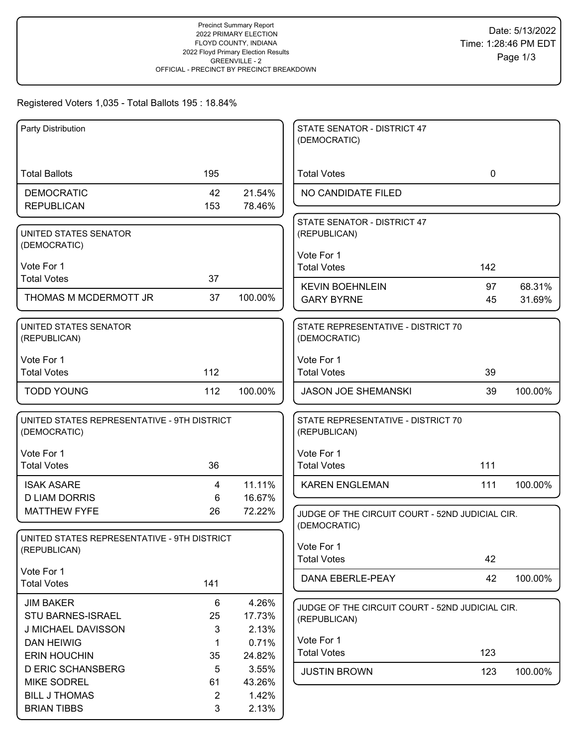# Registered Voters 1,035 - Total Ballots 195 : 18.84%

| Party Distribution                          |                |         | STATE SENATOR - DISTRICT 47<br>(DEMOCRATIC)     |             |         |
|---------------------------------------------|----------------|---------|-------------------------------------------------|-------------|---------|
|                                             |                |         |                                                 |             |         |
| <b>Total Ballots</b>                        | 195            |         | <b>Total Votes</b>                              | $\mathbf 0$ |         |
| <b>DEMOCRATIC</b>                           | 42             | 21.54%  | NO CANDIDATE FILED                              |             |         |
| <b>REPUBLICAN</b>                           | 153            | 78.46%  |                                                 |             |         |
|                                             |                |         | STATE SENATOR - DISTRICT 47                     |             |         |
| UNITED STATES SENATOR<br>(DEMOCRATIC)       |                |         | (REPUBLICAN)                                    |             |         |
|                                             |                |         | Vote For 1                                      |             |         |
| Vote For 1<br><b>Total Votes</b>            | 37             |         | <b>Total Votes</b>                              | 142         |         |
|                                             |                |         | <b>KEVIN BOEHNLEIN</b>                          | 97          | 68.31%  |
| THOMAS M MCDERMOTT JR                       | 37             | 100.00% | <b>GARY BYRNE</b>                               | 45          | 31.69%  |
| UNITED STATES SENATOR                       |                |         | STATE REPRESENTATIVE - DISTRICT 70              |             |         |
| (REPUBLICAN)                                |                |         | (DEMOCRATIC)                                    |             |         |
| Vote For 1                                  |                |         | Vote For 1                                      |             |         |
| <b>Total Votes</b>                          | 112            |         | <b>Total Votes</b>                              | 39          |         |
| <b>TODD YOUNG</b>                           | 112            | 100.00% | <b>JASON JOE SHEMANSKI</b>                      | 39          | 100.00% |
|                                             |                |         |                                                 |             |         |
| UNITED STATES REPRESENTATIVE - 9TH DISTRICT |                |         | STATE REPRESENTATIVE - DISTRICT 70              |             |         |
| (DEMOCRATIC)                                |                |         | (REPUBLICAN)                                    |             |         |
| Vote For 1                                  |                |         | Vote For 1                                      |             |         |
| <b>Total Votes</b>                          | 36             |         | <b>Total Votes</b>                              | 111         |         |
| <b>ISAK ASARE</b>                           | $\overline{4}$ | 11.11%  | <b>KAREN ENGLEMAN</b>                           | 111         | 100.00% |
| <b>D LIAM DORRIS</b>                        | 6              | 16.67%  |                                                 |             |         |
| <b>MATTHEW FYFE</b>                         | 26             | 72.22%  | JUDGE OF THE CIRCUIT COURT - 52ND JUDICIAL CIR. |             |         |
|                                             |                |         | (DEMOCRATIC)                                    |             |         |
| UNITED STATES REPRESENTATIVE - 9TH DISTRICT |                |         | Vote For 1                                      |             |         |
| (REPUBLICAN)                                |                |         | <b>Total Votes</b>                              | 42          |         |
| Vote For 1                                  |                |         | DANA EBERLE-PEAY                                | 42          | 100.00% |
| <b>Total Votes</b>                          | 141            |         |                                                 |             |         |
| <b>JIM BAKER</b>                            | 6              | 4.26%   | JUDGE OF THE CIRCUIT COURT - 52ND JUDICIAL CIR. |             |         |
| STU BARNES-ISRAEL                           | 25             | 17.73%  | (REPUBLICAN)                                    |             |         |
| J MICHAEL DAVISSON                          | 3              | 2.13%   |                                                 |             |         |
| <b>DAN HEIWIG</b>                           | -1             | 0.71%   | Vote For 1                                      |             |         |
| <b>ERIN HOUCHIN</b>                         | 35             | 24.82%  | <b>Total Votes</b>                              | 123         |         |
| <b>D ERIC SCHANSBERG</b>                    | 5              | 3.55%   | <b>JUSTIN BROWN</b>                             | 123         | 100.00% |
| <b>MIKE SODREL</b>                          | 61             | 43.26%  |                                                 |             |         |
| <b>BILL J THOMAS</b>                        | $\overline{2}$ | 1.42%   |                                                 |             |         |
| <b>BRIAN TIBBS</b>                          | 3              | 2.13%   |                                                 |             |         |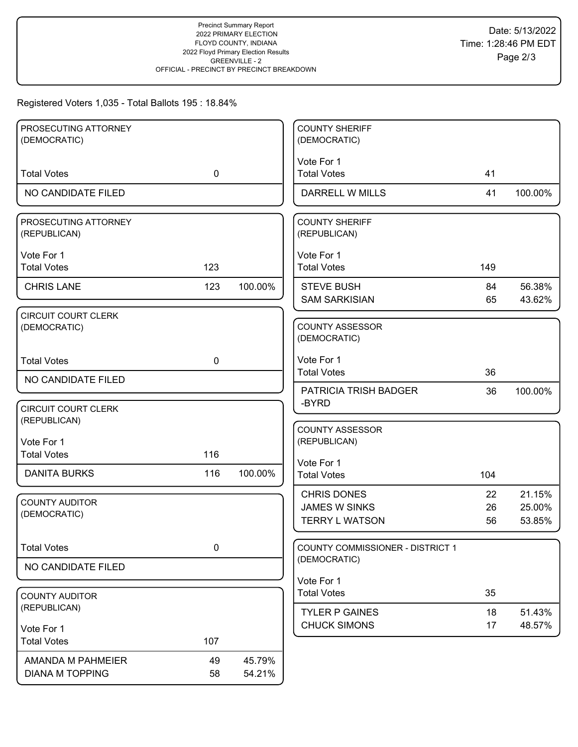## Registered Voters 1,035 - Total Ballots 195 : 18.84%

| PROSECUTING ATTORNEY                       |             |         | <b>COUNTY SHERIFF</b>                  |     |         |
|--------------------------------------------|-------------|---------|----------------------------------------|-----|---------|
| (DEMOCRATIC)                               |             |         | (DEMOCRATIC)                           |     |         |
| <b>Total Votes</b>                         | $\mathbf 0$ |         | Vote For 1<br><b>Total Votes</b>       | 41  |         |
|                                            |             |         |                                        |     |         |
| NO CANDIDATE FILED                         |             |         | DARRELL W MILLS                        | 41  | 100.00% |
| PROSECUTING ATTORNEY<br>(REPUBLICAN)       |             |         | <b>COUNTY SHERIFF</b><br>(REPUBLICAN)  |     |         |
| Vote For 1                                 |             |         | Vote For 1                             |     |         |
| <b>Total Votes</b>                         | 123         |         | <b>Total Votes</b>                     | 149 |         |
| <b>CHRIS LANE</b>                          | 123         | 100.00% | <b>STEVE BUSH</b>                      | 84  | 56.38%  |
|                                            |             |         | <b>SAM SARKISIAN</b>                   | 65  | 43.62%  |
| <b>CIRCUIT COURT CLERK</b><br>(DEMOCRATIC) |             |         | <b>COUNTY ASSESSOR</b><br>(DEMOCRATIC) |     |         |
| <b>Total Votes</b>                         | $\mathbf 0$ |         | Vote For 1                             |     |         |
| NO CANDIDATE FILED                         |             |         | <b>Total Votes</b>                     | 36  |         |
|                                            |             |         | PATRICIA TRISH BADGER<br>-BYRD         | 36  | 100.00% |
| <b>CIRCUIT COURT CLERK</b>                 |             |         |                                        |     |         |
| (REPUBLICAN)                               |             |         | <b>COUNTY ASSESSOR</b>                 |     |         |
| Vote For 1                                 |             |         | (REPUBLICAN)                           |     |         |
| <b>Total Votes</b>                         | 116         |         | Vote For 1                             |     |         |
| <b>DANITA BURKS</b>                        | 116         | 100.00% | <b>Total Votes</b>                     | 104 |         |
| <b>COUNTY AUDITOR</b>                      |             |         | <b>CHRIS DONES</b>                     | 22  | 21.15%  |
| (DEMOCRATIC)                               |             |         | <b>JAMES W SINKS</b>                   | 26  | 25.00%  |
|                                            |             |         | <b>TERRY L WATSON</b>                  | 56  | 53.85%  |
| <b>Total Votes</b>                         | $\pmb{0}$   |         | COUNTY COMMISSIONER - DISTRICT 1       |     |         |
| NO CANDIDATE FILED                         |             |         | (DEMOCRATIC)                           |     |         |
|                                            |             |         | Vote For 1                             |     |         |
| <b>COUNTY AUDITOR</b>                      |             |         | <b>Total Votes</b>                     | 35  |         |
| (REPUBLICAN)                               |             |         | <b>TYLER P GAINES</b>                  | 18  | 51.43%  |
| Vote For 1                                 |             |         | <b>CHUCK SIMONS</b>                    | 17  | 48.57%  |
| <b>Total Votes</b>                         | 107         |         |                                        |     |         |
| AMANDA M PAHMEIER                          | 49          | 45.79%  |                                        |     |         |
| <b>DIANA M TOPPING</b>                     | 58          | 54.21%  |                                        |     |         |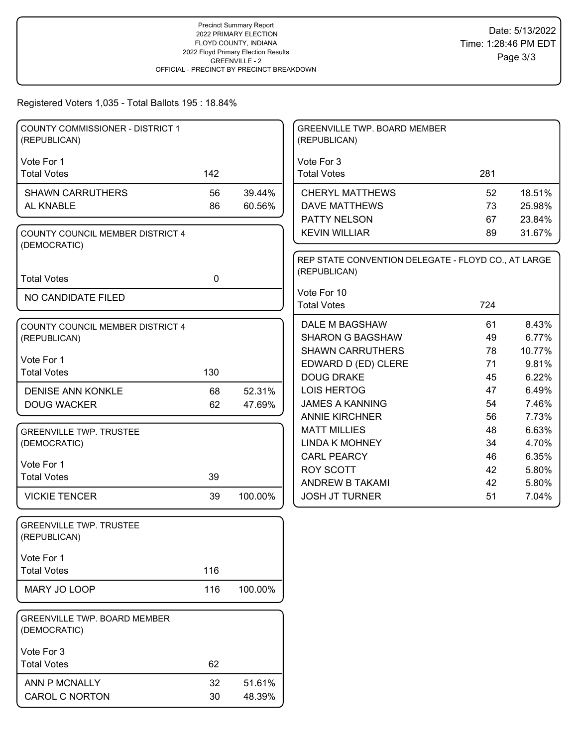Registered Voters 1,035 - Total Ballots 195 : 18.84%

| <b>COUNTY COMMISSIONER - DISTRICT 1</b><br>(REPUBLICAN) |             |         | <b>GREENVILLE TWP. BOARD MEMBER</b><br>(REPUBLICAN)                 |          |                |
|---------------------------------------------------------|-------------|---------|---------------------------------------------------------------------|----------|----------------|
| Vote For 1                                              |             |         | Vote For 3                                                          |          |                |
| <b>Total Votes</b>                                      | 142         |         | <b>Total Votes</b>                                                  | 281      |                |
| <b>SHAWN CARRUTHERS</b>                                 | 56          | 39.44%  | <b>CHERYL MATTHEWS</b>                                              | 52       | 18.51%         |
| AL KNABLE                                               | 86          | 60.56%  | <b>DAVE MATTHEWS</b>                                                | 73       | 25.98%         |
|                                                         |             |         | PATTY NELSON                                                        | 67       | 23.84%         |
| COUNTY COUNCIL MEMBER DISTRICT 4<br>(DEMOCRATIC)        |             |         | <b>KEVIN WILLIAR</b>                                                | 89       | 31.67%         |
|                                                         |             |         | REP STATE CONVENTION DELEGATE - FLOYD CO., AT LARGE<br>(REPUBLICAN) |          |                |
| <b>Total Votes</b>                                      | $\mathbf 0$ |         |                                                                     |          |                |
| NO CANDIDATE FILED                                      |             |         | Vote For 10                                                         |          |                |
|                                                         |             |         | <b>Total Votes</b>                                                  | 724      |                |
| COUNTY COUNCIL MEMBER DISTRICT 4                        |             |         | DALE M BAGSHAW                                                      | 61       | 8.43%          |
| (REPUBLICAN)                                            |             |         | <b>SHARON G BAGSHAW</b>                                             | 49       | 6.77%          |
| Vote For 1                                              |             |         | <b>SHAWN CARRUTHERS</b>                                             | 78       | 10.77%         |
| <b>Total Votes</b>                                      | 130         |         | EDWARD D (ED) CLERE                                                 | 71       | 9.81%          |
|                                                         |             |         | <b>DOUG DRAKE</b>                                                   | 45       | 6.22%          |
| <b>DENISE ANN KONKLE</b>                                | 68          | 52.31%  | <b>LOIS HERTOG</b>                                                  | 47       | 6.49%          |
| <b>DOUG WACKER</b>                                      | 62          | 47.69%  | <b>JAMES A KANNING</b><br><b>ANNIE KIRCHNER</b>                     | 54<br>56 | 7.46%<br>7.73% |
| <b>GREENVILLE TWP. TRUSTEE</b>                          |             |         | <b>MATT MILLIES</b>                                                 | 48       | 6.63%          |
| (DEMOCRATIC)                                            |             |         | <b>LINDA K MOHNEY</b>                                               | 34       | 4.70%          |
|                                                         |             |         | <b>CARL PEARCY</b>                                                  | 46       | 6.35%          |
| Vote For 1                                              |             |         | <b>ROY SCOTT</b>                                                    | 42       | 5.80%          |
| <b>Total Votes</b>                                      | 39          |         | ANDREW B TAKAMI                                                     | 42       | 5.80%          |
| <b>VICKIE TENCER</b>                                    | 39          | 100.00% | <b>JOSH JT TURNER</b>                                               | 51       | 7.04%          |
| <b>GREENVILLE TWP. TRUSTEE</b><br>(REPUBLICAN)          |             |         |                                                                     |          |                |
| Vote For 1                                              |             |         |                                                                     |          |                |
| <b>Total Votes</b>                                      | 116         |         |                                                                     |          |                |
| MARY JO LOOP                                            | 116         | 100.00% |                                                                     |          |                |
| <b>GREENVILLE TWP. BOARD MEMBER</b><br>(DEMOCRATIC)     |             |         |                                                                     |          |                |
| Vote For 3                                              |             |         |                                                                     |          |                |
| <b>Total Votes</b>                                      | 62          |         |                                                                     |          |                |
| ANN P MCNALLY                                           | 32          | 51.61%  |                                                                     |          |                |
| <b>CAROL C NORTON</b>                                   | 30          | 48.39%  |                                                                     |          |                |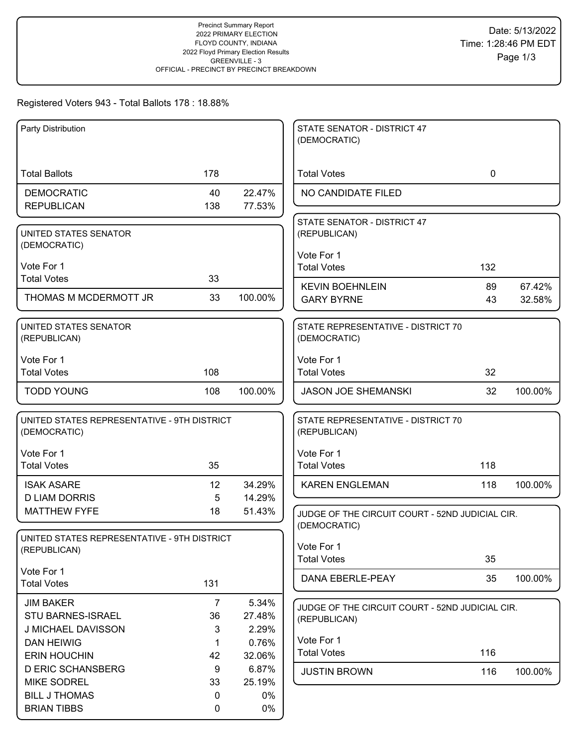## Registered Voters 943 - Total Ballots 178 : 18.88%

| Party Distribution                                          |                |         | STATE SENATOR - DISTRICT 47<br>(DEMOCRATIC)        |              |         |
|-------------------------------------------------------------|----------------|---------|----------------------------------------------------|--------------|---------|
| <b>Total Ballots</b>                                        | 178            |         | <b>Total Votes</b>                                 | $\mathbf{0}$ |         |
|                                                             |                |         |                                                    |              |         |
| <b>DEMOCRATIC</b>                                           | 40             | 22.47%  | NO CANDIDATE FILED                                 |              |         |
| <b>REPUBLICAN</b>                                           | 138            | 77.53%  |                                                    |              |         |
| UNITED STATES SENATOR                                       |                |         | STATE SENATOR - DISTRICT 47<br>(REPUBLICAN)        |              |         |
| (DEMOCRATIC)                                                |                |         |                                                    |              |         |
|                                                             |                |         | Vote For 1                                         |              |         |
| Vote For 1                                                  |                |         | <b>Total Votes</b>                                 | 132          |         |
| <b>Total Votes</b>                                          | 33             |         | <b>KEVIN BOEHNLEIN</b>                             | 89           | 67.42%  |
| THOMAS M MCDERMOTT JR                                       | 33             | 100.00% | <b>GARY BYRNE</b>                                  | 43           | 32.58%  |
| UNITED STATES SENATOR                                       |                |         | STATE REPRESENTATIVE - DISTRICT 70                 |              |         |
| (REPUBLICAN)                                                |                |         | (DEMOCRATIC)                                       |              |         |
| Vote For 1                                                  |                |         | Vote For 1                                         |              |         |
| <b>Total Votes</b>                                          | 108            |         | <b>Total Votes</b>                                 | 32           |         |
| <b>TODD YOUNG</b>                                           | 108            | 100.00% | <b>JASON JOE SHEMANSKI</b>                         | 32           | 100.00% |
| UNITED STATES REPRESENTATIVE - 9TH DISTRICT<br>(DEMOCRATIC) |                |         | STATE REPRESENTATIVE - DISTRICT 70<br>(REPUBLICAN) |              |         |
| Vote For 1                                                  |                |         | Vote For 1                                         |              |         |
| <b>Total Votes</b>                                          | 35             |         | <b>Total Votes</b>                                 | 118          |         |
| <b>ISAK ASARE</b>                                           | 12             | 34.29%  | <b>KAREN ENGLEMAN</b>                              | 118          | 100.00% |
| <b>D LIAM DORRIS</b>                                        | 5              | 14.29%  |                                                    |              |         |
| <b>MATTHEW FYFE</b>                                         | 18             | 51.43%  | JUDGE OF THE CIRCUIT COURT - 52ND JUDICIAL CIR.    |              |         |
|                                                             |                |         | (DEMOCRATIC)                                       |              |         |
| UNITED STATES REPRESENTATIVE - 9TH DISTRICT                 |                |         | Vote For 1                                         |              |         |
| (REPUBLICAN)                                                |                |         | <b>Total Votes</b>                                 | 35           |         |
| Vote For 1                                                  |                |         |                                                    |              |         |
| <b>Total Votes</b>                                          | 131            |         | DANA EBERLE-PEAY                                   | 35           | 100.00% |
| <b>JIM BAKER</b>                                            | $\overline{7}$ | 5.34%   | JUDGE OF THE CIRCUIT COURT - 52ND JUDICIAL CIR.    |              |         |
| STU BARNES-ISRAEL                                           | 36             | 27.48%  | (REPUBLICAN)                                       |              |         |
| J MICHAEL DAVISSON                                          | 3              | 2.29%   |                                                    |              |         |
| <b>DAN HEIWIG</b>                                           | 1              | 0.76%   | Vote For 1                                         |              |         |
| <b>ERIN HOUCHIN</b>                                         | 42             | 32.06%  | <b>Total Votes</b>                                 | 116          |         |
| <b>D ERIC SCHANSBERG</b>                                    | 9              | 6.87%   | <b>JUSTIN BROWN</b>                                | 116          | 100.00% |
| <b>MIKE SODREL</b>                                          | 33             | 25.19%  |                                                    |              |         |
| <b>BILL J THOMAS</b>                                        | 0              | 0%      |                                                    |              |         |
| <b>BRIAN TIBBS</b>                                          | 0              | $0\%$   |                                                    |              |         |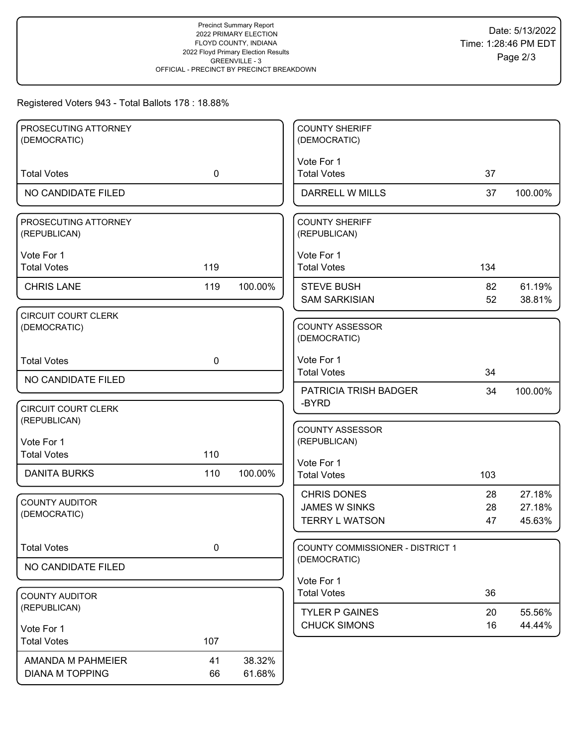# Registered Voters 943 - Total Ballots 178 : 18.88%

| PROSECUTING ATTORNEY                  |             |         | <b>COUNTY SHERIFF</b>            |     |         |
|---------------------------------------|-------------|---------|----------------------------------|-----|---------|
| (DEMOCRATIC)                          |             |         | (DEMOCRATIC)                     |     |         |
|                                       |             |         |                                  |     |         |
|                                       |             |         | Vote For 1                       |     |         |
| <b>Total Votes</b>                    | $\mathbf 0$ |         | <b>Total Votes</b>               | 37  |         |
| NO CANDIDATE FILED                    |             |         | DARRELL W MILLS                  | 37  | 100.00% |
|                                       |             |         |                                  |     |         |
| PROSECUTING ATTORNEY                  |             |         | <b>COUNTY SHERIFF</b>            |     |         |
| (REPUBLICAN)                          |             |         | (REPUBLICAN)                     |     |         |
|                                       |             |         |                                  |     |         |
| Vote For 1                            |             |         | Vote For 1                       |     |         |
| <b>Total Votes</b>                    | 119         |         | <b>Total Votes</b>               | 134 |         |
| <b>CHRIS LANE</b>                     | 119         | 100.00% | <b>STEVE BUSH</b>                | 82  | 61.19%  |
|                                       |             |         | <b>SAM SARKISIAN</b>             | 52  | 38.81%  |
| <b>CIRCUIT COURT CLERK</b>            |             |         |                                  |     |         |
| (DEMOCRATIC)                          |             |         | <b>COUNTY ASSESSOR</b>           |     |         |
|                                       |             |         | (DEMOCRATIC)                     |     |         |
|                                       |             |         |                                  |     |         |
| <b>Total Votes</b>                    | $\mathbf 0$ |         | Vote For 1                       |     |         |
| NO CANDIDATE FILED                    |             |         | <b>Total Votes</b>               | 34  |         |
|                                       |             |         | <b>PATRICIA TRISH BADGER</b>     | 34  | 100.00% |
| <b>CIRCUIT COURT CLERK</b>            |             |         | -BYRD                            |     |         |
| (REPUBLICAN)                          |             |         |                                  |     |         |
|                                       |             |         | <b>COUNTY ASSESSOR</b>           |     |         |
| Vote For 1                            |             |         | (REPUBLICAN)                     |     |         |
| <b>Total Votes</b>                    | 110         |         |                                  |     |         |
| <b>DANITA BURKS</b>                   | 110         | 100.00% | Vote For 1<br><b>Total Votes</b> | 103 |         |
|                                       |             |         |                                  |     |         |
|                                       |             |         | <b>CHRIS DONES</b>               | 28  | 27.18%  |
| <b>COUNTY AUDITOR</b><br>(DEMOCRATIC) |             |         | <b>JAMES W SINKS</b>             | 28  | 27.18%  |
|                                       |             |         | <b>TERRY L WATSON</b>            | 47  | 45.63%  |
|                                       |             |         |                                  |     |         |
| <b>Total Votes</b>                    | $\mathbf 0$ |         | COUNTY COMMISSIONER - DISTRICT 1 |     |         |
|                                       |             |         | (DEMOCRATIC)                     |     |         |
| NO CANDIDATE FILED                    |             |         |                                  |     |         |
|                                       |             |         | Vote For 1                       |     |         |
| <b>COUNTY AUDITOR</b>                 |             |         | <b>Total Votes</b>               | 36  |         |
| (REPUBLICAN)                          |             |         | <b>TYLER P GAINES</b>            | 20  | 55.56%  |
| Vote For 1                            |             |         | <b>CHUCK SIMONS</b>              | 16  | 44.44%  |
| <b>Total Votes</b>                    | 107         |         |                                  |     |         |
|                                       |             |         |                                  |     |         |
| AMANDA M PAHMEIER                     | 41          | 38.32%  |                                  |     |         |
| <b>DIANA M TOPPING</b>                | 66          | 61.68%  |                                  |     |         |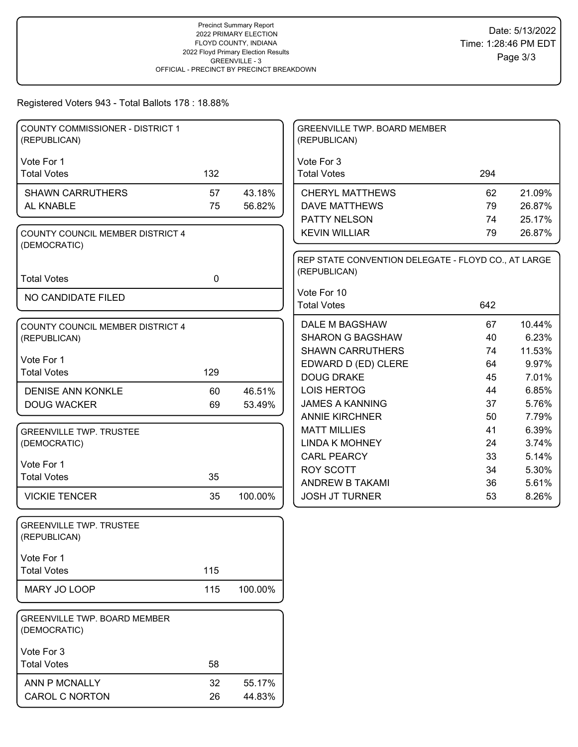## Registered Voters 943 - Total Ballots 178 : 18.88%

| <b>COUNTY COMMISSIONER - DISTRICT 1</b><br>(REPUBLICAN) |             |         | <b>GREENVILLE TWP. BOARD MEMBER</b><br>(REPUBLICAN) |          |                 |
|---------------------------------------------------------|-------------|---------|-----------------------------------------------------|----------|-----------------|
| Vote For 1                                              |             |         | Vote For 3                                          |          |                 |
| <b>Total Votes</b>                                      | 132         |         | <b>Total Votes</b>                                  | 294      |                 |
| <b>SHAWN CARRUTHERS</b>                                 | 57          | 43.18%  | <b>CHERYL MATTHEWS</b>                              | 62       | 21.09%          |
| AL KNABLE                                               | 75          | 56.82%  | <b>DAVE MATTHEWS</b>                                | 79       | 26.87%          |
|                                                         |             |         | PATTY NELSON                                        | 74       | 25.17%          |
| COUNTY COUNCIL MEMBER DISTRICT 4                        |             |         | <b>KEVIN WILLIAR</b>                                | 79       | 26.87%          |
| (DEMOCRATIC)                                            |             |         | REP STATE CONVENTION DELEGATE - FLOYD CO., AT LARGE |          |                 |
|                                                         |             |         | (REPUBLICAN)                                        |          |                 |
| <b>Total Votes</b>                                      | $\mathbf 0$ |         |                                                     |          |                 |
| NO CANDIDATE FILED                                      |             |         | Vote For 10<br><b>Total Votes</b>                   | 642      |                 |
|                                                         |             |         |                                                     |          |                 |
| COUNTY COUNCIL MEMBER DISTRICT 4                        |             |         | <b>DALE M BAGSHAW</b>                               | 67       | 10.44%          |
| (REPUBLICAN)                                            |             |         | <b>SHARON G BAGSHAW</b>                             | 40       | 6.23%           |
| Vote For 1                                              |             |         | <b>SHAWN CARRUTHERS</b><br>EDWARD D (ED) CLERE      | 74<br>64 | 11.53%<br>9.97% |
| <b>Total Votes</b>                                      | 129         |         | <b>DOUG DRAKE</b>                                   | 45       | 7.01%           |
| <b>DENISE ANN KONKLE</b>                                | 60          | 46.51%  | <b>LOIS HERTOG</b>                                  | 44       | 6.85%           |
| <b>DOUG WACKER</b>                                      | 69          | 53.49%  | <b>JAMES A KANNING</b>                              | 37       | 5.76%           |
|                                                         |             |         | <b>ANNIE KIRCHNER</b>                               | 50       | 7.79%           |
| <b>GREENVILLE TWP. TRUSTEE</b>                          |             |         | <b>MATT MILLIES</b>                                 | 41       | 6.39%           |
| (DEMOCRATIC)                                            |             |         | <b>LINDA K MOHNEY</b>                               | 24       | 3.74%           |
| Vote For 1                                              |             |         | <b>CARL PEARCY</b>                                  | 33       | 5.14%           |
| <b>Total Votes</b>                                      | 35          |         | <b>ROY SCOTT</b>                                    | 34       | 5.30%           |
| <b>VICKIE TENCER</b>                                    | 35          | 100.00% | ANDREW B TAKAMI<br><b>JOSH JT TURNER</b>            | 36<br>53 | 5.61%<br>8.26%  |
|                                                         |             |         |                                                     |          |                 |
| <b>GREENVILLE TWP. TRUSTEE</b>                          |             |         |                                                     |          |                 |
| (REPUBLICAN)                                            |             |         |                                                     |          |                 |
|                                                         |             |         |                                                     |          |                 |
| Vote For 1<br><b>Total Votes</b>                        | 115         |         |                                                     |          |                 |
|                                                         |             |         |                                                     |          |                 |
| MARY JO LOOP                                            | 115         | 100.00% |                                                     |          |                 |
| <b>GREENVILLE TWP. BOARD MEMBER</b><br>(DEMOCRATIC)     |             |         |                                                     |          |                 |
| Vote For 3                                              |             |         |                                                     |          |                 |
| <b>Total Votes</b>                                      | 58          |         |                                                     |          |                 |
| ANN P MCNALLY                                           | 32          | 55.17%  |                                                     |          |                 |
| <b>CAROL C NORTON</b>                                   | 26          | 44.83%  |                                                     |          |                 |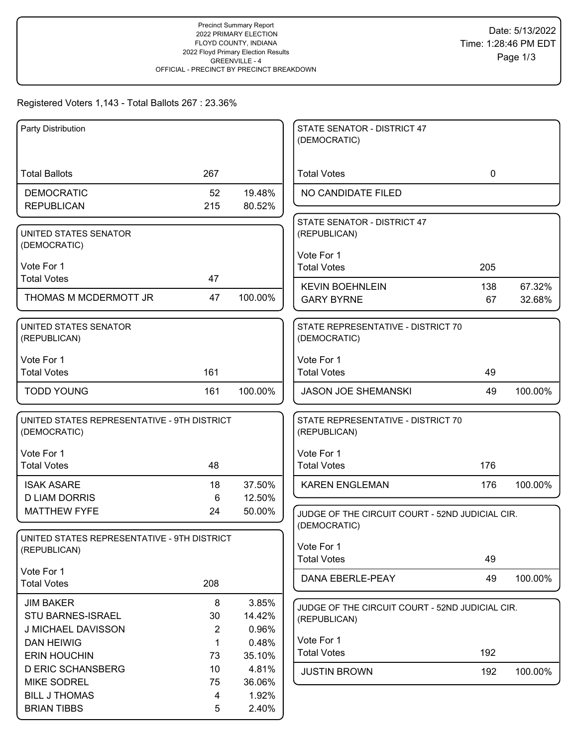## Registered Voters 1,143 - Total Ballots 267 : 23.36%

| Party Distribution                             |                       |                  | STATE SENATOR - DISTRICT 47<br>(DEMOCRATIC)     |              |         |
|------------------------------------------------|-----------------------|------------------|-------------------------------------------------|--------------|---------|
|                                                |                       |                  |                                                 |              |         |
| <b>Total Ballots</b>                           | 267                   |                  | <b>Total Votes</b>                              | $\mathbf{0}$ |         |
| <b>DEMOCRATIC</b>                              | 52                    | 19.48%           | NO CANDIDATE FILED                              |              |         |
| <b>REPUBLICAN</b>                              | 215                   | 80.52%           |                                                 |              |         |
|                                                |                       |                  | STATE SENATOR - DISTRICT 47                     |              |         |
| UNITED STATES SENATOR<br>(DEMOCRATIC)          |                       |                  | (REPUBLICAN)                                    |              |         |
|                                                |                       |                  | Vote For 1                                      |              |         |
| Vote For 1<br><b>Total Votes</b>               | 47                    |                  | <b>Total Votes</b>                              | 205          |         |
|                                                |                       |                  | <b>KEVIN BOEHNLEIN</b>                          | 138          | 67.32%  |
| THOMAS M MCDERMOTT JR                          | 47                    | 100.00%          | <b>GARY BYRNE</b>                               | 67           | 32.68%  |
| UNITED STATES SENATOR                          |                       |                  | STATE REPRESENTATIVE - DISTRICT 70              |              |         |
| (REPUBLICAN)                                   |                       |                  | (DEMOCRATIC)                                    |              |         |
|                                                |                       |                  | Vote For 1                                      |              |         |
| Vote For 1<br><b>Total Votes</b>               | 161                   |                  | <b>Total Votes</b>                              | 49           |         |
|                                                | 161                   |                  |                                                 | 49           |         |
| <b>TODD YOUNG</b>                              |                       | 100.00%          | <b>JASON JOE SHEMANSKI</b>                      |              | 100.00% |
| UNITED STATES REPRESENTATIVE - 9TH DISTRICT    |                       |                  | STATE REPRESENTATIVE - DISTRICT 70              |              |         |
| (DEMOCRATIC)                                   |                       |                  | (REPUBLICAN)                                    |              |         |
| Vote For 1                                     |                       |                  | Vote For 1                                      |              |         |
| <b>Total Votes</b>                             | 48                    |                  | <b>Total Votes</b>                              | 176          |         |
|                                                |                       |                  |                                                 |              |         |
| <b>ISAK ASARE</b><br><b>D LIAM DORRIS</b>      | 18<br>6               | 37.50%<br>12.50% | <b>KAREN ENGLEMAN</b>                           | 176          | 100.00% |
| <b>MATTHEW FYFE</b>                            | 24                    | 50.00%           | JUDGE OF THE CIRCUIT COURT - 52ND JUDICIAL CIR. |              |         |
|                                                |                       |                  | (DEMOCRATIC)                                    |              |         |
| UNITED STATES REPRESENTATIVE - 9TH DISTRICT    |                       |                  |                                                 |              |         |
| (REPUBLICAN)                                   |                       |                  | Vote For 1<br><b>Total Votes</b>                | 49           |         |
| Vote For 1                                     |                       |                  |                                                 |              |         |
| <b>Total Votes</b>                             | 208                   |                  | DANA EBERLE-PEAY                                | 49           | 100.00% |
| <b>JIM BAKER</b>                               | 8                     | 3.85%            | JUDGE OF THE CIRCUIT COURT - 52ND JUDICIAL CIR. |              |         |
| <b>STU BARNES-ISRAEL</b>                       | 30                    | 14.42%           | (REPUBLICAN)                                    |              |         |
| J MICHAEL DAVISSON                             | $\overline{2}$        | 0.96%            |                                                 |              |         |
| <b>DAN HEIWIG</b>                              | 1                     | 0.48%            | Vote For 1                                      |              |         |
| <b>ERIN HOUCHIN</b>                            | 73                    | 35.10%           | <b>Total Votes</b>                              | 192          |         |
| <b>D ERIC SCHANSBERG</b><br><b>MIKE SODREL</b> | 10 <sup>1</sup><br>75 | 4.81%<br>36.06%  | <b>JUSTIN BROWN</b>                             | 192          | 100.00% |
| <b>BILL J THOMAS</b>                           | 4                     | 1.92%            |                                                 |              |         |
| <b>BRIAN TIBBS</b>                             | 5                     | 2.40%            |                                                 |              |         |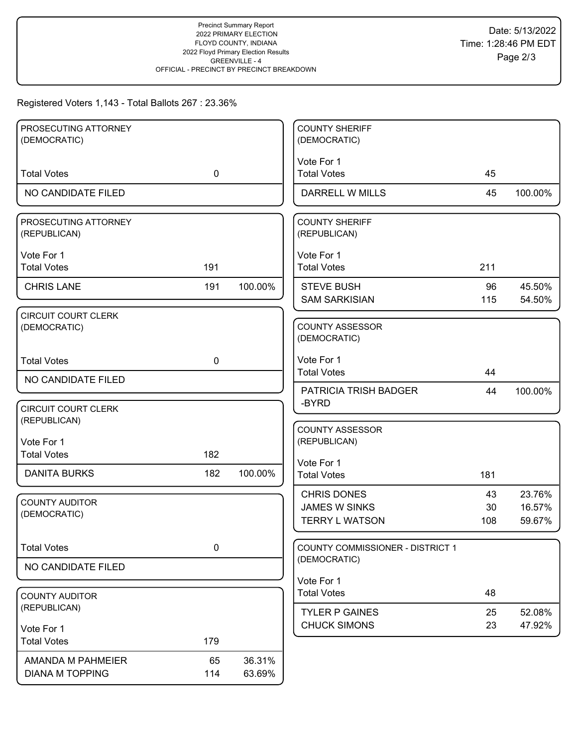#### Registered Voters 1,143 - Total Ballots 267 : 23.36%

| PROSECUTING ATTORNEY                       |             |         | <b>COUNTY SHERIFF</b>                  |     |         |
|--------------------------------------------|-------------|---------|----------------------------------------|-----|---------|
| (DEMOCRATIC)                               |             |         | (DEMOCRATIC)                           |     |         |
| <b>Total Votes</b>                         | $\mathbf 0$ |         | Vote For 1<br><b>Total Votes</b>       | 45  |         |
| NO CANDIDATE FILED                         |             |         | DARRELL W MILLS                        | 45  | 100.00% |
|                                            |             |         |                                        |     |         |
| PROSECUTING ATTORNEY<br>(REPUBLICAN)       |             |         | <b>COUNTY SHERIFF</b><br>(REPUBLICAN)  |     |         |
| Vote For 1                                 |             |         | Vote For 1                             |     |         |
| <b>Total Votes</b>                         | 191         |         | <b>Total Votes</b>                     | 211 |         |
| <b>CHRIS LANE</b>                          | 191         | 100.00% | <b>STEVE BUSH</b>                      | 96  | 45.50%  |
|                                            |             |         | <b>SAM SARKISIAN</b>                   | 115 | 54.50%  |
| <b>CIRCUIT COURT CLERK</b><br>(DEMOCRATIC) |             |         | <b>COUNTY ASSESSOR</b><br>(DEMOCRATIC) |     |         |
| <b>Total Votes</b>                         | $\mathbf 0$ |         | Vote For 1                             |     |         |
| NO CANDIDATE FILED                         |             |         | <b>Total Votes</b>                     | 44  |         |
|                                            |             |         | PATRICIA TRISH BADGER                  | 44  | 100.00% |
| <b>CIRCUIT COURT CLERK</b>                 |             |         | -BYRD                                  |     |         |
| (REPUBLICAN)                               |             |         | <b>COUNTY ASSESSOR</b>                 |     |         |
| Vote For 1                                 |             |         | (REPUBLICAN)                           |     |         |
| <b>Total Votes</b>                         | 182         |         | Vote For 1                             |     |         |
| <b>DANITA BURKS</b>                        | 182         | 100.00% | <b>Total Votes</b>                     | 181 |         |
|                                            |             |         | <b>CHRIS DONES</b>                     | 43  | 23.76%  |
| <b>COUNTY AUDITOR</b><br>(DEMOCRATIC)      |             |         | <b>JAMES W SINKS</b>                   | 30  | 16.57%  |
|                                            |             |         | <b>TERRY L WATSON</b>                  | 108 | 59.67%  |
| <b>Total Votes</b>                         | $\pmb{0}$   |         | COUNTY COMMISSIONER - DISTRICT 1       |     |         |
| NO CANDIDATE FILED                         |             |         | (DEMOCRATIC)                           |     |         |
|                                            |             |         | Vote For 1                             |     |         |
| <b>COUNTY AUDITOR</b><br>(REPUBLICAN)      |             |         | <b>Total Votes</b>                     | 48  |         |
|                                            |             |         | <b>TYLER P GAINES</b>                  | 25  | 52.08%  |
| Vote For 1                                 |             |         | <b>CHUCK SIMONS</b>                    | 23  | 47.92%  |
| <b>Total Votes</b>                         | 179         |         |                                        |     |         |
| AMANDA M PAHMEIER                          | 65          | 36.31%  |                                        |     |         |
| <b>DIANA M TOPPING</b>                     | 114         | 63.69%  |                                        |     |         |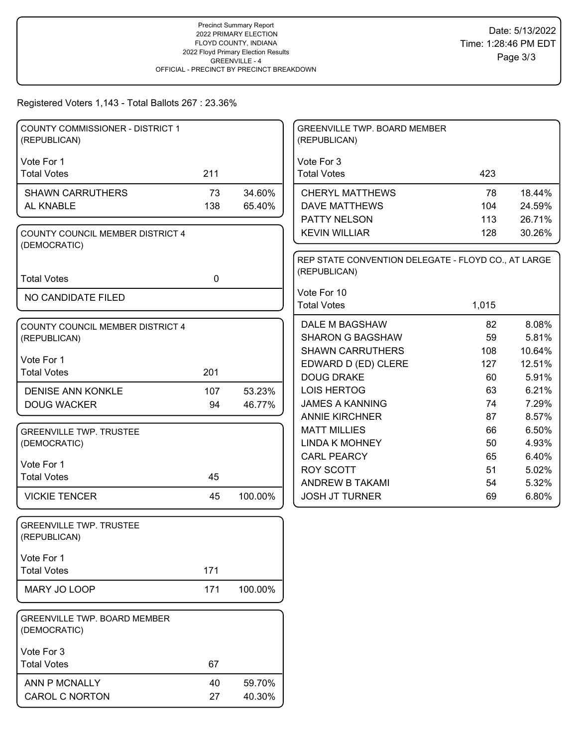#### Registered Voters 1,143 - Total Ballots 267 : 23.36%

| <b>COUNTY COMMISSIONER - DISTRICT 1</b><br>(REPUBLICAN) |             |         | GREENVILLE TWP. BOARD MEMBER<br>(REPUBLICAN)        |          |                |
|---------------------------------------------------------|-------------|---------|-----------------------------------------------------|----------|----------------|
| Vote For 1                                              |             |         | Vote For 3                                          |          |                |
| <b>Total Votes</b>                                      | 211         |         | <b>Total Votes</b>                                  | 423      |                |
| <b>SHAWN CARRUTHERS</b>                                 | 73          | 34.60%  | <b>CHERYL MATTHEWS</b>                              | 78       | 18.44%         |
| AL KNABLE                                               | 138         | 65.40%  | <b>DAVE MATTHEWS</b>                                | 104      | 24.59%         |
|                                                         |             |         | PATTY NELSON                                        | 113      | 26.71%         |
| COUNTY COUNCIL MEMBER DISTRICT 4<br>(DEMOCRATIC)        |             |         | <b>KEVIN WILLIAR</b>                                | 128      | 30.26%         |
|                                                         |             |         | REP STATE CONVENTION DELEGATE - FLOYD CO., AT LARGE |          |                |
| <b>Total Votes</b>                                      | $\mathbf 0$ |         | (REPUBLICAN)                                        |          |                |
| NO CANDIDATE FILED                                      |             |         | Vote For 10                                         |          |                |
|                                                         |             |         | <b>Total Votes</b>                                  | 1,015    |                |
| COUNTY COUNCIL MEMBER DISTRICT 4                        |             |         | DALE M BAGSHAW                                      | 82       | 8.08%          |
| (REPUBLICAN)                                            |             |         | <b>SHARON G BAGSHAW</b>                             | 59       | 5.81%          |
| Vote For 1                                              |             |         | <b>SHAWN CARRUTHERS</b>                             | 108      | 10.64%         |
| <b>Total Votes</b>                                      | 201         |         | EDWARD D (ED) CLERE                                 | 127      | 12.51%         |
|                                                         |             |         | <b>DOUG DRAKE</b>                                   | 60       | 5.91%          |
| <b>DENISE ANN KONKLE</b>                                | 107         | 53.23%  | LOIS HERTOG<br><b>JAMES A KANNING</b>               | 63<br>74 | 6.21%<br>7.29% |
| <b>DOUG WACKER</b>                                      | 94          | 46.77%  | <b>ANNIE KIRCHNER</b>                               | 87       | 8.57%          |
| <b>GREENVILLE TWP. TRUSTEE</b>                          |             |         | <b>MATT MILLIES</b>                                 | 66       | 6.50%          |
| (DEMOCRATIC)                                            |             |         | <b>LINDA K MOHNEY</b>                               | 50       | 4.93%          |
|                                                         |             |         | <b>CARL PEARCY</b>                                  | 65       | 6.40%          |
| Vote For 1                                              |             |         | <b>ROY SCOTT</b>                                    | 51       | 5.02%          |
| <b>Total Votes</b>                                      | 45          |         | <b>ANDREW B TAKAMI</b>                              | 54       | 5.32%          |
| <b>VICKIE TENCER</b>                                    | 45          | 100.00% | <b>JOSH JT TURNER</b>                               | 69       | 6.80%          |
| <b>GREENVILLE TWP. TRUSTEE</b><br>(REPUBLICAN)          |             |         |                                                     |          |                |
| Vote For 1                                              |             |         |                                                     |          |                |
| <b>Total Votes</b>                                      | 171         |         |                                                     |          |                |
| MARY JO LOOP                                            | 171         | 100.00% |                                                     |          |                |
| GREENVILLE TWP. BOARD MEMBER<br>(DEMOCRATIC)            |             |         |                                                     |          |                |
| Vote For 3                                              |             |         |                                                     |          |                |
| <b>Total Votes</b>                                      | 67          |         |                                                     |          |                |
| ANN P MCNALLY                                           | 40          | 59.70%  |                                                     |          |                |
| CAROL C NORTON                                          | 27          | 40.30%  |                                                     |          |                |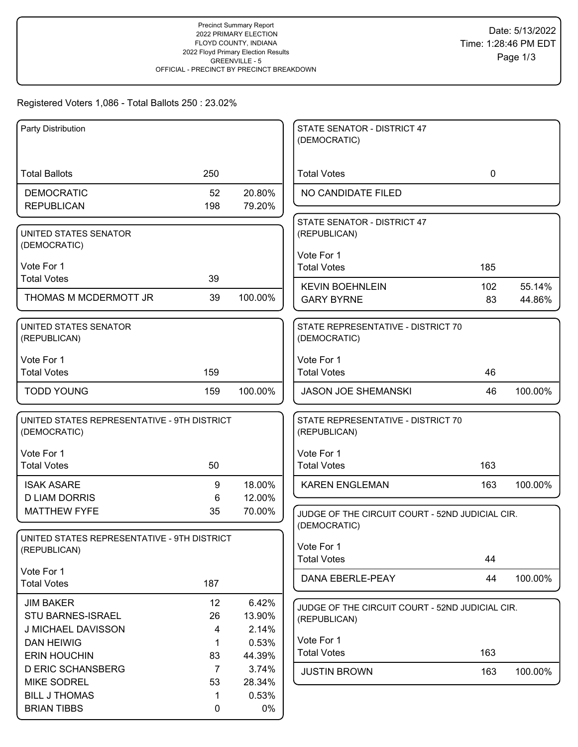# Registered Voters 1,086 - Total Ballots 250 : 23.02%

| Party Distribution                          |                |                 | STATE SENATOR - DISTRICT 47<br>(DEMOCRATIC)     |             |         |
|---------------------------------------------|----------------|-----------------|-------------------------------------------------|-------------|---------|
|                                             |                |                 |                                                 |             |         |
| <b>Total Ballots</b>                        | 250            |                 | <b>Total Votes</b>                              | $\mathbf 0$ |         |
| <b>DEMOCRATIC</b>                           | 52             | 20.80%          | NO CANDIDATE FILED                              |             |         |
| <b>REPUBLICAN</b>                           | 198            | 79.20%          |                                                 |             |         |
| UNITED STATES SENATOR                       |                |                 | STATE SENATOR - DISTRICT 47<br>(REPUBLICAN)     |             |         |
| (DEMOCRATIC)                                |                |                 |                                                 |             |         |
|                                             |                |                 | Vote For 1                                      |             |         |
| Vote For 1<br><b>Total Votes</b>            | 39             |                 | <b>Total Votes</b>                              | 185         |         |
|                                             |                |                 | <b>KEVIN BOEHNLEIN</b>                          | 102         | 55.14%  |
| THOMAS M MCDERMOTT JR                       | 39             | 100.00%         | <b>GARY BYRNE</b>                               | 83          | 44.86%  |
| UNITED STATES SENATOR                       |                |                 | STATE REPRESENTATIVE - DISTRICT 70              |             |         |
| (REPUBLICAN)                                |                |                 | (DEMOCRATIC)                                    |             |         |
| Vote For 1                                  |                |                 | Vote For 1                                      |             |         |
| <b>Total Votes</b>                          | 159            |                 | <b>Total Votes</b>                              | 46          |         |
| <b>TODD YOUNG</b>                           | 159            | 100.00%         | <b>JASON JOE SHEMANSKI</b>                      | 46          | 100.00% |
|                                             |                |                 |                                                 |             |         |
| UNITED STATES REPRESENTATIVE - 9TH DISTRICT |                |                 | STATE REPRESENTATIVE - DISTRICT 70              |             |         |
| (DEMOCRATIC)                                |                |                 | (REPUBLICAN)                                    |             |         |
| Vote For 1                                  |                |                 | Vote For 1                                      |             |         |
| <b>Total Votes</b>                          | 50             |                 | <b>Total Votes</b>                              | 163         |         |
| <b>ISAK ASARE</b>                           | 9              | 18.00%          | <b>KAREN ENGLEMAN</b>                           | 163         | 100.00% |
| <b>D LIAM DORRIS</b>                        | 6              | 12.00%          |                                                 |             |         |
| <b>MATTHEW FYFE</b>                         | 35             | 70.00%          | JUDGE OF THE CIRCUIT COURT - 52ND JUDICIAL CIR. |             |         |
|                                             |                |                 | (DEMOCRATIC)                                    |             |         |
| UNITED STATES REPRESENTATIVE - 9TH DISTRICT |                |                 | Vote For 1                                      |             |         |
| (REPUBLICAN)                                |                |                 | <b>Total Votes</b>                              | 44          |         |
| Vote For 1                                  |                |                 | DANA EBERLE-PEAY                                | 44          | 100.00% |
| <b>Total Votes</b>                          | 187            |                 |                                                 |             |         |
| <b>JIM BAKER</b>                            | 12             | 6.42%           | JUDGE OF THE CIRCUIT COURT - 52ND JUDICIAL CIR. |             |         |
| <b>STU BARNES-ISRAEL</b>                    | 26             | 13.90%          | (REPUBLICAN)                                    |             |         |
| J MICHAEL DAVISSON                          | 4              | 2.14%           | Vote For 1                                      |             |         |
| <b>DAN HEIWIG</b><br><b>ERIN HOUCHIN</b>    | 1<br>83        | 0.53%<br>44.39% | <b>Total Votes</b>                              | 163         |         |
| <b>D ERIC SCHANSBERG</b>                    | $\overline{7}$ | 3.74%           |                                                 |             |         |
| <b>MIKE SODREL</b>                          | 53             | 28.34%          | <b>JUSTIN BROWN</b>                             | 163         | 100.00% |
| <b>BILL J THOMAS</b>                        | 1              | 0.53%           |                                                 |             |         |
| <b>BRIAN TIBBS</b>                          | 0              | $0\%$           |                                                 |             |         |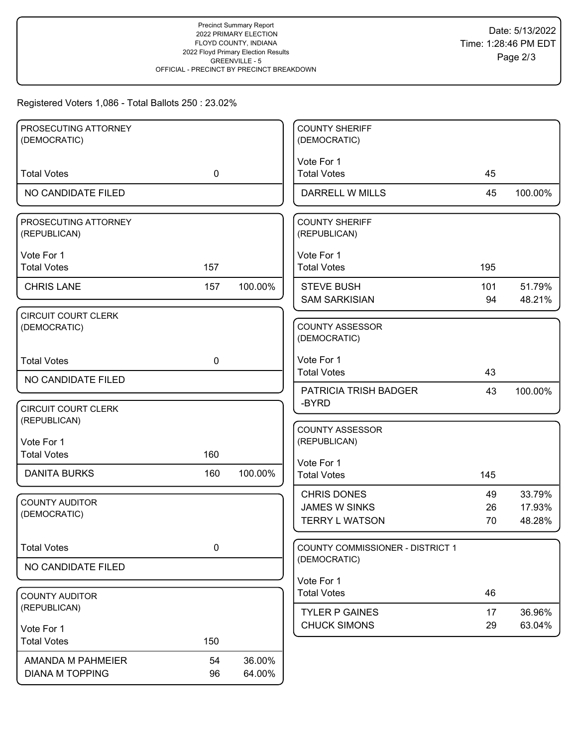# Registered Voters 1,086 - Total Ballots 250 : 23.02%

| PROSECUTING ATTORNEY                 |             |         | <b>COUNTY SHERIFF</b>                   |     |         |
|--------------------------------------|-------------|---------|-----------------------------------------|-----|---------|
| (DEMOCRATIC)                         |             |         | (DEMOCRATIC)                            |     |         |
|                                      |             |         | Vote For 1                              |     |         |
| <b>Total Votes</b>                   | $\mathbf 0$ |         | <b>Total Votes</b>                      | 45  |         |
| NO CANDIDATE FILED                   |             |         | DARRELL W MILLS                         | 45  | 100.00% |
|                                      |             |         |                                         |     |         |
| PROSECUTING ATTORNEY<br>(REPUBLICAN) |             |         | <b>COUNTY SHERIFF</b><br>(REPUBLICAN)   |     |         |
|                                      |             |         |                                         |     |         |
| Vote For 1                           |             |         | Vote For 1                              |     |         |
| <b>Total Votes</b>                   | 157         |         | <b>Total Votes</b>                      | 195 |         |
| <b>CHRIS LANE</b>                    | 157         | 100.00% | <b>STEVE BUSH</b>                       | 101 | 51.79%  |
|                                      |             |         | <b>SAM SARKISIAN</b>                    | 94  | 48.21%  |
| <b>CIRCUIT COURT CLERK</b>           |             |         |                                         |     |         |
| (DEMOCRATIC)                         |             |         | <b>COUNTY ASSESSOR</b>                  |     |         |
|                                      |             |         | (DEMOCRATIC)                            |     |         |
| <b>Total Votes</b>                   | $\mathbf 0$ |         | Vote For 1                              |     |         |
|                                      |             |         | <b>Total Votes</b>                      | 43  |         |
| NO CANDIDATE FILED                   |             |         | <b>PATRICIA TRISH BADGER</b>            | 43  | 100.00% |
| <b>CIRCUIT COURT CLERK</b>           |             |         | -BYRD                                   |     |         |
| (REPUBLICAN)                         |             |         |                                         |     |         |
|                                      |             |         | <b>COUNTY ASSESSOR</b>                  |     |         |
| Vote For 1                           |             |         | (REPUBLICAN)                            |     |         |
| <b>Total Votes</b>                   | 160         |         | Vote For 1                              |     |         |
| <b>DANITA BURKS</b>                  | 160         | 100.00% | <b>Total Votes</b>                      | 145 |         |
|                                      |             |         | <b>CHRIS DONES</b>                      | 49  | 33.79%  |
| <b>COUNTY AUDITOR</b>                |             |         | <b>JAMES W SINKS</b>                    | 26  | 17.93%  |
| (DEMOCRATIC)                         |             |         | <b>TERRY L WATSON</b>                   | 70  | 48.28%  |
|                                      |             |         |                                         |     |         |
| <b>Total Votes</b>                   | $\pmb{0}$   |         | <b>COUNTY COMMISSIONER - DISTRICT 1</b> |     |         |
| NO CANDIDATE FILED                   |             |         | (DEMOCRATIC)                            |     |         |
|                                      |             |         | Vote For 1                              |     |         |
| <b>COUNTY AUDITOR</b>                |             |         | <b>Total Votes</b>                      | 46  |         |
| (REPUBLICAN)                         |             |         | <b>TYLER P GAINES</b>                   | 17  | 36.96%  |
|                                      |             |         | <b>CHUCK SIMONS</b>                     | 29  | 63.04%  |
| Vote For 1<br><b>Total Votes</b>     |             |         |                                         |     |         |
|                                      | 150         |         |                                         |     |         |
| AMANDA M PAHMEIER                    | 54          | 36.00%  |                                         |     |         |
| <b>DIANA M TOPPING</b>               | 96          | 64.00%  |                                         |     |         |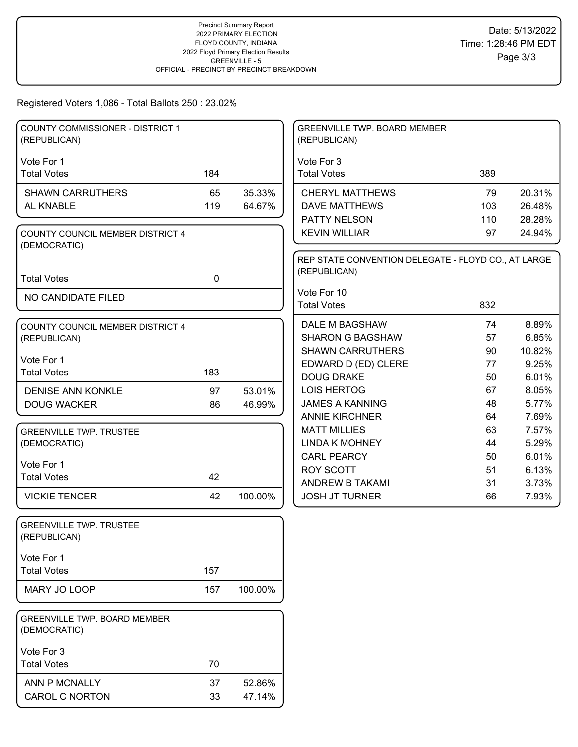# Registered Voters 1,086 - Total Ballots 250 : 23.02%

| <b>COUNTY COMMISSIONER - DISTRICT 1</b><br>(REPUBLICAN) |             |                  | GREENVILLE TWP. BOARD MEMBER<br>(REPUBLICAN)        |          |                |
|---------------------------------------------------------|-------------|------------------|-----------------------------------------------------|----------|----------------|
| Vote For 1                                              |             |                  | Vote For 3                                          |          |                |
| <b>Total Votes</b>                                      | 184         |                  | <b>Total Votes</b>                                  | 389      |                |
| <b>SHAWN CARRUTHERS</b>                                 | 65          | 35.33%           | <b>CHERYL MATTHEWS</b>                              | 79       | 20.31%         |
| AL KNABLE                                               | 119         | 64.67%           | <b>DAVE MATTHEWS</b>                                | 103      | 26.48%         |
|                                                         |             |                  | PATTY NELSON                                        | 110      | 28.28%         |
| COUNTY COUNCIL MEMBER DISTRICT 4                        |             |                  | <b>KEVIN WILLIAR</b>                                | 97       | 24.94%         |
| (DEMOCRATIC)                                            |             |                  | REP STATE CONVENTION DELEGATE - FLOYD CO., AT LARGE |          |                |
|                                                         |             |                  | (REPUBLICAN)                                        |          |                |
| <b>Total Votes</b>                                      | $\mathbf 0$ |                  |                                                     |          |                |
| NO CANDIDATE FILED                                      |             |                  | Vote For 10<br><b>Total Votes</b>                   | 832      |                |
|                                                         |             |                  |                                                     |          |                |
| <b>COUNTY COUNCIL MEMBER DISTRICT 4</b>                 |             |                  | DALE M BAGSHAW                                      | 74       | 8.89%          |
| (REPUBLICAN)                                            |             |                  | <b>SHARON G BAGSHAW</b>                             | 57       | 6.85%          |
| Vote For 1                                              |             |                  | <b>SHAWN CARRUTHERS</b>                             | 90       | 10.82%         |
| <b>Total Votes</b>                                      | 183         |                  | EDWARD D (ED) CLERE<br><b>DOUG DRAKE</b>            | 77       | 9.25%          |
|                                                         |             |                  | LOIS HERTOG                                         | 50<br>67 | 6.01%<br>8.05% |
| <b>DENISE ANN KONKLE</b><br><b>DOUG WACKER</b>          | 97<br>86    | 53.01%<br>46.99% | <b>JAMES A KANNING</b>                              | 48       | 5.77%          |
|                                                         |             |                  | <b>ANNIE KIRCHNER</b>                               | 64       | 7.69%          |
| <b>GREENVILLE TWP. TRUSTEE</b>                          |             |                  | <b>MATT MILLIES</b>                                 | 63       | 7.57%          |
| (DEMOCRATIC)                                            |             |                  | <b>LINDA K MOHNEY</b>                               | 44       | 5.29%          |
|                                                         |             |                  | <b>CARL PEARCY</b>                                  | 50       | 6.01%          |
| Vote For 1                                              |             |                  | <b>ROY SCOTT</b>                                    | 51       | 6.13%          |
| <b>Total Votes</b>                                      | 42          |                  | <b>ANDREW B TAKAMI</b>                              | 31       | 3.73%          |
| <b>VICKIE TENCER</b>                                    | 42          | 100.00%          | <b>JOSH JT TURNER</b>                               | 66       | 7.93%          |
| <b>GREENVILLE TWP. TRUSTEE</b><br>(REPUBLICAN)          |             |                  |                                                     |          |                |
| Vote For 1                                              |             |                  |                                                     |          |                |
| <b>Total Votes</b>                                      | 157         |                  |                                                     |          |                |
| MARY JO LOOP                                            | 157         | 100.00%          |                                                     |          |                |
| GREENVILLE TWP. BOARD MEMBER<br>(DEMOCRATIC)            |             |                  |                                                     |          |                |
| Vote For 3                                              |             |                  |                                                     |          |                |
| <b>Total Votes</b>                                      | 70          |                  |                                                     |          |                |
| ANN P MCNALLY                                           | 37          | 52.86%           |                                                     |          |                |
| CAROL C NORTON                                          | 33          | 47.14%           |                                                     |          |                |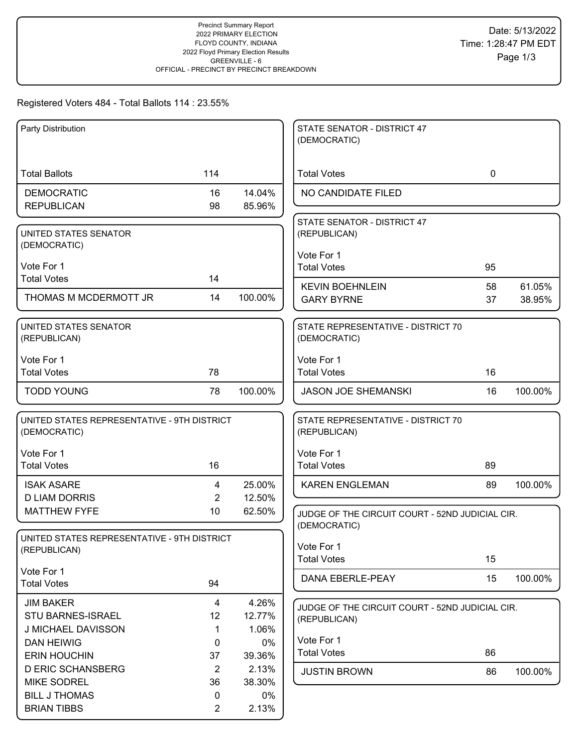# Registered Voters 484 - Total Ballots 114 : 23.55%

| Party Distribution                                          |                |                 | STATE SENATOR - DISTRICT 47                     |             |                  |
|-------------------------------------------------------------|----------------|-----------------|-------------------------------------------------|-------------|------------------|
|                                                             |                |                 | (DEMOCRATIC)                                    |             |                  |
|                                                             |                |                 |                                                 |             |                  |
| <b>Total Ballots</b>                                        | 114            |                 | <b>Total Votes</b>                              | $\mathbf 0$ |                  |
| <b>DEMOCRATIC</b>                                           | 16             | 14.04%          | NO CANDIDATE FILED                              |             |                  |
| <b>REPUBLICAN</b>                                           | 98             | 85.96%          |                                                 |             |                  |
| UNITED STATES SENATOR                                       |                |                 | STATE SENATOR - DISTRICT 47<br>(REPUBLICAN)     |             |                  |
| (DEMOCRATIC)                                                |                |                 |                                                 |             |                  |
| Vote For 1                                                  |                |                 | Vote For 1<br><b>Total Votes</b>                | 95          |                  |
| <b>Total Votes</b>                                          | 14             |                 |                                                 |             |                  |
| THOMAS M MCDERMOTT JR                                       | 14             | 100.00%         | <b>KEVIN BOEHNLEIN</b><br><b>GARY BYRNE</b>     | 58<br>37    | 61.05%<br>38.95% |
|                                                             |                |                 |                                                 |             |                  |
| UNITED STATES SENATOR                                       |                |                 | STATE REPRESENTATIVE - DISTRICT 70              |             |                  |
| (REPUBLICAN)                                                |                |                 | (DEMOCRATIC)                                    |             |                  |
| Vote For 1                                                  |                |                 | Vote For 1                                      |             |                  |
| <b>Total Votes</b>                                          | 78             |                 | <b>Total Votes</b>                              | 16          |                  |
| <b>TODD YOUNG</b>                                           | 78             | 100.00%         | <b>JASON JOE SHEMANSKI</b>                      | 16          | 100.00%          |
| UNITED STATES REPRESENTATIVE - 9TH DISTRICT                 |                |                 | STATE REPRESENTATIVE - DISTRICT 70              |             |                  |
| (DEMOCRATIC)                                                |                |                 | (REPUBLICAN)                                    |             |                  |
| Vote For 1                                                  |                |                 | Vote For 1                                      |             |                  |
| <b>Total Votes</b>                                          | 16             |                 | <b>Total Votes</b>                              | 89          |                  |
| <b>ISAK ASARE</b>                                           | 4              | 25.00%          | <b>KAREN ENGLEMAN</b>                           | 89          | 100.00%          |
| <b>D LIAM DORRIS</b>                                        | $\overline{2}$ | 12.50%          |                                                 |             |                  |
| <b>MATTHEW FYFE</b>                                         | 10             | 62.50%          | JUDGE OF THE CIRCUIT COURT - 52ND JUDICIAL CIR. |             |                  |
|                                                             |                |                 | (DEMOCRATIC)                                    |             |                  |
| UNITED STATES REPRESENTATIVE - 9TH DISTRICT<br>(REPUBLICAN) |                |                 | Vote For 1                                      |             |                  |
|                                                             |                |                 | <b>Total Votes</b>                              | 15          |                  |
| Vote For 1                                                  |                |                 | DANA EBERLE-PEAY                                | 15          | 100.00%          |
| <b>Total Votes</b>                                          | 94             |                 |                                                 |             |                  |
| <b>JIM BAKER</b>                                            | $\overline{4}$ | 4.26%           | JUDGE OF THE CIRCUIT COURT - 52ND JUDICIAL CIR. |             |                  |
| STU BARNES-ISRAEL<br>J MICHAEL DAVISSON                     | 12<br>1        | 12.77%<br>1.06% | (REPUBLICAN)                                    |             |                  |
| <b>DAN HEIWIG</b>                                           | 0              | 0%              | Vote For 1                                      |             |                  |
| <b>ERIN HOUCHIN</b>                                         | 37             | 39.36%          | <b>Total Votes</b>                              | 86          |                  |
| <b>D ERIC SCHANSBERG</b>                                    | $\overline{2}$ | 2.13%           | <b>JUSTIN BROWN</b>                             | 86          | 100.00%          |
| <b>MIKE SODREL</b>                                          | 36             | 38.30%          |                                                 |             |                  |
| <b>BILL J THOMAS</b>                                        | 0              | $0\%$           |                                                 |             |                  |
| <b>BRIAN TIBBS</b>                                          | $\overline{2}$ | 2.13%           |                                                 |             |                  |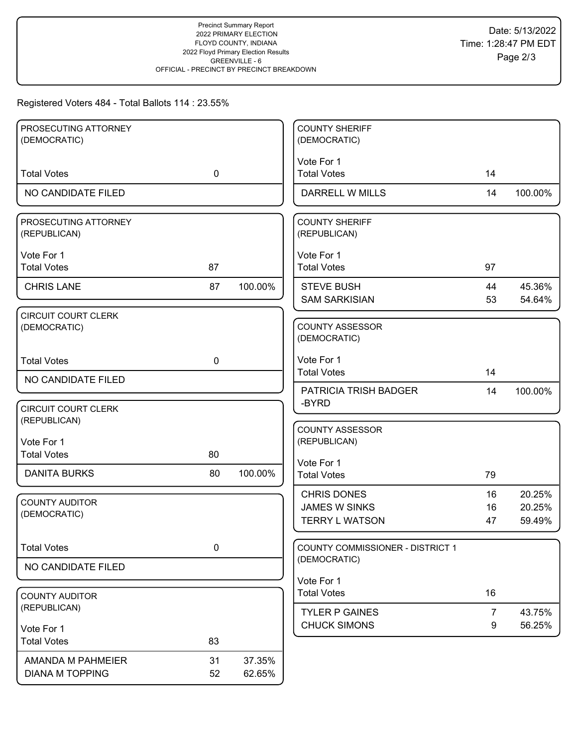# Registered Voters 484 - Total Ballots 114 : 23.55%

| PROSECUTING ATTORNEY<br>(DEMOCRATIC)       |             |         | <b>COUNTY SHERIFF</b><br>(DEMOCRATIC)      |                |                  |
|--------------------------------------------|-------------|---------|--------------------------------------------|----------------|------------------|
|                                            |             |         |                                            |                |                  |
| <b>Total Votes</b>                         | $\mathbf 0$ |         | Vote For 1<br><b>Total Votes</b>           | 14             |                  |
| NO CANDIDATE FILED                         |             |         | DARRELL W MILLS                            | 14             | 100.00%          |
| PROSECUTING ATTORNEY<br>(REPUBLICAN)       |             |         | <b>COUNTY SHERIFF</b><br>(REPUBLICAN)      |                |                  |
| Vote For 1<br><b>Total Votes</b>           | 87          |         | Vote For 1<br><b>Total Votes</b>           | 97             |                  |
| <b>CHRIS LANE</b>                          | 87          | 100.00% | <b>STEVE BUSH</b><br><b>SAM SARKISIAN</b>  | 44<br>53       | 45.36%<br>54.64% |
| <b>CIRCUIT COURT CLERK</b><br>(DEMOCRATIC) |             |         | <b>COUNTY ASSESSOR</b><br>(DEMOCRATIC)     |                |                  |
| <b>Total Votes</b>                         | $\mathbf 0$ |         | Vote For 1<br><b>Total Votes</b>           | 14             |                  |
| NO CANDIDATE FILED                         |             |         | PATRICIA TRISH BADGER                      | 14             | 100.00%          |
| <b>CIRCUIT COURT CLERK</b><br>(REPUBLICAN) |             |         | -BYRD                                      |                |                  |
| Vote For 1<br><b>Total Votes</b>           | 80          |         | <b>COUNTY ASSESSOR</b><br>(REPUBLICAN)     |                |                  |
|                                            |             |         | Vote For 1                                 |                |                  |
| <b>DANITA BURKS</b>                        | 80          | 100.00% | <b>Total Votes</b>                         | 79             |                  |
| <b>COUNTY AUDITOR</b>                      |             |         | <b>CHRIS DONES</b><br><b>JAMES W SINKS</b> | 16<br>16       | 20.25%<br>20.25% |
| (DEMOCRATIC)                               |             |         | <b>TERRY L WATSON</b>                      | 47             | 59.49%           |
| <b>Total Votes</b>                         | 0           |         | COUNTY COMMISSIONER - DISTRICT 1           |                |                  |
| NO CANDIDATE FILED                         |             |         | (DEMOCRATIC)                               |                |                  |
| <b>COUNTY AUDITOR</b>                      |             |         | Vote For 1<br><b>Total Votes</b>           | 16             |                  |
| (REPUBLICAN)                               |             |         | <b>TYLER P GAINES</b>                      | $\overline{7}$ | 43.75%           |
| Vote For 1                                 |             |         | <b>CHUCK SIMONS</b>                        | 9              | 56.25%           |
| <b>Total Votes</b>                         | 83          |         |                                            |                |                  |
| AMANDA M PAHMEIER                          | 31          | 37.35%  |                                            |                |                  |
| <b>DIANA M TOPPING</b>                     | 52          | 62.65%  |                                            |                |                  |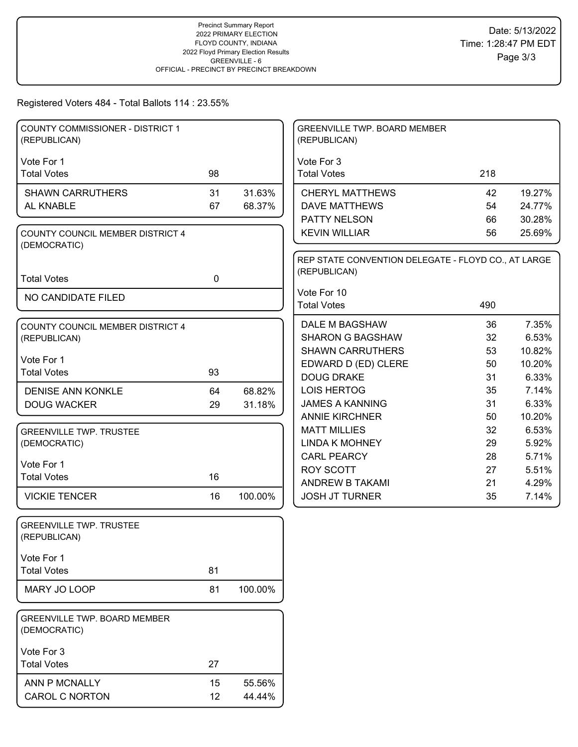#### Registered Voters 484 - Total Ballots 114 : 23.55%

| COUNTY COMMISSIONER - DISTRICT 1<br>(REPUBLICAN)    |             |         | <b>GREENVILLE TWP. BOARD MEMBER</b><br>(REPUBLICAN) |          |                |
|-----------------------------------------------------|-------------|---------|-----------------------------------------------------|----------|----------------|
| Vote For 1                                          |             |         | Vote For 3                                          |          |                |
| <b>Total Votes</b>                                  | 98          |         | <b>Total Votes</b>                                  | 218      |                |
| <b>SHAWN CARRUTHERS</b>                             | 31          | 31.63%  | <b>CHERYL MATTHEWS</b>                              | 42       | 19.27%         |
| AL KNABLE                                           | 67          | 68.37%  | <b>DAVE MATTHEWS</b>                                | 54       | 24.77%         |
|                                                     |             |         | PATTY NELSON                                        | 66       | 30.28%         |
| COUNTY COUNCIL MEMBER DISTRICT 4                    |             |         | <b>KEVIN WILLIAR</b>                                | 56       | 25.69%         |
| (DEMOCRATIC)                                        |             |         |                                                     |          |                |
|                                                     |             |         | REP STATE CONVENTION DELEGATE - FLOYD CO., AT LARGE |          |                |
| <b>Total Votes</b>                                  | $\mathbf 0$ |         | (REPUBLICAN)                                        |          |                |
|                                                     |             |         | Vote For 10                                         |          |                |
| NO CANDIDATE FILED                                  |             |         | <b>Total Votes</b>                                  | 490      |                |
| <b>COUNTY COUNCIL MEMBER DISTRICT 4</b>             |             |         | DALE M BAGSHAW                                      | 36       | 7.35%          |
| (REPUBLICAN)                                        |             |         | <b>SHARON G BAGSHAW</b>                             | 32       | 6.53%          |
|                                                     |             |         | <b>SHAWN CARRUTHERS</b>                             | 53       | 10.82%         |
| Vote For 1                                          |             |         | EDWARD D (ED) CLERE                                 | 50       | 10.20%         |
| <b>Total Votes</b>                                  | 93          |         | <b>DOUG DRAKE</b>                                   | 31       | 6.33%          |
| <b>DENISE ANN KONKLE</b>                            | 64          | 68.82%  | LOIS HERTOG                                         | 35       | 7.14%          |
| <b>DOUG WACKER</b>                                  | 29          | 31.18%  | <b>JAMES A KANNING</b>                              | 31       | 6.33%          |
|                                                     |             |         | <b>ANNIE KIRCHNER</b>                               | 50       | 10.20%         |
| <b>GREENVILLE TWP. TRUSTEE</b>                      |             |         | <b>MATT MILLIES</b>                                 | 32       | 6.53%          |
| (DEMOCRATIC)                                        |             |         | <b>LINDA K MOHNEY</b>                               | 29       | 5.92%          |
| Vote For 1                                          |             |         | <b>CARL PEARCY</b>                                  | 28       | 5.71%          |
| <b>Total Votes</b>                                  | 16          |         | ROY SCOTT<br>ANDREW B TAKAMI                        | 27<br>21 | 5.51%<br>4.29% |
| <b>VICKIE TENCER</b>                                | 16          | 100.00% | <b>JOSH JT TURNER</b>                               | 35       | 7.14%          |
|                                                     |             |         |                                                     |          |                |
| <b>GREENVILLE TWP. TRUSTEE</b>                      |             |         |                                                     |          |                |
| (REPUBLICAN)                                        |             |         |                                                     |          |                |
|                                                     |             |         |                                                     |          |                |
| Vote For 1                                          |             |         |                                                     |          |                |
| <b>Total Votes</b>                                  | 81          |         |                                                     |          |                |
| MARY JO LOOP                                        | 81          | 100.00% |                                                     |          |                |
| <b>GREENVILLE TWP. BOARD MEMBER</b><br>(DEMOCRATIC) |             |         |                                                     |          |                |
| Vote For 3                                          |             |         |                                                     |          |                |
| <b>Total Votes</b>                                  | 27          |         |                                                     |          |                |
| ANN P MCNALLY                                       | 15          | 55.56%  |                                                     |          |                |
| <b>CAROL C NORTON</b>                               | 12          | 44.44%  |                                                     |          |                |
|                                                     |             |         |                                                     |          |                |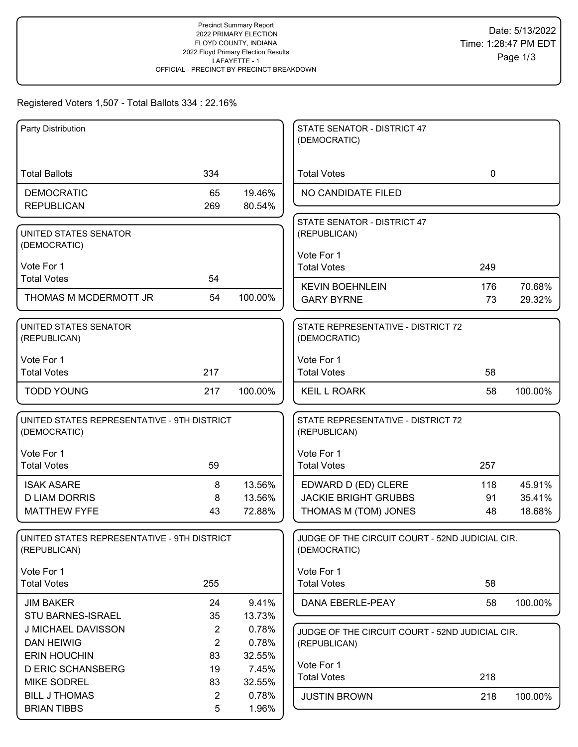#### Registered Voters 1,507 - Total Ballots 334 : 22.16%

| Party Distribution                                          |                |                 | STATE SENATOR - DISTRICT 47<br>(DEMOCRATIC)                     |             |         |
|-------------------------------------------------------------|----------------|-----------------|-----------------------------------------------------------------|-------------|---------|
| <b>Total Ballots</b>                                        | 334            |                 | <b>Total Votes</b>                                              | $\mathbf 0$ |         |
| <b>DEMOCRATIC</b>                                           | 65             | 19.46%          | NO CANDIDATE FILED                                              |             |         |
| <b>REPUBLICAN</b>                                           | 269            | 80.54%          |                                                                 |             |         |
| UNITED STATES SENATOR<br>(DEMOCRATIC)                       |                |                 | STATE SENATOR - DISTRICT 47<br>(REPUBLICAN)                     |             |         |
|                                                             |                |                 | Vote For 1                                                      |             |         |
| Vote For 1                                                  |                |                 | <b>Total Votes</b>                                              | 249         |         |
| <b>Total Votes</b>                                          | 54             |                 | <b>KEVIN BOEHNLEIN</b>                                          | 176         | 70.68%  |
| THOMAS M MCDERMOTT JR                                       | 54             | 100.00%         | <b>GARY BYRNE</b>                                               | 73          | 29.32%  |
| UNITED STATES SENATOR<br>(REPUBLICAN)                       |                |                 | STATE REPRESENTATIVE - DISTRICT 72<br>(DEMOCRATIC)              |             |         |
| Vote For 1                                                  |                |                 | Vote For 1                                                      |             |         |
| <b>Total Votes</b>                                          | 217            |                 | <b>Total Votes</b>                                              | 58          |         |
| <b>TODD YOUNG</b>                                           | 217            | 100.00%         | <b>KEIL L ROARK</b>                                             | 58          | 100.00% |
| UNITED STATES REPRESENTATIVE - 9TH DISTRICT<br>(DEMOCRATIC) |                |                 | STATE REPRESENTATIVE - DISTRICT 72<br>(REPUBLICAN)              |             |         |
| Vote For 1                                                  |                |                 | Vote For 1                                                      |             |         |
| <b>Total Votes</b>                                          | 59             |                 | <b>Total Votes</b>                                              | 257         |         |
| <b>ISAK ASARE</b>                                           | 8              | 13.56%          | EDWARD D (ED) CLERE                                             | 118         | 45.91%  |
| <b>D LIAM DORRIS</b>                                        | 8              | 13.56%          | <b>JACKIE BRIGHT GRUBBS</b>                                     | 91          | 35.41%  |
| <b>MATTHEW FYFE</b>                                         | 43             | 72.88%          | THOMAS M (TOM) JONES                                            | 48          | 18.68%  |
| UNITED STATES REPRESENTATIVE - 9TH DISTRICT<br>(REPUBLICAN) |                |                 | JUDGE OF THE CIRCUIT COURT - 52ND JUDICIAL CIR.<br>(DEMOCRATIC) |             |         |
| Vote For 1<br><b>Total Votes</b>                            | 255            |                 | Vote For 1<br><b>Total Votes</b>                                | 58          |         |
|                                                             |                |                 |                                                                 |             |         |
| <b>JIM BAKER</b><br><b>STU BARNES-ISRAEL</b>                | 24<br>35       | 9.41%           | DANA EBERLE-PEAY                                                | 58          | 100.00% |
| J MICHAEL DAVISSON                                          | $\overline{2}$ | 13.73%<br>0.78% |                                                                 |             |         |
| <b>DAN HEIWIG</b>                                           | $\overline{2}$ | 0.78%           | JUDGE OF THE CIRCUIT COURT - 52ND JUDICIAL CIR.<br>(REPUBLICAN) |             |         |
| <b>ERIN HOUCHIN</b>                                         | 83             | 32.55%          |                                                                 |             |         |
| <b>D ERIC SCHANSBERG</b>                                    | 19             | 7.45%           | Vote For 1                                                      |             |         |
| <b>MIKE SODREL</b>                                          | 83             | 32.55%          | <b>Total Votes</b>                                              | 218         |         |
| <b>BILL J THOMAS</b>                                        | $\overline{2}$ | 0.78%           | <b>JUSTIN BROWN</b>                                             | 218         | 100.00% |
| <b>BRIAN TIBBS</b>                                          | 5              | 1.96%           |                                                                 |             |         |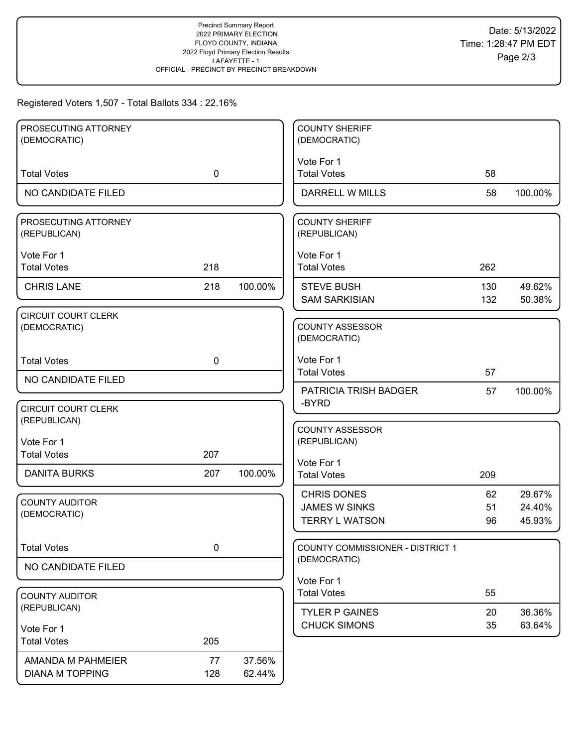# Registered Voters 1,507 - Total Ballots 334 : 22.16%

| PROSECUTING ATTORNEY                  |             |         | <b>COUNTY SHERIFF</b>                   |     |         |
|---------------------------------------|-------------|---------|-----------------------------------------|-----|---------|
| (DEMOCRATIC)                          |             |         | (DEMOCRATIC)                            |     |         |
| <b>Total Votes</b>                    | $\mathbf 0$ |         | Vote For 1<br><b>Total Votes</b>        | 58  |         |
|                                       |             |         |                                         |     |         |
| NO CANDIDATE FILED                    |             |         | DARRELL W MILLS                         | 58  | 100.00% |
| PROSECUTING ATTORNEY<br>(REPUBLICAN)  |             |         | <b>COUNTY SHERIFF</b><br>(REPUBLICAN)   |     |         |
| Vote For 1                            |             |         | Vote For 1                              |     |         |
| <b>Total Votes</b>                    | 218         |         | <b>Total Votes</b>                      | 262 |         |
| <b>CHRIS LANE</b>                     | 218         | 100.00% | <b>STEVE BUSH</b>                       | 130 | 49.62%  |
|                                       |             |         | <b>SAM SARKISIAN</b>                    | 132 | 50.38%  |
| CIRCUIT COURT CLERK<br>(DEMOCRATIC)   |             |         | <b>COUNTY ASSESSOR</b><br>(DEMOCRATIC)  |     |         |
| <b>Total Votes</b>                    | $\mathbf 0$ |         | Vote For 1                              |     |         |
| NO CANDIDATE FILED                    |             |         | <b>Total Votes</b>                      | 57  |         |
|                                       |             |         | PATRICIA TRISH BADGER<br>-BYRD          | 57  | 100.00% |
| <b>CIRCUIT COURT CLERK</b>            |             |         |                                         |     |         |
| (REPUBLICAN)                          |             |         | <b>COUNTY ASSESSOR</b>                  |     |         |
| Vote For 1                            |             |         | (REPUBLICAN)                            |     |         |
| <b>Total Votes</b>                    | 207         |         | Vote For 1                              |     |         |
| <b>DANITA BURKS</b>                   | 207         | 100.00% | <b>Total Votes</b>                      | 209 |         |
|                                       |             |         | <b>CHRIS DONES</b>                      | 62  | 29.67%  |
| <b>COUNTY AUDITOR</b><br>(DEMOCRATIC) |             |         | <b>JAMES W SINKS</b>                    | 51  | 24.40%  |
|                                       |             |         | <b>TERRY L WATSON</b>                   | 96  | 45.93%  |
| <b>Total Votes</b>                    | $\pmb{0}$   |         | <b>COUNTY COMMISSIONER - DISTRICT 1</b> |     |         |
| NO CANDIDATE FILED                    |             |         | (DEMOCRATIC)                            |     |         |
|                                       |             |         | Vote For 1                              |     |         |
| <b>COUNTY AUDITOR</b>                 |             |         | <b>Total Votes</b>                      | 55  |         |
| (REPUBLICAN)                          |             |         | <b>TYLER P GAINES</b>                   | 20  | 36.36%  |
| Vote For 1                            |             |         | <b>CHUCK SIMONS</b>                     | 35  | 63.64%  |
| <b>Total Votes</b>                    | 205         |         |                                         |     |         |
| AMANDA M PAHMEIER                     | 77          | 37.56%  |                                         |     |         |
| <b>DIANA M TOPPING</b>                | 128         | 62.44%  |                                         |     |         |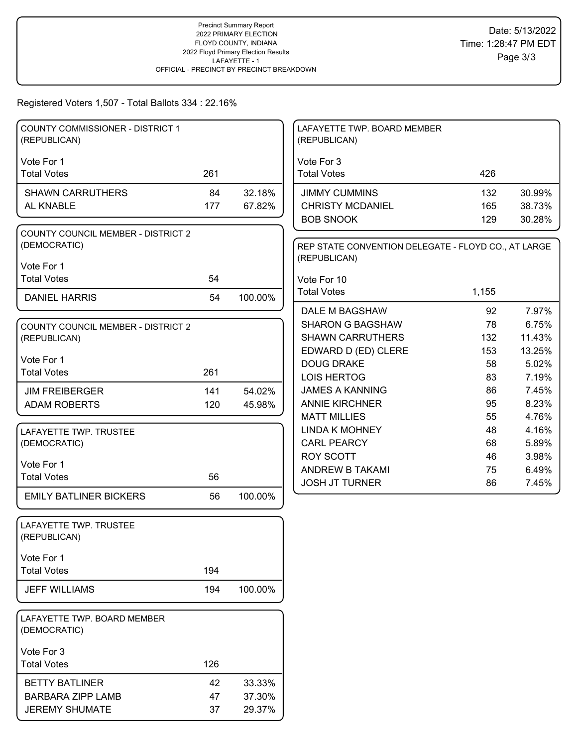#### Registered Voters 1,507 - Total Ballots 334 : 22.16%

| <b>COUNTY COMMISSIONER - DISTRICT 1</b><br>(REPUBLICAN) |            |         | LAFAYETTE TWP. BOARD MEMBER<br>(REPUBLICAN)                         |          |                |
|---------------------------------------------------------|------------|---------|---------------------------------------------------------------------|----------|----------------|
| Vote For 1                                              |            |         | Vote For 3                                                          |          |                |
| <b>Total Votes</b>                                      | 261        |         | <b>Total Votes</b>                                                  | 426      |                |
| <b>SHAWN CARRUTHERS</b>                                 | 84         | 32.18%  | <b>JIMMY CUMMINS</b>                                                | 132      | 30.99%         |
| AL KNABLE                                               | 177        | 67.82%  | <b>CHRISTY MCDANIEL</b>                                             | 165      | 38.73%         |
|                                                         |            |         | <b>BOB SNOOK</b>                                                    | 129      | 30.28%         |
| <b>COUNTY COUNCIL MEMBER - DISTRICT 2</b>               |            |         |                                                                     |          |                |
| (DEMOCRATIC)                                            |            |         | REP STATE CONVENTION DELEGATE - FLOYD CO., AT LARGE<br>(REPUBLICAN) |          |                |
| Vote For 1<br><b>Total Votes</b>                        | 54         |         |                                                                     |          |                |
|                                                         |            |         | Vote For 10<br><b>Total Votes</b>                                   | 1,155    |                |
| <b>DANIEL HARRIS</b>                                    | 54         | 100.00% |                                                                     |          |                |
|                                                         |            |         | <b>DALE M BAGSHAW</b>                                               | 92       | 7.97%          |
| <b>COUNTY COUNCIL MEMBER - DISTRICT 2</b>               |            |         | <b>SHARON G BAGSHAW</b>                                             | 78       | 6.75%          |
| (REPUBLICAN)                                            |            |         | <b>SHAWN CARRUTHERS</b>                                             | 132      | 11.43%         |
| Vote For 1                                              |            |         | EDWARD D (ED) CLERE                                                 | 153      | 13.25%         |
| <b>Total Votes</b>                                      | 261        |         | <b>DOUG DRAKE</b><br>LOIS HERTOG                                    | 58<br>83 | 5.02%<br>7.19% |
| <b>JIM FREIBERGER</b>                                   |            | 54.02%  | <b>JAMES A KANNING</b>                                              | 86       | 7.45%          |
| <b>ADAM ROBERTS</b>                                     | 141<br>120 | 45.98%  | <b>ANNIE KIRCHNER</b>                                               | 95       | 8.23%          |
|                                                         |            |         | <b>MATT MILLIES</b>                                                 | 55       | 4.76%          |
| LAFAYETTE TWP. TRUSTEE                                  |            |         | <b>LINDA K MOHNEY</b>                                               | 48       | 4.16%          |
| (DEMOCRATIC)                                            |            |         | <b>CARL PEARCY</b>                                                  | 68       | 5.89%          |
|                                                         |            |         | <b>ROY SCOTT</b>                                                    | 46       | 3.98%          |
| Vote For 1                                              |            |         | ANDREW B TAKAMI                                                     | 75       | 6.49%          |
| <b>Total Votes</b>                                      | 56         |         | <b>JOSH JT TURNER</b>                                               | 86       | 7.45%          |
| <b>EMILY BATLINER BICKERS</b>                           | 56         | 100.00% |                                                                     |          |                |
| LAFAYETTE TWP. TRUSTEE<br>(REPUBLICAN)                  |            |         |                                                                     |          |                |
| Vote For 1                                              |            |         |                                                                     |          |                |
| <b>Total Votes</b>                                      | 194        |         |                                                                     |          |                |
| <b>JEFF WILLIAMS</b>                                    | 194        | 100.00% |                                                                     |          |                |
|                                                         |            |         |                                                                     |          |                |
| LAFAYETTE TWP. BOARD MEMBER<br>(DEMOCRATIC)             |            |         |                                                                     |          |                |
| Vote For 3                                              |            |         |                                                                     |          |                |
| <b>Total Votes</b>                                      | 126        |         |                                                                     |          |                |
| <b>BETTY BATLINER</b>                                   | 42         | 33.33%  |                                                                     |          |                |
| <b>BARBARA ZIPP LAMB</b>                                | 47         | 37.30%  |                                                                     |          |                |
| <b>JEREMY SHUMATE</b>                                   | 37         | 29.37%  |                                                                     |          |                |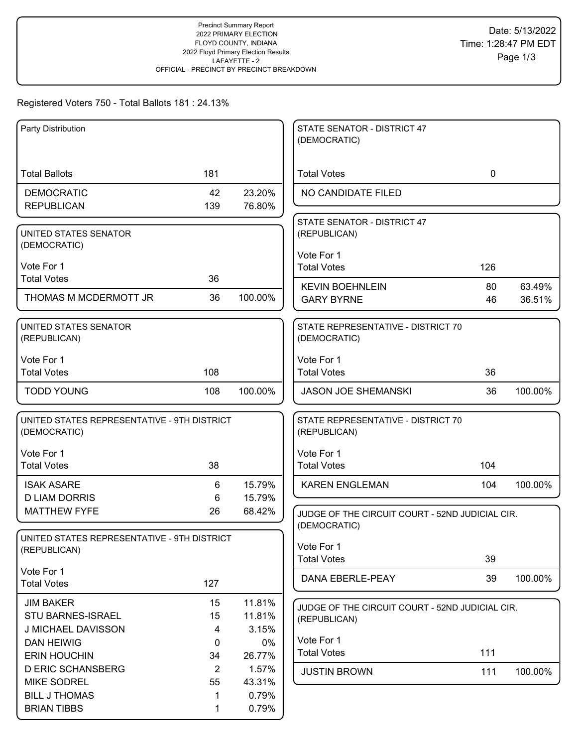# Registered Voters 750 - Total Ballots 181 : 24.13%

| Party Distribution                          |                |         | STATE SENATOR - DISTRICT 47                     |             |         |
|---------------------------------------------|----------------|---------|-------------------------------------------------|-------------|---------|
|                                             |                |         | (DEMOCRATIC)                                    |             |         |
|                                             |                |         |                                                 |             |         |
| <b>Total Ballots</b>                        | 181            |         | <b>Total Votes</b>                              | $\mathbf 0$ |         |
| <b>DEMOCRATIC</b>                           | 42             | 23.20%  | NO CANDIDATE FILED                              |             |         |
| <b>REPUBLICAN</b>                           | 139            | 76.80%  |                                                 |             |         |
|                                             |                |         | STATE SENATOR - DISTRICT 47                     |             |         |
| UNITED STATES SENATOR<br>(DEMOCRATIC)       |                |         | (REPUBLICAN)                                    |             |         |
|                                             |                |         | Vote For 1                                      |             |         |
| Vote For 1                                  |                |         | <b>Total Votes</b>                              | 126         |         |
| <b>Total Votes</b>                          | 36             |         | <b>KEVIN BOEHNLEIN</b>                          | 80          | 63.49%  |
| THOMAS M MCDERMOTT JR                       | 36             | 100.00% | <b>GARY BYRNE</b>                               | 46          | 36.51%  |
|                                             |                |         |                                                 |             |         |
| UNITED STATES SENATOR                       |                |         | STATE REPRESENTATIVE - DISTRICT 70              |             |         |
| (REPUBLICAN)                                |                |         | (DEMOCRATIC)                                    |             |         |
| Vote For 1                                  |                |         | Vote For 1                                      |             |         |
| <b>Total Votes</b>                          | 108            |         | <b>Total Votes</b>                              | 36          |         |
| <b>TODD YOUNG</b>                           | 108            | 100.00% | <b>JASON JOE SHEMANSKI</b>                      | 36          | 100.00% |
|                                             |                |         |                                                 |             |         |
| UNITED STATES REPRESENTATIVE - 9TH DISTRICT |                |         | STATE REPRESENTATIVE - DISTRICT 70              |             |         |
| (DEMOCRATIC)                                |                |         | (REPUBLICAN)                                    |             |         |
| Vote For 1                                  |                |         | Vote For 1                                      |             |         |
| <b>Total Votes</b>                          | 38             |         | <b>Total Votes</b>                              | 104         |         |
| <b>ISAK ASARE</b>                           | 6              | 15.79%  | <b>KAREN ENGLEMAN</b>                           | 104         | 100.00% |
| <b>D LIAM DORRIS</b>                        | 6              | 15.79%  |                                                 |             |         |
| <b>MATTHEW FYFE</b>                         | 26             | 68.42%  | JUDGE OF THE CIRCUIT COURT - 52ND JUDICIAL CIR. |             |         |
|                                             |                |         | (DEMOCRATIC)                                    |             |         |
| UNITED STATES REPRESENTATIVE - 9TH DISTRICT |                |         | Vote For 1                                      |             |         |
| (REPUBLICAN)                                |                |         | <b>Total Votes</b>                              | 39          |         |
| Vote For 1                                  |                |         | DANA EBERLE-PEAY                                | 39          | 100.00% |
| <b>Total Votes</b>                          | 127            |         |                                                 |             |         |
| <b>JIM BAKER</b>                            | 15             | 11.81%  | JUDGE OF THE CIRCUIT COURT - 52ND JUDICIAL CIR. |             |         |
| <b>STU BARNES-ISRAEL</b>                    | 15             | 11.81%  | (REPUBLICAN)                                    |             |         |
| J MICHAEL DAVISSON                          | 4              | 3.15%   |                                                 |             |         |
| <b>DAN HEIWIG</b>                           | $\mathbf 0$    | 0%      | Vote For 1                                      |             |         |
| <b>ERIN HOUCHIN</b>                         | 34             | 26.77%  | <b>Total Votes</b>                              | 111         |         |
| <b>D ERIC SCHANSBERG</b>                    | $\overline{2}$ | 1.57%   | <b>JUSTIN BROWN</b>                             | 111         | 100.00% |
| <b>MIKE SODREL</b>                          | 55             | 43.31%  |                                                 |             |         |
| <b>BILL J THOMAS</b>                        | 1              | 0.79%   |                                                 |             |         |
| <b>BRIAN TIBBS</b>                          | 1              | 0.79%   |                                                 |             |         |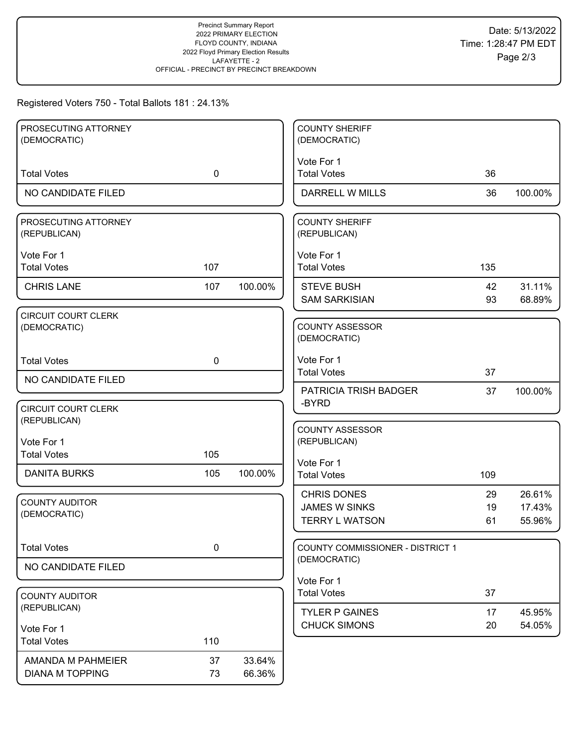# Registered Voters 750 - Total Ballots 181 : 24.13%

| PROSECUTING ATTORNEY<br>(DEMOCRATIC)       |             |         | <b>COUNTY SHERIFF</b><br>(DEMOCRATIC)         |          |                  |
|--------------------------------------------|-------------|---------|-----------------------------------------------|----------|------------------|
|                                            |             |         |                                               |          |                  |
| <b>Total Votes</b>                         | $\mathbf 0$ |         | Vote For 1<br><b>Total Votes</b>              | 36       |                  |
| NO CANDIDATE FILED                         |             |         | <b>DARRELL W MILLS</b>                        | 36       | 100.00%          |
| PROSECUTING ATTORNEY<br>(REPUBLICAN)       |             |         | <b>COUNTY SHERIFF</b><br>(REPUBLICAN)         |          |                  |
| Vote For 1<br><b>Total Votes</b>           | 107         |         | Vote For 1<br><b>Total Votes</b>              | 135      |                  |
| <b>CHRIS LANE</b>                          | 107         | 100.00% | <b>STEVE BUSH</b><br><b>SAM SARKISIAN</b>     | 42<br>93 | 31.11%<br>68.89% |
| <b>CIRCUIT COURT CLERK</b><br>(DEMOCRATIC) |             |         | <b>COUNTY ASSESSOR</b><br>(DEMOCRATIC)        |          |                  |
| <b>Total Votes</b>                         | $\mathbf 0$ |         | Vote For 1<br><b>Total Votes</b>              | 37       |                  |
| NO CANDIDATE FILED                         |             |         | <b>PATRICIA TRISH BADGER</b>                  |          | 100.00%          |
| <b>CIRCUIT COURT CLERK</b><br>(REPUBLICAN) |             |         | -BYRD                                         | 37       |                  |
| Vote For 1                                 |             |         | <b>COUNTY ASSESSOR</b><br>(REPUBLICAN)        |          |                  |
| <b>Total Votes</b>                         | 105         |         | Vote For 1                                    |          |                  |
| <b>DANITA BURKS</b>                        | 105         | 100.00% | <b>Total Votes</b>                            | 109      |                  |
| <b>COUNTY AUDITOR</b>                      |             |         | <b>CHRIS DONES</b>                            | 29       | 26.61%           |
| (DEMOCRATIC)                               |             |         | <b>JAMES W SINKS</b><br><b>TERRY L WATSON</b> | 19<br>61 | 17.43%<br>55.96% |
|                                            |             |         |                                               |          |                  |
| <b>Total Votes</b>                         | 0           |         | COUNTY COMMISSIONER - DISTRICT 1              |          |                  |
| NO CANDIDATE FILED                         |             |         | (DEMOCRATIC)                                  |          |                  |
|                                            |             |         | Vote For 1                                    |          |                  |
| <b>COUNTY AUDITOR</b><br>(REPUBLICAN)      |             |         | <b>Total Votes</b>                            | 37       |                  |
|                                            |             |         | <b>TYLER P GAINES</b><br><b>CHUCK SIMONS</b>  | 17<br>20 | 45.95%<br>54.05% |
| Vote For 1<br><b>Total Votes</b>           | 110         |         |                                               |          |                  |
|                                            |             |         |                                               |          |                  |
| AMANDA M PAHMEIER                          | 37          | 33.64%  |                                               |          |                  |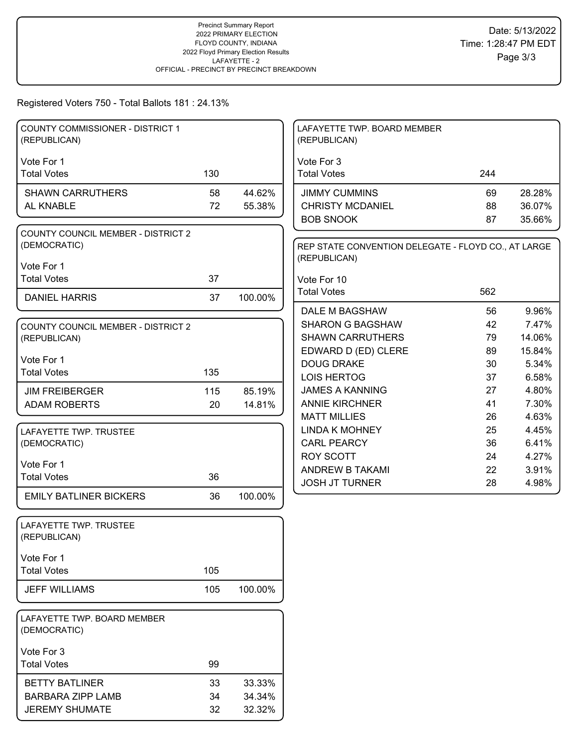# Registered Voters 750 - Total Ballots 181 : 24.13%

| COUNTY COMMISSIONER - DISTRICT 1<br>(REPUBLICAN) |     |         | LAFAYETTE TWP. BOARD MEMBER<br>(REPUBLICAN)         |          |        |
|--------------------------------------------------|-----|---------|-----------------------------------------------------|----------|--------|
| Vote For 1                                       |     |         | Vote For 3                                          |          |        |
| <b>Total Votes</b>                               | 130 |         | <b>Total Votes</b>                                  | 244      |        |
| <b>SHAWN CARRUTHERS</b>                          | 58  | 44.62%  | <b>JIMMY CUMMINS</b>                                | 69       | 28.28% |
| AL KNABLE                                        | 72  | 55.38%  | <b>CHRISTY MCDANIEL</b>                             | 88       | 36.07% |
|                                                  |     |         | <b>BOB SNOOK</b>                                    | 87       | 35.66% |
| <b>COUNTY COUNCIL MEMBER - DISTRICT 2</b>        |     |         |                                                     |          |        |
| (DEMOCRATIC)                                     |     |         | REP STATE CONVENTION DELEGATE - FLOYD CO., AT LARGE |          |        |
| Vote For 1                                       |     |         | (REPUBLICAN)                                        |          |        |
| <b>Total Votes</b>                               | 37  |         | Vote For 10                                         |          |        |
| <b>DANIEL HARRIS</b>                             | 37  | 100.00% | <b>Total Votes</b>                                  | 562      |        |
|                                                  |     |         | DALE M BAGSHAW                                      | 56       | 9.96%  |
| <b>COUNTY COUNCIL MEMBER - DISTRICT 2</b>        |     |         | <b>SHARON G BAGSHAW</b>                             | 42       | 7.47%  |
| (REPUBLICAN)                                     |     |         | <b>SHAWN CARRUTHERS</b>                             | 79       | 14.06% |
|                                                  |     |         | EDWARD D (ED) CLERE                                 | 89       | 15.84% |
| Vote For 1                                       |     |         | <b>DOUG DRAKE</b>                                   | 30       | 5.34%  |
| <b>Total Votes</b>                               | 135 |         | LOIS HERTOG                                         | 37       | 6.58%  |
| <b>JIM FREIBERGER</b>                            | 115 | 85.19%  | <b>JAMES A KANNING</b>                              | 27       | 4.80%  |
| <b>ADAM ROBERTS</b>                              | 20  | 14.81%  | <b>ANNIE KIRCHNER</b>                               | 41       | 7.30%  |
|                                                  |     |         | <b>MATT MILLIES</b>                                 | 26       | 4.63%  |
| LAFAYETTE TWP. TRUSTEE                           |     |         | <b>LINDA K MOHNEY</b>                               | 25       | 4.45%  |
| (DEMOCRATIC)                                     |     |         | <b>CARL PEARCY</b>                                  | 36       | 6.41%  |
| Vote For 1                                       |     |         | <b>ROY SCOTT</b>                                    | 24       | 4.27%  |
| <b>Total Votes</b>                               | 36  |         | ANDREW B TAKAMI                                     | 22<br>28 | 3.91%  |
| <b>EMILY BATLINER BICKERS</b>                    | 36  | 100.00% | <b>JOSH JT TURNER</b>                               |          | 4.98%  |
|                                                  |     |         |                                                     |          |        |
| LAFAYETTE TWP. TRUSTEE                           |     |         |                                                     |          |        |
| (REPUBLICAN)                                     |     |         |                                                     |          |        |
|                                                  |     |         |                                                     |          |        |
| Vote For 1                                       |     |         |                                                     |          |        |
| <b>Total Votes</b>                               | 105 |         |                                                     |          |        |
| <b>JEFF WILLIAMS</b>                             | 105 | 100.00% |                                                     |          |        |
|                                                  |     |         |                                                     |          |        |
| LAFAYETTE TWP. BOARD MEMBER                      |     |         |                                                     |          |        |
| (DEMOCRATIC)                                     |     |         |                                                     |          |        |
| Vote For 3                                       |     |         |                                                     |          |        |
| <b>Total Votes</b>                               | 99  |         |                                                     |          |        |
| <b>BETTY BATLINER</b>                            | 33  | 33.33%  |                                                     |          |        |
| <b>BARBARA ZIPP LAMB</b>                         | 34  | 34.34%  |                                                     |          |        |
| <b>JEREMY SHUMATE</b>                            | 32  | 32.32%  |                                                     |          |        |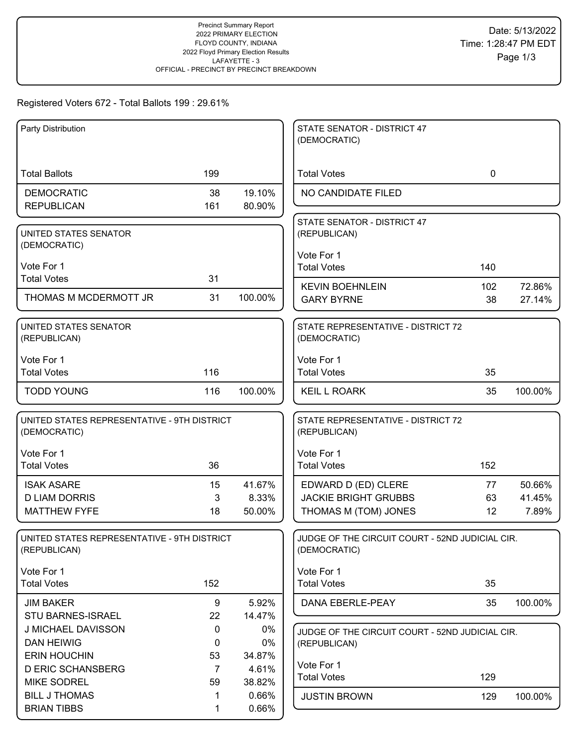# Registered Voters 672 - Total Ballots 199 : 29.61%

| Party Distribution                          |                |         | STATE SENATOR - DISTRICT 47                                     |             |         |
|---------------------------------------------|----------------|---------|-----------------------------------------------------------------|-------------|---------|
|                                             |                |         | (DEMOCRATIC)                                                    |             |         |
|                                             |                |         |                                                                 |             |         |
| <b>Total Ballots</b>                        | 199            |         | <b>Total Votes</b>                                              | $\mathbf 0$ |         |
| <b>DEMOCRATIC</b>                           | 38             | 19.10%  | NO CANDIDATE FILED                                              |             |         |
| <b>REPUBLICAN</b>                           | 161            | 80.90%  |                                                                 |             |         |
|                                             |                |         | STATE SENATOR - DISTRICT 47                                     |             |         |
| UNITED STATES SENATOR                       |                |         | (REPUBLICAN)                                                    |             |         |
| (DEMOCRATIC)                                |                |         |                                                                 |             |         |
| Vote For 1                                  |                |         | Vote For 1<br><b>Total Votes</b>                                | 140         |         |
| <b>Total Votes</b>                          | 31             |         |                                                                 |             |         |
|                                             |                |         | <b>KEVIN BOEHNLEIN</b>                                          | 102         | 72.86%  |
| THOMAS M MCDERMOTT JR                       | 31             | 100.00% | <b>GARY BYRNE</b>                                               | 38          | 27.14%  |
| UNITED STATES SENATOR                       |                |         | STATE REPRESENTATIVE - DISTRICT 72                              |             |         |
| (REPUBLICAN)                                |                |         | (DEMOCRATIC)                                                    |             |         |
|                                             |                |         |                                                                 |             |         |
| Vote For 1                                  |                |         | Vote For 1                                                      |             |         |
| <b>Total Votes</b>                          | 116            |         | <b>Total Votes</b>                                              | 35          |         |
| <b>TODD YOUNG</b>                           | 116            | 100.00% | <b>KEIL L ROARK</b>                                             | 35          | 100.00% |
|                                             |                |         |                                                                 |             |         |
| UNITED STATES REPRESENTATIVE - 9TH DISTRICT |                |         | STATE REPRESENTATIVE - DISTRICT 72                              |             |         |
| (DEMOCRATIC)                                |                |         | (REPUBLICAN)                                                    |             |         |
| Vote For 1                                  |                |         | Vote For 1                                                      |             |         |
| <b>Total Votes</b>                          | 36             |         | <b>Total Votes</b>                                              | 152         |         |
|                                             |                |         |                                                                 |             |         |
| <b>ISAK ASARE</b>                           | 15             | 41.67%  | EDWARD D (ED) CLERE                                             | 77          | 50.66%  |
| <b>D LIAM DORRIS</b>                        | 3              | 8.33%   | <b>JACKIE BRIGHT GRUBBS</b>                                     | 63          | 41.45%  |
| <b>MATTHEW FYFE</b>                         | 18             | 50.00%  | THOMAS M (TOM) JONES                                            | 12          | 7.89%   |
| UNITED STATES REPRESENTATIVE - 9TH DISTRICT |                |         |                                                                 |             |         |
| (REPUBLICAN)                                |                |         | JUDGE OF THE CIRCUIT COURT - 52ND JUDICIAL CIR.<br>(DEMOCRATIC) |             |         |
|                                             |                |         |                                                                 |             |         |
| Vote For 1                                  |                |         | Vote For 1                                                      |             |         |
| <b>Total Votes</b>                          | 152            |         | <b>Total Votes</b>                                              | 35          |         |
| <b>JIM BAKER</b>                            | 9              | 5.92%   | DANA EBERLE-PEAY                                                | 35          | 100.00% |
| <b>STU BARNES-ISRAEL</b>                    | 22             | 14.47%  |                                                                 |             |         |
| J MICHAEL DAVISSON                          | 0              | $0\%$   | JUDGE OF THE CIRCUIT COURT - 52ND JUDICIAL CIR.                 |             |         |
| <b>DAN HEIWIG</b>                           | 0              | $0\%$   | (REPUBLICAN)                                                    |             |         |
| <b>ERIN HOUCHIN</b>                         | 53             | 34.87%  |                                                                 |             |         |
| <b>D ERIC SCHANSBERG</b>                    | $\overline{7}$ | 4.61%   | Vote For 1                                                      |             |         |
| <b>MIKE SODREL</b>                          | 59             | 38.82%  | <b>Total Votes</b>                                              | 129         |         |
| <b>BILL J THOMAS</b>                        | 1              | 0.66%   | <b>JUSTIN BROWN</b>                                             | 129         | 100.00% |
| <b>BRIAN TIBBS</b>                          | 1              | 0.66%   |                                                                 |             |         |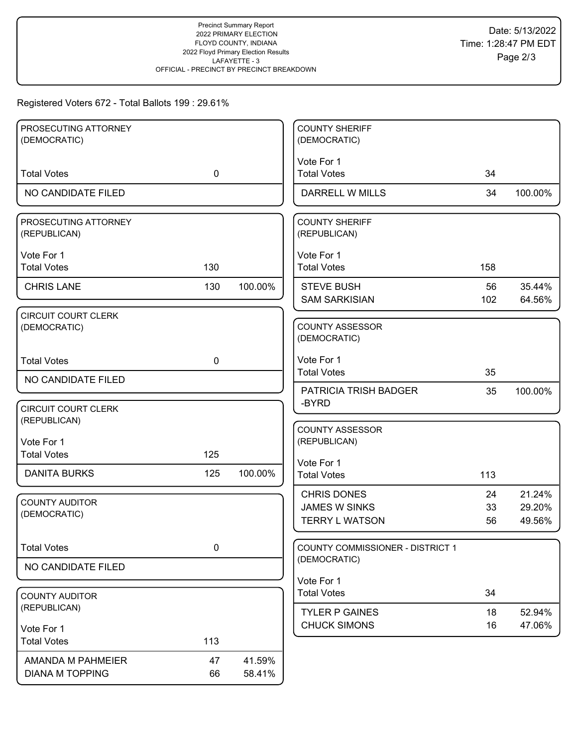# Registered Voters 672 - Total Ballots 199 : 29.61%

| PROSECUTING ATTORNEY<br>(DEMOCRATIC)       |             |         | <b>COUNTY SHERIFF</b><br>(DEMOCRATIC)            |           |                  |
|--------------------------------------------|-------------|---------|--------------------------------------------------|-----------|------------------|
|                                            |             |         |                                                  |           |                  |
| <b>Total Votes</b>                         | $\mathbf 0$ |         | Vote For 1<br><b>Total Votes</b>                 | 34        |                  |
| NO CANDIDATE FILED                         |             |         | <b>DARRELL W MILLS</b>                           | 34        | 100.00%          |
| PROSECUTING ATTORNEY<br>(REPUBLICAN)       |             |         | <b>COUNTY SHERIFF</b><br>(REPUBLICAN)            |           |                  |
| Vote For 1<br><b>Total Votes</b>           | 130         |         | Vote For 1<br><b>Total Votes</b>                 | 158       |                  |
| <b>CHRIS LANE</b>                          | 130         | 100.00% | <b>STEVE BUSH</b><br><b>SAM SARKISIAN</b>        | 56<br>102 | 35.44%<br>64.56% |
| <b>CIRCUIT COURT CLERK</b><br>(DEMOCRATIC) |             |         | <b>COUNTY ASSESSOR</b><br>(DEMOCRATIC)           |           |                  |
| <b>Total Votes</b>                         | $\mathbf 0$ |         | Vote For 1<br><b>Total Votes</b>                 | 35        |                  |
| NO CANDIDATE FILED                         |             |         | <b>PATRICIA TRISH BADGER</b>                     | 35        | 100.00%          |
| <b>CIRCUIT COURT CLERK</b><br>(REPUBLICAN) |             |         | -BYRD                                            |           |                  |
| Vote For 1                                 |             |         | <b>COUNTY ASSESSOR</b><br>(REPUBLICAN)           |           |                  |
| <b>Total Votes</b>                         | 125         |         | Vote For 1                                       |           |                  |
| <b>DANITA BURKS</b>                        | 125         | 100.00% | <b>Total Votes</b>                               | 113       |                  |
| <b>COUNTY AUDITOR</b><br>(DEMOCRATIC)      |             |         | <b>CHRIS DONES</b><br><b>JAMES W SINKS</b>       | 24<br>33  | 21.24%<br>29.20% |
|                                            |             |         | <b>TERRY L WATSON</b>                            | 56        | 49.56%           |
| <b>Total Votes</b>                         | 0           |         | COUNTY COMMISSIONER - DISTRICT 1<br>(DEMOCRATIC) |           |                  |
| NO CANDIDATE FILED                         |             |         |                                                  |           |                  |
|                                            |             |         | Vote For 1<br><b>Total Votes</b>                 | 34        |                  |
| <b>COUNTY AUDITOR</b><br>(REPUBLICAN)      |             |         |                                                  |           |                  |
|                                            |             |         | <b>TYLER P GAINES</b><br><b>CHUCK SIMONS</b>     | 18<br>16  | 52.94%<br>47.06% |
| Vote For 1<br><b>Total Votes</b>           | 113         |         |                                                  |           |                  |
| AMANDA M PAHMEIER                          | 47          | 41.59%  |                                                  |           |                  |
| <b>DIANA M TOPPING</b>                     | 66          | 58.41%  |                                                  |           |                  |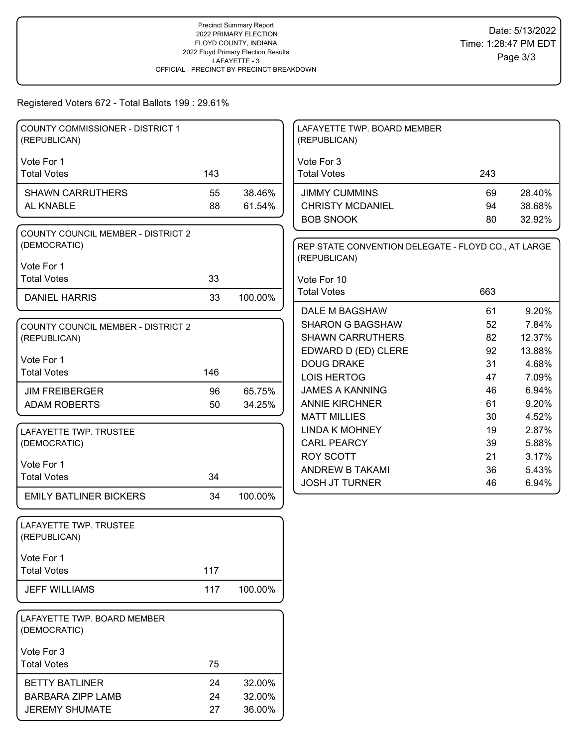# Registered Voters 672 - Total Ballots 199 : 29.61%

| <b>COUNTY COMMISSIONER - DISTRICT 1</b> |     |         | LAFAYETTE TWP. BOARD MEMBER                         |     |        |
|-----------------------------------------|-----|---------|-----------------------------------------------------|-----|--------|
| (REPUBLICAN)                            |     |         | (REPUBLICAN)                                        |     |        |
|                                         |     |         |                                                     |     |        |
| Vote For 1                              |     |         | Vote For 3                                          |     |        |
| <b>Total Votes</b>                      | 143 |         | <b>Total Votes</b>                                  | 243 |        |
| <b>SHAWN CARRUTHERS</b>                 | 55  | 38.46%  | <b>JIMMY CUMMINS</b>                                | 69  | 28.40% |
| AL KNABLE                               | 88  | 61.54%  | <b>CHRISTY MCDANIEL</b>                             | 94  | 38.68% |
|                                         |     |         | <b>BOB SNOOK</b>                                    | 80  | 32.92% |
| COUNTY COUNCIL MEMBER - DISTRICT 2      |     |         |                                                     |     |        |
| (DEMOCRATIC)                            |     |         | REP STATE CONVENTION DELEGATE - FLOYD CO., AT LARGE |     |        |
|                                         |     |         | (REPUBLICAN)                                        |     |        |
| Vote For 1                              |     |         |                                                     |     |        |
| <b>Total Votes</b>                      | 33  |         | Vote For 10                                         |     |        |
| <b>DANIEL HARRIS</b>                    | 33  | 100.00% | <b>Total Votes</b>                                  | 663 |        |
|                                         |     |         | DALE M BAGSHAW                                      | 61  | 9.20%  |
| COUNTY COUNCIL MEMBER - DISTRICT 2      |     |         | <b>SHARON G BAGSHAW</b>                             | 52  | 7.84%  |
| (REPUBLICAN)                            |     |         | <b>SHAWN CARRUTHERS</b>                             | 82  | 12.37% |
|                                         |     |         | EDWARD D (ED) CLERE                                 | 92  | 13.88% |
| Vote For 1                              |     |         | <b>DOUG DRAKE</b>                                   | 31  | 4.68%  |
| <b>Total Votes</b>                      | 146 |         | <b>LOIS HERTOG</b>                                  | 47  | 7.09%  |
| <b>JIM FREIBERGER</b>                   | 96  | 65.75%  | <b>JAMES A KANNING</b>                              | 46  | 6.94%  |
| <b>ADAM ROBERTS</b>                     | 50  | 34.25%  | <b>ANNIE KIRCHNER</b>                               | 61  | 9.20%  |
|                                         |     |         | <b>MATT MILLIES</b>                                 | 30  | 4.52%  |
| LAFAYETTE TWP. TRUSTEE                  |     |         | <b>LINDA K MOHNEY</b>                               | 19  | 2.87%  |
| (DEMOCRATIC)                            |     |         | <b>CARL PEARCY</b>                                  | 39  | 5.88%  |
|                                         |     |         | <b>ROY SCOTT</b>                                    | 21  | 3.17%  |
| Vote For 1<br><b>Total Votes</b>        | 34  |         | ANDREW B TAKAMI                                     | 36  | 5.43%  |
|                                         |     |         | <b>JOSH JT TURNER</b>                               | 46  | 6.94%  |
| <b>EMILY BATLINER BICKERS</b>           | 34  | 100.00% |                                                     |     |        |
|                                         |     |         |                                                     |     |        |
| LAFAYETTE TWP. TRUSTEE                  |     |         |                                                     |     |        |
| (REPUBLICAN)                            |     |         |                                                     |     |        |
| Vote For 1                              |     |         |                                                     |     |        |
| <b>Total Votes</b>                      | 117 |         |                                                     |     |        |
|                                         |     |         |                                                     |     |        |
| <b>JEFF WILLIAMS</b>                    | 117 | 100.00% |                                                     |     |        |
|                                         |     |         |                                                     |     |        |
| LAFAYETTE TWP. BOARD MEMBER             |     |         |                                                     |     |        |
| (DEMOCRATIC)                            |     |         |                                                     |     |        |
| Vote For 3                              |     |         |                                                     |     |        |
| <b>Total Votes</b>                      | 75  |         |                                                     |     |        |
|                                         |     |         |                                                     |     |        |
| <b>BETTY BATLINER</b>                   | 24  | 32.00%  |                                                     |     |        |
| <b>BARBARA ZIPP LAMB</b>                | 24  | 32.00%  |                                                     |     |        |
| <b>JEREMY SHUMATE</b>                   | 27  | 36.00%  |                                                     |     |        |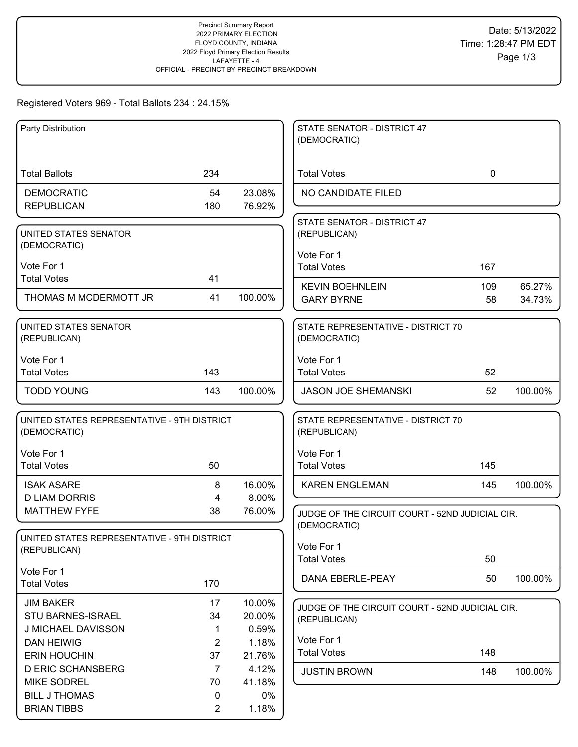# Registered Voters 969 - Total Ballots 234 : 24.15%

| Party Distribution                                          |                |         | STATE SENATOR - DISTRICT 47<br>(DEMOCRATIC)                     |              |         |
|-------------------------------------------------------------|----------------|---------|-----------------------------------------------------------------|--------------|---------|
| <b>Total Ballots</b>                                        | 234            |         | <b>Total Votes</b>                                              | $\mathbf{0}$ |         |
| <b>DEMOCRATIC</b>                                           | 54             | 23.08%  | NO CANDIDATE FILED                                              |              |         |
| <b>REPUBLICAN</b>                                           | 180            | 76.92%  |                                                                 |              |         |
| UNITED STATES SENATOR<br>(DEMOCRATIC)                       |                |         | STATE SENATOR - DISTRICT 47<br>(REPUBLICAN)                     |              |         |
|                                                             |                |         | Vote For 1                                                      |              |         |
| Vote For 1<br><b>Total Votes</b>                            | 41             |         | <b>Total Votes</b>                                              | 167          |         |
|                                                             |                |         | <b>KEVIN BOEHNLEIN</b>                                          | 109          | 65.27%  |
| THOMAS M MCDERMOTT JR                                       | 41             | 100.00% | <b>GARY BYRNE</b>                                               | 58           | 34.73%  |
| UNITED STATES SENATOR<br>(REPUBLICAN)                       |                |         | STATE REPRESENTATIVE - DISTRICT 70<br>(DEMOCRATIC)              |              |         |
| Vote For 1                                                  |                |         | Vote For 1                                                      |              |         |
| <b>Total Votes</b>                                          | 143            |         | <b>Total Votes</b>                                              | 52           |         |
| <b>TODD YOUNG</b>                                           | 143            | 100.00% | <b>JASON JOE SHEMANSKI</b>                                      | 52           | 100.00% |
| UNITED STATES REPRESENTATIVE - 9TH DISTRICT<br>(DEMOCRATIC) |                |         | STATE REPRESENTATIVE - DISTRICT 70<br>(REPUBLICAN)              |              |         |
| Vote For 1                                                  |                |         | Vote For 1                                                      |              |         |
| <b>Total Votes</b>                                          | 50             |         | <b>Total Votes</b>                                              | 145          |         |
| <b>ISAK ASARE</b>                                           | 8              | 16.00%  | <b>KAREN ENGLEMAN</b>                                           | 145          | 100.00% |
| <b>D LIAM DORRIS</b>                                        | 4              | 8.00%   |                                                                 |              |         |
| <b>MATTHEW FYFE</b>                                         | 38             | 76.00%  | JUDGE OF THE CIRCUIT COURT - 52ND JUDICIAL CIR.                 |              |         |
| UNITED STATES REPRESENTATIVE - 9TH DISTRICT                 |                |         | (DEMOCRATIC)                                                    |              |         |
| (REPUBLICAN)                                                |                |         | Vote For 1                                                      |              |         |
|                                                             |                |         | <b>Total Votes</b>                                              | 50           |         |
| Vote For 1<br><b>Total Votes</b>                            | 170            |         | DANA EBERLE-PEAY                                                | 50           | 100.00% |
| <b>JIM BAKER</b>                                            | 17             | 10.00%  |                                                                 |              |         |
| STU BARNES-ISRAEL                                           | 34             | 20.00%  | JUDGE OF THE CIRCUIT COURT - 52ND JUDICIAL CIR.<br>(REPUBLICAN) |              |         |
| J MICHAEL DAVISSON                                          | 1              | 0.59%   |                                                                 |              |         |
| <b>DAN HEIWIG</b>                                           | $\overline{2}$ | 1.18%   | Vote For 1                                                      |              |         |
| <b>ERIN HOUCHIN</b>                                         | 37             | 21.76%  | <b>Total Votes</b>                                              | 148          |         |
| <b>D ERIC SCHANSBERG</b>                                    | $\overline{7}$ | 4.12%   | <b>JUSTIN BROWN</b>                                             | 148          | 100.00% |
| <b>MIKE SODREL</b>                                          | 70             | 41.18%  |                                                                 |              |         |
| <b>BILL J THOMAS</b>                                        | 0              | $0\%$   |                                                                 |              |         |
| <b>BRIAN TIBBS</b>                                          | $\overline{2}$ | 1.18%   |                                                                 |              |         |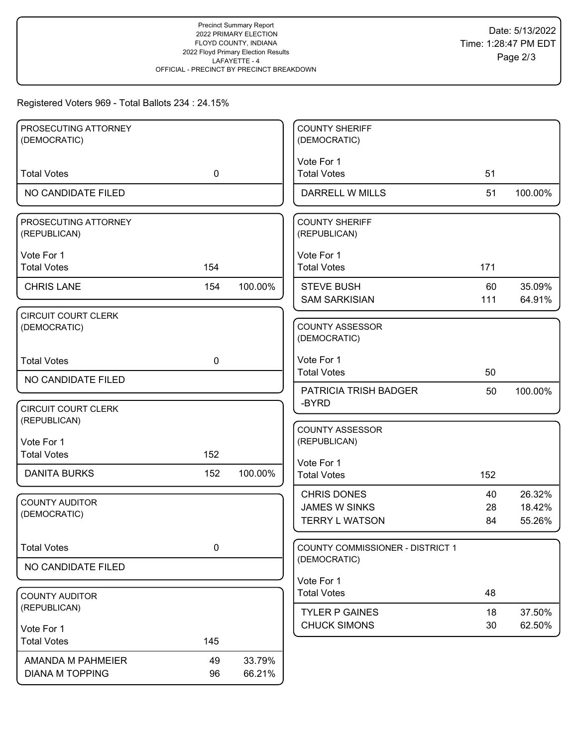# Registered Voters 969 - Total Ballots 234 : 24.15%

| PROSECUTING ATTORNEY                       |             |         | <b>COUNTY SHERIFF</b>                     |           |                  |
|--------------------------------------------|-------------|---------|-------------------------------------------|-----------|------------------|
| (DEMOCRATIC)                               |             |         | (DEMOCRATIC)                              |           |                  |
|                                            |             |         | Vote For 1                                |           |                  |
| <b>Total Votes</b>                         | $\mathbf 0$ |         | <b>Total Votes</b>                        | 51        |                  |
| NO CANDIDATE FILED                         |             |         | <b>DARRELL W MILLS</b>                    | 51        | 100.00%          |
| PROSECUTING ATTORNEY<br>(REPUBLICAN)       |             |         | <b>COUNTY SHERIFF</b><br>(REPUBLICAN)     |           |                  |
| Vote For 1                                 |             |         | Vote For 1                                |           |                  |
| <b>Total Votes</b>                         | 154         |         | <b>Total Votes</b>                        | 171       |                  |
| <b>CHRIS LANE</b>                          | 154         | 100.00% | <b>STEVE BUSH</b><br><b>SAM SARKISIAN</b> | 60<br>111 | 35.09%<br>64.91% |
| <b>CIRCUIT COURT CLERK</b>                 |             |         |                                           |           |                  |
| (DEMOCRATIC)                               |             |         | <b>COUNTY ASSESSOR</b><br>(DEMOCRATIC)    |           |                  |
| <b>Total Votes</b>                         | $\mathbf 0$ |         | Vote For 1<br><b>Total Votes</b>          | 50        |                  |
| NO CANDIDATE FILED                         |             |         |                                           |           |                  |
|                                            |             |         | PATRICIA TRISH BADGER<br>-BYRD            | 50        | 100.00%          |
| <b>CIRCUIT COURT CLERK</b><br>(REPUBLICAN) |             |         |                                           |           |                  |
|                                            |             |         | <b>COUNTY ASSESSOR</b>                    |           |                  |
| Vote For 1                                 |             |         | (REPUBLICAN)                              |           |                  |
| <b>Total Votes</b>                         | 152         |         | Vote For 1                                |           |                  |
| <b>DANITA BURKS</b>                        | 152         | 100.00% | <b>Total Votes</b>                        | 152       |                  |
| <b>COUNTY AUDITOR</b>                      |             |         | <b>CHRIS DONES</b>                        | 40        | 26.32%           |
| (DEMOCRATIC)                               |             |         | <b>JAMES W SINKS</b>                      | 28        | 18.42%           |
|                                            |             |         | <b>TERRY L WATSON</b>                     | 84        | 55.26%           |
| <b>Total Votes</b>                         | 0           |         | COUNTY COMMISSIONER - DISTRICT 1          |           |                  |
| NO CANDIDATE FILED                         |             |         | (DEMOCRATIC)                              |           |                  |
|                                            |             |         | Vote For 1                                |           |                  |
| <b>COUNTY AUDITOR</b>                      |             |         | <b>Total Votes</b>                        | 48        |                  |
| (REPUBLICAN)                               |             |         | <b>TYLER P GAINES</b>                     | 18        | 37.50%           |
| Vote For 1                                 |             |         | <b>CHUCK SIMONS</b>                       | 30        | 62.50%           |
| <b>Total Votes</b>                         | 145         |         |                                           |           |                  |
| AMANDA M PAHMEIER                          | 49          | 33.79%  |                                           |           |                  |
| <b>DIANA M TOPPING</b>                     | 96          | 66.21%  |                                           |           |                  |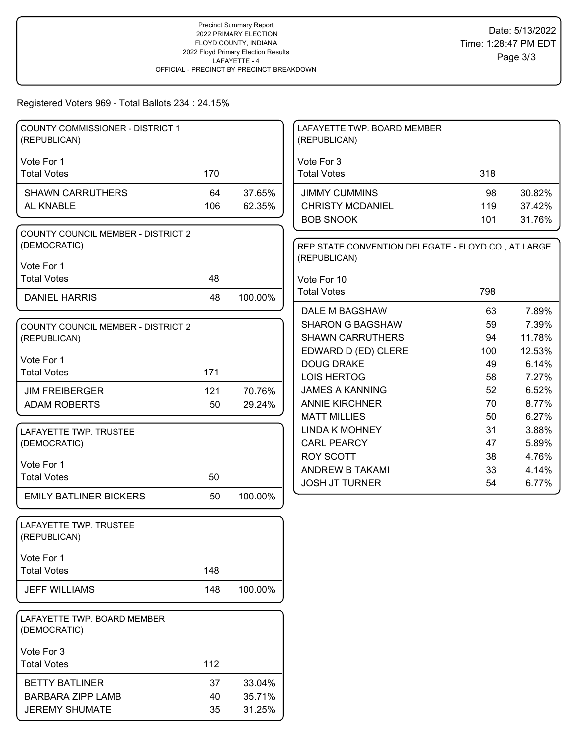# Registered Voters 969 - Total Ballots 234 : 24.15%

| COUNTY COMMISSIONER - DISTRICT 1<br>(REPUBLICAN)          |     |         | LAFAYETTE TWP. BOARD MEMBER<br>(REPUBLICAN)                         |          |                |
|-----------------------------------------------------------|-----|---------|---------------------------------------------------------------------|----------|----------------|
|                                                           |     |         |                                                                     |          |                |
| Vote For 1<br><b>Total Votes</b>                          | 170 |         | Vote For 3<br><b>Total Votes</b>                                    | 318      |                |
| <b>SHAWN CARRUTHERS</b>                                   | 64  | 37.65%  | <b>JIMMY CUMMINS</b>                                                | 98       | 30.82%         |
| AL KNABLE                                                 | 106 | 62.35%  | <b>CHRISTY MCDANIEL</b>                                             | 119      | 37.42%         |
|                                                           |     |         | <b>BOB SNOOK</b>                                                    | 101      | 31.76%         |
| <b>COUNTY COUNCIL MEMBER - DISTRICT 2</b><br>(DEMOCRATIC) |     |         |                                                                     |          |                |
| Vote For 1                                                |     |         | REP STATE CONVENTION DELEGATE - FLOYD CO., AT LARGE<br>(REPUBLICAN) |          |                |
| <b>Total Votes</b>                                        | 48  |         | Vote For 10                                                         |          |                |
|                                                           |     |         | <b>Total Votes</b>                                                  | 798      |                |
| <b>DANIEL HARRIS</b>                                      | 48  | 100.00% |                                                                     |          |                |
|                                                           |     |         | <b>DALE M BAGSHAW</b>                                               | 63       | 7.89%          |
| <b>COUNTY COUNCIL MEMBER - DISTRICT 2</b>                 |     |         | <b>SHARON G BAGSHAW</b>                                             | 59       | 7.39%          |
| (REPUBLICAN)                                              |     |         | <b>SHAWN CARRUTHERS</b>                                             | 94       | 11.78%         |
| Vote For 1                                                |     |         | EDWARD D (ED) CLERE                                                 | 100      | 12.53%         |
| <b>Total Votes</b>                                        | 171 |         | <b>DOUG DRAKE</b>                                                   | 49       | 6.14%          |
|                                                           |     |         | <b>LOIS HERTOG</b>                                                  | 58       | 7.27%          |
| <b>JIM FREIBERGER</b>                                     | 121 | 70.76%  | <b>JAMES A KANNING</b>                                              | 52       | 6.52%          |
| <b>ADAM ROBERTS</b>                                       | 50  | 29.24%  | <b>ANNIE KIRCHNER</b>                                               | 70       | 8.77%          |
|                                                           |     |         | <b>MATT MILLIES</b>                                                 | 50       | 6.27%          |
| LAFAYETTE TWP. TRUSTEE                                    |     |         | <b>LINDA K MOHNEY</b>                                               | 31       | 3.88%          |
| (DEMOCRATIC)                                              |     |         | <b>CARL PEARCY</b>                                                  | 47       | 5.89%          |
| Vote For 1                                                |     |         | <b>ROY SCOTT</b>                                                    | 38       | 4.76%          |
| <b>Total Votes</b>                                        | 50  |         | ANDREW B TAKAMI<br><b>JOSH JT TURNER</b>                            | 33<br>54 | 4.14%<br>6.77% |
| <b>EMILY BATLINER BICKERS</b>                             | 50  | 100.00% |                                                                     |          |                |
| LAFAYETTE TWP. TRUSTEE<br>(REPUBLICAN)                    |     |         |                                                                     |          |                |
| Vote For 1                                                |     |         |                                                                     |          |                |
| <b>Total Votes</b>                                        | 148 |         |                                                                     |          |                |
| <b>JEFF WILLIAMS</b>                                      | 148 | 100.00% |                                                                     |          |                |
| LAFAYETTE TWP. BOARD MEMBER<br>(DEMOCRATIC)               |     |         |                                                                     |          |                |
| Vote For 3                                                |     |         |                                                                     |          |                |
| <b>Total Votes</b>                                        | 112 |         |                                                                     |          |                |
| <b>BETTY BATLINER</b>                                     | 37  | 33.04%  |                                                                     |          |                |
| <b>BARBARA ZIPP LAMB</b>                                  | 40  | 35.71%  |                                                                     |          |                |
| <b>JEREMY SHUMATE</b>                                     | 35  | 31.25%  |                                                                     |          |                |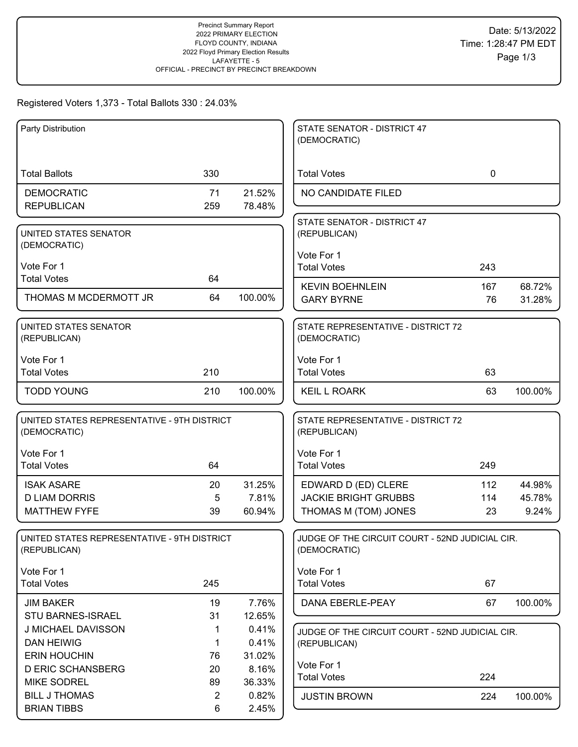# Registered Voters 1,373 - Total Ballots 330 : 24.03%

| Party Distribution                                          |                |         | STATE SENATOR - DISTRICT 47<br>(DEMOCRATIC)                     |             |         |
|-------------------------------------------------------------|----------------|---------|-----------------------------------------------------------------|-------------|---------|
|                                                             |                |         |                                                                 |             |         |
|                                                             |                |         |                                                                 |             |         |
| <b>Total Ballots</b>                                        | 330            |         | <b>Total Votes</b>                                              | $\mathbf 0$ |         |
| <b>DEMOCRATIC</b>                                           | 71             | 21.52%  | NO CANDIDATE FILED                                              |             |         |
| <b>REPUBLICAN</b>                                           | 259            | 78.48%  |                                                                 |             |         |
|                                                             |                |         | STATE SENATOR - DISTRICT 47                                     |             |         |
| UNITED STATES SENATOR                                       |                |         | (REPUBLICAN)                                                    |             |         |
| (DEMOCRATIC)                                                |                |         | Vote For 1                                                      |             |         |
| Vote For 1                                                  |                |         | <b>Total Votes</b>                                              | 243         |         |
| <b>Total Votes</b>                                          | 64             |         |                                                                 |             |         |
| THOMAS M MCDERMOTT JR                                       | 64             | 100.00% | <b>KEVIN BOEHNLEIN</b>                                          | 167         | 68.72%  |
|                                                             |                |         | <b>GARY BYRNE</b>                                               | 76          | 31.28%  |
| UNITED STATES SENATOR                                       |                |         | STATE REPRESENTATIVE - DISTRICT 72                              |             |         |
| (REPUBLICAN)                                                |                |         | (DEMOCRATIC)                                                    |             |         |
|                                                             |                |         |                                                                 |             |         |
| Vote For 1                                                  |                |         | Vote For 1                                                      |             |         |
| <b>Total Votes</b>                                          | 210            |         | <b>Total Votes</b>                                              | 63          |         |
| <b>TODD YOUNG</b>                                           | 210            | 100.00% | <b>KEIL L ROARK</b>                                             | 63          | 100.00% |
|                                                             |                |         |                                                                 |             |         |
| UNITED STATES REPRESENTATIVE - 9TH DISTRICT                 |                |         | STATE REPRESENTATIVE - DISTRICT 72                              |             |         |
| (DEMOCRATIC)                                                |                |         | (REPUBLICAN)                                                    |             |         |
| Vote For 1                                                  |                |         | Vote For 1                                                      |             |         |
| <b>Total Votes</b>                                          | 64             |         | <b>Total Votes</b>                                              | 249         |         |
|                                                             |                |         |                                                                 |             |         |
| <b>ISAK ASARE</b>                                           | 20             | 31.25%  | EDWARD D (ED) CLERE                                             | 112         | 44.98%  |
| <b>D LIAM DORRIS</b>                                        | 5              | 7.81%   | <b>JACKIE BRIGHT GRUBBS</b>                                     | 114         | 45.78%  |
| <b>MATTHEW FYFE</b>                                         | 39             | 60.94%  | THOMAS M (TOM) JONES                                            | 23          | 9.24%   |
|                                                             |                |         |                                                                 |             |         |
| UNITED STATES REPRESENTATIVE - 9TH DISTRICT<br>(REPUBLICAN) |                |         | JUDGE OF THE CIRCUIT COURT - 52ND JUDICIAL CIR.<br>(DEMOCRATIC) |             |         |
|                                                             |                |         |                                                                 |             |         |
| Vote For 1                                                  |                |         | Vote For 1                                                      |             |         |
| <b>Total Votes</b>                                          | 245            |         | <b>Total Votes</b>                                              | 67          |         |
| <b>JIM BAKER</b>                                            | 19             | 7.76%   | DANA EBERLE-PEAY                                                | 67          | 100.00% |
| STU BARNES-ISRAEL                                           | 31             | 12.65%  |                                                                 |             |         |
| J MICHAEL DAVISSON                                          | 1              | 0.41%   | JUDGE OF THE CIRCUIT COURT - 52ND JUDICIAL CIR.                 |             |         |
| <b>DAN HEIWIG</b>                                           | 1              | 0.41%   | (REPUBLICAN)                                                    |             |         |
| <b>ERIN HOUCHIN</b>                                         | 76             | 31.02%  |                                                                 |             |         |
| <b>D ERIC SCHANSBERG</b>                                    | 20             | 8.16%   | Vote For 1                                                      |             |         |
| <b>MIKE SODREL</b>                                          | 89             | 36.33%  | <b>Total Votes</b>                                              | 224         |         |
| <b>BILL J THOMAS</b>                                        | $\overline{2}$ | 0.82%   | <b>JUSTIN BROWN</b>                                             | 224         | 100.00% |
| <b>BRIAN TIBBS</b>                                          | 6              | 2.45%   |                                                                 |             |         |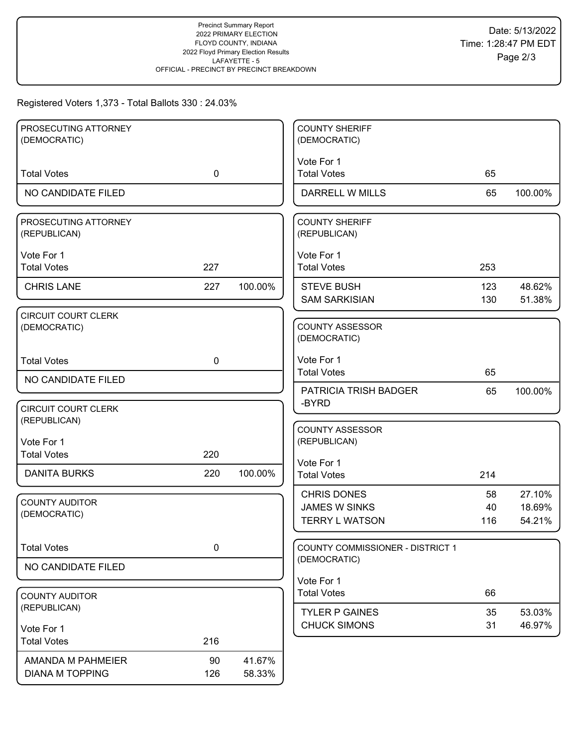# Registered Voters 1,373 - Total Ballots 330 : 24.03%

| PROSECUTING ATTORNEY<br>(DEMOCRATIC)        |             |                  | <b>COUNTY SHERIFF</b><br>(DEMOCRATIC)                               |                 |                            |
|---------------------------------------------|-------------|------------------|---------------------------------------------------------------------|-----------------|----------------------------|
|                                             |             |                  |                                                                     |                 |                            |
| <b>Total Votes</b>                          | $\mathbf 0$ |                  | Vote For 1<br><b>Total Votes</b>                                    | 65              |                            |
| NO CANDIDATE FILED                          |             |                  | <b>DARRELL W MILLS</b>                                              | 65              | 100.00%                    |
| PROSECUTING ATTORNEY<br>(REPUBLICAN)        |             |                  | <b>COUNTY SHERIFF</b><br>(REPUBLICAN)                               |                 |                            |
| Vote For 1<br><b>Total Votes</b>            | 227         |                  | Vote For 1<br><b>Total Votes</b>                                    | 253             |                            |
| <b>CHRIS LANE</b>                           | 227         | 100.00%          | <b>STEVE BUSH</b><br><b>SAM SARKISIAN</b>                           | 123<br>130      | 48.62%<br>51.38%           |
| <b>CIRCUIT COURT CLERK</b><br>(DEMOCRATIC)  |             |                  | <b>COUNTY ASSESSOR</b><br>(DEMOCRATIC)                              |                 |                            |
| <b>Total Votes</b>                          | $\mathbf 0$ |                  | Vote For 1<br><b>Total Votes</b>                                    | 65              |                            |
| NO CANDIDATE FILED                          |             |                  | <b>PATRICIA TRISH BADGER</b>                                        | 65              | 100.00%                    |
| <b>CIRCUIT COURT CLERK</b><br>(REPUBLICAN)  |             |                  | -BYRD                                                               |                 |                            |
| Vote For 1<br><b>Total Votes</b>            | 220         |                  | <b>COUNTY ASSESSOR</b><br>(REPUBLICAN)                              |                 |                            |
| <b>DANITA BURKS</b>                         | 220         | 100.00%          | Vote For 1<br><b>Total Votes</b>                                    | 214             |                            |
| <b>COUNTY AUDITOR</b><br>(DEMOCRATIC)       |             |                  | <b>CHRIS DONES</b><br><b>JAMES W SINKS</b><br><b>TERRY L WATSON</b> | 58<br>40<br>116 | 27.10%<br>18.69%<br>54.21% |
| <b>Total Votes</b>                          | 0           |                  | <b>COUNTY COMMISSIONER - DISTRICT 1</b><br>(DEMOCRATIC)             |                 |                            |
| NO CANDIDATE FILED                          |             |                  | Vote For 1                                                          |                 |                            |
| <b>COUNTY AUDITOR</b>                       |             |                  | <b>Total Votes</b>                                                  | 66              |                            |
| (REPUBLICAN)<br>Vote For 1                  |             |                  | <b>TYLER P GAINES</b><br><b>CHUCK SIMONS</b>                        | 35<br>31        | 53.03%<br>46.97%           |
| <b>Total Votes</b>                          | 216         |                  |                                                                     |                 |                            |
| AMANDA M PAHMEIER<br><b>DIANA M TOPPING</b> | 90<br>126   | 41.67%<br>58.33% |                                                                     |                 |                            |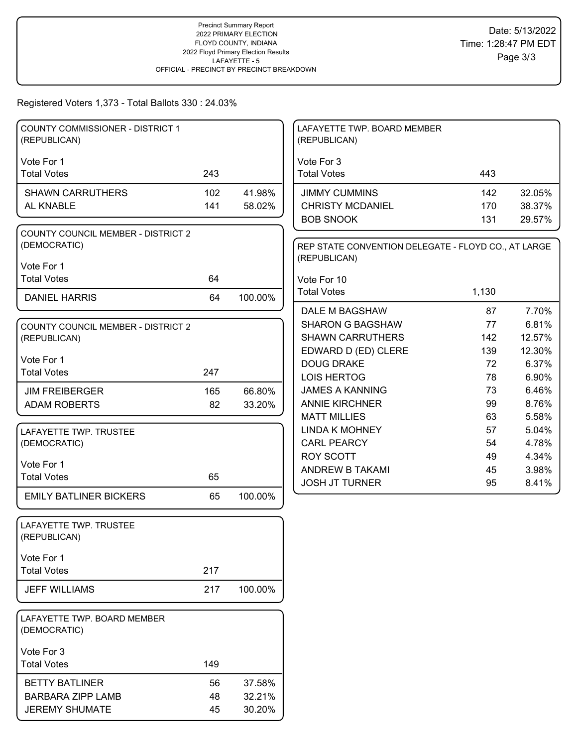#### Registered Voters 1,373 - Total Ballots 330 : 24.03%

| <b>COUNTY COMMISSIONER - DISTRICT 1</b><br>(REPUBLICAN) |     |         | LAFAYETTE TWP. BOARD MEMBER<br>(REPUBLICAN)         |       |        |
|---------------------------------------------------------|-----|---------|-----------------------------------------------------|-------|--------|
| Vote For 1                                              |     |         | Vote For 3                                          |       |        |
| <b>Total Votes</b>                                      | 243 |         | <b>Total Votes</b>                                  | 443   |        |
| <b>SHAWN CARRUTHERS</b>                                 | 102 | 41.98%  | <b>JIMMY CUMMINS</b>                                | 142   | 32.05% |
| AL KNABLE                                               | 141 | 58.02%  | <b>CHRISTY MCDANIEL</b>                             | 170   | 38.37% |
|                                                         |     |         | <b>BOB SNOOK</b>                                    | 131   | 29.57% |
| COUNTY COUNCIL MEMBER - DISTRICT 2                      |     |         |                                                     |       |        |
| (DEMOCRATIC)                                            |     |         | REP STATE CONVENTION DELEGATE - FLOYD CO., AT LARGE |       |        |
| Vote For 1                                              |     |         | (REPUBLICAN)                                        |       |        |
| <b>Total Votes</b>                                      | 64  |         | Vote For 10                                         |       |        |
|                                                         |     |         | <b>Total Votes</b>                                  | 1,130 |        |
| <b>DANIEL HARRIS</b>                                    | 64  | 100.00% |                                                     |       |        |
|                                                         |     |         | DALE M BAGSHAW                                      | 87    | 7.70%  |
| <b>COUNTY COUNCIL MEMBER - DISTRICT 2</b>               |     |         | <b>SHARON G BAGSHAW</b>                             | 77    | 6.81%  |
| (REPUBLICAN)                                            |     |         | <b>SHAWN CARRUTHERS</b>                             | 142   | 12.57% |
| Vote For 1                                              |     |         | EDWARD D (ED) CLERE                                 | 139   | 12.30% |
| <b>Total Votes</b>                                      | 247 |         | <b>DOUG DRAKE</b>                                   | 72    | 6.37%  |
|                                                         |     |         | LOIS HERTOG                                         | 78    | 6.90%  |
| <b>JIM FREIBERGER</b>                                   | 165 | 66.80%  | <b>JAMES A KANNING</b>                              | 73    | 6.46%  |
| <b>ADAM ROBERTS</b>                                     | 82  | 33.20%  | <b>ANNIE KIRCHNER</b>                               | 99    | 8.76%  |
|                                                         |     |         | <b>MATT MILLIES</b>                                 | 63    | 5.58%  |
| LAFAYETTE TWP. TRUSTEE                                  |     |         | <b>LINDA K MOHNEY</b>                               | 57    | 5.04%  |
| (DEMOCRATIC)                                            |     |         | <b>CARL PEARCY</b>                                  | 54    | 4.78%  |
| Vote For 1                                              |     |         | <b>ROY SCOTT</b>                                    | 49    | 4.34%  |
| <b>Total Votes</b>                                      | 65  |         | ANDREW B TAKAMI                                     | 45    | 3.98%  |
|                                                         |     |         | <b>JOSH JT TURNER</b>                               | 95    | 8.41%  |
| <b>EMILY BATLINER BICKERS</b>                           | 65  | 100.00% |                                                     |       |        |
| LAFAYETTE TWP. TRUSTEE                                  |     |         |                                                     |       |        |
| (REPUBLICAN)                                            |     |         |                                                     |       |        |
| Vote For 1                                              |     |         |                                                     |       |        |
| <b>Total Votes</b>                                      | 217 |         |                                                     |       |        |
| <b>JEFF WILLIAMS</b>                                    | 217 | 100.00% |                                                     |       |        |
| LAFAYETTE TWP. BOARD MEMBER                             |     |         |                                                     |       |        |
| (DEMOCRATIC)                                            |     |         |                                                     |       |        |
| Vote For 3                                              |     |         |                                                     |       |        |
| <b>Total Votes</b>                                      | 149 |         |                                                     |       |        |
| <b>BETTY BATLINER</b>                                   | 56  | 37.58%  |                                                     |       |        |
| <b>BARBARA ZIPP LAMB</b>                                | 48  | 32.21%  |                                                     |       |        |
| <b>JEREMY SHUMATE</b>                                   | 45  | 30.20%  |                                                     |       |        |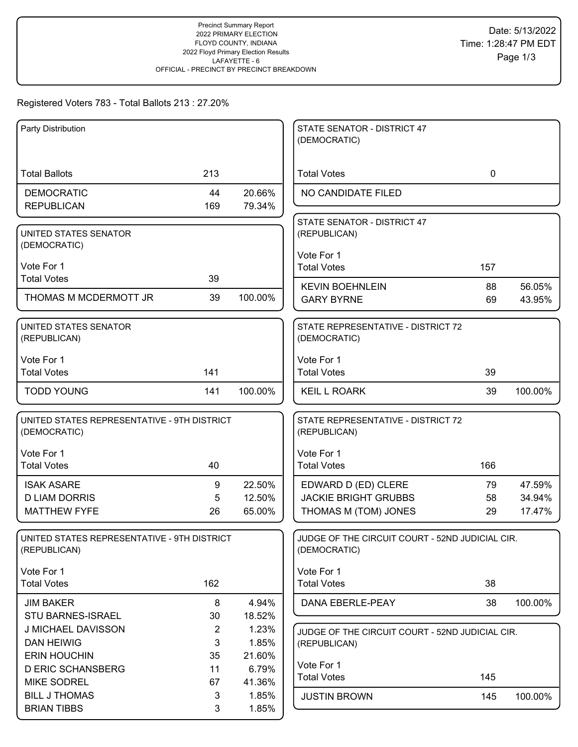# Registered Voters 783 - Total Ballots 213 : 27.20%

| Party Distribution                                          |                |                  | STATE SENATOR - DISTRICT 47<br>(DEMOCRATIC)                     |             |                  |
|-------------------------------------------------------------|----------------|------------------|-----------------------------------------------------------------|-------------|------------------|
|                                                             |                |                  |                                                                 |             |                  |
| <b>Total Ballots</b>                                        | 213            |                  | <b>Total Votes</b>                                              | $\mathbf 0$ |                  |
| <b>DEMOCRATIC</b>                                           | 44             | 20.66%           | NO CANDIDATE FILED                                              |             |                  |
| <b>REPUBLICAN</b>                                           | 169            | 79.34%           |                                                                 |             |                  |
| UNITED STATES SENATOR                                       |                |                  | STATE SENATOR - DISTRICT 47<br>(REPUBLICAN)                     |             |                  |
| (DEMOCRATIC)                                                |                |                  |                                                                 |             |                  |
| Vote For 1                                                  |                |                  | Vote For 1<br><b>Total Votes</b>                                | 157         |                  |
| <b>Total Votes</b>                                          | 39             |                  |                                                                 |             |                  |
| THOMAS M MCDERMOTT JR                                       | 39             | 100.00%          | <b>KEVIN BOEHNLEIN</b><br><b>GARY BYRNE</b>                     | 88<br>69    | 56.05%<br>43.95% |
|                                                             |                |                  |                                                                 |             |                  |
| UNITED STATES SENATOR                                       |                |                  | STATE REPRESENTATIVE - DISTRICT 72                              |             |                  |
| (REPUBLICAN)                                                |                |                  | (DEMOCRATIC)                                                    |             |                  |
| Vote For 1                                                  |                |                  | Vote For 1                                                      |             |                  |
| <b>Total Votes</b>                                          | 141            |                  | <b>Total Votes</b>                                              | 39          |                  |
| <b>TODD YOUNG</b>                                           | 141            | 100.00%          | <b>KEIL L ROARK</b>                                             | 39          | 100.00%          |
| UNITED STATES REPRESENTATIVE - 9TH DISTRICT<br>(DEMOCRATIC) |                |                  | STATE REPRESENTATIVE - DISTRICT 72<br>(REPUBLICAN)              |             |                  |
|                                                             |                |                  |                                                                 |             |                  |
| Vote For 1<br><b>Total Votes</b>                            | 40             |                  | Vote For 1<br><b>Total Votes</b>                                | 166         |                  |
|                                                             |                |                  |                                                                 |             |                  |
| <b>ISAK ASARE</b><br><b>D LIAM DORRIS</b>                   | 9<br>5         | 22.50%<br>12.50% | EDWARD D (ED) CLERE<br><b>JACKIE BRIGHT GRUBBS</b>              | 79<br>58    | 47.59%<br>34.94% |
| <b>MATTHEW FYFE</b>                                         | 26             | 65.00%           | THOMAS M (TOM) JONES                                            | 29          | 17.47%           |
|                                                             |                |                  |                                                                 |             |                  |
| UNITED STATES REPRESENTATIVE - 9TH DISTRICT<br>(REPUBLICAN) |                |                  | JUDGE OF THE CIRCUIT COURT - 52ND JUDICIAL CIR.<br>(DEMOCRATIC) |             |                  |
|                                                             |                |                  |                                                                 |             |                  |
| Vote For 1<br><b>Total Votes</b>                            | 162            |                  | Vote For 1<br><b>Total Votes</b>                                | 38          |                  |
|                                                             |                |                  |                                                                 |             |                  |
| <b>JIM BAKER</b><br>STU BARNES-ISRAEL                       | 8<br>30        | 4.94%<br>18.52%  | DANA EBERLE-PEAY                                                | 38          | 100.00%          |
| J MICHAEL DAVISSON                                          | $\overline{2}$ | 1.23%            | JUDGE OF THE CIRCUIT COURT - 52ND JUDICIAL CIR.                 |             |                  |
| <b>DAN HEIWIG</b>                                           | 3              | 1.85%            | (REPUBLICAN)                                                    |             |                  |
| <b>ERIN HOUCHIN</b>                                         | 35             | 21.60%           |                                                                 |             |                  |
| <b>D ERIC SCHANSBERG</b>                                    | 11             | 6.79%            | Vote For 1<br><b>Total Votes</b>                                | 145         |                  |
| <b>MIKE SODREL</b>                                          | 67             | 41.36%           |                                                                 |             |                  |
| <b>BILL J THOMAS</b>                                        | 3              | 1.85%            | <b>JUSTIN BROWN</b>                                             | 145         | 100.00%          |
| <b>BRIAN TIBBS</b>                                          | 3              | 1.85%            |                                                                 |             |                  |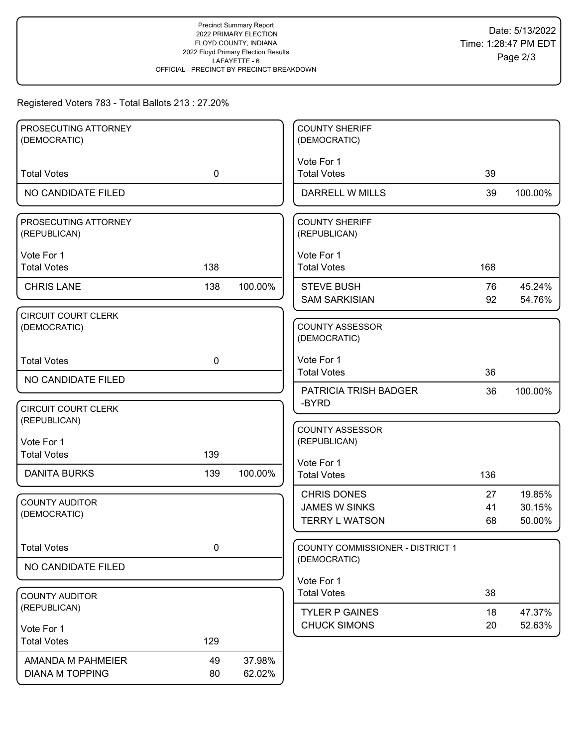# Registered Voters 783 - Total Ballots 213 : 27.20%

| PROSECUTING ATTORNEY<br>(DEMOCRATIC) |             |         | <b>COUNTY SHERIFF</b><br>(DEMOCRATIC)     |          |                  |
|--------------------------------------|-------------|---------|-------------------------------------------|----------|------------------|
|                                      |             |         |                                           |          |                  |
| <b>Total Votes</b>                   | $\mathbf 0$ |         | Vote For 1<br><b>Total Votes</b>          | 39       |                  |
| NO CANDIDATE FILED                   |             |         | <b>DARRELL W MILLS</b>                    | 39       | 100.00%          |
| PROSECUTING ATTORNEY<br>(REPUBLICAN) |             |         | <b>COUNTY SHERIFF</b><br>(REPUBLICAN)     |          |                  |
| Vote For 1<br><b>Total Votes</b>     | 138         |         | Vote For 1<br><b>Total Votes</b>          | 168      |                  |
| <b>CHRIS LANE</b>                    | 138         | 100.00% | <b>STEVE BUSH</b><br><b>SAM SARKISIAN</b> | 76<br>92 | 45.24%<br>54.76% |
| <b>CIRCUIT COURT CLERK</b>           |             |         |                                           |          |                  |
| (DEMOCRATIC)                         |             |         | <b>COUNTY ASSESSOR</b><br>(DEMOCRATIC)    |          |                  |
| <b>Total Votes</b>                   | $\mathbf 0$ |         | Vote For 1<br><b>Total Votes</b>          | 36       |                  |
| NO CANDIDATE FILED                   |             |         |                                           |          |                  |
|                                      |             |         | <b>PATRICIA TRISH BADGER</b><br>-BYRD     | 36       | 100.00%          |
| <b>CIRCUIT COURT CLERK</b>           |             |         |                                           |          |                  |
| (REPUBLICAN)                         |             |         | <b>COUNTY ASSESSOR</b>                    |          |                  |
| Vote For 1                           |             |         | (REPUBLICAN)                              |          |                  |
| <b>Total Votes</b>                   | 139         |         |                                           |          |                  |
| <b>DANITA BURKS</b>                  | 139         | 100.00% | Vote For 1<br><b>Total Votes</b>          | 136      |                  |
|                                      |             |         | <b>CHRIS DONES</b>                        | 27       | 19.85%           |
| <b>COUNTY AUDITOR</b>                |             |         | <b>JAMES W SINKS</b>                      | 41       | 30.15%           |
| (DEMOCRATIC)                         |             |         | <b>TERRY L WATSON</b>                     | 68       | 50.00%           |
| <b>Total Votes</b>                   | 0           |         | COUNTY COMMISSIONER - DISTRICT 1          |          |                  |
| NO CANDIDATE FILED                   |             |         | (DEMOCRATIC)                              |          |                  |
|                                      |             |         | Vote For 1                                |          |                  |
| <b>COUNTY AUDITOR</b>                |             |         | <b>Total Votes</b>                        | 38       |                  |
| (REPUBLICAN)                         |             |         | <b>TYLER P GAINES</b>                     | 18       | 47.37%           |
| Vote For 1                           |             |         | <b>CHUCK SIMONS</b>                       | 20       | 52.63%           |
| <b>Total Votes</b>                   | 129         |         |                                           |          |                  |
| AMANDA M PAHMEIER                    | 49          | 37.98%  |                                           |          |                  |
| <b>DIANA M TOPPING</b>               | 80          | 62.02%  |                                           |          |                  |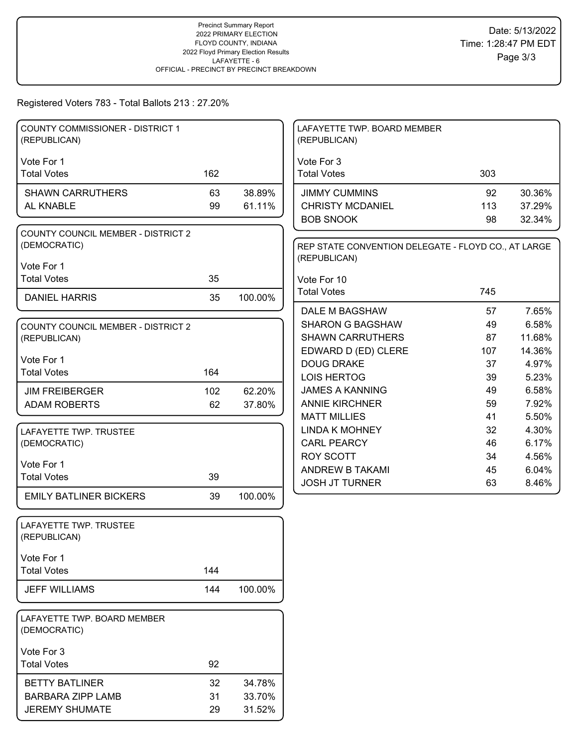# Registered Voters 783 - Total Ballots 213 : 27.20%

| <b>COUNTY COMMISSIONER - DISTRICT 1</b><br>(REPUBLICAN) |     |         | LAFAYETTE TWP. BOARD MEMBER<br>(REPUBLICAN)         |           |                  |
|---------------------------------------------------------|-----|---------|-----------------------------------------------------|-----------|------------------|
|                                                         |     |         |                                                     |           |                  |
| Vote For 1<br><b>Total Votes</b>                        | 162 |         | Vote For 3<br><b>Total Votes</b>                    | 303       |                  |
| <b>SHAWN CARRUTHERS</b>                                 | 63  | 38.89%  | <b>JIMMY CUMMINS</b>                                | 92        | 30.36%           |
| AL KNABLE                                               | 99  | 61.11%  | <b>CHRISTY MCDANIEL</b>                             | 113       | 37.29%           |
|                                                         |     |         | <b>BOB SNOOK</b>                                    | 98        | 32.34%           |
| <b>COUNTY COUNCIL MEMBER - DISTRICT 2</b>               |     |         |                                                     |           |                  |
| (DEMOCRATIC)                                            |     |         | REP STATE CONVENTION DELEGATE - FLOYD CO., AT LARGE |           |                  |
| Vote For 1                                              |     |         | (REPUBLICAN)                                        |           |                  |
| <b>Total Votes</b>                                      | 35  |         | Vote For 10                                         |           |                  |
|                                                         |     |         | <b>Total Votes</b>                                  | 745       |                  |
| <b>DANIEL HARRIS</b>                                    | 35  | 100.00% |                                                     |           |                  |
|                                                         |     |         | DALE M BAGSHAW                                      | 57        | 7.65%            |
| <b>COUNTY COUNCIL MEMBER - DISTRICT 2</b>               |     |         | <b>SHARON G BAGSHAW</b><br><b>SHAWN CARRUTHERS</b>  | 49        | 6.58%            |
| (REPUBLICAN)                                            |     |         | EDWARD D (ED) CLERE                                 | 87<br>107 | 11.68%<br>14.36% |
| Vote For 1                                              |     |         | <b>DOUG DRAKE</b>                                   | 37        | 4.97%            |
| <b>Total Votes</b>                                      | 164 |         | LOIS HERTOG                                         | 39        | 5.23%            |
| <b>JIM FREIBERGER</b>                                   | 102 | 62.20%  | <b>JAMES A KANNING</b>                              | 49        | 6.58%            |
| <b>ADAM ROBERTS</b>                                     | 62  | 37.80%  | <b>ANNIE KIRCHNER</b>                               | 59        | 7.92%            |
|                                                         |     |         | <b>MATT MILLIES</b>                                 | 41        | 5.50%            |
| LAFAYETTE TWP. TRUSTEE                                  |     |         | <b>LINDA K MOHNEY</b>                               | 32        | 4.30%            |
| (DEMOCRATIC)                                            |     |         | <b>CARL PEARCY</b>                                  | 46        | 6.17%            |
|                                                         |     |         | <b>ROY SCOTT</b>                                    | 34        | 4.56%            |
| Vote For 1                                              |     |         | ANDREW B TAKAMI                                     | 45        | 6.04%            |
| <b>Total Votes</b>                                      | 39  |         | <b>JOSH JT TURNER</b>                               | 63        | 8.46%            |
| <b>EMILY BATLINER BICKERS</b>                           | 39  | 100.00% |                                                     |           |                  |
|                                                         |     |         |                                                     |           |                  |
| LAFAYETTE TWP. TRUSTEE<br>(REPUBLICAN)                  |     |         |                                                     |           |                  |
|                                                         |     |         |                                                     |           |                  |
| Vote For 1                                              |     |         |                                                     |           |                  |
| <b>Total Votes</b>                                      | 144 |         |                                                     |           |                  |
| <b>JEFF WILLIAMS</b>                                    | 144 | 100.00% |                                                     |           |                  |
|                                                         |     |         |                                                     |           |                  |
| LAFAYETTE TWP. BOARD MEMBER<br>(DEMOCRATIC)             |     |         |                                                     |           |                  |
| Vote For 3                                              |     |         |                                                     |           |                  |
| <b>Total Votes</b>                                      | 92  |         |                                                     |           |                  |
| <b>BETTY BATLINER</b>                                   | 32  | 34.78%  |                                                     |           |                  |
| <b>BARBARA ZIPP LAMB</b>                                | 31  | 33.70%  |                                                     |           |                  |
| <b>JEREMY SHUMATE</b>                                   | 29  | 31.52%  |                                                     |           |                  |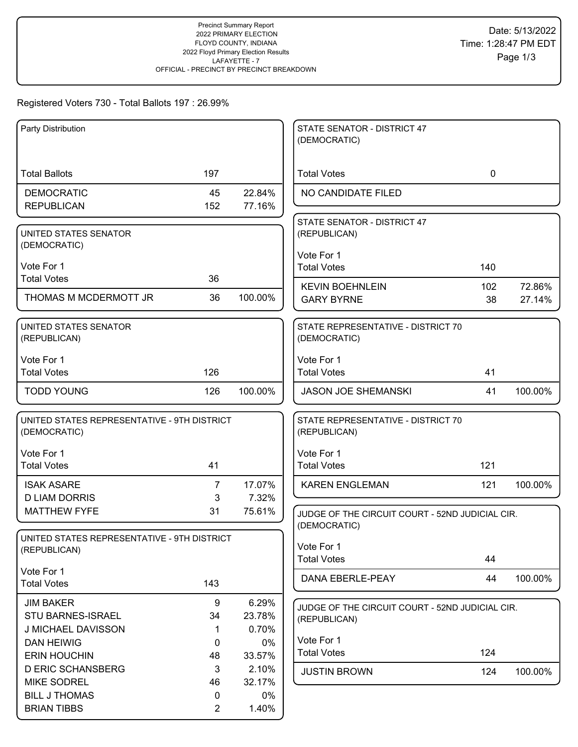# Registered Voters 730 - Total Ballots 197 : 26.99%

| Party Distribution                                          |                |         | STATE SENATOR - DISTRICT 47                                     |             |         |
|-------------------------------------------------------------|----------------|---------|-----------------------------------------------------------------|-------------|---------|
|                                                             |                |         | (DEMOCRATIC)                                                    |             |         |
|                                                             |                |         |                                                                 |             |         |
| <b>Total Ballots</b>                                        | 197            |         | <b>Total Votes</b>                                              | $\mathbf 0$ |         |
| <b>DEMOCRATIC</b>                                           | 45             | 22.84%  | NO CANDIDATE FILED                                              |             |         |
| <b>REPUBLICAN</b>                                           | 152            | 77.16%  |                                                                 |             |         |
|                                                             |                |         | STATE SENATOR - DISTRICT 47                                     |             |         |
| UNITED STATES SENATOR                                       |                |         | (REPUBLICAN)                                                    |             |         |
| (DEMOCRATIC)                                                |                |         |                                                                 |             |         |
|                                                             |                |         | Vote For 1                                                      |             |         |
| Vote For 1<br><b>Total Votes</b>                            | 36             |         | <b>Total Votes</b>                                              | 140         |         |
|                                                             |                |         | <b>KEVIN BOEHNLEIN</b>                                          | 102         | 72.86%  |
| THOMAS M MCDERMOTT JR                                       | 36             | 100.00% | <b>GARY BYRNE</b>                                               | 38          | 27.14%  |
|                                                             |                |         |                                                                 |             |         |
| UNITED STATES SENATOR                                       |                |         | STATE REPRESENTATIVE - DISTRICT 70                              |             |         |
| (REPUBLICAN)                                                |                |         | (DEMOCRATIC)                                                    |             |         |
| Vote For 1                                                  |                |         | Vote For 1                                                      |             |         |
| <b>Total Votes</b>                                          | 126            |         | <b>Total Votes</b>                                              | 41          |         |
|                                                             |                |         |                                                                 |             |         |
| <b>TODD YOUNG</b>                                           | 126            | 100.00% | <b>JASON JOE SHEMANSKI</b>                                      | 41          | 100.00% |
|                                                             |                |         |                                                                 |             |         |
| UNITED STATES REPRESENTATIVE - 9TH DISTRICT                 |                |         | STATE REPRESENTATIVE - DISTRICT 70                              |             |         |
| (DEMOCRATIC)                                                |                |         | (REPUBLICAN)                                                    |             |         |
| Vote For 1                                                  |                |         | Vote For 1                                                      |             |         |
| <b>Total Votes</b>                                          | 41             |         | <b>Total Votes</b>                                              | 121         |         |
|                                                             |                |         |                                                                 |             |         |
| <b>ISAK ASARE</b>                                           | $\overline{7}$ | 17.07%  | <b>KAREN ENGLEMAN</b>                                           | 121         | 100.00% |
| <b>D LIAM DORRIS</b><br><b>MATTHEW FYFE</b>                 | 3              | 7.32%   |                                                                 |             |         |
|                                                             | 31             | 75.61%  | JUDGE OF THE CIRCUIT COURT - 52ND JUDICIAL CIR.                 |             |         |
|                                                             |                |         | (DEMOCRATIC)                                                    |             |         |
| UNITED STATES REPRESENTATIVE - 9TH DISTRICT<br>(REPUBLICAN) |                |         | Vote For 1                                                      |             |         |
|                                                             |                |         | <b>Total Votes</b>                                              | 44          |         |
| Vote For 1                                                  |                |         |                                                                 | 44          | 100.00% |
| <b>Total Votes</b>                                          | 143            |         | DANA EBERLE-PEAY                                                |             |         |
| <b>JIM BAKER</b>                                            | 9              | 6.29%   |                                                                 |             |         |
| STU BARNES-ISRAEL                                           | 34             | 23.78%  | JUDGE OF THE CIRCUIT COURT - 52ND JUDICIAL CIR.<br>(REPUBLICAN) |             |         |
| J MICHAEL DAVISSON                                          | 1              | 0.70%   |                                                                 |             |         |
| <b>DAN HEIWIG</b>                                           | 0              | 0%      | Vote For 1                                                      |             |         |
| <b>ERIN HOUCHIN</b>                                         | 48             | 33.57%  | <b>Total Votes</b>                                              | 124         |         |
| <b>D ERIC SCHANSBERG</b>                                    | 3              | 2.10%   | <b>JUSTIN BROWN</b>                                             | 124         | 100.00% |
| <b>MIKE SODREL</b>                                          | 46             | 32.17%  |                                                                 |             |         |
| <b>BILL J THOMAS</b>                                        | 0              | $0\%$   |                                                                 |             |         |
| <b>BRIAN TIBBS</b>                                          | $\overline{2}$ | 1.40%   |                                                                 |             |         |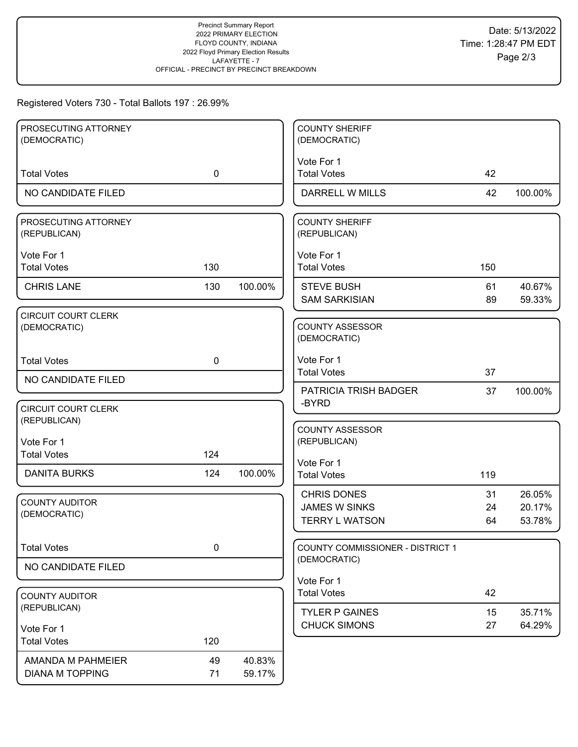# Registered Voters 730 - Total Ballots 197 : 26.99%

| PROSECUTING ATTORNEY                       |             |         | <b>COUNTY SHERIFF</b>                  |     |         |
|--------------------------------------------|-------------|---------|----------------------------------------|-----|---------|
| (DEMOCRATIC)                               |             |         | (DEMOCRATIC)                           |     |         |
|                                            |             |         | Vote For 1                             |     |         |
| <b>Total Votes</b>                         | $\mathbf 0$ |         | <b>Total Votes</b>                     | 42  |         |
| NO CANDIDATE FILED                         |             |         | <b>DARRELL W MILLS</b>                 | 42  | 100.00% |
| PROSECUTING ATTORNEY<br>(REPUBLICAN)       |             |         | <b>COUNTY SHERIFF</b><br>(REPUBLICAN)  |     |         |
| Vote For 1                                 |             |         | Vote For 1                             |     |         |
| <b>Total Votes</b>                         | 130         |         | <b>Total Votes</b>                     | 150 |         |
| <b>CHRIS LANE</b>                          | 130         | 100.00% | <b>STEVE BUSH</b>                      | 61  | 40.67%  |
|                                            |             |         | <b>SAM SARKISIAN</b>                   | 89  | 59.33%  |
| <b>CIRCUIT COURT CLERK</b><br>(DEMOCRATIC) |             |         | <b>COUNTY ASSESSOR</b><br>(DEMOCRATIC) |     |         |
| <b>Total Votes</b>                         | $\mathbf 0$ |         | Vote For 1                             |     |         |
| NO CANDIDATE FILED                         |             |         | <b>Total Votes</b>                     | 37  |         |
|                                            |             |         | <b>PATRICIA TRISH BADGER</b><br>-BYRD  | 37  | 100.00% |
| <b>CIRCUIT COURT CLERK</b>                 |             |         |                                        |     |         |
| (REPUBLICAN)                               |             |         | <b>COUNTY ASSESSOR</b>                 |     |         |
| Vote For 1                                 |             |         | (REPUBLICAN)                           |     |         |
| <b>Total Votes</b>                         | 124         |         | Vote For 1                             |     |         |
| <b>DANITA BURKS</b>                        | 124         | 100.00% | <b>Total Votes</b>                     | 119 |         |
|                                            |             |         | <b>CHRIS DONES</b>                     | 31  | 26.05%  |
| <b>COUNTY AUDITOR</b><br>(DEMOCRATIC)      |             |         | <b>JAMES W SINKS</b>                   | 24  | 20.17%  |
|                                            |             |         | <b>TERRY L WATSON</b>                  | 64  | 53.78%  |
| <b>Total Votes</b>                         | 0           |         | COUNTY COMMISSIONER - DISTRICT 1       |     |         |
| NO CANDIDATE FILED                         |             |         | (DEMOCRATIC)                           |     |         |
|                                            |             |         | Vote For 1                             |     |         |
| <b>COUNTY AUDITOR</b>                      |             |         | <b>Total Votes</b>                     | 42  |         |
| (REPUBLICAN)                               |             |         | <b>TYLER P GAINES</b>                  | 15  | 35.71%  |
| Vote For 1                                 |             |         | <b>CHUCK SIMONS</b>                    | 27  | 64.29%  |
| <b>Total Votes</b>                         | 120         |         |                                        |     |         |
| AMANDA M PAHMEIER                          | 49          | 40.83%  |                                        |     |         |
| <b>DIANA M TOPPING</b>                     | 71          | 59.17%  |                                        |     |         |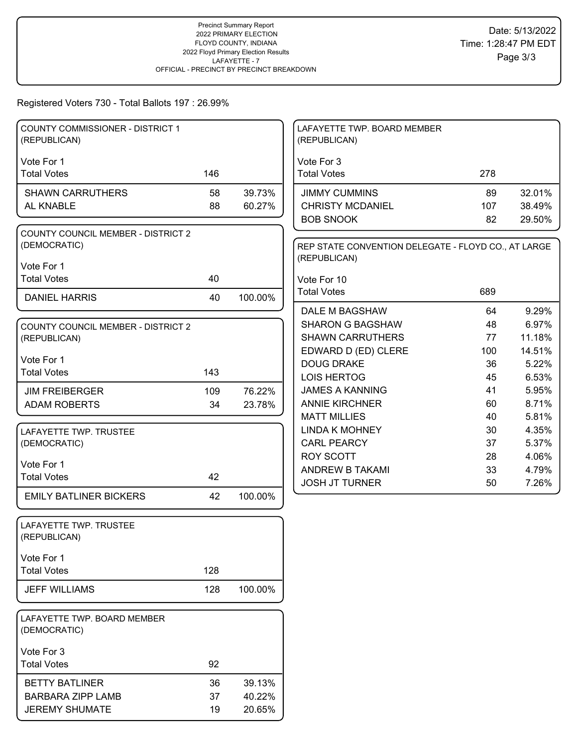#### Registered Voters 730 - Total Ballots 197 : 26.99%

| <b>COUNTY COMMISSIONER - DISTRICT 1</b><br>(REPUBLICAN) |     |         | LAFAYETTE TWP. BOARD MEMBER<br>(REPUBLICAN)         |     |        |
|---------------------------------------------------------|-----|---------|-----------------------------------------------------|-----|--------|
|                                                         |     |         |                                                     |     |        |
| Vote For 1<br><b>Total Votes</b>                        | 146 |         | Vote For 3<br><b>Total Votes</b>                    | 278 |        |
| <b>SHAWN CARRUTHERS</b>                                 | 58  | 39.73%  | <b>JIMMY CUMMINS</b>                                | 89  | 32.01% |
| AL KNABLE                                               | 88  | 60.27%  | <b>CHRISTY MCDANIEL</b>                             | 107 | 38.49% |
|                                                         |     |         | <b>BOB SNOOK</b>                                    | 82  | 29.50% |
| <b>COUNTY COUNCIL MEMBER - DISTRICT 2</b>               |     |         |                                                     |     |        |
| (DEMOCRATIC)                                            |     |         | REP STATE CONVENTION DELEGATE - FLOYD CO., AT LARGE |     |        |
|                                                         |     |         | (REPUBLICAN)                                        |     |        |
| Vote For 1                                              |     |         |                                                     |     |        |
| <b>Total Votes</b>                                      | 40  |         | Vote For 10                                         |     |        |
| <b>DANIEL HARRIS</b>                                    | 40  | 100.00% | <b>Total Votes</b>                                  | 689 |        |
|                                                         |     |         | DALE M BAGSHAW                                      | 64  | 9.29%  |
| <b>COUNTY COUNCIL MEMBER - DISTRICT 2</b>               |     |         | <b>SHARON G BAGSHAW</b>                             | 48  | 6.97%  |
| (REPUBLICAN)                                            |     |         | <b>SHAWN CARRUTHERS</b>                             | 77  | 11.18% |
|                                                         |     |         | EDWARD D (ED) CLERE                                 | 100 | 14.51% |
| Vote For 1                                              |     |         | <b>DOUG DRAKE</b>                                   | 36  | 5.22%  |
| <b>Total Votes</b>                                      | 143 |         | <b>LOIS HERTOG</b>                                  | 45  | 6.53%  |
| <b>JIM FREIBERGER</b>                                   | 109 | 76.22%  | <b>JAMES A KANNING</b>                              | 41  | 5.95%  |
| <b>ADAM ROBERTS</b>                                     | 34  | 23.78%  | <b>ANNIE KIRCHNER</b>                               | 60  | 8.71%  |
|                                                         |     |         | <b>MATT MILLIES</b>                                 | 40  | 5.81%  |
| LAFAYETTE TWP. TRUSTEE                                  |     |         | <b>LINDA K MOHNEY</b>                               | 30  | 4.35%  |
| (DEMOCRATIC)                                            |     |         | <b>CARL PEARCY</b>                                  | 37  | 5.37%  |
|                                                         |     |         | <b>ROY SCOTT</b>                                    | 28  | 4.06%  |
| Vote For 1<br><b>Total Votes</b>                        | 42  |         | ANDREW B TAKAMI                                     | 33  | 4.79%  |
|                                                         |     |         | <b>JOSH JT TURNER</b>                               | 50  | 7.26%  |
| <b>EMILY BATLINER BICKERS</b>                           | 42  | 100.00% |                                                     |     |        |
| LAFAYETTE TWP. TRUSTEE                                  |     |         |                                                     |     |        |
| (REPUBLICAN)                                            |     |         |                                                     |     |        |
|                                                         |     |         |                                                     |     |        |
| Vote For 1                                              |     |         |                                                     |     |        |
| <b>Total Votes</b>                                      | 128 |         |                                                     |     |        |
| <b>JEFF WILLIAMS</b>                                    | 128 | 100.00% |                                                     |     |        |
|                                                         |     |         |                                                     |     |        |
| LAFAYETTE TWP. BOARD MEMBER<br>(DEMOCRATIC)             |     |         |                                                     |     |        |
| Vote For 3                                              |     |         |                                                     |     |        |
| <b>Total Votes</b>                                      | 92  |         |                                                     |     |        |
| <b>BETTY BATLINER</b>                                   | 36  | 39.13%  |                                                     |     |        |
| <b>BARBARA ZIPP LAMB</b>                                | 37  | 40.22%  |                                                     |     |        |
| <b>JEREMY SHUMATE</b>                                   | 19  | 20.65%  |                                                     |     |        |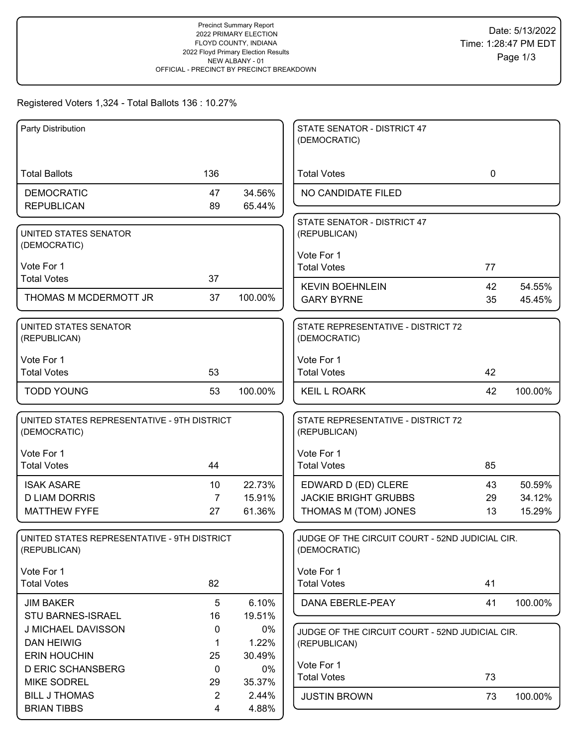# Registered Voters 1,324 - Total Ballots 136 : 10.27%

| Party Distribution                                          |                      |                 | STATE SENATOR - DISTRICT 47<br>(DEMOCRATIC)                     |             |         |
|-------------------------------------------------------------|----------------------|-----------------|-----------------------------------------------------------------|-------------|---------|
|                                                             |                      |                 |                                                                 |             |         |
| <b>Total Ballots</b>                                        | 136                  |                 | <b>Total Votes</b>                                              | $\mathbf 0$ |         |
| <b>DEMOCRATIC</b>                                           | 47                   | 34.56%          | NO CANDIDATE FILED                                              |             |         |
| <b>REPUBLICAN</b>                                           | 89                   | 65.44%          |                                                                 |             |         |
| UNITED STATES SENATOR                                       |                      |                 | STATE SENATOR - DISTRICT 47<br>(REPUBLICAN)                     |             |         |
| (DEMOCRATIC)                                                |                      |                 |                                                                 |             |         |
|                                                             |                      |                 | Vote For 1                                                      |             |         |
| Vote For 1<br><b>Total Votes</b>                            | 37                   |                 | <b>Total Votes</b>                                              | 77          |         |
|                                                             |                      |                 | <b>KEVIN BOEHNLEIN</b>                                          | 42          | 54.55%  |
| THOMAS M MCDERMOTT JR                                       | 37                   | 100.00%         | <b>GARY BYRNE</b>                                               | 35          | 45.45%  |
| UNITED STATES SENATOR                                       |                      |                 | STATE REPRESENTATIVE - DISTRICT 72                              |             |         |
| (REPUBLICAN)                                                |                      |                 | (DEMOCRATIC)                                                    |             |         |
| Vote For 1                                                  |                      |                 | Vote For 1                                                      |             |         |
| <b>Total Votes</b>                                          | 53                   |                 | <b>Total Votes</b>                                              | 42          |         |
| <b>TODD YOUNG</b>                                           | 53                   | 100.00%         | <b>KEIL L ROARK</b>                                             | 42          | 100.00% |
| UNITED STATES REPRESENTATIVE - 9TH DISTRICT<br>(DEMOCRATIC) |                      |                 | STATE REPRESENTATIVE - DISTRICT 72<br>(REPUBLICAN)              |             |         |
|                                                             |                      |                 |                                                                 |             |         |
| Vote For 1                                                  |                      |                 | Vote For 1                                                      |             |         |
| <b>Total Votes</b>                                          | 44                   |                 | <b>Total Votes</b>                                              | 85          |         |
| <b>ISAK ASARE</b>                                           | 10                   | 22.73%          | EDWARD D (ED) CLERE                                             | 43          | 50.59%  |
| <b>D LIAM DORRIS</b>                                        | $\overline{7}$       | 15.91%          | <b>JACKIE BRIGHT GRUBBS</b>                                     | 29          | 34.12%  |
| <b>MATTHEW FYFE</b>                                         | 27                   | 61.36%          | THOMAS M (TOM) JONES                                            | 13          | 15.29%  |
| UNITED STATES REPRESENTATIVE - 9TH DISTRICT<br>(REPUBLICAN) |                      |                 | JUDGE OF THE CIRCUIT COURT - 52ND JUDICIAL CIR.<br>(DEMOCRATIC) |             |         |
| Vote For 1                                                  |                      |                 | Vote For 1                                                      |             |         |
| <b>Total Votes</b>                                          | 82                   |                 | <b>Total Votes</b>                                              | 41          |         |
| <b>JIM BAKER</b>                                            | 5                    | 6.10%           | DANA EBERLE-PEAY                                                | 41          | 100.00% |
| <b>STU BARNES-ISRAEL</b>                                    | 16                   | 19.51%          |                                                                 |             |         |
| J MICHAEL DAVISSON                                          | 0                    | 0%              | JUDGE OF THE CIRCUIT COURT - 52ND JUDICIAL CIR.                 |             |         |
| <b>DAN HEIWIG</b>                                           | 1                    | 1.22%           | (REPUBLICAN)                                                    |             |         |
| <b>ERIN HOUCHIN</b>                                         | 25                   | 30.49%          | Vote For 1                                                      |             |         |
| <b>D ERIC SCHANSBERG</b>                                    | $\mathbf 0$          | 0%              | <b>Total Votes</b>                                              | 73          |         |
| <b>MIKE SODREL</b><br><b>BILL J THOMAS</b>                  | 29<br>$\overline{2}$ | 35.37%<br>2.44% |                                                                 |             |         |
| <b>BRIAN TIBBS</b>                                          | 4                    | 4.88%           | <b>JUSTIN BROWN</b>                                             | 73          | 100.00% |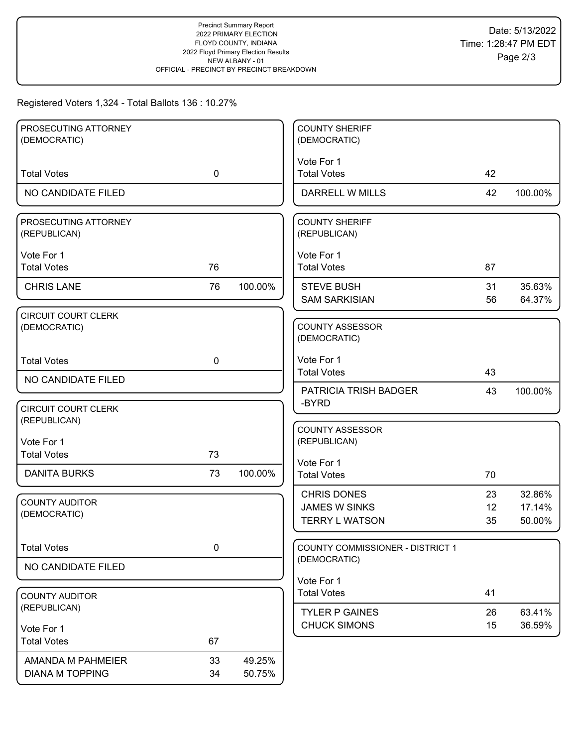# Registered Voters 1,324 - Total Ballots 136 : 10.27%

| PROSECUTING ATTORNEY                       |             |         | <b>COUNTY SHERIFF</b>                  |    |         |
|--------------------------------------------|-------------|---------|----------------------------------------|----|---------|
| (DEMOCRATIC)                               |             |         | (DEMOCRATIC)                           |    |         |
|                                            |             |         | Vote For 1                             |    |         |
| <b>Total Votes</b>                         | $\mathbf 0$ |         | <b>Total Votes</b>                     | 42 |         |
| NO CANDIDATE FILED                         |             |         | <b>DARRELL W MILLS</b>                 | 42 | 100.00% |
| PROSECUTING ATTORNEY<br>(REPUBLICAN)       |             |         | <b>COUNTY SHERIFF</b><br>(REPUBLICAN)  |    |         |
| Vote For 1                                 |             |         | Vote For 1                             |    |         |
| <b>Total Votes</b>                         | 76          |         | <b>Total Votes</b>                     | 87 |         |
| <b>CHRIS LANE</b>                          | 76          | 100.00% | <b>STEVE BUSH</b>                      | 31 | 35.63%  |
|                                            |             |         | <b>SAM SARKISIAN</b>                   | 56 | 64.37%  |
| <b>CIRCUIT COURT CLERK</b><br>(DEMOCRATIC) |             |         | <b>COUNTY ASSESSOR</b><br>(DEMOCRATIC) |    |         |
| <b>Total Votes</b>                         | $\mathbf 0$ |         | Vote For 1                             |    |         |
| NO CANDIDATE FILED                         |             |         | <b>Total Votes</b>                     | 43 |         |
|                                            |             |         | PATRICIA TRISH BADGER                  | 43 | 100.00% |
| <b>CIRCUIT COURT CLERK</b>                 |             |         | -BYRD                                  |    |         |
| (REPUBLICAN)                               |             |         | <b>COUNTY ASSESSOR</b>                 |    |         |
| Vote For 1                                 |             |         | (REPUBLICAN)                           |    |         |
| <b>Total Votes</b>                         | 73          |         | Vote For 1                             |    |         |
| <b>DANITA BURKS</b>                        | 73          | 100.00% | <b>Total Votes</b>                     | 70 |         |
|                                            |             |         | <b>CHRIS DONES</b>                     | 23 | 32.86%  |
| <b>COUNTY AUDITOR</b><br>(DEMOCRATIC)      |             |         | <b>JAMES W SINKS</b>                   | 12 | 17.14%  |
|                                            |             |         | <b>TERRY L WATSON</b>                  | 35 | 50.00%  |
| <b>Total Votes</b>                         | 0           |         | COUNTY COMMISSIONER - DISTRICT 1       |    |         |
| NO CANDIDATE FILED                         |             |         | (DEMOCRATIC)                           |    |         |
|                                            |             |         | Vote For 1                             |    |         |
| <b>COUNTY AUDITOR</b>                      |             |         | <b>Total Votes</b>                     | 41 |         |
| (REPUBLICAN)                               |             |         | <b>TYLER P GAINES</b>                  | 26 | 63.41%  |
| Vote For 1                                 |             |         | <b>CHUCK SIMONS</b>                    | 15 | 36.59%  |
| <b>Total Votes</b>                         | 67          |         |                                        |    |         |
| AMANDA M PAHMEIER                          | 33          | 49.25%  |                                        |    |         |
| <b>DIANA M TOPPING</b>                     | 34          | 50.75%  |                                        |    |         |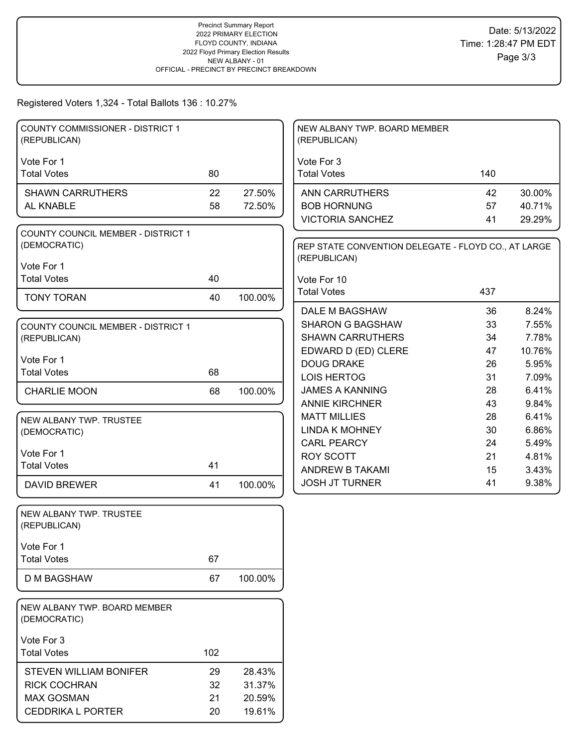# Registered Voters 1,324 - Total Ballots 136 : 10.27%

| <b>COUNTY COMMISSIONER - DISTRICT 1</b><br>(REPUBLICAN) |     |         | NEW ALBANY TWP. BOARD MEMBER<br>(REPUBLICAN)                        |          |                |
|---------------------------------------------------------|-----|---------|---------------------------------------------------------------------|----------|----------------|
| Vote For 1                                              |     |         | Vote For 3                                                          |          |                |
| <b>Total Votes</b>                                      | 80  |         | <b>Total Votes</b>                                                  | 140      |                |
| <b>SHAWN CARRUTHERS</b>                                 | 22  | 27.50%  | <b>ANN CARRUTHERS</b>                                               | 42       | 30.00%         |
| AL KNABLE                                               | 58  | 72.50%  | <b>BOB HORNUNG</b>                                                  | 57       | 40.71%         |
|                                                         |     |         | <b>VICTORIA SANCHEZ</b>                                             | 41       | 29.29%         |
| COUNTY COUNCIL MEMBER - DISTRICT 1<br>(DEMOCRATIC)      |     |         | REP STATE CONVENTION DELEGATE - FLOYD CO., AT LARGE<br>(REPUBLICAN) |          |                |
| Vote For 1<br><b>Total Votes</b>                        | 40  |         |                                                                     |          |                |
|                                                         |     |         | Vote For 10<br><b>Total Votes</b>                                   | 437      |                |
| <b>TONY TORAN</b>                                       | 40  | 100.00% |                                                                     |          |                |
|                                                         |     |         | DALE M BAGSHAW                                                      | 36       | 8.24%          |
| <b>COUNTY COUNCIL MEMBER - DISTRICT 1</b>               |     |         | <b>SHARON G BAGSHAW</b>                                             | 33       | 7.55%          |
| (REPUBLICAN)                                            |     |         | <b>SHAWN CARRUTHERS</b>                                             | 34       | 7.78%          |
| Vote For 1                                              |     |         | EDWARD D (ED) CLERE                                                 | 47       | 10.76%         |
| <b>Total Votes</b>                                      | 68  |         | <b>DOUG DRAKE</b>                                                   | 26       | 5.95%          |
|                                                         |     |         | <b>LOIS HERTOG</b><br><b>JAMES A KANNING</b>                        | 31<br>28 | 7.09%<br>6.41% |
| <b>CHARLIE MOON</b>                                     | 68  | 100.00% | <b>ANNIE KIRCHNER</b>                                               | 43       | 9.84%          |
|                                                         |     |         | <b>MATT MILLIES</b>                                                 | 28       | 6.41%          |
| NEW ALBANY TWP. TRUSTEE                                 |     |         | <b>LINDA K MOHNEY</b>                                               | 30       | 6.86%          |
| (DEMOCRATIC)                                            |     |         | <b>CARL PEARCY</b>                                                  | 24       | 5.49%          |
| Vote For 1                                              |     |         | <b>ROY SCOTT</b>                                                    | 21       | 4.81%          |
| <b>Total Votes</b>                                      | 41  |         | ANDREW B TAKAMI                                                     | 15       | 3.43%          |
| <b>DAVID BREWER</b>                                     | 41  | 100.00% | <b>JOSH JT TURNER</b>                                               | 41       | 9.38%          |
| NEW ALBANY TWP. TRUSTEE<br>(REPUBLICAN)                 |     |         |                                                                     |          |                |
| Vote For 1                                              |     |         |                                                                     |          |                |
| <b>Total Votes</b>                                      | 67  |         |                                                                     |          |                |
|                                                         |     |         |                                                                     |          |                |
| <b>D M BAGSHAW</b>                                      | 67  | 100.00% |                                                                     |          |                |
| NEW ALBANY TWP. BOARD MEMBER<br>(DEMOCRATIC)            |     |         |                                                                     |          |                |
| Vote For 3                                              |     |         |                                                                     |          |                |
| <b>Total Votes</b>                                      | 102 |         |                                                                     |          |                |
| <b>STEVEN WILLIAM BONIFER</b>                           | 29  | 28.43%  |                                                                     |          |                |
| <b>RICK COCHRAN</b>                                     | 32  | 31.37%  |                                                                     |          |                |
| <b>MAX GOSMAN</b>                                       | 21  | 20.59%  |                                                                     |          |                |
| <b>CEDDRIKA L PORTER</b>                                | 20  | 19.61%  |                                                                     |          |                |
|                                                         |     |         |                                                                     |          |                |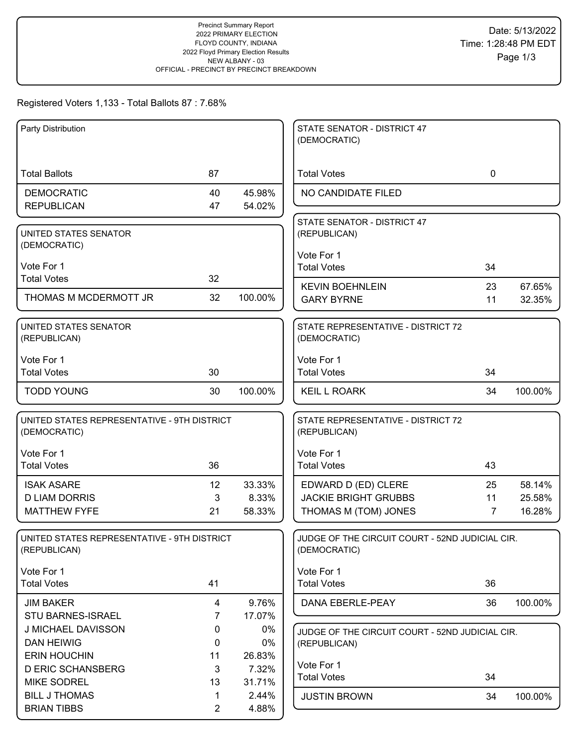# Registered Voters 1,133 - Total Ballots 87 : 7.68%

| Party Distribution                                          |                |                 | STATE SENATOR - DISTRICT 47                                     |             |         |
|-------------------------------------------------------------|----------------|-----------------|-----------------------------------------------------------------|-------------|---------|
|                                                             |                |                 | (DEMOCRATIC)                                                    |             |         |
| <b>Total Ballots</b>                                        | 87             |                 | <b>Total Votes</b>                                              | $\mathbf 0$ |         |
| <b>DEMOCRATIC</b>                                           | 40             | 45.98%          | NO CANDIDATE FILED                                              |             |         |
| <b>REPUBLICAN</b>                                           | 47             | 54.02%          |                                                                 |             |         |
| UNITED STATES SENATOR                                       |                |                 | STATE SENATOR - DISTRICT 47<br>(REPUBLICAN)                     |             |         |
| (DEMOCRATIC)                                                |                |                 | Vote For 1                                                      |             |         |
| Vote For 1                                                  |                |                 | <b>Total Votes</b>                                              | 34          |         |
| <b>Total Votes</b>                                          | 32             |                 | <b>KEVIN BOEHNLEIN</b>                                          | 23          | 67.65%  |
| THOMAS M MCDERMOTT JR                                       | 32             | 100.00%         | <b>GARY BYRNE</b>                                               | 11          | 32.35%  |
|                                                             |                |                 |                                                                 |             |         |
| UNITED STATES SENATOR<br>(REPUBLICAN)                       |                |                 | STATE REPRESENTATIVE - DISTRICT 72<br>(DEMOCRATIC)              |             |         |
| Vote For 1                                                  |                |                 | Vote For 1                                                      |             |         |
| <b>Total Votes</b>                                          | 30             |                 | <b>Total Votes</b>                                              | 34          |         |
| <b>TODD YOUNG</b>                                           | 30             | 100.00%         | <b>KEIL L ROARK</b>                                             | 34          | 100.00% |
| UNITED STATES REPRESENTATIVE - 9TH DISTRICT<br>(DEMOCRATIC) |                |                 | STATE REPRESENTATIVE - DISTRICT 72<br>(REPUBLICAN)              |             |         |
| Vote For 1                                                  |                |                 | Vote For 1                                                      |             |         |
| <b>Total Votes</b>                                          | 36             |                 | <b>Total Votes</b>                                              | 43          |         |
| <b>ISAK ASARE</b>                                           | 12             | 33.33%          | EDWARD D (ED) CLERE                                             | 25          | 58.14%  |
| <b>D LIAM DORRIS</b>                                        | 3              | 8.33%           | <b>JACKIE BRIGHT GRUBBS</b>                                     | 11          | 25.58%  |
| <b>MATTHEW FYFE</b>                                         | 21             | 58.33%          | THOMAS M (TOM) JONES                                            | 7           | 16.28%  |
| UNITED STATES REPRESENTATIVE - 9TH DISTRICT<br>(REPUBLICAN) |                |                 | JUDGE OF THE CIRCUIT COURT - 52ND JUDICIAL CIR.<br>(DEMOCRATIC) |             |         |
| Vote For 1                                                  |                |                 | Vote For 1                                                      |             |         |
| <b>Total Votes</b>                                          | 41             |                 | <b>Total Votes</b>                                              | 36          |         |
| <b>JIM BAKER</b>                                            | 4              | 9.76%           | DANA EBERLE-PEAY                                                | 36          | 100.00% |
| <b>STU BARNES-ISRAEL</b>                                    | $\overline{7}$ | 17.07%          |                                                                 |             |         |
| J MICHAEL DAVISSON                                          | 0              | 0%              | JUDGE OF THE CIRCUIT COURT - 52ND JUDICIAL CIR.                 |             |         |
| <b>DAN HEIWIG</b>                                           | 0              | 0%              | (REPUBLICAN)                                                    |             |         |
| <b>ERIN HOUCHIN</b><br><b>D ERIC SCHANSBERG</b>             | 11<br>3        | 26.83%<br>7.32% | Vote For 1                                                      |             |         |
| <b>MIKE SODREL</b>                                          | 13             | 31.71%          | <b>Total Votes</b>                                              | 34          |         |
| <b>BILL J THOMAS</b>                                        | 1              | 2.44%           | <b>JUSTIN BROWN</b>                                             | 34          | 100.00% |
| <b>BRIAN TIBBS</b>                                          | $\overline{2}$ | 4.88%           |                                                                 |             |         |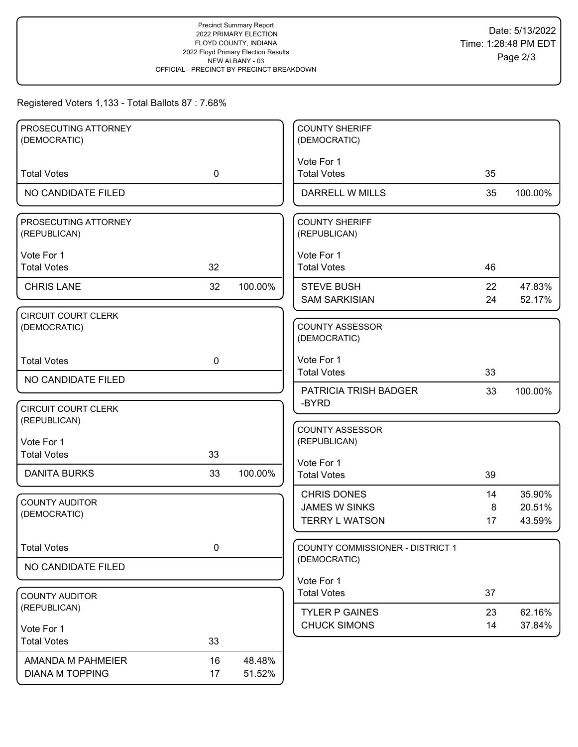# Registered Voters 1,133 - Total Ballots 87 : 7.68%

| PROSECUTING ATTORNEY                       |             |         | <b>COUNTY SHERIFF</b>                        |          |                  |
|--------------------------------------------|-------------|---------|----------------------------------------------|----------|------------------|
| (DEMOCRATIC)                               |             |         | (DEMOCRATIC)                                 |          |                  |
|                                            |             |         | Vote For 1                                   |          |                  |
| <b>Total Votes</b>                         | $\mathbf 0$ |         | <b>Total Votes</b>                           | 35       |                  |
| NO CANDIDATE FILED                         |             |         | DARRELL W MILLS                              | 35       | 100.00%          |
| PROSECUTING ATTORNEY<br>(REPUBLICAN)       |             |         | <b>COUNTY SHERIFF</b><br>(REPUBLICAN)        |          |                  |
| Vote For 1                                 |             |         | Vote For 1                                   |          |                  |
| <b>Total Votes</b>                         | 32          |         | <b>Total Votes</b>                           | 46       |                  |
| <b>CHRIS LANE</b>                          | 32          | 100.00% | <b>STEVE BUSH</b>                            | 22       | 47.83%           |
|                                            |             |         | <b>SAM SARKISIAN</b>                         | 24       | 52.17%           |
| <b>CIRCUIT COURT CLERK</b><br>(DEMOCRATIC) |             |         | <b>COUNTY ASSESSOR</b><br>(DEMOCRATIC)       |          |                  |
| <b>Total Votes</b>                         | $\mathbf 0$ |         | Vote For 1                                   |          |                  |
| NO CANDIDATE FILED                         |             |         | <b>Total Votes</b>                           | 33       |                  |
|                                            |             |         | PATRICIA TRISH BADGER                        | 33       | 100.00%          |
| <b>CIRCUIT COURT CLERK</b><br>(REPUBLICAN) |             |         | -BYRD                                        |          |                  |
| Vote For 1                                 |             |         | <b>COUNTY ASSESSOR</b><br>(REPUBLICAN)       |          |                  |
| <b>Total Votes</b>                         | 33          |         |                                              |          |                  |
| <b>DANITA BURKS</b>                        | 33          | 100.00% | Vote For 1<br><b>Total Votes</b>             | 39       |                  |
|                                            |             |         | <b>CHRIS DONES</b>                           | 14       | 35.90%           |
| <b>COUNTY AUDITOR</b><br>(DEMOCRATIC)      |             |         | <b>JAMES W SINKS</b>                         | 8        | 20.51%           |
|                                            |             |         | <b>TERRY L WATSON</b>                        | 17       | 43.59%           |
| <b>Total Votes</b>                         | $\pmb{0}$   |         | COUNTY COMMISSIONER - DISTRICT 1             |          |                  |
| NO CANDIDATE FILED                         |             |         | (DEMOCRATIC)                                 |          |                  |
|                                            |             |         | Vote For 1<br><b>Total Votes</b>             | 37       |                  |
| <b>COUNTY AUDITOR</b><br>(REPUBLICAN)      |             |         |                                              |          |                  |
|                                            |             |         | <b>TYLER P GAINES</b><br><b>CHUCK SIMONS</b> | 23<br>14 | 62.16%<br>37.84% |
| Vote For 1<br><b>Total Votes</b>           | 33          |         |                                              |          |                  |
|                                            |             |         |                                              |          |                  |
| AMANDA M PAHMEIER                          | 16          | 48.48%  |                                              |          |                  |
| <b>DIANA M TOPPING</b>                     | 17          | 51.52%  |                                              |          |                  |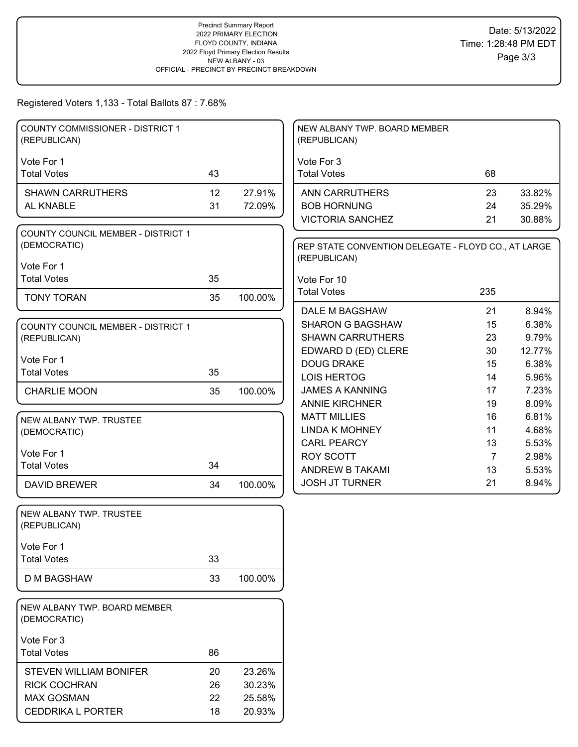#### Registered Voters 1,133 - Total Ballots 87 : 7.68%

| <b>COUNTY COMMISSIONER - DISTRICT 1</b><br>(REPUBLICAN)   |    |         | NEW ALBANY TWP. BOARD MEMBER<br>(REPUBLICAN)                        |                |        |
|-----------------------------------------------------------|----|---------|---------------------------------------------------------------------|----------------|--------|
| Vote For 1                                                |    |         | Vote For 3                                                          |                |        |
| <b>Total Votes</b>                                        | 43 |         | <b>Total Votes</b>                                                  | 68             |        |
| <b>SHAWN CARRUTHERS</b>                                   | 12 | 27.91%  | <b>ANN CARRUTHERS</b>                                               | 23             | 33.82% |
| AL KNABLE                                                 | 31 | 72.09%  | <b>BOB HORNUNG</b>                                                  | 24             | 35.29% |
|                                                           |    |         | <b>VICTORIA SANCHEZ</b>                                             | 21             | 30.88% |
| <b>COUNTY COUNCIL MEMBER - DISTRICT 1</b><br>(DEMOCRATIC) |    |         | REP STATE CONVENTION DELEGATE - FLOYD CO., AT LARGE<br>(REPUBLICAN) |                |        |
| Vote For 1                                                |    |         |                                                                     |                |        |
| <b>Total Votes</b>                                        | 35 |         | Vote For 10                                                         |                |        |
| <b>TONY TORAN</b>                                         | 35 | 100.00% | <b>Total Votes</b>                                                  | 235            |        |
|                                                           |    |         | DALE M BAGSHAW                                                      | 21             | 8.94%  |
| <b>COUNTY COUNCIL MEMBER - DISTRICT 1</b>                 |    |         | <b>SHARON G BAGSHAW</b>                                             | 15             | 6.38%  |
| (REPUBLICAN)                                              |    |         | <b>SHAWN CARRUTHERS</b>                                             | 23             | 9.79%  |
| Vote For 1                                                |    |         | EDWARD D (ED) CLERE                                                 | 30             | 12.77% |
| <b>Total Votes</b>                                        | 35 |         | <b>DOUG DRAKE</b>                                                   | 15             | 6.38%  |
|                                                           |    |         | <b>LOIS HERTOG</b>                                                  | 14             | 5.96%  |
| <b>CHARLIE MOON</b>                                       | 35 | 100.00% | <b>JAMES A KANNING</b>                                              | 17             | 7.23%  |
|                                                           |    |         | <b>ANNIE KIRCHNER</b>                                               | 19             | 8.09%  |
| NEW ALBANY TWP. TRUSTEE                                   |    |         | <b>MATT MILLIES</b>                                                 | 16             | 6.81%  |
| (DEMOCRATIC)                                              |    |         | <b>LINDA K MOHNEY</b>                                               | 11             | 4.68%  |
|                                                           |    |         | <b>CARL PEARCY</b>                                                  | 13             | 5.53%  |
| Vote For 1                                                |    |         | <b>ROY SCOTT</b>                                                    | $\overline{7}$ | 2.98%  |
| <b>Total Votes</b>                                        | 34 |         | ANDREW B TAKAMI                                                     | 13             | 5.53%  |
| <b>DAVID BREWER</b>                                       | 34 | 100.00% | <b>JOSH JT TURNER</b>                                               | 21             | 8.94%  |
| NEW ALBANY TWP. TRUSTEE<br>(REPUBLICAN)                   |    |         |                                                                     |                |        |
| Vote For 1                                                |    |         |                                                                     |                |        |
| <b>Total Votes</b>                                        | 33 |         |                                                                     |                |        |
|                                                           |    |         |                                                                     |                |        |
| D M BAGSHAW                                               | 33 | 100.00% |                                                                     |                |        |
| NEW ALBANY TWP. BOARD MEMBER<br>(DEMOCRATIC)              |    |         |                                                                     |                |        |
| Vote For 3                                                |    |         |                                                                     |                |        |
| <b>Total Votes</b>                                        | 86 |         |                                                                     |                |        |
| <b>STEVEN WILLIAM BONIFER</b>                             | 20 | 23.26%  |                                                                     |                |        |
| <b>RICK COCHRAN</b>                                       | 26 | 30.23%  |                                                                     |                |        |
| <b>MAX GOSMAN</b>                                         | 22 | 25.58%  |                                                                     |                |        |
| <b>CEDDRIKA L PORTER</b>                                  |    |         |                                                                     |                |        |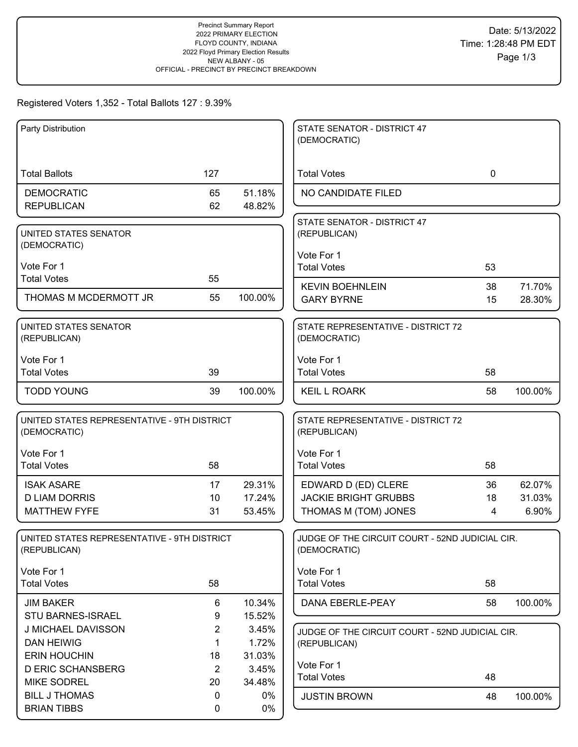# Registered Voters 1,352 - Total Ballots 127 : 9.39%

| Party Distribution                          |                |         | STATE SENATOR - DISTRICT 47                     |             |         |
|---------------------------------------------|----------------|---------|-------------------------------------------------|-------------|---------|
|                                             |                |         | (DEMOCRATIC)                                    |             |         |
|                                             |                |         |                                                 |             |         |
| <b>Total Ballots</b>                        | 127            |         | <b>Total Votes</b>                              | $\mathbf 0$ |         |
| <b>DEMOCRATIC</b>                           | 65             | 51.18%  | NO CANDIDATE FILED                              |             |         |
| <b>REPUBLICAN</b>                           | 62             | 48.82%  |                                                 |             |         |
| UNITED STATES SENATOR                       |                |         | STATE SENATOR - DISTRICT 47<br>(REPUBLICAN)     |             |         |
| (DEMOCRATIC)                                |                |         |                                                 |             |         |
|                                             |                |         | Vote For 1                                      |             |         |
| Vote For 1<br><b>Total Votes</b>            | 55             |         | <b>Total Votes</b>                              | 53          |         |
|                                             |                |         | <b>KEVIN BOEHNLEIN</b>                          | 38          | 71.70%  |
| THOMAS M MCDERMOTT JR                       | 55             | 100.00% | <b>GARY BYRNE</b>                               | 15          | 28.30%  |
| UNITED STATES SENATOR                       |                |         | STATE REPRESENTATIVE - DISTRICT 72              |             |         |
| (REPUBLICAN)                                |                |         | (DEMOCRATIC)                                    |             |         |
| Vote For 1                                  |                |         | Vote For 1                                      |             |         |
| <b>Total Votes</b>                          | 39             |         | <b>Total Votes</b>                              | 58          |         |
| <b>TODD YOUNG</b>                           | 39             | 100.00% | <b>KEIL L ROARK</b>                             | 58          | 100.00% |
|                                             |                |         |                                                 |             |         |
| UNITED STATES REPRESENTATIVE - 9TH DISTRICT |                |         | STATE REPRESENTATIVE - DISTRICT 72              |             |         |
| (DEMOCRATIC)                                |                |         | (REPUBLICAN)                                    |             |         |
| Vote For 1                                  |                |         | Vote For 1                                      |             |         |
| <b>Total Votes</b>                          | 58             |         | <b>Total Votes</b>                              | 58          |         |
| <b>ISAK ASARE</b>                           | 17             | 29.31%  | EDWARD D (ED) CLERE                             | 36          | 62.07%  |
| <b>D LIAM DORRIS</b>                        | 10             | 17.24%  | <b>JACKIE BRIGHT GRUBBS</b>                     | 18          | 31.03%  |
| <b>MATTHEW FYFE</b>                         | 31             | 53.45%  | THOMAS M (TOM) JONES                            | 4           | 6.90%   |
| UNITED STATES REPRESENTATIVE - 9TH DISTRICT |                |         | JUDGE OF THE CIRCUIT COURT - 52ND JUDICIAL CIR. |             |         |
| (REPUBLICAN)                                |                |         | (DEMOCRATIC)                                    |             |         |
| Vote For 1                                  |                |         | Vote For 1                                      |             |         |
| <b>Total Votes</b>                          | 58             |         | <b>Total Votes</b>                              | 58          |         |
| <b>JIM BAKER</b>                            | 6              | 10.34%  | DANA EBERLE-PEAY                                | 58          | 100.00% |
| STU BARNES-ISRAEL                           | 9              | 15.52%  |                                                 |             |         |
| J MICHAEL DAVISSON                          | $\overline{c}$ | 3.45%   | JUDGE OF THE CIRCUIT COURT - 52ND JUDICIAL CIR. |             |         |
| <b>DAN HEIWIG</b>                           | $\mathbf 1$    | 1.72%   | (REPUBLICAN)                                    |             |         |
| <b>ERIN HOUCHIN</b>                         | 18             | 31.03%  |                                                 |             |         |
| <b>D ERIC SCHANSBERG</b>                    | $\overline{2}$ | 3.45%   | Vote For 1<br><b>Total Votes</b>                | 48          |         |
| <b>MIKE SODREL</b>                          | 20             | 34.48%  |                                                 |             |         |
| <b>BILL J THOMAS</b>                        | 0              | $0\%$   | <b>JUSTIN BROWN</b>                             | 48          | 100.00% |
| <b>BRIAN TIBBS</b>                          | 0              | 0%      |                                                 |             |         |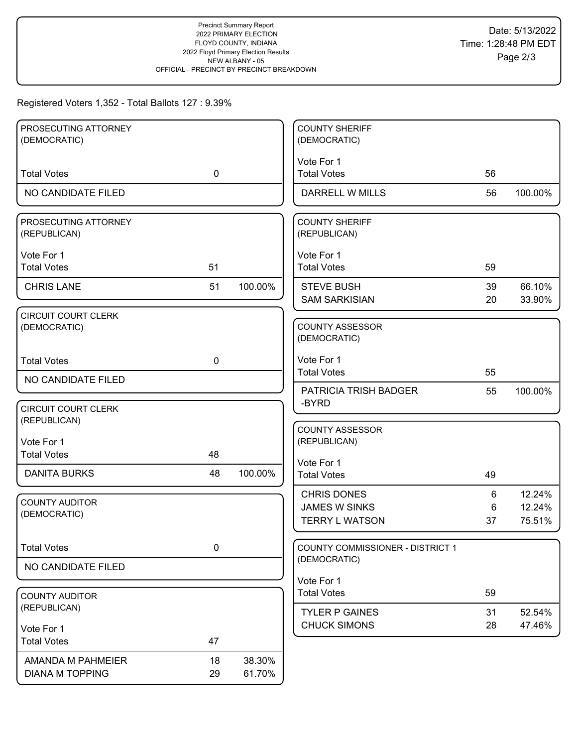## Registered Voters 1,352 - Total Ballots 127 : 9.39%

| PROSECUTING ATTORNEY<br>(DEMOCRATIC)       |             |         | <b>COUNTY SHERIFF</b><br>(DEMOCRATIC)         |          |                  |
|--------------------------------------------|-------------|---------|-----------------------------------------------|----------|------------------|
|                                            |             |         | Vote For 1                                    |          |                  |
| <b>Total Votes</b>                         | $\mathbf 0$ |         | <b>Total Votes</b>                            | 56       |                  |
| NO CANDIDATE FILED                         |             |         | <b>DARRELL W MILLS</b>                        | 56       | 100.00%          |
| PROSECUTING ATTORNEY<br>(REPUBLICAN)       |             |         | <b>COUNTY SHERIFF</b><br>(REPUBLICAN)         |          |                  |
| Vote For 1<br><b>Total Votes</b>           | 51          |         | Vote For 1<br><b>Total Votes</b>              | 59       |                  |
| <b>CHRIS LANE</b>                          | 51          | 100.00% | <b>STEVE BUSH</b><br><b>SAM SARKISIAN</b>     | 39<br>20 | 66.10%<br>33.90% |
| <b>CIRCUIT COURT CLERK</b><br>(DEMOCRATIC) |             |         | <b>COUNTY ASSESSOR</b><br>(DEMOCRATIC)        |          |                  |
| <b>Total Votes</b>                         | $\mathbf 0$ |         | Vote For 1<br><b>Total Votes</b>              | 55       |                  |
| NO CANDIDATE FILED                         |             |         | PATRICIA TRISH BADGER                         | 55       | 100.00%          |
| <b>CIRCUIT COURT CLERK</b><br>(REPUBLICAN) |             |         | -BYRD                                         |          |                  |
| Vote For 1                                 |             |         | <b>COUNTY ASSESSOR</b><br>(REPUBLICAN)        |          |                  |
| <b>Total Votes</b>                         | 48          |         |                                               |          |                  |
| <b>DANITA BURKS</b>                        | 48          | 100.00% | Vote For 1<br><b>Total Votes</b>              | 49       |                  |
| <b>COUNTY AUDITOR</b>                      |             |         | <b>CHRIS DONES</b>                            | 6        | 12.24%           |
| (DEMOCRATIC)                               |             |         | <b>JAMES W SINKS</b><br><b>TERRY L WATSON</b> | 6<br>37  | 12.24%<br>75.51% |
|                                            |             |         |                                               |          |                  |
| <b>Total Votes</b>                         | $\pmb{0}$   |         | COUNTY COMMISSIONER - DISTRICT 1              |          |                  |
| NO CANDIDATE FILED                         |             |         | (DEMOCRATIC)                                  |          |                  |
|                                            |             |         | Vote For 1<br><b>Total Votes</b>              | 59       |                  |
| <b>COUNTY AUDITOR</b><br>(REPUBLICAN)      |             |         | <b>TYLER P GAINES</b>                         | 31       |                  |
| Vote For 1                                 |             |         | <b>CHUCK SIMONS</b>                           | 28       | 52.54%<br>47.46% |
| <b>Total Votes</b>                         | 47          |         |                                               |          |                  |
| AMANDA M PAHMEIER                          | 18          | 38.30%  |                                               |          |                  |
| <b>DIANA M TOPPING</b>                     | 29          | 61.70%  |                                               |          |                  |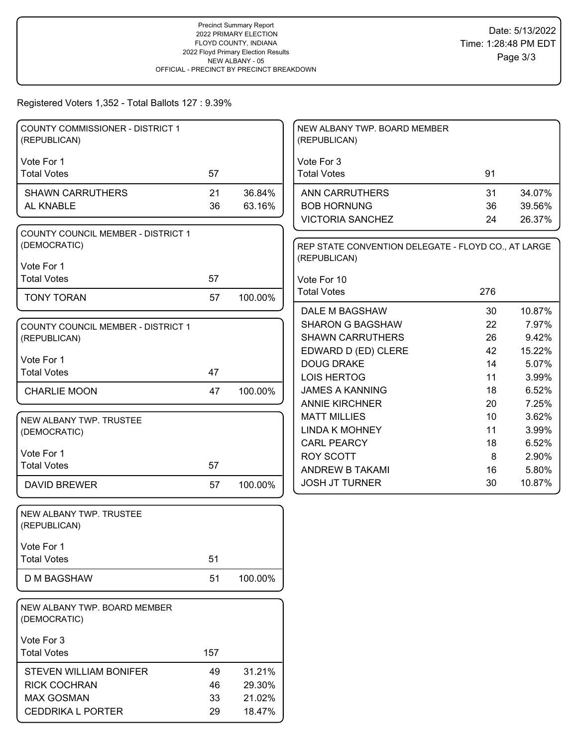#### Registered Voters 1,352 - Total Ballots 127 : 9.39%

| <b>COUNTY COMMISSIONER - DISTRICT 1</b><br>(REPUBLICAN)   |     |         | NEW ALBANY TWP. BOARD MEMBER<br>(REPUBLICAN)                        |          |                |
|-----------------------------------------------------------|-----|---------|---------------------------------------------------------------------|----------|----------------|
|                                                           |     |         |                                                                     |          |                |
| Vote For 1                                                |     |         | Vote For 3                                                          |          |                |
| <b>Total Votes</b>                                        | 57  |         | <b>Total Votes</b>                                                  | 91       |                |
| <b>SHAWN CARRUTHERS</b>                                   | 21  | 36.84%  | <b>ANN CARRUTHERS</b>                                               | 31       | 34.07%         |
| AL KNABLE                                                 | 36  | 63.16%  | <b>BOB HORNUNG</b>                                                  | 36       | 39.56%         |
|                                                           |     |         | <b>VICTORIA SANCHEZ</b>                                             | 24       | 26.37%         |
| <b>COUNTY COUNCIL MEMBER - DISTRICT 1</b><br>(DEMOCRATIC) |     |         | REP STATE CONVENTION DELEGATE - FLOYD CO., AT LARGE<br>(REPUBLICAN) |          |                |
| Vote For 1                                                |     |         |                                                                     |          |                |
| <b>Total Votes</b>                                        | 57  |         | Vote For 10                                                         |          |                |
| <b>TONY TORAN</b>                                         | 57  | 100.00% | <b>Total Votes</b>                                                  | 276      |                |
|                                                           |     |         | DALE M BAGSHAW                                                      | 30       | 10.87%         |
| <b>COUNTY COUNCIL MEMBER - DISTRICT 1</b>                 |     |         | <b>SHARON G BAGSHAW</b>                                             | 22<br>26 | 7.97%<br>9.42% |
| (REPUBLICAN)                                              |     |         | <b>SHAWN CARRUTHERS</b><br>EDWARD D (ED) CLERE                      | 42       | 15.22%         |
| Vote For 1                                                |     |         | <b>DOUG DRAKE</b>                                                   | 14       | 5.07%          |
| <b>Total Votes</b>                                        | 47  |         | <b>LOIS HERTOG</b>                                                  | 11       | 3.99%          |
| <b>CHARLIE MOON</b>                                       | 47  | 100.00% | <b>JAMES A KANNING</b>                                              | 18       | 6.52%          |
|                                                           |     |         | <b>ANNIE KIRCHNER</b>                                               | 20       | 7.25%          |
| NEW ALBANY TWP. TRUSTEE                                   |     |         | <b>MATT MILLIES</b>                                                 | 10       | 3.62%          |
| (DEMOCRATIC)                                              |     |         | <b>LINDA K MOHNEY</b>                                               | 11       | 3.99%          |
|                                                           |     |         | <b>CARL PEARCY</b>                                                  | 18       | 6.52%          |
| Vote For 1                                                |     |         | <b>ROY SCOTT</b>                                                    | 8        | 2.90%          |
| <b>Total Votes</b>                                        | 57  |         | ANDREW B TAKAMI                                                     | 16       | 5.80%          |
| <b>DAVID BREWER</b>                                       | 57  | 100.00% | <b>JOSH JT TURNER</b>                                               | 30       | 10.87%         |
| NEW ALBANY TWP. TRUSTEE                                   |     |         |                                                                     |          |                |
| (REPUBLICAN)                                              |     |         |                                                                     |          |                |
| Vote For 1                                                |     |         |                                                                     |          |                |
| <b>Total Votes</b>                                        | 51  |         |                                                                     |          |                |
| <b>D M BAGSHAW</b>                                        | 51  | 100.00% |                                                                     |          |                |
| NEW ALBANY TWP. BOARD MEMBER<br>(DEMOCRATIC)              |     |         |                                                                     |          |                |
| Vote For 3                                                |     |         |                                                                     |          |                |
| <b>Total Votes</b>                                        | 157 |         |                                                                     |          |                |
| <b>STEVEN WILLIAM BONIFER</b>                             | 49  | 31.21%  |                                                                     |          |                |
| <b>RICK COCHRAN</b>                                       | 46  | 29.30%  |                                                                     |          |                |
| <b>MAX GOSMAN</b>                                         | 33  | 21.02%  |                                                                     |          |                |
| <b>CEDDRIKA L PORTER</b>                                  | 29  | 18.47%  |                                                                     |          |                |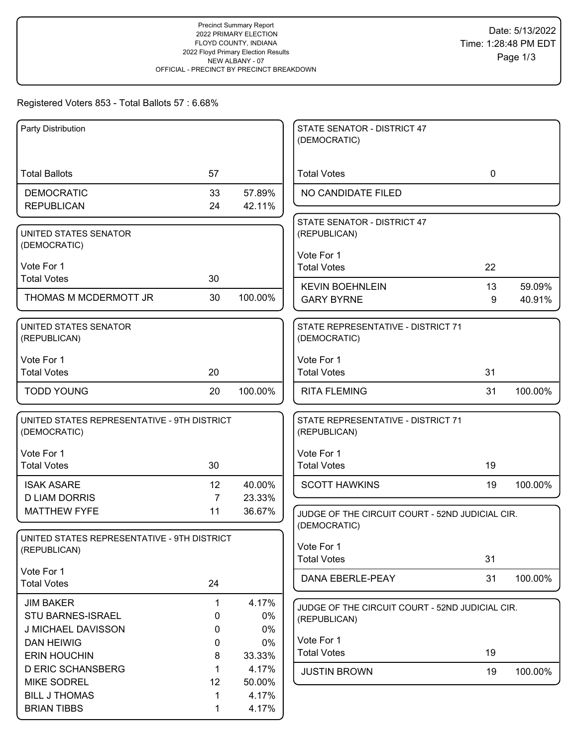## Registered Voters 853 - Total Ballots 57 : 6.68%

| Party Distribution                                          |                |                | STATE SENATOR - DISTRICT 47<br>(DEMOCRATIC)                     |             |         |
|-------------------------------------------------------------|----------------|----------------|-----------------------------------------------------------------|-------------|---------|
|                                                             |                |                |                                                                 |             |         |
| <b>Total Ballots</b>                                        | 57             |                | <b>Total Votes</b>                                              | $\mathbf 0$ |         |
| <b>DEMOCRATIC</b>                                           | 33             | 57.89%         | NO CANDIDATE FILED                                              |             |         |
| <b>REPUBLICAN</b>                                           | 24             | 42.11%         |                                                                 |             |         |
| UNITED STATES SENATOR<br>(DEMOCRATIC)                       |                |                | STATE SENATOR - DISTRICT 47<br>(REPUBLICAN)                     |             |         |
|                                                             |                |                | Vote For 1                                                      |             |         |
| Vote For 1                                                  |                |                | <b>Total Votes</b>                                              | 22          |         |
| <b>Total Votes</b>                                          | 30             |                | <b>KEVIN BOEHNLEIN</b>                                          | 13          | 59.09%  |
| THOMAS M MCDERMOTT JR                                       | 30             | 100.00%        | <b>GARY BYRNE</b>                                               | 9           | 40.91%  |
| UNITED STATES SENATOR<br>(REPUBLICAN)                       |                |                | STATE REPRESENTATIVE - DISTRICT 71<br>(DEMOCRATIC)              |             |         |
| Vote For 1                                                  |                |                | Vote For 1                                                      |             |         |
| <b>Total Votes</b>                                          | 20             |                | <b>Total Votes</b>                                              | 31          |         |
| <b>TODD YOUNG</b>                                           | 20             | 100.00%        | <b>RITA FLEMING</b>                                             | 31          | 100.00% |
| UNITED STATES REPRESENTATIVE - 9TH DISTRICT<br>(DEMOCRATIC) |                |                | STATE REPRESENTATIVE - DISTRICT 71<br>(REPUBLICAN)              |             |         |
| Vote For 1                                                  |                |                | Vote For 1                                                      |             |         |
| <b>Total Votes</b>                                          | 30             |                | <b>Total Votes</b>                                              | 19          |         |
| <b>ISAK ASARE</b>                                           | 12             | 40.00%         | <b>SCOTT HAWKINS</b>                                            | 19          | 100.00% |
| <b>D LIAM DORRIS</b>                                        | $\overline{7}$ | 23.33%         |                                                                 |             |         |
| <b>MATTHEW FYFE</b>                                         | 11             | 36.67%         | JUDGE OF THE CIRCUIT COURT - 52ND JUDICIAL CIR.                 |             |         |
| UNITED STATES REPRESENTATIVE - 9TH DISTRICT                 |                |                | (DEMOCRATIC)                                                    |             |         |
| (REPUBLICAN)                                                |                |                | Vote For 1                                                      |             |         |
|                                                             |                |                | <b>Total Votes</b>                                              | 31          |         |
| Vote For 1<br><b>Total Votes</b>                            | 24             |                | DANA EBERLE-PEAY                                                | 31          | 100.00% |
| <b>JIM BAKER</b>                                            | 1              | 4.17%          |                                                                 |             |         |
| <b>STU BARNES-ISRAEL</b>                                    | 0              | 0%             | JUDGE OF THE CIRCUIT COURT - 52ND JUDICIAL CIR.<br>(REPUBLICAN) |             |         |
| J MICHAEL DAVISSON                                          | 0              | 0%             |                                                                 |             |         |
| <b>DAN HEIWIG</b>                                           | 0              | 0%             | Vote For 1                                                      |             |         |
| <b>ERIN HOUCHIN</b>                                         | 8              | 33.33%         | <b>Total Votes</b>                                              | 19          |         |
| <b>D ERIC SCHANSBERG</b>                                    | 1              | 4.17%          | <b>JUSTIN BROWN</b>                                             | 19          | 100.00% |
| <b>MIKE SODREL</b>                                          | 12             | 50.00%         |                                                                 |             |         |
| <b>BILL J THOMAS</b><br><b>BRIAN TIBBS</b>                  | 1<br>1         | 4.17%<br>4.17% |                                                                 |             |         |
|                                                             |                |                |                                                                 |             |         |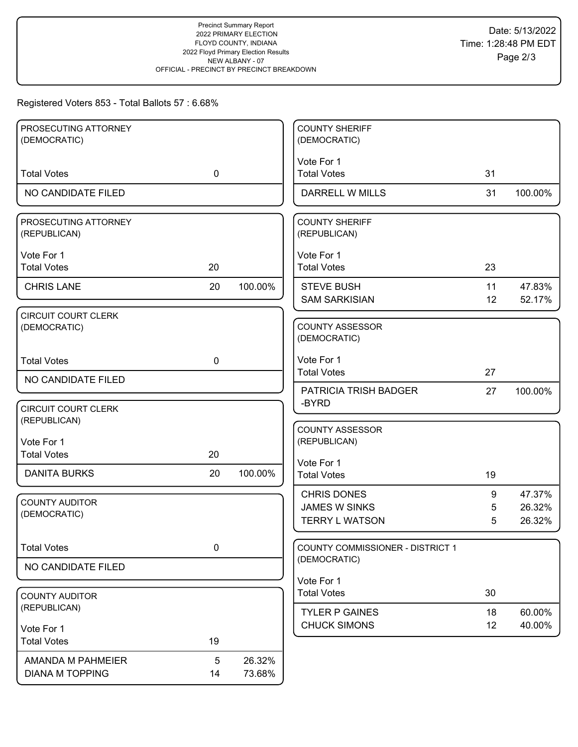# Registered Voters 853 - Total Ballots 57 : 6.68%

| PROSECUTING ATTORNEY<br>(DEMOCRATIC)        |             |                  | <b>COUNTY SHERIFF</b><br>(DEMOCRATIC)                               |             |                            |
|---------------------------------------------|-------------|------------------|---------------------------------------------------------------------|-------------|----------------------------|
|                                             |             |                  | Vote For 1                                                          |             |                            |
| <b>Total Votes</b>                          | $\mathbf 0$ |                  | <b>Total Votes</b>                                                  | 31          |                            |
| NO CANDIDATE FILED                          |             |                  | <b>DARRELL W MILLS</b>                                              | 31          | 100.00%                    |
| PROSECUTING ATTORNEY<br>(REPUBLICAN)        |             |                  | <b>COUNTY SHERIFF</b><br>(REPUBLICAN)                               |             |                            |
| Vote For 1<br><b>Total Votes</b>            | 20          |                  | Vote For 1<br><b>Total Votes</b>                                    | 23          |                            |
| <b>CHRIS LANE</b>                           | 20          | 100.00%          | <b>STEVE BUSH</b><br><b>SAM SARKISIAN</b>                           | 11<br>12    | 47.83%<br>52.17%           |
| <b>CIRCUIT COURT CLERK</b><br>(DEMOCRATIC)  |             |                  | <b>COUNTY ASSESSOR</b><br>(DEMOCRATIC)                              |             |                            |
| <b>Total Votes</b>                          | $\mathbf 0$ |                  | Vote For 1<br><b>Total Votes</b>                                    | 27          |                            |
| NO CANDIDATE FILED                          |             |                  | <b>PATRICIA TRISH BADGER</b>                                        | 27          | 100.00%                    |
| <b>CIRCUIT COURT CLERK</b><br>(REPUBLICAN)  |             |                  | -BYRD                                                               |             |                            |
| Vote For 1<br><b>Total Votes</b>            | 20          |                  | <b>COUNTY ASSESSOR</b><br>(REPUBLICAN)                              |             |                            |
| <b>DANITA BURKS</b>                         | 20          | 100.00%          | Vote For 1<br><b>Total Votes</b>                                    | 19          |                            |
| <b>COUNTY AUDITOR</b><br>(DEMOCRATIC)       |             |                  | <b>CHRIS DONES</b><br><b>JAMES W SINKS</b><br><b>TERRY L WATSON</b> | 9<br>5<br>5 | 47.37%<br>26.32%<br>26.32% |
| <b>Total Votes</b>                          | 0           |                  | COUNTY COMMISSIONER - DISTRICT 1<br>(DEMOCRATIC)                    |             |                            |
| NO CANDIDATE FILED                          |             |                  |                                                                     |             |                            |
| <b>COUNTY AUDITOR</b>                       |             |                  | Vote For 1<br><b>Total Votes</b>                                    | 30          |                            |
| (REPUBLICAN)                                |             |                  | <b>TYLER P GAINES</b><br><b>CHUCK SIMONS</b>                        | 18<br>12    | 60.00%<br>40.00%           |
| Vote For 1<br><b>Total Votes</b>            | 19          |                  |                                                                     |             |                            |
| AMANDA M PAHMEIER<br><b>DIANA M TOPPING</b> | 5<br>14     | 26.32%<br>73.68% |                                                                     |             |                            |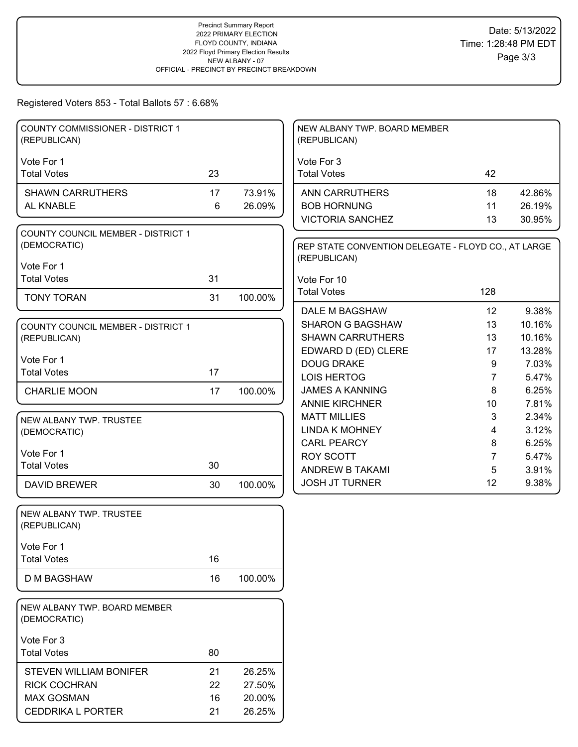## Registered Voters 853 - Total Ballots 57 : 6.68%

| <b>COUNTY COMMISSIONER - DISTRICT 1</b><br>(REPUBLICAN) |    |         | NEW ALBANY TWP. BOARD MEMBER<br>(REPUBLICAN)                        |                |                 |
|---------------------------------------------------------|----|---------|---------------------------------------------------------------------|----------------|-----------------|
| Vote For 1                                              |    |         | Vote For 3                                                          |                |                 |
| <b>Total Votes</b>                                      | 23 |         | <b>Total Votes</b>                                                  | 42             |                 |
| <b>SHAWN CARRUTHERS</b>                                 | 17 | 73.91%  | ANN CARRUTHERS                                                      | 18             | 42.86%          |
| AL KNABLE                                               | 6  | 26.09%  | <b>BOB HORNUNG</b>                                                  | 11             | 26.19%          |
|                                                         |    |         | <b>VICTORIA SANCHEZ</b>                                             | 13             | 30.95%          |
| COUNTY COUNCIL MEMBER - DISTRICT 1<br>(DEMOCRATIC)      |    |         | REP STATE CONVENTION DELEGATE - FLOYD CO., AT LARGE<br>(REPUBLICAN) |                |                 |
| Vote For 1                                              |    |         |                                                                     |                |                 |
| <b>Total Votes</b>                                      | 31 |         | Vote For 10<br><b>Total Votes</b>                                   | 128            |                 |
| <b>TONY TORAN</b>                                       | 31 | 100.00% |                                                                     |                |                 |
|                                                         |    |         | DALE M BAGSHAW                                                      | 12             | 9.38%           |
| <b>COUNTY COUNCIL MEMBER - DISTRICT 1</b>               |    |         | <b>SHARON G BAGSHAW</b>                                             | 13             | 10.16%          |
| (REPUBLICAN)                                            |    |         | <b>SHAWN CARRUTHERS</b>                                             | 13             | 10.16%          |
| Vote For 1                                              |    |         | EDWARD D (ED) CLERE<br><b>DOUG DRAKE</b>                            | 17<br>9        | 13.28%<br>7.03% |
| <b>Total Votes</b>                                      | 17 |         | <b>LOIS HERTOG</b>                                                  | $\overline{7}$ | 5.47%           |
| <b>CHARLIE MOON</b>                                     | 17 | 100.00% | <b>JAMES A KANNING</b>                                              | 8              | 6.25%           |
|                                                         |    |         | <b>ANNIE KIRCHNER</b>                                               | 10             | 7.81%           |
|                                                         |    |         | <b>MATT MILLIES</b>                                                 | 3              | 2.34%           |
| NEW ALBANY TWP. TRUSTEE<br>(DEMOCRATIC)                 |    |         | <b>LINDA K MOHNEY</b>                                               | 4              | 3.12%           |
|                                                         |    |         | <b>CARL PEARCY</b>                                                  | 8              | 6.25%           |
| Vote For 1                                              |    |         | <b>ROY SCOTT</b>                                                    | $\overline{7}$ | 5.47%           |
| <b>Total Votes</b>                                      | 30 |         | ANDREW B TAKAMI                                                     | 5              | 3.91%           |
| <b>DAVID BREWER</b>                                     | 30 | 100.00% | <b>JOSH JT TURNER</b>                                               | 12             | 9.38%           |
| NEW ALBANY TWP. TRUSTEE<br>(REPUBLICAN)                 |    |         |                                                                     |                |                 |
| Vote For 1                                              |    |         |                                                                     |                |                 |
| <b>Total Votes</b>                                      | 16 |         |                                                                     |                |                 |
| <b>D M BAGSHAW</b>                                      | 16 | 100.00% |                                                                     |                |                 |
| NEW ALBANY TWP. BOARD MEMBER<br>(DEMOCRATIC)            |    |         |                                                                     |                |                 |
| Vote For 3                                              |    |         |                                                                     |                |                 |
| <b>Total Votes</b>                                      | 80 |         |                                                                     |                |                 |
| STEVEN WILLIAM BONIFER                                  | 21 | 26.25%  |                                                                     |                |                 |
| <b>RICK COCHRAN</b>                                     | 22 | 27.50%  |                                                                     |                |                 |
| <b>MAX GOSMAN</b>                                       | 16 | 20.00%  |                                                                     |                |                 |
| <b>CEDDRIKA L PORTER</b>                                | 21 | 26.25%  |                                                                     |                |                 |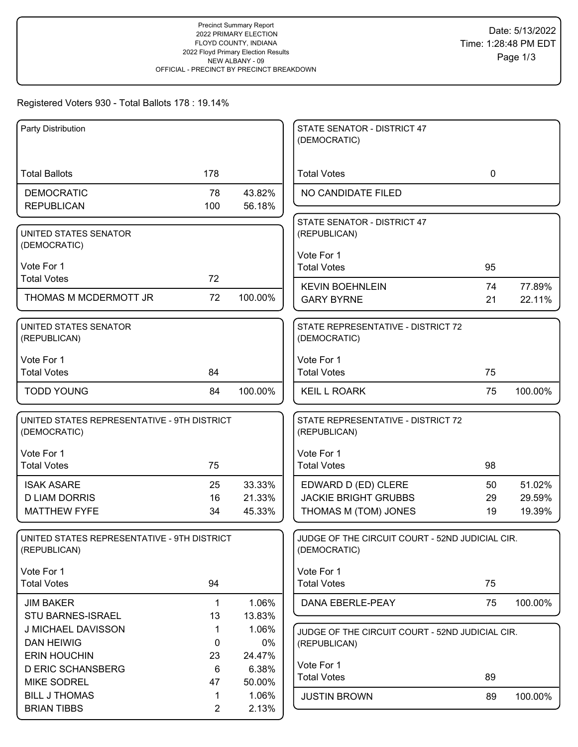## Registered Voters 930 - Total Ballots 178 : 19.14%

| Party Distribution                                          |             |         | STATE SENATOR - DISTRICT 47<br>(DEMOCRATIC)                     |             |         |
|-------------------------------------------------------------|-------------|---------|-----------------------------------------------------------------|-------------|---------|
|                                                             |             |         |                                                                 |             |         |
| <b>Total Ballots</b>                                        | 178         |         | <b>Total Votes</b>                                              | $\mathbf 0$ |         |
| <b>DEMOCRATIC</b>                                           | 78          | 43.82%  | NO CANDIDATE FILED                                              |             |         |
| <b>REPUBLICAN</b>                                           | 100         | 56.18%  |                                                                 |             |         |
| UNITED STATES SENATOR<br>(DEMOCRATIC)                       |             |         | STATE SENATOR - DISTRICT 47<br>(REPUBLICAN)                     |             |         |
|                                                             |             |         | Vote For 1                                                      |             |         |
| Vote For 1                                                  |             |         | <b>Total Votes</b>                                              | 95          |         |
| <b>Total Votes</b>                                          | 72          |         | <b>KEVIN BOEHNLEIN</b>                                          | 74          | 77.89%  |
| THOMAS M MCDERMOTT JR                                       | 72          | 100.00% | <b>GARY BYRNE</b>                                               | 21          | 22.11%  |
| UNITED STATES SENATOR<br>(REPUBLICAN)                       |             |         | STATE REPRESENTATIVE - DISTRICT 72<br>(DEMOCRATIC)              |             |         |
| Vote For 1                                                  |             |         | Vote For 1                                                      |             |         |
| <b>Total Votes</b>                                          | 84          |         | <b>Total Votes</b>                                              | 75          |         |
| <b>TODD YOUNG</b>                                           | 84          | 100.00% | <b>KEIL L ROARK</b>                                             | 75          | 100.00% |
| UNITED STATES REPRESENTATIVE - 9TH DISTRICT<br>(DEMOCRATIC) |             |         | STATE REPRESENTATIVE - DISTRICT 72<br>(REPUBLICAN)              |             |         |
| Vote For 1                                                  |             |         | Vote For 1                                                      |             |         |
| <b>Total Votes</b>                                          | 75          |         | <b>Total Votes</b>                                              | 98          |         |
| <b>ISAK ASARE</b>                                           | 25          | 33.33%  | EDWARD D (ED) CLERE                                             | 50          | 51.02%  |
| <b>D LIAM DORRIS</b>                                        | 16          | 21.33%  | <b>JACKIE BRIGHT GRUBBS</b>                                     | 29          | 29.59%  |
| <b>MATTHEW FYFE</b>                                         | 34          | 45.33%  | THOMAS M (TOM) JONES                                            | 19          | 19.39%  |
| UNITED STATES REPRESENTATIVE - 9TH DISTRICT<br>(REPUBLICAN) |             |         | JUDGE OF THE CIRCUIT COURT - 52ND JUDICIAL CIR.<br>(DEMOCRATIC) |             |         |
| Vote For 1                                                  |             |         | Vote For 1                                                      |             |         |
| <b>Total Votes</b>                                          | 94          |         | <b>Total Votes</b>                                              | 75          |         |
| <b>JIM BAKER</b>                                            | $\mathbf 1$ | 1.06%   | DANA EBERLE-PEAY                                                | 75          | 100.00% |
| STU BARNES-ISRAEL                                           | 13          | 13.83%  |                                                                 |             |         |
| J MICHAEL DAVISSON                                          | 1           | 1.06%   | JUDGE OF THE CIRCUIT COURT - 52ND JUDICIAL CIR.                 |             |         |
| <b>DAN HEIWIG</b>                                           | 0           | 0%      | (REPUBLICAN)                                                    |             |         |
| <b>ERIN HOUCHIN</b>                                         | 23          | 24.47%  | Vote For 1                                                      |             |         |
| <b>D ERIC SCHANSBERG</b>                                    | 6           | 6.38%   | <b>Total Votes</b>                                              | 89          |         |
| <b>MIKE SODREL</b>                                          | 47          | 50.00%  |                                                                 |             |         |
| <b>BILL J THOMAS</b>                                        | 1           | 1.06%   | <b>JUSTIN BROWN</b>                                             | 89          | 100.00% |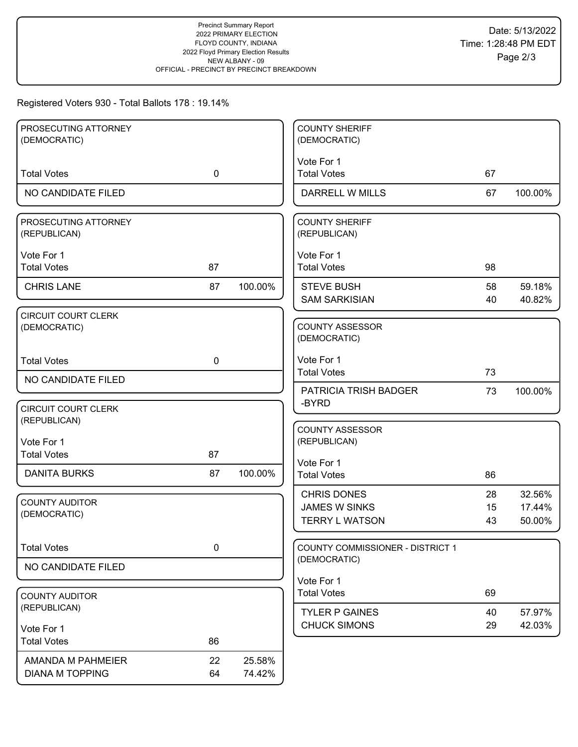## Registered Voters 930 - Total Ballots 178 : 19.14%

| PROSECUTING ATTORNEY<br>(DEMOCRATIC)       |             |         | <b>COUNTY SHERIFF</b><br>(DEMOCRATIC)            |          |                  |
|--------------------------------------------|-------------|---------|--------------------------------------------------|----------|------------------|
|                                            |             |         | Vote For 1                                       |          |                  |
| <b>Total Votes</b>                         | $\mathbf 0$ |         | <b>Total Votes</b>                               | 67       |                  |
| NO CANDIDATE FILED                         |             |         | DARRELL W MILLS                                  | 67       | 100.00%          |
| PROSECUTING ATTORNEY<br>(REPUBLICAN)       |             |         | <b>COUNTY SHERIFF</b><br>(REPUBLICAN)            |          |                  |
| Vote For 1<br><b>Total Votes</b>           | 87          |         | Vote For 1<br><b>Total Votes</b>                 | 98       |                  |
| <b>CHRIS LANE</b>                          | 87          | 100.00% | <b>STEVE BUSH</b><br><b>SAM SARKISIAN</b>        | 58<br>40 | 59.18%<br>40.82% |
| <b>CIRCUIT COURT CLERK</b><br>(DEMOCRATIC) |             |         | <b>COUNTY ASSESSOR</b><br>(DEMOCRATIC)           |          |                  |
| <b>Total Votes</b>                         | $\mathbf 0$ |         | Vote For 1<br><b>Total Votes</b>                 | 73       |                  |
| NO CANDIDATE FILED                         |             |         | PATRICIA TRISH BADGER                            | 73       | 100.00%          |
| <b>CIRCUIT COURT CLERK</b><br>(REPUBLICAN) |             |         | -BYRD                                            |          |                  |
| Vote For 1                                 |             |         | <b>COUNTY ASSESSOR</b><br>(REPUBLICAN)           |          |                  |
| <b>Total Votes</b>                         | 87          |         |                                                  |          |                  |
| <b>DANITA BURKS</b>                        | 87          | 100.00% | Vote For 1<br><b>Total Votes</b>                 | 86       |                  |
| <b>COUNTY AUDITOR</b>                      |             |         | <b>CHRIS DONES</b>                               | 28       | 32.56%           |
| (DEMOCRATIC)                               |             |         | <b>JAMES W SINKS</b><br><b>TERRY L WATSON</b>    | 15<br>43 | 17.44%<br>50.00% |
|                                            |             |         |                                                  |          |                  |
| <b>Total Votes</b>                         | $\pmb{0}$   |         | COUNTY COMMISSIONER - DISTRICT 1<br>(DEMOCRATIC) |          |                  |
| NO CANDIDATE FILED                         |             |         | Vote For 1                                       |          |                  |
| <b>COUNTY AUDITOR</b>                      |             |         | <b>Total Votes</b>                               | 69       |                  |
| (REPUBLICAN)                               |             |         | <b>TYLER P GAINES</b>                            | 40       | 57.97%           |
| Vote For 1                                 |             |         | <b>CHUCK SIMONS</b>                              | 29       | 42.03%           |
| <b>Total Votes</b>                         | 86          |         |                                                  |          |                  |
| AMANDA M PAHMEIER                          | 22          | 25.58%  |                                                  |          |                  |
| <b>DIANA M TOPPING</b>                     | 64          | 74.42%  |                                                  |          |                  |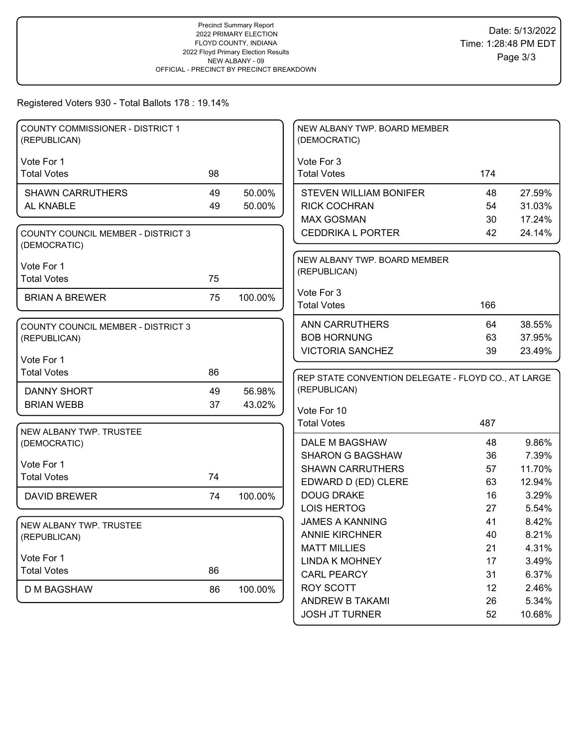# Registered Voters 930 - Total Ballots 178 : 19.14%

| <b>COUNTY COMMISSIONER - DISTRICT 1</b><br>(REPUBLICAN)   |    |         | NEW ALBANY TWP. BOARD MEMBER<br>(DEMOCRATIC)        |          |                 |
|-----------------------------------------------------------|----|---------|-----------------------------------------------------|----------|-----------------|
|                                                           |    |         |                                                     |          |                 |
| Vote For 1<br><b>Total Votes</b>                          | 98 |         | Vote For 3<br><b>Total Votes</b>                    | 174      |                 |
|                                                           |    |         |                                                     |          |                 |
| <b>SHAWN CARRUTHERS</b>                                   | 49 | 50.00%  | <b>STEVEN WILLIAM BONIFER</b>                       | 48       | 27.59%          |
| AL KNABLE                                                 | 49 | 50.00%  | <b>RICK COCHRAN</b>                                 | 54       | 31.03%          |
|                                                           |    |         | <b>MAX GOSMAN</b>                                   | 30       | 17.24%          |
| <b>COUNTY COUNCIL MEMBER - DISTRICT 3</b><br>(DEMOCRATIC) |    |         | <b>CEDDRIKA L PORTER</b>                            | 42       | 24.14%          |
|                                                           |    |         | NEW ALBANY TWP. BOARD MEMBER                        |          |                 |
| Vote For 1<br><b>Total Votes</b>                          | 75 |         | (REPUBLICAN)                                        |          |                 |
|                                                           |    |         |                                                     |          |                 |
| <b>BRIAN A BREWER</b>                                     | 75 | 100.00% | Vote For 3<br><b>Total Votes</b>                    | 166      |                 |
|                                                           |    |         |                                                     |          |                 |
| <b>COUNTY COUNCIL MEMBER - DISTRICT 3</b>                 |    |         | <b>ANN CARRUTHERS</b>                               | 64       | 38.55%          |
| (REPUBLICAN)                                              |    |         | <b>BOB HORNUNG</b>                                  | 63       | 37.95%          |
|                                                           |    |         | <b>VICTORIA SANCHEZ</b>                             | 39       | 23.49%          |
| Vote For 1<br><b>Total Votes</b>                          | 86 |         |                                                     |          |                 |
|                                                           |    |         | REP STATE CONVENTION DELEGATE - FLOYD CO., AT LARGE |          |                 |
| <b>DANNY SHORT</b>                                        | 49 | 56.98%  | (REPUBLICAN)                                        |          |                 |
| <b>BRIAN WEBB</b>                                         | 37 | 43.02%  | Vote For 10                                         |          |                 |
|                                                           |    |         | <b>Total Votes</b>                                  | 487      |                 |
| NEW ALBANY TWP. TRUSTEE                                   |    |         |                                                     |          |                 |
| (DEMOCRATIC)                                              |    |         |                                                     |          |                 |
|                                                           |    |         | DALE M BAGSHAW                                      | 48       | 9.86%           |
|                                                           |    |         | <b>SHARON G BAGSHAW</b>                             | 36       | 7.39%           |
| Vote For 1                                                |    |         | <b>SHAWN CARRUTHERS</b>                             | 57       | 11.70%          |
| <b>Total Votes</b>                                        | 74 |         | EDWARD D (ED) CLERE                                 | 63       | 12.94%          |
| <b>DAVID BREWER</b>                                       | 74 | 100.00% | <b>DOUG DRAKE</b>                                   | 16       | 3.29%           |
|                                                           |    |         | <b>LOIS HERTOG</b>                                  | 27       | 5.54%           |
| NEW ALBANY TWP. TRUSTEE                                   |    |         | <b>JAMES A KANNING</b>                              | 41       | 8.42%           |
| (REPUBLICAN)                                              |    |         | <b>ANNIE KIRCHNER</b>                               | 40       | 8.21%           |
|                                                           |    |         | <b>MATT MILLIES</b>                                 | 21       | 4.31%           |
| Vote For 1                                                |    |         | <b>LINDA K MOHNEY</b>                               | 17       | 3.49%           |
| <b>Total Votes</b>                                        | 86 |         | <b>CARL PEARCY</b>                                  | 31       | 6.37%           |
| <b>D M BAGSHAW</b>                                        | 86 | 100.00% | ROY SCOTT                                           | 12       | 2.46%           |
|                                                           |    |         | ANDREW B TAKAMI<br><b>JOSH JT TURNER</b>            | 26<br>52 | 5.34%<br>10.68% |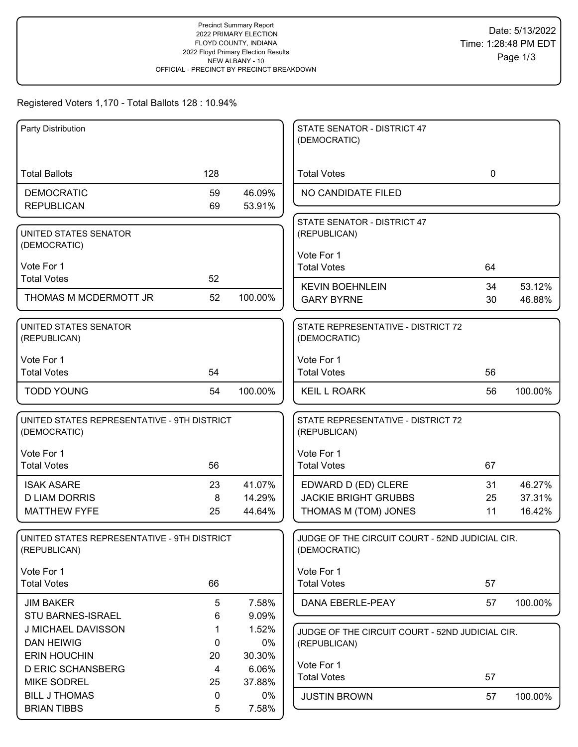## Registered Voters 1,170 - Total Ballots 128 : 10.94%

| Party Distribution                          |     |         | STATE SENATOR - DISTRICT 47                     |             |         |
|---------------------------------------------|-----|---------|-------------------------------------------------|-------------|---------|
|                                             |     |         | (DEMOCRATIC)                                    |             |         |
|                                             |     |         |                                                 |             |         |
| <b>Total Ballots</b>                        | 128 |         | <b>Total Votes</b>                              | $\mathbf 0$ |         |
| <b>DEMOCRATIC</b>                           | 59  | 46.09%  | NO CANDIDATE FILED                              |             |         |
| <b>REPUBLICAN</b>                           | 69  | 53.91%  |                                                 |             |         |
|                                             |     |         | STATE SENATOR - DISTRICT 47                     |             |         |
| UNITED STATES SENATOR                       |     |         | (REPUBLICAN)                                    |             |         |
| (DEMOCRATIC)                                |     |         |                                                 |             |         |
|                                             |     |         | Vote For 1                                      |             |         |
| Vote For 1                                  | 52  |         | <b>Total Votes</b>                              | 64          |         |
| <b>Total Votes</b>                          |     |         | <b>KEVIN BOEHNLEIN</b>                          | 34          | 53.12%  |
| THOMAS M MCDERMOTT JR                       | 52  | 100.00% | <b>GARY BYRNE</b>                               | 30          | 46.88%  |
|                                             |     |         |                                                 |             |         |
| UNITED STATES SENATOR                       |     |         | STATE REPRESENTATIVE - DISTRICT 72              |             |         |
| (REPUBLICAN)                                |     |         | (DEMOCRATIC)                                    |             |         |
| Vote For 1                                  |     |         | Vote For 1                                      |             |         |
| <b>Total Votes</b>                          | 54  |         | <b>Total Votes</b>                              | 56          |         |
|                                             |     |         |                                                 |             |         |
| <b>TODD YOUNG</b>                           | 54  | 100.00% | <b>KEIL L ROARK</b>                             | 56          | 100.00% |
|                                             |     |         |                                                 |             |         |
| UNITED STATES REPRESENTATIVE - 9TH DISTRICT |     |         | STATE REPRESENTATIVE - DISTRICT 72              |             |         |
| (DEMOCRATIC)                                |     |         | (REPUBLICAN)                                    |             |         |
| Vote For 1                                  |     |         | Vote For 1                                      |             |         |
| <b>Total Votes</b>                          | 56  |         | <b>Total Votes</b>                              | 67          |         |
|                                             |     |         |                                                 |             |         |
| <b>ISAK ASARE</b>                           | 23  | 41.07%  | EDWARD D (ED) CLERE                             | 31          | 46.27%  |
| <b>D LIAM DORRIS</b>                        | 8   | 14.29%  | <b>JACKIE BRIGHT GRUBBS</b>                     | 25          | 37.31%  |
| <b>MATTHEW FYFE</b>                         | 25  | 44.64%  | THOMAS M (TOM) JONES                            | 11          | 16.42%  |
|                                             |     |         |                                                 |             |         |
| UNITED STATES REPRESENTATIVE - 9TH DISTRICT |     |         | JUDGE OF THE CIRCUIT COURT - 52ND JUDICIAL CIR. |             |         |
| (REPUBLICAN)                                |     |         | (DEMOCRATIC)                                    |             |         |
| Vote For 1                                  |     |         | Vote For 1                                      |             |         |
| <b>Total Votes</b>                          | 66  |         | <b>Total Votes</b>                              | 57          |         |
| <b>JIM BAKER</b>                            | 5   | 7.58%   | DANA EBERLE-PEAY                                | 57          | 100.00% |
| STU BARNES-ISRAEL                           | 6   | 9.09%   |                                                 |             |         |
| J MICHAEL DAVISSON                          | 1   | 1.52%   | JUDGE OF THE CIRCUIT COURT - 52ND JUDICIAL CIR. |             |         |
| <b>DAN HEIWIG</b>                           | 0   | 0%      | (REPUBLICAN)                                    |             |         |
| <b>ERIN HOUCHIN</b>                         | 20  | 30.30%  |                                                 |             |         |
| <b>D ERIC SCHANSBERG</b>                    | 4   | 6.06%   | Vote For 1                                      |             |         |
| <b>MIKE SODREL</b>                          | 25  | 37.88%  | <b>Total Votes</b>                              | 57          |         |
| <b>BILL J THOMAS</b>                        | 0   | $0\%$   | <b>JUSTIN BROWN</b>                             | 57          | 100.00% |
| <b>BRIAN TIBBS</b>                          | 5   | 7.58%   |                                                 |             |         |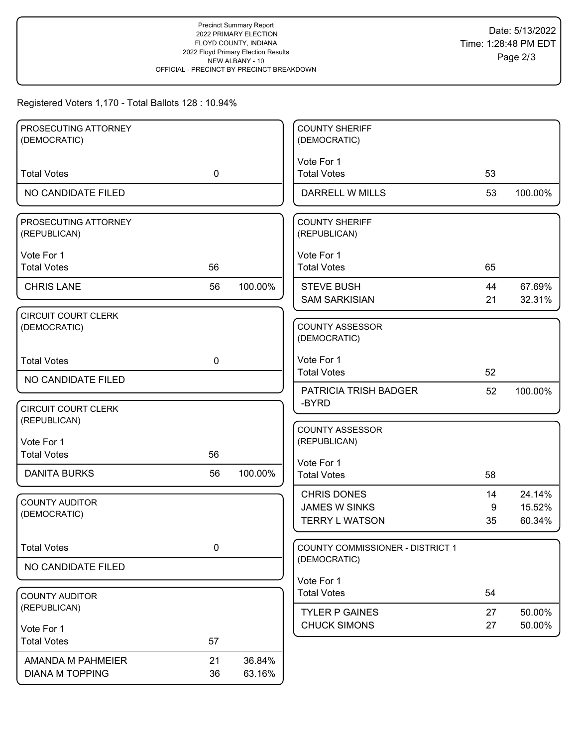## Registered Voters 1,170 - Total Ballots 128 : 10.94%

| PROSECUTING ATTORNEY                 |             |         | <b>COUNTY SHERIFF</b>                 |    |         |
|--------------------------------------|-------------|---------|---------------------------------------|----|---------|
| (DEMOCRATIC)                         |             |         | (DEMOCRATIC)                          |    |         |
|                                      |             |         | Vote For 1                            |    |         |
| <b>Total Votes</b>                   | $\mathbf 0$ |         | <b>Total Votes</b>                    | 53 |         |
|                                      |             |         |                                       |    |         |
| NO CANDIDATE FILED                   |             |         | DARRELL W MILLS                       | 53 | 100.00% |
|                                      |             |         |                                       |    |         |
| PROSECUTING ATTORNEY<br>(REPUBLICAN) |             |         | <b>COUNTY SHERIFF</b><br>(REPUBLICAN) |    |         |
|                                      |             |         |                                       |    |         |
| Vote For 1                           |             |         | Vote For 1                            |    |         |
| <b>Total Votes</b>                   | 56          |         | <b>Total Votes</b>                    | 65 |         |
|                                      |             |         |                                       |    |         |
| <b>CHRIS LANE</b>                    | 56          | 100.00% | <b>STEVE BUSH</b>                     | 44 | 67.69%  |
|                                      |             |         | <b>SAM SARKISIAN</b>                  | 21 | 32.31%  |
| <b>CIRCUIT COURT CLERK</b>           |             |         |                                       |    |         |
| (DEMOCRATIC)                         |             |         | <b>COUNTY ASSESSOR</b>                |    |         |
|                                      |             |         | (DEMOCRATIC)                          |    |         |
| <b>Total Votes</b>                   |             |         | Vote For 1                            |    |         |
|                                      | 0           |         | <b>Total Votes</b>                    | 52 |         |
| NO CANDIDATE FILED                   |             |         |                                       |    |         |
|                                      |             |         | <b>PATRICIA TRISH BADGER</b>          | 52 | 100.00% |
| <b>CIRCUIT COURT CLERK</b>           |             |         | -BYRD                                 |    |         |
| (REPUBLICAN)                         |             |         |                                       |    |         |
|                                      |             |         | <b>COUNTY ASSESSOR</b>                |    |         |
| Vote For 1                           |             |         | (REPUBLICAN)                          |    |         |
| <b>Total Votes</b>                   | 56          |         |                                       |    |         |
| <b>DANITA BURKS</b>                  | 56          | 100.00% | Vote For 1                            |    |         |
|                                      |             |         | <b>Total Votes</b>                    | 58 |         |
|                                      |             |         | <b>CHRIS DONES</b>                    | 14 | 24.14%  |
| <b>COUNTY AUDITOR</b>                |             |         | <b>JAMES W SINKS</b>                  | 9  | 15.52%  |
| (DEMOCRATIC)                         |             |         | <b>TERRY L WATSON</b>                 | 35 | 60.34%  |
|                                      |             |         |                                       |    |         |
| <b>Total Votes</b>                   | $\pmb{0}$   |         | COUNTY COMMISSIONER - DISTRICT 1      |    |         |
|                                      |             |         | (DEMOCRATIC)                          |    |         |
| NO CANDIDATE FILED                   |             |         |                                       |    |         |
|                                      |             |         | Vote For 1                            |    |         |
| <b>COUNTY AUDITOR</b>                |             |         | <b>Total Votes</b>                    | 54 |         |
| (REPUBLICAN)                         |             |         | <b>TYLER P GAINES</b>                 | 27 | 50.00%  |
|                                      |             |         | <b>CHUCK SIMONS</b>                   | 27 | 50.00%  |
| Vote For 1                           |             |         |                                       |    |         |
| <b>Total Votes</b>                   | 57          |         |                                       |    |         |
| AMANDA M PAHMEIER                    | 21          | 36.84%  |                                       |    |         |
| <b>DIANA M TOPPING</b>               | 36          | 63.16%  |                                       |    |         |
|                                      |             |         |                                       |    |         |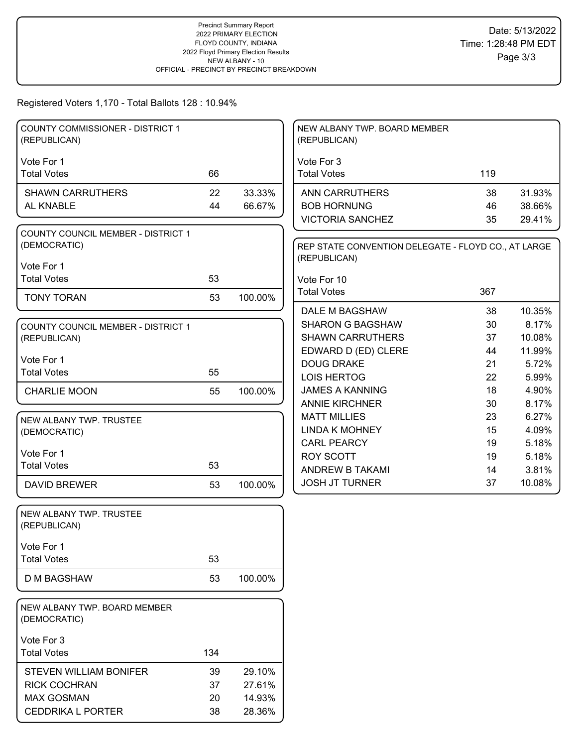#### Registered Voters 1,170 - Total Ballots 128 : 10.94%

| <b>COUNTY COMMISSIONER - DISTRICT 1</b>                   |     |         | NEW ALBANY TWP. BOARD MEMBER                        |     |        |
|-----------------------------------------------------------|-----|---------|-----------------------------------------------------|-----|--------|
| (REPUBLICAN)                                              |     |         | (REPUBLICAN)                                        |     |        |
|                                                           |     |         |                                                     |     |        |
| Vote For 1                                                | 66  |         | Vote For 3                                          |     |        |
| <b>Total Votes</b>                                        |     |         | <b>Total Votes</b>                                  | 119 |        |
| <b>SHAWN CARRUTHERS</b>                                   | 22  | 33.33%  | <b>ANN CARRUTHERS</b>                               | 38  | 31.93% |
| AL KNABLE                                                 | 44  | 66.67%  | <b>BOB HORNUNG</b>                                  | 46  | 38.66% |
|                                                           |     |         | <b>VICTORIA SANCHEZ</b>                             | 35  | 29.41% |
| <b>COUNTY COUNCIL MEMBER - DISTRICT 1</b>                 |     |         |                                                     |     |        |
| (DEMOCRATIC)                                              |     |         | REP STATE CONVENTION DELEGATE - FLOYD CO., AT LARGE |     |        |
| Vote For 1                                                |     |         | (REPUBLICAN)                                        |     |        |
| <b>Total Votes</b>                                        | 53  |         | Vote For 10                                         |     |        |
| <b>TONY TORAN</b>                                         | 53  |         | <b>Total Votes</b>                                  | 367 |        |
|                                                           |     | 100.00% | DALE M BAGSHAW                                      | 38  | 10.35% |
|                                                           |     |         | <b>SHARON G BAGSHAW</b>                             | 30  | 8.17%  |
| <b>COUNTY COUNCIL MEMBER - DISTRICT 1</b><br>(REPUBLICAN) |     |         | <b>SHAWN CARRUTHERS</b>                             | 37  | 10.08% |
|                                                           |     |         | EDWARD D (ED) CLERE                                 | 44  | 11.99% |
| Vote For 1                                                |     |         | <b>DOUG DRAKE</b>                                   | 21  | 5.72%  |
| <b>Total Votes</b>                                        | 55  |         | <b>LOIS HERTOG</b>                                  | 22  | 5.99%  |
| <b>CHARLIE MOON</b>                                       | 55  | 100.00% | <b>JAMES A KANNING</b>                              | 18  | 4.90%  |
|                                                           |     |         | <b>ANNIE KIRCHNER</b>                               | 30  | 8.17%  |
| NEW ALBANY TWP. TRUSTEE                                   |     |         | <b>MATT MILLIES</b>                                 | 23  | 6.27%  |
| (DEMOCRATIC)                                              |     |         | <b>LINDA K MOHNEY</b>                               | 15  | 4.09%  |
|                                                           |     |         | <b>CARL PEARCY</b>                                  | 19  | 5.18%  |
| Vote For 1                                                |     |         | <b>ROY SCOTT</b>                                    | 19  | 5.18%  |
| <b>Total Votes</b>                                        | 53  |         | ANDREW B TAKAMI                                     | 14  | 3.81%  |
| <b>DAVID BREWER</b>                                       | 53  | 100.00% | <b>JOSH JT TURNER</b>                               | 37  | 10.08% |
| NEW ALBANY TWP. TRUSTEE                                   |     |         |                                                     |     |        |
| (REPUBLICAN)                                              |     |         |                                                     |     |        |
| Vote For 1                                                |     |         |                                                     |     |        |
| <b>Total Votes</b>                                        | 53  |         |                                                     |     |        |
|                                                           |     |         |                                                     |     |        |
| <b>D M BAGSHAW</b>                                        | 53  | 100.00% |                                                     |     |        |
| NEW ALBANY TWP. BOARD MEMBER                              |     |         |                                                     |     |        |
| (DEMOCRATIC)                                              |     |         |                                                     |     |        |
| Vote For 3                                                |     |         |                                                     |     |        |
| <b>Total Votes</b>                                        | 134 |         |                                                     |     |        |
|                                                           |     |         |                                                     |     |        |
| <b>STEVEN WILLIAM BONIFER</b>                             | 39  | 29.10%  |                                                     |     |        |
| <b>RICK COCHRAN</b>                                       | 37  | 27.61%  |                                                     |     |        |
| <b>MAX GOSMAN</b>                                         | 20  | 14.93%  |                                                     |     |        |
| <b>CEDDRIKA L PORTER</b>                                  | 38  | 28.36%  |                                                     |     |        |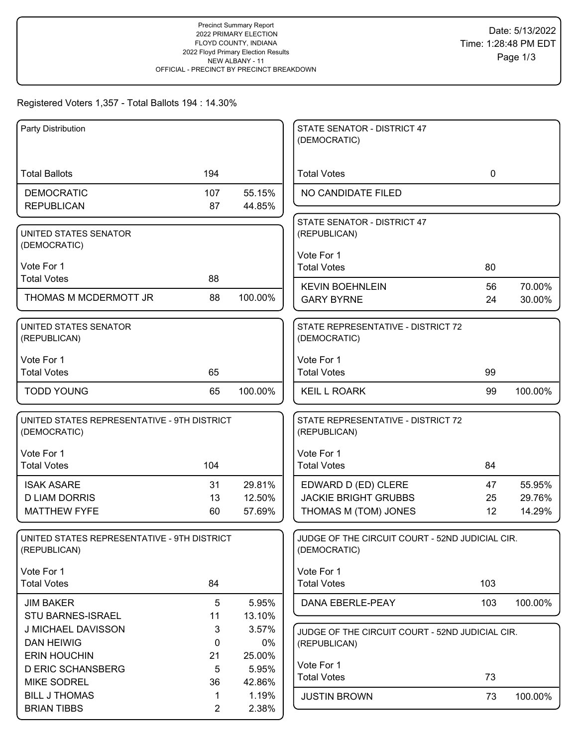## Registered Voters 1,357 - Total Ballots 194 : 14.30%

| Party Distribution                          |                |         | STATE SENATOR - DISTRICT 47<br>(DEMOCRATIC)     |             |                  |
|---------------------------------------------|----------------|---------|-------------------------------------------------|-------------|------------------|
|                                             |                |         |                                                 |             |                  |
| <b>Total Ballots</b>                        | 194            |         | <b>Total Votes</b>                              | $\mathbf 0$ |                  |
| <b>DEMOCRATIC</b>                           | 107            | 55.15%  | NO CANDIDATE FILED                              |             |                  |
| <b>REPUBLICAN</b>                           | 87             | 44.85%  |                                                 |             |                  |
| UNITED STATES SENATOR                       |                |         | STATE SENATOR - DISTRICT 47<br>(REPUBLICAN)     |             |                  |
| (DEMOCRATIC)                                |                |         |                                                 |             |                  |
| Vote For 1                                  |                |         | Vote For 1<br><b>Total Votes</b>                | 80          |                  |
| <b>Total Votes</b>                          | 88             |         |                                                 |             |                  |
| THOMAS M MCDERMOTT JR                       | 88             | 100.00% | <b>KEVIN BOEHNLEIN</b><br><b>GARY BYRNE</b>     | 56<br>24    | 70.00%<br>30.00% |
|                                             |                |         |                                                 |             |                  |
| UNITED STATES SENATOR                       |                |         | STATE REPRESENTATIVE - DISTRICT 72              |             |                  |
| (REPUBLICAN)                                |                |         | (DEMOCRATIC)                                    |             |                  |
| Vote For 1                                  |                |         | Vote For 1                                      |             |                  |
| <b>Total Votes</b>                          | 65             |         | <b>Total Votes</b>                              | 99          |                  |
| <b>TODD YOUNG</b>                           | 65             | 100.00% | <b>KEIL L ROARK</b>                             | 99          | 100.00%          |
| UNITED STATES REPRESENTATIVE - 9TH DISTRICT |                |         | STATE REPRESENTATIVE - DISTRICT 72              |             |                  |
| (DEMOCRATIC)                                |                |         | (REPUBLICAN)                                    |             |                  |
| Vote For 1                                  |                |         | Vote For 1                                      |             |                  |
| <b>Total Votes</b>                          | 104            |         | <b>Total Votes</b>                              | 84          |                  |
| <b>ISAK ASARE</b>                           | 31             | 29.81%  | EDWARD D (ED) CLERE                             | 47          | 55.95%           |
| <b>D LIAM DORRIS</b>                        | 13             | 12.50%  | <b>JACKIE BRIGHT GRUBBS</b>                     | 25          | 29.76%           |
| <b>MATTHEW FYFE</b>                         | 60             | 57.69%  | THOMAS M (TOM) JONES                            | 12          | 14.29%           |
| UNITED STATES REPRESENTATIVE - 9TH DISTRICT |                |         | JUDGE OF THE CIRCUIT COURT - 52ND JUDICIAL CIR. |             |                  |
| (REPUBLICAN)                                |                |         | (DEMOCRATIC)                                    |             |                  |
| Vote For 1                                  |                |         | Vote For 1                                      |             |                  |
| <b>Total Votes</b>                          | 84             |         | <b>Total Votes</b>                              | 103         |                  |
| <b>JIM BAKER</b>                            | 5              | 5.95%   | DANA EBERLE-PEAY                                | 103         | 100.00%          |
| <b>STU BARNES-ISRAEL</b>                    | 11             | 13.10%  |                                                 |             |                  |
| J MICHAEL DAVISSON                          | $\mathbf{3}$   | 3.57%   | JUDGE OF THE CIRCUIT COURT - 52ND JUDICIAL CIR. |             |                  |
| <b>DAN HEIWIG</b>                           | 0              | 0%      | (REPUBLICAN)                                    |             |                  |
| <b>ERIN HOUCHIN</b>                         | 21             | 25.00%  | Vote For 1                                      |             |                  |
| <b>D ERIC SCHANSBERG</b>                    | 5              | 5.95%   | <b>Total Votes</b>                              | 73          |                  |
| <b>MIKE SODREL</b>                          | 36             | 42.86%  |                                                 |             |                  |
| <b>BILL J THOMAS</b>                        | 1              | 1.19%   | <b>JUSTIN BROWN</b>                             | 73          | 100.00%          |
| <b>BRIAN TIBBS</b>                          | $\overline{2}$ | 2.38%   |                                                 |             |                  |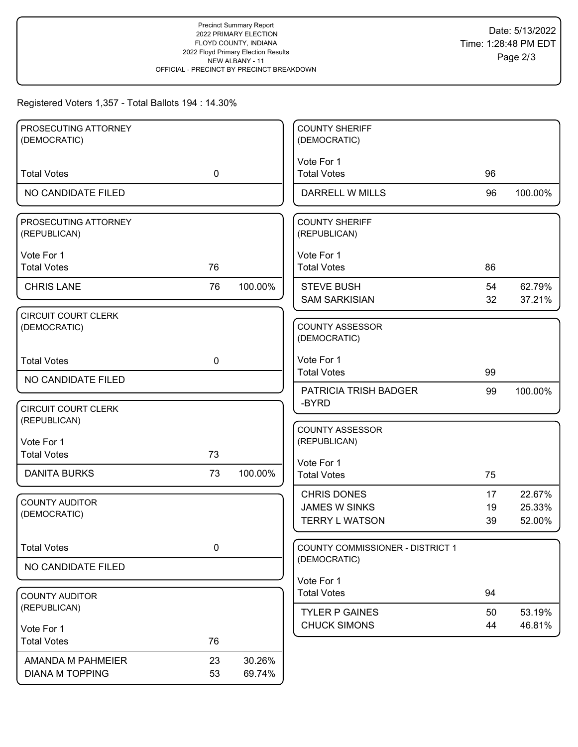## Registered Voters 1,357 - Total Ballots 194 : 14.30%

| PROSECUTING ATTORNEY                       |             |         | <b>COUNTY SHERIFF</b>                                               |                |                            |
|--------------------------------------------|-------------|---------|---------------------------------------------------------------------|----------------|----------------------------|
| (DEMOCRATIC)                               |             |         | (DEMOCRATIC)                                                        |                |                            |
| <b>Total Votes</b>                         | $\mathbf 0$ |         | Vote For 1<br><b>Total Votes</b>                                    | 96             |                            |
| NO CANDIDATE FILED                         |             |         | DARRELL W MILLS                                                     | 96             | 100.00%                    |
| PROSECUTING ATTORNEY<br>(REPUBLICAN)       |             |         | <b>COUNTY SHERIFF</b><br>(REPUBLICAN)                               |                |                            |
| Vote For 1<br><b>Total Votes</b>           | 76          |         | Vote For 1<br><b>Total Votes</b>                                    | 86             |                            |
| <b>CHRIS LANE</b>                          | 76          | 100.00% | <b>STEVE BUSH</b><br><b>SAM SARKISIAN</b>                           | 54<br>32       | 62.79%<br>37.21%           |
| CIRCUIT COURT CLERK<br>(DEMOCRATIC)        |             |         | <b>COUNTY ASSESSOR</b><br>(DEMOCRATIC)                              |                |                            |
| <b>Total Votes</b>                         | $\mathbf 0$ |         | Vote For 1<br><b>Total Votes</b>                                    | 99             |                            |
| NO CANDIDATE FILED                         |             |         | PATRICIA TRISH BADGER                                               | 99             | 100.00%                    |
| <b>CIRCUIT COURT CLERK</b><br>(REPUBLICAN) |             |         | -BYRD                                                               |                |                            |
| Vote For 1<br><b>Total Votes</b>           | 73          |         | <b>COUNTY ASSESSOR</b><br>(REPUBLICAN)                              |                |                            |
| <b>DANITA BURKS</b>                        | 73          | 100.00% | Vote For 1<br><b>Total Votes</b>                                    | 75             |                            |
| <b>COUNTY AUDITOR</b><br>(DEMOCRATIC)      |             |         | <b>CHRIS DONES</b><br><b>JAMES W SINKS</b><br><b>TERRY L WATSON</b> | 17<br>19<br>39 | 22.67%<br>25.33%<br>52.00% |
| <b>Total Votes</b>                         | $\pmb{0}$   |         | COUNTY COMMISSIONER - DISTRICT 1                                    |                |                            |
| NO CANDIDATE FILED                         |             |         | (DEMOCRATIC)                                                        |                |                            |
| <b>COUNTY AUDITOR</b>                      |             |         | Vote For 1<br><b>Total Votes</b>                                    | 94             |                            |
| (REPUBLICAN)                               |             |         | <b>TYLER P GAINES</b>                                               | 50             | 53.19%                     |
| Vote For 1<br><b>Total Votes</b>           | 76          |         | <b>CHUCK SIMONS</b>                                                 | 44             | 46.81%                     |
| AMANDA M PAHMEIER                          | 23          | 30.26%  |                                                                     |                |                            |
| <b>DIANA M TOPPING</b>                     | 53          | 69.74%  |                                                                     |                |                            |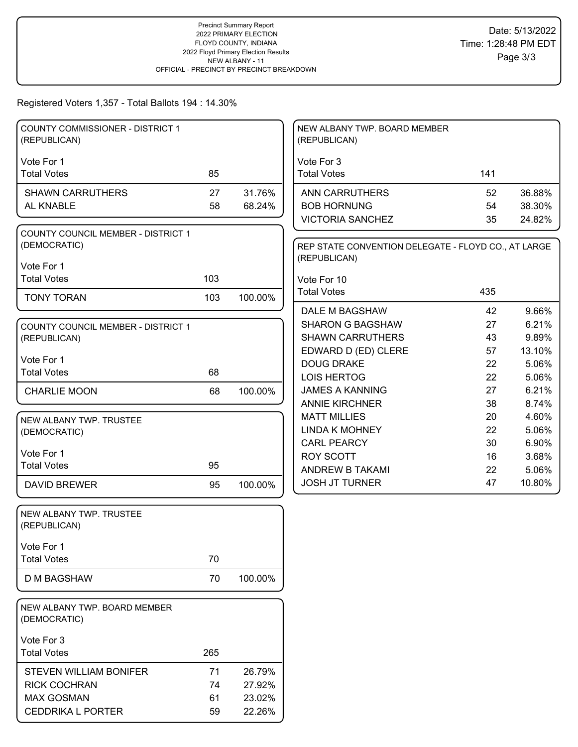#### Registered Voters 1,357 - Total Ballots 194 : 14.30%

| <b>COUNTY COMMISSIONER - DISTRICT 1</b><br>(REPUBLICAN)   |     |         | NEW ALBANY TWP. BOARD MEMBER<br>(REPUBLICAN)                        |     |        |
|-----------------------------------------------------------|-----|---------|---------------------------------------------------------------------|-----|--------|
| Vote For 1                                                |     |         | Vote For 3                                                          |     |        |
| <b>Total Votes</b>                                        | 85  |         | <b>Total Votes</b>                                                  | 141 |        |
| <b>SHAWN CARRUTHERS</b>                                   | 27  | 31.76%  | <b>ANN CARRUTHERS</b>                                               | 52  | 36.88% |
| AL KNABLE                                                 | 58  | 68.24%  | <b>BOB HORNUNG</b>                                                  | 54  | 38.30% |
|                                                           |     |         | <b>VICTORIA SANCHEZ</b>                                             | 35  | 24.82% |
| <b>COUNTY COUNCIL MEMBER - DISTRICT 1</b><br>(DEMOCRATIC) |     |         | REP STATE CONVENTION DELEGATE - FLOYD CO., AT LARGE<br>(REPUBLICAN) |     |        |
| Vote For 1                                                |     |         |                                                                     |     |        |
| <b>Total Votes</b>                                        | 103 |         | Vote For 10                                                         |     |        |
| <b>TONY TORAN</b>                                         | 103 | 100.00% | <b>Total Votes</b>                                                  | 435 |        |
|                                                           |     |         | DALE M BAGSHAW                                                      | 42  | 9.66%  |
| <b>COUNTY COUNCIL MEMBER - DISTRICT 1</b>                 |     |         | <b>SHARON G BAGSHAW</b>                                             | 27  | 6.21%  |
| (REPUBLICAN)                                              |     |         | <b>SHAWN CARRUTHERS</b>                                             | 43  | 9.89%  |
| Vote For 1                                                |     |         | EDWARD D (ED) CLERE                                                 | 57  | 13.10% |
| <b>Total Votes</b>                                        | 68  |         | <b>DOUG DRAKE</b>                                                   | 22  | 5.06%  |
|                                                           |     |         | <b>LOIS HERTOG</b>                                                  | 22  | 5.06%  |
| <b>CHARLIE MOON</b>                                       | 68  | 100.00% | <b>JAMES A KANNING</b>                                              | 27  | 6.21%  |
|                                                           |     |         | <b>ANNIE KIRCHNER</b>                                               | 38  | 8.74%  |
| NEW ALBANY TWP. TRUSTEE                                   |     |         | <b>MATT MILLIES</b>                                                 | 20  | 4.60%  |
| (DEMOCRATIC)                                              |     |         | <b>LINDA K MOHNEY</b>                                               | 22  | 5.06%  |
| Vote For 1                                                |     |         | <b>CARL PEARCY</b>                                                  | 30  | 6.90%  |
| <b>Total Votes</b>                                        | 95  |         | <b>ROY SCOTT</b>                                                    | 16  | 3.68%  |
|                                                           |     |         | ANDREW B TAKAMI                                                     | 22  | 5.06%  |
| <b>DAVID BREWER</b>                                       | 95  | 100.00% | <b>JOSH JT TURNER</b>                                               | 47  | 10.80% |
| NEW ALBANY TWP. TRUSTEE<br>(REPUBLICAN)                   |     |         |                                                                     |     |        |
|                                                           |     |         |                                                                     |     |        |
| Vote For 1<br><b>Total Votes</b>                          | 70  |         |                                                                     |     |        |
|                                                           |     |         |                                                                     |     |        |
| <b>D M BAGSHAW</b>                                        | 70  | 100.00% |                                                                     |     |        |
| NEW ALBANY TWP. BOARD MEMBER<br>(DEMOCRATIC)              |     |         |                                                                     |     |        |
| Vote For 3                                                |     |         |                                                                     |     |        |
| <b>Total Votes</b>                                        | 265 |         |                                                                     |     |        |
| <b>STEVEN WILLIAM BONIFER</b>                             | 71  | 26.79%  |                                                                     |     |        |
| <b>RICK COCHRAN</b>                                       | 74  | 27.92%  |                                                                     |     |        |
| <b>MAX GOSMAN</b>                                         | 61  | 23.02%  |                                                                     |     |        |
| <b>CEDDRIKA L PORTER</b>                                  | 59  | 22.26%  |                                                                     |     |        |
|                                                           |     |         |                                                                     |     |        |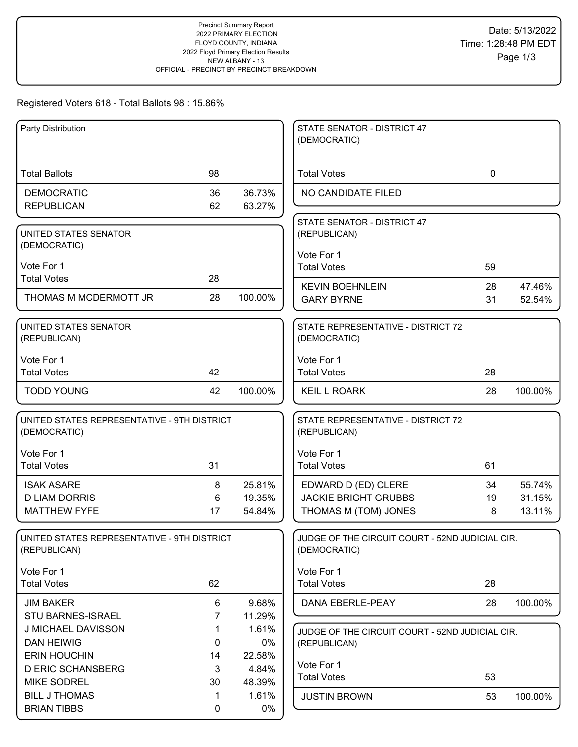## Registered Voters 618 - Total Ballots 98 : 15.86%

| Party Distribution                           |                |         | STATE SENATOR - DISTRICT 47                        |             |         |
|----------------------------------------------|----------------|---------|----------------------------------------------------|-------------|---------|
|                                              |                |         | (DEMOCRATIC)                                       |             |         |
|                                              |                |         |                                                    |             |         |
| <b>Total Ballots</b>                         | 98             |         | <b>Total Votes</b>                                 | $\mathbf 0$ |         |
| <b>DEMOCRATIC</b>                            | 36             | 36.73%  | NO CANDIDATE FILED                                 |             |         |
| <b>REPUBLICAN</b>                            | 62             | 63.27%  |                                                    |             |         |
|                                              |                |         | STATE SENATOR - DISTRICT 47                        |             |         |
| UNITED STATES SENATOR                        |                |         | (REPUBLICAN)                                       |             |         |
| (DEMOCRATIC)                                 |                |         |                                                    |             |         |
| Vote For 1                                   |                |         | Vote For 1                                         |             |         |
| <b>Total Votes</b>                           | 28             |         | <b>Total Votes</b>                                 | 59          |         |
|                                              |                |         | <b>KEVIN BOEHNLEIN</b>                             | 28          | 47.46%  |
| THOMAS M MCDERMOTT JR                        | 28             | 100.00% | <b>GARY BYRNE</b>                                  | 31          | 52.54%  |
|                                              |                |         |                                                    |             |         |
| <b>UNITED STATES SENATOR</b><br>(REPUBLICAN) |                |         | STATE REPRESENTATIVE - DISTRICT 72<br>(DEMOCRATIC) |             |         |
|                                              |                |         |                                                    |             |         |
| Vote For 1                                   |                |         | Vote For 1                                         |             |         |
| <b>Total Votes</b>                           | 42             |         | <b>Total Votes</b>                                 | 28          |         |
| <b>TODD YOUNG</b>                            | 42             | 100.00% | <b>KEIL L ROARK</b>                                | 28          | 100.00% |
|                                              |                |         |                                                    |             |         |
| UNITED STATES REPRESENTATIVE - 9TH DISTRICT  |                |         | STATE REPRESENTATIVE - DISTRICT 72                 |             |         |
| (DEMOCRATIC)                                 |                |         | (REPUBLICAN)                                       |             |         |
| Vote For 1                                   |                |         | Vote For 1                                         |             |         |
| <b>Total Votes</b>                           | 31             |         | <b>Total Votes</b>                                 | 61          |         |
|                                              |                |         |                                                    |             |         |
| <b>ISAK ASARE</b>                            | 8              | 25.81%  | EDWARD D (ED) CLERE                                | 34          | 55.74%  |
| <b>D LIAM DORRIS</b>                         | 6              | 19.35%  | <b>JACKIE BRIGHT GRUBBS</b>                        | 19          | 31.15%  |
| <b>MATTHEW FYFE</b>                          | 17             | 54.84%  | THOMAS M (TOM) JONES                               | 8           | 13.11%  |
|                                              |                |         |                                                    |             |         |
| UNITED STATES REPRESENTATIVE - 9TH DISTRICT  |                |         | JUDGE OF THE CIRCUIT COURT - 52ND JUDICIAL CIR.    |             |         |
| (REPUBLICAN)                                 |                |         | (DEMOCRATIC)                                       |             |         |
| Vote For 1                                   |                |         | Vote For 1                                         |             |         |
| <b>Total Votes</b>                           | 62             |         | <b>Total Votes</b>                                 | 28          |         |
| <b>JIM BAKER</b>                             | 6              | 9.68%   | DANA EBERLE-PEAY                                   | 28          | 100.00% |
| STU BARNES-ISRAEL                            | $\overline{7}$ | 11.29%  |                                                    |             |         |
| J MICHAEL DAVISSON                           | 1              | 1.61%   | JUDGE OF THE CIRCUIT COURT - 52ND JUDICIAL CIR.    |             |         |
| <b>DAN HEIWIG</b>                            | 0              | $0\%$   | (REPUBLICAN)                                       |             |         |
| <b>ERIN HOUCHIN</b>                          | 14             | 22.58%  |                                                    |             |         |
| <b>D ERIC SCHANSBERG</b>                     | 3              | 4.84%   | Vote For 1                                         |             |         |
| <b>MIKE SODREL</b>                           | 30             | 48.39%  | <b>Total Votes</b>                                 | 53          |         |
| <b>BILL J THOMAS</b>                         | 1              | 1.61%   | <b>JUSTIN BROWN</b>                                | 53          | 100.00% |
| <b>BRIAN TIBBS</b>                           | 0              | 0%      |                                                    |             |         |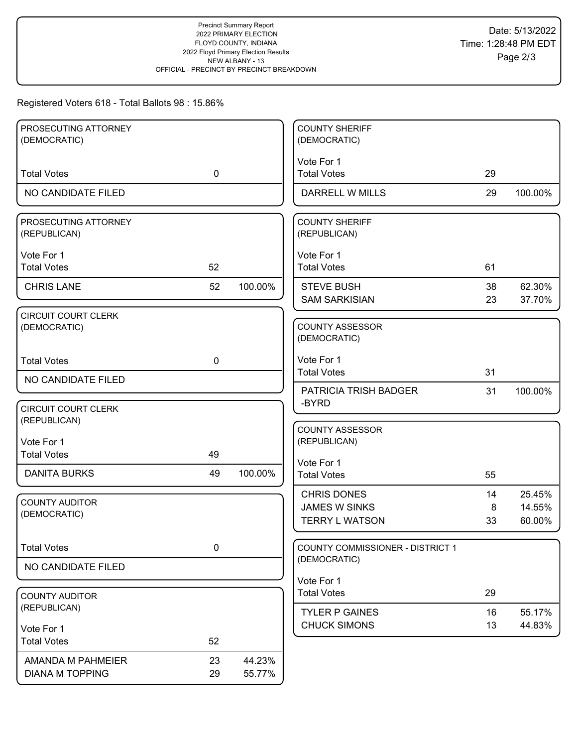# Registered Voters 618 - Total Ballots 98 : 15.86%

| PROSECUTING ATTORNEY<br>(DEMOCRATIC)       |             |         | <b>COUNTY SHERIFF</b><br>(DEMOCRATIC)   |    |         |
|--------------------------------------------|-------------|---------|-----------------------------------------|----|---------|
|                                            |             |         | Vote For 1                              |    |         |
| <b>Total Votes</b>                         | $\mathbf 0$ |         | <b>Total Votes</b>                      | 29 |         |
| NO CANDIDATE FILED                         |             |         | DARRELL W MILLS                         | 29 | 100.00% |
| PROSECUTING ATTORNEY<br>(REPUBLICAN)       |             |         | <b>COUNTY SHERIFF</b><br>(REPUBLICAN)   |    |         |
| Vote For 1                                 |             |         | Vote For 1                              |    |         |
| <b>Total Votes</b>                         | 52          |         | <b>Total Votes</b>                      | 61 |         |
| <b>CHRIS LANE</b>                          | 52          | 100.00% | <b>STEVE BUSH</b>                       | 38 | 62.30%  |
|                                            |             |         | <b>SAM SARKISIAN</b>                    | 23 | 37.70%  |
| <b>CIRCUIT COURT CLERK</b><br>(DEMOCRATIC) |             |         | <b>COUNTY ASSESSOR</b><br>(DEMOCRATIC)  |    |         |
| <b>Total Votes</b>                         | $\mathbf 0$ |         | Vote For 1                              |    |         |
| NO CANDIDATE FILED                         |             |         | <b>Total Votes</b>                      | 31 |         |
|                                            |             |         | PATRICIA TRISH BADGER<br>-BYRD          | 31 | 100.00% |
| <b>CIRCUIT COURT CLERK</b>                 |             |         |                                         |    |         |
| (REPUBLICAN)                               |             |         | <b>COUNTY ASSESSOR</b>                  |    |         |
| Vote For 1                                 |             |         | (REPUBLICAN)                            |    |         |
| <b>Total Votes</b>                         | 49          |         | Vote For 1                              |    |         |
| <b>DANITA BURKS</b>                        | 49          | 100.00% | <b>Total Votes</b>                      | 55 |         |
| <b>COUNTY AUDITOR</b>                      |             |         | <b>CHRIS DONES</b>                      | 14 | 25.45%  |
| (DEMOCRATIC)                               |             |         | <b>JAMES W SINKS</b>                    | 8  | 14.55%  |
|                                            |             |         | <b>TERRY L WATSON</b>                   | 33 | 60.00%  |
| <b>Total Votes</b>                         | $\pmb{0}$   |         | <b>COUNTY COMMISSIONER - DISTRICT 1</b> |    |         |
| NO CANDIDATE FILED                         |             |         | (DEMOCRATIC)                            |    |         |
|                                            |             |         | Vote For 1                              |    |         |
| <b>COUNTY AUDITOR</b><br>(REPUBLICAN)      |             |         | <b>Total Votes</b>                      | 29 |         |
|                                            |             |         | <b>TYLER P GAINES</b>                   | 16 | 55.17%  |
| Vote For 1                                 |             |         | <b>CHUCK SIMONS</b>                     | 13 | 44.83%  |
| <b>Total Votes</b>                         | 52          |         |                                         |    |         |
| AMANDA M PAHMEIER                          | 23          | 44.23%  |                                         |    |         |
| <b>DIANA M TOPPING</b>                     | 29          | 55.77%  |                                         |    |         |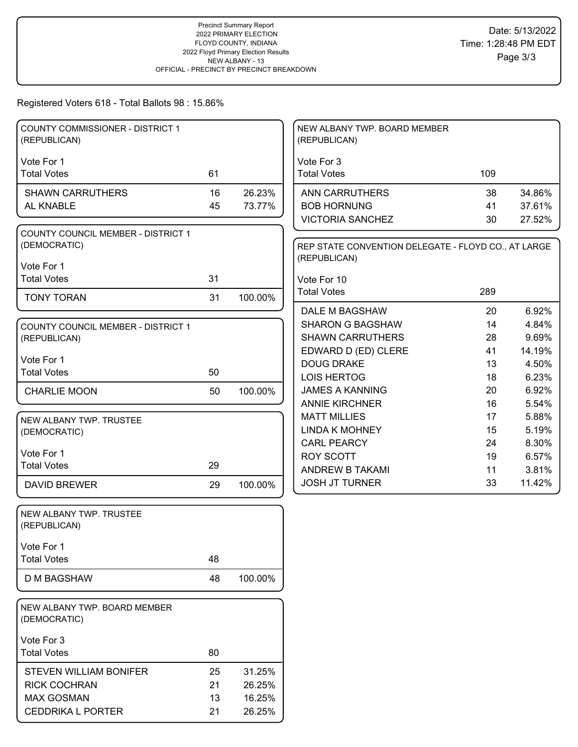## Registered Voters 618 - Total Ballots 98 : 15.86%

| <b>COUNTY COMMISSIONER - DISTRICT 1</b><br>(REPUBLICAN)   |    |         | NEW ALBANY TWP. BOARD MEMBER<br>(REPUBLICAN)                        |     |        |
|-----------------------------------------------------------|----|---------|---------------------------------------------------------------------|-----|--------|
|                                                           |    |         |                                                                     |     |        |
| Vote For 1<br><b>Total Votes</b>                          | 61 |         | Vote For 3<br><b>Total Votes</b>                                    | 109 |        |
| <b>SHAWN CARRUTHERS</b>                                   | 16 | 26.23%  | <b>ANN CARRUTHERS</b>                                               | 38  | 34.86% |
| AL KNABLE                                                 | 45 | 73.77%  | <b>BOB HORNUNG</b>                                                  | 41  | 37.61% |
|                                                           |    |         | <b>VICTORIA SANCHEZ</b>                                             | 30  | 27.52% |
| <b>COUNTY COUNCIL MEMBER - DISTRICT 1</b><br>(DEMOCRATIC) |    |         | REP STATE CONVENTION DELEGATE - FLOYD CO., AT LARGE<br>(REPUBLICAN) |     |        |
| Vote For 1                                                |    |         |                                                                     |     |        |
| <b>Total Votes</b>                                        | 31 |         | Vote For 10                                                         |     |        |
| <b>TONY TORAN</b>                                         | 31 | 100.00% | <b>Total Votes</b>                                                  | 289 |        |
|                                                           |    |         | DALE M BAGSHAW                                                      | 20  | 6.92%  |
| <b>COUNTY COUNCIL MEMBER - DISTRICT 1</b>                 |    |         | <b>SHARON G BAGSHAW</b>                                             | 14  | 4.84%  |
| (REPUBLICAN)                                              |    |         | <b>SHAWN CARRUTHERS</b>                                             | 28  | 9.69%  |
| Vote For 1                                                |    |         | EDWARD D (ED) CLERE                                                 | 41  | 14.19% |
| <b>Total Votes</b>                                        | 50 |         | <b>DOUG DRAKE</b>                                                   | 13  | 4.50%  |
|                                                           |    |         | <b>LOIS HERTOG</b>                                                  | 18  | 6.23%  |
| <b>CHARLIE MOON</b>                                       | 50 | 100.00% | <b>JAMES A KANNING</b>                                              | 20  | 6.92%  |
|                                                           |    |         | <b>ANNIE KIRCHNER</b>                                               | 16  | 5.54%  |
| NEW ALBANY TWP. TRUSTEE                                   |    |         | <b>MATT MILLIES</b>                                                 | 17  | 5.88%  |
| (DEMOCRATIC)                                              |    |         | <b>LINDA K MOHNEY</b>                                               | 15  | 5.19%  |
| Vote For 1                                                |    |         | <b>CARL PEARCY</b>                                                  | 24  | 8.30%  |
| <b>Total Votes</b>                                        | 29 |         | <b>ROY SCOTT</b>                                                    | 19  | 6.57%  |
|                                                           |    |         | ANDREW B TAKAMI                                                     | 11  | 3.81%  |
| <b>DAVID BREWER</b>                                       | 29 | 100.00% | <b>JOSH JT TURNER</b>                                               | 33  | 11.42% |
| NEW ALBANY TWP. TRUSTEE<br>(REPUBLICAN)                   |    |         |                                                                     |     |        |
| Vote For 1                                                |    |         |                                                                     |     |        |
| <b>Total Votes</b>                                        | 48 |         |                                                                     |     |        |
| <b>D M BAGSHAW</b>                                        | 48 | 100.00% |                                                                     |     |        |
| NEW ALBANY TWP. BOARD MEMBER<br>(DEMOCRATIC)              |    |         |                                                                     |     |        |
| Vote For 3                                                |    |         |                                                                     |     |        |
| <b>Total Votes</b>                                        | 80 |         |                                                                     |     |        |
| <b>STEVEN WILLIAM BONIFER</b>                             | 25 | 31.25%  |                                                                     |     |        |
| <b>RICK COCHRAN</b>                                       | 21 | 26.25%  |                                                                     |     |        |
| <b>MAX GOSMAN</b>                                         |    |         |                                                                     |     |        |
|                                                           | 13 | 16.25%  |                                                                     |     |        |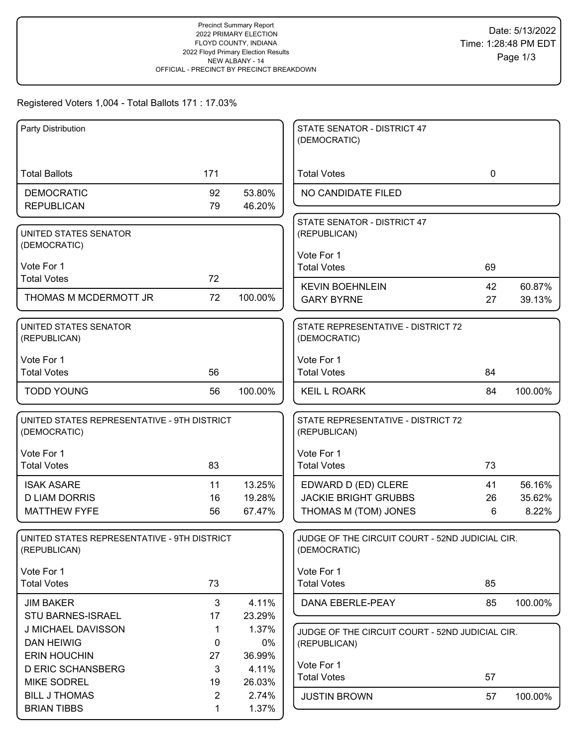# Registered Voters 1,004 - Total Ballots 171 : 17.03%

| Party Distribution                             |                |                 | STATE SENATOR - DISTRICT 47<br>(DEMOCRATIC)     |             |         |
|------------------------------------------------|----------------|-----------------|-------------------------------------------------|-------------|---------|
|                                                |                |                 |                                                 |             |         |
| <b>Total Ballots</b>                           | 171            |                 | <b>Total Votes</b>                              | $\mathbf 0$ |         |
| <b>DEMOCRATIC</b>                              | 92             | 53.80%          | NO CANDIDATE FILED                              |             |         |
| <b>REPUBLICAN</b>                              | 79             | 46.20%          |                                                 |             |         |
| UNITED STATES SENATOR                          |                |                 | STATE SENATOR - DISTRICT 47<br>(REPUBLICAN)     |             |         |
| (DEMOCRATIC)                                   |                |                 |                                                 |             |         |
| Vote For 1                                     |                |                 | Vote For 1                                      |             |         |
| <b>Total Votes</b>                             | 72             |                 | <b>Total Votes</b>                              | 69          |         |
| THOMAS M MCDERMOTT JR                          | 72             | 100.00%         | <b>KEVIN BOEHNLEIN</b>                          | 42          | 60.87%  |
|                                                |                |                 | <b>GARY BYRNE</b>                               | 27          | 39.13%  |
| UNITED STATES SENATOR                          |                |                 | STATE REPRESENTATIVE - DISTRICT 72              |             |         |
| (REPUBLICAN)                                   |                |                 | (DEMOCRATIC)                                    |             |         |
| Vote For 1                                     |                |                 | Vote For 1                                      |             |         |
| <b>Total Votes</b>                             | 56             |                 | <b>Total Votes</b>                              | 84          |         |
| <b>TODD YOUNG</b>                              | 56             | 100.00%         | <b>KEIL L ROARK</b>                             | 84          | 100.00% |
| UNITED STATES REPRESENTATIVE - 9TH DISTRICT    |                |                 | STATE REPRESENTATIVE - DISTRICT 72              |             |         |
| (DEMOCRATIC)                                   |                |                 | (REPUBLICAN)                                    |             |         |
| Vote For 1                                     |                |                 | Vote For 1                                      |             |         |
| <b>Total Votes</b>                             | 83             |                 | <b>Total Votes</b>                              | 73          |         |
| <b>ISAK ASARE</b>                              | 11             | 13.25%          | EDWARD D (ED) CLERE                             | 41          | 56.16%  |
| <b>D LIAM DORRIS</b>                           | 16             | 19.28%          | <b>JACKIE BRIGHT GRUBBS</b>                     | 26          | 35.62%  |
| <b>MATTHEW FYFE</b>                            | 56             | 67.47%          | THOMAS M (TOM) JONES                            | 6           | 8.22%   |
| UNITED STATES REPRESENTATIVE - 9TH DISTRICT    |                |                 | JUDGE OF THE CIRCUIT COURT - 52ND JUDICIAL CIR. |             |         |
| (REPUBLICAN)                                   |                |                 | (DEMOCRATIC)                                    |             |         |
| Vote For 1                                     |                |                 | Vote For 1                                      |             |         |
| <b>Total Votes</b>                             | 73             |                 | <b>Total Votes</b>                              | 85          |         |
| <b>JIM BAKER</b>                               | 3              | 4.11%           | DANA EBERLE-PEAY                                | 85          | 100.00% |
| STU BARNES-ISRAEL                              | 17             | 23.29%          |                                                 |             |         |
| J MICHAEL DAVISSON                             | 1              | 1.37%           | JUDGE OF THE CIRCUIT COURT - 52ND JUDICIAL CIR. |             |         |
| <b>DAN HEIWIG</b>                              | 0              | 0%              | (REPUBLICAN)                                    |             |         |
| <b>ERIN HOUCHIN</b>                            | 27             | 36.99%          | Vote For 1                                      |             |         |
| <b>D ERIC SCHANSBERG</b><br><b>MIKE SODREL</b> | 3<br>19        | 4.11%<br>26.03% | <b>Total Votes</b>                              | 57          |         |
| <b>BILL J THOMAS</b>                           | $\overline{2}$ | 2.74%           | <b>JUSTIN BROWN</b>                             | 57          | 100.00% |
| <b>BRIAN TIBBS</b>                             | 1              | 1.37%           |                                                 |             |         |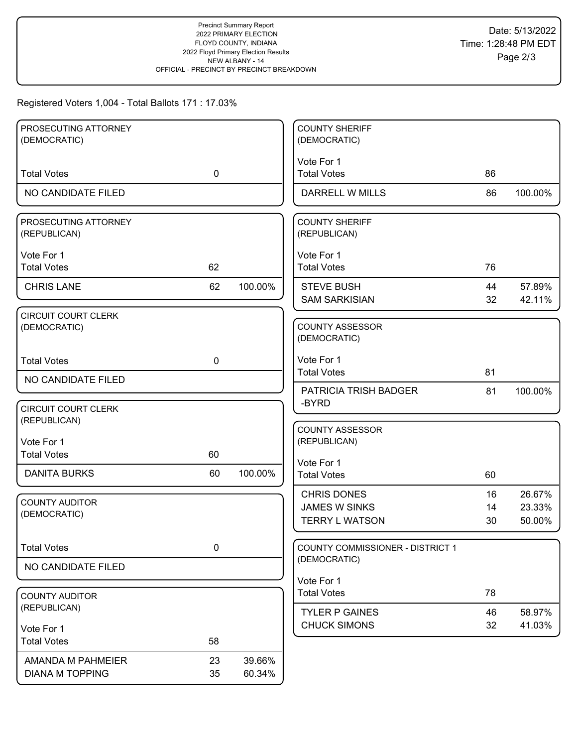## Registered Voters 1,004 - Total Ballots 171 : 17.03%

| PROSECUTING ATTORNEY                  |             |         | <b>COUNTY SHERIFF</b>                            |    |         |
|---------------------------------------|-------------|---------|--------------------------------------------------|----|---------|
| (DEMOCRATIC)                          |             |         | (DEMOCRATIC)                                     |    |         |
|                                       |             |         | Vote For 1                                       |    |         |
| <b>Total Votes</b>                    | $\mathbf 0$ |         | <b>Total Votes</b>                               | 86 |         |
| NO CANDIDATE FILED                    |             |         | <b>DARRELL W MILLS</b>                           | 86 | 100.00% |
| PROSECUTING ATTORNEY                  |             |         | <b>COUNTY SHERIFF</b>                            |    |         |
| (REPUBLICAN)                          |             |         | (REPUBLICAN)                                     |    |         |
|                                       |             |         |                                                  |    |         |
| Vote For 1<br><b>Total Votes</b>      | 62          |         | Vote For 1<br><b>Total Votes</b>                 | 76 |         |
|                                       |             |         |                                                  |    |         |
| <b>CHRIS LANE</b>                     | 62          | 100.00% | <b>STEVE BUSH</b>                                | 44 | 57.89%  |
|                                       |             |         | <b>SAM SARKISIAN</b>                             | 32 | 42.11%  |
| <b>CIRCUIT COURT CLERK</b>            |             |         |                                                  |    |         |
| (DEMOCRATIC)                          |             |         | <b>COUNTY ASSESSOR</b><br>(DEMOCRATIC)           |    |         |
|                                       |             |         |                                                  |    |         |
| <b>Total Votes</b>                    | 0           |         | Vote For 1                                       |    |         |
| NO CANDIDATE FILED                    |             |         | <b>Total Votes</b>                               | 81 |         |
|                                       |             |         | <b>PATRICIA TRISH BADGER</b>                     | 81 | 100.00% |
| <b>CIRCUIT COURT CLERK</b>            |             |         | -BYRD                                            |    |         |
| (REPUBLICAN)                          |             |         |                                                  |    |         |
| Vote For 1                            |             |         | <b>COUNTY ASSESSOR</b><br>(REPUBLICAN)           |    |         |
| <b>Total Votes</b>                    | 60          |         |                                                  |    |         |
|                                       |             |         | Vote For 1                                       |    |         |
| <b>DANITA BURKS</b>                   | 60          | 100.00% | <b>Total Votes</b>                               | 60 |         |
|                                       |             |         | <b>CHRIS DONES</b>                               | 16 | 26.67%  |
| <b>COUNTY AUDITOR</b><br>(DEMOCRATIC) |             |         | <b>JAMES W SINKS</b>                             | 14 | 23.33%  |
|                                       |             |         | <b>TERRY L WATSON</b>                            | 30 | 50.00%  |
|                                       |             |         |                                                  |    |         |
| <b>Total Votes</b>                    | $\pmb{0}$   |         | COUNTY COMMISSIONER - DISTRICT 1<br>(DEMOCRATIC) |    |         |
| NO CANDIDATE FILED                    |             |         |                                                  |    |         |
|                                       |             |         | Vote For 1                                       |    |         |
| <b>COUNTY AUDITOR</b>                 |             |         | <b>Total Votes</b>                               | 78 |         |
| (REPUBLICAN)                          |             |         | <b>TYLER P GAINES</b>                            | 46 | 58.97%  |
| Vote For 1                            |             |         | <b>CHUCK SIMONS</b>                              | 32 | 41.03%  |
| <b>Total Votes</b>                    | 58          |         |                                                  |    |         |
| AMANDA M PAHMEIER                     | 23          | 39.66%  |                                                  |    |         |
| <b>DIANA M TOPPING</b>                | 35          | 60.34%  |                                                  |    |         |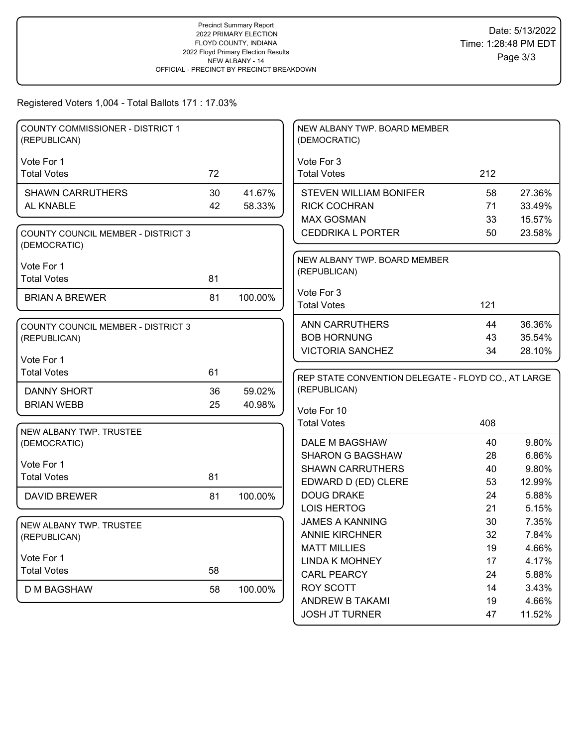Registered Voters 1,004 - Total Ballots 171 : 17.03%

| <b>COUNTY COMMISSIONER - DISTRICT 1</b><br>(REPUBLICAN)   |    |         | NEW ALBANY TWP. BOARD MEMBER<br>(DEMOCRATIC)        |     |        |
|-----------------------------------------------------------|----|---------|-----------------------------------------------------|-----|--------|
| Vote For 1                                                |    |         | Vote For 3                                          |     |        |
| <b>Total Votes</b>                                        | 72 |         | <b>Total Votes</b>                                  | 212 |        |
| <b>SHAWN CARRUTHERS</b>                                   | 30 | 41.67%  | <b>STEVEN WILLIAM BONIFER</b>                       | 58  | 27.36% |
| AL KNABLE                                                 | 42 | 58.33%  | <b>RICK COCHRAN</b>                                 | 71  | 33.49% |
|                                                           |    |         | <b>MAX GOSMAN</b>                                   | 33  | 15.57% |
| <b>COUNTY COUNCIL MEMBER - DISTRICT 3</b><br>(DEMOCRATIC) |    |         | <b>CEDDRIKA L PORTER</b>                            | 50  | 23.58% |
|                                                           |    |         | NEW ALBANY TWP. BOARD MEMBER                        |     |        |
| Vote For 1                                                |    |         | (REPUBLICAN)                                        |     |        |
| <b>Total Votes</b>                                        | 81 |         |                                                     |     |        |
| <b>BRIAN A BREWER</b>                                     | 81 | 100.00% | Vote For 3                                          |     |        |
|                                                           |    |         | <b>Total Votes</b>                                  | 121 |        |
| <b>COUNTY COUNCIL MEMBER - DISTRICT 3</b>                 |    |         | <b>ANN CARRUTHERS</b>                               | 44  | 36.36% |
| (REPUBLICAN)                                              |    |         | <b>BOB HORNUNG</b>                                  | 43  | 35.54% |
|                                                           |    |         | <b>VICTORIA SANCHEZ</b>                             | 34  | 28.10% |
| Vote For 1                                                |    |         |                                                     |     |        |
| <b>Total Votes</b>                                        | 61 |         | REP STATE CONVENTION DELEGATE - FLOYD CO., AT LARGE |     |        |
| <b>DANNY SHORT</b>                                        | 36 | 59.02%  | (REPUBLICAN)                                        |     |        |
| <b>BRIAN WEBB</b>                                         | 25 | 40.98%  | Vote For 10                                         |     |        |
|                                                           |    |         | <b>Total Votes</b>                                  | 408 |        |
| NEW ALBANY TWP. TRUSTEE                                   |    |         |                                                     |     |        |
| (DEMOCRATIC)                                              |    |         | DALE M BAGSHAW                                      | 40  | 9.80%  |
|                                                           |    |         | <b>SHARON G BAGSHAW</b>                             | 28  | 6.86%  |
| Vote For 1<br><b>Total Votes</b>                          |    |         |                                                     |     |        |
|                                                           |    |         | <b>SHAWN CARRUTHERS</b>                             | 40  | 9.80%  |
|                                                           | 81 |         | EDWARD D (ED) CLERE                                 | 53  | 12.99% |
| <b>DAVID BREWER</b>                                       | 81 | 100.00% | <b>DOUG DRAKE</b>                                   | 24  | 5.88%  |
|                                                           |    |         | <b>LOIS HERTOG</b>                                  | 21  | 5.15%  |
| NEW ALBANY TWP. TRUSTEE                                   |    |         | <b>JAMES A KANNING</b>                              | 30  | 7.35%  |
| (REPUBLICAN)                                              |    |         | <b>ANNIE KIRCHNER</b>                               | 32  | 7.84%  |
|                                                           |    |         | <b>MATT MILLIES</b>                                 | 19  | 4.66%  |
| Vote For 1                                                |    |         | <b>LINDA K MOHNEY</b>                               | 17  | 4.17%  |
| <b>Total Votes</b>                                        | 58 |         | <b>CARL PEARCY</b>                                  | 24  | 5.88%  |
| <b>D M BAGSHAW</b>                                        | 58 | 100.00% | ROY SCOTT                                           | 14  | 3.43%  |
|                                                           |    |         | ANDREW B TAKAMI                                     | 19  | 4.66%  |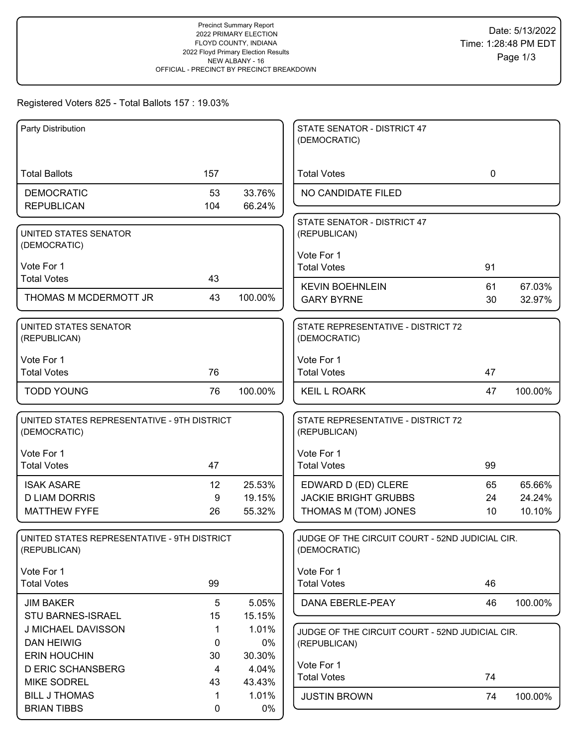# Registered Voters 825 - Total Ballots 157 : 19.03%

| Party Distribution                                          |             |         | STATE SENATOR - DISTRICT 47<br>(DEMOCRATIC)                     |             |         |
|-------------------------------------------------------------|-------------|---------|-----------------------------------------------------------------|-------------|---------|
|                                                             |             |         |                                                                 |             |         |
| <b>Total Ballots</b>                                        | 157         |         | <b>Total Votes</b>                                              | $\mathbf 0$ |         |
| <b>DEMOCRATIC</b>                                           | 53          | 33.76%  | NO CANDIDATE FILED                                              |             |         |
| <b>REPUBLICAN</b>                                           | 104         | 66.24%  |                                                                 |             |         |
| UNITED STATES SENATOR<br>(DEMOCRATIC)                       |             |         | STATE SENATOR - DISTRICT 47<br>(REPUBLICAN)                     |             |         |
|                                                             |             |         | Vote For 1                                                      |             |         |
| Vote For 1                                                  |             |         | <b>Total Votes</b>                                              | 91          |         |
| <b>Total Votes</b>                                          | 43          |         | <b>KEVIN BOEHNLEIN</b>                                          | 61          | 67.03%  |
| THOMAS M MCDERMOTT JR                                       | 43          | 100.00% | <b>GARY BYRNE</b>                                               | 30          | 32.97%  |
| UNITED STATES SENATOR<br>(REPUBLICAN)                       |             |         | STATE REPRESENTATIVE - DISTRICT 72<br>(DEMOCRATIC)              |             |         |
| Vote For 1                                                  |             |         | Vote For 1                                                      |             |         |
| <b>Total Votes</b>                                          | 76          |         | <b>Total Votes</b>                                              | 47          |         |
| <b>TODD YOUNG</b>                                           | 76          | 100.00% | <b>KEIL L ROARK</b>                                             | 47          | 100.00% |
| UNITED STATES REPRESENTATIVE - 9TH DISTRICT<br>(DEMOCRATIC) |             |         | STATE REPRESENTATIVE - DISTRICT 72<br>(REPUBLICAN)              |             |         |
| Vote For 1                                                  |             |         | Vote For 1                                                      |             |         |
| <b>Total Votes</b>                                          | 47          |         | <b>Total Votes</b>                                              | 99          |         |
| <b>ISAK ASARE</b>                                           | 12          | 25.53%  | EDWARD D (ED) CLERE                                             | 65          | 65.66%  |
| <b>D LIAM DORRIS</b>                                        | 9           | 19.15%  | <b>JACKIE BRIGHT GRUBBS</b>                                     | 24          | 24.24%  |
| <b>MATTHEW FYFE</b>                                         | 26          | 55.32%  | THOMAS M (TOM) JONES                                            | 10          | 10.10%  |
| UNITED STATES REPRESENTATIVE - 9TH DISTRICT<br>(REPUBLICAN) |             |         | JUDGE OF THE CIRCUIT COURT - 52ND JUDICIAL CIR.<br>(DEMOCRATIC) |             |         |
| Vote For 1                                                  |             |         | Vote For 1                                                      |             |         |
| <b>Total Votes</b>                                          | 99          |         | <b>Total Votes</b>                                              | 46          |         |
| <b>JIM BAKER</b>                                            | 5           | 5.05%   | DANA EBERLE-PEAY                                                | 46          | 100.00% |
| <b>STU BARNES-ISRAEL</b>                                    | 15          | 15.15%  |                                                                 |             |         |
| J MICHAEL DAVISSON                                          | 1           | 1.01%   | JUDGE OF THE CIRCUIT COURT - 52ND JUDICIAL CIR.                 |             |         |
| <b>DAN HEIWIG</b>                                           | 0           | 0%      | (REPUBLICAN)                                                    |             |         |
| <b>ERIN HOUCHIN</b>                                         | 30          | 30.30%  | Vote For 1                                                      |             |         |
| <b>D ERIC SCHANSBERG</b>                                    | 4           | 4.04%   | <b>Total Votes</b>                                              | 74          |         |
| <b>MIKE SODREL</b>                                          | 43          | 43.43%  |                                                                 |             |         |
| <b>BILL J THOMAS</b>                                        | 1           | 1.01%   | <b>JUSTIN BROWN</b>                                             | 74          | 100.00% |
| <b>BRIAN TIBBS</b>                                          | $\mathbf 0$ | 0%      |                                                                 |             |         |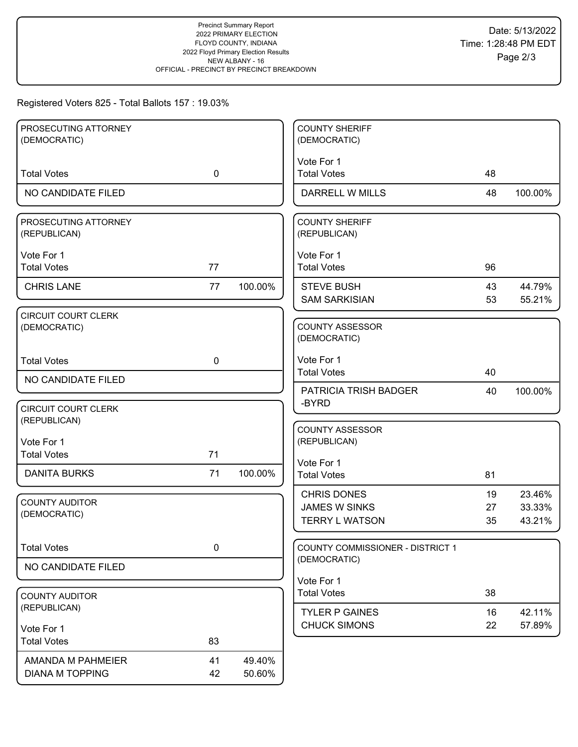# Registered Voters 825 - Total Ballots 157 : 19.03%

| PROSECUTING ATTORNEY                       |             |         | <b>COUNTY SHERIFF</b>                  |    |         |
|--------------------------------------------|-------------|---------|----------------------------------------|----|---------|
| (DEMOCRATIC)                               |             |         | (DEMOCRATIC)                           |    |         |
|                                            |             |         | Vote For 1                             |    |         |
| <b>Total Votes</b>                         | $\mathbf 0$ |         | <b>Total Votes</b>                     | 48 |         |
| NO CANDIDATE FILED                         |             |         | DARRELL W MILLS                        | 48 | 100.00% |
| PROSECUTING ATTORNEY                       |             |         | <b>COUNTY SHERIFF</b>                  |    |         |
| (REPUBLICAN)                               |             |         | (REPUBLICAN)                           |    |         |
| Vote For 1                                 |             |         | Vote For 1                             |    |         |
| <b>Total Votes</b>                         | 77          |         | <b>Total Votes</b>                     | 96 |         |
| <b>CHRIS LANE</b>                          | 77          | 100.00% | <b>STEVE BUSH</b>                      | 43 | 44.79%  |
|                                            |             |         | <b>SAM SARKISIAN</b>                   | 53 | 55.21%  |
| <b>CIRCUIT COURT CLERK</b>                 |             |         |                                        |    |         |
| (DEMOCRATIC)                               |             |         | <b>COUNTY ASSESSOR</b><br>(DEMOCRATIC) |    |         |
|                                            |             |         |                                        |    |         |
| <b>Total Votes</b>                         | $\mathbf 0$ |         | Vote For 1<br><b>Total Votes</b>       | 40 |         |
| NO CANDIDATE FILED                         |             |         |                                        |    |         |
|                                            |             |         | PATRICIA TRISH BADGER<br>-BYRD         | 40 | 100.00% |
| <b>CIRCUIT COURT CLERK</b><br>(REPUBLICAN) |             |         |                                        |    |         |
|                                            |             |         | <b>COUNTY ASSESSOR</b>                 |    |         |
| Vote For 1                                 |             |         | (REPUBLICAN)                           |    |         |
| <b>Total Votes</b>                         | 71          |         | Vote For 1                             |    |         |
| <b>DANITA BURKS</b>                        | 71          | 100.00% | <b>Total Votes</b>                     | 81 |         |
|                                            |             |         | <b>CHRIS DONES</b>                     | 19 | 23.46%  |
| <b>COUNTY AUDITOR</b><br>(DEMOCRATIC)      |             |         | <b>JAMES W SINKS</b>                   | 27 | 33.33%  |
|                                            |             |         | <b>TERRY L WATSON</b>                  | 35 | 43.21%  |
| <b>Total Votes</b>                         | $\mathbf 0$ |         | COUNTY COMMISSIONER - DISTRICT 1       |    |         |
| NO CANDIDATE FILED                         |             |         | (DEMOCRATIC)                           |    |         |
|                                            |             |         | Vote For 1                             |    |         |
| <b>COUNTY AUDITOR</b>                      |             |         | <b>Total Votes</b>                     | 38 |         |
| (REPUBLICAN)                               |             |         | <b>TYLER P GAINES</b>                  | 16 | 42.11%  |
| Vote For 1                                 |             |         | <b>CHUCK SIMONS</b>                    | 22 | 57.89%  |
| <b>Total Votes</b>                         | 83          |         |                                        |    |         |
| AMANDA M PAHMEIER                          | 41          | 49.40%  |                                        |    |         |
| <b>DIANA M TOPPING</b>                     | 42          | 50.60%  |                                        |    |         |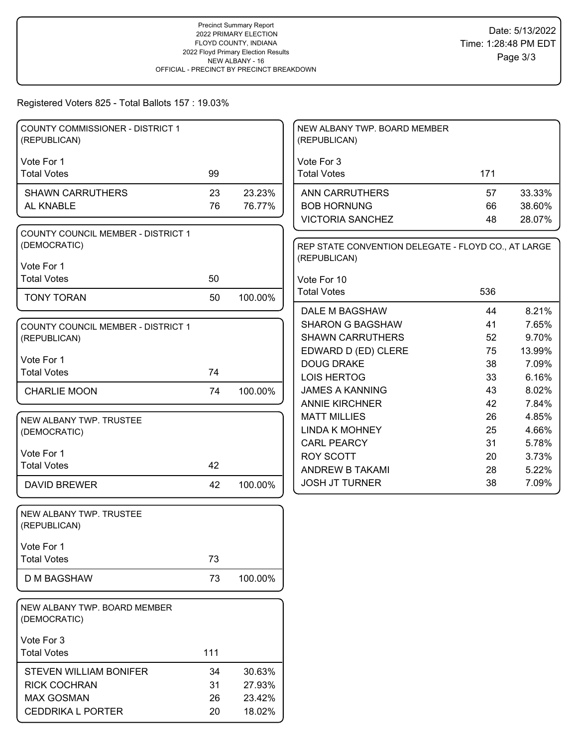## Registered Voters 825 - Total Ballots 157 : 19.03%

| <b>COUNTY COMMISSIONER - DISTRICT 1</b><br>NEW ALBANY TWP. BOARD MEMBER<br>(REPUBLICAN)<br>(REPUBLICAN)                          |        |
|----------------------------------------------------------------------------------------------------------------------------------|--------|
|                                                                                                                                  |        |
| Vote For 1<br>Vote For 3<br>99<br><b>Total Votes</b><br><b>Total Votes</b><br>171                                                |        |
| 23<br>23.23%<br><b>SHAWN CARRUTHERS</b><br><b>ANN CARRUTHERS</b><br>57                                                           | 33.33% |
| AL KNABLE<br>76<br>76.77%<br><b>BOB HORNUNG</b><br>66                                                                            | 38.60% |
| <b>VICTORIA SANCHEZ</b><br>48                                                                                                    | 28.07% |
| <b>COUNTY COUNCIL MEMBER - DISTRICT 1</b><br>(DEMOCRATIC)<br>REP STATE CONVENTION DELEGATE - FLOYD CO., AT LARGE<br>(REPUBLICAN) |        |
| Vote For 1                                                                                                                       |        |
| <b>Total Votes</b><br>50<br>Vote For 10                                                                                          |        |
| <b>Total Votes</b><br>536<br><b>TONY TORAN</b><br>50<br>100.00%                                                                  |        |
| DALE M BAGSHAW<br>44                                                                                                             | 8.21%  |
| <b>SHARON G BAGSHAW</b><br>41<br><b>COUNTY COUNCIL MEMBER - DISTRICT 1</b>                                                       | 7.65%  |
| <b>SHAWN CARRUTHERS</b><br>52<br>(REPUBLICAN)                                                                                    | 9.70%  |
| EDWARD D (ED) CLERE<br>75<br>Vote For 1                                                                                          | 13.99% |
| <b>DOUG DRAKE</b><br>38<br><b>Total Votes</b><br>74                                                                              | 7.09%  |
| <b>LOIS HERTOG</b><br>33                                                                                                         | 6.16%  |
| <b>JAMES A KANNING</b><br>43<br><b>CHARLIE MOON</b><br>74<br>100.00%                                                             | 8.02%  |
| <b>ANNIE KIRCHNER</b><br>42                                                                                                      | 7.84%  |
| <b>MATT MILLIES</b><br>26<br>NEW ALBANY TWP. TRUSTEE                                                                             | 4.85%  |
| <b>LINDA K MOHNEY</b><br>25<br>(DEMOCRATIC)                                                                                      | 4.66%  |
| <b>CARL PEARCY</b><br>31                                                                                                         | 5.78%  |
| Vote For 1<br><b>ROY SCOTT</b><br>20<br>42                                                                                       | 3.73%  |
| <b>Total Votes</b><br>ANDREW B TAKAMI<br>28                                                                                      | 5.22%  |
| <b>JOSH JT TURNER</b><br>38<br><b>DAVID BREWER</b><br>42<br>100.00%                                                              | 7.09%  |
| NEW ALBANY TWP. TRUSTEE<br>(REPUBLICAN)                                                                                          |        |
| Vote For 1                                                                                                                       |        |
| <b>Total Votes</b><br>73                                                                                                         |        |
| 73<br>100.00%<br><b>D M BAGSHAW</b>                                                                                              |        |
| NEW ALBANY TWP. BOARD MEMBER<br>(DEMOCRATIC)                                                                                     |        |
| Vote For 3                                                                                                                       |        |
| 111<br><b>Total Votes</b>                                                                                                        |        |
| STEVEN WILLIAM BONIFER<br>34<br>30.63%                                                                                           |        |
| <b>RICK COCHRAN</b><br>31<br>27.93%                                                                                              |        |
| <b>MAX GOSMAN</b><br>26<br>23.42%                                                                                                |        |
| <b>CEDDRIKA L PORTER</b><br>18.02%<br>20                                                                                         |        |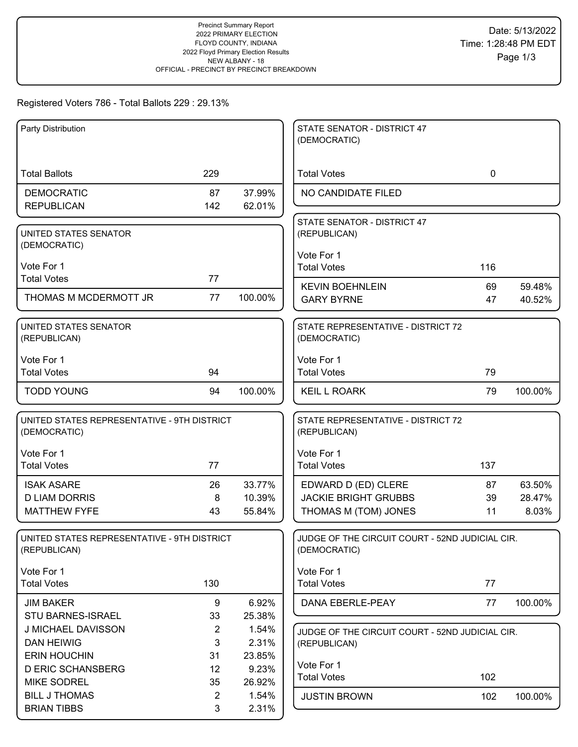# Registered Voters 786 - Total Ballots 229 : 29.13%

| Party Distribution                                          |                     |                | STATE SENATOR - DISTRICT 47<br>(DEMOCRATIC)                     |             |                  |
|-------------------------------------------------------------|---------------------|----------------|-----------------------------------------------------------------|-------------|------------------|
|                                                             |                     |                |                                                                 |             |                  |
| <b>Total Ballots</b>                                        | 229                 |                | <b>Total Votes</b>                                              | $\mathbf 0$ |                  |
| <b>DEMOCRATIC</b>                                           | 87                  | 37.99%         | NO CANDIDATE FILED                                              |             |                  |
| <b>REPUBLICAN</b>                                           | 142                 | 62.01%         |                                                                 |             |                  |
| UNITED STATES SENATOR                                       |                     |                | STATE SENATOR - DISTRICT 47<br>(REPUBLICAN)                     |             |                  |
| (DEMOCRATIC)                                                |                     |                |                                                                 |             |                  |
| Vote For 1                                                  |                     |                | Vote For 1<br><b>Total Votes</b>                                | 116         |                  |
| <b>Total Votes</b>                                          | 77                  |                |                                                                 |             |                  |
| THOMAS M MCDERMOTT JR                                       | 77                  | 100.00%        | <b>KEVIN BOEHNLEIN</b><br><b>GARY BYRNE</b>                     | 69<br>47    | 59.48%<br>40.52% |
|                                                             |                     |                |                                                                 |             |                  |
| UNITED STATES SENATOR                                       |                     |                | STATE REPRESENTATIVE - DISTRICT 72                              |             |                  |
| (REPUBLICAN)                                                |                     |                | (DEMOCRATIC)                                                    |             |                  |
| Vote For 1                                                  |                     |                | Vote For 1                                                      |             |                  |
| <b>Total Votes</b>                                          | 94                  |                | <b>Total Votes</b>                                              | 79          |                  |
| <b>TODD YOUNG</b>                                           | 94                  | 100.00%        | <b>KEIL L ROARK</b>                                             | 79          | 100.00%          |
| UNITED STATES REPRESENTATIVE - 9TH DISTRICT<br>(DEMOCRATIC) |                     |                | STATE REPRESENTATIVE - DISTRICT 72<br>(REPUBLICAN)              |             |                  |
| Vote For 1                                                  |                     |                | Vote For 1                                                      |             |                  |
| <b>Total Votes</b>                                          | 77                  |                | <b>Total Votes</b>                                              | 137         |                  |
| <b>ISAK ASARE</b>                                           | 26                  | 33.77%         | EDWARD D (ED) CLERE                                             | 87          | 63.50%           |
| <b>D LIAM DORRIS</b>                                        | 8                   | 10.39%         | <b>JACKIE BRIGHT GRUBBS</b>                                     | 39          | 28.47%           |
| <b>MATTHEW FYFE</b>                                         | 43                  | 55.84%         | THOMAS M (TOM) JONES                                            | 11          | 8.03%            |
| UNITED STATES REPRESENTATIVE - 9TH DISTRICT<br>(REPUBLICAN) |                     |                | JUDGE OF THE CIRCUIT COURT - 52ND JUDICIAL CIR.<br>(DEMOCRATIC) |             |                  |
| Vote For 1                                                  |                     |                | Vote For 1                                                      |             |                  |
| <b>Total Votes</b>                                          | 130                 |                | <b>Total Votes</b>                                              | 77          |                  |
| <b>JIM BAKER</b>                                            | 9                   | 6.92%          | DANA EBERLE-PEAY                                                | 77          | 100.00%          |
| STU BARNES-ISRAEL                                           | 33                  | 25.38%         |                                                                 |             |                  |
| J MICHAEL DAVISSON<br><b>DAN HEIWIG</b>                     | $\overline{2}$<br>3 | 1.54%<br>2.31% | JUDGE OF THE CIRCUIT COURT - 52ND JUDICIAL CIR.<br>(REPUBLICAN) |             |                  |
| <b>ERIN HOUCHIN</b>                                         | 31                  | 23.85%         |                                                                 |             |                  |
| <b>D ERIC SCHANSBERG</b>                                    | 12                  | 9.23%          | Vote For 1                                                      |             |                  |
| <b>MIKE SODREL</b>                                          | 35                  | 26.92%         | <b>Total Votes</b>                                              | 102         |                  |
| <b>BILL J THOMAS</b>                                        | $\overline{2}$      | 1.54%          | <b>JUSTIN BROWN</b>                                             | 102         | 100.00%          |
| <b>BRIAN TIBBS</b>                                          | $\mathbf{3}$        | 2.31%          |                                                                 |             |                  |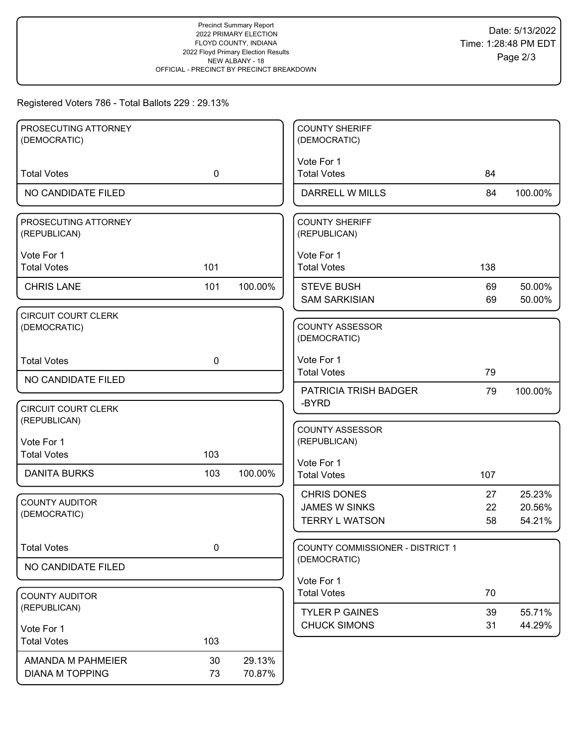# Registered Voters 786 - Total Ballots 229 : 29.13%

| PROSECUTING ATTORNEY<br>(DEMOCRATIC)       |             |         | <b>COUNTY SHERIFF</b><br>(DEMOCRATIC)        |          |                  |
|--------------------------------------------|-------------|---------|----------------------------------------------|----------|------------------|
|                                            |             |         |                                              |          |                  |
| <b>Total Votes</b>                         | $\mathbf 0$ |         | Vote For 1<br><b>Total Votes</b>             | 84       |                  |
| NO CANDIDATE FILED                         |             |         | <b>DARRELL W MILLS</b>                       | 84       | 100.00%          |
| PROSECUTING ATTORNEY<br>(REPUBLICAN)       |             |         | <b>COUNTY SHERIFF</b><br>(REPUBLICAN)        |          |                  |
| Vote For 1<br><b>Total Votes</b>           | 101         |         | Vote For 1<br><b>Total Votes</b>             | 138      |                  |
| <b>CHRIS LANE</b>                          | 101         | 100.00% | <b>STEVE BUSH</b><br><b>SAM SARKISIAN</b>    | 69<br>69 | 50.00%<br>50.00% |
| <b>CIRCUIT COURT CLERK</b><br>(DEMOCRATIC) |             |         | <b>COUNTY ASSESSOR</b><br>(DEMOCRATIC)       |          |                  |
| <b>Total Votes</b>                         | $\mathbf 0$ |         | Vote For 1<br><b>Total Votes</b>             | 79       |                  |
| NO CANDIDATE FILED                         |             |         | <b>PATRICIA TRISH BADGER</b>                 | 79       | 100.00%          |
| <b>CIRCUIT COURT CLERK</b><br>(REPUBLICAN) |             |         | -BYRD                                        |          |                  |
| Vote For 1                                 |             |         | <b>COUNTY ASSESSOR</b><br>(REPUBLICAN)       |          |                  |
| <b>Total Votes</b>                         | 103         |         | Vote For 1                                   |          |                  |
| <b>DANITA BURKS</b>                        | 103         | 100.00% | <b>Total Votes</b>                           | 107      |                  |
| <b>COUNTY AUDITOR</b>                      |             |         | <b>CHRIS DONES</b><br><b>JAMES W SINKS</b>   | 27<br>22 | 25.23%<br>20.56% |
| (DEMOCRATIC)                               |             |         | <b>TERRY L WATSON</b>                        | 58       | 54.21%           |
| <b>Total Votes</b>                         | 0           |         | COUNTY COMMISSIONER - DISTRICT 1             |          |                  |
| NO CANDIDATE FILED                         |             |         | (DEMOCRATIC)                                 |          |                  |
|                                            |             |         | Vote For 1<br><b>Total Votes</b>             | 70       |                  |
| <b>COUNTY AUDITOR</b><br>(REPUBLICAN)      |             |         |                                              |          |                  |
|                                            |             |         | <b>TYLER P GAINES</b><br><b>CHUCK SIMONS</b> | 39<br>31 | 55.71%<br>44.29% |
| Vote For 1<br><b>Total Votes</b>           | 103         |         |                                              |          |                  |
| AMANDA M PAHMEIER                          | 30          | 29.13%  |                                              |          |                  |
| <b>DIANA M TOPPING</b>                     | 73          | 70.87%  |                                              |          |                  |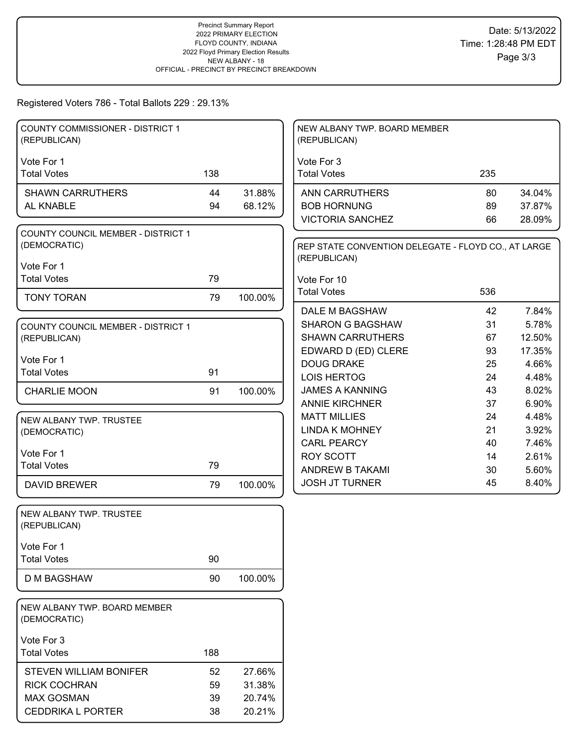# Registered Voters 786 - Total Ballots 229 : 29.13%

| <b>COUNTY COMMISSIONER - DISTRICT 1</b><br>(REPUBLICAN)   |     |         | NEW ALBANY TWP. BOARD MEMBER<br>(REPUBLICAN)                        |          |                 |
|-----------------------------------------------------------|-----|---------|---------------------------------------------------------------------|----------|-----------------|
|                                                           |     |         |                                                                     |          |                 |
| Vote For 1                                                |     |         | Vote For 3                                                          |          |                 |
| <b>Total Votes</b>                                        | 138 |         | <b>Total Votes</b>                                                  | 235      |                 |
| <b>SHAWN CARRUTHERS</b>                                   | 44  | 31.88%  | <b>ANN CARRUTHERS</b>                                               | 80       | 34.04%          |
| AL KNABLE                                                 | 94  | 68.12%  | <b>BOB HORNUNG</b>                                                  | 89       | 37.87%          |
|                                                           |     |         | <b>VICTORIA SANCHEZ</b>                                             | 66       | 28.09%          |
| <b>COUNTY COUNCIL MEMBER - DISTRICT 1</b><br>(DEMOCRATIC) |     |         | REP STATE CONVENTION DELEGATE - FLOYD CO., AT LARGE<br>(REPUBLICAN) |          |                 |
| Vote For 1                                                |     |         |                                                                     |          |                 |
| <b>Total Votes</b>                                        | 79  |         | Vote For 10                                                         |          |                 |
| <b>TONY TORAN</b>                                         | 79  | 100.00% | <b>Total Votes</b>                                                  | 536      |                 |
|                                                           |     |         | DALE M BAGSHAW                                                      | 42       | 7.84%           |
| <b>COUNTY COUNCIL MEMBER - DISTRICT 1</b>                 |     |         | <b>SHARON G BAGSHAW</b>                                             | 31       | 5.78%           |
| (REPUBLICAN)                                              |     |         | <b>SHAWN CARRUTHERS</b>                                             | 67       | 12.50%          |
| Vote For 1                                                |     |         | EDWARD D (ED) CLERE<br><b>DOUG DRAKE</b>                            | 93<br>25 | 17.35%<br>4.66% |
| <b>Total Votes</b>                                        | 91  |         | <b>LOIS HERTOG</b>                                                  | 24       | 4.48%           |
| <b>CHARLIE MOON</b>                                       | 91  | 100.00% | <b>JAMES A KANNING</b>                                              | 43       | 8.02%           |
|                                                           |     |         | <b>ANNIE KIRCHNER</b>                                               | 37       | 6.90%           |
|                                                           |     |         | <b>MATT MILLIES</b>                                                 | 24       | 4.48%           |
| NEW ALBANY TWP. TRUSTEE<br>(DEMOCRATIC)                   |     |         | <b>LINDA K MOHNEY</b>                                               | 21       | 3.92%           |
|                                                           |     |         | <b>CARL PEARCY</b>                                                  | 40       | 7.46%           |
| Vote For 1                                                |     |         | <b>ROY SCOTT</b>                                                    | 14       | 2.61%           |
| <b>Total Votes</b>                                        | 79  |         | ANDREW B TAKAMI                                                     | 30       | 5.60%           |
| <b>DAVID BREWER</b>                                       | 79  | 100.00% | <b>JOSH JT TURNER</b>                                               | 45       | 8.40%           |
| NEW ALBANY TWP. TRUSTEE                                   |     |         |                                                                     |          |                 |
| (REPUBLICAN)                                              |     |         |                                                                     |          |                 |
| Vote For 1                                                |     |         |                                                                     |          |                 |
| <b>Total Votes</b>                                        | 90  |         |                                                                     |          |                 |
| <b>D M BAGSHAW</b>                                        | 90  | 100.00% |                                                                     |          |                 |
| NEW ALBANY TWP. BOARD MEMBER<br>(DEMOCRATIC)              |     |         |                                                                     |          |                 |
| Vote For 3                                                |     |         |                                                                     |          |                 |
| <b>Total Votes</b>                                        | 188 |         |                                                                     |          |                 |
| <b>STEVEN WILLIAM BONIFER</b>                             | 52  | 27.66%  |                                                                     |          |                 |
| <b>RICK COCHRAN</b>                                       | 59  | 31.38%  |                                                                     |          |                 |
| <b>MAX GOSMAN</b>                                         | 39  | 20.74%  |                                                                     |          |                 |
| <b>CEDDRIKA L PORTER</b>                                  | 38  | 20.21%  |                                                                     |          |                 |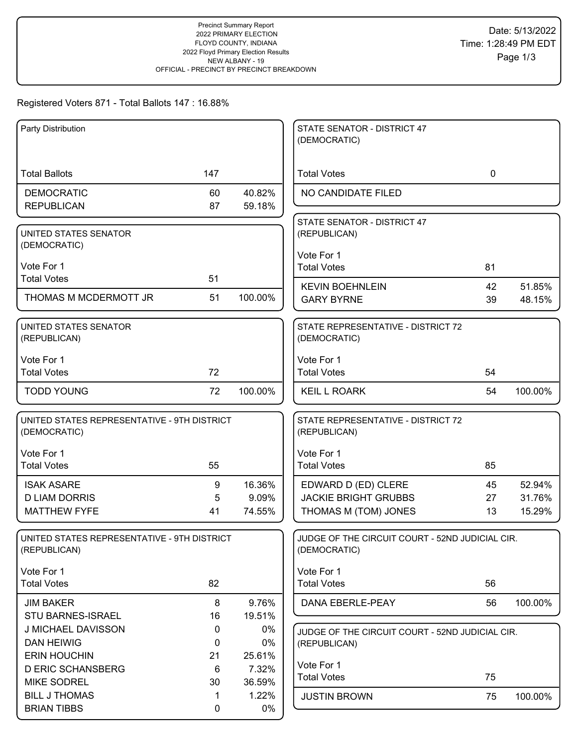## Registered Voters 871 - Total Ballots 147 : 16.88%

| Party Distribution                           |             |                 | STATE SENATOR - DISTRICT 47                                     |             |         |
|----------------------------------------------|-------------|-----------------|-----------------------------------------------------------------|-------------|---------|
|                                              |             |                 | (DEMOCRATIC)                                                    |             |         |
|                                              |             |                 |                                                                 |             |         |
| <b>Total Ballots</b>                         | 147         |                 | <b>Total Votes</b>                                              | $\mathbf 0$ |         |
| <b>DEMOCRATIC</b>                            | 60          | 40.82%          | NO CANDIDATE FILED                                              |             |         |
| <b>REPUBLICAN</b>                            | 87          | 59.18%          |                                                                 |             |         |
| UNITED STATES SENATOR                        |             |                 | STATE SENATOR - DISTRICT 47<br>(REPUBLICAN)                     |             |         |
| (DEMOCRATIC)                                 |             |                 |                                                                 |             |         |
| Vote For 1                                   |             |                 | Vote For 1                                                      |             |         |
| <b>Total Votes</b>                           | 51          |                 | <b>Total Votes</b>                                              | 81          |         |
| THOMAS M MCDERMOTT JR                        | 51          | 100.00%         | <b>KEVIN BOEHNLEIN</b>                                          | 42          | 51.85%  |
|                                              |             |                 | <b>GARY BYRNE</b>                                               | 39          | 48.15%  |
| UNITED STATES SENATOR                        |             |                 | STATE REPRESENTATIVE - DISTRICT 72                              |             |         |
| (REPUBLICAN)                                 |             |                 | (DEMOCRATIC)                                                    |             |         |
| Vote For 1                                   |             |                 | Vote For 1                                                      |             |         |
| <b>Total Votes</b>                           | 72          |                 | <b>Total Votes</b>                                              | 54          |         |
| <b>TODD YOUNG</b>                            | 72          | 100.00%         | <b>KEIL L ROARK</b>                                             | 54          | 100.00% |
|                                              |             |                 |                                                                 |             |         |
| UNITED STATES REPRESENTATIVE - 9TH DISTRICT  |             |                 | STATE REPRESENTATIVE - DISTRICT 72                              |             |         |
| (DEMOCRATIC)                                 |             |                 | (REPUBLICAN)                                                    |             |         |
| Vote For 1                                   |             |                 | Vote For 1                                                      |             |         |
| <b>Total Votes</b>                           | 55          |                 | <b>Total Votes</b>                                              | 85          |         |
| <b>ISAK ASARE</b>                            | 9           | 16.36%          | EDWARD D (ED) CLERE                                             | 45          | 52.94%  |
| <b>D LIAM DORRIS</b>                         | 5           | 9.09%           | <b>JACKIE BRIGHT GRUBBS</b>                                     | 27          | 31.76%  |
| <b>MATTHEW FYFE</b>                          | 41          | 74.55%          | THOMAS M (TOM) JONES                                            | 13          | 15.29%  |
| UNITED STATES REPRESENTATIVE - 9TH DISTRICT  |             |                 | JUDGE OF THE CIRCUIT COURT - 52ND JUDICIAL CIR.                 |             |         |
| (REPUBLICAN)                                 |             |                 | (DEMOCRATIC)                                                    |             |         |
|                                              |             |                 |                                                                 |             |         |
| Vote For 1<br><b>Total Votes</b>             | 82          |                 | Vote For 1<br><b>Total Votes</b>                                | 56          |         |
|                                              |             |                 |                                                                 |             |         |
| <b>JIM BAKER</b><br><b>STU BARNES-ISRAEL</b> | 8<br>16     | 9.76%<br>19.51% | DANA EBERLE-PEAY                                                | 56          | 100.00% |
| J MICHAEL DAVISSON                           | 0           | 0%              |                                                                 |             |         |
| <b>DAN HEIWIG</b>                            | 0           | 0%              | JUDGE OF THE CIRCUIT COURT - 52ND JUDICIAL CIR.<br>(REPUBLICAN) |             |         |
| <b>ERIN HOUCHIN</b>                          | 21          | 25.61%          |                                                                 |             |         |
| <b>D ERIC SCHANSBERG</b>                     | 6           | 7.32%           | Vote For 1                                                      |             |         |
| <b>MIKE SODREL</b>                           | 30          | 36.59%          | <b>Total Votes</b>                                              | 75          |         |
| <b>BILL J THOMAS</b>                         | 1           | 1.22%           | <b>JUSTIN BROWN</b>                                             | 75          | 100.00% |
| <b>BRIAN TIBBS</b>                           | $\mathbf 0$ | 0%              |                                                                 |             |         |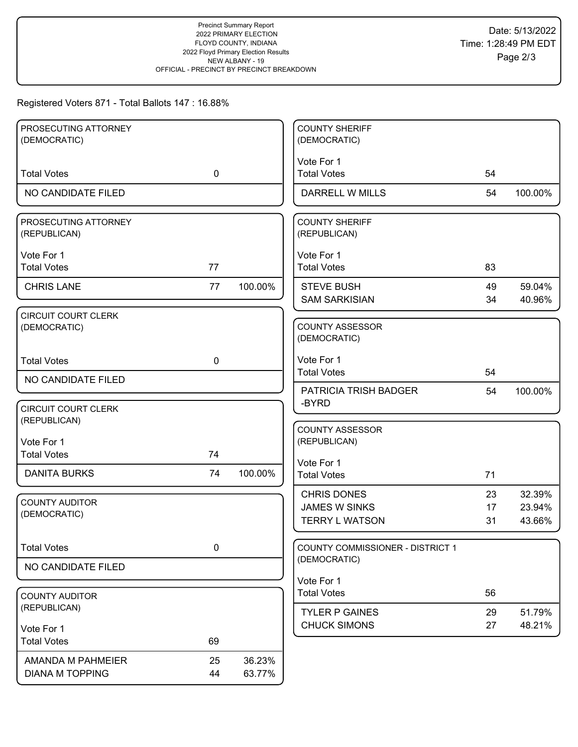## Registered Voters 871 - Total Ballots 147 : 16.88%

| PROSECUTING ATTORNEY                       |             |         | <b>COUNTY SHERIFF</b>            |    |         |
|--------------------------------------------|-------------|---------|----------------------------------|----|---------|
| (DEMOCRATIC)                               |             |         | (DEMOCRATIC)                     |    |         |
|                                            |             |         |                                  |    |         |
|                                            |             |         | Vote For 1                       |    |         |
| <b>Total Votes</b>                         | $\mathbf 0$ |         | <b>Total Votes</b>               | 54 |         |
| NO CANDIDATE FILED                         |             |         | DARRELL W MILLS                  | 54 | 100.00% |
| PROSECUTING ATTORNEY                       |             |         | <b>COUNTY SHERIFF</b>            |    |         |
| (REPUBLICAN)                               |             |         | (REPUBLICAN)                     |    |         |
|                                            |             |         |                                  |    |         |
| Vote For 1                                 |             |         | Vote For 1                       |    |         |
| <b>Total Votes</b>                         | 77          |         | <b>Total Votes</b>               | 83 |         |
| <b>CHRIS LANE</b>                          | 77          | 100.00% | <b>STEVE BUSH</b>                | 49 | 59.04%  |
|                                            |             |         | <b>SAM SARKISIAN</b>             | 34 | 40.96%  |
| <b>CIRCUIT COURT CLERK</b>                 |             |         |                                  |    |         |
| (DEMOCRATIC)                               |             |         | <b>COUNTY ASSESSOR</b>           |    |         |
|                                            |             |         | (DEMOCRATIC)                     |    |         |
| <b>Total Votes</b>                         | $\mathbf 0$ |         | Vote For 1                       |    |         |
|                                            |             |         | <b>Total Votes</b>               | 54 |         |
| NO CANDIDATE FILED                         |             |         | PATRICIA TRISH BADGER            | 54 | 100.00% |
|                                            |             |         | -BYRD                            |    |         |
| <b>CIRCUIT COURT CLERK</b><br>(REPUBLICAN) |             |         |                                  |    |         |
|                                            |             |         | <b>COUNTY ASSESSOR</b>           |    |         |
| Vote For 1                                 |             |         | (REPUBLICAN)                     |    |         |
| <b>Total Votes</b>                         | 74          |         | Vote For 1                       |    |         |
| <b>DANITA BURKS</b>                        | 74          | 100.00% | <b>Total Votes</b>               | 71 |         |
|                                            |             |         |                                  |    |         |
| <b>COUNTY AUDITOR</b>                      |             |         | <b>CHRIS DONES</b>               | 23 | 32.39%  |
| (DEMOCRATIC)                               |             |         | <b>JAMES W SINKS</b>             | 17 | 23.94%  |
|                                            |             |         | <b>TERRY L WATSON</b>            | 31 | 43.66%  |
| <b>Total Votes</b>                         | $\pmb{0}$   |         | COUNTY COMMISSIONER - DISTRICT 1 |    |         |
|                                            |             |         | (DEMOCRATIC)                     |    |         |
| NO CANDIDATE FILED                         |             |         |                                  |    |         |
|                                            |             |         | Vote For 1<br><b>Total Votes</b> | 56 |         |
| <b>COUNTY AUDITOR</b><br>(REPUBLICAN)      |             |         |                                  |    |         |
|                                            |             |         | <b>TYLER P GAINES</b>            | 29 | 51.79%  |
| Vote For 1                                 |             |         | <b>CHUCK SIMONS</b>              | 27 | 48.21%  |
| <b>Total Votes</b>                         | 69          |         |                                  |    |         |
| AMANDA M PAHMEIER                          | 25          | 36.23%  |                                  |    |         |
| <b>DIANA M TOPPING</b>                     | 44          | 63.77%  |                                  |    |         |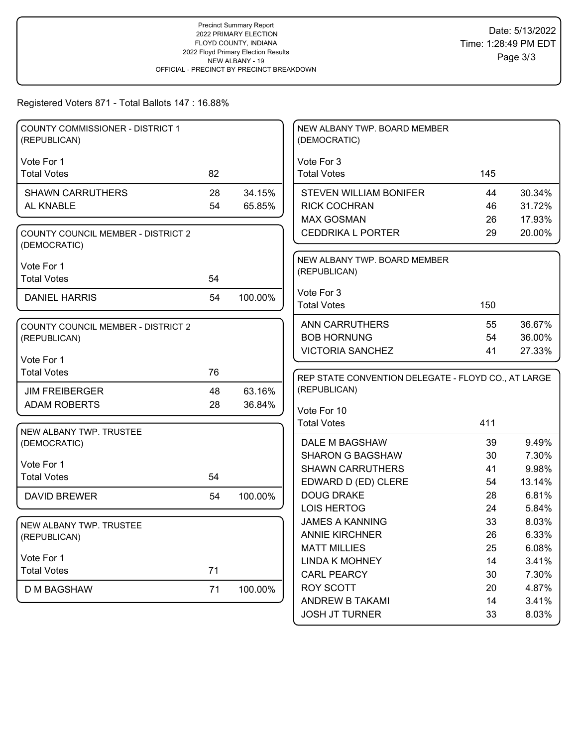## Registered Voters 871 - Total Ballots 147 : 16.88%

| <b>COUNTY COMMISSIONER - DISTRICT 1</b><br>(REPUBLICAN)   |    |         | NEW ALBANY TWP. BOARD MEMBER<br>(DEMOCRATIC)        |          |                |
|-----------------------------------------------------------|----|---------|-----------------------------------------------------|----------|----------------|
|                                                           |    |         |                                                     |          |                |
| Vote For 1<br><b>Total Votes</b>                          | 82 |         | Vote For 3<br><b>Total Votes</b>                    | 145      |                |
|                                                           |    |         |                                                     |          |                |
| <b>SHAWN CARRUTHERS</b>                                   | 28 | 34.15%  | <b>STEVEN WILLIAM BONIFER</b>                       | 44       | 30.34%         |
| AL KNABLE                                                 | 54 | 65.85%  | <b>RICK COCHRAN</b>                                 | 46       | 31.72%         |
|                                                           |    |         | <b>MAX GOSMAN</b>                                   | 26       | 17.93%         |
| <b>COUNTY COUNCIL MEMBER - DISTRICT 2</b><br>(DEMOCRATIC) |    |         | <b>CEDDRIKA L PORTER</b>                            | 29       | 20.00%         |
| Vote For 1                                                |    |         | NEW ALBANY TWP. BOARD MEMBER                        |          |                |
| <b>Total Votes</b>                                        | 54 |         | (REPUBLICAN)                                        |          |                |
|                                                           |    |         | Vote For 3                                          |          |                |
| <b>DANIEL HARRIS</b>                                      | 54 | 100.00% | <b>Total Votes</b>                                  | 150      |                |
|                                                           |    |         |                                                     |          |                |
| <b>COUNTY COUNCIL MEMBER - DISTRICT 2</b>                 |    |         | <b>ANN CARRUTHERS</b>                               | 55       | 36.67%         |
| (REPUBLICAN)                                              |    |         | <b>BOB HORNUNG</b>                                  | 54       | 36.00%         |
| Vote For 1                                                |    |         | <b>VICTORIA SANCHEZ</b>                             | 41       | 27.33%         |
| <b>Total Votes</b>                                        | 76 |         |                                                     |          |                |
|                                                           |    |         | REP STATE CONVENTION DELEGATE - FLOYD CO., AT LARGE |          |                |
| <b>JIM FREIBERGER</b>                                     | 48 | 63.16%  | (REPUBLICAN)                                        |          |                |
| <b>ADAM ROBERTS</b>                                       | 28 | 36.84%  | Vote For 10                                         |          |                |
|                                                           |    |         | <b>Total Votes</b>                                  | 411      |                |
| NEW ALBANY TWP. TRUSTEE                                   |    |         |                                                     |          |                |
| (DEMOCRATIC)                                              |    |         | DALE M BAGSHAW                                      | 39       | 9.49%          |
| Vote For 1                                                |    |         | <b>SHARON G BAGSHAW</b>                             | 30       | 7.30%          |
| <b>Total Votes</b>                                        | 54 |         | <b>SHAWN CARRUTHERS</b>                             | 41       | 9.98%          |
|                                                           |    |         | EDWARD D (ED) CLERE                                 | 54       | 13.14%         |
| <b>DAVID BREWER</b>                                       | 54 | 100.00% | <b>DOUG DRAKE</b>                                   | 28       | 6.81%          |
|                                                           |    |         | <b>LOIS HERTOG</b>                                  | 24       | 5.84%          |
| NEW ALBANY TWP. TRUSTEE                                   |    |         | <b>JAMES A KANNING</b>                              | 33       | 8.03%          |
| (REPUBLICAN)                                              |    |         | <b>ANNIE KIRCHNER</b>                               | 26       | 6.33%          |
| Vote For 1                                                |    |         | <b>MATT MILLIES</b>                                 | 25       | 6.08%          |
| <b>Total Votes</b>                                        | 71 |         | <b>LINDA K MOHNEY</b>                               | 14       | 3.41%          |
|                                                           |    |         | <b>CARL PEARCY</b>                                  | 30       | 7.30%          |
|                                                           |    |         |                                                     |          |                |
| <b>D M BAGSHAW</b>                                        | 71 | 100.00% | <b>ROY SCOTT</b>                                    | 20       | 4.87%          |
|                                                           |    |         | ANDREW B TAKAMI<br><b>JOSH JT TURNER</b>            | 14<br>33 | 3.41%<br>8.03% |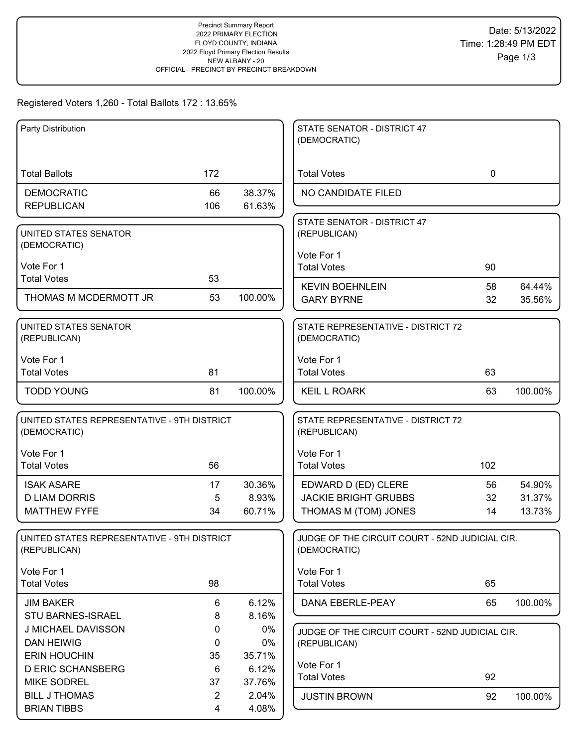## Registered Voters 1,260 - Total Ballots 172 : 13.65%

| Party Distribution                          |                |         | STATE SENATOR - DISTRICT 47<br>(DEMOCRATIC)     |             |         |
|---------------------------------------------|----------------|---------|-------------------------------------------------|-------------|---------|
|                                             |                |         |                                                 |             |         |
|                                             |                |         |                                                 |             |         |
| <b>Total Ballots</b>                        | 172            |         | <b>Total Votes</b>                              | $\mathbf 0$ |         |
| <b>DEMOCRATIC</b>                           | 66             | 38.37%  | NO CANDIDATE FILED                              |             |         |
| <b>REPUBLICAN</b>                           | 106            | 61.63%  |                                                 |             |         |
|                                             |                |         | STATE SENATOR - DISTRICT 47                     |             |         |
| UNITED STATES SENATOR                       |                |         | (REPUBLICAN)                                    |             |         |
| (DEMOCRATIC)                                |                |         | Vote For 1                                      |             |         |
| Vote For 1                                  |                |         | <b>Total Votes</b>                              | 90          |         |
| <b>Total Votes</b>                          | 53             |         |                                                 |             |         |
|                                             |                |         | <b>KEVIN BOEHNLEIN</b>                          | 58          | 64.44%  |
| THOMAS M MCDERMOTT JR                       | 53             | 100.00% | <b>GARY BYRNE</b>                               | 32          | 35.56%  |
| UNITED STATES SENATOR                       |                |         | STATE REPRESENTATIVE - DISTRICT 72              |             |         |
| (REPUBLICAN)                                |                |         | (DEMOCRATIC)                                    |             |         |
|                                             |                |         |                                                 |             |         |
| Vote For 1                                  |                |         | Vote For 1                                      |             |         |
| <b>Total Votes</b>                          | 81             |         | <b>Total Votes</b>                              | 63          |         |
| <b>TODD YOUNG</b>                           | 81             | 100.00% | <b>KEIL L ROARK</b>                             | 63          | 100.00% |
|                                             |                |         |                                                 |             |         |
| UNITED STATES REPRESENTATIVE - 9TH DISTRICT |                |         | STATE REPRESENTATIVE - DISTRICT 72              |             |         |
| (DEMOCRATIC)                                |                |         | (REPUBLICAN)                                    |             |         |
| Vote For 1                                  |                |         | Vote For 1                                      |             |         |
| <b>Total Votes</b>                          | 56             |         | <b>Total Votes</b>                              | 102         |         |
| <b>ISAK ASARE</b>                           | 17             | 30.36%  | EDWARD D (ED) CLERE                             | 56          | 54.90%  |
| <b>D LIAM DORRIS</b>                        | 5              | 8.93%   | <b>JACKIE BRIGHT GRUBBS</b>                     | 32          | 31.37%  |
| <b>MATTHEW FYFE</b>                         | 34             | 60.71%  | THOMAS M (TOM) JONES                            | 14          | 13.73%  |
|                                             |                |         |                                                 |             |         |
| UNITED STATES REPRESENTATIVE - 9TH DISTRICT |                |         | JUDGE OF THE CIRCUIT COURT - 52ND JUDICIAL CIR. |             |         |
| (REPUBLICAN)                                |                |         | (DEMOCRATIC)                                    |             |         |
|                                             |                |         |                                                 |             |         |
| Vote For 1                                  |                |         | Vote For 1                                      |             |         |
| <b>Total Votes</b>                          | 98             |         | <b>Total Votes</b>                              | 65          |         |
| <b>JIM BAKER</b>                            | 6              | 6.12%   | DANA EBERLE-PEAY                                | 65          | 100.00% |
| STU BARNES-ISRAEL                           | 8              | 8.16%   |                                                 |             |         |
| J MICHAEL DAVISSON                          | 0              | 0%      | JUDGE OF THE CIRCUIT COURT - 52ND JUDICIAL CIR. |             |         |
| <b>DAN HEIWIG</b>                           | 0              | 0%      | (REPUBLICAN)                                    |             |         |
| <b>ERIN HOUCHIN</b>                         | 35             | 35.71%  | Vote For 1                                      |             |         |
| <b>D ERIC SCHANSBERG</b>                    | 6              | 6.12%   | <b>Total Votes</b>                              | 92          |         |
| <b>MIKE SODREL</b>                          | 37             | 37.76%  |                                                 |             |         |
| <b>BILL J THOMAS</b>                        | $\overline{2}$ | 2.04%   | <b>JUSTIN BROWN</b>                             | 92          | 100.00% |
| <b>BRIAN TIBBS</b>                          | 4              | 4.08%   |                                                 |             |         |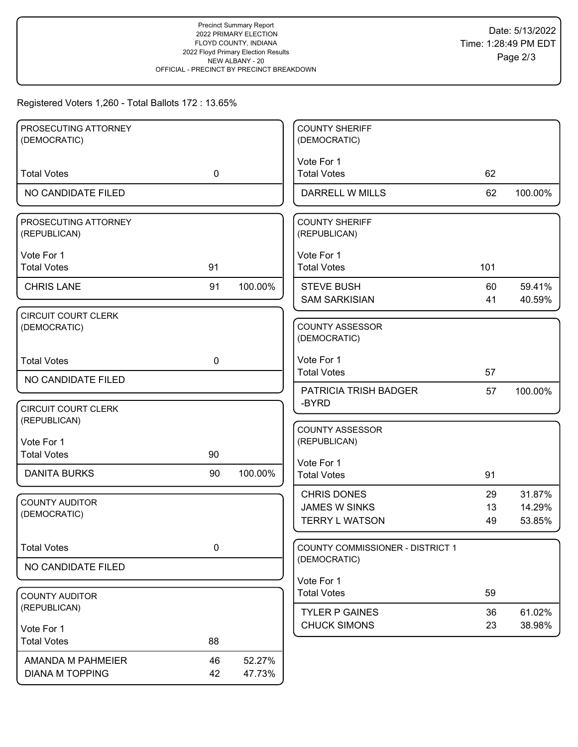## Registered Voters 1,260 - Total Ballots 172 : 13.65%

| PROSECUTING ATTORNEY                       |             |         | <b>COUNTY SHERIFF</b>                                   |          |                  |
|--------------------------------------------|-------------|---------|---------------------------------------------------------|----------|------------------|
| (DEMOCRATIC)                               |             |         | (DEMOCRATIC)                                            |          |                  |
| <b>Total Votes</b>                         | $\mathbf 0$ |         | Vote For 1<br><b>Total Votes</b>                        | 62       |                  |
| NO CANDIDATE FILED                         |             |         | DARRELL W MILLS                                         | 62       | 100.00%          |
|                                            |             |         |                                                         |          |                  |
| PROSECUTING ATTORNEY<br>(REPUBLICAN)       |             |         | <b>COUNTY SHERIFF</b><br>(REPUBLICAN)                   |          |                  |
| Vote For 1                                 |             |         | Vote For 1                                              |          |                  |
| <b>Total Votes</b>                         | 91          |         | <b>Total Votes</b>                                      | 101      |                  |
| <b>CHRIS LANE</b>                          | 91          | 100.00% | <b>STEVE BUSH</b>                                       | 60       | 59.41%           |
|                                            |             |         | <b>SAM SARKISIAN</b>                                    | 41       | 40.59%           |
| <b>CIRCUIT COURT CLERK</b><br>(DEMOCRATIC) |             |         | <b>COUNTY ASSESSOR</b><br>(DEMOCRATIC)                  |          |                  |
| <b>Total Votes</b>                         | $\mathbf 0$ |         | Vote For 1                                              |          |                  |
| NO CANDIDATE FILED                         |             |         | <b>Total Votes</b>                                      | 57       |                  |
|                                            |             |         | <b>PATRICIA TRISH BADGER</b>                            | 57       | 100.00%          |
| <b>CIRCUIT COURT CLERK</b><br>(REPUBLICAN) |             |         | -BYRD                                                   |          |                  |
| Vote For 1                                 |             |         | <b>COUNTY ASSESSOR</b><br>(REPUBLICAN)                  |          |                  |
| <b>Total Votes</b>                         | 90          |         | Vote For 1                                              |          |                  |
| <b>DANITA BURKS</b>                        | 90          | 100.00% | <b>Total Votes</b>                                      | 91       |                  |
|                                            |             |         | <b>CHRIS DONES</b>                                      | 29       | 31.87%           |
| <b>COUNTY AUDITOR</b><br>(DEMOCRATIC)      |             |         | <b>JAMES W SINKS</b>                                    | 13       | 14.29%           |
|                                            |             |         | <b>TERRY L WATSON</b>                                   | 49       | 53.85%           |
| <b>Total Votes</b>                         | $\pmb{0}$   |         | <b>COUNTY COMMISSIONER - DISTRICT 1</b><br>(DEMOCRATIC) |          |                  |
| NO CANDIDATE FILED                         |             |         |                                                         |          |                  |
|                                            |             |         | Vote For 1<br><b>Total Votes</b>                        | 59       |                  |
| <b>COUNTY AUDITOR</b><br>(REPUBLICAN)      |             |         |                                                         |          |                  |
|                                            |             |         | <b>TYLER P GAINES</b><br><b>CHUCK SIMONS</b>            | 36<br>23 | 61.02%<br>38.98% |
| Vote For 1<br><b>Total Votes</b>           | 88          |         |                                                         |          |                  |
| AMANDA M PAHMEIER                          | 46          | 52.27%  |                                                         |          |                  |
| <b>DIANA M TOPPING</b>                     | 42          | 47.73%  |                                                         |          |                  |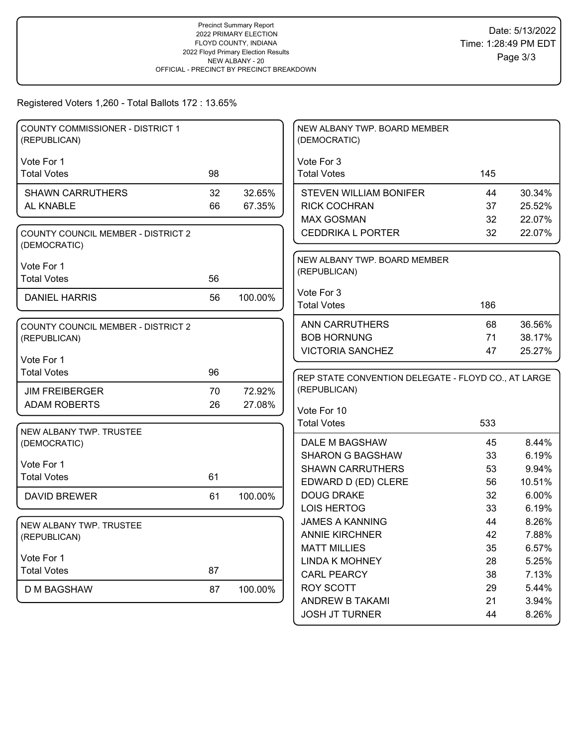Registered Voters 1,260 - Total Ballots 172 : 13.65%

| <b>COUNTY COMMISSIONER - DISTRICT 1</b><br>(REPUBLICAN) |    |         | NEW ALBANY TWP. BOARD MEMBER<br>(DEMOCRATIC)         |          |                |
|---------------------------------------------------------|----|---------|------------------------------------------------------|----------|----------------|
| Vote For 1                                              |    |         | Vote For 3                                           |          |                |
| <b>Total Votes</b>                                      | 98 |         | <b>Total Votes</b>                                   | 145      |                |
|                                                         | 32 | 32.65%  |                                                      | 44       | 30.34%         |
| <b>SHAWN CARRUTHERS</b><br>AL KNABLE                    | 66 | 67.35%  | <b>STEVEN WILLIAM BONIFER</b><br><b>RICK COCHRAN</b> | 37       | 25.52%         |
|                                                         |    |         | <b>MAX GOSMAN</b>                                    | 32       | 22.07%         |
| <b>COUNTY COUNCIL MEMBER - DISTRICT 2</b>               |    |         | <b>CEDDRIKA L PORTER</b>                             | 32       | 22.07%         |
| (DEMOCRATIC)                                            |    |         |                                                      |          |                |
| Vote For 1                                              |    |         | NEW ALBANY TWP. BOARD MEMBER<br>(REPUBLICAN)         |          |                |
| <b>Total Votes</b>                                      | 56 |         |                                                      |          |                |
| <b>DANIEL HARRIS</b>                                    | 56 | 100.00% | Vote For 3                                           |          |                |
|                                                         |    |         | <b>Total Votes</b>                                   | 186      |                |
| <b>COUNTY COUNCIL MEMBER - DISTRICT 2</b>               |    |         | <b>ANN CARRUTHERS</b>                                | 68       | 36.56%         |
| (REPUBLICAN)                                            |    |         | <b>BOB HORNUNG</b>                                   | 71       | 38.17%         |
|                                                         |    |         | <b>VICTORIA SANCHEZ</b>                              | 47       | 25.27%         |
| Vote For 1                                              |    |         |                                                      |          |                |
| <b>Total Votes</b>                                      | 96 |         |                                                      |          |                |
|                                                         |    |         | REP STATE CONVENTION DELEGATE - FLOYD CO., AT LARGE  |          |                |
| <b>JIM FREIBERGER</b>                                   | 70 | 72.92%  | (REPUBLICAN)                                         |          |                |
| <b>ADAM ROBERTS</b>                                     | 26 | 27.08%  |                                                      |          |                |
|                                                         |    |         | Vote For 10                                          |          |                |
| NEW ALBANY TWP. TRUSTEE                                 |    |         | <b>Total Votes</b>                                   | 533      |                |
| (DEMOCRATIC)                                            |    |         | DALE M BAGSHAW                                       | 45       | 8.44%          |
|                                                         |    |         | <b>SHARON G BAGSHAW</b>                              | 33       | 6.19%          |
| Vote For 1                                              |    |         | <b>SHAWN CARRUTHERS</b>                              | 53       | 9.94%          |
| <b>Total Votes</b>                                      | 61 |         | EDWARD D (ED) CLERE                                  | 56       | 10.51%         |
| <b>DAVID BREWER</b>                                     | 61 | 100.00% | <b>DOUG DRAKE</b>                                    | 32       | 6.00%          |
|                                                         |    |         | <b>LOIS HERTOG</b>                                   | 33       | 6.19%          |
| NEW ALBANY TWP. TRUSTEE                                 |    |         | <b>JAMES A KANNING</b>                               | 44       | 8.26%          |
| (REPUBLICAN)                                            |    |         | <b>ANNIE KIRCHNER</b>                                | 42       | 7.88%          |
|                                                         |    |         | <b>MATT MILLIES</b>                                  | 35       | 6.57%          |
| Vote For 1                                              |    |         | <b>LINDA K MOHNEY</b>                                | 28       | 5.25%          |
| <b>Total Votes</b>                                      | 87 |         | <b>CARL PEARCY</b>                                   | 38       | 7.13%          |
| <b>D M BAGSHAW</b>                                      | 87 | 100.00% | <b>ROY SCOTT</b>                                     | 29       | 5.44%          |
|                                                         |    |         | ANDREW B TAKAMI<br><b>JOSH JT TURNER</b>             | 21<br>44 | 3.94%<br>8.26% |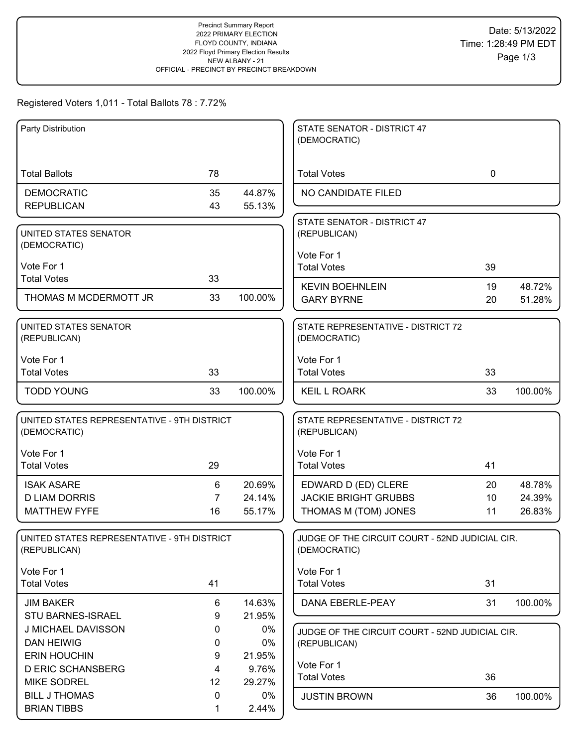# Registered Voters 1,011 - Total Ballots 78 : 7.72%

| Party Distribution                                          |                |                 | STATE SENATOR - DISTRICT 47                                     |             |                  |
|-------------------------------------------------------------|----------------|-----------------|-----------------------------------------------------------------|-------------|------------------|
|                                                             |                |                 | (DEMOCRATIC)                                                    |             |                  |
| <b>Total Ballots</b>                                        | 78             |                 | <b>Total Votes</b>                                              | $\mathbf 0$ |                  |
| <b>DEMOCRATIC</b>                                           | 35             | 44.87%          | NO CANDIDATE FILED                                              |             |                  |
| <b>REPUBLICAN</b>                                           | 43             | 55.13%          |                                                                 |             |                  |
| UNITED STATES SENATOR                                       |                |                 | STATE SENATOR - DISTRICT 47<br>(REPUBLICAN)                     |             |                  |
| (DEMOCRATIC)                                                |                |                 |                                                                 |             |                  |
| Vote For 1                                                  |                |                 | Vote For 1<br><b>Total Votes</b>                                | 39          |                  |
| <b>Total Votes</b>                                          | 33             |                 |                                                                 |             |                  |
| THOMAS M MCDERMOTT JR                                       | 33             | 100.00%         | <b>KEVIN BOEHNLEIN</b><br><b>GARY BYRNE</b>                     | 19<br>20    | 48.72%<br>51.28% |
|                                                             |                |                 |                                                                 |             |                  |
| UNITED STATES SENATOR<br>(REPUBLICAN)                       |                |                 | STATE REPRESENTATIVE - DISTRICT 72<br>(DEMOCRATIC)              |             |                  |
| Vote For 1                                                  |                |                 | Vote For 1                                                      |             |                  |
| <b>Total Votes</b>                                          | 33             |                 | <b>Total Votes</b>                                              | 33          |                  |
| <b>TODD YOUNG</b>                                           | 33             | 100.00%         | <b>KEIL L ROARK</b>                                             | 33          | 100.00%          |
| UNITED STATES REPRESENTATIVE - 9TH DISTRICT<br>(DEMOCRATIC) |                |                 | STATE REPRESENTATIVE - DISTRICT 72<br>(REPUBLICAN)              |             |                  |
| Vote For 1                                                  |                |                 | Vote For 1                                                      |             |                  |
| <b>Total Votes</b>                                          | 29             |                 | <b>Total Votes</b>                                              | 41          |                  |
| <b>ISAK ASARE</b>                                           | 6              | 20.69%          | EDWARD D (ED) CLERE                                             | 20          | 48.78%           |
| <b>D LIAM DORRIS</b>                                        | $\overline{7}$ | 24.14%          | <b>JACKIE BRIGHT GRUBBS</b>                                     | 10          | 24.39%           |
| <b>MATTHEW FYFE</b>                                         | 16             | 55.17%          | THOMAS M (TOM) JONES                                            | 11          | 26.83%           |
| UNITED STATES REPRESENTATIVE - 9TH DISTRICT<br>(REPUBLICAN) |                |                 | JUDGE OF THE CIRCUIT COURT - 52ND JUDICIAL CIR.<br>(DEMOCRATIC) |             |                  |
| Vote For 1                                                  |                |                 | Vote For 1                                                      |             |                  |
| <b>Total Votes</b>                                          | 41             |                 | <b>Total Votes</b>                                              | 31          |                  |
| <b>JIM BAKER</b>                                            | 6              | 14.63%          | DANA EBERLE-PEAY                                                | 31          | 100.00%          |
| <b>STU BARNES-ISRAEL</b>                                    | 9              | 21.95%          |                                                                 |             |                  |
| J MICHAEL DAVISSON                                          | 0              | $0\%$           | JUDGE OF THE CIRCUIT COURT - 52ND JUDICIAL CIR.                 |             |                  |
| <b>DAN HEIWIG</b>                                           | 0              | 0%              | (REPUBLICAN)                                                    |             |                  |
| <b>ERIN HOUCHIN</b><br><b>D ERIC SCHANSBERG</b>             | 9<br>4         | 21.95%<br>9.76% | Vote For 1                                                      |             |                  |
| <b>MIKE SODREL</b>                                          | 12             | 29.27%          | <b>Total Votes</b>                                              | 36          |                  |
| <b>BILL J THOMAS</b>                                        | $\mathbf 0$    | $0\%$           | <b>JUSTIN BROWN</b>                                             | 36          | 100.00%          |
| <b>BRIAN TIBBS</b>                                          | 1              | 2.44%           |                                                                 |             |                  |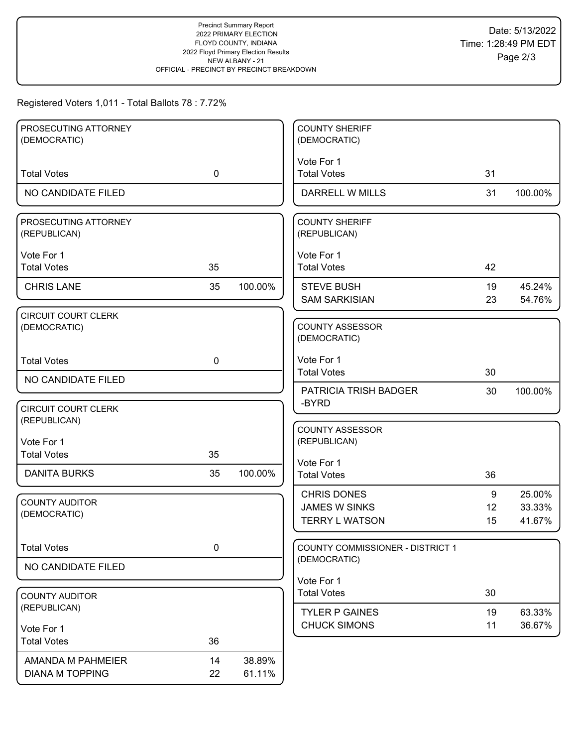# Registered Voters 1,011 - Total Ballots 78 : 7.72%

| PROSECUTING ATTORNEY                       |             |         | <b>COUNTY SHERIFF</b>                         |          |                  |
|--------------------------------------------|-------------|---------|-----------------------------------------------|----------|------------------|
| (DEMOCRATIC)                               |             |         | (DEMOCRATIC)                                  |          |                  |
|                                            |             |         | Vote For 1                                    |          |                  |
| <b>Total Votes</b>                         | $\mathbf 0$ |         | <b>Total Votes</b>                            | 31       |                  |
| NO CANDIDATE FILED                         |             |         | DARRELL W MILLS                               | 31       | 100.00%          |
| PROSECUTING ATTORNEY<br>(REPUBLICAN)       |             |         | <b>COUNTY SHERIFF</b><br>(REPUBLICAN)         |          |                  |
| Vote For 1                                 |             |         | Vote For 1                                    |          |                  |
| <b>Total Votes</b>                         | 35          |         | <b>Total Votes</b>                            | 42       |                  |
| <b>CHRIS LANE</b>                          | 35          | 100.00% | <b>STEVE BUSH</b>                             | 19       | 45.24%           |
|                                            |             |         | <b>SAM SARKISIAN</b>                          | 23       | 54.76%           |
| <b>CIRCUIT COURT CLERK</b><br>(DEMOCRATIC) |             |         | <b>COUNTY ASSESSOR</b><br>(DEMOCRATIC)        |          |                  |
| <b>Total Votes</b>                         | $\mathbf 0$ |         | Vote For 1                                    |          |                  |
| NO CANDIDATE FILED                         |             |         | <b>Total Votes</b>                            | 30       |                  |
|                                            |             |         | <b>PATRICIA TRISH BADGER</b>                  | 30       | 100.00%          |
| <b>CIRCUIT COURT CLERK</b><br>(REPUBLICAN) |             |         | -BYRD                                         |          |                  |
| Vote For 1                                 |             |         | <b>COUNTY ASSESSOR</b><br>(REPUBLICAN)        |          |                  |
| <b>Total Votes</b>                         | 35          |         |                                               |          |                  |
| <b>DANITA BURKS</b>                        | 35          | 100.00% | Vote For 1<br><b>Total Votes</b>              | 36       |                  |
|                                            |             |         |                                               |          |                  |
| <b>COUNTY AUDITOR</b>                      |             |         | <b>CHRIS DONES</b>                            | 9        | 25.00%           |
| (DEMOCRATIC)                               |             |         | <b>JAMES W SINKS</b><br><b>TERRY L WATSON</b> | 12<br>15 | 33.33%<br>41.67% |
|                                            |             |         |                                               |          |                  |
| <b>Total Votes</b>                         | 0           |         | COUNTY COMMISSIONER - DISTRICT 1              |          |                  |
| NO CANDIDATE FILED                         |             |         | (DEMOCRATIC)                                  |          |                  |
|                                            |             |         | Vote For 1                                    |          |                  |
| <b>COUNTY AUDITOR</b>                      |             |         | <b>Total Votes</b>                            | 30       |                  |
| (REPUBLICAN)                               |             |         | <b>TYLER P GAINES</b>                         | 19       | 63.33%           |
| Vote For 1                                 |             |         | <b>CHUCK SIMONS</b>                           | 11       | 36.67%           |
| <b>Total Votes</b>                         | 36          |         |                                               |          |                  |
| <b>AMANDA M PAHMEIER</b>                   | 14          | 38.89%  |                                               |          |                  |
| <b>DIANA M TOPPING</b>                     | 22          | 61.11%  |                                               |          |                  |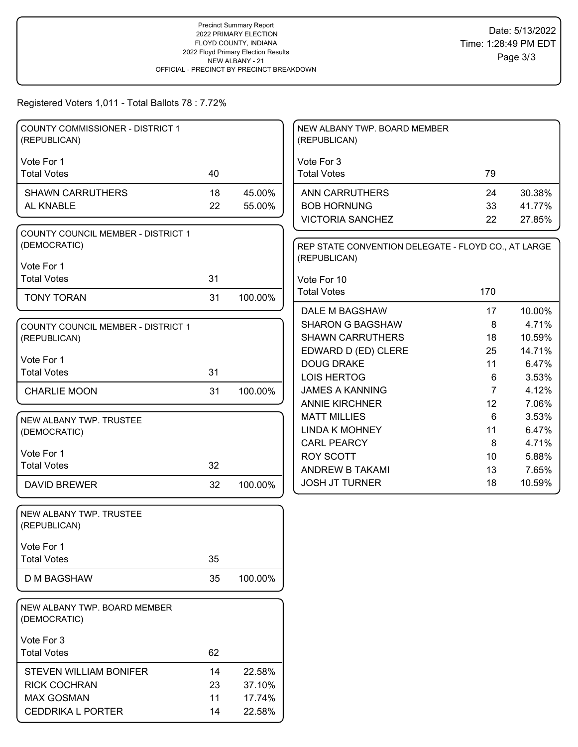#### Registered Voters 1,011 - Total Ballots 78 : 7.72%

| <b>COUNTY COMMISSIONER - DISTRICT 1</b><br>(REPUBLICAN)   |    |         | NEW ALBANY TWP. BOARD MEMBER<br>(REPUBLICAN)                        |                |                 |
|-----------------------------------------------------------|----|---------|---------------------------------------------------------------------|----------------|-----------------|
|                                                           |    |         |                                                                     |                |                 |
| Vote For 1<br><b>Total Votes</b>                          | 40 |         | Vote For 3<br><b>Total Votes</b>                                    | 79             |                 |
| <b>SHAWN CARRUTHERS</b>                                   | 18 | 45.00%  | <b>ANN CARRUTHERS</b>                                               | 24             | 30.38%          |
| AL KNABLE                                                 | 22 | 55.00%  | <b>BOB HORNUNG</b>                                                  | 33             | 41.77%          |
|                                                           |    |         | <b>VICTORIA SANCHEZ</b>                                             | 22             | 27.85%          |
| <b>COUNTY COUNCIL MEMBER - DISTRICT 1</b><br>(DEMOCRATIC) |    |         | REP STATE CONVENTION DELEGATE - FLOYD CO., AT LARGE<br>(REPUBLICAN) |                |                 |
| Vote For 1                                                |    |         |                                                                     |                |                 |
| <b>Total Votes</b>                                        | 31 |         | Vote For 10                                                         |                |                 |
| <b>TONY TORAN</b>                                         | 31 | 100.00% | <b>Total Votes</b><br><b>DALE M BAGSHAW</b>                         | 170            |                 |
|                                                           |    |         | <b>SHARON G BAGSHAW</b>                                             | 17<br>8        | 10.00%<br>4.71% |
| <b>COUNTY COUNCIL MEMBER - DISTRICT 1</b>                 |    |         | <b>SHAWN CARRUTHERS</b>                                             | 18             | 10.59%          |
| (REPUBLICAN)                                              |    |         | EDWARD D (ED) CLERE                                                 | 25             | 14.71%          |
| Vote For 1                                                |    |         | <b>DOUG DRAKE</b>                                                   | 11             | 6.47%           |
| <b>Total Votes</b>                                        | 31 |         | <b>LOIS HERTOG</b>                                                  | 6              | 3.53%           |
| <b>CHARLIE MOON</b>                                       | 31 | 100.00% | <b>JAMES A KANNING</b>                                              | $\overline{7}$ | 4.12%           |
|                                                           |    |         | <b>ANNIE KIRCHNER</b>                                               | 12             | 7.06%           |
|                                                           |    |         | <b>MATT MILLIES</b>                                                 | 6              | 3.53%           |
| NEW ALBANY TWP. TRUSTEE                                   |    |         | <b>LINDA K MOHNEY</b>                                               | 11             | 6.47%           |
| (DEMOCRATIC)                                              |    |         | <b>CARL PEARCY</b>                                                  | 8              | 4.71%           |
| Vote For 1                                                |    |         | <b>ROY SCOTT</b>                                                    | 10             | 5.88%           |
| <b>Total Votes</b>                                        | 32 |         | ANDREW B TAKAMI                                                     | 13             | 7.65%           |
| <b>DAVID BREWER</b>                                       | 32 | 100.00% | <b>JOSH JT TURNER</b>                                               | 18             | 10.59%          |
| NEW ALBANY TWP. TRUSTEE<br>(REPUBLICAN)                   |    |         |                                                                     |                |                 |
|                                                           |    |         |                                                                     |                |                 |
| Vote For 1                                                |    |         |                                                                     |                |                 |
| <b>Total Votes</b>                                        | 35 |         |                                                                     |                |                 |
| <b>D M BAGSHAW</b>                                        | 35 | 100.00% |                                                                     |                |                 |
| NEW ALBANY TWP. BOARD MEMBER<br>(DEMOCRATIC)              |    |         |                                                                     |                |                 |
| Vote For 3                                                |    |         |                                                                     |                |                 |
| <b>Total Votes</b>                                        | 62 |         |                                                                     |                |                 |
| STEVEN WILLIAM BONIFER                                    | 14 | 22.58%  |                                                                     |                |                 |
| <b>RICK COCHRAN</b>                                       | 23 | 37.10%  |                                                                     |                |                 |
| <b>MAX GOSMAN</b>                                         | 11 | 17.74%  |                                                                     |                |                 |
| <b>CEDDRIKA L PORTER</b>                                  | 14 | 22.58%  |                                                                     |                |                 |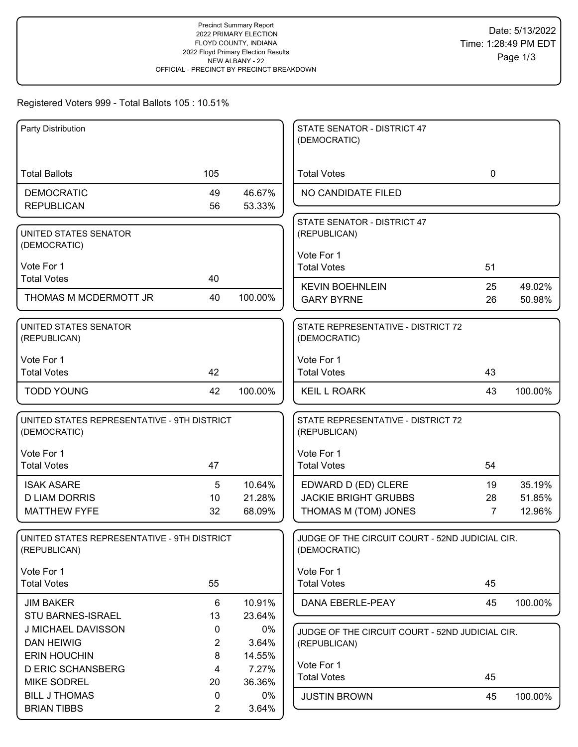#### Registered Voters 999 - Total Ballots 105 : 10.51%

| Party Distribution                                          |                     |                  | STATE SENATOR - DISTRICT 47<br>(DEMOCRATIC)                     |             |                  |
|-------------------------------------------------------------|---------------------|------------------|-----------------------------------------------------------------|-------------|------------------|
|                                                             |                     |                  |                                                                 |             |                  |
| <b>Total Ballots</b>                                        | 105                 |                  | <b>Total Votes</b>                                              | $\mathbf 0$ |                  |
| <b>DEMOCRATIC</b>                                           | 49                  | 46.67%           | NO CANDIDATE FILED                                              |             |                  |
| <b>REPUBLICAN</b>                                           | 56                  | 53.33%           |                                                                 |             |                  |
| UNITED STATES SENATOR                                       |                     |                  | STATE SENATOR - DISTRICT 47<br>(REPUBLICAN)                     |             |                  |
| (DEMOCRATIC)                                                |                     |                  |                                                                 |             |                  |
| Vote For 1                                                  |                     |                  | Vote For 1<br><b>Total Votes</b>                                | 51          |                  |
| <b>Total Votes</b>                                          | 40                  |                  |                                                                 |             |                  |
| THOMAS M MCDERMOTT JR                                       | 40                  | 100.00%          | <b>KEVIN BOEHNLEIN</b><br><b>GARY BYRNE</b>                     | 25<br>26    | 49.02%           |
|                                                             |                     |                  |                                                                 |             | 50.98%           |
| <b>UNITED STATES SENATOR</b><br>(REPUBLICAN)                |                     |                  | STATE REPRESENTATIVE - DISTRICT 72<br>(DEMOCRATIC)              |             |                  |
|                                                             |                     |                  |                                                                 |             |                  |
| Vote For 1                                                  |                     |                  | Vote For 1                                                      |             |                  |
| <b>Total Votes</b>                                          | 42                  |                  | <b>Total Votes</b>                                              | 43          |                  |
| <b>TODD YOUNG</b>                                           | 42                  | 100.00%          | <b>KEIL L ROARK</b>                                             | 43          | 100.00%          |
| UNITED STATES REPRESENTATIVE - 9TH DISTRICT<br>(DEMOCRATIC) |                     |                  | STATE REPRESENTATIVE - DISTRICT 72<br>(REPUBLICAN)              |             |                  |
|                                                             |                     |                  |                                                                 |             |                  |
| Vote For 1<br><b>Total Votes</b>                            | 47                  |                  | Vote For 1                                                      | 54          |                  |
|                                                             |                     |                  | <b>Total Votes</b>                                              |             |                  |
| <b>ISAK ASARE</b>                                           | 5                   | 10.64%           | EDWARD D (ED) CLERE                                             | 19          | 35.19%           |
| <b>D LIAM DORRIS</b><br><b>MATTHEW FYFE</b>                 | 10<br>32            | 21.28%<br>68.09% | <b>JACKIE BRIGHT GRUBBS</b><br>THOMAS M (TOM) JONES             | 28<br>7     | 51.85%<br>12.96% |
|                                                             |                     |                  |                                                                 |             |                  |
| UNITED STATES REPRESENTATIVE - 9TH DISTRICT<br>(REPUBLICAN) |                     |                  | JUDGE OF THE CIRCUIT COURT - 52ND JUDICIAL CIR.<br>(DEMOCRATIC) |             |                  |
|                                                             |                     |                  |                                                                 |             |                  |
| Vote For 1                                                  |                     |                  | Vote For 1                                                      |             |                  |
| <b>Total Votes</b>                                          | 55                  |                  | <b>Total Votes</b>                                              | 45          |                  |
| <b>JIM BAKER</b>                                            | 6                   | 10.91%           | DANA EBERLE-PEAY                                                | 45          | 100.00%          |
| STU BARNES-ISRAEL                                           | 13                  | 23.64%           |                                                                 |             |                  |
| J MICHAEL DAVISSON                                          | 0<br>$\overline{2}$ | $0\%$            | JUDGE OF THE CIRCUIT COURT - 52ND JUDICIAL CIR.                 |             |                  |
| <b>DAN HEIWIG</b><br><b>ERIN HOUCHIN</b>                    | 8                   | 3.64%<br>14.55%  | (REPUBLICAN)                                                    |             |                  |
| <b>D ERIC SCHANSBERG</b>                                    | 4                   | 7.27%            | Vote For 1                                                      |             |                  |
| <b>MIKE SODREL</b>                                          | 20                  | 36.36%           | <b>Total Votes</b>                                              | 45          |                  |
| <b>BILL J THOMAS</b>                                        | 0                   | 0%               | <b>JUSTIN BROWN</b>                                             | 45          | 100.00%          |
| <b>BRIAN TIBBS</b>                                          | $\overline{2}$      | 3.64%            |                                                                 |             |                  |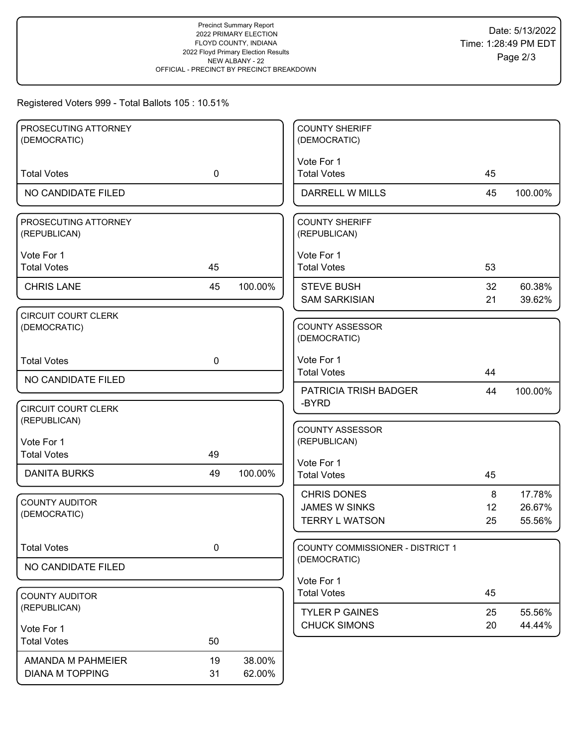# Registered Voters 999 - Total Ballots 105 : 10.51%

| PROSECUTING ATTORNEY                       |             |         | <b>COUNTY SHERIFF</b>                   |    |         |
|--------------------------------------------|-------------|---------|-----------------------------------------|----|---------|
| (DEMOCRATIC)                               |             |         | (DEMOCRATIC)                            |    |         |
| <b>Total Votes</b>                         | $\mathbf 0$ |         | Vote For 1<br><b>Total Votes</b>        | 45 |         |
|                                            |             |         |                                         |    |         |
| NO CANDIDATE FILED                         |             |         | DARRELL W MILLS                         | 45 | 100.00% |
| PROSECUTING ATTORNEY<br>(REPUBLICAN)       |             |         | <b>COUNTY SHERIFF</b><br>(REPUBLICAN)   |    |         |
| Vote For 1                                 |             |         | Vote For 1                              |    |         |
| <b>Total Votes</b>                         | 45          |         | <b>Total Votes</b>                      | 53 |         |
| <b>CHRIS LANE</b>                          | 45          | 100.00% | <b>STEVE BUSH</b>                       | 32 | 60.38%  |
|                                            |             |         | <b>SAM SARKISIAN</b>                    | 21 | 39.62%  |
| <b>CIRCUIT COURT CLERK</b><br>(DEMOCRATIC) |             |         | <b>COUNTY ASSESSOR</b><br>(DEMOCRATIC)  |    |         |
| <b>Total Votes</b>                         | $\mathbf 0$ |         | Vote For 1                              |    |         |
| NO CANDIDATE FILED                         |             |         | <b>Total Votes</b>                      | 44 |         |
|                                            |             |         | PATRICIA TRISH BADGER                   | 44 | 100.00% |
| <b>CIRCUIT COURT CLERK</b>                 |             |         | -BYRD                                   |    |         |
| (REPUBLICAN)                               |             |         | <b>COUNTY ASSESSOR</b>                  |    |         |
| Vote For 1                                 |             |         | (REPUBLICAN)                            |    |         |
| <b>Total Votes</b>                         | 49          |         | Vote For 1                              |    |         |
| <b>DANITA BURKS</b>                        | 49          | 100.00% | <b>Total Votes</b>                      | 45 |         |
|                                            |             |         | <b>CHRIS DONES</b>                      | 8  | 17.78%  |
| <b>COUNTY AUDITOR</b><br>(DEMOCRATIC)      |             |         | <b>JAMES W SINKS</b>                    | 12 | 26.67%  |
|                                            |             |         | <b>TERRY L WATSON</b>                   | 25 | 55.56%  |
| <b>Total Votes</b>                         | $\pmb{0}$   |         | <b>COUNTY COMMISSIONER - DISTRICT 1</b> |    |         |
| NO CANDIDATE FILED                         |             |         | (DEMOCRATIC)                            |    |         |
|                                            |             |         | Vote For 1                              |    |         |
| <b>COUNTY AUDITOR</b>                      |             |         | <b>Total Votes</b>                      | 45 |         |
| (REPUBLICAN)                               |             |         | <b>TYLER P GAINES</b>                   | 25 | 55.56%  |
| Vote For 1                                 |             |         | <b>CHUCK SIMONS</b>                     | 20 | 44.44%  |
| <b>Total Votes</b>                         | 50          |         |                                         |    |         |
| AMANDA M PAHMEIER                          | 19          | 38.00%  |                                         |    |         |
| <b>DIANA M TOPPING</b>                     | 31          | 62.00%  |                                         |    |         |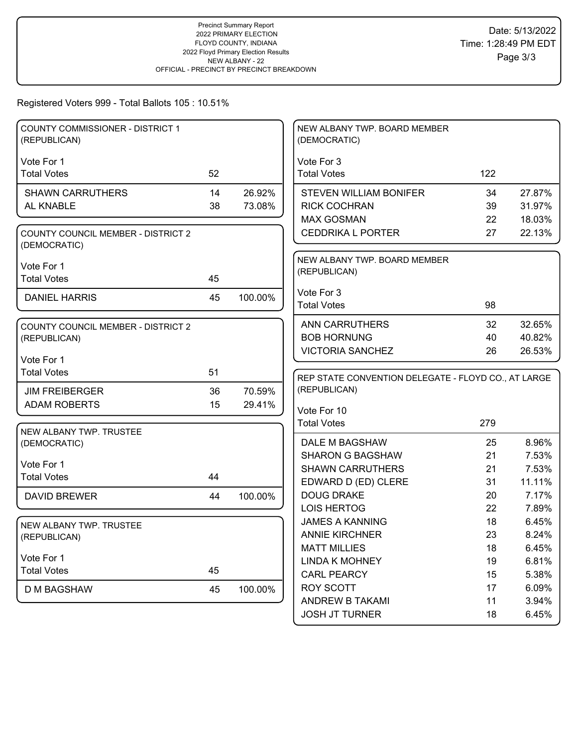# Registered Voters 999 - Total Ballots 105 : 10.51%

| COUNTY COMMISSIONER - DISTRICT 1<br>(REPUBLICAN)          |    |         | NEW ALBANY TWP. BOARD MEMBER<br>(DEMOCRATIC)        |          |                  |
|-----------------------------------------------------------|----|---------|-----------------------------------------------------|----------|------------------|
| Vote For 1                                                |    |         | Vote For 3                                          |          |                  |
| <b>Total Votes</b>                                        | 52 |         | <b>Total Votes</b>                                  | 122      |                  |
|                                                           |    |         |                                                     |          |                  |
| <b>SHAWN CARRUTHERS</b>                                   | 14 | 26.92%  | <b>STEVEN WILLIAM BONIFER</b>                       | 34       | 27.87%           |
| AL KNABLE                                                 | 38 | 73.08%  | <b>RICK COCHRAN</b>                                 | 39       | 31.97%           |
|                                                           |    |         | <b>MAX GOSMAN</b><br><b>CEDDRIKA L PORTER</b>       | 22<br>27 | 18.03%<br>22.13% |
| <b>COUNTY COUNCIL MEMBER - DISTRICT 2</b><br>(DEMOCRATIC) |    |         |                                                     |          |                  |
|                                                           |    |         | NEW ALBANY TWP. BOARD MEMBER                        |          |                  |
| Vote For 1<br><b>Total Votes</b>                          | 45 |         | (REPUBLICAN)                                        |          |                  |
|                                                           |    |         | Vote For 3                                          |          |                  |
| <b>DANIEL HARRIS</b>                                      | 45 | 100.00% | <b>Total Votes</b>                                  | 98       |                  |
|                                                           |    |         |                                                     |          |                  |
| <b>COUNTY COUNCIL MEMBER - DISTRICT 2</b>                 |    |         | <b>ANN CARRUTHERS</b>                               | 32       | 32.65%           |
| (REPUBLICAN)                                              |    |         | <b>BOB HORNUNG</b>                                  | 40       | 40.82%           |
| Vote For 1                                                |    |         | <b>VICTORIA SANCHEZ</b>                             | 26       | 26.53%           |
| <b>Total Votes</b>                                        | 51 |         |                                                     |          |                  |
|                                                           |    |         | REP STATE CONVENTION DELEGATE - FLOYD CO., AT LARGE |          |                  |
| <b>JIM FREIBERGER</b>                                     | 36 | 70.59%  | (REPUBLICAN)                                        |          |                  |
| <b>ADAM ROBERTS</b>                                       | 15 | 29.41%  | Vote For 10                                         |          |                  |
|                                                           |    |         | <b>Total Votes</b>                                  | 279      |                  |
| NEW ALBANY TWP. TRUSTEE<br>(DEMOCRATIC)                   |    |         | DALE M BAGSHAW                                      | 25       | 8.96%            |
|                                                           |    |         | <b>SHARON G BAGSHAW</b>                             | 21       | 7.53%            |
| Vote For 1                                                |    |         | <b>SHAWN CARRUTHERS</b>                             | 21       | 7.53%            |
| <b>Total Votes</b>                                        | 44 |         | EDWARD D (ED) CLERE                                 | 31       | 11.11%           |
| <b>DAVID BREWER</b>                                       | 44 | 100.00% | <b>DOUG DRAKE</b>                                   | 20       | 7.17%            |
|                                                           |    |         | <b>LOIS HERTOG</b>                                  | 22       | 7.89%            |
| NEW ALBANY TWP. TRUSTEE                                   |    |         | <b>JAMES A KANNING</b>                              | 18       | 6.45%            |
| (REPUBLICAN)                                              |    |         | <b>ANNIE KIRCHNER</b>                               | 23       | 8.24%            |
|                                                           |    |         | <b>MATT MILLIES</b>                                 | 18       | 6.45%            |
| Vote For 1                                                |    |         | <b>LINDA K MOHNEY</b>                               | 19       | 6.81%            |
| <b>Total Votes</b>                                        | 45 |         | <b>CARL PEARCY</b>                                  | 15       | 5.38%            |
| <b>D M BAGSHAW</b>                                        | 45 | 100.00% | <b>ROY SCOTT</b>                                    | 17       | 6.09%            |
|                                                           |    |         | ANDREW B TAKAMI                                     | 11       | 3.94%            |
|                                                           |    |         | <b>JOSH JT TURNER</b>                               | 18       | 6.45%            |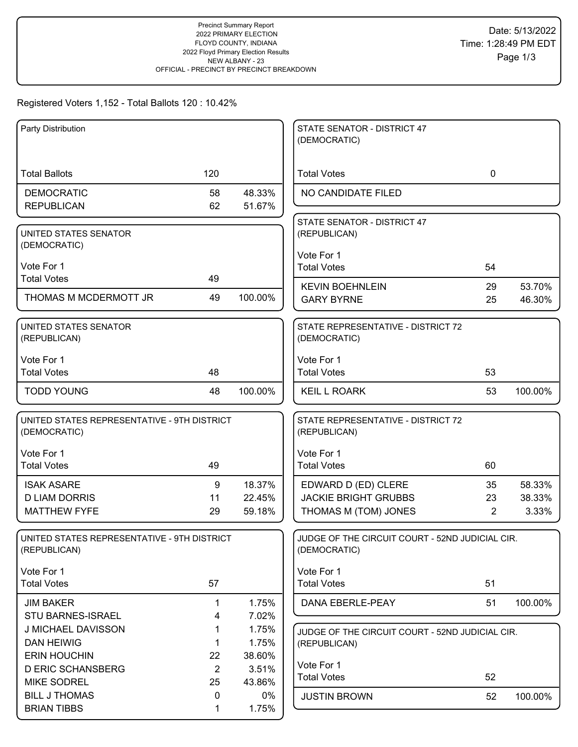### Registered Voters 1,152 - Total Ballots 120 : 10.42%

| Party Distribution                                          |                |         | STATE SENATOR - DISTRICT 47                        |             |         |
|-------------------------------------------------------------|----------------|---------|----------------------------------------------------|-------------|---------|
|                                                             |                |         | (DEMOCRATIC)                                       |             |         |
|                                                             |                |         |                                                    |             |         |
| <b>Total Ballots</b>                                        | 120            |         | <b>Total Votes</b>                                 | $\mathbf 0$ |         |
| <b>DEMOCRATIC</b>                                           | 58             | 48.33%  | NO CANDIDATE FILED                                 |             |         |
| <b>REPUBLICAN</b>                                           | 62             | 51.67%  |                                                    |             |         |
|                                                             |                |         | STATE SENATOR - DISTRICT 47                        |             |         |
| UNITED STATES SENATOR                                       |                |         | (REPUBLICAN)                                       |             |         |
| (DEMOCRATIC)                                                |                |         | Vote For 1                                         |             |         |
| Vote For 1                                                  |                |         | <b>Total Votes</b>                                 | 54          |         |
| <b>Total Votes</b>                                          | 49             |         | <b>KEVIN BOEHNLEIN</b>                             | 29          | 53.70%  |
| THOMAS M MCDERMOTT JR                                       | 49             | 100.00% | <b>GARY BYRNE</b>                                  | 25          | 46.30%  |
|                                                             |                |         |                                                    |             |         |
| UNITED STATES SENATOR                                       |                |         | STATE REPRESENTATIVE - DISTRICT 72                 |             |         |
| (REPUBLICAN)                                                |                |         | (DEMOCRATIC)                                       |             |         |
| Vote For 1                                                  |                |         | Vote For 1                                         |             |         |
| <b>Total Votes</b>                                          | 48             |         | <b>Total Votes</b>                                 | 53          |         |
|                                                             |                |         |                                                    |             |         |
| <b>TODD YOUNG</b>                                           | 48             | 100.00% | <b>KEIL L ROARK</b>                                | 53          | 100.00% |
|                                                             |                |         |                                                    |             |         |
| UNITED STATES REPRESENTATIVE - 9TH DISTRICT<br>(DEMOCRATIC) |                |         | STATE REPRESENTATIVE - DISTRICT 72<br>(REPUBLICAN) |             |         |
|                                                             |                |         |                                                    |             |         |
| Vote For 1                                                  |                |         | Vote For 1                                         |             |         |
| <b>Total Votes</b>                                          | 49             |         | <b>Total Votes</b>                                 | 60          |         |
| <b>ISAK ASARE</b>                                           | 9              | 18.37%  | EDWARD D (ED) CLERE                                | 35          | 58.33%  |
| <b>D LIAM DORRIS</b>                                        | 11             | 22.45%  | <b>JACKIE BRIGHT GRUBBS</b>                        | 23          | 38.33%  |
| <b>MATTHEW FYFE</b>                                         | 29             | 59.18%  | THOMAS M (TOM) JONES                               | 2           | 3.33%   |
|                                                             |                |         |                                                    |             |         |
| UNITED STATES REPRESENTATIVE - 9TH DISTRICT                 |                |         | JUDGE OF THE CIRCUIT COURT - 52ND JUDICIAL CIR.    |             |         |
| (REPUBLICAN)                                                |                |         | (DEMOCRATIC)                                       |             |         |
| Vote For 1                                                  |                |         | Vote For 1                                         |             |         |
| <b>Total Votes</b>                                          | 57             |         | <b>Total Votes</b>                                 | 51          |         |
| <b>JIM BAKER</b>                                            | $\mathbf 1$    | 1.75%   | DANA EBERLE-PEAY                                   | 51          | 100.00% |
| STU BARNES-ISRAEL                                           | 4              | 7.02%   |                                                    |             |         |
| J MICHAEL DAVISSON                                          | 1              | 1.75%   | JUDGE OF THE CIRCUIT COURT - 52ND JUDICIAL CIR.    |             |         |
| <b>DAN HEIWIG</b>                                           | 1              | 1.75%   | (REPUBLICAN)                                       |             |         |
| <b>ERIN HOUCHIN</b>                                         | 22             | 38.60%  |                                                    |             |         |
| <b>D ERIC SCHANSBERG</b>                                    | $\overline{2}$ | 3.51%   | Vote For 1                                         |             |         |
| <b>MIKE SODREL</b>                                          | 25             | 43.86%  | <b>Total Votes</b>                                 | 52          |         |
| <b>BILL J THOMAS</b>                                        | 0              | $0\%$   | <b>JUSTIN BROWN</b>                                | 52          | 100.00% |
| <b>BRIAN TIBBS</b>                                          | 1              | 1.75%   |                                                    |             |         |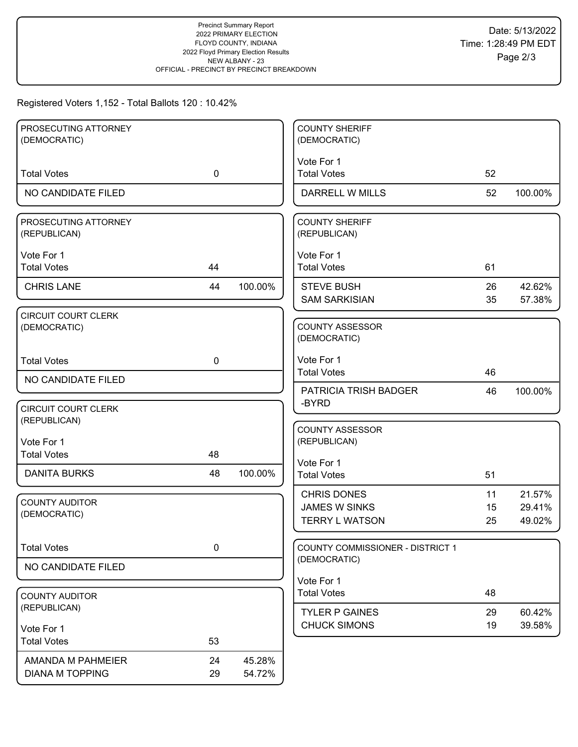### Registered Voters 1,152 - Total Ballots 120 : 10.42%

| PROSECUTING ATTORNEY       |             |         | <b>COUNTY SHERIFF</b>                            |    |         |
|----------------------------|-------------|---------|--------------------------------------------------|----|---------|
| (DEMOCRATIC)               |             |         | (DEMOCRATIC)                                     |    |         |
|                            |             |         |                                                  |    |         |
|                            |             |         | Vote For 1                                       |    |         |
| <b>Total Votes</b>         | $\mathbf 0$ |         | <b>Total Votes</b>                               | 52 |         |
| NO CANDIDATE FILED         |             |         | DARRELL W MILLS                                  | 52 | 100.00% |
| PROSECUTING ATTORNEY       |             |         | <b>COUNTY SHERIFF</b>                            |    |         |
| (REPUBLICAN)               |             |         | (REPUBLICAN)                                     |    |         |
|                            |             |         |                                                  |    |         |
| Vote For 1                 |             |         | Vote For 1                                       |    |         |
| <b>Total Votes</b>         | 44          |         | <b>Total Votes</b>                               | 61 |         |
| <b>CHRIS LANE</b>          | 44          | 100.00% | <b>STEVE BUSH</b>                                | 26 | 42.62%  |
|                            |             |         | <b>SAM SARKISIAN</b>                             | 35 | 57.38%  |
| <b>CIRCUIT COURT CLERK</b> |             |         |                                                  |    |         |
| (DEMOCRATIC)               |             |         | <b>COUNTY ASSESSOR</b>                           |    |         |
|                            |             |         | (DEMOCRATIC)                                     |    |         |
|                            |             |         |                                                  |    |         |
| <b>Total Votes</b>         | 0           |         | Vote For 1                                       |    |         |
| NO CANDIDATE FILED         |             |         | <b>Total Votes</b>                               | 46 |         |
|                            |             |         | <b>PATRICIA TRISH BADGER</b>                     | 46 | 100.00% |
| <b>CIRCUIT COURT CLERK</b> |             |         | -BYRD                                            |    |         |
| (REPUBLICAN)               |             |         |                                                  |    |         |
|                            |             |         | <b>COUNTY ASSESSOR</b>                           |    |         |
| Vote For 1                 |             |         | (REPUBLICAN)                                     |    |         |
| <b>Total Votes</b>         | 48          |         | Vote For 1                                       |    |         |
| <b>DANITA BURKS</b>        | 48          | 100.00% | <b>Total Votes</b>                               | 51 |         |
|                            |             |         |                                                  |    |         |
| <b>COUNTY AUDITOR</b>      |             |         | <b>CHRIS DONES</b>                               | 11 | 21.57%  |
| (DEMOCRATIC)               |             |         | <b>JAMES W SINKS</b>                             | 15 | 29.41%  |
|                            |             |         | <b>TERRY L WATSON</b>                            | 25 | 49.02%  |
|                            |             |         |                                                  |    |         |
| <b>Total Votes</b>         | $\pmb{0}$   |         | COUNTY COMMISSIONER - DISTRICT 1<br>(DEMOCRATIC) |    |         |
| NO CANDIDATE FILED         |             |         |                                                  |    |         |
|                            |             |         | Vote For 1                                       |    |         |
| <b>COUNTY AUDITOR</b>      |             |         | <b>Total Votes</b>                               | 48 |         |
| (REPUBLICAN)               |             |         | <b>TYLER P GAINES</b>                            | 29 | 60.42%  |
|                            |             |         | <b>CHUCK SIMONS</b>                              | 19 | 39.58%  |
| Vote For 1                 |             |         |                                                  |    |         |
| <b>Total Votes</b>         | 53          |         |                                                  |    |         |
| AMANDA M PAHMEIER          | 24          | 45.28%  |                                                  |    |         |
| <b>DIANA M TOPPING</b>     | 29          | 54.72%  |                                                  |    |         |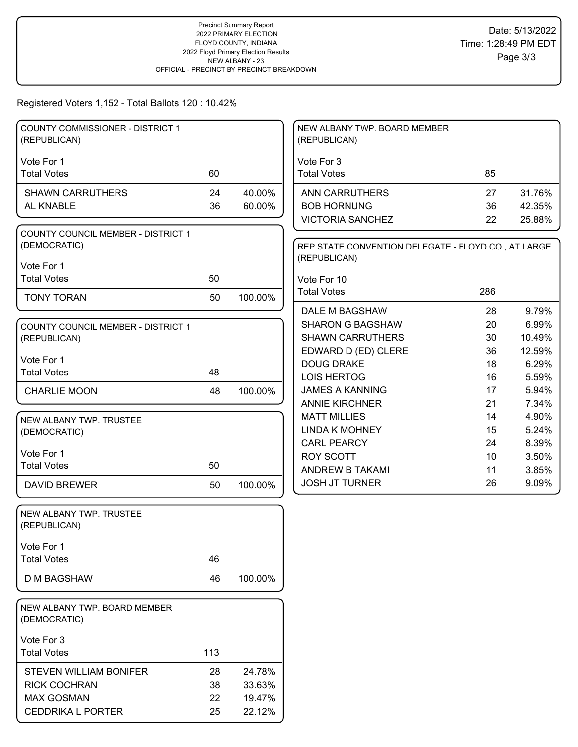Registered Voters 1,152 - Total Ballots 120 : 10.42%

| Vote For 1<br>Vote For 3<br><b>Total Votes</b><br>60<br><b>Total Votes</b><br>85<br>24<br>40.00%<br>31.76%<br><b>SHAWN CARRUTHERS</b><br><b>ANN CARRUTHERS</b><br>27<br>36<br>60.00%<br><b>BOB HORNUNG</b><br>42.35%<br>AL KNABLE<br>36<br><b>VICTORIA SANCHEZ</b><br>22<br>25.88%<br><b>COUNTY COUNCIL MEMBER - DISTRICT 1</b><br>(DEMOCRATIC)<br>REP STATE CONVENTION DELEGATE - FLOYD CO., AT LARGE<br>(REPUBLICAN)<br>Vote For 1<br><b>Total Votes</b><br>50<br>Vote For 10<br><b>Total Votes</b><br>286<br>50<br><b>TONY TORAN</b><br>100.00%<br>DALE M BAGSHAW<br>28<br>9.79%<br><b>SHARON G BAGSHAW</b><br>20<br>6.99%<br>COUNTY COUNCIL MEMBER - DISTRICT 1<br>10.49%<br><b>SHAWN CARRUTHERS</b><br>30<br>(REPUBLICAN)<br>EDWARD D (ED) CLERE<br>36<br>12.59%<br>Vote For 1<br><b>DOUG DRAKE</b><br>6.29%<br>18<br><b>Total Votes</b><br>48<br><b>LOIS HERTOG</b><br>5.59%<br>16<br><b>JAMES A KANNING</b><br>17<br>5.94%<br>100.00%<br><b>CHARLIE MOON</b><br>48<br><b>ANNIE KIRCHNER</b><br>21<br>7.34%<br>4.90%<br><b>MATT MILLIES</b><br>14<br>NEW ALBANY TWP. TRUSTEE<br><b>LINDA K MOHNEY</b><br>5.24%<br>15<br>(DEMOCRATIC)<br><b>CARL PEARCY</b><br>8.39%<br>24<br>Vote For 1<br><b>ROY SCOTT</b><br>10<br>3.50%<br><b>Total Votes</b><br>50<br>ANDREW B TAKAMI<br>11<br>3.85%<br><b>JOSH JT TURNER</b><br>26<br>9.09%<br><b>DAVID BREWER</b><br>50<br>100.00%<br>NEW ALBANY TWP. TRUSTEE<br>(REPUBLICAN)<br>Vote For 1<br>46<br><b>Total Votes</b><br><b>D M BAGSHAW</b><br>46<br>100.00%<br>NEW ALBANY TWP. BOARD MEMBER<br>(DEMOCRATIC)<br>Vote For 3<br>113<br><b>Total Votes</b><br>28<br><b>STEVEN WILLIAM BONIFER</b><br>24.78%<br><b>RICK COCHRAN</b><br>38<br>33.63%<br><b>MAX GOSMAN</b><br>22<br>19.47% | <b>COUNTY COMMISSIONER - DISTRICT 1</b><br>(REPUBLICAN) |    |        | NEW ALBANY TWP. BOARD MEMBER<br>(REPUBLICAN) |  |
|------------------------------------------------------------------------------------------------------------------------------------------------------------------------------------------------------------------------------------------------------------------------------------------------------------------------------------------------------------------------------------------------------------------------------------------------------------------------------------------------------------------------------------------------------------------------------------------------------------------------------------------------------------------------------------------------------------------------------------------------------------------------------------------------------------------------------------------------------------------------------------------------------------------------------------------------------------------------------------------------------------------------------------------------------------------------------------------------------------------------------------------------------------------------------------------------------------------------------------------------------------------------------------------------------------------------------------------------------------------------------------------------------------------------------------------------------------------------------------------------------------------------------------------------------------------------------------------------------------------------------------------------------------------------------------------------------------------------------------|---------------------------------------------------------|----|--------|----------------------------------------------|--|
|                                                                                                                                                                                                                                                                                                                                                                                                                                                                                                                                                                                                                                                                                                                                                                                                                                                                                                                                                                                                                                                                                                                                                                                                                                                                                                                                                                                                                                                                                                                                                                                                                                                                                                                                    |                                                         |    |        |                                              |  |
|                                                                                                                                                                                                                                                                                                                                                                                                                                                                                                                                                                                                                                                                                                                                                                                                                                                                                                                                                                                                                                                                                                                                                                                                                                                                                                                                                                                                                                                                                                                                                                                                                                                                                                                                    |                                                         |    |        |                                              |  |
|                                                                                                                                                                                                                                                                                                                                                                                                                                                                                                                                                                                                                                                                                                                                                                                                                                                                                                                                                                                                                                                                                                                                                                                                                                                                                                                                                                                                                                                                                                                                                                                                                                                                                                                                    |                                                         |    |        |                                              |  |
|                                                                                                                                                                                                                                                                                                                                                                                                                                                                                                                                                                                                                                                                                                                                                                                                                                                                                                                                                                                                                                                                                                                                                                                                                                                                                                                                                                                                                                                                                                                                                                                                                                                                                                                                    |                                                         |    |        |                                              |  |
|                                                                                                                                                                                                                                                                                                                                                                                                                                                                                                                                                                                                                                                                                                                                                                                                                                                                                                                                                                                                                                                                                                                                                                                                                                                                                                                                                                                                                                                                                                                                                                                                                                                                                                                                    |                                                         |    |        |                                              |  |
|                                                                                                                                                                                                                                                                                                                                                                                                                                                                                                                                                                                                                                                                                                                                                                                                                                                                                                                                                                                                                                                                                                                                                                                                                                                                                                                                                                                                                                                                                                                                                                                                                                                                                                                                    |                                                         |    |        |                                              |  |
|                                                                                                                                                                                                                                                                                                                                                                                                                                                                                                                                                                                                                                                                                                                                                                                                                                                                                                                                                                                                                                                                                                                                                                                                                                                                                                                                                                                                                                                                                                                                                                                                                                                                                                                                    |                                                         |    |        |                                              |  |
|                                                                                                                                                                                                                                                                                                                                                                                                                                                                                                                                                                                                                                                                                                                                                                                                                                                                                                                                                                                                                                                                                                                                                                                                                                                                                                                                                                                                                                                                                                                                                                                                                                                                                                                                    |                                                         |    |        |                                              |  |
|                                                                                                                                                                                                                                                                                                                                                                                                                                                                                                                                                                                                                                                                                                                                                                                                                                                                                                                                                                                                                                                                                                                                                                                                                                                                                                                                                                                                                                                                                                                                                                                                                                                                                                                                    |                                                         |    |        |                                              |  |
|                                                                                                                                                                                                                                                                                                                                                                                                                                                                                                                                                                                                                                                                                                                                                                                                                                                                                                                                                                                                                                                                                                                                                                                                                                                                                                                                                                                                                                                                                                                                                                                                                                                                                                                                    |                                                         |    |        |                                              |  |
|                                                                                                                                                                                                                                                                                                                                                                                                                                                                                                                                                                                                                                                                                                                                                                                                                                                                                                                                                                                                                                                                                                                                                                                                                                                                                                                                                                                                                                                                                                                                                                                                                                                                                                                                    |                                                         |    |        |                                              |  |
|                                                                                                                                                                                                                                                                                                                                                                                                                                                                                                                                                                                                                                                                                                                                                                                                                                                                                                                                                                                                                                                                                                                                                                                                                                                                                                                                                                                                                                                                                                                                                                                                                                                                                                                                    |                                                         |    |        |                                              |  |
|                                                                                                                                                                                                                                                                                                                                                                                                                                                                                                                                                                                                                                                                                                                                                                                                                                                                                                                                                                                                                                                                                                                                                                                                                                                                                                                                                                                                                                                                                                                                                                                                                                                                                                                                    |                                                         |    |        |                                              |  |
|                                                                                                                                                                                                                                                                                                                                                                                                                                                                                                                                                                                                                                                                                                                                                                                                                                                                                                                                                                                                                                                                                                                                                                                                                                                                                                                                                                                                                                                                                                                                                                                                                                                                                                                                    |                                                         |    |        |                                              |  |
|                                                                                                                                                                                                                                                                                                                                                                                                                                                                                                                                                                                                                                                                                                                                                                                                                                                                                                                                                                                                                                                                                                                                                                                                                                                                                                                                                                                                                                                                                                                                                                                                                                                                                                                                    |                                                         |    |        |                                              |  |
|                                                                                                                                                                                                                                                                                                                                                                                                                                                                                                                                                                                                                                                                                                                                                                                                                                                                                                                                                                                                                                                                                                                                                                                                                                                                                                                                                                                                                                                                                                                                                                                                                                                                                                                                    |                                                         |    |        |                                              |  |
|                                                                                                                                                                                                                                                                                                                                                                                                                                                                                                                                                                                                                                                                                                                                                                                                                                                                                                                                                                                                                                                                                                                                                                                                                                                                                                                                                                                                                                                                                                                                                                                                                                                                                                                                    |                                                         |    |        |                                              |  |
|                                                                                                                                                                                                                                                                                                                                                                                                                                                                                                                                                                                                                                                                                                                                                                                                                                                                                                                                                                                                                                                                                                                                                                                                                                                                                                                                                                                                                                                                                                                                                                                                                                                                                                                                    |                                                         |    |        |                                              |  |
|                                                                                                                                                                                                                                                                                                                                                                                                                                                                                                                                                                                                                                                                                                                                                                                                                                                                                                                                                                                                                                                                                                                                                                                                                                                                                                                                                                                                                                                                                                                                                                                                                                                                                                                                    |                                                         |    |        |                                              |  |
|                                                                                                                                                                                                                                                                                                                                                                                                                                                                                                                                                                                                                                                                                                                                                                                                                                                                                                                                                                                                                                                                                                                                                                                                                                                                                                                                                                                                                                                                                                                                                                                                                                                                                                                                    |                                                         |    |        |                                              |  |
|                                                                                                                                                                                                                                                                                                                                                                                                                                                                                                                                                                                                                                                                                                                                                                                                                                                                                                                                                                                                                                                                                                                                                                                                                                                                                                                                                                                                                                                                                                                                                                                                                                                                                                                                    |                                                         |    |        |                                              |  |
|                                                                                                                                                                                                                                                                                                                                                                                                                                                                                                                                                                                                                                                                                                                                                                                                                                                                                                                                                                                                                                                                                                                                                                                                                                                                                                                                                                                                                                                                                                                                                                                                                                                                                                                                    |                                                         |    |        |                                              |  |
|                                                                                                                                                                                                                                                                                                                                                                                                                                                                                                                                                                                                                                                                                                                                                                                                                                                                                                                                                                                                                                                                                                                                                                                                                                                                                                                                                                                                                                                                                                                                                                                                                                                                                                                                    |                                                         |    |        |                                              |  |
|                                                                                                                                                                                                                                                                                                                                                                                                                                                                                                                                                                                                                                                                                                                                                                                                                                                                                                                                                                                                                                                                                                                                                                                                                                                                                                                                                                                                                                                                                                                                                                                                                                                                                                                                    |                                                         |    |        |                                              |  |
|                                                                                                                                                                                                                                                                                                                                                                                                                                                                                                                                                                                                                                                                                                                                                                                                                                                                                                                                                                                                                                                                                                                                                                                                                                                                                                                                                                                                                                                                                                                                                                                                                                                                                                                                    |                                                         |    |        |                                              |  |
|                                                                                                                                                                                                                                                                                                                                                                                                                                                                                                                                                                                                                                                                                                                                                                                                                                                                                                                                                                                                                                                                                                                                                                                                                                                                                                                                                                                                                                                                                                                                                                                                                                                                                                                                    |                                                         |    |        |                                              |  |
|                                                                                                                                                                                                                                                                                                                                                                                                                                                                                                                                                                                                                                                                                                                                                                                                                                                                                                                                                                                                                                                                                                                                                                                                                                                                                                                                                                                                                                                                                                                                                                                                                                                                                                                                    |                                                         |    |        |                                              |  |
|                                                                                                                                                                                                                                                                                                                                                                                                                                                                                                                                                                                                                                                                                                                                                                                                                                                                                                                                                                                                                                                                                                                                                                                                                                                                                                                                                                                                                                                                                                                                                                                                                                                                                                                                    |                                                         |    |        |                                              |  |
|                                                                                                                                                                                                                                                                                                                                                                                                                                                                                                                                                                                                                                                                                                                                                                                                                                                                                                                                                                                                                                                                                                                                                                                                                                                                                                                                                                                                                                                                                                                                                                                                                                                                                                                                    |                                                         |    |        |                                              |  |
|                                                                                                                                                                                                                                                                                                                                                                                                                                                                                                                                                                                                                                                                                                                                                                                                                                                                                                                                                                                                                                                                                                                                                                                                                                                                                                                                                                                                                                                                                                                                                                                                                                                                                                                                    |                                                         |    |        |                                              |  |
|                                                                                                                                                                                                                                                                                                                                                                                                                                                                                                                                                                                                                                                                                                                                                                                                                                                                                                                                                                                                                                                                                                                                                                                                                                                                                                                                                                                                                                                                                                                                                                                                                                                                                                                                    |                                                         |    |        |                                              |  |
|                                                                                                                                                                                                                                                                                                                                                                                                                                                                                                                                                                                                                                                                                                                                                                                                                                                                                                                                                                                                                                                                                                                                                                                                                                                                                                                                                                                                                                                                                                                                                                                                                                                                                                                                    |                                                         |    |        |                                              |  |
|                                                                                                                                                                                                                                                                                                                                                                                                                                                                                                                                                                                                                                                                                                                                                                                                                                                                                                                                                                                                                                                                                                                                                                                                                                                                                                                                                                                                                                                                                                                                                                                                                                                                                                                                    |                                                         |    |        |                                              |  |
|                                                                                                                                                                                                                                                                                                                                                                                                                                                                                                                                                                                                                                                                                                                                                                                                                                                                                                                                                                                                                                                                                                                                                                                                                                                                                                                                                                                                                                                                                                                                                                                                                                                                                                                                    |                                                         |    |        |                                              |  |
|                                                                                                                                                                                                                                                                                                                                                                                                                                                                                                                                                                                                                                                                                                                                                                                                                                                                                                                                                                                                                                                                                                                                                                                                                                                                                                                                                                                                                                                                                                                                                                                                                                                                                                                                    | <b>CEDDRIKA L PORTER</b>                                | 25 | 22.12% |                                              |  |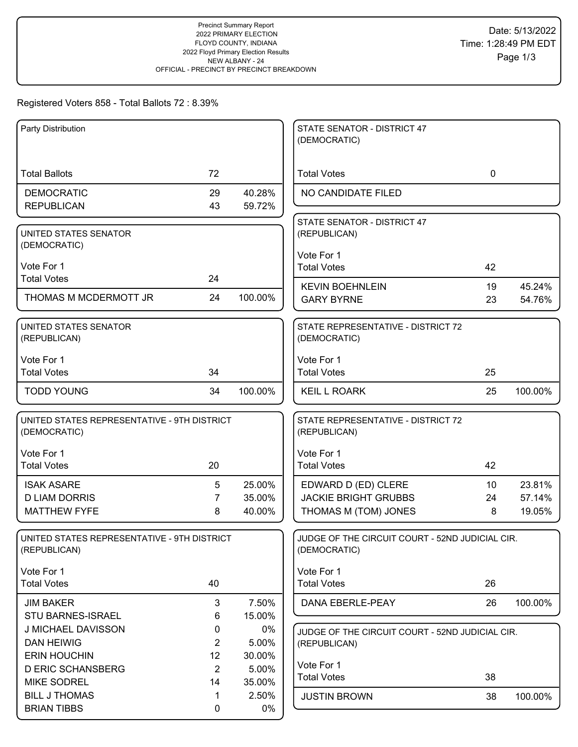## Registered Voters 858 - Total Ballots 72 : 8.39%

| Party Distribution                                          |                      |                 | STATE SENATOR - DISTRICT 47<br>(DEMOCRATIC)                     |                 |         |
|-------------------------------------------------------------|----------------------|-----------------|-----------------------------------------------------------------|-----------------|---------|
| <b>Total Ballots</b>                                        | 72                   |                 | <b>Total Votes</b>                                              | $\mathbf 0$     |         |
| <b>DEMOCRATIC</b>                                           | 29                   | 40.28%          | NO CANDIDATE FILED                                              |                 |         |
| <b>REPUBLICAN</b>                                           | 43                   | 59.72%          |                                                                 |                 |         |
| UNITED STATES SENATOR<br>(DEMOCRATIC)                       |                      |                 | STATE SENATOR - DISTRICT 47<br>(REPUBLICAN)                     |                 |         |
| Vote For 1                                                  |                      |                 | Vote For 1                                                      |                 |         |
| <b>Total Votes</b>                                          | 24                   |                 | <b>Total Votes</b>                                              | 42              |         |
| THOMAS M MCDERMOTT JR                                       | 24                   | 100.00%         | <b>KEVIN BOEHNLEIN</b>                                          | 19              | 45.24%  |
|                                                             |                      |                 | <b>GARY BYRNE</b>                                               | 23              | 54.76%  |
| UNITED STATES SENATOR<br>(REPUBLICAN)                       |                      |                 | STATE REPRESENTATIVE - DISTRICT 72<br>(DEMOCRATIC)              |                 |         |
| Vote For 1                                                  |                      |                 | Vote For 1                                                      |                 |         |
| <b>Total Votes</b>                                          | 34                   |                 | <b>Total Votes</b>                                              | 25              |         |
| <b>TODD YOUNG</b>                                           | 34                   | 100.00%         | <b>KEIL L ROARK</b>                                             | 25              | 100.00% |
| UNITED STATES REPRESENTATIVE - 9TH DISTRICT<br>(DEMOCRATIC) |                      |                 | STATE REPRESENTATIVE - DISTRICT 72<br>(REPUBLICAN)              |                 |         |
| Vote For 1                                                  |                      |                 | Vote For 1                                                      |                 |         |
| <b>Total Votes</b>                                          | 20                   |                 | <b>Total Votes</b>                                              | 42              |         |
| <b>ISAK ASARE</b>                                           | 5                    | 25.00%          | EDWARD D (ED) CLERE                                             | 10 <sup>°</sup> | 23.81%  |
| <b>D LIAM DORRIS</b>                                        | $\overline{7}$       | 35.00%          | <b>JACKIE BRIGHT GRUBBS</b>                                     | 24              | 57.14%  |
| <b>MATTHEW FYFE</b>                                         | 8                    | 40.00%          | THOMAS M (TOM) JONES                                            | 8               | 19.05%  |
| UNITED STATES REPRESENTATIVE - 9TH DISTRICT<br>(REPUBLICAN) |                      |                 | JUDGE OF THE CIRCUIT COURT - 52ND JUDICIAL CIR.<br>(DEMOCRATIC) |                 |         |
| Vote For 1                                                  |                      |                 | Vote For 1                                                      |                 |         |
| <b>Total Votes</b>                                          | 40                   |                 | <b>Total Votes</b>                                              | 26              |         |
| <b>JIM BAKER</b>                                            | 3                    | 7.50%           | DANA EBERLE-PEAY                                                | 26              | 100.00% |
| STU BARNES-ISRAEL                                           | 6                    | 15.00%          |                                                                 |                 |         |
| J MICHAEL DAVISSON                                          | 0                    | 0%              | JUDGE OF THE CIRCUIT COURT - 52ND JUDICIAL CIR.                 |                 |         |
| <b>DAN HEIWIG</b>                                           | $\overline{2}$       | 5.00%           | (REPUBLICAN)                                                    |                 |         |
| <b>ERIN HOUCHIN</b>                                         | 12                   | 30.00%          | Vote For 1                                                      |                 |         |
| <b>D ERIC SCHANSBERG</b><br><b>MIKE SODREL</b>              | $\overline{2}$<br>14 | 5.00%<br>35.00% | <b>Total Votes</b>                                              | 38              |         |
| <b>BILL J THOMAS</b>                                        | 1                    | 2.50%           | <b>JUSTIN BROWN</b>                                             | 38              | 100.00% |
| <b>BRIAN TIBBS</b>                                          | 0                    | 0%              |                                                                 |                 |         |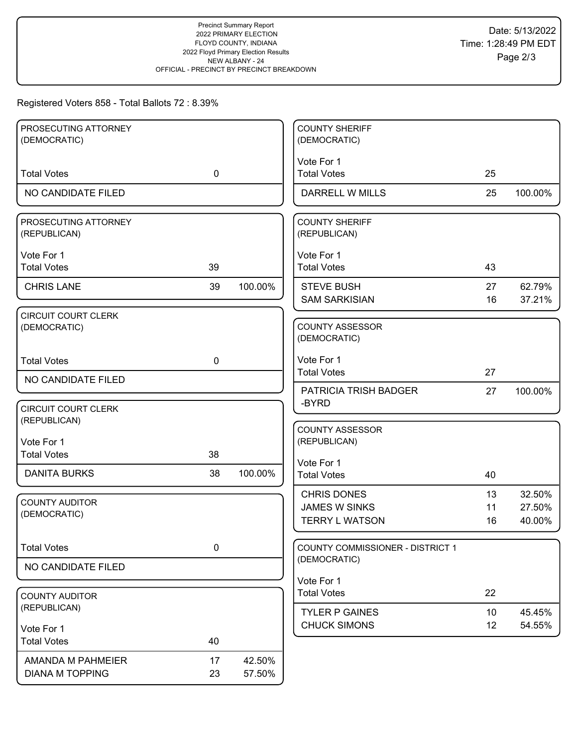# Registered Voters 858 - Total Ballots 72 : 8.39%

| PROSECUTING ATTORNEY                       |             |         | <b>COUNTY SHERIFF</b>                  |    |         |
|--------------------------------------------|-------------|---------|----------------------------------------|----|---------|
| (DEMOCRATIC)                               |             |         | (DEMOCRATIC)                           |    |         |
|                                            |             |         | Vote For 1                             |    |         |
| <b>Total Votes</b>                         | $\mathbf 0$ |         | <b>Total Votes</b>                     | 25 |         |
| NO CANDIDATE FILED                         |             |         | DARRELL W MILLS                        | 25 | 100.00% |
| PROSECUTING ATTORNEY<br>(REPUBLICAN)       |             |         | <b>COUNTY SHERIFF</b><br>(REPUBLICAN)  |    |         |
| Vote For 1                                 |             |         | Vote For 1                             |    |         |
| <b>Total Votes</b>                         | 39          |         | <b>Total Votes</b>                     | 43 |         |
| <b>CHRIS LANE</b>                          | 39          | 100.00% | <b>STEVE BUSH</b>                      | 27 | 62.79%  |
|                                            |             |         | <b>SAM SARKISIAN</b>                   | 16 | 37.21%  |
| <b>CIRCUIT COURT CLERK</b><br>(DEMOCRATIC) |             |         | <b>COUNTY ASSESSOR</b><br>(DEMOCRATIC) |    |         |
| <b>Total Votes</b>                         | $\mathbf 0$ |         | Vote For 1                             |    |         |
| NO CANDIDATE FILED                         |             |         | <b>Total Votes</b>                     | 27 |         |
|                                            |             |         | PATRICIA TRISH BADGER<br>-BYRD         | 27 | 100.00% |
| <b>CIRCUIT COURT CLERK</b>                 |             |         |                                        |    |         |
| (REPUBLICAN)                               |             |         | <b>COUNTY ASSESSOR</b>                 |    |         |
| Vote For 1                                 |             |         | (REPUBLICAN)                           |    |         |
| <b>Total Votes</b>                         | 38          |         | Vote For 1                             |    |         |
| <b>DANITA BURKS</b>                        | 38          | 100.00% | <b>Total Votes</b>                     | 40 |         |
|                                            |             |         | <b>CHRIS DONES</b>                     | 13 | 32.50%  |
| <b>COUNTY AUDITOR</b><br>(DEMOCRATIC)      |             |         | <b>JAMES W SINKS</b>                   | 11 | 27.50%  |
|                                            |             |         | <b>TERRY L WATSON</b>                  | 16 | 40.00%  |
| <b>Total Votes</b>                         | $\pmb{0}$   |         | COUNTY COMMISSIONER - DISTRICT 1       |    |         |
| NO CANDIDATE FILED                         |             |         | (DEMOCRATIC)                           |    |         |
|                                            |             |         | Vote For 1                             |    |         |
| <b>COUNTY AUDITOR</b>                      |             |         | <b>Total Votes</b>                     | 22 |         |
| (REPUBLICAN)                               |             |         | <b>TYLER P GAINES</b>                  | 10 | 45.45%  |
| Vote For 1                                 |             |         | <b>CHUCK SIMONS</b>                    | 12 | 54.55%  |
| <b>Total Votes</b>                         | 40          |         |                                        |    |         |
| AMANDA M PAHMEIER                          | 17          | 42.50%  |                                        |    |         |
| <b>DIANA M TOPPING</b>                     | 23          | 57.50%  |                                        |    |         |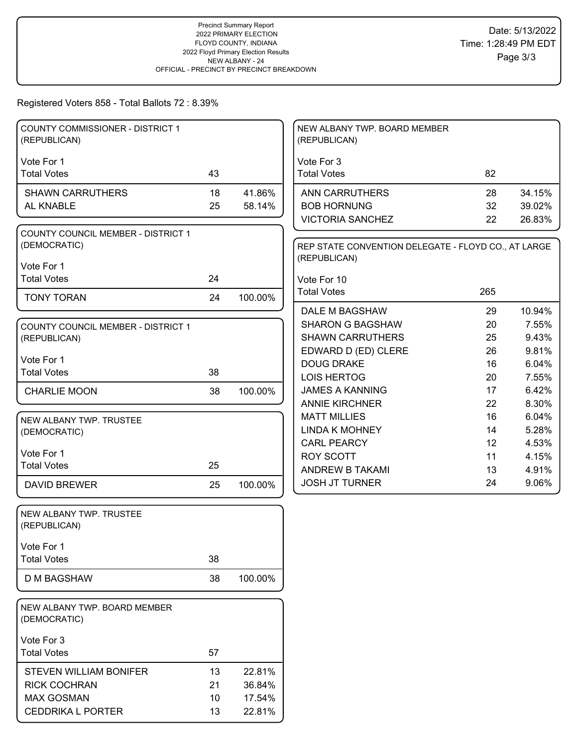#### Registered Voters 858 - Total Ballots 72 : 8.39%

| <b>COUNTY COMMISSIONER - DISTRICT 1</b><br>(REPUBLICAN)   |    |         | NEW ALBANY TWP. BOARD MEMBER<br>(REPUBLICAN)                        |                   |        |
|-----------------------------------------------------------|----|---------|---------------------------------------------------------------------|-------------------|--------|
| Vote For 1                                                |    |         | Vote For 3                                                          |                   |        |
| <b>Total Votes</b>                                        | 43 |         | <b>Total Votes</b>                                                  | 82                |        |
| <b>SHAWN CARRUTHERS</b>                                   | 18 | 41.86%  | <b>ANN CARRUTHERS</b>                                               | 28                | 34.15% |
| AL KNABLE                                                 | 25 | 58.14%  | <b>BOB HORNUNG</b>                                                  | 32                | 39.02% |
|                                                           |    |         | <b>VICTORIA SANCHEZ</b>                                             | 22                | 26.83% |
| <b>COUNTY COUNCIL MEMBER - DISTRICT 1</b><br>(DEMOCRATIC) |    |         | REP STATE CONVENTION DELEGATE - FLOYD CO., AT LARGE<br>(REPUBLICAN) |                   |        |
| Vote For 1                                                |    |         |                                                                     |                   |        |
| <b>Total Votes</b>                                        | 24 |         | Vote For 10                                                         |                   |        |
| <b>TONY TORAN</b>                                         | 24 | 100.00% | <b>Total Votes</b>                                                  | 265               |        |
|                                                           |    |         | DALE M BAGSHAW                                                      | 29                | 10.94% |
| <b>COUNTY COUNCIL MEMBER - DISTRICT 1</b>                 |    |         | <b>SHARON G BAGSHAW</b>                                             | 20                | 7.55%  |
| (REPUBLICAN)                                              |    |         | <b>SHAWN CARRUTHERS</b>                                             | 25                | 9.43%  |
| Vote For 1                                                |    |         | EDWARD D (ED) CLERE                                                 | 26                | 9.81%  |
| <b>Total Votes</b>                                        | 38 |         | <b>DOUG DRAKE</b>                                                   | 16                | 6.04%  |
|                                                           |    |         | <b>LOIS HERTOG</b>                                                  | 20                | 7.55%  |
| <b>CHARLIE MOON</b>                                       | 38 | 100.00% | <b>JAMES A KANNING</b>                                              | 17                | 6.42%  |
|                                                           |    |         | <b>ANNIE KIRCHNER</b>                                               | 22                | 8.30%  |
| NEW ALBANY TWP. TRUSTEE                                   |    |         | <b>MATT MILLIES</b>                                                 | 16                | 6.04%  |
| (DEMOCRATIC)                                              |    |         | <b>LINDA K MOHNEY</b>                                               | 14                | 5.28%  |
| Vote For 1                                                |    |         | <b>CARL PEARCY</b>                                                  | $12 \overline{ }$ | 4.53%  |
| <b>Total Votes</b>                                        | 25 |         | <b>ROY SCOTT</b>                                                    | 11                | 4.15%  |
|                                                           |    |         | ANDREW B TAKAMI                                                     | 13                | 4.91%  |
| <b>DAVID BREWER</b>                                       | 25 | 100.00% | <b>JOSH JT TURNER</b>                                               | 24                | 9.06%  |
| NEW ALBANY TWP. TRUSTEE<br>(REPUBLICAN)                   |    |         |                                                                     |                   |        |
| Vote For 1                                                |    |         |                                                                     |                   |        |
| <b>Total Votes</b>                                        | 38 |         |                                                                     |                   |        |
| <b>D M BAGSHAW</b>                                        | 38 | 100.00% |                                                                     |                   |        |
| NEW ALBANY TWP. BOARD MEMBER<br>(DEMOCRATIC)              |    |         |                                                                     |                   |        |
| Vote For 3                                                |    |         |                                                                     |                   |        |
| <b>Total Votes</b>                                        | 57 |         |                                                                     |                   |        |
| STEVEN WILLIAM BONIFER                                    | 13 | 22.81%  |                                                                     |                   |        |
| <b>RICK COCHRAN</b>                                       |    |         |                                                                     |                   |        |
|                                                           | 21 | 36.84%  |                                                                     |                   |        |
| <b>MAX GOSMAN</b>                                         | 10 | 17.54%  |                                                                     |                   |        |
| <b>CEDDRIKA L PORTER</b>                                  | 13 | 22.81%  |                                                                     |                   |        |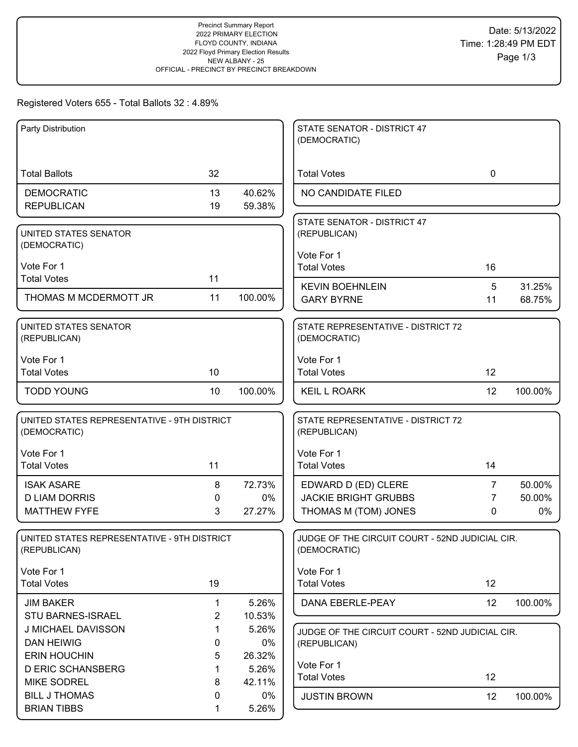### Registered Voters 655 - Total Ballots 32 : 4.89%

| Party Distribution                          |                |         | STATE SENATOR - DISTRICT 47<br>(DEMOCRATIC)     |                |         |
|---------------------------------------------|----------------|---------|-------------------------------------------------|----------------|---------|
|                                             |                |         |                                                 |                |         |
|                                             |                |         |                                                 |                |         |
| <b>Total Ballots</b>                        | 32             |         | <b>Total Votes</b>                              | $\mathbf 0$    |         |
| <b>DEMOCRATIC</b>                           | 13             | 40.62%  | NO CANDIDATE FILED                              |                |         |
| <b>REPUBLICAN</b>                           | 19             | 59.38%  |                                                 |                |         |
|                                             |                |         | STATE SENATOR - DISTRICT 47                     |                |         |
| UNITED STATES SENATOR                       |                |         | (REPUBLICAN)                                    |                |         |
| (DEMOCRATIC)                                |                |         | Vote For 1                                      |                |         |
| Vote For 1                                  |                |         | <b>Total Votes</b>                              | 16             |         |
| <b>Total Votes</b>                          | 11             |         |                                                 |                |         |
|                                             |                |         | <b>KEVIN BOEHNLEIN</b>                          | 5              | 31.25%  |
| THOMAS M MCDERMOTT JR                       | 11             | 100.00% | <b>GARY BYRNE</b>                               | 11             | 68.75%  |
| UNITED STATES SENATOR                       |                |         | STATE REPRESENTATIVE - DISTRICT 72              |                |         |
| (REPUBLICAN)                                |                |         | (DEMOCRATIC)                                    |                |         |
|                                             |                |         |                                                 |                |         |
| Vote For 1                                  |                |         | Vote For 1                                      |                |         |
| <b>Total Votes</b>                          | 10             |         | <b>Total Votes</b>                              | 12             |         |
| <b>TODD YOUNG</b>                           | 10             | 100.00% | <b>KEIL L ROARK</b>                             | 12             | 100.00% |
|                                             |                |         |                                                 |                |         |
| UNITED STATES REPRESENTATIVE - 9TH DISTRICT |                |         | STATE REPRESENTATIVE - DISTRICT 72              |                |         |
| (DEMOCRATIC)                                |                |         | (REPUBLICAN)                                    |                |         |
| Vote For 1                                  |                |         | Vote For 1                                      |                |         |
| <b>Total Votes</b>                          | 11             |         | <b>Total Votes</b>                              | 14             |         |
| <b>ISAK ASARE</b>                           | 8              | 72.73%  | EDWARD D (ED) CLERE                             | 7              | 50.00%  |
| <b>D LIAM DORRIS</b>                        | 0              | 0%      | <b>JACKIE BRIGHT GRUBBS</b>                     | $\overline{7}$ | 50.00%  |
| <b>MATTHEW FYFE</b>                         | 3              | 27.27%  | THOMAS M (TOM) JONES                            | 0              | 0%      |
|                                             |                |         |                                                 |                |         |
| UNITED STATES REPRESENTATIVE - 9TH DISTRICT |                |         | JUDGE OF THE CIRCUIT COURT - 52ND JUDICIAL CIR. |                |         |
| (REPUBLICAN)                                |                |         | (DEMOCRATIC)                                    |                |         |
| Vote For 1                                  |                |         | Vote For 1                                      |                |         |
| <b>Total Votes</b>                          | 19             |         | <b>Total Votes</b>                              | 12             |         |
| <b>JIM BAKER</b>                            | 1              | 5.26%   | DANA EBERLE-PEAY                                | 12             | 100.00% |
| <b>STU BARNES-ISRAEL</b>                    | $\overline{2}$ | 10.53%  |                                                 |                |         |
| J MICHAEL DAVISSON                          | $\mathbf 1$    | 5.26%   | JUDGE OF THE CIRCUIT COURT - 52ND JUDICIAL CIR. |                |         |
| <b>DAN HEIWIG</b>                           | 0              | 0%      | (REPUBLICAN)                                    |                |         |
| <b>ERIN HOUCHIN</b>                         | 5              | 26.32%  |                                                 |                |         |
| <b>D ERIC SCHANSBERG</b>                    | 1              | 5.26%   | Vote For 1                                      |                |         |
| <b>MIKE SODREL</b>                          | 8              | 42.11%  | <b>Total Votes</b>                              | 12             |         |
| <b>BILL J THOMAS</b>                        | 0              | $0\%$   | <b>JUSTIN BROWN</b>                             | 12             | 100.00% |
| <b>BRIAN TIBBS</b>                          | 1              | 5.26%   |                                                 |                |         |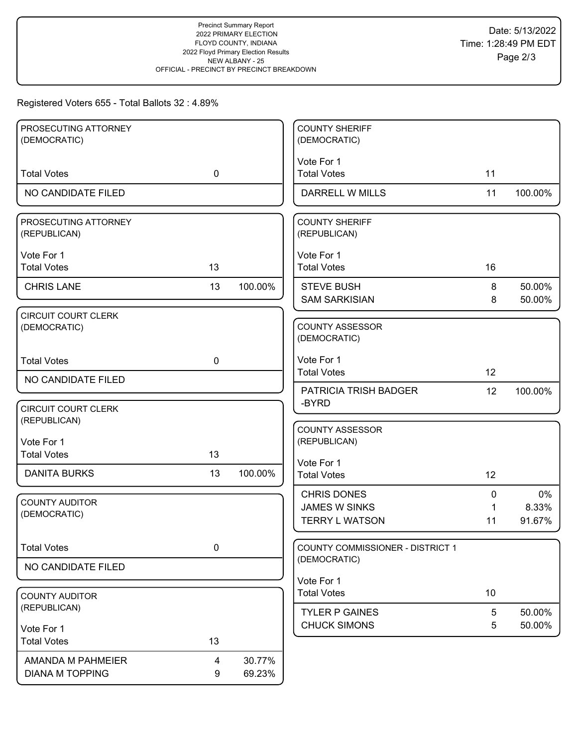# Registered Voters 655 - Total Ballots 32 : 4.89%

| PROSECUTING ATTORNEY                       |             |         | <b>COUNTY SHERIFF</b>                  |             |         |
|--------------------------------------------|-------------|---------|----------------------------------------|-------------|---------|
| (DEMOCRATIC)                               |             |         | (DEMOCRATIC)                           |             |         |
|                                            |             |         | Vote For 1                             |             |         |
| <b>Total Votes</b>                         | $\mathbf 0$ |         | <b>Total Votes</b>                     | 11          |         |
| NO CANDIDATE FILED                         |             |         | <b>DARRELL W MILLS</b>                 | 11          | 100.00% |
| PROSECUTING ATTORNEY<br>(REPUBLICAN)       |             |         | <b>COUNTY SHERIFF</b><br>(REPUBLICAN)  |             |         |
| Vote For 1                                 |             |         | Vote For 1                             |             |         |
| <b>Total Votes</b>                         | 13          |         | <b>Total Votes</b>                     | 16          |         |
| <b>CHRIS LANE</b>                          | 13          | 100.00% | <b>STEVE BUSH</b>                      | 8           | 50.00%  |
|                                            |             |         | <b>SAM SARKISIAN</b>                   | 8           | 50.00%  |
| <b>CIRCUIT COURT CLERK</b><br>(DEMOCRATIC) |             |         | <b>COUNTY ASSESSOR</b><br>(DEMOCRATIC) |             |         |
| <b>Total Votes</b>                         | $\mathbf 0$ |         | Vote For 1                             |             |         |
| NO CANDIDATE FILED                         |             |         | <b>Total Votes</b>                     | 12          |         |
|                                            |             |         | PATRICIA TRISH BADGER<br>-BYRD         | 12          | 100.00% |
| <b>CIRCUIT COURT CLERK</b>                 |             |         |                                        |             |         |
| (REPUBLICAN)                               |             |         | <b>COUNTY ASSESSOR</b>                 |             |         |
| Vote For 1                                 |             |         | (REPUBLICAN)                           |             |         |
| <b>Total Votes</b>                         | 13          |         | Vote For 1                             |             |         |
| <b>DANITA BURKS</b>                        | 13          | 100.00% | <b>Total Votes</b>                     | 12          |         |
|                                            |             |         | <b>CHRIS DONES</b>                     | 0           | 0%      |
| <b>COUNTY AUDITOR</b><br>(DEMOCRATIC)      |             |         | <b>JAMES W SINKS</b>                   | $\mathbf 1$ | 8.33%   |
|                                            |             |         | <b>TERRY L WATSON</b>                  | 11          | 91.67%  |
| <b>Total Votes</b>                         | $\mathbf 0$ |         | COUNTY COMMISSIONER - DISTRICT 1       |             |         |
| NO CANDIDATE FILED                         |             |         | (DEMOCRATIC)                           |             |         |
|                                            |             |         | Vote For 1                             |             |         |
| <b>COUNTY AUDITOR</b>                      |             |         | <b>Total Votes</b>                     | 10          |         |
| (REPUBLICAN)                               |             |         | <b>TYLER P GAINES</b>                  | 5           | 50.00%  |
| Vote For 1                                 |             |         | <b>CHUCK SIMONS</b>                    | 5           | 50.00%  |
| <b>Total Votes</b>                         | 13          |         |                                        |             |         |
| AMANDA M PAHMEIER                          | 4           | 30.77%  |                                        |             |         |
| <b>DIANA M TOPPING</b>                     | 9           | 69.23%  |                                        |             |         |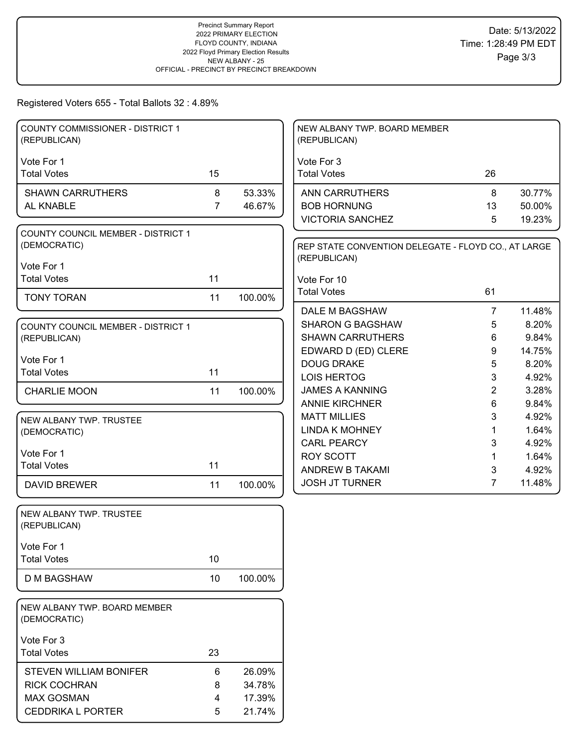## Registered Voters 655 - Total Ballots 32 : 4.89%

| <b>COUNTY COMMISSIONER - DISTRICT 1</b>              |                |                  | NEW ALBANY TWP. BOARD MEMBER                        |                |                |
|------------------------------------------------------|----------------|------------------|-----------------------------------------------------|----------------|----------------|
| (REPUBLICAN)                                         |                |                  | (REPUBLICAN)                                        |                |                |
| Vote For 1                                           |                |                  | Vote For 3                                          |                |                |
| <b>Total Votes</b>                                   | 15             |                  | <b>Total Votes</b>                                  | 26             |                |
| <b>SHAWN CARRUTHERS</b>                              | 8              | 53.33%           | <b>ANN CARRUTHERS</b>                               | 8              | 30.77%         |
| AL KNABLE                                            | $\overline{7}$ | 46.67%           | <b>BOB HORNUNG</b>                                  | 13             | 50.00%         |
|                                                      |                |                  | <b>VICTORIA SANCHEZ</b>                             | 5              | 19.23%         |
| <b>COUNTY COUNCIL MEMBER - DISTRICT 1</b>            |                |                  |                                                     |                |                |
| (DEMOCRATIC)                                         |                |                  | REP STATE CONVENTION DELEGATE - FLOYD CO., AT LARGE |                |                |
| Vote For 1                                           |                |                  | (REPUBLICAN)                                        |                |                |
| <b>Total Votes</b>                                   | 11             |                  | Vote For 10                                         |                |                |
|                                                      |                |                  | <b>Total Votes</b>                                  | 61             |                |
| <b>TONY TORAN</b>                                    | 11             | 100.00%          |                                                     |                |                |
|                                                      |                |                  | DALE M BAGSHAW                                      | $\overline{7}$ | 11.48%         |
| <b>COUNTY COUNCIL MEMBER - DISTRICT 1</b>            |                |                  | <b>SHARON G BAGSHAW</b>                             | 5              | 8.20%          |
| (REPUBLICAN)                                         |                |                  | <b>SHAWN CARRUTHERS</b>                             | 6              | 9.84%          |
| Vote For 1                                           |                |                  | EDWARD D (ED) CLERE                                 | 9              | 14.75%         |
| <b>Total Votes</b>                                   | 11             |                  | <b>DOUG DRAKE</b>                                   | 5              | 8.20%          |
|                                                      |                |                  | <b>LOIS HERTOG</b>                                  | 3              | 4.92%          |
| <b>CHARLIE MOON</b>                                  | 11             | 100.00%          | <b>JAMES A KANNING</b>                              | $\overline{2}$ | 3.28%          |
|                                                      |                |                  | <b>ANNIE KIRCHNER</b><br><b>MATT MILLIES</b>        | 6              | 9.84%<br>4.92% |
| NEW ALBANY TWP. TRUSTEE                              |                |                  | <b>LINDA K MOHNEY</b>                               | 3<br>1         | 1.64%          |
| (DEMOCRATIC)                                         |                |                  | <b>CARL PEARCY</b>                                  | 3              | 4.92%          |
| Vote For 1                                           |                |                  | <b>ROY SCOTT</b>                                    | 1.             | 1.64%          |
| <b>Total Votes</b>                                   | 11             |                  | ANDREW B TAKAMI                                     | 3              | 4.92%          |
| <b>DAVID BREWER</b>                                  | 11             | 100.00%          | <b>JOSH JT TURNER</b>                               | $\overline{7}$ | 11.48%         |
|                                                      |                |                  |                                                     |                |                |
| NEW ALBANY TWP. TRUSTEE                              |                |                  |                                                     |                |                |
| (REPUBLICAN)                                         |                |                  |                                                     |                |                |
|                                                      |                |                  |                                                     |                |                |
| Vote For 1                                           |                |                  |                                                     |                |                |
| <b>Total Votes</b>                                   | 10             |                  |                                                     |                |                |
| D M BAGSHAW                                          | 10             | 100.00%          |                                                     |                |                |
|                                                      |                |                  |                                                     |                |                |
| NEW ALBANY TWP. BOARD MEMBER                         |                |                  |                                                     |                |                |
| (DEMOCRATIC)                                         |                |                  |                                                     |                |                |
| Vote For 3                                           |                |                  |                                                     |                |                |
| <b>Total Votes</b>                                   | 23             |                  |                                                     |                |                |
|                                                      |                |                  |                                                     |                |                |
| <b>STEVEN WILLIAM BONIFER</b><br><b>RICK COCHRAN</b> | 6              | 26.09%<br>34.78% |                                                     |                |                |
| <b>MAX GOSMAN</b>                                    | 8<br>4         | 17.39%           |                                                     |                |                |
| CEDDRIKA L PORTER                                    |                |                  |                                                     |                |                |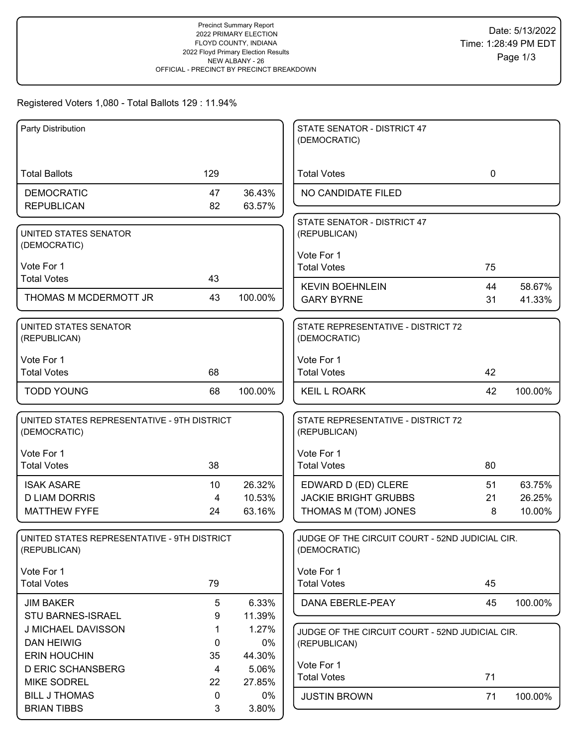### Registered Voters 1,080 - Total Ballots 129 : 11.94%

| Party Distribution                          |          |                  | STATE SENATOR - DISTRICT 47                     |             |         |
|---------------------------------------------|----------|------------------|-------------------------------------------------|-------------|---------|
|                                             |          |                  | (DEMOCRATIC)                                    |             |         |
| <b>Total Ballots</b>                        | 129      |                  | <b>Total Votes</b>                              | $\mathbf 0$ |         |
|                                             |          |                  |                                                 |             |         |
| <b>DEMOCRATIC</b><br><b>REPUBLICAN</b>      | 47<br>82 | 36.43%<br>63.57% | NO CANDIDATE FILED                              |             |         |
|                                             |          |                  |                                                 |             |         |
| UNITED STATES SENATOR                       |          |                  | STATE SENATOR - DISTRICT 47<br>(REPUBLICAN)     |             |         |
| (DEMOCRATIC)                                |          |                  |                                                 |             |         |
|                                             |          |                  | Vote For 1                                      |             |         |
| Vote For 1<br><b>Total Votes</b>            | 43       |                  | <b>Total Votes</b>                              | 75          |         |
|                                             |          |                  | <b>KEVIN BOEHNLEIN</b>                          | 44          | 58.67%  |
| THOMAS M MCDERMOTT JR                       | 43       | 100.00%          | <b>GARY BYRNE</b>                               | 31          | 41.33%  |
| <b>UNITED STATES SENATOR</b>                |          |                  | STATE REPRESENTATIVE - DISTRICT 72              |             |         |
| (REPUBLICAN)                                |          |                  | (DEMOCRATIC)                                    |             |         |
| Vote For 1                                  |          |                  | Vote For 1                                      |             |         |
| <b>Total Votes</b>                          | 68       |                  | <b>Total Votes</b>                              | 42          |         |
| <b>TODD YOUNG</b>                           | 68       | 100.00%          | <b>KEIL L ROARK</b>                             | 42          | 100.00% |
| UNITED STATES REPRESENTATIVE - 9TH DISTRICT |          |                  | STATE REPRESENTATIVE - DISTRICT 72              |             |         |
| (DEMOCRATIC)                                |          |                  | (REPUBLICAN)                                    |             |         |
| Vote For 1                                  |          |                  | Vote For 1                                      |             |         |
| <b>Total Votes</b>                          | 38       |                  | <b>Total Votes</b>                              | 80          |         |
| <b>ISAK ASARE</b>                           | 10       | 26.32%           | EDWARD D (ED) CLERE                             | 51          | 63.75%  |
| <b>D LIAM DORRIS</b>                        | 4        | 10.53%           | <b>JACKIE BRIGHT GRUBBS</b>                     | 21          | 26.25%  |
| <b>MATTHEW FYFE</b>                         | 24       | 63.16%           | THOMAS M (TOM) JONES                            | 8           | 10.00%  |
| UNITED STATES REPRESENTATIVE - 9TH DISTRICT |          |                  | JUDGE OF THE CIRCUIT COURT - 52ND JUDICIAL CIR. |             |         |
| (REPUBLICAN)                                |          |                  | (DEMOCRATIC)                                    |             |         |
| Vote For 1                                  |          |                  | Vote For 1                                      |             |         |
| <b>Total Votes</b>                          | 79       |                  | <b>Total Votes</b>                              | 45          |         |
| <b>JIM BAKER</b>                            | 5        | 6.33%            | DANA EBERLE-PEAY                                | 45          | 100.00% |
| <b>STU BARNES-ISRAEL</b>                    | 9        | 11.39%           |                                                 |             |         |
| J MICHAEL DAVISSON                          | 1        | 1.27%            | JUDGE OF THE CIRCUIT COURT - 52ND JUDICIAL CIR. |             |         |
| <b>DAN HEIWIG</b>                           | 0        | 0%               | (REPUBLICAN)                                    |             |         |
| <b>ERIN HOUCHIN</b>                         | 35       | 44.30%           | Vote For 1                                      |             |         |
| <b>D ERIC SCHANSBERG</b>                    | 4        | 5.06%            | <b>Total Votes</b>                              | 71          |         |
| <b>MIKE SODREL</b>                          | 22       | 27.85%           |                                                 |             |         |
| <b>BILL J THOMAS</b>                        | 0        | 0%               | <b>JUSTIN BROWN</b>                             | 71          | 100.00% |
| <b>BRIAN TIBBS</b>                          | 3        | 3.80%            |                                                 |             |         |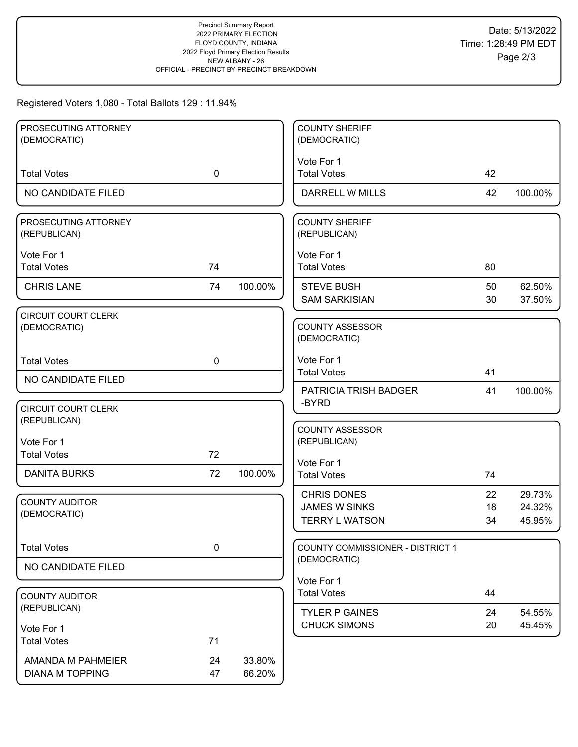### Registered Voters 1,080 - Total Ballots 129 : 11.94%

| PROSECUTING ATTORNEY                  |             |         | <b>COUNTY SHERIFF</b>                 |    |         |
|---------------------------------------|-------------|---------|---------------------------------------|----|---------|
| (DEMOCRATIC)                          |             |         | (DEMOCRATIC)                          |    |         |
|                                       |             |         |                                       |    |         |
|                                       |             |         | Vote For 1                            |    |         |
| <b>Total Votes</b>                    | $\mathbf 0$ |         | <b>Total Votes</b>                    | 42 |         |
| NO CANDIDATE FILED                    |             |         | DARRELL W MILLS                       | 42 | 100.00% |
| PROSECUTING ATTORNEY                  |             |         | <b>COUNTY SHERIFF</b>                 |    |         |
| (REPUBLICAN)                          |             |         | (REPUBLICAN)                          |    |         |
|                                       |             |         |                                       |    |         |
| Vote For 1                            |             |         | Vote For 1                            |    |         |
| <b>Total Votes</b>                    | 74          |         | <b>Total Votes</b>                    | 80 |         |
| <b>CHRIS LANE</b>                     | 74          | 100.00% | <b>STEVE BUSH</b>                     | 50 | 62.50%  |
|                                       |             |         | <b>SAM SARKISIAN</b>                  | 30 | 37.50%  |
| <b>CIRCUIT COURT CLERK</b>            |             |         |                                       |    |         |
| (DEMOCRATIC)                          |             |         | <b>COUNTY ASSESSOR</b>                |    |         |
|                                       |             |         | (DEMOCRATIC)                          |    |         |
| <b>Total Votes</b>                    | $\mathbf 0$ |         | Vote For 1                            |    |         |
|                                       |             |         | <b>Total Votes</b>                    | 41 |         |
| NO CANDIDATE FILED                    |             |         |                                       |    |         |
|                                       |             |         | <b>PATRICIA TRISH BADGER</b><br>-BYRD | 41 | 100.00% |
| <b>CIRCUIT COURT CLERK</b>            |             |         |                                       |    |         |
| (REPUBLICAN)                          |             |         | <b>COUNTY ASSESSOR</b>                |    |         |
| Vote For 1                            |             |         | (REPUBLICAN)                          |    |         |
| <b>Total Votes</b>                    | 72          |         |                                       |    |         |
| <b>DANITA BURKS</b>                   | 72          | 100.00% | Vote For 1                            |    |         |
|                                       |             |         | <b>Total Votes</b>                    | 74 |         |
|                                       |             |         | <b>CHRIS DONES</b>                    | 22 | 29.73%  |
| <b>COUNTY AUDITOR</b><br>(DEMOCRATIC) |             |         | <b>JAMES W SINKS</b>                  | 18 | 24.32%  |
|                                       |             |         | <b>TERRY L WATSON</b>                 | 34 | 45.95%  |
|                                       |             |         |                                       |    |         |
| <b>Total Votes</b>                    | $\pmb{0}$   |         | COUNTY COMMISSIONER - DISTRICT 1      |    |         |
| NO CANDIDATE FILED                    |             |         | (DEMOCRATIC)                          |    |         |
|                                       |             |         | Vote For 1                            |    |         |
| <b>COUNTY AUDITOR</b>                 |             |         | <b>Total Votes</b>                    | 44 |         |
| (REPUBLICAN)                          |             |         |                                       |    |         |
|                                       |             |         | <b>TYLER P GAINES</b>                 | 24 | 54.55%  |
| Vote For 1                            |             |         | <b>CHUCK SIMONS</b>                   | 20 | 45.45%  |
| <b>Total Votes</b>                    | 71          |         |                                       |    |         |
| AMANDA M PAHMEIER                     | 24          | 33.80%  |                                       |    |         |
| <b>DIANA M TOPPING</b>                | 47          | 66.20%  |                                       |    |         |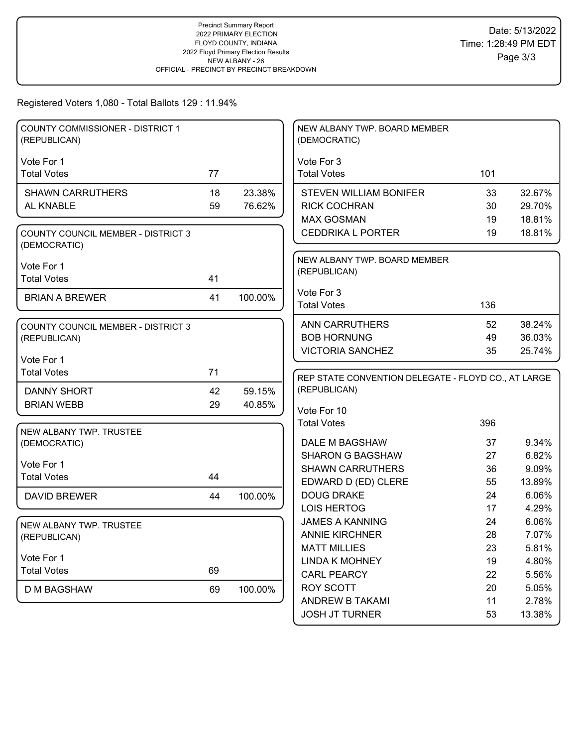Registered Voters 1,080 - Total Ballots 129 : 11.94%

| <b>COUNTY COMMISSIONER - DISTRICT 1</b><br>(REPUBLICAN)   |    |         | NEW ALBANY TWP. BOARD MEMBER<br>(DEMOCRATIC)        |     |        |
|-----------------------------------------------------------|----|---------|-----------------------------------------------------|-----|--------|
|                                                           |    |         |                                                     |     |        |
| Vote For 1                                                |    |         | Vote For 3                                          |     |        |
| <b>Total Votes</b>                                        | 77 |         | <b>Total Votes</b>                                  | 101 |        |
| <b>SHAWN CARRUTHERS</b>                                   | 18 | 23.38%  | <b>STEVEN WILLIAM BONIFER</b>                       | 33  | 32.67% |
| AL KNABLE                                                 | 59 | 76.62%  | <b>RICK COCHRAN</b>                                 | 30  | 29.70% |
|                                                           |    |         | <b>MAX GOSMAN</b>                                   | 19  | 18.81% |
| <b>COUNTY COUNCIL MEMBER - DISTRICT 3</b><br>(DEMOCRATIC) |    |         | <b>CEDDRIKA L PORTER</b>                            | 19  | 18.81% |
|                                                           |    |         | NEW ALBANY TWP. BOARD MEMBER                        |     |        |
| Vote For 1                                                |    |         | (REPUBLICAN)                                        |     |        |
| <b>Total Votes</b>                                        | 41 |         |                                                     |     |        |
| <b>BRIAN A BREWER</b>                                     | 41 | 100.00% | Vote For 3                                          |     |        |
|                                                           |    |         | <b>Total Votes</b>                                  | 136 |        |
| COUNTY COUNCIL MEMBER - DISTRICT 3                        |    |         | <b>ANN CARRUTHERS</b>                               | 52  | 38.24% |
| (REPUBLICAN)                                              |    |         | <b>BOB HORNUNG</b>                                  | 49  | 36.03% |
|                                                           |    |         | <b>VICTORIA SANCHEZ</b>                             | 35  | 25.74% |
| Vote For 1                                                |    |         |                                                     |     |        |
| <b>Total Votes</b>                                        | 71 |         |                                                     |     |        |
|                                                           |    |         | REP STATE CONVENTION DELEGATE - FLOYD CO., AT LARGE |     |        |
| <b>DANNY SHORT</b>                                        | 42 | 59.15%  | (REPUBLICAN)                                        |     |        |
| <b>BRIAN WEBB</b>                                         | 29 | 40.85%  |                                                     |     |        |
|                                                           |    |         | Vote For 10                                         |     |        |
| NEW ALBANY TWP. TRUSTEE                                   |    |         | <b>Total Votes</b>                                  | 396 |        |
| (DEMOCRATIC)                                              |    |         | DALE M BAGSHAW                                      | 37  | 9.34%  |
|                                                           |    |         | <b>SHARON G BAGSHAW</b>                             | 27  | 6.82%  |
| Vote For 1                                                |    |         | <b>SHAWN CARRUTHERS</b>                             | 36  | 9.09%  |
| <b>Total Votes</b>                                        | 44 |         | EDWARD D (ED) CLERE                                 | 55  | 13.89% |
| <b>DAVID BREWER</b>                                       | 44 | 100.00% | <b>DOUG DRAKE</b>                                   | 24  | 6.06%  |
|                                                           |    |         | <b>LOIS HERTOG</b>                                  | 17  | 4.29%  |
| NEW ALBANY TWP. TRUSTEE                                   |    |         | <b>JAMES A KANNING</b>                              | 24  | 6.06%  |
| (REPUBLICAN)                                              |    |         | <b>ANNIE KIRCHNER</b>                               | 28  | 7.07%  |
|                                                           |    |         | <b>MATT MILLIES</b>                                 | 23  | 5.81%  |
| Vote For 1                                                |    |         | <b>LINDA K MOHNEY</b>                               | 19  | 4.80%  |
| <b>Total Votes</b>                                        | 69 |         | <b>CARL PEARCY</b>                                  | 22  | 5.56%  |
| D M BAGSHAW                                               | 69 | 100.00% | ROY SCOTT                                           | 20  | 5.05%  |
|                                                           |    |         | ANDREW B TAKAMI<br><b>JOSH JT TURNER</b>            | 11  | 2.78%  |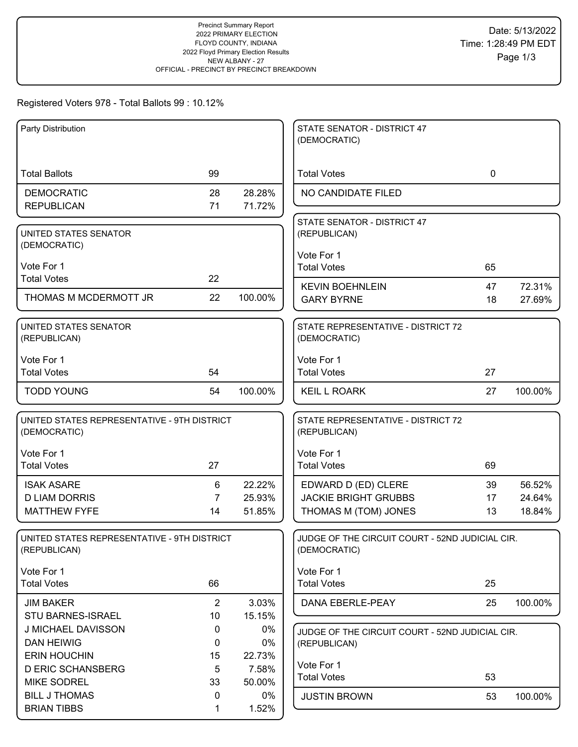# Registered Voters 978 - Total Ballots 99 : 10.12%

| Party Distribution                          |                |         | STATE SENATOR - DISTRICT 47                     |    |         |
|---------------------------------------------|----------------|---------|-------------------------------------------------|----|---------|
|                                             |                |         | (DEMOCRATIC)                                    |    |         |
|                                             |                |         |                                                 |    |         |
| <b>Total Ballots</b>                        | 99             |         | <b>Total Votes</b>                              | 0  |         |
| <b>DEMOCRATIC</b>                           | 28             | 28.28%  | NO CANDIDATE FILED                              |    |         |
| <b>REPUBLICAN</b>                           | 71             | 71.72%  |                                                 |    |         |
|                                             |                |         | STATE SENATOR - DISTRICT 47                     |    |         |
| UNITED STATES SENATOR<br>(DEMOCRATIC)       |                |         | (REPUBLICAN)                                    |    |         |
|                                             |                |         | Vote For 1                                      |    |         |
| Vote For 1                                  |                |         | <b>Total Votes</b>                              | 65 |         |
| <b>Total Votes</b>                          | 22             |         | <b>KEVIN BOEHNLEIN</b>                          | 47 | 72.31%  |
| THOMAS M MCDERMOTT JR                       | 22             | 100.00% | <b>GARY BYRNE</b>                               | 18 | 27.69%  |
|                                             |                |         |                                                 |    |         |
| UNITED STATES SENATOR                       |                |         | STATE REPRESENTATIVE - DISTRICT 72              |    |         |
| (REPUBLICAN)                                |                |         | (DEMOCRATIC)                                    |    |         |
| Vote For 1                                  |                |         | Vote For 1                                      |    |         |
| <b>Total Votes</b>                          | 54             |         | <b>Total Votes</b>                              | 27 |         |
| <b>TODD YOUNG</b>                           | 54             | 100.00% | <b>KEIL L ROARK</b>                             | 27 | 100.00% |
|                                             |                |         |                                                 |    |         |
| UNITED STATES REPRESENTATIVE - 9TH DISTRICT |                |         | STATE REPRESENTATIVE - DISTRICT 72              |    |         |
| (DEMOCRATIC)                                |                |         | (REPUBLICAN)                                    |    |         |
| Vote For 1                                  |                |         | Vote For 1                                      |    |         |
| <b>Total Votes</b>                          | 27             |         | <b>Total Votes</b>                              | 69 |         |
| <b>ISAK ASARE</b>                           | 6              | 22.22%  | EDWARD D (ED) CLERE                             | 39 | 56.52%  |
| <b>D LIAM DORRIS</b>                        | $\overline{7}$ | 25.93%  | <b>JACKIE BRIGHT GRUBBS</b>                     | 17 | 24.64%  |
| <b>MATTHEW FYFE</b>                         | 14             | 51.85%  | THOMAS M (TOM) JONES                            | 13 | 18.84%  |
|                                             |                |         |                                                 |    |         |
| UNITED STATES REPRESENTATIVE - 9TH DISTRICT |                |         | JUDGE OF THE CIRCUIT COURT - 52ND JUDICIAL CIR. |    |         |
| (REPUBLICAN)                                |                |         | (DEMOCRATIC)                                    |    |         |
| Vote For 1                                  |                |         | Vote For 1                                      |    |         |
| <b>Total Votes</b>                          | 66             |         | <b>Total Votes</b>                              | 25 |         |
| <b>JIM BAKER</b>                            | $\overline{2}$ | 3.03%   | DANA EBERLE-PEAY                                | 25 | 100.00% |
| STU BARNES-ISRAEL                           | 10             | 15.15%  |                                                 |    |         |
| J MICHAEL DAVISSON                          | $\mathbf 0$    | $0\%$   | JUDGE OF THE CIRCUIT COURT - 52ND JUDICIAL CIR. |    |         |
| <b>DAN HEIWIG</b>                           | 0              | 0%      | (REPUBLICAN)                                    |    |         |
| <b>ERIN HOUCHIN</b>                         | 15             | 22.73%  |                                                 |    |         |
| <b>D ERIC SCHANSBERG</b>                    | 5              | 7.58%   | Vote For 1                                      |    |         |
| <b>MIKE SODREL</b>                          | 33             | 50.00%  | <b>Total Votes</b>                              | 53 |         |
| <b>BILL J THOMAS</b>                        | 0              | $0\%$   | <b>JUSTIN BROWN</b>                             | 53 | 100.00% |
| <b>BRIAN TIBBS</b>                          | 1              | 1.52%   |                                                 |    |         |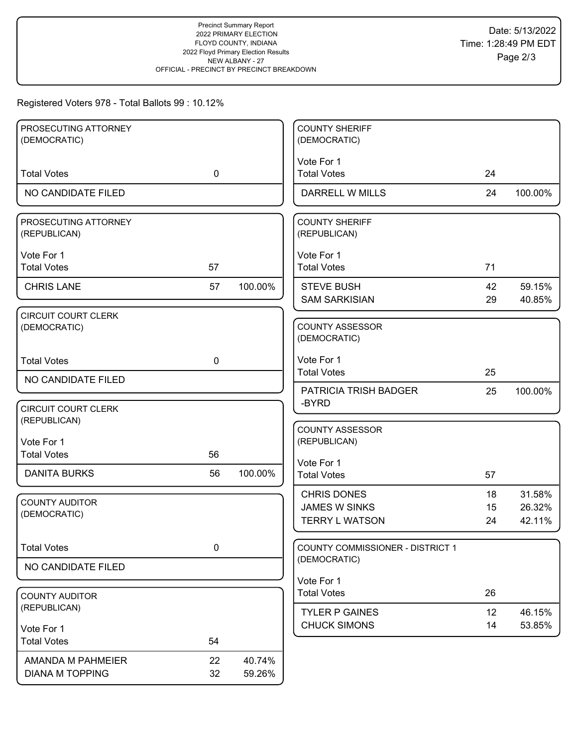# Registered Voters 978 - Total Ballots 99 : 10.12%

| PROSECUTING ATTORNEY<br>(DEMOCRATIC)       |             |         | <b>COUNTY SHERIFF</b><br>(DEMOCRATIC)                               |                |                            |
|--------------------------------------------|-------------|---------|---------------------------------------------------------------------|----------------|----------------------------|
|                                            |             |         |                                                                     |                |                            |
| <b>Total Votes</b>                         | $\mathbf 0$ |         | Vote For 1<br><b>Total Votes</b>                                    | 24             |                            |
| NO CANDIDATE FILED                         |             |         | DARRELL W MILLS                                                     | 24             | 100.00%                    |
| PROSECUTING ATTORNEY<br>(REPUBLICAN)       |             |         | <b>COUNTY SHERIFF</b><br>(REPUBLICAN)                               |                |                            |
| Vote For 1<br><b>Total Votes</b>           | 57          |         | Vote For 1<br><b>Total Votes</b>                                    | 71             |                            |
| <b>CHRIS LANE</b>                          | 57          | 100.00% | <b>STEVE BUSH</b><br><b>SAM SARKISIAN</b>                           | 42<br>29       | 59.15%<br>40.85%           |
| <b>CIRCUIT COURT CLERK</b><br>(DEMOCRATIC) |             |         | <b>COUNTY ASSESSOR</b><br>(DEMOCRATIC)                              |                |                            |
| <b>Total Votes</b>                         | $\mathbf 0$ |         | Vote For 1<br><b>Total Votes</b>                                    | 25             |                            |
| NO CANDIDATE FILED                         |             |         | PATRICIA TRISH BADGER                                               | 25             | 100.00%                    |
| <b>CIRCUIT COURT CLERK</b><br>(REPUBLICAN) |             |         | -BYRD                                                               |                |                            |
| Vote For 1<br><b>Total Votes</b>           | 56          |         | <b>COUNTY ASSESSOR</b><br>(REPUBLICAN)                              |                |                            |
| <b>DANITA BURKS</b>                        | 56          | 100.00% | Vote For 1<br><b>Total Votes</b>                                    | 57             |                            |
| <b>COUNTY AUDITOR</b><br>(DEMOCRATIC)      |             |         | <b>CHRIS DONES</b><br><b>JAMES W SINKS</b><br><b>TERRY L WATSON</b> | 18<br>15<br>24 | 31.58%<br>26.32%<br>42.11% |
| <b>Total Votes</b>                         | 0           |         | <b>COUNTY COMMISSIONER - DISTRICT 1</b>                             |                |                            |
| NO CANDIDATE FILED                         |             |         | (DEMOCRATIC)                                                        |                |                            |
| <b>COUNTY AUDITOR</b>                      |             |         | Vote For 1<br><b>Total Votes</b>                                    | 26             |                            |
| (REPUBLICAN)                               |             |         | <b>TYLER P GAINES</b>                                               | 12             | 46.15%                     |
| Vote For 1<br><b>Total Votes</b>           | 54          |         | <b>CHUCK SIMONS</b>                                                 | 14             | 53.85%                     |
| AMANDA M PAHMEIER                          | 22          | 40.74%  |                                                                     |                |                            |
| <b>DIANA M TOPPING</b>                     | 32          | 59.26%  |                                                                     |                |                            |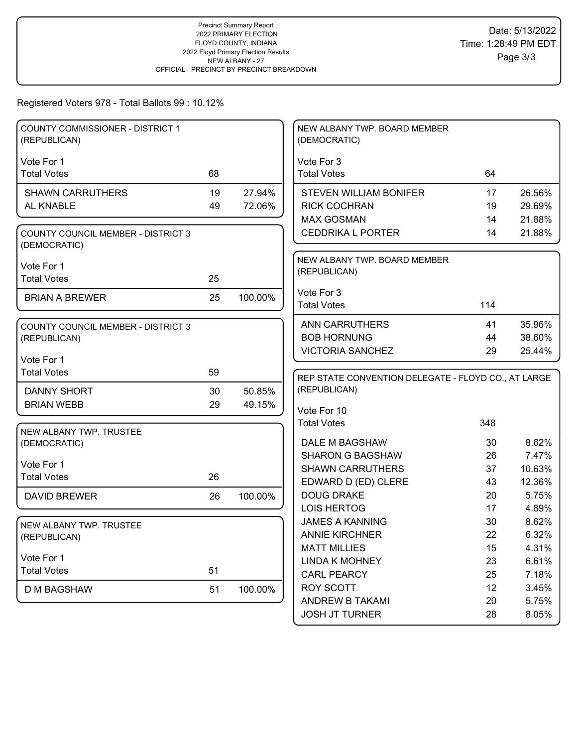# Registered Voters 978 - Total Ballots 99 : 10.12%

| <b>COUNTY COMMISSIONER - DISTRICT 1</b><br>(REPUBLICAN)   |    |         | NEW ALBANY TWP. BOARD MEMBER<br>(DEMOCRATIC)        |          |                |
|-----------------------------------------------------------|----|---------|-----------------------------------------------------|----------|----------------|
|                                                           |    |         |                                                     |          |                |
| Vote For 1<br><b>Total Votes</b>                          | 68 |         | Vote For 3<br><b>Total Votes</b>                    | 64       |                |
|                                                           |    |         |                                                     |          |                |
| <b>SHAWN CARRUTHERS</b>                                   | 19 | 27.94%  | <b>STEVEN WILLIAM BONIFER</b>                       | 17       | 26.56%         |
| AL KNABLE                                                 | 49 | 72.06%  | <b>RICK COCHRAN</b>                                 | 19       | 29.69%         |
|                                                           |    |         | <b>MAX GOSMAN</b>                                   | 14       | 21.88%         |
| <b>COUNTY COUNCIL MEMBER - DISTRICT 3</b><br>(DEMOCRATIC) |    |         | <b>CEDDRIKA L PORTER</b>                            | 14       | 21.88%         |
| Vote For 1                                                |    |         | NEW ALBANY TWP. BOARD MEMBER                        |          |                |
| <b>Total Votes</b>                                        | 25 |         | (REPUBLICAN)                                        |          |                |
|                                                           |    |         | Vote For 3                                          |          |                |
| <b>BRIAN A BREWER</b>                                     | 25 | 100.00% | <b>Total Votes</b>                                  | 114      |                |
|                                                           |    |         |                                                     |          |                |
| <b>COUNTY COUNCIL MEMBER - DISTRICT 3</b>                 |    |         | <b>ANN CARRUTHERS</b>                               | 41       | 35.96%         |
| (REPUBLICAN)                                              |    |         | <b>BOB HORNUNG</b>                                  | 44       | 38.60%         |
| Vote For 1                                                |    |         | <b>VICTORIA SANCHEZ</b>                             | 29       | 25.44%         |
| <b>Total Votes</b>                                        | 59 |         |                                                     |          |                |
|                                                           |    |         | REP STATE CONVENTION DELEGATE - FLOYD CO., AT LARGE |          |                |
| <b>DANNY SHORT</b>                                        | 30 |         | (REPUBLICAN)                                        |          |                |
|                                                           |    | 50.85%  |                                                     |          |                |
| <b>BRIAN WEBB</b>                                         | 29 | 49.15%  | Vote For 10                                         |          |                |
|                                                           |    |         | <b>Total Votes</b>                                  | 348      |                |
| NEW ALBANY TWP. TRUSTEE                                   |    |         |                                                     |          |                |
| (DEMOCRATIC)                                              |    |         | DALE M BAGSHAW                                      | 30       | 8.62%          |
| Vote For 1                                                |    |         | <b>SHARON G BAGSHAW</b>                             | 26       | 7.47%          |
| <b>Total Votes</b>                                        | 26 |         | <b>SHAWN CARRUTHERS</b>                             | 37       | 10.63%         |
|                                                           |    |         | EDWARD D (ED) CLERE                                 | 43       | 12.36%         |
| <b>DAVID BREWER</b>                                       | 26 | 100.00% | <b>DOUG DRAKE</b>                                   | 20       | 5.75%          |
|                                                           |    |         | <b>LOIS HERTOG</b>                                  | 17       | 4.89%          |
| NEW ALBANY TWP. TRUSTEE                                   |    |         | <b>JAMES A KANNING</b>                              | 30       | 8.62%          |
| (REPUBLICAN)                                              |    |         | <b>ANNIE KIRCHNER</b>                               | 22       | 6.32%          |
|                                                           |    |         | <b>MATT MILLIES</b>                                 | 15       | 4.31%          |
| Vote For 1<br><b>Total Votes</b>                          | 51 |         | <b>LINDA K MOHNEY</b>                               | 23       | 6.61%          |
|                                                           |    |         | <b>CARL PEARCY</b>                                  | 25       | 7.18%          |
| <b>D M BAGSHAW</b>                                        | 51 | 100.00% | ROY SCOTT                                           | 12       | 3.45%          |
|                                                           |    |         | ANDREW B TAKAMI<br><b>JOSH JT TURNER</b>            | 20<br>28 | 5.75%<br>8.05% |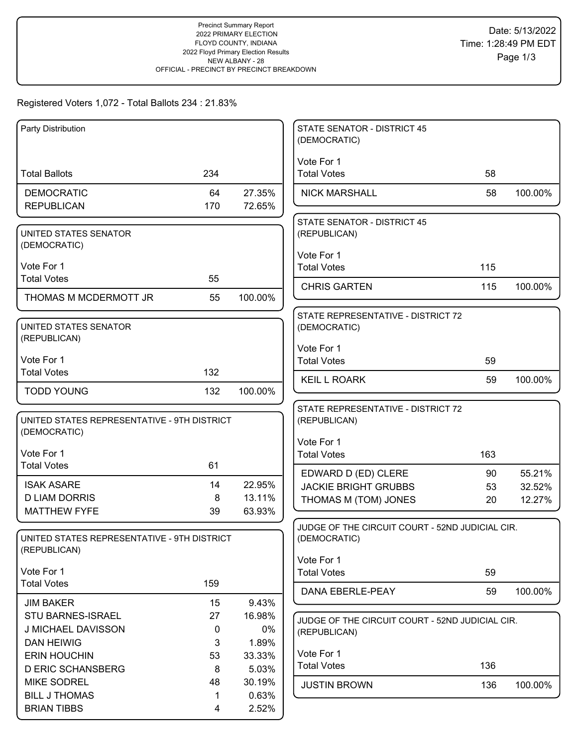## Registered Voters 1,072 - Total Ballots 234 : 21.83%

| Party Distribution                                          |         |                  | <b>STATE SENATOR - DISTRICT 45</b><br>(DEMOCRATIC) |     |         |
|-------------------------------------------------------------|---------|------------------|----------------------------------------------------|-----|---------|
|                                                             |         |                  | Vote For 1                                         |     |         |
| <b>Total Ballots</b>                                        | 234     |                  | <b>Total Votes</b>                                 | 58  |         |
| <b>DEMOCRATIC</b>                                           | 64      | 27.35%           | <b>NICK MARSHALL</b>                               | 58  | 100.00% |
| <b>REPUBLICAN</b>                                           | 170     | 72.65%           |                                                    |     |         |
|                                                             |         |                  | <b>STATE SENATOR - DISTRICT 45</b>                 |     |         |
| UNITED STATES SENATOR<br>(DEMOCRATIC)                       |         |                  | (REPUBLICAN)                                       |     |         |
|                                                             |         |                  | Vote For 1                                         |     |         |
| Vote For 1                                                  |         |                  | <b>Total Votes</b>                                 | 115 |         |
| <b>Total Votes</b>                                          | 55      |                  | <b>CHRIS GARTEN</b>                                | 115 | 100.00% |
| THOMAS M MCDERMOTT JR                                       | 55      | 100.00%          |                                                    |     |         |
|                                                             |         |                  | STATE REPRESENTATIVE - DISTRICT 72                 |     |         |
| UNITED STATES SENATOR<br>(REPUBLICAN)                       |         |                  | (DEMOCRATIC)                                       |     |         |
|                                                             |         |                  | Vote For 1                                         |     |         |
| Vote For 1                                                  |         |                  | <b>Total Votes</b>                                 | 59  |         |
| <b>Total Votes</b>                                          | 132     |                  | <b>KEIL L ROARK</b>                                | 59  | 100.00% |
| <b>TODD YOUNG</b>                                           | 132     | 100.00%          |                                                    |     |         |
|                                                             |         |                  | STATE REPRESENTATIVE - DISTRICT 72                 |     |         |
| UNITED STATES REPRESENTATIVE - 9TH DISTRICT<br>(DEMOCRATIC) |         |                  | (REPUBLICAN)                                       |     |         |
|                                                             |         |                  | Vote For 1                                         |     |         |
| Vote For 1<br><b>Total Votes</b>                            | 61      |                  | <b>Total Votes</b>                                 | 163 |         |
|                                                             |         |                  | EDWARD D (ED) CLERE                                | 90  | 55.21%  |
| <b>ISAK ASARE</b><br><b>D LIAM DORRIS</b>                   | 14      | 22.95%           | <b>JACKIE BRIGHT GRUBBS</b>                        | 53  | 32.52%  |
| <b>MATTHEW FYFE</b>                                         | 8<br>39 | 13.11%<br>63.93% | THOMAS M (TOM) JONES                               | 20  | 12.27%  |
|                                                             |         |                  | JUDGE OF THE CIRCUIT COURT - 52ND JUDICIAL CIR.    |     |         |
| UNITED STATES REPRESENTATIVE - 9TH DISTRICT                 |         |                  | (DEMOCRATIC)                                       |     |         |
| (REPUBLICAN)                                                |         |                  | Vote For 1                                         |     |         |
| Vote For 1                                                  |         |                  | <b>Total Votes</b>                                 | 59  |         |
| <b>Total Votes</b>                                          | 159     |                  | DANA EBERLE-PEAY                                   | 59  | 100.00% |
| <b>JIM BAKER</b>                                            | 15      | 9.43%            |                                                    |     |         |
| STU BARNES-ISRAEL                                           | 27      | 16.98%           | JUDGE OF THE CIRCUIT COURT - 52ND JUDICIAL CIR.    |     |         |
| J MICHAEL DAVISSON                                          | 0       | 0%               | (REPUBLICAN)                                       |     |         |
| <b>DAN HEIWIG</b>                                           | 3       | 1.89%            |                                                    |     |         |
| <b>ERIN HOUCHIN</b><br><b>D ERIC SCHANSBERG</b>             | 53<br>8 | 33.33%           | Vote For 1<br><b>Total Votes</b>                   | 136 |         |
| <b>MIKE SODREL</b>                                          | 48      | 5.03%<br>30.19%  |                                                    |     |         |
| <b>BILL J THOMAS</b>                                        | 1.      | 0.63%            | <b>JUSTIN BROWN</b>                                | 136 | 100.00% |
| <b>BRIAN TIBBS</b>                                          | 4       | 2.52%            |                                                    |     |         |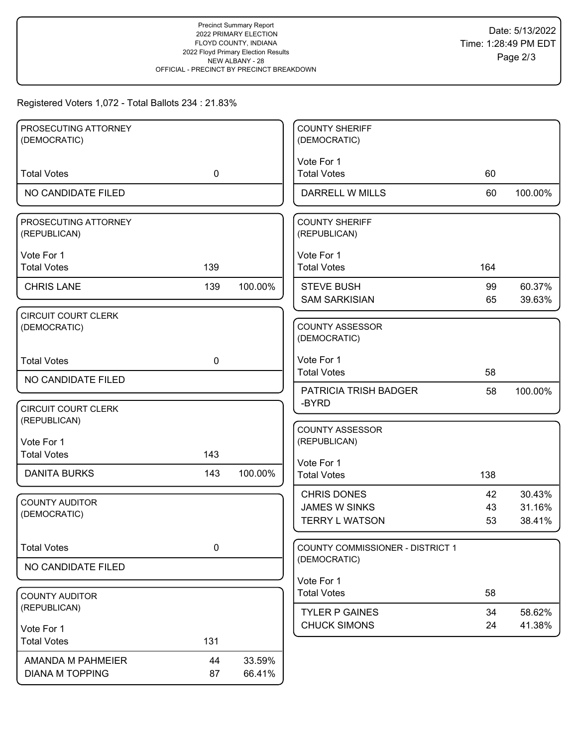## Registered Voters 1,072 - Total Ballots 234 : 21.83%

| 60 |                                    |
|----|------------------------------------|
| 60 | 100.00%                            |
|    |                                    |
|    |                                    |
|    |                                    |
|    |                                    |
|    |                                    |
| 99 | 60.37%                             |
|    | 39.63%                             |
|    |                                    |
|    |                                    |
|    |                                    |
|    |                                    |
|    |                                    |
| 58 | 100.00%                            |
|    |                                    |
|    |                                    |
|    |                                    |
|    |                                    |
|    |                                    |
|    |                                    |
| 42 | 30.43%                             |
| 43 | 31.16%                             |
|    | 38.41%                             |
|    |                                    |
|    |                                    |
|    |                                    |
|    |                                    |
|    |                                    |
| 34 | 58.62%                             |
|    |                                    |
| 24 | 41.38%                             |
|    |                                    |
|    |                                    |
|    | 164<br>65<br>58<br>138<br>53<br>58 |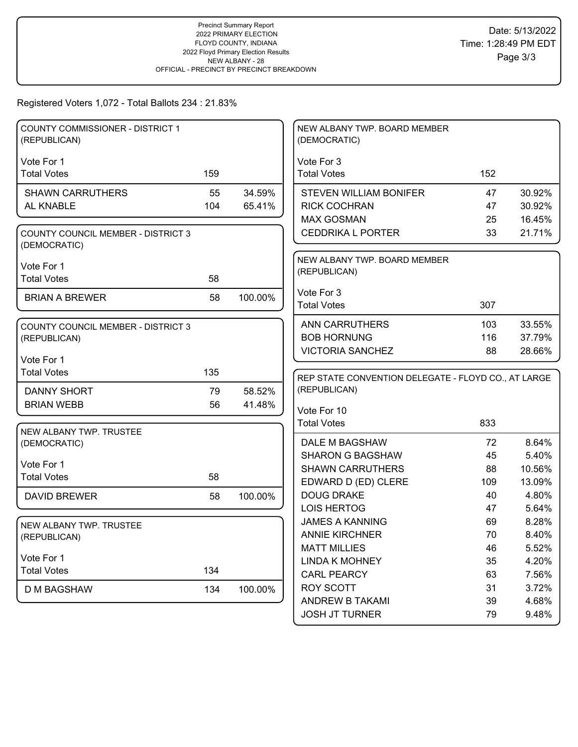# Registered Voters 1,072 - Total Ballots 234 : 21.83%

| COUNTY COMMISSIONER - DISTRICT 1<br>(REPUBLICAN)          |     |         | NEW ALBANY TWP. BOARD MEMBER<br>(DEMOCRATIC)                        |           |                  |
|-----------------------------------------------------------|-----|---------|---------------------------------------------------------------------|-----------|------------------|
| Vote For 1                                                |     |         | Vote For 3                                                          |           |                  |
| <b>Total Votes</b>                                        | 159 |         | <b>Total Votes</b>                                                  | 152       |                  |
|                                                           |     |         |                                                                     |           |                  |
| <b>SHAWN CARRUTHERS</b>                                   | 55  | 34.59%  | <b>STEVEN WILLIAM BONIFER</b>                                       | 47        | 30.92%           |
| AL KNABLE                                                 | 104 | 65.41%  | <b>RICK COCHRAN</b>                                                 | 47        | 30.92%           |
|                                                           |     |         | <b>MAX GOSMAN</b>                                                   | 25        | 16.45%           |
| <b>COUNTY COUNCIL MEMBER - DISTRICT 3</b><br>(DEMOCRATIC) |     |         | <b>CEDDRIKA L PORTER</b>                                            | 33        | 21.71%           |
| Vote For 1                                                |     |         | NEW ALBANY TWP. BOARD MEMBER                                        |           |                  |
| <b>Total Votes</b>                                        | 58  |         | (REPUBLICAN)                                                        |           |                  |
|                                                           |     |         | Vote For 3                                                          |           |                  |
| <b>BRIAN A BREWER</b>                                     | 58  | 100.00% | <b>Total Votes</b>                                                  | 307       |                  |
|                                                           |     |         |                                                                     |           |                  |
| <b>COUNTY COUNCIL MEMBER - DISTRICT 3</b>                 |     |         | <b>ANN CARRUTHERS</b>                                               | 103       | 33.55%           |
| (REPUBLICAN)                                              |     |         | <b>BOB HORNUNG</b>                                                  | 116       | 37.79%           |
| Vote For 1                                                |     |         | <b>VICTORIA SANCHEZ</b>                                             | 88        | 28.66%           |
| <b>Total Votes</b>                                        | 135 |         |                                                                     |           |                  |
|                                                           |     | 58.52%  | REP STATE CONVENTION DELEGATE - FLOYD CO., AT LARGE<br>(REPUBLICAN) |           |                  |
| DANNY SHORT<br><b>BRIAN WEBB</b>                          | 79  |         |                                                                     |           |                  |
|                                                           |     |         |                                                                     |           |                  |
|                                                           | 56  | 41.48%  | Vote For 10                                                         |           |                  |
|                                                           |     |         | <b>Total Votes</b>                                                  | 833       |                  |
| NEW ALBANY TWP. TRUSTEE                                   |     |         |                                                                     |           |                  |
| (DEMOCRATIC)                                              |     |         | DALE M BAGSHAW                                                      | 72        | 8.64%            |
| Vote For 1                                                |     |         | <b>SHARON G BAGSHAW</b>                                             | 45        | 5.40%            |
| <b>Total Votes</b>                                        | 58  |         | <b>SHAWN CARRUTHERS</b>                                             | 88<br>109 | 10.56%<br>13.09% |
|                                                           | 58  |         | EDWARD D (ED) CLERE<br><b>DOUG DRAKE</b>                            | 40        | 4.80%            |
| <b>DAVID BREWER</b>                                       |     | 100.00% | <b>LOIS HERTOG</b>                                                  | 47        | 5.64%            |
|                                                           |     |         | <b>JAMES A KANNING</b>                                              | 69        | 8.28%            |
| NEW ALBANY TWP. TRUSTEE                                   |     |         | <b>ANNIE KIRCHNER</b>                                               | 70        | 8.40%            |
| (REPUBLICAN)                                              |     |         | <b>MATT MILLIES</b>                                                 | 46        | 5.52%            |
| Vote For 1                                                |     |         | <b>LINDA K MOHNEY</b>                                               | 35        | 4.20%            |
| <b>Total Votes</b>                                        | 134 |         | <b>CARL PEARCY</b>                                                  | 63        | 7.56%            |
| <b>D M BAGSHAW</b>                                        | 134 | 100.00% | <b>ROY SCOTT</b>                                                    | 31        | 3.72%            |
|                                                           |     |         | <b>ANDREW B TAKAMI</b>                                              | 39        | 4.68%            |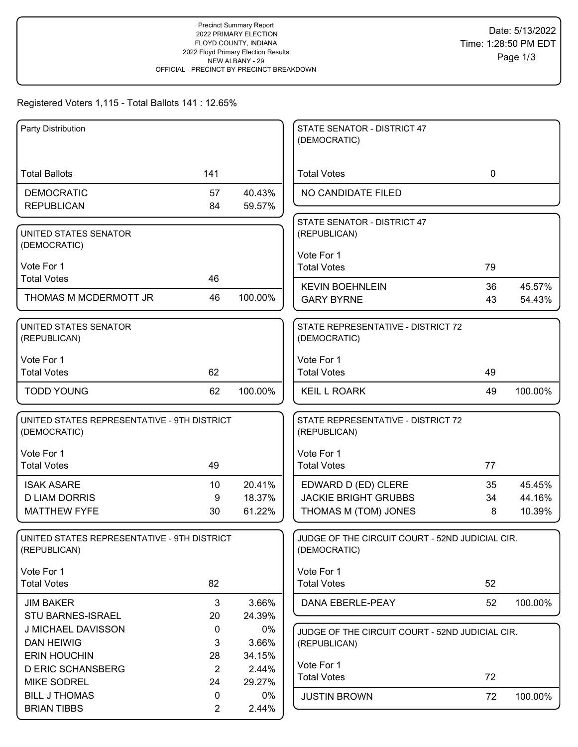### Registered Voters 1,115 - Total Ballots 141 : 12.65%

| Party Distribution                                          |                |         | STATE SENATOR - DISTRICT 47<br>(DEMOCRATIC)        |             |         |
|-------------------------------------------------------------|----------------|---------|----------------------------------------------------|-------------|---------|
|                                                             |                |         |                                                    |             |         |
| <b>Total Ballots</b>                                        | 141            |         | <b>Total Votes</b>                                 | $\mathbf 0$ |         |
| <b>DEMOCRATIC</b>                                           | 57             | 40.43%  | NO CANDIDATE FILED                                 |             |         |
| <b>REPUBLICAN</b>                                           | 84             | 59.57%  |                                                    |             |         |
| UNITED STATES SENATOR                                       |                |         | STATE SENATOR - DISTRICT 47<br>(REPUBLICAN)        |             |         |
| (DEMOCRATIC)                                                |                |         |                                                    |             |         |
| Vote For 1                                                  |                |         | Vote For 1                                         |             |         |
| <b>Total Votes</b>                                          | 46             |         | <b>Total Votes</b>                                 | 79          |         |
| THOMAS M MCDERMOTT JR                                       | 46             | 100.00% | <b>KEVIN BOEHNLEIN</b>                             | 36          | 45.57%  |
|                                                             |                |         | <b>GARY BYRNE</b>                                  | 43          | 54.43%  |
| UNITED STATES SENATOR                                       |                |         | STATE REPRESENTATIVE - DISTRICT 72                 |             |         |
| (REPUBLICAN)                                                |                |         | (DEMOCRATIC)                                       |             |         |
| Vote For 1                                                  |                |         | Vote For 1                                         |             |         |
| <b>Total Votes</b>                                          | 62             |         | <b>Total Votes</b>                                 | 49          |         |
| <b>TODD YOUNG</b>                                           | 62             | 100.00% | <b>KEIL L ROARK</b>                                | 49          | 100.00% |
|                                                             |                |         |                                                    |             |         |
| UNITED STATES REPRESENTATIVE - 9TH DISTRICT<br>(DEMOCRATIC) |                |         | STATE REPRESENTATIVE - DISTRICT 72<br>(REPUBLICAN) |             |         |
|                                                             |                |         |                                                    |             |         |
| Vote For 1                                                  |                |         | Vote For 1                                         |             |         |
| <b>Total Votes</b>                                          | 49             |         | <b>Total Votes</b>                                 | 77          |         |
| <b>ISAK ASARE</b>                                           | 10             | 20.41%  | EDWARD D (ED) CLERE                                | 35          | 45.45%  |
| <b>D LIAM DORRIS</b>                                        | 9              | 18.37%  | <b>JACKIE BRIGHT GRUBBS</b>                        | 34          | 44.16%  |
| <b>MATTHEW FYFE</b>                                         | 30             | 61.22%  | THOMAS M (TOM) JONES                               | 8           | 10.39%  |
| UNITED STATES REPRESENTATIVE - 9TH DISTRICT                 |                |         | JUDGE OF THE CIRCUIT COURT - 52ND JUDICIAL CIR.    |             |         |
| (REPUBLICAN)                                                |                |         | (DEMOCRATIC)                                       |             |         |
| Vote For 1                                                  |                |         | Vote For 1                                         |             |         |
| <b>Total Votes</b>                                          | 82             |         | <b>Total Votes</b>                                 | 52          |         |
| <b>JIM BAKER</b>                                            | 3              | 3.66%   | DANA EBERLE-PEAY                                   | 52          | 100.00% |
| STU BARNES-ISRAEL                                           | 20             | 24.39%  |                                                    |             |         |
| J MICHAEL DAVISSON                                          | 0              | 0%      | JUDGE OF THE CIRCUIT COURT - 52ND JUDICIAL CIR.    |             |         |
| <b>DAN HEIWIG</b>                                           | 3              | 3.66%   | (REPUBLICAN)                                       |             |         |
| <b>ERIN HOUCHIN</b>                                         | 28             | 34.15%  |                                                    |             |         |
| <b>D ERIC SCHANSBERG</b>                                    | $\overline{2}$ | 2.44%   | Vote For 1<br><b>Total Votes</b>                   | 72          |         |
| <b>MIKE SODREL</b>                                          | 24             | 29.27%  |                                                    |             |         |
| <b>BILL J THOMAS</b>                                        | 0              | 0%      | <b>JUSTIN BROWN</b>                                | 72          | 100.00% |
| <b>BRIAN TIBBS</b>                                          | $\overline{2}$ | 2.44%   |                                                    |             |         |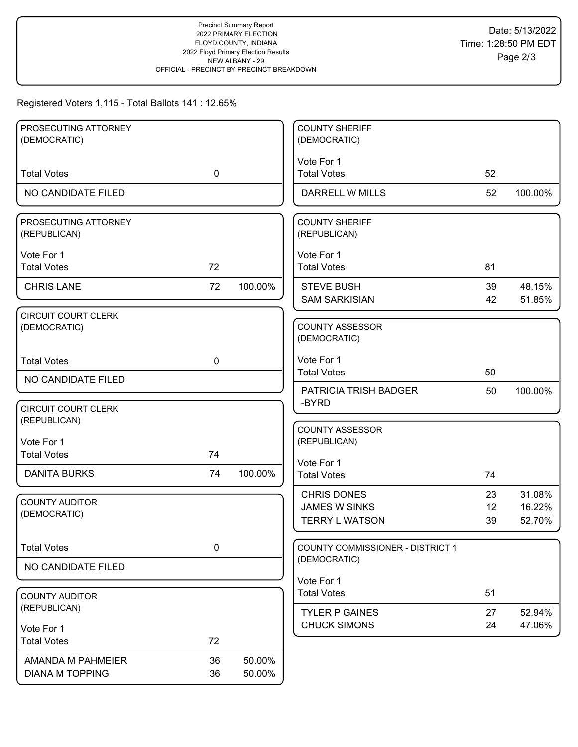### Registered Voters 1,115 - Total Ballots 141 : 12.65%

| PROSECUTING ATTORNEY                       |             |         | <b>COUNTY SHERIFF</b>                  |    |         |
|--------------------------------------------|-------------|---------|----------------------------------------|----|---------|
| (DEMOCRATIC)                               |             |         | (DEMOCRATIC)                           |    |         |
| <b>Total Votes</b>                         | $\mathbf 0$ |         | Vote For 1<br><b>Total Votes</b>       | 52 |         |
|                                            |             |         |                                        |    |         |
| NO CANDIDATE FILED                         |             |         | <b>DARRELL W MILLS</b>                 | 52 | 100.00% |
| PROSECUTING ATTORNEY<br>(REPUBLICAN)       |             |         | <b>COUNTY SHERIFF</b><br>(REPUBLICAN)  |    |         |
| Vote For 1                                 |             |         | Vote For 1                             |    |         |
| <b>Total Votes</b>                         | 72          |         | <b>Total Votes</b>                     | 81 |         |
| <b>CHRIS LANE</b>                          | 72          | 100.00% | <b>STEVE BUSH</b>                      | 39 | 48.15%  |
|                                            |             |         | <b>SAM SARKISIAN</b>                   | 42 | 51.85%  |
| <b>CIRCUIT COURT CLERK</b><br>(DEMOCRATIC) |             |         | <b>COUNTY ASSESSOR</b><br>(DEMOCRATIC) |    |         |
| <b>Total Votes</b>                         | $\mathbf 0$ |         | Vote For 1                             |    |         |
| NO CANDIDATE FILED                         |             |         | <b>Total Votes</b>                     | 50 |         |
|                                            |             |         | PATRICIA TRISH BADGER                  | 50 | 100.00% |
| <b>CIRCUIT COURT CLERK</b>                 |             |         | -BYRD                                  |    |         |
| (REPUBLICAN)                               |             |         | <b>COUNTY ASSESSOR</b>                 |    |         |
| Vote For 1                                 |             |         | (REPUBLICAN)                           |    |         |
| <b>Total Votes</b>                         | 74          |         | Vote For 1                             |    |         |
| <b>DANITA BURKS</b>                        | 74          | 100.00% | <b>Total Votes</b>                     | 74 |         |
| <b>COUNTY AUDITOR</b>                      |             |         | <b>CHRIS DONES</b>                     | 23 | 31.08%  |
| (DEMOCRATIC)                               |             |         | <b>JAMES W SINKS</b>                   | 12 | 16.22%  |
|                                            |             |         | <b>TERRY L WATSON</b>                  | 39 | 52.70%  |
| <b>Total Votes</b>                         | 0           |         | COUNTY COMMISSIONER - DISTRICT 1       |    |         |
| NO CANDIDATE FILED                         |             |         | (DEMOCRATIC)                           |    |         |
|                                            |             |         | Vote For 1                             |    |         |
| <b>COUNTY AUDITOR</b>                      |             |         | <b>Total Votes</b>                     | 51 |         |
| (REPUBLICAN)                               |             |         | <b>TYLER P GAINES</b>                  | 27 | 52.94%  |
| Vote For 1                                 |             |         | <b>CHUCK SIMONS</b>                    | 24 | 47.06%  |
| <b>Total Votes</b>                         | 72          |         |                                        |    |         |
| AMANDA M PAHMEIER                          | 36          | 50.00%  |                                        |    |         |
| <b>DIANA M TOPPING</b>                     | 36          | 50.00%  |                                        |    |         |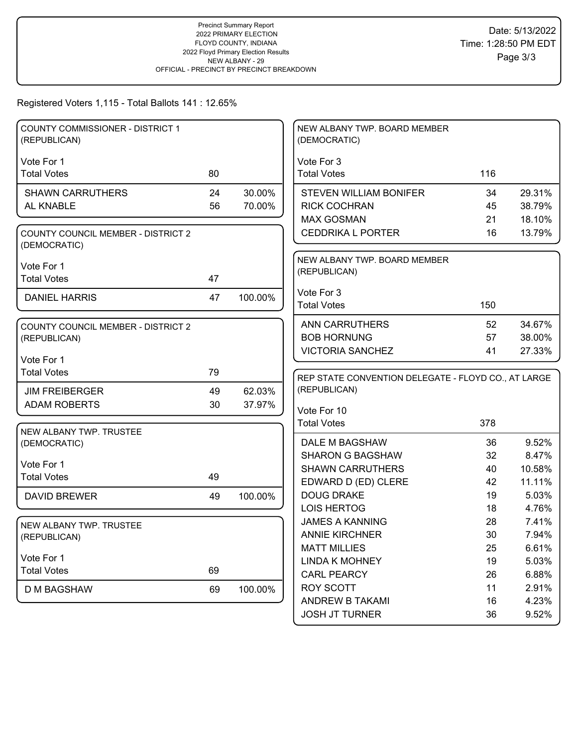Registered Voters 1,115 - Total Ballots 141 : 12.65%

| <b>COUNTY COMMISSIONER - DISTRICT 1</b><br>(REPUBLICAN)   |    |         | NEW ALBANY TWP. BOARD MEMBER<br>(DEMOCRATIC)        |          |                |
|-----------------------------------------------------------|----|---------|-----------------------------------------------------|----------|----------------|
|                                                           |    |         |                                                     |          |                |
| Vote For 1<br><b>Total Votes</b>                          | 80 |         | Vote For 3<br><b>Total Votes</b>                    | 116      |                |
|                                                           |    |         |                                                     |          |                |
| <b>SHAWN CARRUTHERS</b>                                   | 24 | 30.00%  | <b>STEVEN WILLIAM BONIFER</b>                       | 34       | 29.31%         |
| AL KNABLE                                                 | 56 | 70.00%  | <b>RICK COCHRAN</b>                                 | 45       | 38.79%         |
|                                                           |    |         | <b>MAX GOSMAN</b>                                   | 21       | 18.10%         |
| <b>COUNTY COUNCIL MEMBER - DISTRICT 2</b><br>(DEMOCRATIC) |    |         | <b>CEDDRIKA L PORTER</b>                            | 16       | 13.79%         |
| Vote For 1                                                |    |         | NEW ALBANY TWP. BOARD MEMBER                        |          |                |
| <b>Total Votes</b>                                        | 47 |         | (REPUBLICAN)                                        |          |                |
|                                                           |    |         | Vote For 3                                          |          |                |
| <b>DANIEL HARRIS</b>                                      | 47 | 100.00% | <b>Total Votes</b>                                  | 150      |                |
|                                                           |    |         |                                                     |          |                |
| <b>COUNTY COUNCIL MEMBER - DISTRICT 2</b>                 |    |         | <b>ANN CARRUTHERS</b>                               | 52       | 34.67%         |
| (REPUBLICAN)                                              |    |         | <b>BOB HORNUNG</b>                                  | 57       | 38.00%         |
| Vote For 1                                                |    |         | <b>VICTORIA SANCHEZ</b>                             | 41       | 27.33%         |
| <b>Total Votes</b>                                        | 79 |         |                                                     |          |                |
|                                                           |    |         | REP STATE CONVENTION DELEGATE - FLOYD CO., AT LARGE |          |                |
|                                                           |    |         |                                                     |          |                |
| <b>JIM FREIBERGER</b>                                     | 49 | 62.03%  | (REPUBLICAN)                                        |          |                |
| <b>ADAM ROBERTS</b>                                       | 30 | 37.97%  |                                                     |          |                |
|                                                           |    |         | Vote For 10<br><b>Total Votes</b>                   | 378      |                |
| NEW ALBANY TWP. TRUSTEE                                   |    |         |                                                     |          |                |
| (DEMOCRATIC)                                              |    |         | DALE M BAGSHAW                                      | 36       | 9.52%          |
|                                                           |    |         | <b>SHARON G BAGSHAW</b>                             | 32       | 8.47%          |
| Vote For 1                                                |    |         | <b>SHAWN CARRUTHERS</b>                             | 40       | 10.58%         |
| <b>Total Votes</b>                                        | 49 |         | EDWARD D (ED) CLERE                                 | 42       | 11.11%         |
| <b>DAVID BREWER</b>                                       | 49 | 100.00% | <b>DOUG DRAKE</b>                                   | 19       | 5.03%          |
|                                                           |    |         | <b>LOIS HERTOG</b>                                  | 18       | 4.76%          |
| NEW ALBANY TWP. TRUSTEE                                   |    |         | <b>JAMES A KANNING</b>                              | 28       | 7.41%          |
| (REPUBLICAN)                                              |    |         | <b>ANNIE KIRCHNER</b>                               | 30       | 7.94%          |
|                                                           |    |         | <b>MATT MILLIES</b>                                 | 25       | 6.61%          |
| Vote For 1                                                |    |         | <b>LINDA K MOHNEY</b>                               | 19       | 5.03%          |
| <b>Total Votes</b>                                        | 69 |         | <b>CARL PEARCY</b>                                  | 26       | 6.88%          |
| D M BAGSHAW                                               | 69 | 100.00% | <b>ROY SCOTT</b>                                    | 11       | 2.91%          |
|                                                           |    |         | ANDREW B TAKAMI<br><b>JOSH JT TURNER</b>            | 16<br>36 | 4.23%<br>9.52% |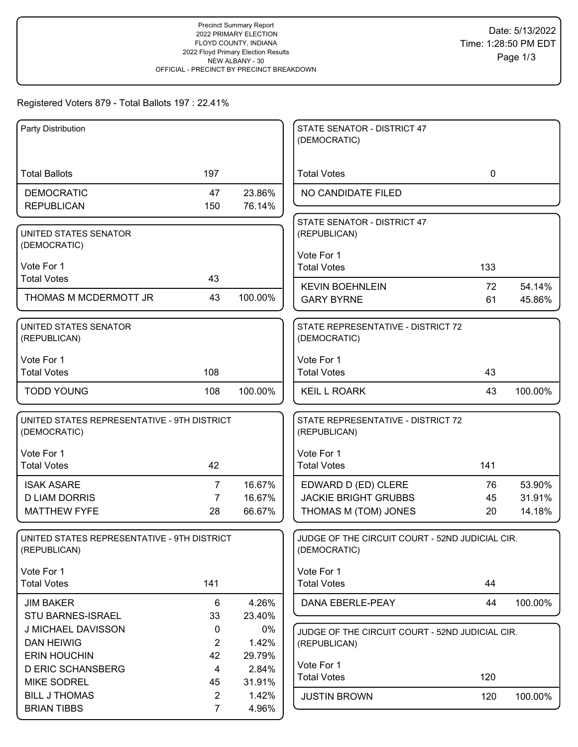## Registered Voters 879 - Total Ballots 197 : 22.41%

| Party Distribution                                          |                      |                 | STATE SENATOR - DISTRICT 47<br>(DEMOCRATIC)                     |          |                  |
|-------------------------------------------------------------|----------------------|-----------------|-----------------------------------------------------------------|----------|------------------|
|                                                             |                      |                 |                                                                 |          |                  |
| <b>Total Ballots</b>                                        | 197                  |                 | <b>Total Votes</b>                                              | 0        |                  |
| <b>DEMOCRATIC</b>                                           | 47                   | 23.86%          | NO CANDIDATE FILED                                              |          |                  |
| <b>REPUBLICAN</b>                                           | 150                  | 76.14%          |                                                                 |          |                  |
| UNITED STATES SENATOR                                       |                      |                 | STATE SENATOR - DISTRICT 47<br>(REPUBLICAN)                     |          |                  |
| (DEMOCRATIC)                                                |                      |                 |                                                                 |          |                  |
| Vote For 1                                                  |                      |                 | Vote For 1<br><b>Total Votes</b>                                | 133      |                  |
| <b>Total Votes</b>                                          | 43                   |                 |                                                                 |          |                  |
| THOMAS M MCDERMOTT JR                                       | 43                   | 100.00%         | <b>KEVIN BOEHNLEIN</b><br><b>GARY BYRNE</b>                     | 72<br>61 | 54.14%<br>45.86% |
|                                                             |                      |                 |                                                                 |          |                  |
| UNITED STATES SENATOR<br>(REPUBLICAN)                       |                      |                 | STATE REPRESENTATIVE - DISTRICT 72<br>(DEMOCRATIC)              |          |                  |
| Vote For 1                                                  |                      |                 | Vote For 1                                                      |          |                  |
| <b>Total Votes</b>                                          | 108                  |                 | <b>Total Votes</b>                                              | 43       |                  |
| <b>TODD YOUNG</b>                                           | 108                  | 100.00%         | <b>KEIL L ROARK</b>                                             | 43       | 100.00%          |
| UNITED STATES REPRESENTATIVE - 9TH DISTRICT<br>(DEMOCRATIC) |                      |                 | STATE REPRESENTATIVE - DISTRICT 72<br>(REPUBLICAN)              |          |                  |
| Vote For 1                                                  |                      |                 | Vote For 1                                                      |          |                  |
| <b>Total Votes</b>                                          | 42                   |                 | <b>Total Votes</b>                                              | 141      |                  |
| <b>ISAK ASARE</b>                                           | $\overline{7}$       | 16.67%          | EDWARD D (ED) CLERE                                             | 76       | 53.90%           |
| <b>D LIAM DORRIS</b>                                        | $\overline{7}$       | 16.67%          | <b>JACKIE BRIGHT GRUBBS</b>                                     | 45       | 31.91%           |
| <b>MATTHEW FYFE</b>                                         | 28                   | 66.67%          | THOMAS M (TOM) JONES                                            | 20       | 14.18%           |
| UNITED STATES REPRESENTATIVE - 9TH DISTRICT<br>(REPUBLICAN) |                      |                 | JUDGE OF THE CIRCUIT COURT - 52ND JUDICIAL CIR.<br>(DEMOCRATIC) |          |                  |
| Vote For 1                                                  |                      |                 | Vote For 1                                                      |          |                  |
| <b>Total Votes</b>                                          | 141                  |                 | <b>Total Votes</b>                                              | 44       |                  |
| <b>JIM BAKER</b>                                            | 6                    | 4.26%           | DANA EBERLE-PEAY                                                | 44       | 100.00%          |
| <b>STU BARNES-ISRAEL</b>                                    | 33                   | 23.40%          |                                                                 |          |                  |
| J MICHAEL DAVISSON                                          | 0                    | $0\%$           | JUDGE OF THE CIRCUIT COURT - 52ND JUDICIAL CIR.                 |          |                  |
| <b>DAN HEIWIG</b><br><b>ERIN HOUCHIN</b>                    | $\overline{2}$<br>42 | 1.42%           | (REPUBLICAN)                                                    |          |                  |
| <b>D ERIC SCHANSBERG</b>                                    | 4                    | 29.79%<br>2.84% | Vote For 1                                                      |          |                  |
| <b>MIKE SODREL</b>                                          | 45                   | 31.91%          | <b>Total Votes</b>                                              | 120      |                  |
| <b>BILL J THOMAS</b>                                        | $\overline{2}$       | 1.42%           | <b>JUSTIN BROWN</b>                                             | 120      | 100.00%          |
| <b>BRIAN TIBBS</b>                                          | $\overline{7}$       | 4.96%           |                                                                 |          |                  |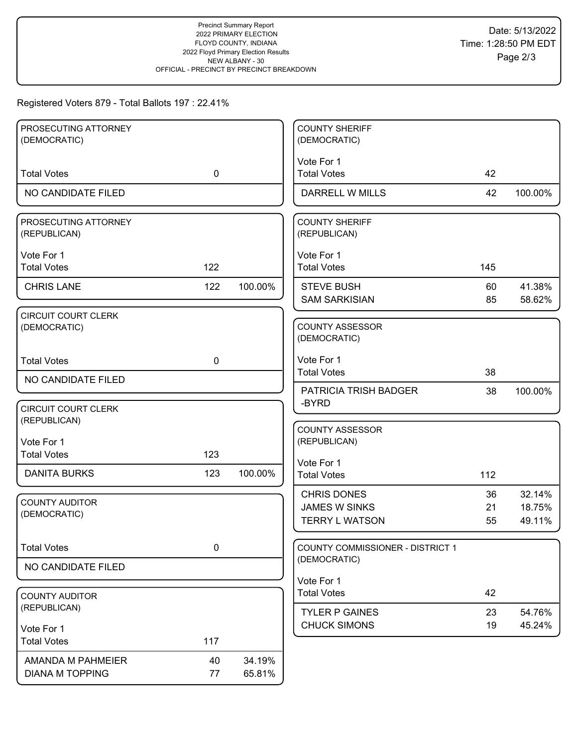# Registered Voters 879 - Total Ballots 197 : 22.41%

| PROSECUTING ATTORNEY                       |             |         | <b>COUNTY SHERIFF</b>                         |          |                  |
|--------------------------------------------|-------------|---------|-----------------------------------------------|----------|------------------|
| (DEMOCRATIC)                               |             |         | (DEMOCRATIC)                                  |          |                  |
|                                            |             |         | Vote For 1                                    |          |                  |
| <b>Total Votes</b>                         | $\mathbf 0$ |         | <b>Total Votes</b>                            | 42       |                  |
| NO CANDIDATE FILED                         |             |         | DARRELL W MILLS                               | 42       | 100.00%          |
| PROSECUTING ATTORNEY                       |             |         | <b>COUNTY SHERIFF</b>                         |          |                  |
| (REPUBLICAN)                               |             |         | (REPUBLICAN)                                  |          |                  |
| Vote For 1                                 |             |         | Vote For 1                                    |          |                  |
| <b>Total Votes</b>                         | 122         |         | <b>Total Votes</b>                            | 145      |                  |
| <b>CHRIS LANE</b>                          | 122         | 100.00% | <b>STEVE BUSH</b>                             | 60       | 41.38%           |
|                                            |             |         | <b>SAM SARKISIAN</b>                          | 85       | 58.62%           |
| <b>CIRCUIT COURT CLERK</b>                 |             |         |                                               |          |                  |
| (DEMOCRATIC)                               |             |         | <b>COUNTY ASSESSOR</b><br>(DEMOCRATIC)        |          |                  |
|                                            |             |         |                                               |          |                  |
| <b>Total Votes</b>                         | $\mathbf 0$ |         | Vote For 1<br><b>Total Votes</b>              | 38       |                  |
| NO CANDIDATE FILED                         |             |         | PATRICIA TRISH BADGER                         |          |                  |
|                                            |             |         | -BYRD                                         | 38       | 100.00%          |
| <b>CIRCUIT COURT CLERK</b><br>(REPUBLICAN) |             |         |                                               |          |                  |
|                                            |             |         | <b>COUNTY ASSESSOR</b>                        |          |                  |
| Vote For 1<br><b>Total Votes</b>           | 123         |         | (REPUBLICAN)                                  |          |                  |
|                                            |             |         | Vote For 1                                    |          |                  |
| <b>DANITA BURKS</b>                        | 123         | 100.00% | <b>Total Votes</b>                            | 112      |                  |
| <b>COUNTY AUDITOR</b>                      |             |         | <b>CHRIS DONES</b>                            | 36       | 32.14%           |
| (DEMOCRATIC)                               |             |         | <b>JAMES W SINKS</b><br><b>TERRY L WATSON</b> | 21<br>55 | 18.75%<br>49.11% |
|                                            |             |         |                                               |          |                  |
| <b>Total Votes</b>                         | 0           |         | <b>COUNTY COMMISSIONER - DISTRICT 1</b>       |          |                  |
| NO CANDIDATE FILED                         |             |         | (DEMOCRATIC)                                  |          |                  |
|                                            |             |         | Vote For 1                                    |          |                  |
| <b>COUNTY AUDITOR</b>                      |             |         | <b>Total Votes</b>                            | 42       |                  |
| (REPUBLICAN)                               |             |         | <b>TYLER P GAINES</b>                         | 23       | 54.76%           |
| Vote For 1                                 |             |         | <b>CHUCK SIMONS</b>                           | 19       | 45.24%           |
| <b>Total Votes</b>                         | 117         |         |                                               |          |                  |
| AMANDA M PAHMEIER                          | 40          | 34.19%  |                                               |          |                  |
| <b>DIANA M TOPPING</b>                     | 77          | 65.81%  |                                               |          |                  |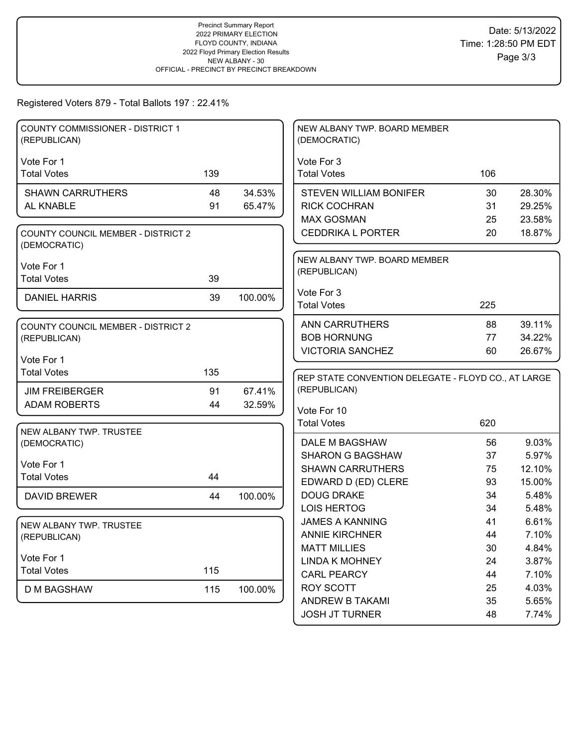# Registered Voters 879 - Total Ballots 197 : 22.41%

| Vote For 1<br>Vote For 3<br><b>Total Votes</b><br>139<br><b>Total Votes</b><br>106<br><b>SHAWN CARRUTHERS</b><br>48<br>34.53%<br><b>STEVEN WILLIAM BONIFER</b><br>30<br>28.30%<br>AL KNABLE<br>91<br>65.47%<br><b>RICK COCHRAN</b><br>29.25%<br>31<br><b>MAX GOSMAN</b><br>23.58%<br>25<br><b>CEDDRIKA L PORTER</b><br>20<br>18.87%<br><b>COUNTY COUNCIL MEMBER - DISTRICT 2</b> |
|----------------------------------------------------------------------------------------------------------------------------------------------------------------------------------------------------------------------------------------------------------------------------------------------------------------------------------------------------------------------------------|
|                                                                                                                                                                                                                                                                                                                                                                                  |
|                                                                                                                                                                                                                                                                                                                                                                                  |
|                                                                                                                                                                                                                                                                                                                                                                                  |
|                                                                                                                                                                                                                                                                                                                                                                                  |
|                                                                                                                                                                                                                                                                                                                                                                                  |
|                                                                                                                                                                                                                                                                                                                                                                                  |
| (DEMOCRATIC)                                                                                                                                                                                                                                                                                                                                                                     |
| NEW ALBANY TWP. BOARD MEMBER<br>Vote For 1                                                                                                                                                                                                                                                                                                                                       |
| (REPUBLICAN)<br><b>Total Votes</b><br>39                                                                                                                                                                                                                                                                                                                                         |
| Vote For 3                                                                                                                                                                                                                                                                                                                                                                       |
| 39<br>100.00%<br><b>DANIEL HARRIS</b><br><b>Total Votes</b><br>225                                                                                                                                                                                                                                                                                                               |
|                                                                                                                                                                                                                                                                                                                                                                                  |
| 39.11%<br><b>ANN CARRUTHERS</b><br>88<br><b>COUNTY COUNCIL MEMBER - DISTRICT 2</b>                                                                                                                                                                                                                                                                                               |
| <b>BOB HORNUNG</b><br>34.22%<br>77<br>(REPUBLICAN)                                                                                                                                                                                                                                                                                                                               |
| <b>VICTORIA SANCHEZ</b><br>60<br>26.67%<br>Vote For 1                                                                                                                                                                                                                                                                                                                            |
| <b>Total Votes</b><br>135                                                                                                                                                                                                                                                                                                                                                        |
| REP STATE CONVENTION DELEGATE - FLOYD CO., AT LARGE                                                                                                                                                                                                                                                                                                                              |
| (REPUBLICAN)<br>91<br><b>JIM FREIBERGER</b><br>67.41%                                                                                                                                                                                                                                                                                                                            |
| <b>ADAM ROBERTS</b><br>32.59%<br>44<br>Vote For 10                                                                                                                                                                                                                                                                                                                               |
| <b>Total Votes</b><br>620                                                                                                                                                                                                                                                                                                                                                        |
| NEW ALBANY TWP. TRUSTEE<br>DALE M BAGSHAW<br>9.03%                                                                                                                                                                                                                                                                                                                               |
| 56<br>(DEMOCRATIC)<br><b>SHARON G BAGSHAW</b><br>37<br>5.97%                                                                                                                                                                                                                                                                                                                     |
| Vote For 1<br><b>SHAWN CARRUTHERS</b><br>12.10%<br>75                                                                                                                                                                                                                                                                                                                            |
| <b>Total Votes</b><br>44<br>EDWARD D (ED) CLERE<br>93<br>15.00%                                                                                                                                                                                                                                                                                                                  |
| <b>DOUG DRAKE</b><br>34<br>5.48%<br>100.00%<br><b>DAVID BREWER</b><br>44                                                                                                                                                                                                                                                                                                         |
| <b>LOIS HERTOG</b><br>5.48%<br>34                                                                                                                                                                                                                                                                                                                                                |
| <b>JAMES A KANNING</b><br>6.61%<br>41                                                                                                                                                                                                                                                                                                                                            |
| NEW ALBANY TWP. TRUSTEE<br><b>ANNIE KIRCHNER</b><br>7.10%<br>44                                                                                                                                                                                                                                                                                                                  |
| (REPUBLICAN)<br><b>MATT MILLIES</b><br>4.84%<br>30                                                                                                                                                                                                                                                                                                                               |
| Vote For 1<br><b>LINDA K MOHNEY</b><br>3.87%<br>24                                                                                                                                                                                                                                                                                                                               |
| 115<br><b>Total Votes</b><br><b>CARL PEARCY</b><br>7.10%<br>44                                                                                                                                                                                                                                                                                                                   |
| <b>ROY SCOTT</b><br>4.03%<br>25<br><b>D M BAGSHAW</b><br>115<br>100.00%                                                                                                                                                                                                                                                                                                          |
| <b>ANDREW B TAKAMI</b><br>5.65%<br>35                                                                                                                                                                                                                                                                                                                                            |
| <b>JOSH JT TURNER</b><br>48<br>7.74%                                                                                                                                                                                                                                                                                                                                             |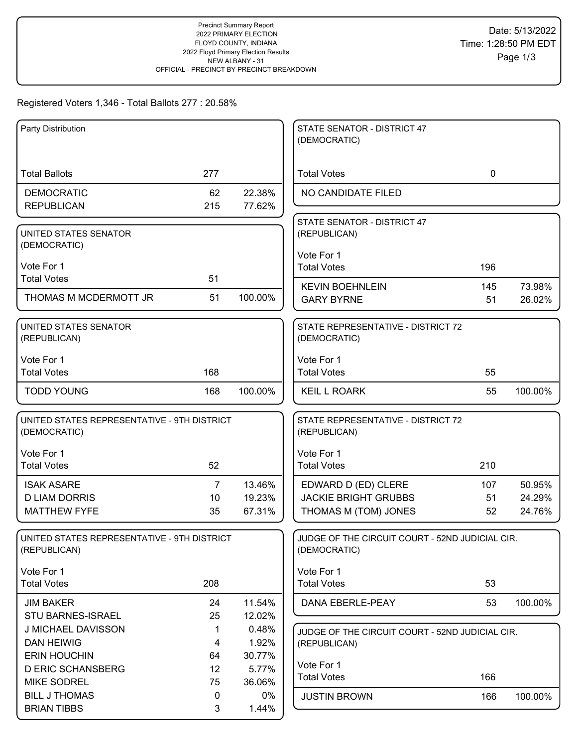### Registered Voters 1,346 - Total Ballots 277 : 20.58%

| Party Distribution                                          |           |                  | STATE SENATOR - DISTRICT 47<br>(DEMOCRATIC)                     |             |                  |
|-------------------------------------------------------------|-----------|------------------|-----------------------------------------------------------------|-------------|------------------|
| <b>Total Ballots</b>                                        | 277       |                  | <b>Total Votes</b>                                              | $\mathbf 0$ |                  |
| <b>DEMOCRATIC</b><br><b>REPUBLICAN</b>                      | 62<br>215 | 22.38%<br>77.62% | NO CANDIDATE FILED                                              |             |                  |
| UNITED STATES SENATOR<br>(DEMOCRATIC)                       |           |                  | STATE SENATOR - DISTRICT 47<br>(REPUBLICAN)                     |             |                  |
| Vote For 1<br><b>Total Votes</b>                            | 51        |                  | Vote For 1<br><b>Total Votes</b>                                | 196         |                  |
| THOMAS M MCDERMOTT JR                                       | 51        | 100.00%          | <b>KEVIN BOEHNLEIN</b><br><b>GARY BYRNE</b>                     | 145<br>51   | 73.98%<br>26.02% |
| UNITED STATES SENATOR<br>(REPUBLICAN)                       |           |                  | STATE REPRESENTATIVE - DISTRICT 72<br>(DEMOCRATIC)              |             |                  |
| Vote For 1<br><b>Total Votes</b>                            | 168       |                  | Vote For 1<br><b>Total Votes</b>                                | 55          |                  |
| <b>TODD YOUNG</b>                                           | 168       | 100.00%          | <b>KEIL L ROARK</b>                                             | 55          | 100.00%          |
| UNITED STATES REPRESENTATIVE - 9TH DISTRICT<br>(DEMOCRATIC) |           |                  | STATE REPRESENTATIVE - DISTRICT 72<br>(REPUBLICAN)              |             |                  |
| Vote For 1<br><b>Total Votes</b>                            | 52        |                  | Vote For 1<br><b>Total Votes</b>                                | 210         |                  |
| <b>ISAK ASARE</b>                                           | 7         | 13.46%           | EDWARD D (ED) CLERE                                             | 107         | 50.95%           |
| <b>D LIAM DORRIS</b>                                        | 10        | 19.23%           | <b>JACKIE BRIGHT GRUBBS</b>                                     | 51          | 24.29%           |
| <b>MATTHEW FYFE</b>                                         | 35        | 67.31%           | THOMAS M (TOM) JONES                                            | 52          | 24.76%           |
| UNITED STATES REPRESENTATIVE - 9TH DISTRICT<br>(REPUBLICAN) |           |                  | JUDGE OF THE CIRCUIT COURT - 52ND JUDICIAL CIR.<br>(DEMOCRATIC) |             |                  |
| Vote For 1<br><b>Total Votes</b>                            | 208       |                  | Vote For 1<br><b>Total Votes</b>                                | 53          |                  |
| <b>JIM BAKER</b>                                            | 24        | 11.54%           | DANA EBERLE-PEAY                                                | 53          | 100.00%          |
| STU BARNES-ISRAEL                                           | 25        | 12.02%           |                                                                 |             |                  |
| J MICHAEL DAVISSON                                          | 1         | 0.48%            | JUDGE OF THE CIRCUIT COURT - 52ND JUDICIAL CIR.                 |             |                  |
| <b>DAN HEIWIG</b>                                           | 4         | 1.92%            | (REPUBLICAN)                                                    |             |                  |
| <b>ERIN HOUCHIN</b><br><b>D ERIC SCHANSBERG</b>             | 64<br>12  | 30.77%<br>5.77%  | Vote For 1                                                      |             |                  |
| <b>MIKE SODREL</b>                                          | 75        | 36.06%           | <b>Total Votes</b>                                              | 166         |                  |
| <b>BILL J THOMAS</b>                                        | 0         | 0%               | <b>JUSTIN BROWN</b>                                             | 166         | 100.00%          |
| <b>BRIAN TIBBS</b>                                          | 3         | 1.44%            |                                                                 |             |                  |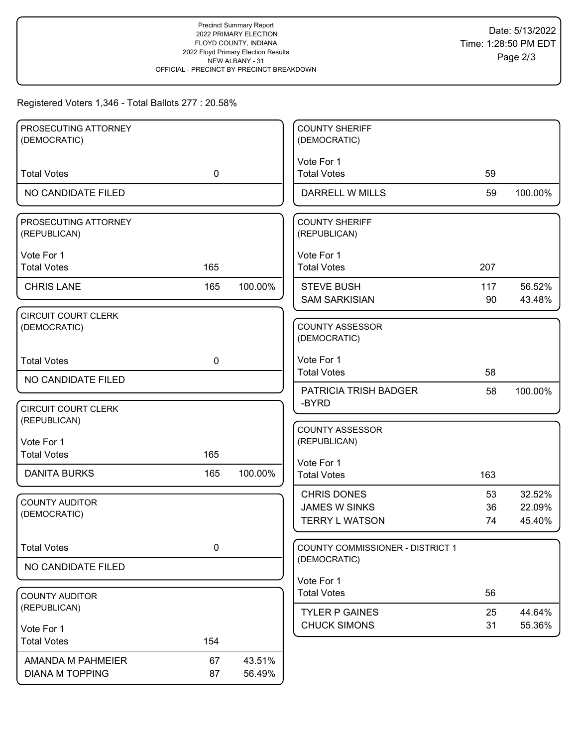### Registered Voters 1,346 - Total Ballots 277 : 20.58%

| PROSECUTING ATTORNEY                       |             |         | <b>COUNTY SHERIFF</b>                  |     |         |
|--------------------------------------------|-------------|---------|----------------------------------------|-----|---------|
| (DEMOCRATIC)                               |             |         | (DEMOCRATIC)                           |     |         |
| <b>Total Votes</b>                         | $\mathbf 0$ |         | Vote For 1<br><b>Total Votes</b>       | 59  |         |
|                                            |             |         |                                        |     |         |
| NO CANDIDATE FILED                         |             |         | <b>DARRELL W MILLS</b>                 | 59  | 100.00% |
| PROSECUTING ATTORNEY<br>(REPUBLICAN)       |             |         | <b>COUNTY SHERIFF</b><br>(REPUBLICAN)  |     |         |
| Vote For 1                                 |             |         | Vote For 1                             |     |         |
| <b>Total Votes</b>                         | 165         |         | <b>Total Votes</b>                     | 207 |         |
| <b>CHRIS LANE</b>                          | 165         | 100.00% | <b>STEVE BUSH</b>                      | 117 | 56.52%  |
|                                            |             |         | <b>SAM SARKISIAN</b>                   | 90  | 43.48%  |
| <b>CIRCUIT COURT CLERK</b><br>(DEMOCRATIC) |             |         | <b>COUNTY ASSESSOR</b><br>(DEMOCRATIC) |     |         |
| <b>Total Votes</b>                         | $\mathbf 0$ |         | Vote For 1                             |     |         |
| NO CANDIDATE FILED                         |             |         | <b>Total Votes</b>                     | 58  |         |
|                                            |             |         | <b>PATRICIA TRISH BADGER</b><br>-BYRD  | 58  | 100.00% |
| <b>CIRCUIT COURT CLERK</b>                 |             |         |                                        |     |         |
| (REPUBLICAN)                               |             |         | <b>COUNTY ASSESSOR</b>                 |     |         |
| Vote For 1                                 |             |         | (REPUBLICAN)                           |     |         |
| <b>Total Votes</b>                         | 165         |         | Vote For 1                             |     |         |
| <b>DANITA BURKS</b>                        | 165         | 100.00% | <b>Total Votes</b>                     | 163 |         |
|                                            |             |         | <b>CHRIS DONES</b>                     | 53  | 32.52%  |
| <b>COUNTY AUDITOR</b><br>(DEMOCRATIC)      |             |         | <b>JAMES W SINKS</b>                   | 36  | 22.09%  |
|                                            |             |         | <b>TERRY L WATSON</b>                  | 74  | 45.40%  |
| <b>Total Votes</b>                         | 0           |         | COUNTY COMMISSIONER - DISTRICT 1       |     |         |
| NO CANDIDATE FILED                         |             |         | (DEMOCRATIC)                           |     |         |
|                                            |             |         | Vote For 1                             |     |         |
| <b>COUNTY AUDITOR</b>                      |             |         | <b>Total Votes</b>                     | 56  |         |
| (REPUBLICAN)                               |             |         | <b>TYLER P GAINES</b>                  | 25  | 44.64%  |
| Vote For 1                                 |             |         | <b>CHUCK SIMONS</b>                    | 31  | 55.36%  |
| <b>Total Votes</b>                         | 154         |         |                                        |     |         |
| AMANDA M PAHMEIER                          | 67          | 43.51%  |                                        |     |         |
| <b>DIANA M TOPPING</b>                     | 87          | 56.49%  |                                        |     |         |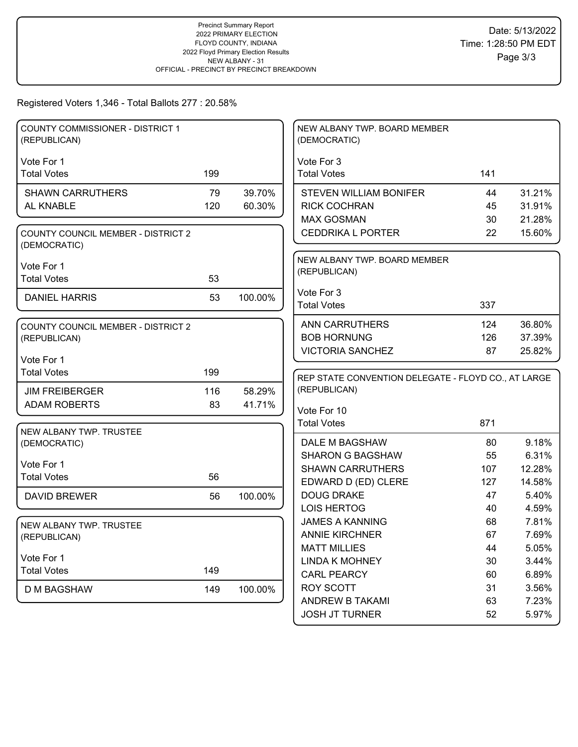## Registered Voters 1,346 - Total Ballots 277 : 20.58%

| <b>COUNTY COMMISSIONER - DISTRICT 1</b><br>(REPUBLICAN)   |     |         | NEW ALBANY TWP. BOARD MEMBER<br>(DEMOCRATIC)        |          |                |
|-----------------------------------------------------------|-----|---------|-----------------------------------------------------|----------|----------------|
|                                                           |     |         |                                                     |          |                |
| Vote For 1<br><b>Total Votes</b>                          | 199 |         | Vote For 3<br><b>Total Votes</b>                    | 141      |                |
|                                                           |     |         |                                                     |          |                |
| <b>SHAWN CARRUTHERS</b>                                   | 79  | 39.70%  | <b>STEVEN WILLIAM BONIFER</b>                       | 44       | 31.21%         |
| AL KNABLE                                                 | 120 | 60.30%  | <b>RICK COCHRAN</b>                                 | 45       | 31.91%         |
|                                                           |     |         | <b>MAX GOSMAN</b>                                   | 30       | 21.28%         |
| <b>COUNTY COUNCIL MEMBER - DISTRICT 2</b><br>(DEMOCRATIC) |     |         | <b>CEDDRIKA L PORTER</b>                            | 22       | 15.60%         |
|                                                           |     |         | NEW ALBANY TWP. BOARD MEMBER                        |          |                |
| Vote For 1<br><b>Total Votes</b>                          | 53  |         | (REPUBLICAN)                                        |          |                |
|                                                           |     |         |                                                     |          |                |
| <b>DANIEL HARRIS</b>                                      | 53  | 100.00% | Vote For 3<br><b>Total Votes</b>                    | 337      |                |
|                                                           |     |         |                                                     |          |                |
| <b>COUNTY COUNCIL MEMBER - DISTRICT 2</b>                 |     |         | <b>ANN CARRUTHERS</b>                               | 124      | 36.80%         |
| (REPUBLICAN)                                              |     |         | <b>BOB HORNUNG</b>                                  | 126      | 37.39%         |
|                                                           |     |         | <b>VICTORIA SANCHEZ</b>                             | 87       | 25.82%         |
| Vote For 1<br><b>Total Votes</b>                          | 199 |         |                                                     |          |                |
|                                                           |     |         | REP STATE CONVENTION DELEGATE - FLOYD CO., AT LARGE |          |                |
| <b>JIM FREIBERGER</b>                                     | 116 | 58.29%  | (REPUBLICAN)                                        |          |                |
| <b>ADAM ROBERTS</b>                                       | 83  | 41.71%  | Vote For 10                                         |          |                |
|                                                           |     |         | <b>Total Votes</b>                                  | 871      |                |
| NEW ALBANY TWP. TRUSTEE                                   |     |         |                                                     |          |                |
| (DEMOCRATIC)                                              |     |         | DALE M BAGSHAW                                      | 80       | 9.18%          |
| Vote For 1                                                |     |         | <b>SHARON G BAGSHAW</b>                             | 55       | 6.31%          |
| <b>Total Votes</b>                                        | 56  |         | <b>SHAWN CARRUTHERS</b>                             | 107      | 12.28%         |
|                                                           |     |         |                                                     |          |                |
| <b>DAVID BREWER</b>                                       |     |         | EDWARD D (ED) CLERE                                 | 127      | 14.58%         |
|                                                           | 56  | 100.00% | <b>DOUG DRAKE</b>                                   | 47       | 5.40%          |
|                                                           |     |         | <b>LOIS HERTOG</b>                                  | 40       | 4.59%          |
| NEW ALBANY TWP. TRUSTEE                                   |     |         | <b>JAMES A KANNING</b>                              | 68       | 7.81%          |
| (REPUBLICAN)                                              |     |         | <b>ANNIE KIRCHNER</b>                               | 67       | 7.69%          |
|                                                           |     |         | <b>MATT MILLIES</b>                                 | 44       | 5.05%          |
| Vote For 1                                                |     |         | <b>LINDA K MOHNEY</b>                               | 30       | 3.44%          |
| <b>Total Votes</b>                                        | 149 |         | <b>CARL PEARCY</b>                                  | 60       | 6.89%          |
| <b>D M BAGSHAW</b>                                        | 149 | 100.00% | ROY SCOTT                                           | 31       | 3.56%          |
|                                                           |     |         | <b>ANDREW B TAKAMI</b><br><b>JOSH JT TURNER</b>     | 63<br>52 | 7.23%<br>5.97% |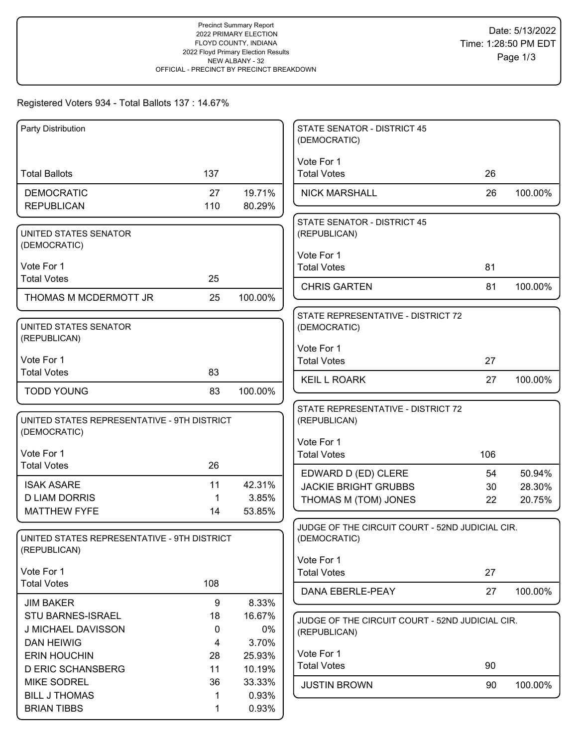### Registered Voters 934 - Total Ballots 137 : 14.67%

| Party Distribution                                          |         |              | <b>STATE SENATOR - DISTRICT 45</b><br>(DEMOCRATIC) |          |                  |
|-------------------------------------------------------------|---------|--------------|----------------------------------------------------|----------|------------------|
|                                                             |         |              | Vote For 1                                         |          |                  |
| <b>Total Ballots</b>                                        | 137     |              | <b>Total Votes</b>                                 | 26       |                  |
| <b>DEMOCRATIC</b>                                           | 27      | 19.71%       | <b>NICK MARSHALL</b>                               | 26       | 100.00%          |
| <b>REPUBLICAN</b>                                           | 110     | 80.29%       |                                                    |          |                  |
|                                                             |         |              | <b>STATE SENATOR - DISTRICT 45</b>                 |          |                  |
| UNITED STATES SENATOR<br>(DEMOCRATIC)                       |         |              | (REPUBLICAN)                                       |          |                  |
|                                                             |         |              | Vote For 1                                         |          |                  |
| Vote For 1<br><b>Total Votes</b>                            | 25      |              | <b>Total Votes</b>                                 | 81       |                  |
|                                                             |         |              | <b>CHRIS GARTEN</b>                                | 81       | 100.00%          |
| THOMAS M MCDERMOTT JR                                       | 25      | 100.00%      |                                                    |          |                  |
| UNITED STATES SENATOR                                       |         |              | STATE REPRESENTATIVE - DISTRICT 72<br>(DEMOCRATIC) |          |                  |
| (REPUBLICAN)                                                |         |              |                                                    |          |                  |
| Vote For 1                                                  |         |              | Vote For 1                                         |          |                  |
| <b>Total Votes</b>                                          | 83      |              | <b>Total Votes</b>                                 | 27       |                  |
| <b>TODD YOUNG</b>                                           | 83      | 100.00%      | <b>KEIL L ROARK</b>                                | 27       | 100.00%          |
|                                                             |         |              |                                                    |          |                  |
| UNITED STATES REPRESENTATIVE - 9TH DISTRICT                 |         |              | STATE REPRESENTATIVE - DISTRICT 72<br>(REPUBLICAN) |          |                  |
| (DEMOCRATIC)                                                |         |              |                                                    |          |                  |
| Vote For 1                                                  |         |              | Vote For 1<br><b>Total Votes</b>                   | 106      |                  |
| <b>Total Votes</b>                                          | 26      |              |                                                    |          |                  |
| <b>ISAK ASARE</b>                                           | 11      | 42.31%       | EDWARD D (ED) CLERE<br><b>JACKIE BRIGHT GRUBBS</b> | 54<br>30 | 50.94%<br>28.30% |
| <b>D LIAM DORRIS</b>                                        | 1       | 3.85%        | THOMAS M (TOM) JONES                               | 22       | 20.75%           |
| <b>MATTHEW FYFE</b>                                         | 14      | 53.85%       |                                                    |          |                  |
|                                                             |         |              | JUDGE OF THE CIRCUIT COURT - 52ND JUDICIAL CIR.    |          |                  |
| UNITED STATES REPRESENTATIVE - 9TH DISTRICT<br>(REPUBLICAN) |         |              | (DEMOCRATIC)                                       |          |                  |
|                                                             |         |              | Vote For 1                                         |          |                  |
| Vote For 1                                                  |         |              | <b>Total Votes</b>                                 | 27       |                  |
| <b>Total Votes</b>                                          | 108     |              | DANA EBERLE-PEAY                                   | 27       | 100.00%          |
| <b>JIM BAKER</b>                                            | 9       | 8.33%        |                                                    |          |                  |
| <b>STU BARNES-ISRAEL</b><br>J MICHAEL DAVISSON              | 18<br>0 | 16.67%<br>0% | JUDGE OF THE CIRCUIT COURT - 52ND JUDICIAL CIR.    |          |                  |
| <b>DAN HEIWIG</b>                                           | 4       | 3.70%        | (REPUBLICAN)                                       |          |                  |
| <b>ERIN HOUCHIN</b>                                         | 28      | 25.93%       | Vote For 1                                         |          |                  |
| <b>D ERIC SCHANSBERG</b>                                    | 11      | 10.19%       | <b>Total Votes</b>                                 | 90       |                  |
| <b>MIKE SODREL</b>                                          | 36      | 33.33%       | <b>JUSTIN BROWN</b>                                | 90       | 100.00%          |
| <b>BILL J THOMAS</b>                                        | 1       | 0.93%        |                                                    |          |                  |
| <b>BRIAN TIBBS</b>                                          | 1       | 0.93%        |                                                    |          |                  |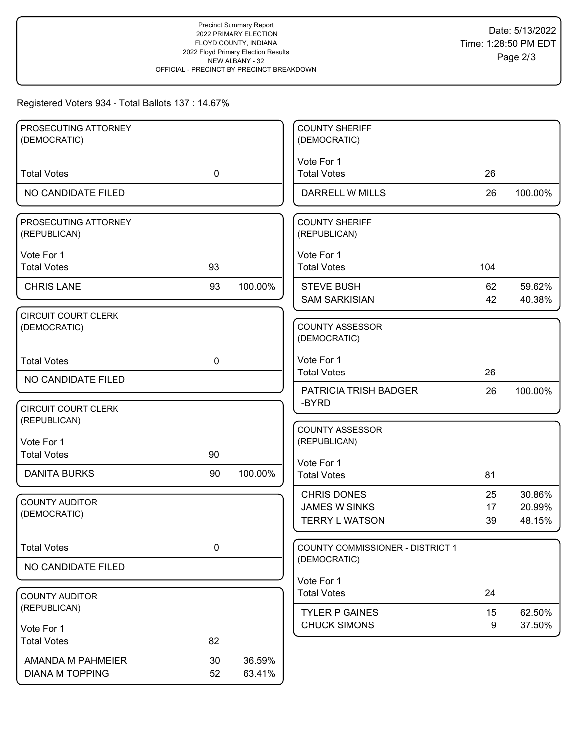### Registered Voters 934 - Total Ballots 137 : 14.67%

| PROSECUTING ATTORNEY<br>(DEMOCRATIC)       |             |         | <b>COUNTY SHERIFF</b><br>(DEMOCRATIC)                   |          |                  |
|--------------------------------------------|-------------|---------|---------------------------------------------------------|----------|------------------|
|                                            |             |         |                                                         |          |                  |
| <b>Total Votes</b>                         | $\mathbf 0$ |         | Vote For 1<br><b>Total Votes</b>                        | 26       |                  |
| NO CANDIDATE FILED                         |             |         | <b>DARRELL W MILLS</b>                                  | 26       | 100.00%          |
| PROSECUTING ATTORNEY<br>(REPUBLICAN)       |             |         | <b>COUNTY SHERIFF</b><br>(REPUBLICAN)                   |          |                  |
| Vote For 1<br><b>Total Votes</b>           | 93          |         | Vote For 1<br><b>Total Votes</b>                        | 104      |                  |
| <b>CHRIS LANE</b>                          | 93          | 100.00% | <b>STEVE BUSH</b><br><b>SAM SARKISIAN</b>               | 62<br>42 | 59.62%<br>40.38% |
| <b>CIRCUIT COURT CLERK</b><br>(DEMOCRATIC) |             |         | <b>COUNTY ASSESSOR</b><br>(DEMOCRATIC)                  |          |                  |
| <b>Total Votes</b>                         | $\mathbf 0$ |         | Vote For 1<br><b>Total Votes</b>                        | 26       |                  |
| NO CANDIDATE FILED                         |             |         | <b>PATRICIA TRISH BADGER</b>                            | 26       | 100.00%          |
| <b>CIRCUIT COURT CLERK</b><br>(REPUBLICAN) |             |         | -BYRD                                                   |          |                  |
| Vote For 1                                 |             |         | <b>COUNTY ASSESSOR</b><br>(REPUBLICAN)                  |          |                  |
| <b>Total Votes</b>                         | 90          |         | Vote For 1                                              |          |                  |
| <b>DANITA BURKS</b>                        | 90          | 100.00% | <b>Total Votes</b>                                      | 81       |                  |
| <b>COUNTY AUDITOR</b>                      |             |         | <b>CHRIS DONES</b>                                      | 25       | 30.86%           |
| (DEMOCRATIC)                               |             |         | <b>JAMES W SINKS</b>                                    | 17       | 20.99%           |
|                                            |             |         | <b>TERRY L WATSON</b>                                   | 39       | 48.15%           |
| <b>Total Votes</b>                         | 0           |         | <b>COUNTY COMMISSIONER - DISTRICT 1</b><br>(DEMOCRATIC) |          |                  |
| NO CANDIDATE FILED                         |             |         |                                                         |          |                  |
|                                            |             |         | Vote For 1<br><b>Total Votes</b>                        | 24       |                  |
| <b>COUNTY AUDITOR</b><br>(REPUBLICAN)      |             |         |                                                         |          |                  |
|                                            |             |         | <b>TYLER P GAINES</b><br><b>CHUCK SIMONS</b>            | 15<br>9  | 62.50%<br>37.50% |
| Vote For 1<br><b>Total Votes</b>           | 82          |         |                                                         |          |                  |
| AMANDA M PAHMEIER                          | 30          | 36.59%  |                                                         |          |                  |
|                                            |             |         |                                                         |          |                  |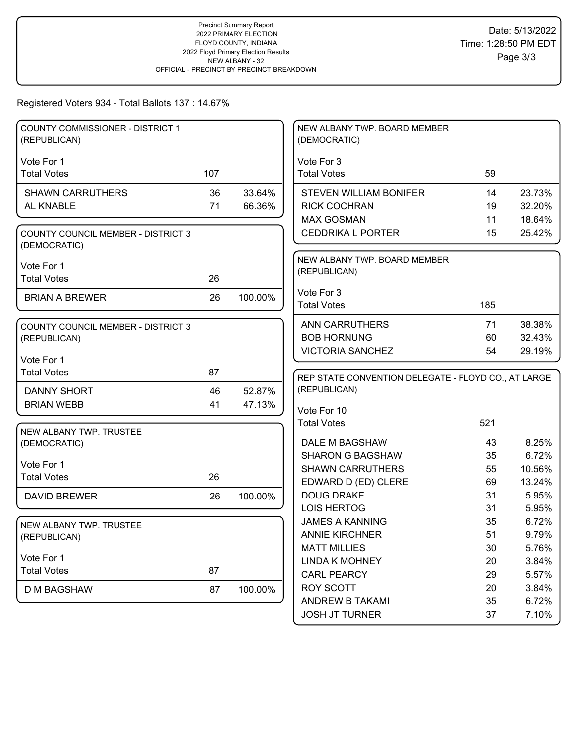## Registered Voters 934 - Total Ballots 137 : 14.67%

| <b>COUNTY COMMISSIONER - DISTRICT 1</b><br>(REPUBLICAN)   |     |         | NEW ALBANY TWP. BOARD MEMBER<br>(DEMOCRATIC)        |     |        |
|-----------------------------------------------------------|-----|---------|-----------------------------------------------------|-----|--------|
|                                                           |     |         |                                                     |     |        |
| Vote For 1<br><b>Total Votes</b>                          | 107 |         | Vote For 3<br><b>Total Votes</b>                    | 59  |        |
|                                                           |     |         |                                                     |     |        |
| <b>SHAWN CARRUTHERS</b>                                   | 36  | 33.64%  | <b>STEVEN WILLIAM BONIFER</b>                       | 14  | 23.73% |
| AL KNABLE                                                 | 71  | 66.36%  | <b>RICK COCHRAN</b>                                 | 19  | 32.20% |
|                                                           |     |         | <b>MAX GOSMAN</b>                                   | 11  | 18.64% |
| <b>COUNTY COUNCIL MEMBER - DISTRICT 3</b><br>(DEMOCRATIC) |     |         | <b>CEDDRIKA L PORTER</b>                            | 15  | 25.42% |
|                                                           |     |         | NEW ALBANY TWP. BOARD MEMBER                        |     |        |
| Vote For 1<br><b>Total Votes</b>                          | 26  |         | (REPUBLICAN)                                        |     |        |
|                                                           |     |         |                                                     |     |        |
| <b>BRIAN A BREWER</b>                                     | 26  | 100.00% | Vote For 3<br><b>Total Votes</b>                    | 185 |        |
|                                                           |     |         |                                                     |     |        |
| <b>COUNTY COUNCIL MEMBER - DISTRICT 3</b>                 |     |         | <b>ANN CARRUTHERS</b>                               | 71  | 38.38% |
| (REPUBLICAN)                                              |     |         | <b>BOB HORNUNG</b>                                  | 60  | 32.43% |
|                                                           |     |         | <b>VICTORIA SANCHEZ</b>                             | 54  | 29.19% |
| Vote For 1<br><b>Total Votes</b>                          | 87  |         |                                                     |     |        |
|                                                           |     |         | REP STATE CONVENTION DELEGATE - FLOYD CO., AT LARGE |     |        |
| <b>DANNY SHORT</b>                                        | 46  | 52.87%  | (REPUBLICAN)                                        |     |        |
| <b>BRIAN WEBB</b>                                         | 41  | 47.13%  | Vote For 10                                         |     |        |
|                                                           |     |         | <b>Total Votes</b>                                  | 521 |        |
| NEW ALBANY TWP. TRUSTEE                                   |     |         |                                                     |     |        |
| (DEMOCRATIC)                                              |     |         |                                                     |     |        |
|                                                           |     |         | DALE M BAGSHAW                                      | 43  | 8.25%  |
|                                                           |     |         | <b>SHARON G BAGSHAW</b>                             | 35  | 6.72%  |
| Vote For 1                                                |     |         | <b>SHAWN CARRUTHERS</b>                             | 55  | 10.56% |
| <b>Total Votes</b>                                        | 26  |         | EDWARD D (ED) CLERE                                 | 69  | 13.24% |
| <b>DAVID BREWER</b>                                       | 26  | 100.00% | <b>DOUG DRAKE</b>                                   | 31  | 5.95%  |
|                                                           |     |         | <b>LOIS HERTOG</b>                                  | 31  | 5.95%  |
| NEW ALBANY TWP. TRUSTEE                                   |     |         | <b>JAMES A KANNING</b>                              | 35  | 6.72%  |
| (REPUBLICAN)                                              |     |         | <b>ANNIE KIRCHNER</b>                               | 51  | 9.79%  |
|                                                           |     |         | <b>MATT MILLIES</b>                                 | 30  | 5.76%  |
| Vote For 1                                                |     |         | <b>LINDA K MOHNEY</b>                               | 20  | 3.84%  |
| <b>Total Votes</b>                                        | 87  |         | <b>CARL PEARCY</b>                                  | 29  | 5.57%  |
| <b>D M BAGSHAW</b>                                        | 87  | 100.00% | <b>ROY SCOTT</b>                                    | 20  | 3.84%  |
|                                                           |     |         | <b>ANDREW B TAKAMI</b>                              | 35  | 6.72%  |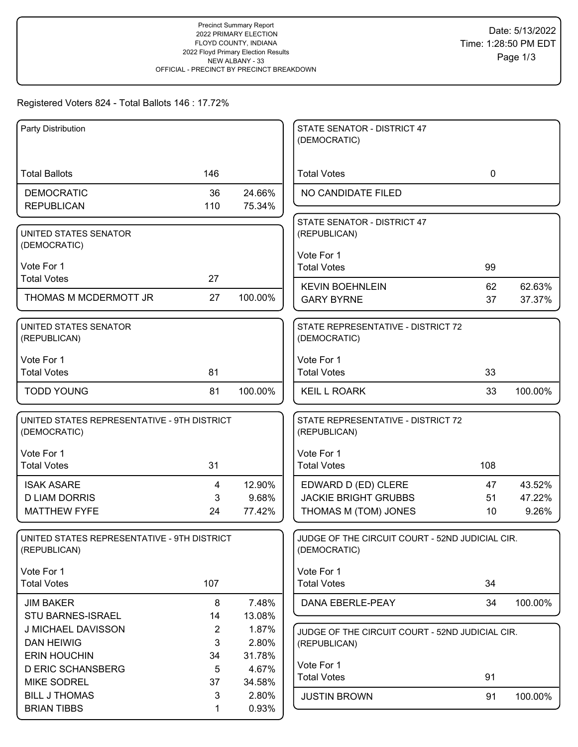# Registered Voters 824 - Total Ballots 146 : 17.72%

| Party Distribution                          |                |         | STATE SENATOR - DISTRICT 47                     |             |         |
|---------------------------------------------|----------------|---------|-------------------------------------------------|-------------|---------|
|                                             |                |         | (DEMOCRATIC)                                    |             |         |
|                                             |                |         |                                                 |             |         |
| <b>Total Ballots</b>                        | 146            |         | <b>Total Votes</b>                              | $\mathbf 0$ |         |
| <b>DEMOCRATIC</b>                           | 36             | 24.66%  | NO CANDIDATE FILED                              |             |         |
| <b>REPUBLICAN</b>                           | 110            | 75.34%  |                                                 |             |         |
|                                             |                |         | STATE SENATOR - DISTRICT 47                     |             |         |
| UNITED STATES SENATOR                       |                |         | (REPUBLICAN)                                    |             |         |
| (DEMOCRATIC)                                |                |         |                                                 |             |         |
|                                             |                |         | Vote For 1                                      |             |         |
| Vote For 1                                  |                |         | <b>Total Votes</b>                              | 99          |         |
| <b>Total Votes</b>                          | 27             |         | <b>KEVIN BOEHNLEIN</b>                          | 62          | 62.63%  |
| THOMAS M MCDERMOTT JR                       | 27             | 100.00% | <b>GARY BYRNE</b>                               | 37          | 37.37%  |
|                                             |                |         |                                                 |             |         |
| UNITED STATES SENATOR                       |                |         | STATE REPRESENTATIVE - DISTRICT 72              |             |         |
| (REPUBLICAN)                                |                |         | (DEMOCRATIC)                                    |             |         |
|                                             |                |         |                                                 |             |         |
| Vote For 1                                  |                |         | Vote For 1                                      |             |         |
| <b>Total Votes</b>                          | 81             |         | <b>Total Votes</b>                              | 33          |         |
| <b>TODD YOUNG</b>                           | 81             | 100.00% | <b>KEIL L ROARK</b>                             | 33          | 100.00% |
|                                             |                |         |                                                 |             |         |
| UNITED STATES REPRESENTATIVE - 9TH DISTRICT |                |         | STATE REPRESENTATIVE - DISTRICT 72              |             |         |
| (DEMOCRATIC)                                |                |         | (REPUBLICAN)                                    |             |         |
|                                             |                |         |                                                 |             |         |
| Vote For 1                                  |                |         | Vote For 1                                      |             |         |
| <b>Total Votes</b>                          | 31             |         | <b>Total Votes</b>                              | 108         |         |
| <b>ISAK ASARE</b>                           | 4              | 12.90%  | EDWARD D (ED) CLERE                             | 47          | 43.52%  |
| <b>D LIAM DORRIS</b>                        | 3              | 9.68%   | <b>JACKIE BRIGHT GRUBBS</b>                     | 51          | 47.22%  |
| <b>MATTHEW FYFE</b>                         | 24             | 77.42%  | THOMAS M (TOM) JONES                            | 10          | 9.26%   |
|                                             |                |         |                                                 |             |         |
| UNITED STATES REPRESENTATIVE - 9TH DISTRICT |                |         | JUDGE OF THE CIRCUIT COURT - 52ND JUDICIAL CIR. |             |         |
| (REPUBLICAN)                                |                |         | (DEMOCRATIC)                                    |             |         |
|                                             |                |         |                                                 |             |         |
| Vote For 1<br><b>Total Votes</b>            | 107            |         | Vote For 1<br><b>Total Votes</b>                | 34          |         |
|                                             |                |         |                                                 |             |         |
| <b>JIM BAKER</b>                            | 8              | 7.48%   | DANA EBERLE-PEAY                                | 34          | 100.00% |
| STU BARNES-ISRAEL                           | 14             | 13.08%  |                                                 |             |         |
| J MICHAEL DAVISSON                          | $\overline{2}$ | 1.87%   | JUDGE OF THE CIRCUIT COURT - 52ND JUDICIAL CIR. |             |         |
| <b>DAN HEIWIG</b>                           | 3              | 2.80%   | (REPUBLICAN)                                    |             |         |
| <b>ERIN HOUCHIN</b>                         | 34             | 31.78%  |                                                 |             |         |
| <b>D ERIC SCHANSBERG</b>                    | 5              | 4.67%   | Vote For 1<br><b>Total Votes</b>                |             |         |
| <b>MIKE SODREL</b>                          | 37             | 34.58%  |                                                 | 91          |         |
| <b>BILL J THOMAS</b>                        | 3              | 2.80%   | <b>JUSTIN BROWN</b>                             | 91          | 100.00% |
| <b>BRIAN TIBBS</b>                          | 1              | 0.93%   |                                                 |             |         |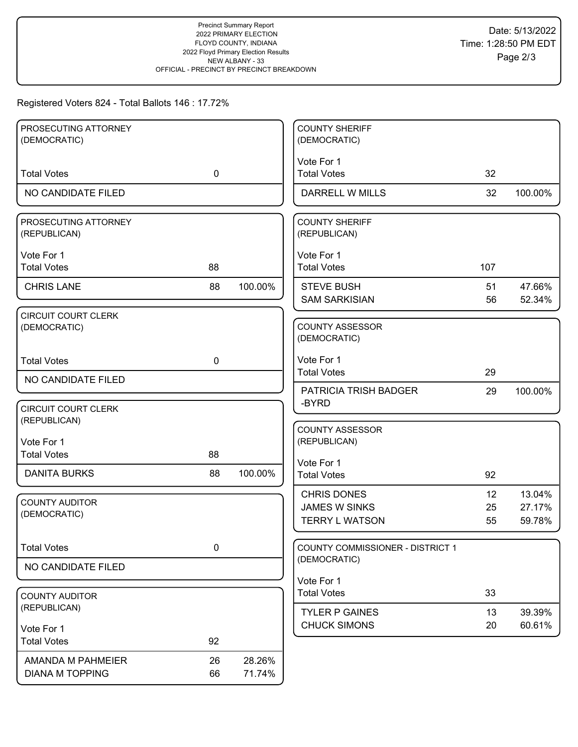# Registered Voters 824 - Total Ballots 146 : 17.72%

| PROSECUTING ATTORNEY                       |             |         | <b>COUNTY SHERIFF</b>                  |                 |         |
|--------------------------------------------|-------------|---------|----------------------------------------|-----------------|---------|
| (DEMOCRATIC)                               |             |         | (DEMOCRATIC)                           |                 |         |
|                                            |             |         | Vote For 1                             |                 |         |
| <b>Total Votes</b>                         | $\mathbf 0$ |         | <b>Total Votes</b>                     | 32              |         |
| NO CANDIDATE FILED                         |             |         | DARRELL W MILLS                        | 32              | 100.00% |
| PROSECUTING ATTORNEY<br>(REPUBLICAN)       |             |         | <b>COUNTY SHERIFF</b><br>(REPUBLICAN)  |                 |         |
| Vote For 1                                 |             |         | Vote For 1                             |                 |         |
| <b>Total Votes</b>                         | 88          |         | <b>Total Votes</b>                     | 107             |         |
| <b>CHRIS LANE</b>                          | 88          | 100.00% | <b>STEVE BUSH</b>                      | 51              | 47.66%  |
|                                            |             |         | <b>SAM SARKISIAN</b>                   | 56              | 52.34%  |
| <b>CIRCUIT COURT CLERK</b><br>(DEMOCRATIC) |             |         | <b>COUNTY ASSESSOR</b><br>(DEMOCRATIC) |                 |         |
| <b>Total Votes</b>                         | $\mathbf 0$ |         | Vote For 1                             |                 |         |
| NO CANDIDATE FILED                         |             |         | <b>Total Votes</b>                     | 29              |         |
|                                            |             |         | PATRICIA TRISH BADGER                  | 29              | 100.00% |
| <b>CIRCUIT COURT CLERK</b>                 |             |         | -BYRD                                  |                 |         |
| (REPUBLICAN)                               |             |         | <b>COUNTY ASSESSOR</b>                 |                 |         |
| Vote For 1                                 |             |         | (REPUBLICAN)                           |                 |         |
| <b>Total Votes</b>                         | 88          |         | Vote For 1                             |                 |         |
| <b>DANITA BURKS</b>                        | 88          | 100.00% | <b>Total Votes</b>                     | 92              |         |
| <b>COUNTY AUDITOR</b>                      |             |         | <b>CHRIS DONES</b>                     | 12 <sup>2</sup> | 13.04%  |
| (DEMOCRATIC)                               |             |         | <b>JAMES W SINKS</b>                   | 25              | 27.17%  |
|                                            |             |         | <b>TERRY L WATSON</b>                  | 55              | 59.78%  |
| <b>Total Votes</b>                         | $\mathbf 0$ |         | COUNTY COMMISSIONER - DISTRICT 1       |                 |         |
| NO CANDIDATE FILED                         |             |         | (DEMOCRATIC)                           |                 |         |
|                                            |             |         | Vote For 1                             |                 |         |
| <b>COUNTY AUDITOR</b>                      |             |         | <b>Total Votes</b>                     | 33              |         |
| (REPUBLICAN)                               |             |         | <b>TYLER P GAINES</b>                  | 13              | 39.39%  |
| Vote For 1                                 |             |         | <b>CHUCK SIMONS</b>                    | 20              | 60.61%  |
| <b>Total Votes</b>                         | 92          |         |                                        |                 |         |
| AMANDA M PAHMEIER                          | 26          | 28.26%  |                                        |                 |         |
| <b>DIANA M TOPPING</b>                     | 66          | 71.74%  |                                        |                 |         |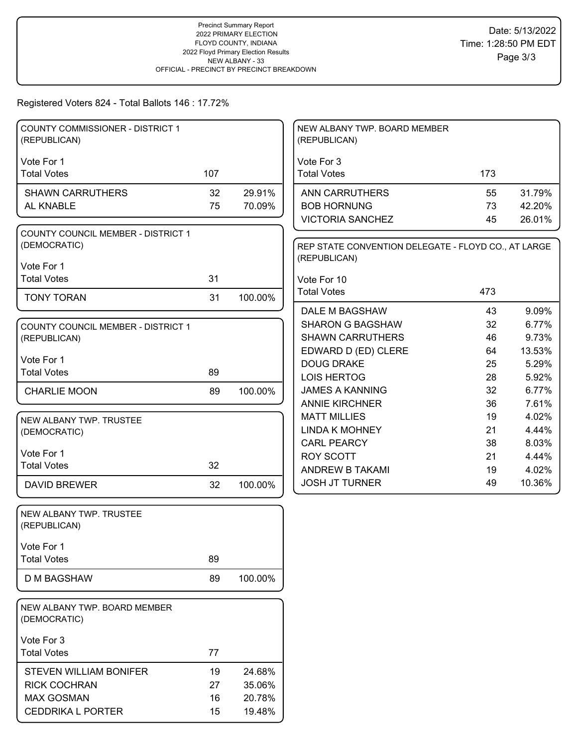# Registered Voters 824 - Total Ballots 146 : 17.72%

| <b>COUNTY COMMISSIONER - DISTRICT 1</b><br>(REPUBLICAN)   |     |         | NEW ALBANY TWP. BOARD MEMBER<br>(REPUBLICAN)                        |          |                 |
|-----------------------------------------------------------|-----|---------|---------------------------------------------------------------------|----------|-----------------|
|                                                           |     |         |                                                                     |          |                 |
| Vote For 1<br><b>Total Votes</b>                          | 107 |         | Vote For 3<br><b>Total Votes</b>                                    | 173      |                 |
| <b>SHAWN CARRUTHERS</b>                                   | 32  | 29.91%  | <b>ANN CARRUTHERS</b>                                               | 55       | 31.79%          |
| AL KNABLE                                                 | 75  | 70.09%  | <b>BOB HORNUNG</b>                                                  | 73       | 42.20%          |
|                                                           |     |         | <b>VICTORIA SANCHEZ</b>                                             | 45       | 26.01%          |
| <b>COUNTY COUNCIL MEMBER - DISTRICT 1</b><br>(DEMOCRATIC) |     |         | REP STATE CONVENTION DELEGATE - FLOYD CO., AT LARGE<br>(REPUBLICAN) |          |                 |
| Vote For 1                                                |     |         |                                                                     |          |                 |
| <b>Total Votes</b>                                        | 31  |         | Vote For 10                                                         |          |                 |
| <b>TONY TORAN</b>                                         | 31  | 100.00% | <b>Total Votes</b>                                                  | 473      |                 |
|                                                           |     |         | <b>DALE M BAGSHAW</b>                                               | 43       | 9.09%           |
| <b>COUNTY COUNCIL MEMBER - DISTRICT 1</b>                 |     |         | <b>SHARON G BAGSHAW</b>                                             | 32       | 6.77%           |
| (REPUBLICAN)                                              |     |         | <b>SHAWN CARRUTHERS</b>                                             | 46       | 9.73%           |
| Vote For 1                                                |     |         | EDWARD D (ED) CLERE                                                 | 64       | 13.53%          |
| <b>Total Votes</b>                                        | 89  |         | <b>DOUG DRAKE</b>                                                   | 25       | 5.29%           |
|                                                           |     |         | <b>LOIS HERTOG</b>                                                  | 28       | 5.92%           |
| <b>CHARLIE MOON</b>                                       | 89  | 100.00% | <b>JAMES A KANNING</b>                                              | 32       | 6.77%           |
|                                                           |     |         | <b>ANNIE KIRCHNER</b>                                               | 36       | 7.61%           |
| NEW ALBANY TWP. TRUSTEE                                   |     |         | <b>MATT MILLIES</b>                                                 | 19       | 4.02%           |
| (DEMOCRATIC)                                              |     |         | <b>LINDA K MOHNEY</b>                                               | 21       | 4.44%           |
| Vote For 1                                                |     |         | <b>CARL PEARCY</b>                                                  | 38       | 8.03%           |
| <b>Total Votes</b>                                        | 32  |         | <b>ROY SCOTT</b><br>ANDREW B TAKAMI                                 | 21<br>19 | 4.44%           |
|                                                           |     |         | <b>JOSH JT TURNER</b>                                               | 49       | 4.02%<br>10.36% |
| <b>DAVID BREWER</b>                                       | 32  | 100.00% |                                                                     |          |                 |
| NEW ALBANY TWP. TRUSTEE<br>(REPUBLICAN)                   |     |         |                                                                     |          |                 |
| Vote For 1                                                |     |         |                                                                     |          |                 |
| <b>Total Votes</b>                                        | 89  |         |                                                                     |          |                 |
| <b>D M BAGSHAW</b>                                        | 89  | 100.00% |                                                                     |          |                 |
| NEW ALBANY TWP. BOARD MEMBER<br>(DEMOCRATIC)              |     |         |                                                                     |          |                 |
| Vote For 3                                                |     |         |                                                                     |          |                 |
| <b>Total Votes</b>                                        | 77  |         |                                                                     |          |                 |
| STEVEN WILLIAM BONIFER                                    | 19  | 24.68%  |                                                                     |          |                 |
| <b>RICK COCHRAN</b>                                       | 27  | 35.06%  |                                                                     |          |                 |
| <b>MAX GOSMAN</b>                                         | 16  | 20.78%  |                                                                     |          |                 |
| <b>CEDDRIKA L PORTER</b>                                  | 15  | 19.48%  |                                                                     |          |                 |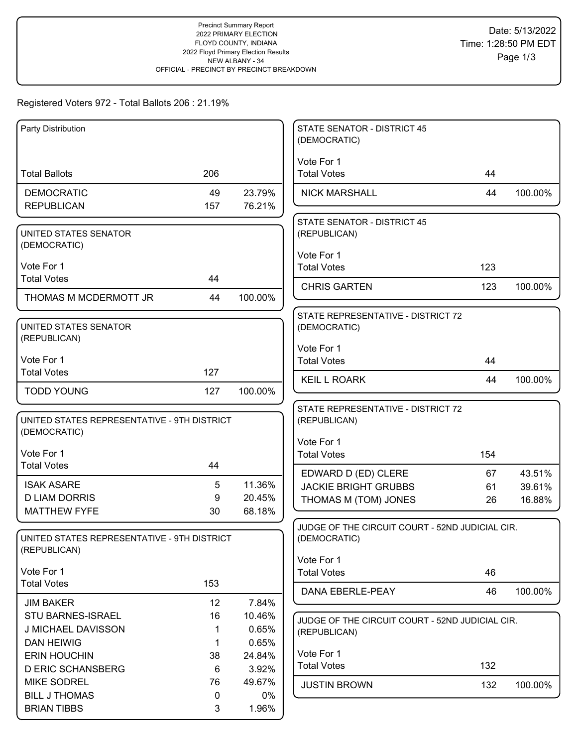# Registered Voters 972 - Total Ballots 206 : 21.19%

| Party Distribution                                          |         |                 | <b>STATE SENATOR - DISTRICT 45</b><br>(DEMOCRATIC) |     |         |
|-------------------------------------------------------------|---------|-----------------|----------------------------------------------------|-----|---------|
|                                                             |         |                 | Vote For 1                                         |     |         |
| <b>Total Ballots</b>                                        | 206     |                 | <b>Total Votes</b>                                 | 44  |         |
| <b>DEMOCRATIC</b>                                           | 49      | 23.79%          | <b>NICK MARSHALL</b>                               | 44  | 100.00% |
| <b>REPUBLICAN</b>                                           | 157     | 76.21%          |                                                    |     |         |
|                                                             |         |                 | <b>STATE SENATOR - DISTRICT 45</b>                 |     |         |
| UNITED STATES SENATOR<br>(DEMOCRATIC)                       |         |                 | (REPUBLICAN)                                       |     |         |
|                                                             |         |                 | Vote For 1                                         |     |         |
| Vote For 1                                                  |         |                 | <b>Total Votes</b>                                 | 123 |         |
| <b>Total Votes</b>                                          | 44      |                 | <b>CHRIS GARTEN</b>                                | 123 | 100.00% |
| THOMAS M MCDERMOTT JR                                       | 44      | 100.00%         |                                                    |     |         |
|                                                             |         |                 | STATE REPRESENTATIVE - DISTRICT 72                 |     |         |
| UNITED STATES SENATOR                                       |         |                 | (DEMOCRATIC)                                       |     |         |
| (REPUBLICAN)                                                |         |                 | Vote For 1                                         |     |         |
| Vote For 1                                                  |         |                 | <b>Total Votes</b>                                 | 44  |         |
| <b>Total Votes</b>                                          | 127     |                 | <b>KEIL L ROARK</b>                                | 44  | 100.00% |
| <b>TODD YOUNG</b>                                           | 127     | 100.00%         |                                                    |     |         |
|                                                             |         |                 | STATE REPRESENTATIVE - DISTRICT 72                 |     |         |
| UNITED STATES REPRESENTATIVE - 9TH DISTRICT                 |         |                 | (REPUBLICAN)                                       |     |         |
| (DEMOCRATIC)                                                |         |                 | Vote For 1                                         |     |         |
| Vote For 1                                                  |         |                 | <b>Total Votes</b>                                 | 154 |         |
| <b>Total Votes</b>                                          | 44      |                 | EDWARD D (ED) CLERE                                | 67  | 43.51%  |
| <b>ISAK ASARE</b>                                           | 5       | 11.36%          | <b>JACKIE BRIGHT GRUBBS</b>                        | 61  | 39.61%  |
| <b>D LIAM DORRIS</b>                                        | 9       | 20.45%          | THOMAS M (TOM) JONES                               | 26  | 16.88%  |
| <b>MATTHEW FYFE</b>                                         | 30      | 68.18%          |                                                    |     |         |
|                                                             |         |                 | JUDGE OF THE CIRCUIT COURT - 52ND JUDICIAL CIR.    |     |         |
| UNITED STATES REPRESENTATIVE - 9TH DISTRICT<br>(REPUBLICAN) |         |                 | (DEMOCRATIC)                                       |     |         |
|                                                             |         |                 | Vote For 1                                         |     |         |
| Vote For 1                                                  |         |                 | <b>Total Votes</b>                                 | 46  |         |
| <b>Total Votes</b>                                          | 153     |                 | DANA EBERLE-PEAY                                   | 46  | 100.00% |
| <b>JIM BAKER</b>                                            | 12      | 7.84%           |                                                    |     |         |
| STU BARNES-ISRAEL                                           | 16      | 10.46%          | JUDGE OF THE CIRCUIT COURT - 52ND JUDICIAL CIR.    |     |         |
| J MICHAEL DAVISSON                                          |         | 0.65%           | (REPUBLICAN)                                       |     |         |
| <b>DAN HEIWIG</b>                                           | 1       | 0.65%           | Vote For 1                                         |     |         |
| <b>ERIN HOUCHIN</b><br><b>D ERIC SCHANSBERG</b>             | 38<br>6 | 24.84%<br>3.92% | <b>Total Votes</b>                                 | 132 |         |
| <b>MIKE SODREL</b>                                          | 76      | 49.67%          |                                                    |     |         |
| <b>BILL J THOMAS</b>                                        | 0       | $0\%$           | <b>JUSTIN BROWN</b>                                | 132 | 100.00% |
| <b>BRIAN TIBBS</b>                                          | 3       | 1.96%           |                                                    |     |         |
|                                                             |         |                 |                                                    |     |         |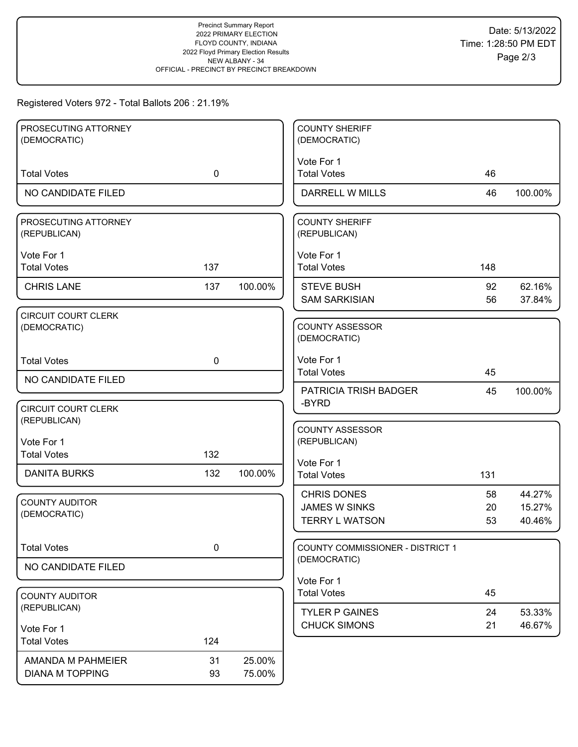# Registered Voters 972 - Total Ballots 206 : 21.19%

| PROSECUTING ATTORNEY                       |             |         | <b>COUNTY SHERIFF</b>            |          |                  |
|--------------------------------------------|-------------|---------|----------------------------------|----------|------------------|
| (DEMOCRATIC)                               |             |         | (DEMOCRATIC)                     |          |                  |
|                                            |             |         | Vote For 1                       |          |                  |
| <b>Total Votes</b>                         | $\mathbf 0$ |         | <b>Total Votes</b>               | 46       |                  |
| NO CANDIDATE FILED                         |             |         | <b>DARRELL W MILLS</b>           | 46       | 100.00%          |
| PROSECUTING ATTORNEY                       |             |         | <b>COUNTY SHERIFF</b>            |          |                  |
| (REPUBLICAN)                               |             |         | (REPUBLICAN)                     |          |                  |
|                                            |             |         |                                  |          |                  |
| Vote For 1<br><b>Total Votes</b>           | 137         |         | Vote For 1<br><b>Total Votes</b> | 148      |                  |
|                                            |             |         |                                  |          |                  |
| <b>CHRIS LANE</b>                          | 137         | 100.00% | <b>STEVE BUSH</b>                | 92       | 62.16%           |
|                                            |             |         | <b>SAM SARKISIAN</b>             | 56       | 37.84%           |
| <b>CIRCUIT COURT CLERK</b><br>(DEMOCRATIC) |             |         | <b>COUNTY ASSESSOR</b>           |          |                  |
|                                            |             |         | (DEMOCRATIC)                     |          |                  |
|                                            |             |         |                                  |          |                  |
| <b>Total Votes</b>                         | $\mathbf 0$ |         | Vote For 1<br><b>Total Votes</b> | 45       |                  |
| NO CANDIDATE FILED                         |             |         |                                  |          |                  |
|                                            |             |         | PATRICIA TRISH BADGER            | 45       | 100.00%          |
| <b>CIRCUIT COURT CLERK</b>                 |             |         | -BYRD                            |          |                  |
| (REPUBLICAN)                               |             |         | <b>COUNTY ASSESSOR</b>           |          |                  |
| Vote For 1                                 |             |         | (REPUBLICAN)                     |          |                  |
| <b>Total Votes</b>                         | 132         |         |                                  |          |                  |
| <b>DANITA BURKS</b>                        | 132         | 100.00% | Vote For 1<br><b>Total Votes</b> | 131      |                  |
|                                            |             |         |                                  |          |                  |
| <b>COUNTY AUDITOR</b>                      |             |         | <b>CHRIS DONES</b>               | 58       | 44.27%           |
| (DEMOCRATIC)                               |             |         | <b>JAMES W SINKS</b>             | 20<br>53 | 15.27%<br>40.46% |
|                                            |             |         | <b>TERRY L WATSON</b>            |          |                  |
| <b>Total Votes</b>                         | 0           |         | COUNTY COMMISSIONER - DISTRICT 1 |          |                  |
|                                            |             |         | (DEMOCRATIC)                     |          |                  |
| NO CANDIDATE FILED                         |             |         |                                  |          |                  |
|                                            |             |         | Vote For 1<br><b>Total Votes</b> | 45       |                  |
| <b>COUNTY AUDITOR</b><br>(REPUBLICAN)      |             |         |                                  |          |                  |
|                                            |             |         | <b>TYLER P GAINES</b>            | 24       | 53.33%           |
| Vote For 1                                 |             |         | <b>CHUCK SIMONS</b>              | 21       | 46.67%           |
| <b>Total Votes</b>                         | 124         |         |                                  |          |                  |
| AMANDA M PAHMEIER                          | 31          | 25.00%  |                                  |          |                  |
| <b>DIANA M TOPPING</b>                     | 93          | 75.00%  |                                  |          |                  |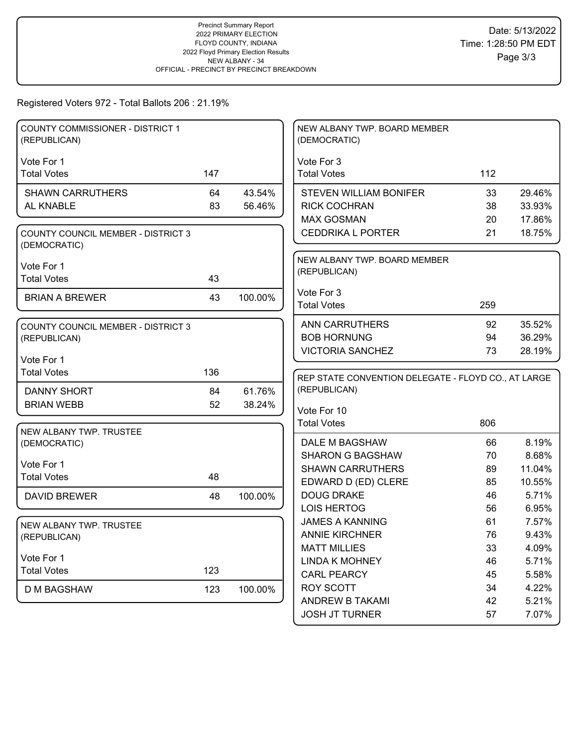# Registered Voters 972 - Total Ballots 206 : 21.19%

| COUNTY COMMISSIONER - DISTRICT 1<br>(REPUBLICAN)          |     |         | NEW ALBANY TWP. BOARD MEMBER<br>(DEMOCRATIC)        |     |        |
|-----------------------------------------------------------|-----|---------|-----------------------------------------------------|-----|--------|
|                                                           |     |         |                                                     |     |        |
| Vote For 1<br><b>Total Votes</b>                          | 147 |         | Vote For 3<br><b>Total Votes</b>                    | 112 |        |
|                                                           |     |         |                                                     |     |        |
| <b>SHAWN CARRUTHERS</b>                                   | 64  | 43.54%  | <b>STEVEN WILLIAM BONIFER</b>                       | 33  | 29.46% |
| AL KNABLE                                                 | 83  | 56.46%  | <b>RICK COCHRAN</b>                                 | 38  | 33.93% |
|                                                           |     |         | <b>MAX GOSMAN</b>                                   | 20  | 17.86% |
| <b>COUNTY COUNCIL MEMBER - DISTRICT 3</b><br>(DEMOCRATIC) |     |         | <b>CEDDRIKA L PORTER</b>                            | 21  | 18.75% |
|                                                           |     |         | NEW ALBANY TWP. BOARD MEMBER                        |     |        |
| Vote For 1<br><b>Total Votes</b>                          | 43  |         | (REPUBLICAN)                                        |     |        |
|                                                           |     |         |                                                     |     |        |
| <b>BRIAN A BREWER</b>                                     | 43  | 100.00% | Vote For 3<br><b>Total Votes</b>                    | 259 |        |
|                                                           |     |         |                                                     |     |        |
| <b>COUNTY COUNCIL MEMBER - DISTRICT 3</b>                 |     |         | <b>ANN CARRUTHERS</b>                               | 92  | 35.52% |
| (REPUBLICAN)                                              |     |         | <b>BOB HORNUNG</b>                                  | 94  | 36.29% |
|                                                           |     |         | <b>VICTORIA SANCHEZ</b>                             | 73  | 28.19% |
| Vote For 1<br><b>Total Votes</b>                          | 136 |         |                                                     |     |        |
|                                                           |     |         | REP STATE CONVENTION DELEGATE - FLOYD CO., AT LARGE |     |        |
| <b>DANNY SHORT</b>                                        | 84  | 61.76%  | (REPUBLICAN)                                        |     |        |
| <b>BRIAN WEBB</b>                                         | 52  | 38.24%  | Vote For 10                                         |     |        |
|                                                           |     |         | <b>Total Votes</b>                                  | 806 |        |
| NEW ALBANY TWP. TRUSTEE                                   |     |         |                                                     |     |        |
| (DEMOCRATIC)                                              |     |         |                                                     |     |        |
|                                                           |     |         | DALE M BAGSHAW                                      | 66  | 8.19%  |
|                                                           |     |         | <b>SHARON G BAGSHAW</b>                             | 70  | 8.68%  |
| Vote For 1                                                |     |         | <b>SHAWN CARRUTHERS</b>                             | 89  | 11.04% |
| <b>Total Votes</b>                                        | 48  |         | EDWARD D (ED) CLERE                                 | 85  | 10.55% |
| <b>DAVID BREWER</b>                                       | 48  | 100.00% | <b>DOUG DRAKE</b>                                   | 46  | 5.71%  |
|                                                           |     |         | <b>LOIS HERTOG</b>                                  | 56  | 6.95%  |
| NEW ALBANY TWP. TRUSTEE                                   |     |         | <b>JAMES A KANNING</b>                              | 61  | 7.57%  |
| (REPUBLICAN)                                              |     |         | <b>ANNIE KIRCHNER</b>                               | 76  | 9.43%  |
|                                                           |     |         | <b>MATT MILLIES</b>                                 | 33  | 4.09%  |
| Vote For 1                                                |     |         | <b>LINDA K MOHNEY</b>                               | 46  | 5.71%  |
| <b>Total Votes</b>                                        | 123 |         | <b>CARL PEARCY</b>                                  | 45  | 5.58%  |
| <b>D M BAGSHAW</b>                                        | 123 | 100.00% | <b>ROY SCOTT</b>                                    | 34  | 4.22%  |
|                                                           |     |         | ANDREW B TAKAMI                                     | 42  | 5.21%  |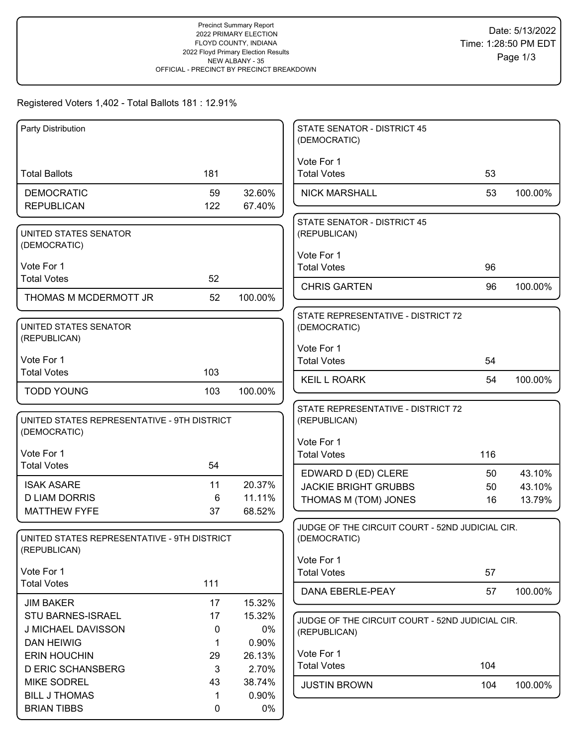## Registered Voters 1,402 - Total Ballots 181 : 12.91%

| Party Distribution                                          |             |                 | STATE SENATOR - DISTRICT 45<br>(DEMOCRATIC)     |     |         |
|-------------------------------------------------------------|-------------|-----------------|-------------------------------------------------|-----|---------|
|                                                             |             |                 | Vote For 1                                      |     |         |
| <b>Total Ballots</b>                                        | 181         |                 | <b>Total Votes</b>                              | 53  |         |
| <b>DEMOCRATIC</b>                                           | 59          | 32.60%          | <b>NICK MARSHALL</b>                            | 53  | 100.00% |
| <b>REPUBLICAN</b>                                           | 122         | 67.40%          |                                                 |     |         |
|                                                             |             |                 | STATE SENATOR - DISTRICT 45                     |     |         |
| UNITED STATES SENATOR<br>(DEMOCRATIC)                       |             |                 | (REPUBLICAN)                                    |     |         |
|                                                             |             |                 | Vote For 1                                      |     |         |
| Vote For 1                                                  |             |                 | <b>Total Votes</b>                              | 96  |         |
| <b>Total Votes</b>                                          | 52          |                 | <b>CHRIS GARTEN</b>                             | 96  | 100.00% |
| THOMAS M MCDERMOTT JR                                       | 52          | 100.00%         |                                                 |     |         |
|                                                             |             |                 | STATE REPRESENTATIVE - DISTRICT 72              |     |         |
| <b>UNITED STATES SENATOR</b><br>(REPUBLICAN)                |             |                 | (DEMOCRATIC)                                    |     |         |
|                                                             |             |                 | Vote For 1                                      |     |         |
| Vote For 1                                                  |             |                 | <b>Total Votes</b>                              | 54  |         |
| <b>Total Votes</b>                                          | 103         |                 | <b>KEIL L ROARK</b>                             | 54  | 100.00% |
| <b>TODD YOUNG</b>                                           | 103         | 100.00%         |                                                 |     |         |
|                                                             |             |                 | STATE REPRESENTATIVE - DISTRICT 72              |     |         |
| UNITED STATES REPRESENTATIVE - 9TH DISTRICT<br>(DEMOCRATIC) |             |                 | (REPUBLICAN)                                    |     |         |
|                                                             |             |                 | Vote For 1                                      |     |         |
| Vote For 1                                                  |             |                 | <b>Total Votes</b>                              | 116 |         |
| <b>Total Votes</b>                                          | 54          |                 | EDWARD D (ED) CLERE                             | 50  | 43.10%  |
| <b>ISAK ASARE</b>                                           | 11          | 20.37%          | <b>JACKIE BRIGHT GRUBBS</b>                     | 50  | 43.10%  |
| <b>D LIAM DORRIS</b><br><b>MATTHEW FYFE</b>                 | 6           | 11.11%          | THOMAS M (TOM) JONES                            | 16  | 13.79%  |
|                                                             | 37          | 68.52%          | JUDGE OF THE CIRCUIT COURT - 52ND JUDICIAL CIR. |     |         |
| UNITED STATES REPRESENTATIVE - 9TH DISTRICT                 |             |                 | (DEMOCRATIC)                                    |     |         |
| (REPUBLICAN)                                                |             |                 |                                                 |     |         |
| Vote For 1                                                  |             |                 | Vote For 1<br><b>Total Votes</b>                | 57  |         |
| <b>Total Votes</b>                                          | 111         |                 |                                                 |     |         |
| <b>JIM BAKER</b>                                            | 17          | 15.32%          | DANA EBERLE-PEAY                                | 57  | 100.00% |
| STU BARNES-ISRAEL                                           | 17          | 15.32%          | JUDGE OF THE CIRCUIT COURT - 52ND JUDICIAL CIR. |     |         |
| J MICHAEL DAVISSON                                          | 0           | 0%              | (REPUBLICAN)                                    |     |         |
| <b>DAN HEIWIG</b>                                           | 1           | 0.90%           |                                                 |     |         |
| <b>ERIN HOUCHIN</b>                                         | 29          | 26.13%          | Vote For 1                                      | 104 |         |
| <b>D ERIC SCHANSBERG</b>                                    | 3           | 2.70%           | <b>Total Votes</b>                              |     |         |
| <b>MIKE SODREL</b><br><b>BILL J THOMAS</b>                  | 43<br>1     | 38.74%<br>0.90% | <b>JUSTIN BROWN</b>                             | 104 | 100.00% |
| <b>BRIAN TIBBS</b>                                          | $\mathbf 0$ | 0%              |                                                 |     |         |
|                                                             |             |                 |                                                 |     |         |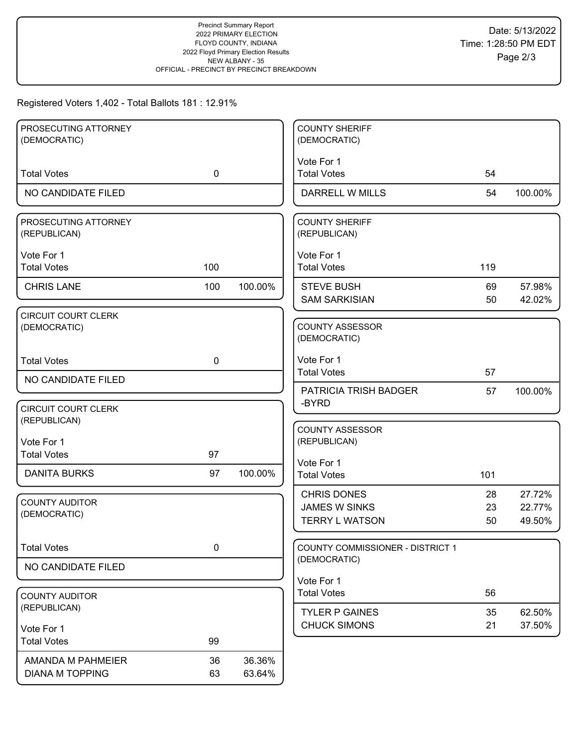## Registered Voters 1,402 - Total Ballots 181 : 12.91%

| PROSECUTING ATTORNEY       |             |         | <b>COUNTY SHERIFF</b>                        |     |         |
|----------------------------|-------------|---------|----------------------------------------------|-----|---------|
| (DEMOCRATIC)               |             |         | (DEMOCRATIC)                                 |     |         |
|                            |             |         | Vote For 1                                   |     |         |
| <b>Total Votes</b>         | $\mathbf 0$ |         | <b>Total Votes</b>                           | 54  |         |
|                            |             |         |                                              |     |         |
| NO CANDIDATE FILED         |             |         | DARRELL W MILLS                              | 54  | 100.00% |
| PROSECUTING ATTORNEY       |             |         | <b>COUNTY SHERIFF</b>                        |     |         |
| (REPUBLICAN)               |             |         | (REPUBLICAN)                                 |     |         |
|                            |             |         |                                              |     |         |
| Vote For 1                 |             |         | Vote For 1                                   |     |         |
| <b>Total Votes</b>         | 100         |         | <b>Total Votes</b>                           | 119 |         |
| <b>CHRIS LANE</b>          | 100         | 100.00% | <b>STEVE BUSH</b>                            | 69  | 57.98%  |
|                            |             |         | <b>SAM SARKISIAN</b>                         | 50  | 42.02%  |
| <b>CIRCUIT COURT CLERK</b> |             |         |                                              |     |         |
| (DEMOCRATIC)               |             |         | <b>COUNTY ASSESSOR</b>                       |     |         |
|                            |             |         | (DEMOCRATIC)                                 |     |         |
|                            |             |         |                                              |     |         |
| <b>Total Votes</b>         | $\mathbf 0$ |         | Vote For 1                                   |     |         |
| NO CANDIDATE FILED         |             |         | <b>Total Votes</b>                           | 57  |         |
|                            |             |         | PATRICIA TRISH BADGER                        | 57  | 100.00% |
| <b>CIRCUIT COURT CLERK</b> |             |         | -BYRD                                        |     |         |
| (REPUBLICAN)               |             |         |                                              |     |         |
|                            |             |         | <b>COUNTY ASSESSOR</b>                       |     |         |
| Vote For 1                 |             |         | (REPUBLICAN)                                 |     |         |
| <b>Total Votes</b>         | 97          |         | Vote For 1                                   |     |         |
| <b>DANITA BURKS</b>        | 97          | 100.00% | <b>Total Votes</b>                           | 101 |         |
|                            |             |         |                                              |     |         |
| <b>COUNTY AUDITOR</b>      |             |         | <b>CHRIS DONES</b>                           | 28  | 27.72%  |
| (DEMOCRATIC)               |             |         | <b>JAMES W SINKS</b>                         | 23  | 22.77%  |
|                            |             |         | <b>TERRY L WATSON</b>                        | 50  | 49.50%  |
|                            |             |         |                                              |     |         |
| <b>Total Votes</b>         | 0           |         | <b>COUNTY COMMISSIONER - DISTRICT 1</b>      |     |         |
| NO CANDIDATE FILED         |             |         | (DEMOCRATIC)                                 |     |         |
|                            |             |         | Vote For 1                                   |     |         |
| <b>COUNTY AUDITOR</b>      |             |         | <b>Total Votes</b>                           | 56  |         |
| (REPUBLICAN)               |             |         |                                              |     |         |
|                            |             |         | <b>TYLER P GAINES</b><br><b>CHUCK SIMONS</b> | 35  | 62.50%  |
| Vote For 1                 |             |         |                                              | 21  | 37.50%  |
| <b>Total Votes</b>         | 99          |         |                                              |     |         |
| AMANDA M PAHMEIER          | 36          | 36.36%  |                                              |     |         |
| <b>DIANA M TOPPING</b>     | 63          | 63.64%  |                                              |     |         |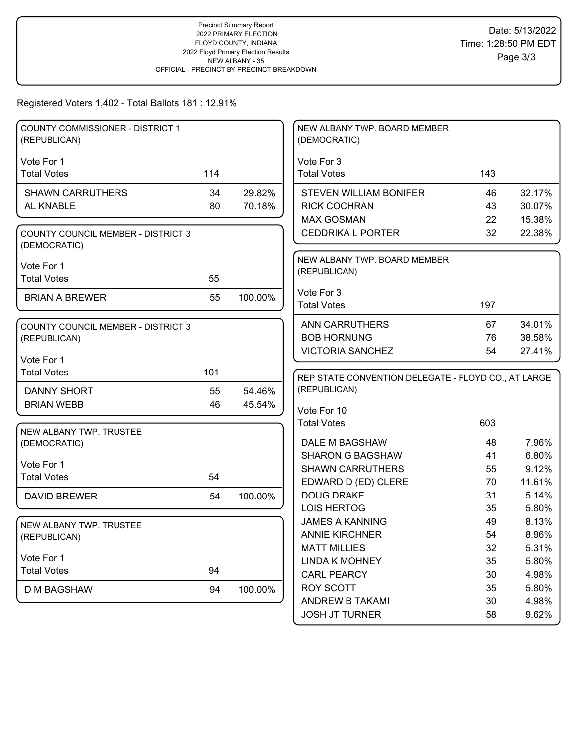Registered Voters 1,402 - Total Ballots 181 : 12.91%

| <b>COUNTY COMMISSIONER - DISTRICT 1</b><br>(REPUBLICAN)   |     |         | NEW ALBANY TWP. BOARD MEMBER<br>(DEMOCRATIC)        |          |                |
|-----------------------------------------------------------|-----|---------|-----------------------------------------------------|----------|----------------|
| Vote For 1                                                |     |         | Vote For 3                                          |          |                |
| <b>Total Votes</b>                                        | 114 |         | <b>Total Votes</b>                                  | 143      |                |
| <b>SHAWN CARRUTHERS</b>                                   | 34  | 29.82%  | <b>STEVEN WILLIAM BONIFER</b>                       | 46       | 32.17%         |
| AL KNABLE                                                 | 80  | 70.18%  | <b>RICK COCHRAN</b>                                 | 43       | 30.07%         |
|                                                           |     |         | <b>MAX GOSMAN</b>                                   | 22       | 15.38%         |
| <b>COUNTY COUNCIL MEMBER - DISTRICT 3</b><br>(DEMOCRATIC) |     |         | <b>CEDDRIKA L PORTER</b>                            | 32       | 22.38%         |
|                                                           |     |         | NEW ALBANY TWP. BOARD MEMBER                        |          |                |
| Vote For 1                                                |     |         | (REPUBLICAN)                                        |          |                |
| <b>Total Votes</b>                                        | 55  |         |                                                     |          |                |
| <b>BRIAN A BREWER</b>                                     | 55  | 100.00% | Vote For 3                                          |          |                |
|                                                           |     |         | <b>Total Votes</b>                                  | 197      |                |
| <b>COUNTY COUNCIL MEMBER - DISTRICT 3</b>                 |     |         | <b>ANN CARRUTHERS</b>                               | 67       | 34.01%         |
| (REPUBLICAN)                                              |     |         | <b>BOB HORNUNG</b>                                  | 76       | 38.58%         |
|                                                           |     |         | <b>VICTORIA SANCHEZ</b>                             | 54       | 27.41%         |
| Vote For 1                                                |     |         |                                                     |          |                |
| <b>Total Votes</b>                                        | 101 |         | REP STATE CONVENTION DELEGATE - FLOYD CO., AT LARGE |          |                |
|                                                           |     |         |                                                     |          |                |
| <b>DANNY SHORT</b>                                        | 55  | 54.46%  | (REPUBLICAN)                                        |          |                |
| <b>BRIAN WEBB</b>                                         | 46  | 45.54%  |                                                     |          |                |
|                                                           |     |         | Vote For 10                                         |          |                |
| NEW ALBANY TWP. TRUSTEE                                   |     |         | <b>Total Votes</b>                                  | 603      |                |
| (DEMOCRATIC)                                              |     |         | DALE M BAGSHAW                                      | 48       | 7.96%          |
|                                                           |     |         | <b>SHARON G BAGSHAW</b>                             | 41       | 6.80%          |
| Vote For 1                                                |     |         | <b>SHAWN CARRUTHERS</b>                             | 55       | 9.12%          |
| <b>Total Votes</b>                                        | 54  |         | EDWARD D (ED) CLERE                                 | 70       | 11.61%         |
| <b>DAVID BREWER</b>                                       | 54  | 100.00% | <b>DOUG DRAKE</b>                                   | 31       | 5.14%          |
|                                                           |     |         | <b>LOIS HERTOG</b>                                  | 35       | 5.80%          |
| NEW ALBANY TWP. TRUSTEE                                   |     |         | <b>JAMES A KANNING</b>                              | 49       | 8.13%          |
| (REPUBLICAN)                                              |     |         | <b>ANNIE KIRCHNER</b>                               | 54       | 8.96%          |
|                                                           |     |         | <b>MATT MILLIES</b>                                 | 32       | 5.31%          |
| Vote For 1                                                |     |         | <b>LINDA K MOHNEY</b>                               | 35       | 5.80%          |
| <b>Total Votes</b>                                        | 94  |         | <b>CARL PEARCY</b>                                  | 30       | 4.98%          |
| <b>D M BAGSHAW</b>                                        | 94  | 100.00% | ROY SCOTT                                           | 35       | 5.80%          |
|                                                           |     |         | ANDREW B TAKAMI<br><b>JOSH JT TURNER</b>            | 30<br>58 | 4.98%<br>9.62% |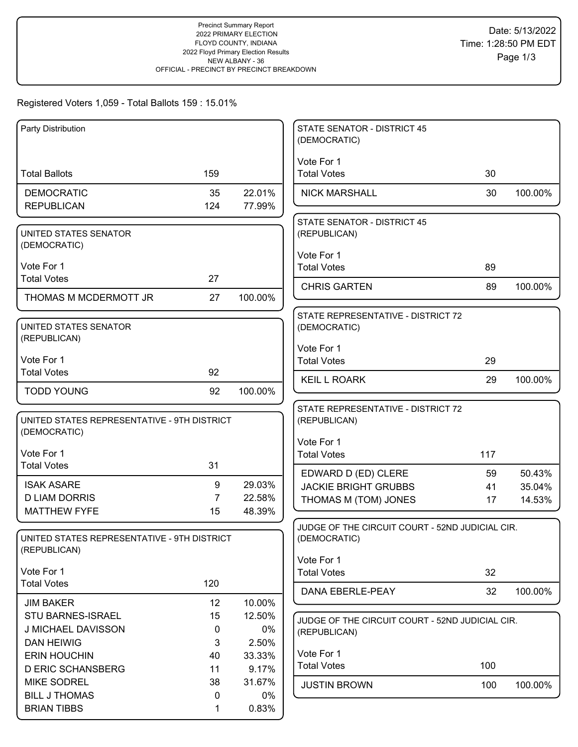# Registered Voters 1,059 - Total Ballots 159 : 15.01%

| Party Distribution                                          |                |                 | <b>STATE SENATOR - DISTRICT 45</b><br>(DEMOCRATIC) |     |         |
|-------------------------------------------------------------|----------------|-----------------|----------------------------------------------------|-----|---------|
|                                                             |                |                 | Vote For 1                                         |     |         |
| <b>Total Ballots</b>                                        | 159            |                 | <b>Total Votes</b>                                 | 30  |         |
| <b>DEMOCRATIC</b>                                           | 35             | 22.01%          | <b>NICK MARSHALL</b>                               | 30  | 100.00% |
| <b>REPUBLICAN</b>                                           | 124            | 77.99%          |                                                    |     |         |
|                                                             |                |                 | <b>STATE SENATOR - DISTRICT 45</b>                 |     |         |
| UNITED STATES SENATOR<br>(DEMOCRATIC)                       |                |                 | (REPUBLICAN)                                       |     |         |
|                                                             |                |                 | Vote For 1                                         |     |         |
| Vote For 1                                                  |                |                 | <b>Total Votes</b>                                 | 89  |         |
| <b>Total Votes</b>                                          | 27             |                 | <b>CHRIS GARTEN</b>                                | 89  | 100.00% |
| THOMAS M MCDERMOTT JR                                       | 27             | 100.00%         |                                                    |     |         |
|                                                             |                |                 | STATE REPRESENTATIVE - DISTRICT 72                 |     |         |
| UNITED STATES SENATOR<br>(REPUBLICAN)                       |                |                 | (DEMOCRATIC)                                       |     |         |
|                                                             |                |                 | Vote For 1                                         |     |         |
| Vote For 1                                                  |                |                 | <b>Total Votes</b>                                 | 29  |         |
| <b>Total Votes</b>                                          | 92             |                 | <b>KEIL L ROARK</b>                                | 29  | 100.00% |
| <b>TODD YOUNG</b>                                           | 92             | 100.00%         |                                                    |     |         |
|                                                             |                |                 | STATE REPRESENTATIVE - DISTRICT 72                 |     |         |
| UNITED STATES REPRESENTATIVE - 9TH DISTRICT<br>(DEMOCRATIC) |                |                 | (REPUBLICAN)                                       |     |         |
|                                                             |                |                 | Vote For 1                                         |     |         |
| Vote For 1                                                  |                |                 | <b>Total Votes</b>                                 | 117 |         |
| <b>Total Votes</b>                                          | 31             |                 | EDWARD D (ED) CLERE                                | 59  | 50.43%  |
| <b>ISAK ASARE</b>                                           | 9              | 29.03%          | <b>JACKIE BRIGHT GRUBBS</b>                        | 41  | 35.04%  |
| <b>D LIAM DORRIS</b>                                        | $\overline{7}$ | 22.58%          | THOMAS M (TOM) JONES                               | 17  | 14.53%  |
| <b>MATTHEW FYFE</b>                                         | 15             | 48.39%          |                                                    |     |         |
|                                                             |                |                 | JUDGE OF THE CIRCUIT COURT - 52ND JUDICIAL CIR.    |     |         |
| UNITED STATES REPRESENTATIVE - 9TH DISTRICT<br>(REPUBLICAN) |                |                 | (DEMOCRATIC)                                       |     |         |
|                                                             |                |                 | Vote For 1                                         |     |         |
| Vote For 1                                                  |                |                 | <b>Total Votes</b>                                 | 32  |         |
| <b>Total Votes</b>                                          | 120            |                 | DANA EBERLE-PEAY                                   | 32  | 100.00% |
| <b>JIM BAKER</b>                                            | 12             | 10.00%          |                                                    |     |         |
| STU BARNES-ISRAEL                                           | 15             | 12.50%          | JUDGE OF THE CIRCUIT COURT - 52ND JUDICIAL CIR.    |     |         |
| J MICHAEL DAVISSON                                          | 0              | $0\%$           | (REPUBLICAN)                                       |     |         |
| <b>DAN HEIWIG</b><br><b>ERIN HOUCHIN</b>                    | 3              | 2.50%           | Vote For 1                                         |     |         |
| <b>D ERIC SCHANSBERG</b>                                    | 40<br>11       | 33.33%<br>9.17% | <b>Total Votes</b>                                 | 100 |         |
| <b>MIKE SODREL</b>                                          | 38             | 31.67%          |                                                    |     |         |
| <b>BILL J THOMAS</b>                                        | 0              | $0\%$           | <b>JUSTIN BROWN</b>                                | 100 | 100.00% |
| <b>BRIAN TIBBS</b>                                          | 1              | 0.83%           |                                                    |     |         |
|                                                             |                |                 |                                                    |     |         |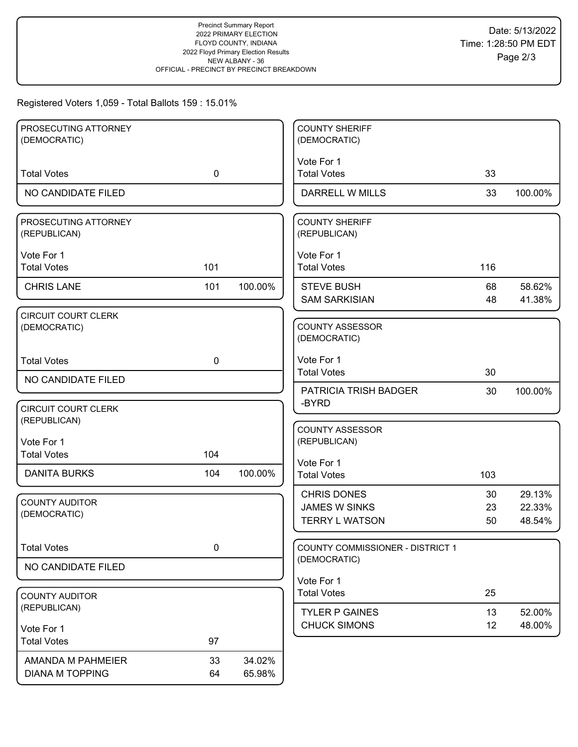## Registered Voters 1,059 - Total Ballots 159 : 15.01%

| PROSECUTING ATTORNEY<br>(DEMOCRATIC)       |             |         | <b>COUNTY SHERIFF</b><br>(DEMOCRATIC)   |     |         |
|--------------------------------------------|-------------|---------|-----------------------------------------|-----|---------|
|                                            |             |         |                                         |     |         |
| <b>Total Votes</b>                         | $\mathbf 0$ |         | Vote For 1<br><b>Total Votes</b>        | 33  |         |
| NO CANDIDATE FILED                         |             |         | <b>DARRELL W MILLS</b>                  | 33  | 100.00% |
|                                            |             |         |                                         |     |         |
| PROSECUTING ATTORNEY<br>(REPUBLICAN)       |             |         | <b>COUNTY SHERIFF</b><br>(REPUBLICAN)   |     |         |
| Vote For 1                                 |             |         | Vote For 1                              |     |         |
| <b>Total Votes</b>                         | 101         |         | <b>Total Votes</b>                      | 116 |         |
| <b>CHRIS LANE</b>                          | 101         | 100.00% | <b>STEVE BUSH</b>                       | 68  | 58.62%  |
|                                            |             |         | <b>SAM SARKISIAN</b>                    | 48  | 41.38%  |
| <b>CIRCUIT COURT CLERK</b><br>(DEMOCRATIC) |             |         | <b>COUNTY ASSESSOR</b><br>(DEMOCRATIC)  |     |         |
| <b>Total Votes</b>                         | $\mathbf 0$ |         | Vote For 1                              |     |         |
| NO CANDIDATE FILED                         |             |         | <b>Total Votes</b>                      | 30  |         |
|                                            |             |         | PATRICIA TRISH BADGER<br>-BYRD          | 30  | 100.00% |
| <b>CIRCUIT COURT CLERK</b>                 |             |         |                                         |     |         |
| (REPUBLICAN)                               |             |         | <b>COUNTY ASSESSOR</b>                  |     |         |
| Vote For 1                                 |             |         | (REPUBLICAN)                            |     |         |
| <b>Total Votes</b>                         | 104         |         | Vote For 1                              |     |         |
| <b>DANITA BURKS</b>                        | 104         | 100.00% | <b>Total Votes</b>                      | 103 |         |
| <b>COUNTY AUDITOR</b>                      |             |         | <b>CHRIS DONES</b>                      | 30  | 29.13%  |
| (DEMOCRATIC)                               |             |         | <b>JAMES W SINKS</b>                    | 23  | 22.33%  |
|                                            |             |         | <b>TERRY L WATSON</b>                   | 50  | 48.54%  |
| <b>Total Votes</b>                         | $\pmb{0}$   |         | <b>COUNTY COMMISSIONER - DISTRICT 1</b> |     |         |
| NO CANDIDATE FILED                         |             |         | (DEMOCRATIC)                            |     |         |
|                                            |             |         | Vote For 1                              |     |         |
| <b>COUNTY AUDITOR</b>                      |             |         | <b>Total Votes</b>                      | 25  |         |
| (REPUBLICAN)                               |             |         | <b>TYLER P GAINES</b>                   | 13  | 52.00%  |
| Vote For 1                                 |             |         | <b>CHUCK SIMONS</b>                     | 12  | 48.00%  |
| <b>Total Votes</b>                         | 97          |         |                                         |     |         |
| AMANDA M PAHMEIER                          | 33          | 34.02%  |                                         |     |         |
| <b>DIANA M TOPPING</b>                     | 64          | 65.98%  |                                         |     |         |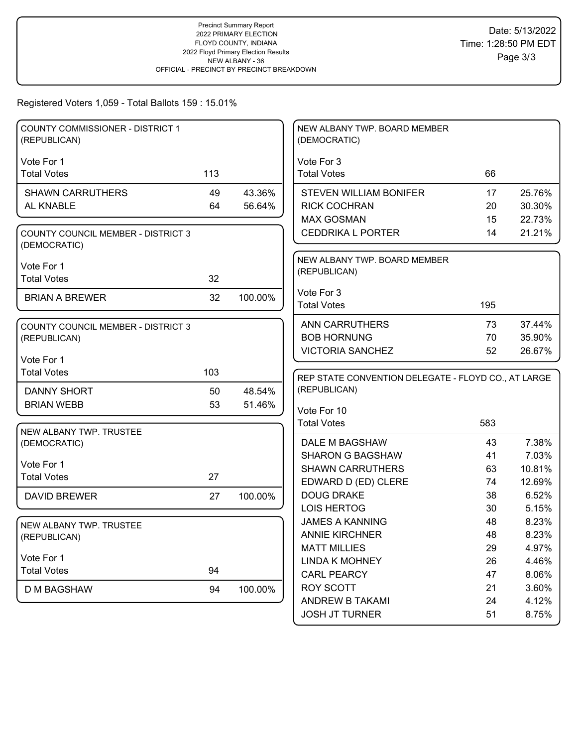# Registered Voters 1,059 - Total Ballots 159 : 15.01%

| Vote For 3<br>Vote For 1<br><b>Total Votes</b><br>113<br><b>Total Votes</b><br>66<br><b>SHAWN CARRUTHERS</b><br>49<br>43.36%<br><b>STEVEN WILLIAM BONIFER</b><br>25.76%<br>17<br>AL KNABLE<br>64<br>56.64%<br>30.30%<br><b>RICK COCHRAN</b><br>20<br><b>MAX GOSMAN</b><br>15<br>22.73%<br><b>CEDDRIKA L PORTER</b><br>14<br>21.21%<br><b>COUNTY COUNCIL MEMBER - DISTRICT 3</b><br>(DEMOCRATIC)<br>NEW ALBANY TWP. BOARD MEMBER<br>Vote For 1<br>(REPUBLICAN)<br><b>Total Votes</b><br>32<br>Vote For 3<br>32<br>100.00%<br><b>BRIAN A BREWER</b><br><b>Total Votes</b><br>195<br>37.44%<br>ANN CARRUTHERS<br>73<br><b>COUNTY COUNCIL MEMBER - DISTRICT 3</b><br><b>BOB HORNUNG</b><br>35.90%<br>70<br>(REPUBLICAN)<br><b>VICTORIA SANCHEZ</b><br>52<br>26.67%<br>Vote For 1<br><b>Total Votes</b><br>103<br>REP STATE CONVENTION DELEGATE - FLOYD CO., AT LARGE | <b>COUNTY COMMISSIONER - DISTRICT 1</b><br>(REPUBLICAN) |  | NEW ALBANY TWP. BOARD MEMBER<br>(DEMOCRATIC) |  |
|------------------------------------------------------------------------------------------------------------------------------------------------------------------------------------------------------------------------------------------------------------------------------------------------------------------------------------------------------------------------------------------------------------------------------------------------------------------------------------------------------------------------------------------------------------------------------------------------------------------------------------------------------------------------------------------------------------------------------------------------------------------------------------------------------------------------------------------------------------------|---------------------------------------------------------|--|----------------------------------------------|--|
|                                                                                                                                                                                                                                                                                                                                                                                                                                                                                                                                                                                                                                                                                                                                                                                                                                                                  |                                                         |  |                                              |  |
|                                                                                                                                                                                                                                                                                                                                                                                                                                                                                                                                                                                                                                                                                                                                                                                                                                                                  |                                                         |  |                                              |  |
|                                                                                                                                                                                                                                                                                                                                                                                                                                                                                                                                                                                                                                                                                                                                                                                                                                                                  |                                                         |  |                                              |  |
|                                                                                                                                                                                                                                                                                                                                                                                                                                                                                                                                                                                                                                                                                                                                                                                                                                                                  |                                                         |  |                                              |  |
|                                                                                                                                                                                                                                                                                                                                                                                                                                                                                                                                                                                                                                                                                                                                                                                                                                                                  |                                                         |  |                                              |  |
|                                                                                                                                                                                                                                                                                                                                                                                                                                                                                                                                                                                                                                                                                                                                                                                                                                                                  |                                                         |  |                                              |  |
|                                                                                                                                                                                                                                                                                                                                                                                                                                                                                                                                                                                                                                                                                                                                                                                                                                                                  |                                                         |  |                                              |  |
|                                                                                                                                                                                                                                                                                                                                                                                                                                                                                                                                                                                                                                                                                                                                                                                                                                                                  |                                                         |  |                                              |  |
|                                                                                                                                                                                                                                                                                                                                                                                                                                                                                                                                                                                                                                                                                                                                                                                                                                                                  |                                                         |  |                                              |  |
|                                                                                                                                                                                                                                                                                                                                                                                                                                                                                                                                                                                                                                                                                                                                                                                                                                                                  |                                                         |  |                                              |  |
|                                                                                                                                                                                                                                                                                                                                                                                                                                                                                                                                                                                                                                                                                                                                                                                                                                                                  |                                                         |  |                                              |  |
|                                                                                                                                                                                                                                                                                                                                                                                                                                                                                                                                                                                                                                                                                                                                                                                                                                                                  |                                                         |  |                                              |  |
|                                                                                                                                                                                                                                                                                                                                                                                                                                                                                                                                                                                                                                                                                                                                                                                                                                                                  |                                                         |  |                                              |  |
|                                                                                                                                                                                                                                                                                                                                                                                                                                                                                                                                                                                                                                                                                                                                                                                                                                                                  |                                                         |  |                                              |  |
|                                                                                                                                                                                                                                                                                                                                                                                                                                                                                                                                                                                                                                                                                                                                                                                                                                                                  |                                                         |  |                                              |  |
|                                                                                                                                                                                                                                                                                                                                                                                                                                                                                                                                                                                                                                                                                                                                                                                                                                                                  |                                                         |  |                                              |  |
|                                                                                                                                                                                                                                                                                                                                                                                                                                                                                                                                                                                                                                                                                                                                                                                                                                                                  |                                                         |  |                                              |  |
| (REPUBLICAN)<br>48.54%<br><b>DANNY SHORT</b><br>50                                                                                                                                                                                                                                                                                                                                                                                                                                                                                                                                                                                                                                                                                                                                                                                                               |                                                         |  |                                              |  |
| <b>BRIAN WEBB</b><br>53<br>51.46%<br>Vote For 10                                                                                                                                                                                                                                                                                                                                                                                                                                                                                                                                                                                                                                                                                                                                                                                                                 |                                                         |  |                                              |  |
| <b>Total Votes</b><br>583                                                                                                                                                                                                                                                                                                                                                                                                                                                                                                                                                                                                                                                                                                                                                                                                                                        |                                                         |  |                                              |  |
| NEW ALBANY TWP. TRUSTEE                                                                                                                                                                                                                                                                                                                                                                                                                                                                                                                                                                                                                                                                                                                                                                                                                                          |                                                         |  |                                              |  |
| 7.38%<br>DALE M BAGSHAW<br>43<br>(DEMOCRATIC)<br><b>SHARON G BAGSHAW</b><br>7.03%<br>41                                                                                                                                                                                                                                                                                                                                                                                                                                                                                                                                                                                                                                                                                                                                                                          |                                                         |  |                                              |  |
| Vote For 1<br><b>SHAWN CARRUTHERS</b><br>10.81%                                                                                                                                                                                                                                                                                                                                                                                                                                                                                                                                                                                                                                                                                                                                                                                                                  |                                                         |  |                                              |  |
| 63<br><b>Total Votes</b><br>27<br>EDWARD D (ED) CLERE<br>12.69%<br>74                                                                                                                                                                                                                                                                                                                                                                                                                                                                                                                                                                                                                                                                                                                                                                                            |                                                         |  |                                              |  |
| <b>DOUG DRAKE</b><br>6.52%<br>38                                                                                                                                                                                                                                                                                                                                                                                                                                                                                                                                                                                                                                                                                                                                                                                                                                 |                                                         |  |                                              |  |
| <b>DAVID BREWER</b><br>100.00%<br>27<br><b>LOIS HERTOG</b><br>5.15%<br>30                                                                                                                                                                                                                                                                                                                                                                                                                                                                                                                                                                                                                                                                                                                                                                                        |                                                         |  |                                              |  |
| <b>JAMES A KANNING</b><br>8.23%<br>48                                                                                                                                                                                                                                                                                                                                                                                                                                                                                                                                                                                                                                                                                                                                                                                                                            |                                                         |  |                                              |  |
| NEW ALBANY TWP. TRUSTEE<br><b>ANNIE KIRCHNER</b><br>48<br>8.23%                                                                                                                                                                                                                                                                                                                                                                                                                                                                                                                                                                                                                                                                                                                                                                                                  |                                                         |  |                                              |  |
| (REPUBLICAN)<br>4.97%<br><b>MATT MILLIES</b><br>29                                                                                                                                                                                                                                                                                                                                                                                                                                                                                                                                                                                                                                                                                                                                                                                                               |                                                         |  |                                              |  |
| Vote For 1<br><b>LINDA K MOHNEY</b><br>4.46%<br>26                                                                                                                                                                                                                                                                                                                                                                                                                                                                                                                                                                                                                                                                                                                                                                                                               |                                                         |  |                                              |  |
| 94<br><b>Total Votes</b><br>8.06%<br><b>CARL PEARCY</b><br>47                                                                                                                                                                                                                                                                                                                                                                                                                                                                                                                                                                                                                                                                                                                                                                                                    |                                                         |  |                                              |  |
| <b>ROY SCOTT</b><br>3.60%<br>21                                                                                                                                                                                                                                                                                                                                                                                                                                                                                                                                                                                                                                                                                                                                                                                                                                  |                                                         |  |                                              |  |
| <b>D M BAGSHAW</b><br>94<br>100.00%<br>ANDREW B TAKAMI<br>4.12%<br>24                                                                                                                                                                                                                                                                                                                                                                                                                                                                                                                                                                                                                                                                                                                                                                                            |                                                         |  |                                              |  |
| <b>JOSH JT TURNER</b><br>51<br>8.75%                                                                                                                                                                                                                                                                                                                                                                                                                                                                                                                                                                                                                                                                                                                                                                                                                             |                                                         |  |                                              |  |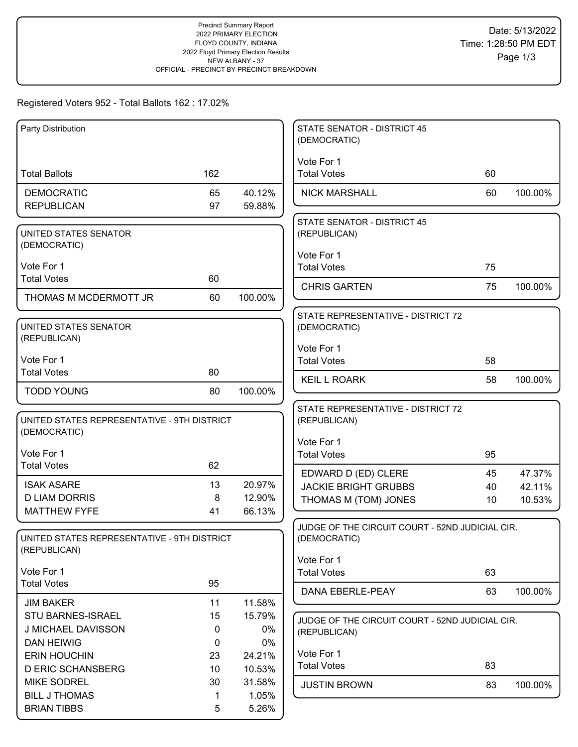# Registered Voters 952 - Total Ballots 162 : 17.02%

| Party Distribution                                          |          |                  | <b>STATE SENATOR - DISTRICT 45</b><br>(DEMOCRATIC)              |    |         |
|-------------------------------------------------------------|----------|------------------|-----------------------------------------------------------------|----|---------|
|                                                             |          |                  | Vote For 1                                                      |    |         |
| <b>Total Ballots</b>                                        | 162      |                  | <b>Total Votes</b>                                              | 60 |         |
| <b>DEMOCRATIC</b>                                           | 65       | 40.12%           | <b>NICK MARSHALL</b>                                            | 60 | 100.00% |
| <b>REPUBLICAN</b>                                           | 97       | 59.88%           |                                                                 |    |         |
| UNITED STATES SENATOR                                       |          |                  | <b>STATE SENATOR - DISTRICT 45</b><br>(REPUBLICAN)              |    |         |
| (DEMOCRATIC)                                                |          |                  |                                                                 |    |         |
| Vote For 1                                                  |          |                  | Vote For 1<br><b>Total Votes</b>                                | 75 |         |
| <b>Total Votes</b>                                          | 60       |                  |                                                                 |    |         |
| THOMAS M MCDERMOTT JR                                       | 60       | 100.00%          | <b>CHRIS GARTEN</b>                                             | 75 | 100.00% |
|                                                             |          |                  | STATE REPRESENTATIVE - DISTRICT 72                              |    |         |
| UNITED STATES SENATOR                                       |          |                  | (DEMOCRATIC)                                                    |    |         |
| (REPUBLICAN)                                                |          |                  | Vote For 1                                                      |    |         |
| Vote For 1                                                  |          |                  | <b>Total Votes</b>                                              | 58 |         |
| <b>Total Votes</b>                                          | 80       |                  | <b>KEIL L ROARK</b>                                             | 58 | 100.00% |
| <b>TODD YOUNG</b>                                           | 80       | 100.00%          |                                                                 |    |         |
|                                                             |          |                  | STATE REPRESENTATIVE - DISTRICT 72                              |    |         |
| UNITED STATES REPRESENTATIVE - 9TH DISTRICT<br>(DEMOCRATIC) |          |                  | (REPUBLICAN)                                                    |    |         |
|                                                             |          |                  | Vote For 1                                                      |    |         |
| Vote For 1                                                  |          |                  | <b>Total Votes</b>                                              | 95 |         |
| <b>Total Votes</b>                                          | 62       |                  | EDWARD D (ED) CLERE                                             | 45 | 47.37%  |
| <b>ISAK ASARE</b>                                           | 13       | 20.97%           | <b>JACKIE BRIGHT GRUBBS</b>                                     | 40 | 42.11%  |
| <b>D LIAM DORRIS</b>                                        | 8        | 12.90%           | THOMAS M (TOM) JONES                                            | 10 | 10.53%  |
| <b>MATTHEW FYFE</b>                                         | 41       | 66.13%           |                                                                 |    |         |
| UNITED STATES REPRESENTATIVE - 9TH DISTRICT                 |          |                  | JUDGE OF THE CIRCUIT COURT - 52ND JUDICIAL CIR.<br>(DEMOCRATIC) |    |         |
| (REPUBLICAN)                                                |          |                  | Vote For 1                                                      |    |         |
| Vote For 1                                                  |          |                  | <b>Total Votes</b>                                              | 63 |         |
| <b>Total Votes</b>                                          | 95       |                  | DANA EBERLE-PEAY                                                | 63 | 100.00% |
| <b>JIM BAKER</b>                                            | 11       | 11.58%           |                                                                 |    |         |
| STU BARNES-ISRAEL                                           | 15       | 15.79%           | JUDGE OF THE CIRCUIT COURT - 52ND JUDICIAL CIR.                 |    |         |
| J MICHAEL DAVISSON                                          | 0        | 0%               | (REPUBLICAN)                                                    |    |         |
| <b>DAN HEIWIG</b>                                           | 0        | 0%               | Vote For 1                                                      |    |         |
| <b>ERIN HOUCHIN</b><br><b>D ERIC SCHANSBERG</b>             | 23<br>10 | 24.21%<br>10.53% | <b>Total Votes</b>                                              | 83 |         |
| <b>MIKE SODREL</b>                                          | 30       | 31.58%           | <b>JUSTIN BROWN</b>                                             | 83 | 100.00% |
| <b>BILL J THOMAS</b>                                        | 1        | 1.05%            |                                                                 |    |         |
| <b>BRIAN TIBBS</b>                                          | 5        | 5.26%            |                                                                 |    |         |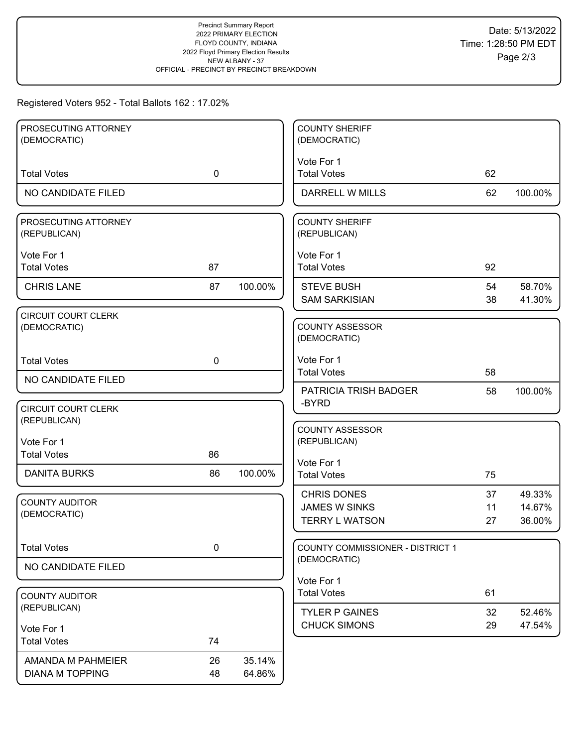# Registered Voters 952 - Total Ballots 162 : 17.02%

| PROSECUTING ATTORNEY                  |             |         | <b>COUNTY SHERIFF</b>                     |          |                  |
|---------------------------------------|-------------|---------|-------------------------------------------|----------|------------------|
| (DEMOCRATIC)                          |             |         | (DEMOCRATIC)                              |          |                  |
|                                       |             |         | Vote For 1                                |          |                  |
| <b>Total Votes</b>                    | $\mathbf 0$ |         | <b>Total Votes</b>                        | 62       |                  |
| NO CANDIDATE FILED                    |             |         | DARRELL W MILLS                           | 62       | 100.00%          |
| PROSECUTING ATTORNEY                  |             |         | <b>COUNTY SHERIFF</b>                     |          |                  |
| (REPUBLICAN)                          |             |         | (REPUBLICAN)                              |          |                  |
| Vote For 1                            |             |         | Vote For 1                                |          |                  |
| <b>Total Votes</b>                    | 87          |         | <b>Total Votes</b>                        | 92       |                  |
|                                       |             |         |                                           |          |                  |
| <b>CHRIS LANE</b>                     | 87          | 100.00% | <b>STEVE BUSH</b><br><b>SAM SARKISIAN</b> | 54<br>38 | 58.70%<br>41.30% |
| <b>CIRCUIT COURT CLERK</b>            |             |         |                                           |          |                  |
| (DEMOCRATIC)                          |             |         | COUNTY ASSESSOR                           |          |                  |
|                                       |             |         | (DEMOCRATIC)                              |          |                  |
| <b>Total Votes</b>                    | $\mathbf 0$ |         | Vote For 1                                |          |                  |
|                                       |             |         | <b>Total Votes</b>                        | 58       |                  |
| NO CANDIDATE FILED                    |             |         | PATRICIA TRISH BADGER                     | 58       | 100.00%          |
| <b>CIRCUIT COURT CLERK</b>            |             |         | -BYRD                                     |          |                  |
| (REPUBLICAN)                          |             |         |                                           |          |                  |
|                                       |             |         | <b>COUNTY ASSESSOR</b>                    |          |                  |
| Vote For 1<br><b>Total Votes</b>      | 86          |         | (REPUBLICAN)                              |          |                  |
|                                       |             |         | Vote For 1                                |          |                  |
| <b>DANITA BURKS</b>                   | 86          | 100.00% | <b>Total Votes</b>                        | 75       |                  |
|                                       |             |         | <b>CHRIS DONES</b>                        | 37       | 49.33%           |
| <b>COUNTY AUDITOR</b><br>(DEMOCRATIC) |             |         | <b>JAMES W SINKS</b>                      | 11       | 14.67%           |
|                                       |             |         | <b>TERRY L WATSON</b>                     | 27       | 36.00%           |
| <b>Total Votes</b>                    | 0           |         | COUNTY COMMISSIONER - DISTRICT 1          |          |                  |
|                                       |             |         | (DEMOCRATIC)                              |          |                  |
| NO CANDIDATE FILED                    |             |         |                                           |          |                  |
|                                       |             |         | Vote For 1<br><b>Total Votes</b>          | 61       |                  |
| <b>COUNTY AUDITOR</b><br>(REPUBLICAN) |             |         |                                           |          |                  |
|                                       |             |         | <b>TYLER P GAINES</b>                     | 32       | 52.46%           |
| Vote For 1                            |             |         | <b>CHUCK SIMONS</b>                       | 29       | 47.54%           |
| <b>Total Votes</b>                    | 74          |         |                                           |          |                  |
| AMANDA M PAHMEIER                     | 26          | 35.14%  |                                           |          |                  |
| <b>DIANA M TOPPING</b>                | 48          | 64.86%  |                                           |          |                  |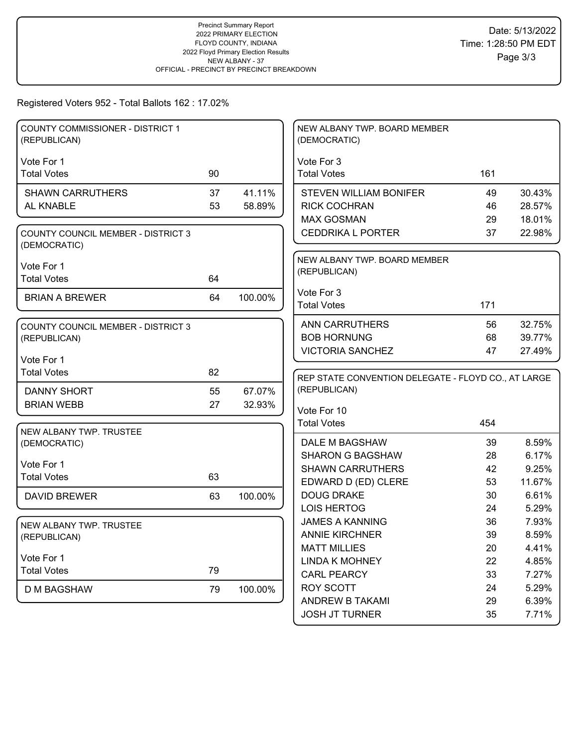# Registered Voters 952 - Total Ballots 162 : 17.02%

| <b>COUNTY COMMISSIONER - DISTRICT 1</b><br>(REPUBLICAN)   |    |         | NEW ALBANY TWP. BOARD MEMBER<br>(DEMOCRATIC)        |          |                |
|-----------------------------------------------------------|----|---------|-----------------------------------------------------|----------|----------------|
|                                                           |    |         |                                                     |          |                |
| Vote For 1<br><b>Total Votes</b>                          | 90 |         | Vote For 3<br><b>Total Votes</b>                    | 161      |                |
|                                                           |    |         |                                                     |          |                |
| <b>SHAWN CARRUTHERS</b>                                   | 37 | 41.11%  | <b>STEVEN WILLIAM BONIFER</b>                       | 49       | 30.43%         |
| AL KNABLE                                                 | 53 | 58.89%  | <b>RICK COCHRAN</b>                                 | 46       | 28.57%         |
|                                                           |    |         | <b>MAX GOSMAN</b>                                   | 29       | 18.01%         |
| <b>COUNTY COUNCIL MEMBER - DISTRICT 3</b><br>(DEMOCRATIC) |    |         | <b>CEDDRIKA L PORTER</b>                            | 37       | 22.98%         |
| Vote For 1                                                |    |         | NEW ALBANY TWP. BOARD MEMBER                        |          |                |
| <b>Total Votes</b>                                        | 64 |         | (REPUBLICAN)                                        |          |                |
|                                                           |    |         | Vote For 3                                          |          |                |
| <b>BRIAN A BREWER</b>                                     | 64 | 100.00% | <b>Total Votes</b>                                  | 171      |                |
|                                                           |    |         | <b>ANN CARRUTHERS</b>                               | 56       | 32.75%         |
| <b>COUNTY COUNCIL MEMBER - DISTRICT 3</b><br>(REPUBLICAN) |    |         | <b>BOB HORNUNG</b>                                  | 68       | 39.77%         |
|                                                           |    |         | <b>VICTORIA SANCHEZ</b>                             | 47       | 27.49%         |
| Vote For 1                                                |    |         |                                                     |          |                |
| <b>Total Votes</b>                                        | 82 |         | REP STATE CONVENTION DELEGATE - FLOYD CO., AT LARGE |          |                |
| <b>DANNY SHORT</b>                                        | 55 | 67.07%  | (REPUBLICAN)                                        |          |                |
| <b>BRIAN WEBB</b>                                         | 27 | 32.93%  |                                                     |          |                |
|                                                           |    |         | Vote For 10<br><b>Total Votes</b>                   | 454      |                |
| NEW ALBANY TWP. TRUSTEE                                   |    |         |                                                     |          |                |
| (DEMOCRATIC)                                              |    |         | DALE M BAGSHAW                                      | 39       | 8.59%          |
| Vote For 1                                                |    |         | <b>SHARON G BAGSHAW</b>                             | 28       | 6.17%          |
| <b>Total Votes</b>                                        | 63 |         | <b>SHAWN CARRUTHERS</b>                             | 42       | 9.25%          |
|                                                           |    |         | EDWARD D (ED) CLERE                                 | 53       | 11.67%         |
| <b>DAVID BREWER</b>                                       | 63 | 100.00% | <b>DOUG DRAKE</b>                                   | 30       | 6.61%          |
|                                                           |    |         | <b>LOIS HERTOG</b>                                  | 24       | 5.29%          |
| NEW ALBANY TWP. TRUSTEE                                   |    |         | <b>JAMES A KANNING</b>                              | 36       | 7.93%          |
| (REPUBLICAN)                                              |    |         | <b>ANNIE KIRCHNER</b>                               | 39       | 8.59%          |
| Vote For 1                                                |    |         | <b>MATT MILLIES</b>                                 | 20       | 4.41%          |
| <b>Total Votes</b>                                        | 79 |         | <b>LINDA K MOHNEY</b>                               | 22       | 4.85%          |
|                                                           |    |         | <b>CARL PEARCY</b>                                  | 33       | 7.27%          |
| <b>D M BAGSHAW</b>                                        |    |         |                                                     |          |                |
|                                                           | 79 | 100.00% | <b>ROY SCOTT</b>                                    | 24       | 5.29%          |
|                                                           |    |         | ANDREW B TAKAMI<br><b>JOSH JT TURNER</b>            | 29<br>35 | 6.39%<br>7.71% |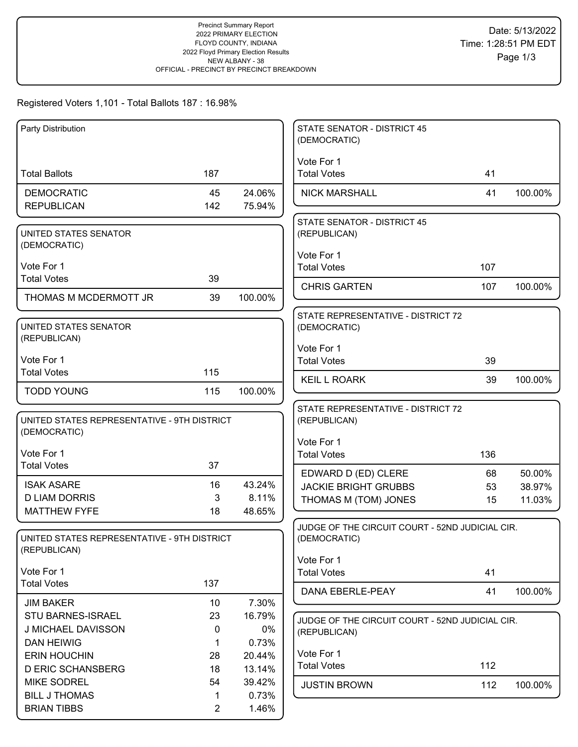### Registered Voters 1,101 - Total Ballots 187 : 16.98%

| Party Distribution                          |                |                 | <b>STATE SENATOR - DISTRICT 45</b><br>(DEMOCRATIC) |     |         |
|---------------------------------------------|----------------|-----------------|----------------------------------------------------|-----|---------|
|                                             |                |                 | Vote For 1                                         |     |         |
| <b>Total Ballots</b>                        | 187            |                 | <b>Total Votes</b>                                 | 41  |         |
| <b>DEMOCRATIC</b>                           | 45             | 24.06%          | <b>NICK MARSHALL</b>                               | 41  | 100.00% |
| <b>REPUBLICAN</b>                           | 142            | 75.94%          |                                                    |     |         |
|                                             |                |                 | <b>STATE SENATOR - DISTRICT 45</b>                 |     |         |
| UNITED STATES SENATOR<br>(DEMOCRATIC)       |                |                 | (REPUBLICAN)                                       |     |         |
|                                             |                |                 | Vote For 1                                         |     |         |
| Vote For 1                                  |                |                 | <b>Total Votes</b>                                 | 107 |         |
| <b>Total Votes</b>                          | 39             |                 | <b>CHRIS GARTEN</b>                                | 107 | 100.00% |
| THOMAS M MCDERMOTT JR                       | 39             | 100.00%         |                                                    |     |         |
|                                             |                |                 | STATE REPRESENTATIVE - DISTRICT 72                 |     |         |
| UNITED STATES SENATOR<br>(REPUBLICAN)       |                |                 | (DEMOCRATIC)                                       |     |         |
|                                             |                |                 | Vote For 1                                         |     |         |
| Vote For 1<br><b>Total Votes</b>            | 115            |                 | <b>Total Votes</b>                                 | 39  |         |
|                                             |                |                 | <b>KEIL L ROARK</b>                                | 39  | 100.00% |
| <b>TODD YOUNG</b>                           | 115            | 100.00%         |                                                    |     |         |
| UNITED STATES REPRESENTATIVE - 9TH DISTRICT |                |                 | STATE REPRESENTATIVE - DISTRICT 72                 |     |         |
| (DEMOCRATIC)                                |                |                 | (REPUBLICAN)                                       |     |         |
|                                             |                |                 | Vote For 1                                         |     |         |
| Vote For 1<br><b>Total Votes</b>            | 37             |                 | <b>Total Votes</b>                                 | 136 |         |
|                                             |                |                 | EDWARD D (ED) CLERE                                | 68  | 50.00%  |
| <b>ISAK ASARE</b><br><b>D LIAM DORRIS</b>   | 16             | 43.24%<br>8.11% | <b>JACKIE BRIGHT GRUBBS</b>                        | 53  | 38.97%  |
| <b>MATTHEW FYFE</b>                         | 3<br>18        | 48.65%          | THOMAS M (TOM) JONES                               | 15  | 11.03%  |
|                                             |                |                 | JUDGE OF THE CIRCUIT COURT - 52ND JUDICIAL CIR.    |     |         |
| UNITED STATES REPRESENTATIVE - 9TH DISTRICT |                |                 | (DEMOCRATIC)                                       |     |         |
| (REPUBLICAN)                                |                |                 | Vote For 1                                         |     |         |
| Vote For 1                                  |                |                 | <b>Total Votes</b>                                 | 41  |         |
| <b>Total Votes</b>                          | 137            |                 | DANA EBERLE-PEAY                                   | 41  | 100.00% |
| <b>JIM BAKER</b>                            | 10             | 7.30%           |                                                    |     |         |
| STU BARNES-ISRAEL                           | 23             | 16.79%          | JUDGE OF THE CIRCUIT COURT - 52ND JUDICIAL CIR.    |     |         |
| J MICHAEL DAVISSON                          | 0              | 0%              | (REPUBLICAN)                                       |     |         |
| <b>DAN HEIWIG</b>                           | 1              | 0.73%           |                                                    |     |         |
| <b>ERIN HOUCHIN</b>                         | 28             | 20.44%          | Vote For 1<br><b>Total Votes</b>                   | 112 |         |
| <b>D ERIC SCHANSBERG</b>                    | 18             | 13.14%          |                                                    |     |         |
| <b>MIKE SODREL</b><br><b>BILL J THOMAS</b>  | 54<br>1        | 39.42%<br>0.73% | <b>JUSTIN BROWN</b>                                | 112 | 100.00% |
| <b>BRIAN TIBBS</b>                          | $\overline{2}$ | 1.46%           |                                                    |     |         |
|                                             |                |                 |                                                    |     |         |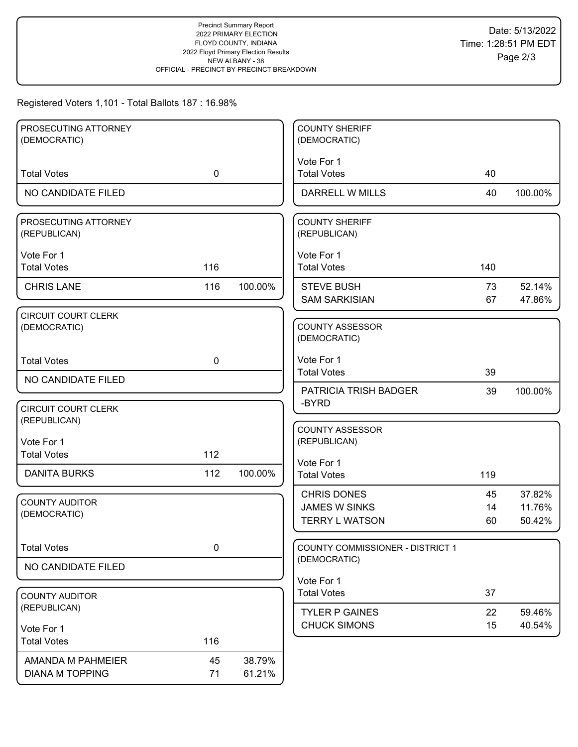### Registered Voters 1,101 - Total Ballots 187 : 16.98%

| PROSECUTING ATTORNEY       |             |         | <b>COUNTY SHERIFF</b>            |     |         |
|----------------------------|-------------|---------|----------------------------------|-----|---------|
| (DEMOCRATIC)               |             |         | (DEMOCRATIC)                     |     |         |
|                            |             |         |                                  |     |         |
|                            |             |         | Vote For 1                       |     |         |
| <b>Total Votes</b>         | $\mathbf 0$ |         | <b>Total Votes</b>               | 40  |         |
| NO CANDIDATE FILED         |             |         | DARRELL W MILLS                  | 40  | 100.00% |
|                            |             |         |                                  |     |         |
| PROSECUTING ATTORNEY       |             |         | <b>COUNTY SHERIFF</b>            |     |         |
| (REPUBLICAN)               |             |         | (REPUBLICAN)                     |     |         |
| Vote For 1                 |             |         | Vote For 1                       |     |         |
| <b>Total Votes</b>         | 116         |         | <b>Total Votes</b>               | 140 |         |
|                            |             |         |                                  |     |         |
| <b>CHRIS LANE</b>          | 116         | 100.00% | <b>STEVE BUSH</b>                | 73  | 52.14%  |
|                            |             |         | <b>SAM SARKISIAN</b>             | 67  | 47.86%  |
| <b>CIRCUIT COURT CLERK</b> |             |         |                                  |     |         |
| (DEMOCRATIC)               |             |         | <b>COUNTY ASSESSOR</b>           |     |         |
|                            |             |         | (DEMOCRATIC)                     |     |         |
|                            |             |         |                                  |     |         |
| <b>Total Votes</b>         | 0           |         | Vote For 1                       |     |         |
| NO CANDIDATE FILED         |             |         | <b>Total Votes</b>               | 39  |         |
|                            |             |         | <b>PATRICIA TRISH BADGER</b>     | 39  | 100.00% |
|                            |             |         | -BYRD                            |     |         |
| <b>CIRCUIT COURT CLERK</b> |             |         |                                  |     |         |
| (REPUBLICAN)               |             |         | <b>COUNTY ASSESSOR</b>           |     |         |
| Vote For 1                 |             |         | (REPUBLICAN)                     |     |         |
| <b>Total Votes</b>         | 112         |         |                                  |     |         |
|                            |             |         | Vote For 1                       |     |         |
| <b>DANITA BURKS</b>        | 112         | 100.00% | <b>Total Votes</b>               | 119 |         |
|                            |             |         | <b>CHRIS DONES</b>               | 45  | 37.82%  |
| <b>COUNTY AUDITOR</b>      |             |         | <b>JAMES W SINKS</b>             | 14  | 11.76%  |
| (DEMOCRATIC)               |             |         | <b>TERRY L WATSON</b>            | 60  | 50.42%  |
|                            |             |         |                                  |     |         |
|                            |             |         |                                  |     |         |
| <b>Total Votes</b>         | $\pmb{0}$   |         | COUNTY COMMISSIONER - DISTRICT 1 |     |         |
| NO CANDIDATE FILED         |             |         | (DEMOCRATIC)                     |     |         |
|                            |             |         | Vote For 1                       |     |         |
| <b>COUNTY AUDITOR</b>      |             |         | <b>Total Votes</b>               | 37  |         |
| (REPUBLICAN)               |             |         |                                  |     |         |
|                            |             |         | <b>TYLER P GAINES</b>            | 22  | 59.46%  |
| Vote For 1                 |             |         | <b>CHUCK SIMONS</b>              | 15  | 40.54%  |
| <b>Total Votes</b>         | 116         |         |                                  |     |         |
|                            |             |         |                                  |     |         |
| AMANDA M PAHMEIER          | 45          | 38.79%  |                                  |     |         |
| <b>DIANA M TOPPING</b>     | 71          | 61.21%  |                                  |     |         |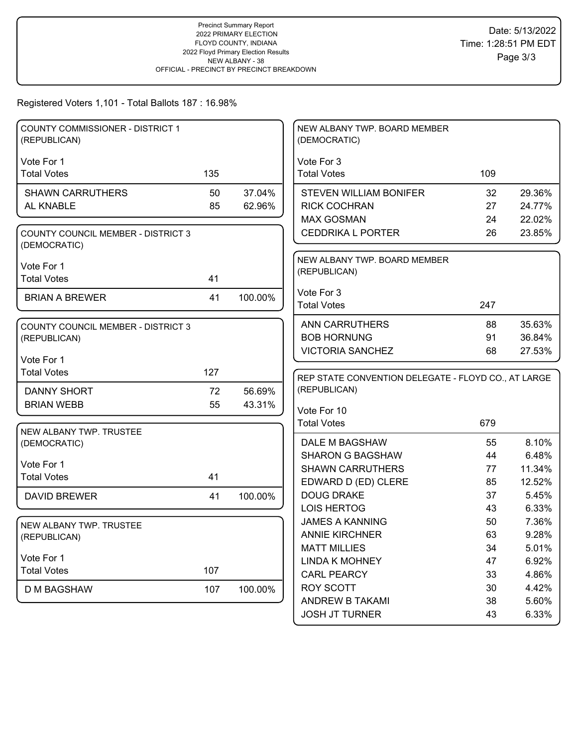#### Registered Voters 1,101 - Total Ballots 187 : 16.98%

| <b>COUNTY COMMISSIONER - DISTRICT 1</b><br>(REPUBLICAN)   |     |         | NEW ALBANY TWP. BOARD MEMBER<br>(DEMOCRATIC)                        |          |                |
|-----------------------------------------------------------|-----|---------|---------------------------------------------------------------------|----------|----------------|
|                                                           |     |         |                                                                     |          |                |
| Vote For 1<br><b>Total Votes</b>                          | 135 |         | Vote For 3<br><b>Total Votes</b>                                    | 109      |                |
|                                                           |     |         |                                                                     |          |                |
| <b>SHAWN CARRUTHERS</b>                                   | 50  | 37.04%  | <b>STEVEN WILLIAM BONIFER</b>                                       | 32       | 29.36%         |
| AL KNABLE                                                 | 85  | 62.96%  | <b>RICK COCHRAN</b>                                                 | 27       | 24.77%         |
|                                                           |     |         | <b>MAX GOSMAN</b>                                                   | 24       | 22.02%         |
| <b>COUNTY COUNCIL MEMBER - DISTRICT 3</b><br>(DEMOCRATIC) |     |         | <b>CEDDRIKA L PORTER</b>                                            | 26       | 23.85%         |
| Vote For 1                                                |     |         | NEW ALBANY TWP. BOARD MEMBER                                        |          |                |
| <b>Total Votes</b>                                        | 41  |         | (REPUBLICAN)                                                        |          |                |
|                                                           |     |         | Vote For 3                                                          |          |                |
| <b>BRIAN A BREWER</b>                                     | 41  | 100.00% | <b>Total Votes</b>                                                  | 247      |                |
|                                                           |     |         |                                                                     |          |                |
| <b>COUNTY COUNCIL MEMBER - DISTRICT 3</b>                 |     |         | <b>ANN CARRUTHERS</b>                                               | 88       | 35.63%         |
| (REPUBLICAN)                                              |     |         | <b>BOB HORNUNG</b>                                                  | 91       | 36.84%         |
| Vote For 1                                                |     |         | <b>VICTORIA SANCHEZ</b>                                             | 68       | 27.53%         |
| <b>Total Votes</b>                                        | 127 |         |                                                                     |          |                |
|                                                           |     |         | REP STATE CONVENTION DELEGATE - FLOYD CO., AT LARGE<br>(REPUBLICAN) |          |                |
| <b>DANNY SHORT</b>                                        | 72  | 56.69%  |                                                                     |          |                |
| <b>BRIAN WEBB</b>                                         | 55  | 43.31%  | Vote For 10                                                         |          |                |
|                                                           |     |         | <b>Total Votes</b>                                                  | 679      |                |
| NEW ALBANY TWP. TRUSTEE<br>(DEMOCRATIC)                   |     |         | DALE M BAGSHAW                                                      | 55       | 8.10%          |
|                                                           |     |         | <b>SHARON G BAGSHAW</b>                                             | 44       | 6.48%          |
| Vote For 1                                                |     |         | <b>SHAWN CARRUTHERS</b>                                             | 77       | 11.34%         |
| <b>Total Votes</b>                                        | 41  |         | EDWARD D (ED) CLERE                                                 | 85       | 12.52%         |
| <b>DAVID BREWER</b>                                       | 41  | 100.00% | <b>DOUG DRAKE</b>                                                   | 37       | 5.45%          |
|                                                           |     |         | <b>LOIS HERTOG</b>                                                  | 43       | 6.33%          |
|                                                           |     |         |                                                                     |          |                |
| NEW ALBANY TWP. TRUSTEE<br>(REPUBLICAN)                   |     |         |                                                                     |          |                |
|                                                           |     |         | <b>JAMES A KANNING</b>                                              | 50       | 7.36%          |
|                                                           |     |         | <b>ANNIE KIRCHNER</b><br><b>MATT MILLIES</b>                        | 63       | 9.28%          |
| Vote For 1                                                |     |         | <b>LINDA K MOHNEY</b>                                               | 34       | 5.01%          |
| <b>Total Votes</b>                                        | 107 |         | <b>CARL PEARCY</b>                                                  | 47<br>33 | 6.92%          |
|                                                           |     |         |                                                                     |          | 4.86%          |
| <b>D M BAGSHAW</b>                                        | 107 | 100.00% | <b>ROY SCOTT</b><br>ANDREW B TAKAMI                                 | 30<br>38 | 4.42%<br>5.60% |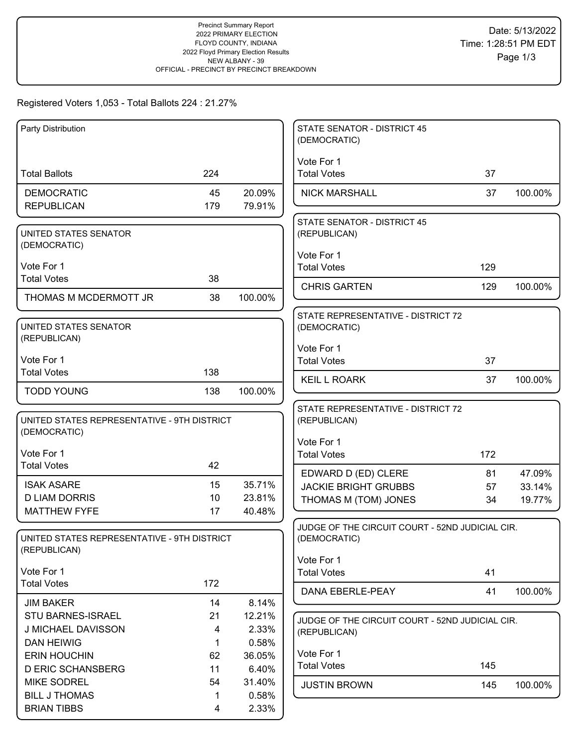# Registered Voters 1,053 - Total Ballots 224 : 21.27%

| Party Distribution                                          |          |                  | <b>STATE SENATOR - DISTRICT 45</b><br>(DEMOCRATIC)              |     |         |
|-------------------------------------------------------------|----------|------------------|-----------------------------------------------------------------|-----|---------|
|                                                             |          |                  | Vote For 1                                                      |     |         |
| <b>Total Ballots</b>                                        | 224      |                  | <b>Total Votes</b>                                              | 37  |         |
| <b>DEMOCRATIC</b>                                           | 45       | 20.09%           | <b>NICK MARSHALL</b>                                            | 37  | 100.00% |
| <b>REPUBLICAN</b>                                           | 179      | 79.91%           |                                                                 |     |         |
|                                                             |          |                  | <b>STATE SENATOR - DISTRICT 45</b>                              |     |         |
| UNITED STATES SENATOR<br>(DEMOCRATIC)                       |          |                  | (REPUBLICAN)                                                    |     |         |
|                                                             |          |                  | Vote For 1                                                      |     |         |
| Vote For 1                                                  |          |                  | <b>Total Votes</b>                                              | 129 |         |
| <b>Total Votes</b>                                          | 38       |                  | <b>CHRIS GARTEN</b>                                             | 129 | 100.00% |
| THOMAS M MCDERMOTT JR                                       | 38       | 100.00%          |                                                                 |     |         |
|                                                             |          |                  | STATE REPRESENTATIVE - DISTRICT 72                              |     |         |
| UNITED STATES SENATOR<br>(REPUBLICAN)                       |          |                  | (DEMOCRATIC)                                                    |     |         |
|                                                             |          |                  | Vote For 1                                                      |     |         |
| Vote For 1                                                  |          |                  | <b>Total Votes</b>                                              | 37  |         |
| <b>Total Votes</b>                                          | 138      |                  | <b>KEIL L ROARK</b>                                             | 37  | 100.00% |
| <b>TODD YOUNG</b>                                           | 138      | 100.00%          |                                                                 |     |         |
|                                                             |          |                  | STATE REPRESENTATIVE - DISTRICT 72                              |     |         |
| UNITED STATES REPRESENTATIVE - 9TH DISTRICT<br>(DEMOCRATIC) |          |                  | (REPUBLICAN)                                                    |     |         |
|                                                             |          |                  | Vote For 1                                                      |     |         |
| Vote For 1<br><b>Total Votes</b>                            | 42       |                  | <b>Total Votes</b>                                              | 172 |         |
|                                                             |          |                  | EDWARD D (ED) CLERE                                             | 81  | 47.09%  |
| <b>ISAK ASARE</b>                                           | 15       | 35.71%           | <b>JACKIE BRIGHT GRUBBS</b>                                     | 57  | 33.14%  |
| <b>D LIAM DORRIS</b><br><b>MATTHEW FYFE</b>                 | 10<br>17 | 23.81%<br>40.48% | THOMAS M (TOM) JONES                                            | 34  | 19.77%  |
|                                                             |          |                  | JUDGE OF THE CIRCUIT COURT - 52ND JUDICIAL CIR.                 |     |         |
| UNITED STATES REPRESENTATIVE - 9TH DISTRICT                 |          |                  | (DEMOCRATIC)                                                    |     |         |
| (REPUBLICAN)                                                |          |                  |                                                                 |     |         |
| Vote For 1                                                  |          |                  | Vote For 1<br><b>Total Votes</b>                                | 41  |         |
| <b>Total Votes</b>                                          | 172      |                  |                                                                 |     |         |
| <b>JIM BAKER</b>                                            | 14       | 8.14%            | DANA EBERLE-PEAY                                                | 41  | 100.00% |
| STU BARNES-ISRAEL                                           | 21       | 12.21%           |                                                                 |     |         |
| J MICHAEL DAVISSON                                          | 4        | 2.33%            | JUDGE OF THE CIRCUIT COURT - 52ND JUDICIAL CIR.<br>(REPUBLICAN) |     |         |
| <b>DAN HEIWIG</b>                                           | 1        | 0.58%            |                                                                 |     |         |
| <b>ERIN HOUCHIN</b>                                         | 62       | 36.05%           | Vote For 1                                                      |     |         |
| <b>D ERIC SCHANSBERG</b>                                    | 11       | 6.40%            | <b>Total Votes</b>                                              | 145 |         |
| <b>MIKE SODREL</b>                                          | 54       | 31.40%           | <b>JUSTIN BROWN</b>                                             | 145 | 100.00% |
| <b>BILL J THOMAS</b><br><b>BRIAN TIBBS</b>                  | 4        | 0.58%<br>2.33%   |                                                                 |     |         |
|                                                             |          |                  |                                                                 |     |         |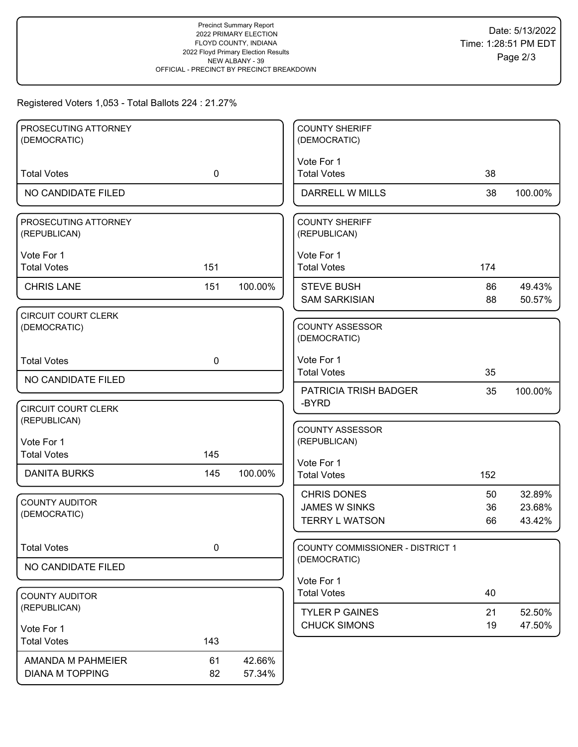# Registered Voters 1,053 - Total Ballots 224 : 21.27%

| <b>COUNTY SHERIFF</b>                   |                                                                                                                                                                                                                                                                                                                                                                                                   |
|-----------------------------------------|---------------------------------------------------------------------------------------------------------------------------------------------------------------------------------------------------------------------------------------------------------------------------------------------------------------------------------------------------------------------------------------------------|
| (DEMOCRATIC)                            |                                                                                                                                                                                                                                                                                                                                                                                                   |
|                                         |                                                                                                                                                                                                                                                                                                                                                                                                   |
| <b>Total Votes</b><br>38                |                                                                                                                                                                                                                                                                                                                                                                                                   |
| <b>DARRELL W MILLS</b><br>38<br>100.00% |                                                                                                                                                                                                                                                                                                                                                                                                   |
|                                         |                                                                                                                                                                                                                                                                                                                                                                                                   |
|                                         |                                                                                                                                                                                                                                                                                                                                                                                                   |
|                                         |                                                                                                                                                                                                                                                                                                                                                                                                   |
|                                         |                                                                                                                                                                                                                                                                                                                                                                                                   |
|                                         |                                                                                                                                                                                                                                                                                                                                                                                                   |
| <b>STEVE BUSH</b><br>86                 | 49.43%                                                                                                                                                                                                                                                                                                                                                                                            |
|                                         | 50.57%                                                                                                                                                                                                                                                                                                                                                                                            |
|                                         |                                                                                                                                                                                                                                                                                                                                                                                                   |
|                                         |                                                                                                                                                                                                                                                                                                                                                                                                   |
|                                         |                                                                                                                                                                                                                                                                                                                                                                                                   |
| Vote For 1                              |                                                                                                                                                                                                                                                                                                                                                                                                   |
|                                         |                                                                                                                                                                                                                                                                                                                                                                                                   |
| PATRICIA TRISH BADGER<br>35<br>100.00%  |                                                                                                                                                                                                                                                                                                                                                                                                   |
|                                         |                                                                                                                                                                                                                                                                                                                                                                                                   |
|                                         |                                                                                                                                                                                                                                                                                                                                                                                                   |
|                                         |                                                                                                                                                                                                                                                                                                                                                                                                   |
|                                         |                                                                                                                                                                                                                                                                                                                                                                                                   |
| Vote For 1                              |                                                                                                                                                                                                                                                                                                                                                                                                   |
|                                         |                                                                                                                                                                                                                                                                                                                                                                                                   |
| <b>CHRIS DONES</b><br>50                | 32.89%                                                                                                                                                                                                                                                                                                                                                                                            |
| <b>JAMES W SINKS</b><br>36              | 23.68%                                                                                                                                                                                                                                                                                                                                                                                            |
|                                         | 43.42%                                                                                                                                                                                                                                                                                                                                                                                            |
|                                         |                                                                                                                                                                                                                                                                                                                                                                                                   |
|                                         |                                                                                                                                                                                                                                                                                                                                                                                                   |
|                                         |                                                                                                                                                                                                                                                                                                                                                                                                   |
| Vote For 1                              |                                                                                                                                                                                                                                                                                                                                                                                                   |
|                                         |                                                                                                                                                                                                                                                                                                                                                                                                   |
| <b>TYLER P GAINES</b><br>21             | 52.50%                                                                                                                                                                                                                                                                                                                                                                                            |
| <b>CHUCK SIMONS</b><br>19               | 47.50%                                                                                                                                                                                                                                                                                                                                                                                            |
|                                         |                                                                                                                                                                                                                                                                                                                                                                                                   |
|                                         |                                                                                                                                                                                                                                                                                                                                                                                                   |
|                                         |                                                                                                                                                                                                                                                                                                                                                                                                   |
|                                         | Vote For 1<br><b>COUNTY SHERIFF</b><br>(REPUBLICAN)<br>Vote For 1<br><b>Total Votes</b><br>174<br><b>SAM SARKISIAN</b><br>88<br><b>COUNTY ASSESSOR</b><br>(DEMOCRATIC)<br><b>Total Votes</b><br>35<br>-BYRD<br><b>COUNTY ASSESSOR</b><br>(REPUBLICAN)<br><b>Total Votes</b><br>152<br><b>TERRY L WATSON</b><br>66<br>COUNTY COMMISSIONER - DISTRICT 1<br>(DEMOCRATIC)<br><b>Total Votes</b><br>40 |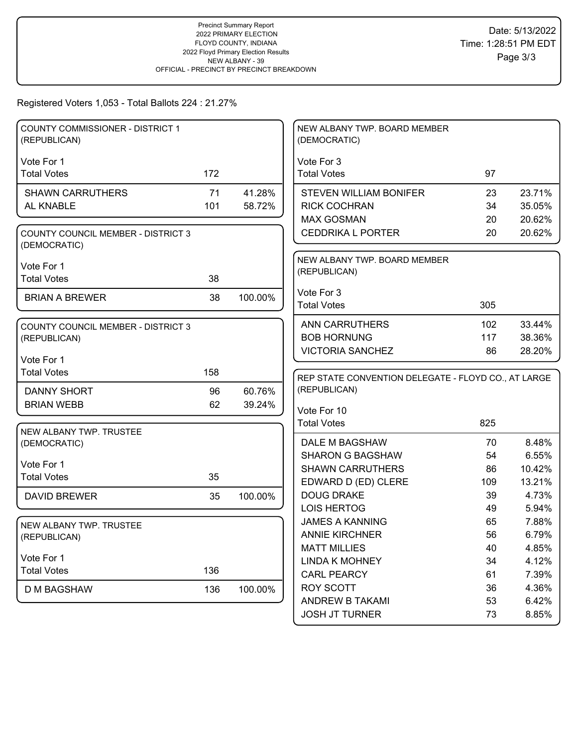## Registered Voters 1,053 - Total Ballots 224 : 21.27%

| COUNTY COMMISSIONER - DISTRICT 1<br>(REPUBLICAN)          |     |         | NEW ALBANY TWP. BOARD MEMBER<br>(DEMOCRATIC)                        |          |                |
|-----------------------------------------------------------|-----|---------|---------------------------------------------------------------------|----------|----------------|
| Vote For 1                                                |     |         | Vote For 3                                                          |          |                |
| <b>Total Votes</b>                                        | 172 |         | <b>Total Votes</b>                                                  | 97       |                |
|                                                           |     |         |                                                                     |          |                |
| <b>SHAWN CARRUTHERS</b>                                   | 71  | 41.28%  | <b>STEVEN WILLIAM BONIFER</b>                                       | 23       | 23.71%         |
| AL KNABLE                                                 | 101 | 58.72%  | <b>RICK COCHRAN</b>                                                 | 34       | 35.05%         |
|                                                           |     |         | <b>MAX GOSMAN</b>                                                   | 20       | 20.62%         |
| <b>COUNTY COUNCIL MEMBER - DISTRICT 3</b><br>(DEMOCRATIC) |     |         | <b>CEDDRIKA L PORTER</b>                                            | 20       | 20.62%         |
| Vote For 1                                                |     |         | NEW ALBANY TWP. BOARD MEMBER                                        |          |                |
| <b>Total Votes</b>                                        | 38  |         | (REPUBLICAN)                                                        |          |                |
|                                                           |     |         | Vote For 3                                                          |          |                |
| <b>BRIAN A BREWER</b>                                     | 38  | 100.00% | <b>Total Votes</b>                                                  | 305      |                |
|                                                           |     |         |                                                                     |          |                |
| <b>COUNTY COUNCIL MEMBER - DISTRICT 3</b>                 |     |         | <b>ANN CARRUTHERS</b>                                               | 102      | 33.44%         |
| (REPUBLICAN)                                              |     |         | <b>BOB HORNUNG</b>                                                  | 117      | 38.36%         |
| Vote For 1                                                |     |         | <b>VICTORIA SANCHEZ</b>                                             | 86       | 28.20%         |
| <b>Total Votes</b>                                        | 158 |         |                                                                     |          |                |
|                                                           |     |         | REP STATE CONVENTION DELEGATE - FLOYD CO., AT LARGE<br>(REPUBLICAN) |          |                |
| DANNY SHORT                                               | 96  | 60.76%  |                                                                     |          |                |
| <b>BRIAN WEBB</b>                                         | 62  | 39.24%  | Vote For 10                                                         |          |                |
|                                                           |     |         | <b>Total Votes</b>                                                  | 825      |                |
| NEW ALBANY TWP. TRUSTEE<br>(DEMOCRATIC)                   |     |         | DALE M BAGSHAW                                                      | 70       | 8.48%          |
|                                                           |     |         | <b>SHARON G BAGSHAW</b>                                             | 54       | 6.55%          |
| Vote For 1                                                |     |         |                                                                     |          |                |
| <b>Total Votes</b>                                        |     |         |                                                                     |          |                |
|                                                           | 35  |         | <b>SHAWN CARRUTHERS</b>                                             | 86       | 10.42%         |
|                                                           |     |         | EDWARD D (ED) CLERE                                                 | 109      | 13.21%         |
| <b>DAVID BREWER</b>                                       | 35  | 100.00% | <b>DOUG DRAKE</b>                                                   | 39       | 4.73%          |
|                                                           |     |         | <b>LOIS HERTOG</b>                                                  | 49       | 5.94%          |
| NEW ALBANY TWP. TRUSTEE                                   |     |         | <b>JAMES A KANNING</b>                                              | 65       | 7.88%          |
| (REPUBLICAN)                                              |     |         | <b>ANNIE KIRCHNER</b>                                               | 56       | 6.79%          |
| Vote For 1                                                |     |         | <b>MATT MILLIES</b>                                                 | 40       | 4.85%          |
| <b>Total Votes</b>                                        | 136 |         | <b>LINDA K MOHNEY</b>                                               | 34       | 4.12%          |
|                                                           |     |         | <b>CARL PEARCY</b>                                                  | 61       | 7.39%          |
| <b>D M BAGSHAW</b>                                        | 136 | 100.00% | ROY SCOTT<br>ANDREW B TAKAMI                                        | 36<br>53 | 4.36%<br>6.42% |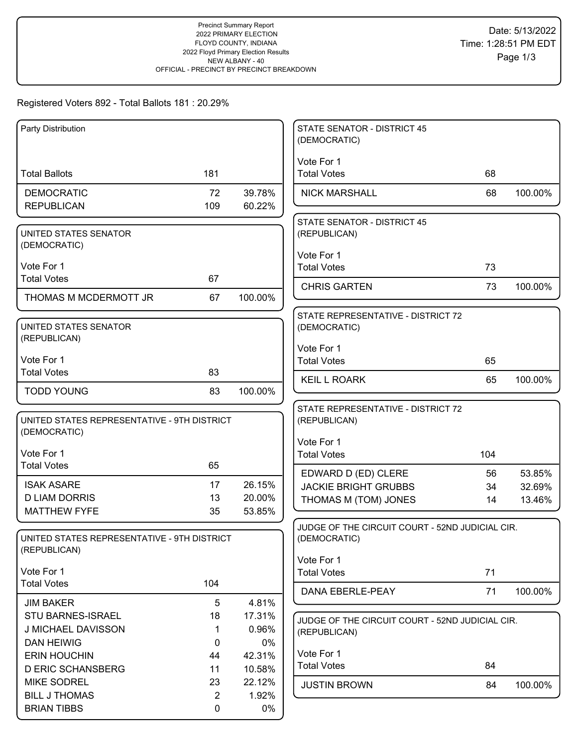# Registered Voters 892 - Total Ballots 181 : 20.29%

| Party Distribution                             |          |                  | <b>STATE SENATOR - DISTRICT 45</b><br>(DEMOCRATIC) |     |         |
|------------------------------------------------|----------|------------------|----------------------------------------------------|-----|---------|
|                                                |          |                  | Vote For 1                                         |     |         |
| <b>Total Ballots</b>                           | 181      |                  | <b>Total Votes</b>                                 | 68  |         |
| <b>DEMOCRATIC</b>                              | 72       | 39.78%           | <b>NICK MARSHALL</b>                               | 68  | 100.00% |
| <b>REPUBLICAN</b>                              | 109      | 60.22%           |                                                    |     |         |
|                                                |          |                  | <b>STATE SENATOR - DISTRICT 45</b>                 |     |         |
| UNITED STATES SENATOR<br>(DEMOCRATIC)          |          |                  | (REPUBLICAN)                                       |     |         |
|                                                |          |                  | Vote For 1                                         |     |         |
| Vote For 1                                     |          |                  | <b>Total Votes</b>                                 | 73  |         |
| <b>Total Votes</b>                             | 67       |                  | <b>CHRIS GARTEN</b>                                | 73  | 100.00% |
| THOMAS M MCDERMOTT JR                          | 67       | 100.00%          |                                                    |     |         |
|                                                |          |                  | STATE REPRESENTATIVE - DISTRICT 72                 |     |         |
| UNITED STATES SENATOR<br>(REPUBLICAN)          |          |                  | (DEMOCRATIC)                                       |     |         |
|                                                |          |                  | Vote For 1                                         |     |         |
| Vote For 1<br><b>Total Votes</b>               | 83       |                  | <b>Total Votes</b>                                 | 65  |         |
|                                                |          |                  | <b>KEIL L ROARK</b>                                | 65  | 100.00% |
| <b>TODD YOUNG</b>                              | 83       | 100.00%          |                                                    |     |         |
| UNITED STATES REPRESENTATIVE - 9TH DISTRICT    |          |                  | STATE REPRESENTATIVE - DISTRICT 72                 |     |         |
| (DEMOCRATIC)                                   |          |                  | (REPUBLICAN)                                       |     |         |
|                                                |          |                  | Vote For 1                                         |     |         |
| Vote For 1<br><b>Total Votes</b>               | 65       |                  | <b>Total Votes</b>                                 | 104 |         |
|                                                |          |                  | EDWARD D (ED) CLERE                                | 56  | 53.85%  |
| <b>ISAK ASARE</b><br><b>D LIAM DORRIS</b>      | 17<br>13 | 26.15%<br>20.00% | <b>JACKIE BRIGHT GRUBBS</b>                        | 34  | 32.69%  |
| <b>MATTHEW FYFE</b>                            | 35       | 53.85%           | THOMAS M (TOM) JONES                               | 14  | 13.46%  |
|                                                |          |                  | JUDGE OF THE CIRCUIT COURT - 52ND JUDICIAL CIR.    |     |         |
| UNITED STATES REPRESENTATIVE - 9TH DISTRICT    |          |                  | (DEMOCRATIC)                                       |     |         |
| (REPUBLICAN)                                   |          |                  | Vote For 1                                         |     |         |
| Vote For 1                                     |          |                  | <b>Total Votes</b>                                 | 71  |         |
| <b>Total Votes</b>                             | 104      |                  | DANA EBERLE-PEAY                                   | 71  | 100.00% |
| <b>JIM BAKER</b>                               | 5        | 4.81%            |                                                    |     |         |
| STU BARNES-ISRAEL                              | 18       | 17.31%           | JUDGE OF THE CIRCUIT COURT - 52ND JUDICIAL CIR.    |     |         |
| J MICHAEL DAVISSON                             | 1        | 0.96%            | (REPUBLICAN)                                       |     |         |
| <b>DAN HEIWIG</b>                              | 0        | 0%               |                                                    |     |         |
| <b>ERIN HOUCHIN</b>                            | 44       | 42.31%           | Vote For 1<br><b>Total Votes</b>                   | 84  |         |
| <b>D ERIC SCHANSBERG</b><br><b>MIKE SODREL</b> | 11<br>23 | 10.58%<br>22.12% |                                                    |     |         |
| <b>BILL J THOMAS</b>                           | 2        | 1.92%            | <b>JUSTIN BROWN</b>                                | 84  | 100.00% |
| <b>BRIAN TIBBS</b>                             | 0        | 0%               |                                                    |     |         |
|                                                |          |                  |                                                    |     |         |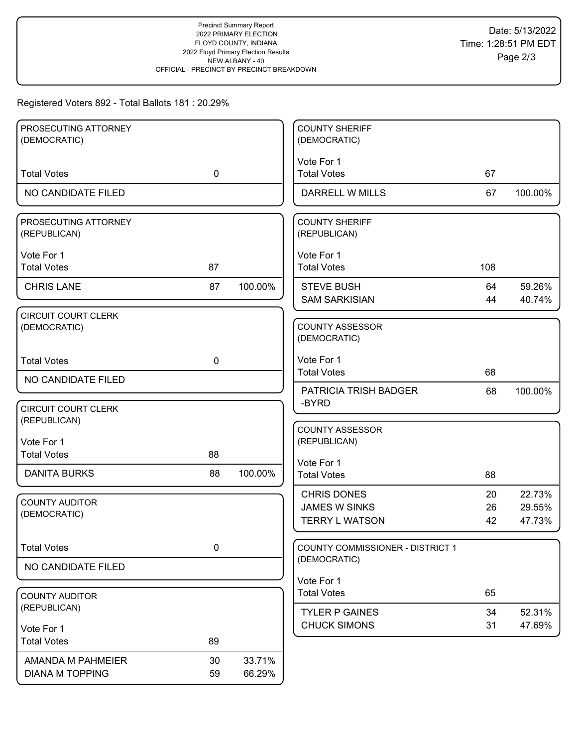# Registered Voters 892 - Total Ballots 181 : 20.29%

| PROSECUTING ATTORNEY<br>(DEMOCRATIC)       |             |         | <b>COUNTY SHERIFF</b><br>(DEMOCRATIC)                               |                |                            |
|--------------------------------------------|-------------|---------|---------------------------------------------------------------------|----------------|----------------------------|
|                                            |             |         |                                                                     |                |                            |
| <b>Total Votes</b>                         | $\mathbf 0$ |         | Vote For 1<br><b>Total Votes</b>                                    | 67             |                            |
| NO CANDIDATE FILED                         |             |         | DARRELL W MILLS                                                     | 67             | 100.00%                    |
| PROSECUTING ATTORNEY<br>(REPUBLICAN)       |             |         | <b>COUNTY SHERIFF</b><br>(REPUBLICAN)                               |                |                            |
| Vote For 1<br><b>Total Votes</b>           | 87          |         | Vote For 1<br><b>Total Votes</b>                                    | 108            |                            |
| <b>CHRIS LANE</b>                          | 87          | 100.00% | <b>STEVE BUSH</b><br><b>SAM SARKISIAN</b>                           | 64<br>44       | 59.26%<br>40.74%           |
| <b>CIRCUIT COURT CLERK</b><br>(DEMOCRATIC) |             |         | <b>COUNTY ASSESSOR</b><br>(DEMOCRATIC)                              |                |                            |
| <b>Total Votes</b>                         | $\mathbf 0$ |         | Vote For 1<br><b>Total Votes</b>                                    | 68             |                            |
| NO CANDIDATE FILED                         |             |         | PATRICIA TRISH BADGER                                               | 68             | 100.00%                    |
| <b>CIRCUIT COURT CLERK</b><br>(REPUBLICAN) |             |         | -BYRD                                                               |                |                            |
| Vote For 1<br><b>Total Votes</b>           | 88          |         | <b>COUNTY ASSESSOR</b><br>(REPUBLICAN)                              |                |                            |
| <b>DANITA BURKS</b>                        | 88          | 100.00% | Vote For 1<br><b>Total Votes</b>                                    | 88             |                            |
| <b>COUNTY AUDITOR</b><br>(DEMOCRATIC)      |             |         | <b>CHRIS DONES</b><br><b>JAMES W SINKS</b><br><b>TERRY L WATSON</b> | 20<br>26<br>42 | 22.73%<br>29.55%<br>47.73% |
| <b>Total Votes</b>                         | $\pmb{0}$   |         | COUNTY COMMISSIONER - DISTRICT 1                                    |                |                            |
| NO CANDIDATE FILED                         |             |         | (DEMOCRATIC)                                                        |                |                            |
| <b>COUNTY AUDITOR</b>                      |             |         | Vote For 1<br><b>Total Votes</b>                                    | 65             |                            |
| (REPUBLICAN)                               |             |         | <b>TYLER P GAINES</b>                                               | 34             | 52.31%                     |
| Vote For 1<br><b>Total Votes</b>           | 89          |         | <b>CHUCK SIMONS</b>                                                 | 31             | 47.69%                     |
| AMANDA M PAHMEIER                          | 30          | 33.71%  |                                                                     |                |                            |
| <b>DIANA M TOPPING</b>                     | 59          | 66.29%  |                                                                     |                |                            |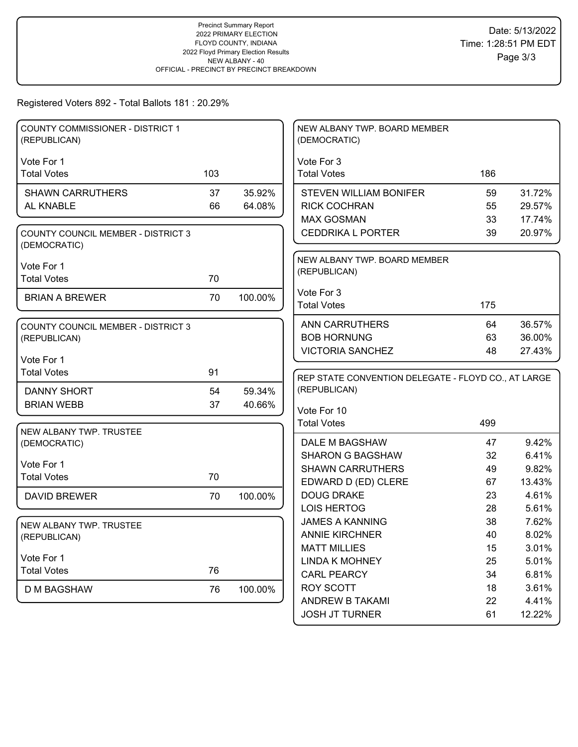# Registered Voters 892 - Total Ballots 181 : 20.29%

| <b>COUNTY COMMISSIONER - DISTRICT 1</b><br>(REPUBLICAN)   |     |         | NEW ALBANY TWP. BOARD MEMBER<br>(DEMOCRATIC)        |          |                |
|-----------------------------------------------------------|-----|---------|-----------------------------------------------------|----------|----------------|
|                                                           |     |         |                                                     |          |                |
| Vote For 1<br><b>Total Votes</b>                          | 103 |         | Vote For 3<br><b>Total Votes</b>                    | 186      |                |
|                                                           |     |         |                                                     |          |                |
| <b>SHAWN CARRUTHERS</b>                                   | 37  | 35.92%  | <b>STEVEN WILLIAM BONIFER</b>                       | 59       | 31.72%         |
| AL KNABLE                                                 | 66  | 64.08%  | <b>RICK COCHRAN</b>                                 | 55       | 29.57%         |
|                                                           |     |         | <b>MAX GOSMAN</b>                                   | 33       | 17.74%         |
| <b>COUNTY COUNCIL MEMBER - DISTRICT 3</b><br>(DEMOCRATIC) |     |         | <b>CEDDRIKA L PORTER</b>                            | 39       | 20.97%         |
| Vote For 1                                                |     |         | NEW ALBANY TWP. BOARD MEMBER                        |          |                |
| <b>Total Votes</b>                                        | 70  |         | (REPUBLICAN)                                        |          |                |
|                                                           |     |         | Vote For 3                                          |          |                |
| <b>BRIAN A BREWER</b>                                     | 70  | 100.00% | <b>Total Votes</b>                                  | 175      |                |
|                                                           |     |         |                                                     |          |                |
| <b>COUNTY COUNCIL MEMBER - DISTRICT 3</b>                 |     |         | <b>ANN CARRUTHERS</b>                               | 64       | 36.57%         |
| (REPUBLICAN)                                              |     |         | <b>BOB HORNUNG</b>                                  | 63       | 36.00%         |
| Vote For 1                                                |     |         | <b>VICTORIA SANCHEZ</b>                             | 48       | 27.43%         |
| <b>Total Votes</b>                                        | 91  |         |                                                     |          |                |
|                                                           |     |         | REP STATE CONVENTION DELEGATE - FLOYD CO., AT LARGE |          |                |
| <b>DANNY SHORT</b>                                        | 54  | 59.34%  | (REPUBLICAN)                                        |          |                |
| <b>BRIAN WEBB</b>                                         | 37  | 40.66%  | Vote For 10                                         |          |                |
|                                                           |     |         | <b>Total Votes</b>                                  | 499      |                |
| NEW ALBANY TWP. TRUSTEE                                   |     |         | DALE M BAGSHAW                                      | 47       | 9.42%          |
| (DEMOCRATIC)                                              |     |         | <b>SHARON G BAGSHAW</b>                             | 32       | 6.41%          |
| Vote For 1                                                |     |         | <b>SHAWN CARRUTHERS</b>                             | 49       | 9.82%          |
| <b>Total Votes</b>                                        | 70  |         | EDWARD D (ED) CLERE                                 | 67       | 13.43%         |
| <b>DAVID BREWER</b>                                       | 70  | 100.00% | <b>DOUG DRAKE</b>                                   | 23       | 4.61%          |
|                                                           |     |         | <b>LOIS HERTOG</b>                                  | 28       | 5.61%          |
|                                                           |     |         | <b>JAMES A KANNING</b>                              | 38       | 7.62%          |
| NEW ALBANY TWP. TRUSTEE<br>(REPUBLICAN)                   |     |         | <b>ANNIE KIRCHNER</b>                               | 40       | 8.02%          |
|                                                           |     |         | <b>MATT MILLIES</b>                                 | 15       | 3.01%          |
| Vote For 1                                                |     |         | <b>LINDA K MOHNEY</b>                               | 25       | 5.01%          |
| <b>Total Votes</b>                                        |     |         |                                                     |          |                |
|                                                           | 76  |         |                                                     |          |                |
|                                                           |     |         | <b>CARL PEARCY</b>                                  | 34       | 6.81%          |
| D M BAGSHAW                                               | 76  | 100.00% | <b>ROY SCOTT</b><br>ANDREW B TAKAMI                 | 18<br>22 | 3.61%<br>4.41% |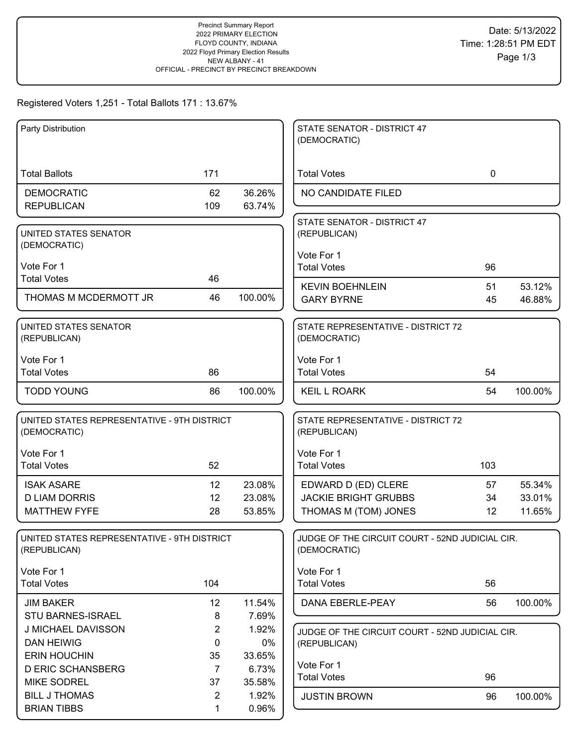### Registered Voters 1,251 - Total Ballots 171 : 13.67%

| Party Distribution                                          |                      |                 | STATE SENATOR - DISTRICT 47<br>(DEMOCRATIC)                     |             |         |
|-------------------------------------------------------------|----------------------|-----------------|-----------------------------------------------------------------|-------------|---------|
|                                                             |                      |                 |                                                                 |             |         |
| <b>Total Ballots</b>                                        | 171                  |                 | <b>Total Votes</b>                                              | $\mathbf 0$ |         |
| <b>DEMOCRATIC</b>                                           | 62                   | 36.26%          | NO CANDIDATE FILED                                              |             |         |
| <b>REPUBLICAN</b>                                           | 109                  | 63.74%          |                                                                 |             |         |
| UNITED STATES SENATOR                                       |                      |                 | STATE SENATOR - DISTRICT 47<br>(REPUBLICAN)                     |             |         |
| (DEMOCRATIC)                                                |                      |                 | Vote For 1                                                      |             |         |
| Vote For 1                                                  |                      |                 | <b>Total Votes</b>                                              | 96          |         |
| <b>Total Votes</b>                                          | 46                   |                 | <b>KEVIN BOEHNLEIN</b>                                          | 51          | 53.12%  |
| THOMAS M MCDERMOTT JR                                       | 46                   | 100.00%         | <b>GARY BYRNE</b>                                               | 45          | 46.88%  |
| UNITED STATES SENATOR<br>(REPUBLICAN)                       |                      |                 | STATE REPRESENTATIVE - DISTRICT 72<br>(DEMOCRATIC)              |             |         |
| Vote For 1                                                  |                      |                 | Vote For 1                                                      |             |         |
| <b>Total Votes</b>                                          | 86                   |                 | <b>Total Votes</b>                                              | 54          |         |
| <b>TODD YOUNG</b>                                           | 86                   | 100.00%         | <b>KEIL L ROARK</b>                                             | 54          | 100.00% |
| UNITED STATES REPRESENTATIVE - 9TH DISTRICT<br>(DEMOCRATIC) |                      |                 | STATE REPRESENTATIVE - DISTRICT 72<br>(REPUBLICAN)              |             |         |
| Vote For 1                                                  |                      |                 | Vote For 1                                                      |             |         |
| <b>Total Votes</b>                                          | 52                   |                 | <b>Total Votes</b>                                              | 103         |         |
| <b>ISAK ASARE</b>                                           | 12                   | 23.08%          | EDWARD D (ED) CLERE                                             | 57          | 55.34%  |
| <b>D LIAM DORRIS</b>                                        | 12                   | 23.08%          | <b>JACKIE BRIGHT GRUBBS</b>                                     | 34          | 33.01%  |
| <b>MATTHEW FYFE</b>                                         | 28                   | 53.85%          | THOMAS M (TOM) JONES                                            | 12          | 11.65%  |
| UNITED STATES REPRESENTATIVE - 9TH DISTRICT<br>(REPUBLICAN) |                      |                 | JUDGE OF THE CIRCUIT COURT - 52ND JUDICIAL CIR.<br>(DEMOCRATIC) |             |         |
| Vote For 1                                                  |                      |                 | Vote For 1                                                      |             |         |
| <b>Total Votes</b>                                          | 104                  |                 | <b>Total Votes</b>                                              | 56          |         |
| <b>JIM BAKER</b>                                            | 12                   | 11.54%          | DANA EBERLE-PEAY                                                | 56          | 100.00% |
| <b>STU BARNES-ISRAEL</b>                                    | 8                    | 7.69%           |                                                                 |             |         |
| J MICHAEL DAVISSON                                          | $\overline{2}$       | 1.92%           | JUDGE OF THE CIRCUIT COURT - 52ND JUDICIAL CIR.                 |             |         |
| <b>DAN HEIWIG</b><br><b>ERIN HOUCHIN</b>                    | $\mathbf 0$          | 0%              | (REPUBLICAN)                                                    |             |         |
| <b>D ERIC SCHANSBERG</b>                                    | 35<br>$\overline{7}$ | 33.65%<br>6.73% | Vote For 1                                                      |             |         |
| <b>MIKE SODREL</b>                                          | 37                   | 35.58%          | <b>Total Votes</b>                                              | 96          |         |
| <b>BILL J THOMAS</b>                                        | $\overline{2}$       | 1.92%           | <b>JUSTIN BROWN</b>                                             | 96          | 100.00% |
| <b>BRIAN TIBBS</b>                                          | 1                    | 0.96%           |                                                                 |             |         |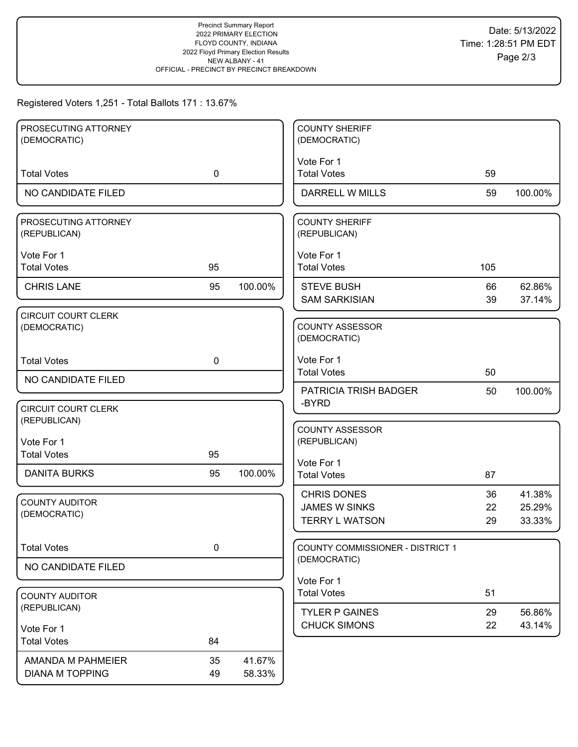### Registered Voters 1,251 - Total Ballots 171 : 13.67%

| PROSECUTING ATTORNEY                       |             |         | <b>COUNTY SHERIFF</b>                        |          |                  |
|--------------------------------------------|-------------|---------|----------------------------------------------|----------|------------------|
| (DEMOCRATIC)                               |             |         | (DEMOCRATIC)                                 |          |                  |
|                                            |             |         | Vote For 1                                   |          |                  |
| <b>Total Votes</b>                         | $\mathbf 0$ |         | <b>Total Votes</b>                           | 59       |                  |
| NO CANDIDATE FILED                         |             |         | DARRELL W MILLS                              | 59       | 100.00%          |
| PROSECUTING ATTORNEY<br>(REPUBLICAN)       |             |         | <b>COUNTY SHERIFF</b><br>(REPUBLICAN)        |          |                  |
| Vote For 1                                 |             |         | Vote For 1                                   |          |                  |
| <b>Total Votes</b>                         | 95          |         | <b>Total Votes</b>                           | 105      |                  |
| <b>CHRIS LANE</b>                          | 95          | 100.00% | <b>STEVE BUSH</b>                            | 66       | 62.86%           |
|                                            |             |         | <b>SAM SARKISIAN</b>                         | 39       | 37.14%           |
| <b>CIRCUIT COURT CLERK</b><br>(DEMOCRATIC) |             |         | <b>COUNTY ASSESSOR</b><br>(DEMOCRATIC)       |          |                  |
| <b>Total Votes</b>                         | $\mathbf 0$ |         | Vote For 1                                   |          |                  |
| NO CANDIDATE FILED                         |             |         | <b>Total Votes</b>                           | 50       |                  |
|                                            |             |         | <b>PATRICIA TRISH BADGER</b>                 | 50       | 100.00%          |
| <b>CIRCUIT COURT CLERK</b><br>(REPUBLICAN) |             |         | -BYRD                                        |          |                  |
| Vote For 1                                 |             |         | <b>COUNTY ASSESSOR</b><br>(REPUBLICAN)       |          |                  |
| <b>Total Votes</b>                         | 95          |         |                                              |          |                  |
| <b>DANITA BURKS</b>                        | 95          | 100.00% | Vote For 1<br><b>Total Votes</b>             | 87       |                  |
|                                            |             |         | <b>CHRIS DONES</b>                           | 36       | 41.38%           |
| <b>COUNTY AUDITOR</b><br>(DEMOCRATIC)      |             |         | <b>JAMES W SINKS</b>                         | 22       | 25.29%           |
|                                            |             |         | <b>TERRY L WATSON</b>                        | 29       | 33.33%           |
| <b>Total Votes</b>                         | $\pmb{0}$   |         | COUNTY COMMISSIONER - DISTRICT 1             |          |                  |
| NO CANDIDATE FILED                         |             |         | (DEMOCRATIC)                                 |          |                  |
|                                            |             |         | Vote For 1<br><b>Total Votes</b>             | 51       |                  |
| <b>COUNTY AUDITOR</b><br>(REPUBLICAN)      |             |         |                                              |          |                  |
|                                            |             |         | <b>TYLER P GAINES</b><br><b>CHUCK SIMONS</b> | 29<br>22 | 56.86%<br>43.14% |
| Vote For 1<br><b>Total Votes</b>           | 84          |         |                                              |          |                  |
|                                            |             |         |                                              |          |                  |
| AMANDA M PAHMEIER                          | 35          | 41.67%  |                                              |          |                  |
| <b>DIANA M TOPPING</b>                     | 49          | 58.33%  |                                              |          |                  |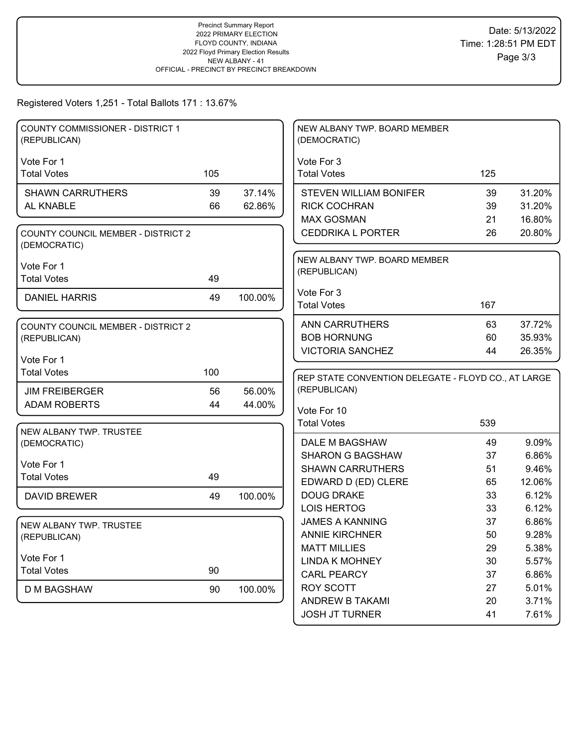Registered Voters 1,251 - Total Ballots 171 : 13.67%

| <b>COUNTY COMMISSIONER - DISTRICT 1</b><br>(REPUBLICAN) |     |         | NEW ALBANY TWP. BOARD MEMBER<br>(DEMOCRATIC)        |     |        |
|---------------------------------------------------------|-----|---------|-----------------------------------------------------|-----|--------|
|                                                         |     |         |                                                     |     |        |
| Vote For 1                                              | 105 |         | Vote For 3                                          |     |        |
| <b>Total Votes</b>                                      |     |         | <b>Total Votes</b>                                  | 125 |        |
| <b>SHAWN CARRUTHERS</b>                                 | 39  | 37.14%  | <b>STEVEN WILLIAM BONIFER</b>                       | 39  | 31.20% |
| AL KNABLE                                               | 66  | 62.86%  | <b>RICK COCHRAN</b>                                 | 39  | 31.20% |
|                                                         |     |         | <b>MAX GOSMAN</b>                                   | 21  | 16.80% |
| COUNTY COUNCIL MEMBER - DISTRICT 2<br>(DEMOCRATIC)      |     |         | <b>CEDDRIKA L PORTER</b>                            | 26  | 20.80% |
|                                                         |     |         | NEW ALBANY TWP. BOARD MEMBER                        |     |        |
| Vote For 1                                              |     |         | (REPUBLICAN)                                        |     |        |
| <b>Total Votes</b>                                      | 49  |         |                                                     |     |        |
| <b>DANIEL HARRIS</b>                                    | 49  | 100.00% | Vote For 3                                          |     |        |
|                                                         |     |         | <b>Total Votes</b>                                  | 167 |        |
| <b>COUNTY COUNCIL MEMBER - DISTRICT 2</b>               |     |         | <b>ANN CARRUTHERS</b>                               | 63  | 37.72% |
| (REPUBLICAN)                                            |     |         | <b>BOB HORNUNG</b>                                  | 60  | 35.93% |
|                                                         |     |         | <b>VICTORIA SANCHEZ</b>                             | 44  | 26.35% |
| Vote For 1                                              |     |         |                                                     |     |        |
| <b>Total Votes</b>                                      | 100 |         | REP STATE CONVENTION DELEGATE - FLOYD CO., AT LARGE |     |        |
|                                                         |     |         |                                                     |     |        |
| <b>JIM FREIBERGER</b>                                   | 56  | 56.00%  | (REPUBLICAN)                                        |     |        |
| <b>ADAM ROBERTS</b>                                     | 44  | 44.00%  |                                                     |     |        |
|                                                         |     |         | Vote For 10                                         |     |        |
| NEW ALBANY TWP. TRUSTEE                                 |     |         | <b>Total Votes</b>                                  | 539 |        |
| (DEMOCRATIC)                                            |     |         | DALE M BAGSHAW                                      | 49  | 9.09%  |
|                                                         |     |         | <b>SHARON G BAGSHAW</b>                             | 37  | 6.86%  |
| Vote For 1                                              |     |         | <b>SHAWN CARRUTHERS</b>                             | 51  | 9.46%  |
| <b>Total Votes</b>                                      | 49  |         | EDWARD D (ED) CLERE                                 | 65  | 12.06% |
| <b>DAVID BREWER</b>                                     | 49  | 100.00% | <b>DOUG DRAKE</b>                                   | 33  | 6.12%  |
|                                                         |     |         | <b>LOIS HERTOG</b>                                  | 33  | 6.12%  |
| NEW ALBANY TWP. TRUSTEE                                 |     |         | <b>JAMES A KANNING</b>                              | 37  | 6.86%  |
| (REPUBLICAN)                                            |     |         | <b>ANNIE KIRCHNER</b>                               | 50  | 9.28%  |
|                                                         |     |         | <b>MATT MILLIES</b>                                 | 29  | 5.38%  |
| Vote For 1                                              |     |         | <b>LINDA K MOHNEY</b>                               | 30  | 5.57%  |
| <b>Total Votes</b>                                      | 90  |         | <b>CARL PEARCY</b>                                  | 37  | 6.86%  |
| D M BAGSHAW                                             | 90  | 100.00% | ROY SCOTT                                           | 27  | 5.01%  |
|                                                         |     |         | ANDREW B TAKAMI                                     | 20  | 3.71%  |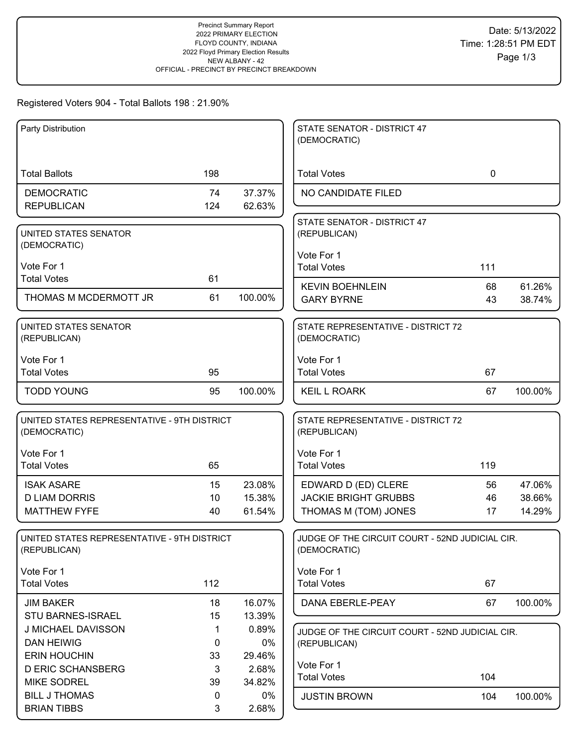## Registered Voters 904 - Total Ballots 198 : 21.90%

| Party Distribution                                          |                    |                 | STATE SENATOR - DISTRICT 47<br>(DEMOCRATIC)        |             |                  |
|-------------------------------------------------------------|--------------------|-----------------|----------------------------------------------------|-------------|------------------|
|                                                             |                    |                 |                                                    |             |                  |
| <b>Total Ballots</b>                                        | 198                |                 | <b>Total Votes</b>                                 | $\mathbf 0$ |                  |
| <b>DEMOCRATIC</b>                                           | 74                 | 37.37%          | NO CANDIDATE FILED                                 |             |                  |
| <b>REPUBLICAN</b>                                           | 124                | 62.63%          |                                                    |             |                  |
| UNITED STATES SENATOR                                       |                    |                 | STATE SENATOR - DISTRICT 47<br>(REPUBLICAN)        |             |                  |
| (DEMOCRATIC)                                                |                    |                 |                                                    |             |                  |
| Vote For 1                                                  |                    |                 | Vote For 1<br><b>Total Votes</b>                   | 111         |                  |
| <b>Total Votes</b>                                          | 61                 |                 |                                                    |             |                  |
| THOMAS M MCDERMOTT JR                                       | 61                 | 100.00%         | <b>KEVIN BOEHNLEIN</b><br><b>GARY BYRNE</b>        | 68<br>43    | 61.26%<br>38.74% |
|                                                             |                    |                 |                                                    |             |                  |
| UNITED STATES SENATOR                                       |                    |                 | STATE REPRESENTATIVE - DISTRICT 72                 |             |                  |
| (REPUBLICAN)                                                |                    |                 | (DEMOCRATIC)                                       |             |                  |
| Vote For 1                                                  |                    |                 | Vote For 1                                         |             |                  |
| <b>Total Votes</b>                                          | 95                 |                 | <b>Total Votes</b>                                 | 67          |                  |
| <b>TODD YOUNG</b>                                           | 95                 | 100.00%         | <b>KEIL L ROARK</b>                                | 67          | 100.00%          |
| UNITED STATES REPRESENTATIVE - 9TH DISTRICT<br>(DEMOCRATIC) |                    |                 | STATE REPRESENTATIVE - DISTRICT 72<br>(REPUBLICAN) |             |                  |
|                                                             |                    |                 |                                                    |             |                  |
| Vote For 1                                                  |                    |                 | Vote For 1                                         |             |                  |
| <b>Total Votes</b>                                          | 65                 |                 | <b>Total Votes</b>                                 | 119         |                  |
| <b>ISAK ASARE</b>                                           | 15                 | 23.08%          | EDWARD D (ED) CLERE                                | 56          | 47.06%           |
| <b>D LIAM DORRIS</b><br><b>MATTHEW FYFE</b>                 | 10<br>40           | 15.38%          | <b>JACKIE BRIGHT GRUBBS</b>                        | 46          | 38.66%           |
|                                                             |                    | 61.54%          | THOMAS M (TOM) JONES                               | 17          | 14.29%           |
| UNITED STATES REPRESENTATIVE - 9TH DISTRICT                 |                    |                 | JUDGE OF THE CIRCUIT COURT - 52ND JUDICIAL CIR.    |             |                  |
| (REPUBLICAN)                                                |                    |                 | (DEMOCRATIC)                                       |             |                  |
| Vote For 1                                                  |                    |                 | Vote For 1                                         |             |                  |
| <b>Total Votes</b>                                          | 112                |                 | <b>Total Votes</b>                                 | 67          |                  |
| <b>JIM BAKER</b>                                            | 18                 | 16.07%          | DANA EBERLE-PEAY                                   | 67          | 100.00%          |
| STU BARNES-ISRAEL                                           | 15                 | 13.39%          |                                                    |             |                  |
| J MICHAEL DAVISSON                                          | 1                  | 0.89%           | JUDGE OF THE CIRCUIT COURT - 52ND JUDICIAL CIR.    |             |                  |
| <b>DAN HEIWIG</b>                                           | 0                  | $0\%$           | (REPUBLICAN)                                       |             |                  |
| <b>ERIN HOUCHIN</b>                                         | 33                 | 29.46%          | Vote For 1                                         |             |                  |
| <b>D ERIC SCHANSBERG</b><br><b>MIKE SODREL</b>              | $\mathbf{3}$<br>39 | 2.68%<br>34.82% | <b>Total Votes</b>                                 | 104         |                  |
| <b>BILL J THOMAS</b>                                        | 0                  | $0\%$           | <b>JUSTIN BROWN</b>                                | 104         | 100.00%          |
| <b>BRIAN TIBBS</b>                                          | 3                  | 2.68%           |                                                    |             |                  |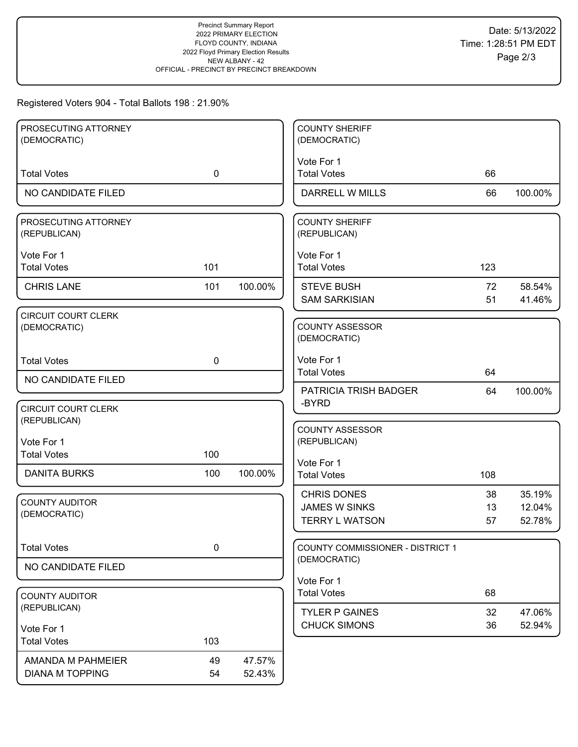# Registered Voters 904 - Total Ballots 198 : 21.90%

| PROSECUTING ATTORNEY<br>(DEMOCRATIC)       |             |         | <b>COUNTY SHERIFF</b><br>(DEMOCRATIC)      |          |                  |
|--------------------------------------------|-------------|---------|--------------------------------------------|----------|------------------|
|                                            |             |         | Vote For 1                                 |          |                  |
| <b>Total Votes</b>                         | $\mathbf 0$ |         | <b>Total Votes</b>                         | 66       |                  |
| NO CANDIDATE FILED                         |             |         | DARRELL W MILLS                            | 66       | 100.00%          |
| PROSECUTING ATTORNEY<br>(REPUBLICAN)       |             |         | <b>COUNTY SHERIFF</b><br>(REPUBLICAN)      |          |                  |
| Vote For 1<br><b>Total Votes</b>           | 101         |         | Vote For 1<br><b>Total Votes</b>           | 123      |                  |
| <b>CHRIS LANE</b>                          | 101         | 100.00% | <b>STEVE BUSH</b><br><b>SAM SARKISIAN</b>  | 72<br>51 | 58.54%<br>41.46% |
| <b>CIRCUIT COURT CLERK</b><br>(DEMOCRATIC) |             |         | <b>COUNTY ASSESSOR</b><br>(DEMOCRATIC)     |          |                  |
| <b>Total Votes</b>                         | $\mathbf 0$ |         | Vote For 1<br><b>Total Votes</b>           | 64       |                  |
| NO CANDIDATE FILED                         |             |         | PATRICIA TRISH BADGER                      | 64       | 100.00%          |
| <b>CIRCUIT COURT CLERK</b><br>(REPUBLICAN) |             |         | -BYRD                                      |          |                  |
| Vote For 1                                 |             |         | <b>COUNTY ASSESSOR</b><br>(REPUBLICAN)     |          |                  |
| <b>Total Votes</b>                         | 100         |         | Vote For 1                                 |          |                  |
| <b>DANITA BURKS</b>                        | 100         | 100.00% | <b>Total Votes</b>                         | 108      |                  |
| <b>COUNTY AUDITOR</b>                      |             |         | <b>CHRIS DONES</b><br><b>JAMES W SINKS</b> | 38<br>13 | 35.19%<br>12.04% |
| (DEMOCRATIC)                               |             |         | <b>TERRY L WATSON</b>                      | 57       | 52.78%           |
| <b>Total Votes</b>                         | $\pmb{0}$   |         | COUNTY COMMISSIONER - DISTRICT 1           |          |                  |
| NO CANDIDATE FILED                         |             |         | (DEMOCRATIC)                               |          |                  |
| <b>COUNTY AUDITOR</b>                      |             |         | Vote For 1<br><b>Total Votes</b>           | 68       |                  |
| (REPUBLICAN)                               |             |         | <b>TYLER P GAINES</b>                      | 32       | 47.06%           |
| Vote For 1                                 |             |         | <b>CHUCK SIMONS</b>                        | 36       | 52.94%           |
| <b>Total Votes</b>                         | 103         |         |                                            |          |                  |
| AMANDA M PAHMEIER                          | 49          | 47.57%  |                                            |          |                  |
| <b>DIANA M TOPPING</b>                     | 54          | 52.43%  |                                            |          |                  |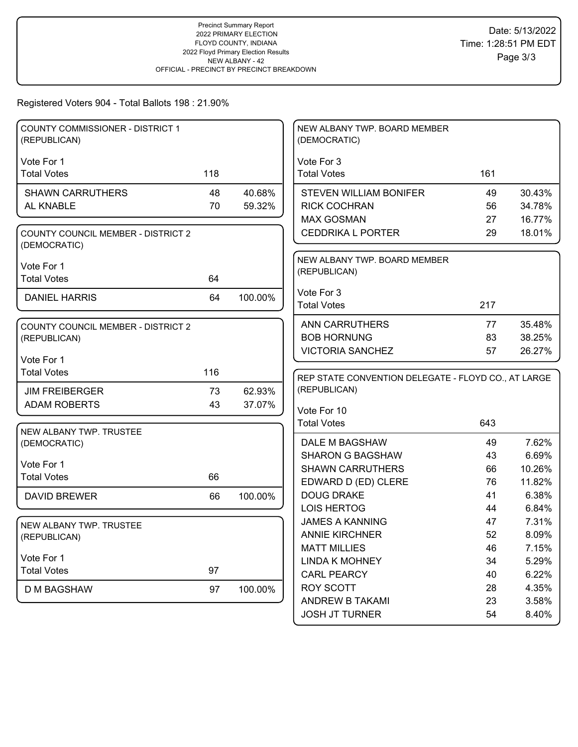# Registered Voters 904 - Total Ballots 198 : 21.90%

| Vote For 1<br>Vote For 3<br><b>Total Votes</b><br>118<br><b>Total Votes</b><br>161<br><b>SHAWN CARRUTHERS</b><br>48<br>40.68%<br><b>STEVEN WILLIAM BONIFER</b><br>49<br>30.43%<br>AL KNABLE<br>70<br>59.32%<br><b>RICK COCHRAN</b><br>34.78%<br>56<br><b>MAX GOSMAN</b><br>16.77%<br>27<br><b>CEDDRIKA L PORTER</b><br>29<br>18.01%<br><b>COUNTY COUNCIL MEMBER - DISTRICT 2</b><br>(DEMOCRATIC)<br>NEW ALBANY TWP. BOARD MEMBER<br>Vote For 1<br>(REPUBLICAN)<br><b>Total Votes</b><br>64<br>Vote For 3<br>100.00%<br><b>DANIEL HARRIS</b><br>64<br><b>Total Votes</b><br>217<br><b>ANN CARRUTHERS</b><br>35.48%<br>77<br>COUNTY COUNCIL MEMBER - DISTRICT 2<br><b>BOB HORNUNG</b><br>38.25%<br>83<br>(REPUBLICAN)<br><b>VICTORIA SANCHEZ</b><br>57<br>26.27%<br>Vote For 1<br><b>Total Votes</b><br>116<br>REP STATE CONVENTION DELEGATE - FLOYD CO., AT LARGE<br>(REPUBLICAN)<br>73<br>62.93%<br><b>JIM FREIBERGER</b><br><b>ADAM ROBERTS</b><br>37.07%<br>43<br>Vote For 10<br><b>Total Votes</b><br>643<br>NEW ALBANY TWP. TRUSTEE<br>7.62%<br>DALE M BAGSHAW<br>49<br>(DEMOCRATIC)<br><b>SHARON G BAGSHAW</b><br>43<br>6.69%<br>Vote For 1<br><b>SHAWN CARRUTHERS</b><br>10.26%<br>66<br><b>Total Votes</b><br>66<br>EDWARD D (ED) CLERE<br>11.82%<br>76<br><b>DOUG DRAKE</b><br>6.38%<br>41<br>100.00%<br><b>DAVID BREWER</b><br>66<br><b>LOIS HERTOG</b><br>6.84%<br>44<br>7.31%<br><b>JAMES A KANNING</b><br>47<br>NEW ALBANY TWP. TRUSTEE<br><b>ANNIE KIRCHNER</b><br>52<br>8.09%<br>(REPUBLICAN)<br><b>MATT MILLIES</b><br>7.15%<br>46<br>Vote For 1<br><b>LINDA K MOHNEY</b><br>5.29%<br>34<br>97<br><b>Total Votes</b><br><b>CARL PEARCY</b><br>6.22%<br>40<br><b>ROY SCOTT</b><br>4.35%<br>28<br><b>D M BAGSHAW</b><br>97<br>100.00%<br>ANDREW B TAKAMI<br>23<br>3.58% | COUNTY COMMISSIONER - DISTRICT 1<br>(REPUBLICAN) |  | NEW ALBANY TWP. BOARD MEMBER<br>(DEMOCRATIC) |  |
|--------------------------------------------------------------------------------------------------------------------------------------------------------------------------------------------------------------------------------------------------------------------------------------------------------------------------------------------------------------------------------------------------------------------------------------------------------------------------------------------------------------------------------------------------------------------------------------------------------------------------------------------------------------------------------------------------------------------------------------------------------------------------------------------------------------------------------------------------------------------------------------------------------------------------------------------------------------------------------------------------------------------------------------------------------------------------------------------------------------------------------------------------------------------------------------------------------------------------------------------------------------------------------------------------------------------------------------------------------------------------------------------------------------------------------------------------------------------------------------------------------------------------------------------------------------------------------------------------------------------------------------------------------------------------------------------------------------------------------------------------------------------------------------|--------------------------------------------------|--|----------------------------------------------|--|
|                                                                                                                                                                                                                                                                                                                                                                                                                                                                                                                                                                                                                                                                                                                                                                                                                                                                                                                                                                                                                                                                                                                                                                                                                                                                                                                                                                                                                                                                                                                                                                                                                                                                                                                                                                                      |                                                  |  |                                              |  |
|                                                                                                                                                                                                                                                                                                                                                                                                                                                                                                                                                                                                                                                                                                                                                                                                                                                                                                                                                                                                                                                                                                                                                                                                                                                                                                                                                                                                                                                                                                                                                                                                                                                                                                                                                                                      |                                                  |  |                                              |  |
|                                                                                                                                                                                                                                                                                                                                                                                                                                                                                                                                                                                                                                                                                                                                                                                                                                                                                                                                                                                                                                                                                                                                                                                                                                                                                                                                                                                                                                                                                                                                                                                                                                                                                                                                                                                      |                                                  |  |                                              |  |
|                                                                                                                                                                                                                                                                                                                                                                                                                                                                                                                                                                                                                                                                                                                                                                                                                                                                                                                                                                                                                                                                                                                                                                                                                                                                                                                                                                                                                                                                                                                                                                                                                                                                                                                                                                                      |                                                  |  |                                              |  |
|                                                                                                                                                                                                                                                                                                                                                                                                                                                                                                                                                                                                                                                                                                                                                                                                                                                                                                                                                                                                                                                                                                                                                                                                                                                                                                                                                                                                                                                                                                                                                                                                                                                                                                                                                                                      |                                                  |  |                                              |  |
|                                                                                                                                                                                                                                                                                                                                                                                                                                                                                                                                                                                                                                                                                                                                                                                                                                                                                                                                                                                                                                                                                                                                                                                                                                                                                                                                                                                                                                                                                                                                                                                                                                                                                                                                                                                      |                                                  |  |                                              |  |
|                                                                                                                                                                                                                                                                                                                                                                                                                                                                                                                                                                                                                                                                                                                                                                                                                                                                                                                                                                                                                                                                                                                                                                                                                                                                                                                                                                                                                                                                                                                                                                                                                                                                                                                                                                                      |                                                  |  |                                              |  |
|                                                                                                                                                                                                                                                                                                                                                                                                                                                                                                                                                                                                                                                                                                                                                                                                                                                                                                                                                                                                                                                                                                                                                                                                                                                                                                                                                                                                                                                                                                                                                                                                                                                                                                                                                                                      |                                                  |  |                                              |  |
|                                                                                                                                                                                                                                                                                                                                                                                                                                                                                                                                                                                                                                                                                                                                                                                                                                                                                                                                                                                                                                                                                                                                                                                                                                                                                                                                                                                                                                                                                                                                                                                                                                                                                                                                                                                      |                                                  |  |                                              |  |
|                                                                                                                                                                                                                                                                                                                                                                                                                                                                                                                                                                                                                                                                                                                                                                                                                                                                                                                                                                                                                                                                                                                                                                                                                                                                                                                                                                                                                                                                                                                                                                                                                                                                                                                                                                                      |                                                  |  |                                              |  |
|                                                                                                                                                                                                                                                                                                                                                                                                                                                                                                                                                                                                                                                                                                                                                                                                                                                                                                                                                                                                                                                                                                                                                                                                                                                                                                                                                                                                                                                                                                                                                                                                                                                                                                                                                                                      |                                                  |  |                                              |  |
|                                                                                                                                                                                                                                                                                                                                                                                                                                                                                                                                                                                                                                                                                                                                                                                                                                                                                                                                                                                                                                                                                                                                                                                                                                                                                                                                                                                                                                                                                                                                                                                                                                                                                                                                                                                      |                                                  |  |                                              |  |
|                                                                                                                                                                                                                                                                                                                                                                                                                                                                                                                                                                                                                                                                                                                                                                                                                                                                                                                                                                                                                                                                                                                                                                                                                                                                                                                                                                                                                                                                                                                                                                                                                                                                                                                                                                                      |                                                  |  |                                              |  |
|                                                                                                                                                                                                                                                                                                                                                                                                                                                                                                                                                                                                                                                                                                                                                                                                                                                                                                                                                                                                                                                                                                                                                                                                                                                                                                                                                                                                                                                                                                                                                                                                                                                                                                                                                                                      |                                                  |  |                                              |  |
|                                                                                                                                                                                                                                                                                                                                                                                                                                                                                                                                                                                                                                                                                                                                                                                                                                                                                                                                                                                                                                                                                                                                                                                                                                                                                                                                                                                                                                                                                                                                                                                                                                                                                                                                                                                      |                                                  |  |                                              |  |
|                                                                                                                                                                                                                                                                                                                                                                                                                                                                                                                                                                                                                                                                                                                                                                                                                                                                                                                                                                                                                                                                                                                                                                                                                                                                                                                                                                                                                                                                                                                                                                                                                                                                                                                                                                                      |                                                  |  |                                              |  |
|                                                                                                                                                                                                                                                                                                                                                                                                                                                                                                                                                                                                                                                                                                                                                                                                                                                                                                                                                                                                                                                                                                                                                                                                                                                                                                                                                                                                                                                                                                                                                                                                                                                                                                                                                                                      |                                                  |  |                                              |  |
|                                                                                                                                                                                                                                                                                                                                                                                                                                                                                                                                                                                                                                                                                                                                                                                                                                                                                                                                                                                                                                                                                                                                                                                                                                                                                                                                                                                                                                                                                                                                                                                                                                                                                                                                                                                      |                                                  |  |                                              |  |
|                                                                                                                                                                                                                                                                                                                                                                                                                                                                                                                                                                                                                                                                                                                                                                                                                                                                                                                                                                                                                                                                                                                                                                                                                                                                                                                                                                                                                                                                                                                                                                                                                                                                                                                                                                                      |                                                  |  |                                              |  |
|                                                                                                                                                                                                                                                                                                                                                                                                                                                                                                                                                                                                                                                                                                                                                                                                                                                                                                                                                                                                                                                                                                                                                                                                                                                                                                                                                                                                                                                                                                                                                                                                                                                                                                                                                                                      |                                                  |  |                                              |  |
|                                                                                                                                                                                                                                                                                                                                                                                                                                                                                                                                                                                                                                                                                                                                                                                                                                                                                                                                                                                                                                                                                                                                                                                                                                                                                                                                                                                                                                                                                                                                                                                                                                                                                                                                                                                      |                                                  |  |                                              |  |
|                                                                                                                                                                                                                                                                                                                                                                                                                                                                                                                                                                                                                                                                                                                                                                                                                                                                                                                                                                                                                                                                                                                                                                                                                                                                                                                                                                                                                                                                                                                                                                                                                                                                                                                                                                                      |                                                  |  |                                              |  |
|                                                                                                                                                                                                                                                                                                                                                                                                                                                                                                                                                                                                                                                                                                                                                                                                                                                                                                                                                                                                                                                                                                                                                                                                                                                                                                                                                                                                                                                                                                                                                                                                                                                                                                                                                                                      |                                                  |  |                                              |  |
|                                                                                                                                                                                                                                                                                                                                                                                                                                                                                                                                                                                                                                                                                                                                                                                                                                                                                                                                                                                                                                                                                                                                                                                                                                                                                                                                                                                                                                                                                                                                                                                                                                                                                                                                                                                      |                                                  |  |                                              |  |
|                                                                                                                                                                                                                                                                                                                                                                                                                                                                                                                                                                                                                                                                                                                                                                                                                                                                                                                                                                                                                                                                                                                                                                                                                                                                                                                                                                                                                                                                                                                                                                                                                                                                                                                                                                                      |                                                  |  |                                              |  |
|                                                                                                                                                                                                                                                                                                                                                                                                                                                                                                                                                                                                                                                                                                                                                                                                                                                                                                                                                                                                                                                                                                                                                                                                                                                                                                                                                                                                                                                                                                                                                                                                                                                                                                                                                                                      |                                                  |  |                                              |  |
|                                                                                                                                                                                                                                                                                                                                                                                                                                                                                                                                                                                                                                                                                                                                                                                                                                                                                                                                                                                                                                                                                                                                                                                                                                                                                                                                                                                                                                                                                                                                                                                                                                                                                                                                                                                      |                                                  |  |                                              |  |
|                                                                                                                                                                                                                                                                                                                                                                                                                                                                                                                                                                                                                                                                                                                                                                                                                                                                                                                                                                                                                                                                                                                                                                                                                                                                                                                                                                                                                                                                                                                                                                                                                                                                                                                                                                                      |                                                  |  |                                              |  |
|                                                                                                                                                                                                                                                                                                                                                                                                                                                                                                                                                                                                                                                                                                                                                                                                                                                                                                                                                                                                                                                                                                                                                                                                                                                                                                                                                                                                                                                                                                                                                                                                                                                                                                                                                                                      |                                                  |  |                                              |  |
|                                                                                                                                                                                                                                                                                                                                                                                                                                                                                                                                                                                                                                                                                                                                                                                                                                                                                                                                                                                                                                                                                                                                                                                                                                                                                                                                                                                                                                                                                                                                                                                                                                                                                                                                                                                      |                                                  |  |                                              |  |
|                                                                                                                                                                                                                                                                                                                                                                                                                                                                                                                                                                                                                                                                                                                                                                                                                                                                                                                                                                                                                                                                                                                                                                                                                                                                                                                                                                                                                                                                                                                                                                                                                                                                                                                                                                                      |                                                  |  |                                              |  |
|                                                                                                                                                                                                                                                                                                                                                                                                                                                                                                                                                                                                                                                                                                                                                                                                                                                                                                                                                                                                                                                                                                                                                                                                                                                                                                                                                                                                                                                                                                                                                                                                                                                                                                                                                                                      |                                                  |  |                                              |  |
|                                                                                                                                                                                                                                                                                                                                                                                                                                                                                                                                                                                                                                                                                                                                                                                                                                                                                                                                                                                                                                                                                                                                                                                                                                                                                                                                                                                                                                                                                                                                                                                                                                                                                                                                                                                      |                                                  |  |                                              |  |
| <b>JOSH JT TURNER</b><br>8.40%<br>54                                                                                                                                                                                                                                                                                                                                                                                                                                                                                                                                                                                                                                                                                                                                                                                                                                                                                                                                                                                                                                                                                                                                                                                                                                                                                                                                                                                                                                                                                                                                                                                                                                                                                                                                                 |                                                  |  |                                              |  |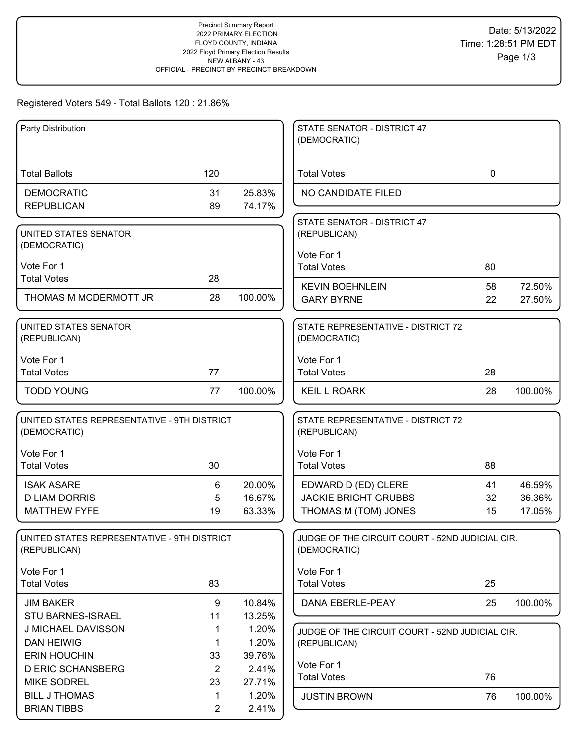# Registered Voters 549 - Total Ballots 120 : 21.86%

| Party Distribution                                          |                      |                 | STATE SENATOR - DISTRICT 47                                     |             |                  |
|-------------------------------------------------------------|----------------------|-----------------|-----------------------------------------------------------------|-------------|------------------|
|                                                             |                      |                 | (DEMOCRATIC)                                                    |             |                  |
| <b>Total Ballots</b>                                        | 120                  |                 | <b>Total Votes</b>                                              | $\mathbf 0$ |                  |
| <b>DEMOCRATIC</b>                                           | 31                   | 25.83%          | NO CANDIDATE FILED                                              |             |                  |
| <b>REPUBLICAN</b>                                           | 89                   | 74.17%          |                                                                 |             |                  |
| UNITED STATES SENATOR                                       |                      |                 | STATE SENATOR - DISTRICT 47<br>(REPUBLICAN)                     |             |                  |
| (DEMOCRATIC)                                                |                      |                 |                                                                 |             |                  |
| Vote For 1                                                  |                      |                 | Vote For 1<br><b>Total Votes</b>                                | 80          |                  |
| <b>Total Votes</b>                                          | 28                   |                 |                                                                 |             |                  |
| THOMAS M MCDERMOTT JR                                       | 28                   | 100.00%         | <b>KEVIN BOEHNLEIN</b><br><b>GARY BYRNE</b>                     | 58<br>22    | 72.50%<br>27.50% |
|                                                             |                      |                 |                                                                 |             |                  |
| UNITED STATES SENATOR<br>(REPUBLICAN)                       |                      |                 | STATE REPRESENTATIVE - DISTRICT 72<br>(DEMOCRATIC)              |             |                  |
| Vote For 1                                                  |                      |                 | Vote For 1                                                      |             |                  |
| <b>Total Votes</b>                                          | 77                   |                 | <b>Total Votes</b>                                              | 28          |                  |
| <b>TODD YOUNG</b>                                           | 77                   | 100.00%         | <b>KEIL L ROARK</b>                                             | 28          | 100.00%          |
| UNITED STATES REPRESENTATIVE - 9TH DISTRICT<br>(DEMOCRATIC) |                      |                 | STATE REPRESENTATIVE - DISTRICT 72<br>(REPUBLICAN)              |             |                  |
| Vote For 1                                                  |                      |                 | Vote For 1                                                      |             |                  |
| <b>Total Votes</b>                                          | 30                   |                 | <b>Total Votes</b>                                              | 88          |                  |
| <b>ISAK ASARE</b>                                           | 6                    | 20.00%          | EDWARD D (ED) CLERE                                             | 41          | 46.59%           |
| <b>D LIAM DORRIS</b>                                        | 5                    | 16.67%          | <b>JACKIE BRIGHT GRUBBS</b>                                     | 32          | 36.36%           |
| <b>MATTHEW FYFE</b>                                         | 19                   | 63.33%          | THOMAS M (TOM) JONES                                            | 15          | 17.05%           |
| UNITED STATES REPRESENTATIVE - 9TH DISTRICT<br>(REPUBLICAN) |                      |                 | JUDGE OF THE CIRCUIT COURT - 52ND JUDICIAL CIR.<br>(DEMOCRATIC) |             |                  |
| Vote For 1                                                  |                      |                 | Vote For 1                                                      |             |                  |
| <b>Total Votes</b>                                          | 83                   |                 | <b>Total Votes</b>                                              | 25          |                  |
| <b>JIM BAKER</b>                                            | $\boldsymbol{9}$     | 10.84%          | DANA EBERLE-PEAY                                                | 25          | 100.00%          |
| STU BARNES-ISRAEL                                           | 11                   | 13.25%          |                                                                 |             |                  |
| J MICHAEL DAVISSON                                          | 1                    | 1.20%           | JUDGE OF THE CIRCUIT COURT - 52ND JUDICIAL CIR.                 |             |                  |
| <b>DAN HEIWIG</b>                                           | 1                    | 1.20%           | (REPUBLICAN)                                                    |             |                  |
| <b>ERIN HOUCHIN</b><br><b>D ERIC SCHANSBERG</b>             | 33<br>$\overline{2}$ | 39.76%<br>2.41% | Vote For 1                                                      |             |                  |
| <b>MIKE SODREL</b>                                          | 23                   | 27.71%          | <b>Total Votes</b>                                              | 76          |                  |
| <b>BILL J THOMAS</b>                                        | 1                    | 1.20%           | <b>JUSTIN BROWN</b>                                             | 76          | 100.00%          |
| <b>BRIAN TIBBS</b>                                          | $\overline{2}$       | 2.41%           |                                                                 |             |                  |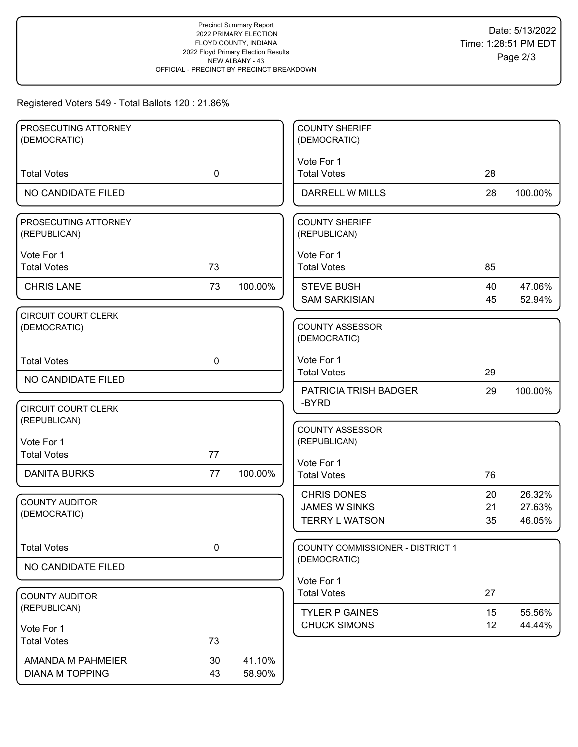# Registered Voters 549 - Total Ballots 120 : 21.86%

| PROSECUTING ATTORNEY<br>(DEMOCRATIC)        |             |                  | <b>COUNTY SHERIFF</b><br>(DEMOCRATIC)                               |                |                            |
|---------------------------------------------|-------------|------------------|---------------------------------------------------------------------|----------------|----------------------------|
|                                             |             |                  |                                                                     |                |                            |
| <b>Total Votes</b>                          | $\mathbf 0$ |                  | Vote For 1<br><b>Total Votes</b>                                    | 28             |                            |
| NO CANDIDATE FILED                          |             |                  | <b>DARRELL W MILLS</b>                                              | 28             | 100.00%                    |
| PROSECUTING ATTORNEY<br>(REPUBLICAN)        |             |                  | <b>COUNTY SHERIFF</b><br>(REPUBLICAN)                               |                |                            |
| Vote For 1<br><b>Total Votes</b>            | 73          |                  | Vote For 1<br><b>Total Votes</b>                                    | 85             |                            |
| <b>CHRIS LANE</b>                           | 73          | 100.00%          | <b>STEVE BUSH</b><br><b>SAM SARKISIAN</b>                           | 40<br>45       | 47.06%<br>52.94%           |
| CIRCUIT COURT CLERK<br>(DEMOCRATIC)         |             |                  | <b>COUNTY ASSESSOR</b><br>(DEMOCRATIC)                              |                |                            |
| <b>Total Votes</b>                          | $\mathbf 0$ |                  | Vote For 1<br><b>Total Votes</b>                                    | 29             |                            |
| NO CANDIDATE FILED                          |             |                  | <b>PATRICIA TRISH BADGER</b>                                        | 29             | 100.00%                    |
| <b>CIRCUIT COURT CLERK</b><br>(REPUBLICAN)  |             |                  | -BYRD                                                               |                |                            |
| Vote For 1<br><b>Total Votes</b>            | 77          |                  | <b>COUNTY ASSESSOR</b><br>(REPUBLICAN)                              |                |                            |
| <b>DANITA BURKS</b>                         | 77          | 100.00%          | Vote For 1<br><b>Total Votes</b>                                    | 76             |                            |
| <b>COUNTY AUDITOR</b><br>(DEMOCRATIC)       |             |                  | <b>CHRIS DONES</b><br><b>JAMES W SINKS</b><br><b>TERRY L WATSON</b> | 20<br>21<br>35 | 26.32%<br>27.63%<br>46.05% |
| <b>Total Votes</b>                          | $\pmb{0}$   |                  | <b>COUNTY COMMISSIONER - DISTRICT 1</b>                             |                |                            |
| NO CANDIDATE FILED                          |             |                  | (DEMOCRATIC)                                                        |                |                            |
| <b>COUNTY AUDITOR</b>                       |             |                  | Vote For 1<br><b>Total Votes</b>                                    | 27             |                            |
| (REPUBLICAN)                                |             |                  | <b>TYLER P GAINES</b>                                               | 15             | 55.56%                     |
| Vote For 1                                  |             |                  | <b>CHUCK SIMONS</b>                                                 | 12             | 44.44%                     |
| <b>Total Votes</b>                          | 73          |                  |                                                                     |                |                            |
| AMANDA M PAHMEIER<br><b>DIANA M TOPPING</b> | 30<br>43    | 41.10%<br>58.90% |                                                                     |                |                            |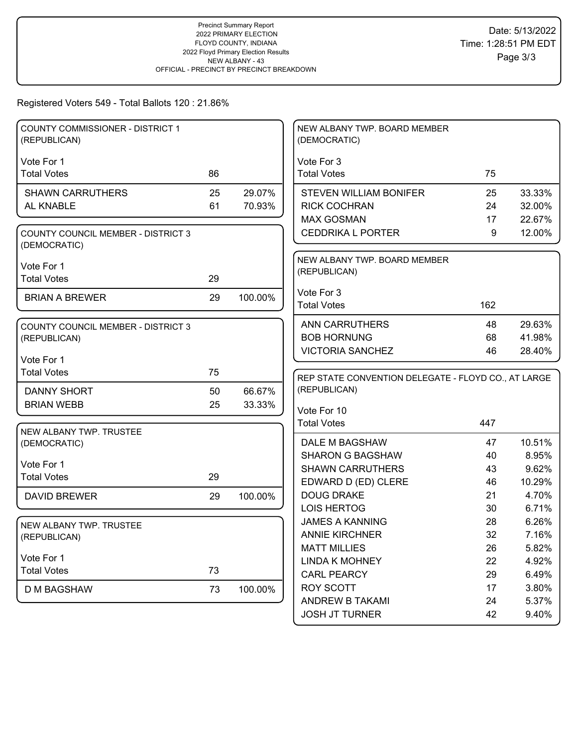# Registered Voters 549 - Total Ballots 120 : 21.86%

| COUNTY COMMISSIONER - DISTRICT 1<br>(REPUBLICAN)          |    |         | NEW ALBANY TWP. BOARD MEMBER<br>(DEMOCRATIC)        |          |                |
|-----------------------------------------------------------|----|---------|-----------------------------------------------------|----------|----------------|
|                                                           |    |         |                                                     |          |                |
| Vote For 1<br><b>Total Votes</b>                          | 86 |         | Vote For 3<br><b>Total Votes</b>                    | 75       |                |
|                                                           |    |         |                                                     |          |                |
| <b>SHAWN CARRUTHERS</b>                                   | 25 | 29.07%  | <b>STEVEN WILLIAM BONIFER</b>                       | 25       | 33.33%         |
| AL KNABLE                                                 | 61 | 70.93%  | <b>RICK COCHRAN</b>                                 | 24       | 32.00%         |
|                                                           |    |         | <b>MAX GOSMAN</b>                                   | 17       | 22.67%         |
| <b>COUNTY COUNCIL MEMBER - DISTRICT 3</b><br>(DEMOCRATIC) |    |         | <b>CEDDRIKA L PORTER</b>                            | 9        | 12.00%         |
|                                                           |    |         | NEW ALBANY TWP. BOARD MEMBER                        |          |                |
| Vote For 1<br><b>Total Votes</b>                          | 29 |         | (REPUBLICAN)                                        |          |                |
|                                                           |    |         | Vote For 3                                          |          |                |
| <b>BRIAN A BREWER</b>                                     | 29 | 100.00% | <b>Total Votes</b>                                  | 162      |                |
|                                                           |    |         |                                                     |          |                |
| <b>COUNTY COUNCIL MEMBER - DISTRICT 3</b>                 |    |         | <b>ANN CARRUTHERS</b>                               | 48       | 29.63%         |
| (REPUBLICAN)                                              |    |         | <b>BOB HORNUNG</b>                                  | 68       | 41.98%         |
| Vote For 1                                                |    |         | <b>VICTORIA SANCHEZ</b>                             | 46       | 28.40%         |
| <b>Total Votes</b>                                        | 75 |         |                                                     |          |                |
|                                                           |    |         | REP STATE CONVENTION DELEGATE - FLOYD CO., AT LARGE |          |                |
| <b>DANNY SHORT</b>                                        | 50 | 66.67%  | (REPUBLICAN)                                        |          |                |
| <b>BRIAN WEBB</b>                                         | 25 | 33.33%  | Vote For 10                                         |          |                |
|                                                           |    |         |                                                     |          |                |
|                                                           |    |         | <b>Total Votes</b>                                  | 447      |                |
| NEW ALBANY TWP. TRUSTEE                                   |    |         |                                                     |          |                |
| (DEMOCRATIC)                                              |    |         | DALE M BAGSHAW                                      | 47       | 10.51%         |
|                                                           |    |         | <b>SHARON G BAGSHAW</b>                             | 40       | 8.95%          |
| Vote For 1<br><b>Total Votes</b>                          | 29 |         | <b>SHAWN CARRUTHERS</b>                             | 43       | 9.62%          |
|                                                           |    |         | EDWARD D (ED) CLERE                                 | 46       | 10.29%         |
| <b>DAVID BREWER</b>                                       | 29 | 100.00% | <b>DOUG DRAKE</b>                                   | 21       | 4.70%          |
|                                                           |    |         | <b>LOIS HERTOG</b>                                  | 30       | 6.71%          |
| NEW ALBANY TWP. TRUSTEE                                   |    |         | <b>JAMES A KANNING</b>                              | 28       | 6.26%          |
| (REPUBLICAN)                                              |    |         | <b>ANNIE KIRCHNER</b>                               | 32       | 7.16%          |
|                                                           |    |         | <b>MATT MILLIES</b>                                 | 26       | 5.82%          |
| Vote For 1                                                |    |         | <b>LINDA K MOHNEY</b>                               | 22       | 4.92%          |
| <b>Total Votes</b>                                        | 73 |         | <b>CARL PEARCY</b>                                  | 29       | 6.49%          |
| <b>D M BAGSHAW</b>                                        | 73 | 100.00% | <b>ROY SCOTT</b>                                    | 17       | 3.80%          |
|                                                           |    |         | ANDREW B TAKAMI<br><b>JOSH JT TURNER</b>            | 24<br>42 | 5.37%<br>9.40% |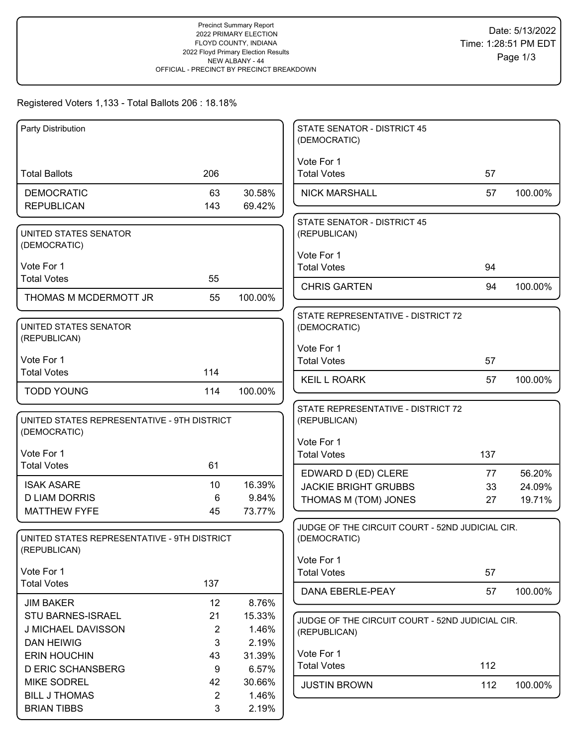## Registered Voters 1,133 - Total Ballots 206 : 18.18%

| Party Distribution                              |                |                 | <b>STATE SENATOR - DISTRICT 45</b><br>(DEMOCRATIC) |     |         |
|-------------------------------------------------|----------------|-----------------|----------------------------------------------------|-----|---------|
|                                                 |                |                 | Vote For 1                                         |     |         |
| <b>Total Ballots</b>                            | 206            |                 | <b>Total Votes</b>                                 | 57  |         |
| <b>DEMOCRATIC</b>                               | 63             | 30.58%          | <b>NICK MARSHALL</b>                               | 57  | 100.00% |
| <b>REPUBLICAN</b>                               | 143            | 69.42%          |                                                    |     |         |
|                                                 |                |                 | <b>STATE SENATOR - DISTRICT 45</b>                 |     |         |
| UNITED STATES SENATOR<br>(DEMOCRATIC)           |                |                 | (REPUBLICAN)                                       |     |         |
|                                                 |                |                 | Vote For 1                                         |     |         |
| Vote For 1                                      | 55             |                 | <b>Total Votes</b>                                 | 94  |         |
| <b>Total Votes</b>                              |                |                 | <b>CHRIS GARTEN</b>                                | 94  | 100.00% |
| THOMAS M MCDERMOTT JR                           | 55             | 100.00%         |                                                    |     |         |
|                                                 |                |                 | STATE REPRESENTATIVE - DISTRICT 72                 |     |         |
| UNITED STATES SENATOR<br>(REPUBLICAN)           |                |                 | (DEMOCRATIC)                                       |     |         |
|                                                 |                |                 | Vote For 1                                         |     |         |
| Vote For 1<br><b>Total Votes</b>                | 114            |                 | <b>Total Votes</b>                                 | 57  |         |
|                                                 |                |                 | <b>KEIL L ROARK</b>                                | 57  | 100.00% |
| <b>TODD YOUNG</b>                               | 114            | 100.00%         |                                                    |     |         |
| UNITED STATES REPRESENTATIVE - 9TH DISTRICT     |                |                 | STATE REPRESENTATIVE - DISTRICT 72<br>(REPUBLICAN) |     |         |
| (DEMOCRATIC)                                    |                |                 |                                                    |     |         |
|                                                 |                |                 | Vote For 1                                         |     |         |
| Vote For 1<br><b>Total Votes</b>                | 61             |                 | <b>Total Votes</b>                                 | 137 |         |
|                                                 |                |                 | EDWARD D (ED) CLERE                                | 77  | 56.20%  |
| <b>ISAK ASARE</b><br><b>D LIAM DORRIS</b>       | 10<br>6        | 16.39%<br>9.84% | <b>JACKIE BRIGHT GRUBBS</b>                        | 33  | 24.09%  |
| <b>MATTHEW FYFE</b>                             | 45             | 73.77%          | THOMAS M (TOM) JONES                               | 27  | 19.71%  |
|                                                 |                |                 | JUDGE OF THE CIRCUIT COURT - 52ND JUDICIAL CIR.    |     |         |
| UNITED STATES REPRESENTATIVE - 9TH DISTRICT     |                |                 | (DEMOCRATIC)                                       |     |         |
| (REPUBLICAN)                                    |                |                 | Vote For 1                                         |     |         |
| Vote For 1                                      |                |                 | <b>Total Votes</b>                                 | 57  |         |
| <b>Total Votes</b>                              | 137            |                 | DANA EBERLE-PEAY                                   | 57  | 100.00% |
| <b>JIM BAKER</b>                                | 12             | 8.76%           |                                                    |     |         |
| STU BARNES-ISRAEL                               | 21             | 15.33%          | JUDGE OF THE CIRCUIT COURT - 52ND JUDICIAL CIR.    |     |         |
| J MICHAEL DAVISSON                              | 2              | 1.46%           | (REPUBLICAN)                                       |     |         |
| <b>DAN HEIWIG</b>                               | 3              | 2.19%           | Vote For 1                                         |     |         |
| <b>ERIN HOUCHIN</b><br><b>D ERIC SCHANSBERG</b> | 43<br>9        | 31.39%<br>6.57% | <b>Total Votes</b>                                 | 112 |         |
| <b>MIKE SODREL</b>                              | 42             | 30.66%          |                                                    |     |         |
| <b>BILL J THOMAS</b>                            | $\overline{2}$ | 1.46%           | <b>JUSTIN BROWN</b>                                | 112 | 100.00% |
| <b>BRIAN TIBBS</b>                              | 3              | 2.19%           |                                                    |     |         |
|                                                 |                |                 |                                                    |     |         |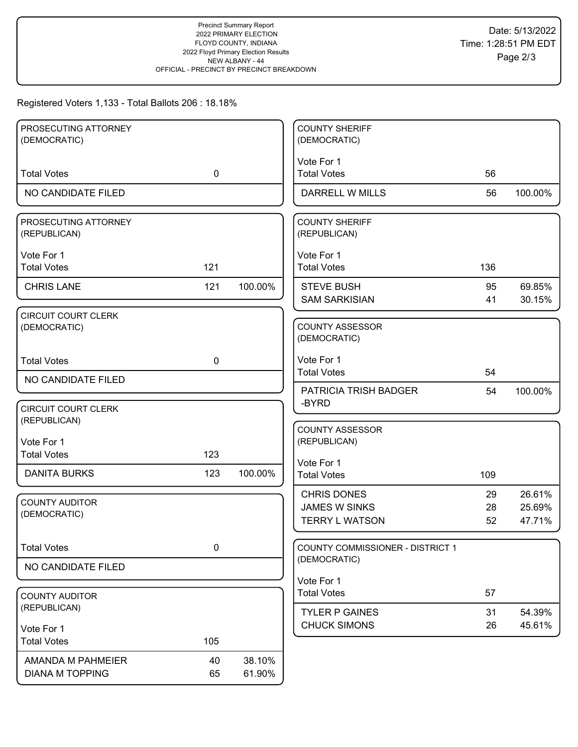### Registered Voters 1,133 - Total Ballots 206 : 18.18%

| PROSECUTING ATTORNEY<br>(DEMOCRATIC)        |             |                  | <b>COUNTY SHERIFF</b><br>(DEMOCRATIC)         |          |                  |
|---------------------------------------------|-------------|------------------|-----------------------------------------------|----------|------------------|
|                                             |             |                  |                                               |          |                  |
| <b>Total Votes</b>                          | $\mathbf 0$ |                  | Vote For 1<br><b>Total Votes</b>              | 56       |                  |
| NO CANDIDATE FILED                          |             |                  | DARRELL W MILLS                               | 56       | 100.00%          |
| PROSECUTING ATTORNEY<br>(REPUBLICAN)        |             |                  | <b>COUNTY SHERIFF</b><br>(REPUBLICAN)         |          |                  |
| Vote For 1<br><b>Total Votes</b>            | 121         |                  | Vote For 1<br><b>Total Votes</b>              | 136      |                  |
| <b>CHRIS LANE</b>                           | 121         | 100.00%          | <b>STEVE BUSH</b><br><b>SAM SARKISIAN</b>     | 95<br>41 | 69.85%<br>30.15% |
| <b>CIRCUIT COURT CLERK</b><br>(DEMOCRATIC)  |             |                  | COUNTY ASSESSOR<br>(DEMOCRATIC)               |          |                  |
| <b>Total Votes</b>                          | $\mathbf 0$ |                  | Vote For 1<br><b>Total Votes</b>              | 54       |                  |
| NO CANDIDATE FILED                          |             |                  | PATRICIA TRISH BADGER                         | 54       | 100.00%          |
| <b>CIRCUIT COURT CLERK</b><br>(REPUBLICAN)  |             |                  | -BYRD                                         |          |                  |
| Vote For 1                                  |             |                  | <b>COUNTY ASSESSOR</b><br>(REPUBLICAN)        |          |                  |
| <b>Total Votes</b>                          | 123         |                  | Vote For 1                                    |          |                  |
| <b>DANITA BURKS</b>                         | 123         | 100.00%          | <b>Total Votes</b>                            | 109      |                  |
| <b>COUNTY AUDITOR</b>                       |             |                  | <b>CHRIS DONES</b>                            | 29       | 26.61%           |
| (DEMOCRATIC)                                |             |                  | <b>JAMES W SINKS</b><br><b>TERRY L WATSON</b> | 28<br>52 | 25.69%<br>47.71% |
| <b>Total Votes</b>                          | 0           |                  | <b>COUNTY COMMISSIONER - DISTRICT 1</b>       |          |                  |
| NO CANDIDATE FILED                          |             |                  | (DEMOCRATIC)                                  |          |                  |
| <b>COUNTY AUDITOR</b>                       |             |                  | Vote For 1<br><b>Total Votes</b>              | 57       |                  |
| (REPUBLICAN)                                |             |                  | <b>TYLER P GAINES</b>                         | 31       | 54.39%           |
| Vote For 1                                  |             |                  | <b>CHUCK SIMONS</b>                           | 26       | 45.61%           |
| <b>Total Votes</b>                          | 105         |                  |                                               |          |                  |
| AMANDA M PAHMEIER<br><b>DIANA M TOPPING</b> | 40<br>65    | 38.10%<br>61.90% |                                               |          |                  |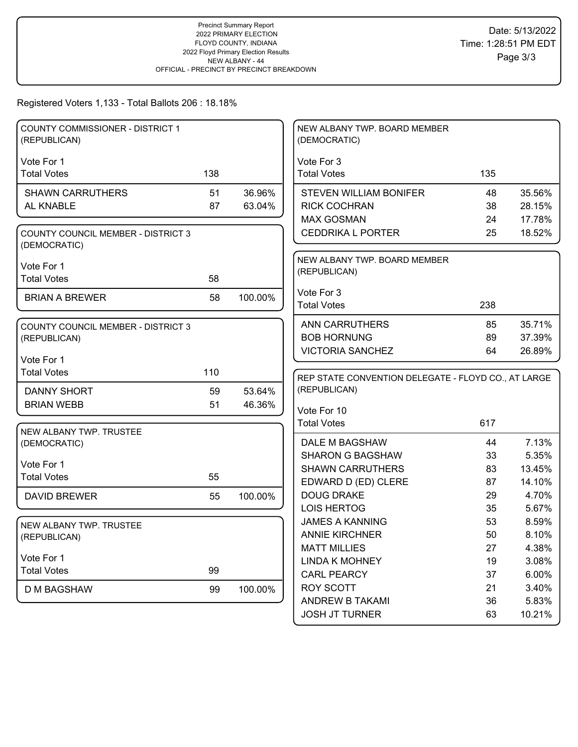## Registered Voters 1,133 - Total Ballots 206 : 18.18%

| COUNTY COMMISSIONER - DISTRICT 1<br>(REPUBLICAN)          |     |         | NEW ALBANY TWP. BOARD MEMBER<br>(DEMOCRATIC)        |          |                  |
|-----------------------------------------------------------|-----|---------|-----------------------------------------------------|----------|------------------|
| Vote For 1                                                |     |         | Vote For 3                                          |          |                  |
| <b>Total Votes</b>                                        | 138 |         | <b>Total Votes</b>                                  | 135      |                  |
|                                                           |     |         |                                                     |          |                  |
| <b>SHAWN CARRUTHERS</b>                                   | 51  | 36.96%  | <b>STEVEN WILLIAM BONIFER</b>                       | 48       | 35.56%           |
| AL KNABLE                                                 | 87  | 63.04%  | <b>RICK COCHRAN</b><br><b>MAX GOSMAN</b>            | 38<br>24 | 28.15%           |
| <b>COUNTY COUNCIL MEMBER - DISTRICT 3</b><br>(DEMOCRATIC) |     |         | <b>CEDDRIKA L PORTER</b>                            | 25       | 17.78%<br>18.52% |
|                                                           |     |         | NEW ALBANY TWP. BOARD MEMBER                        |          |                  |
| Vote For 1                                                |     |         | (REPUBLICAN)                                        |          |                  |
| <b>Total Votes</b>                                        | 58  |         |                                                     |          |                  |
| <b>BRIAN A BREWER</b>                                     | 58  | 100.00% | Vote For 3                                          |          |                  |
|                                                           |     |         | <b>Total Votes</b>                                  | 238      |                  |
| <b>COUNTY COUNCIL MEMBER - DISTRICT 3</b>                 |     |         | <b>ANN CARRUTHERS</b>                               | 85       | 35.71%           |
| (REPUBLICAN)                                              |     |         | <b>BOB HORNUNG</b>                                  | 89       | 37.39%           |
|                                                           |     |         | <b>VICTORIA SANCHEZ</b>                             | 64       | 26.89%           |
| Vote For 1                                                |     |         |                                                     |          |                  |
| <b>Total Votes</b>                                        | 110 |         | REP STATE CONVENTION DELEGATE - FLOYD CO., AT LARGE |          |                  |
| DANNY SHORT                                               | 59  | 53.64%  | (REPUBLICAN)                                        |          |                  |
| <b>BRIAN WEBB</b>                                         | 51  | 46.36%  | Vote For 10                                         |          |                  |
|                                                           |     |         | <b>Total Votes</b>                                  |          |                  |
| NEW ALBANY TWP. TRUSTEE                                   |     |         |                                                     |          |                  |
|                                                           |     |         |                                                     | 617      |                  |
| (DEMOCRATIC)                                              |     |         | DALE M BAGSHAW                                      | 44       | 7.13%            |
|                                                           |     |         | <b>SHARON G BAGSHAW</b>                             | 33       | 5.35%            |
| Vote For 1                                                |     |         | <b>SHAWN CARRUTHERS</b>                             | 83       | 13.45%           |
| <b>Total Votes</b>                                        | 55  |         | EDWARD D (ED) CLERE                                 | 87       | 14.10%           |
| <b>DAVID BREWER</b>                                       | 55  | 100.00% | <b>DOUG DRAKE</b>                                   | 29       | 4.70%            |
|                                                           |     |         | <b>LOIS HERTOG</b>                                  | 35       | 5.67%            |
| NEW ALBANY TWP. TRUSTEE                                   |     |         | <b>JAMES A KANNING</b>                              | 53       | 8.59%            |
| (REPUBLICAN)                                              |     |         | <b>ANNIE KIRCHNER</b>                               | 50       | 8.10%            |
|                                                           |     |         | <b>MATT MILLIES</b>                                 | 27       | 4.38%            |
| Vote For 1                                                |     |         | <b>LINDA K MOHNEY</b>                               | 19       | 3.08%            |
| <b>Total Votes</b>                                        | 99  |         | <b>CARL PEARCY</b>                                  | 37       | 6.00%            |
| <b>D M BAGSHAW</b>                                        | 99  | 100.00% | ROY SCOTT                                           | 21       | 3.40%            |
|                                                           |     |         | <b>ANDREW B TAKAMI</b><br><b>JOSH JT TURNER</b>     | 36<br>63 | 5.83%<br>10.21%  |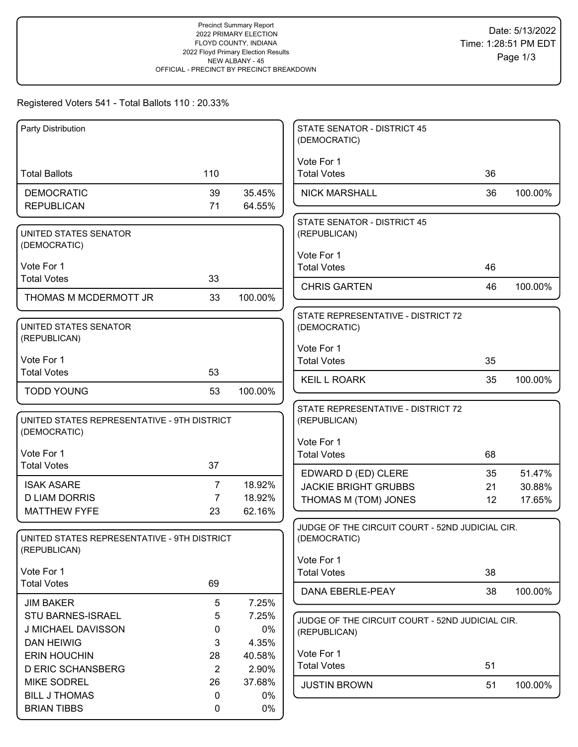# Registered Voters 541 - Total Ballots 110 : 20.33%

| Party Distribution                          |                |                 | <b>STATE SENATOR - DISTRICT 45</b><br>(DEMOCRATIC)              |    |         |
|---------------------------------------------|----------------|-----------------|-----------------------------------------------------------------|----|---------|
|                                             |                |                 | Vote For 1                                                      |    |         |
| <b>Total Ballots</b>                        | 110            |                 | <b>Total Votes</b>                                              | 36 |         |
| <b>DEMOCRATIC</b>                           | 39             | 35.45%          | <b>NICK MARSHALL</b>                                            | 36 | 100.00% |
| <b>REPUBLICAN</b>                           | 71             | 64.55%          |                                                                 |    |         |
| UNITED STATES SENATOR                       |                |                 | <b>STATE SENATOR - DISTRICT 45</b><br>(REPUBLICAN)              |    |         |
| (DEMOCRATIC)                                |                |                 |                                                                 |    |         |
| Vote For 1                                  |                |                 | Vote For 1<br><b>Total Votes</b>                                | 46 |         |
| <b>Total Votes</b>                          | 33             |                 |                                                                 |    |         |
| THOMAS M MCDERMOTT JR                       | 33             | 100.00%         | <b>CHRIS GARTEN</b>                                             | 46 | 100.00% |
|                                             |                |                 | STATE REPRESENTATIVE - DISTRICT 72                              |    |         |
| UNITED STATES SENATOR                       |                |                 | (DEMOCRATIC)                                                    |    |         |
| (REPUBLICAN)                                |                |                 | Vote For 1                                                      |    |         |
| Vote For 1                                  |                |                 | <b>Total Votes</b>                                              | 35 |         |
| <b>Total Votes</b>                          | 53             |                 | <b>KEIL L ROARK</b>                                             | 35 | 100.00% |
| <b>TODD YOUNG</b>                           | 53             | 100.00%         |                                                                 |    |         |
|                                             |                |                 | STATE REPRESENTATIVE - DISTRICT 72                              |    |         |
| UNITED STATES REPRESENTATIVE - 9TH DISTRICT |                |                 | (REPUBLICAN)                                                    |    |         |
| (DEMOCRATIC)                                |                |                 | Vote For 1                                                      |    |         |
| Vote For 1                                  |                |                 | <b>Total Votes</b>                                              | 68 |         |
| <b>Total Votes</b>                          | 37             |                 | EDWARD D (ED) CLERE                                             | 35 | 51.47%  |
| <b>ISAK ASARE</b>                           | 7              | 18.92%          | <b>JACKIE BRIGHT GRUBBS</b>                                     | 21 | 30.88%  |
| <b>D LIAM DORRIS</b>                        | $\overline{7}$ | 18.92%          | THOMAS M (TOM) JONES                                            | 12 | 17.65%  |
| <b>MATTHEW FYFE</b>                         | 23             | 62.16%          |                                                                 |    |         |
| UNITED STATES REPRESENTATIVE - 9TH DISTRICT |                |                 | JUDGE OF THE CIRCUIT COURT - 52ND JUDICIAL CIR.<br>(DEMOCRATIC) |    |         |
| (REPUBLICAN)                                |                |                 |                                                                 |    |         |
| Vote For 1                                  |                |                 | Vote For 1<br><b>Total Votes</b>                                | 38 |         |
| <b>Total Votes</b>                          | 69             |                 |                                                                 |    |         |
| <b>JIM BAKER</b>                            | 5              | 7.25%           | DANA EBERLE-PEAY                                                | 38 | 100.00% |
| STU BARNES-ISRAEL                           | 5              | 7.25%           | JUDGE OF THE CIRCUIT COURT - 52ND JUDICIAL CIR.                 |    |         |
| J MICHAEL DAVISSON                          | 0              | 0%              | (REPUBLICAN)                                                    |    |         |
| <b>DAN HEIWIG</b>                           | 3              | 4.35%           |                                                                 |    |         |
| <b>ERIN HOUCHIN</b>                         | 28             | 40.58%          | Vote For 1<br><b>Total Votes</b>                                | 51 |         |
| <b>D ERIC SCHANSBERG</b>                    | $\overline{2}$ | 2.90%           |                                                                 |    |         |
| <b>MIKE SODREL</b><br><b>BILL J THOMAS</b>  | 26<br>0        | 37.68%<br>$0\%$ | <b>JUSTIN BROWN</b>                                             | 51 | 100.00% |
| <b>BRIAN TIBBS</b>                          | 0              | 0%              |                                                                 |    |         |
|                                             |                |                 |                                                                 |    |         |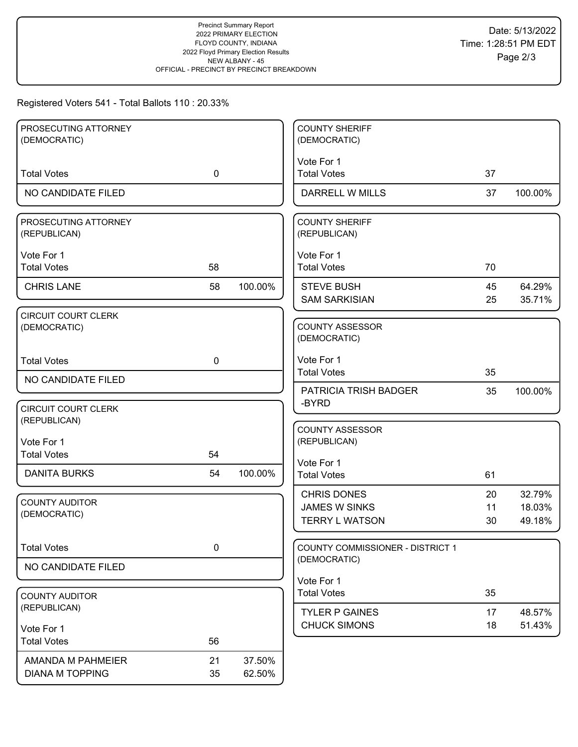# Registered Voters 541 - Total Ballots 110 : 20.33%

| PROSECUTING ATTORNEY<br>(DEMOCRATIC)        |             |                  | <b>COUNTY SHERIFF</b><br>(DEMOCRATIC)                               |                |                            |
|---------------------------------------------|-------------|------------------|---------------------------------------------------------------------|----------------|----------------------------|
|                                             |             |                  |                                                                     |                |                            |
| <b>Total Votes</b>                          | $\mathbf 0$ |                  | Vote For 1<br><b>Total Votes</b>                                    | 37             |                            |
| NO CANDIDATE FILED                          |             |                  | DARRELL W MILLS                                                     | 37             | 100.00%                    |
| PROSECUTING ATTORNEY<br>(REPUBLICAN)        |             |                  | <b>COUNTY SHERIFF</b><br>(REPUBLICAN)                               |                |                            |
| Vote For 1<br><b>Total Votes</b>            | 58          |                  | Vote For 1<br><b>Total Votes</b>                                    | 70             |                            |
| <b>CHRIS LANE</b>                           | 58          | 100.00%          | <b>STEVE BUSH</b><br><b>SAM SARKISIAN</b>                           | 45<br>25       | 64.29%<br>35.71%           |
| <b>CIRCUIT COURT CLERK</b><br>(DEMOCRATIC)  |             |                  | <b>COUNTY ASSESSOR</b><br>(DEMOCRATIC)                              |                |                            |
| <b>Total Votes</b>                          | $\mathbf 0$ |                  | Vote For 1<br><b>Total Votes</b>                                    | 35             |                            |
| NO CANDIDATE FILED                          |             |                  | PATRICIA TRISH BADGER                                               | 35             | 100.00%                    |
| <b>CIRCUIT COURT CLERK</b><br>(REPUBLICAN)  |             |                  | -BYRD                                                               |                |                            |
| Vote For 1<br><b>Total Votes</b>            | 54          |                  | <b>COUNTY ASSESSOR</b><br>(REPUBLICAN)                              |                |                            |
| <b>DANITA BURKS</b>                         | 54          | 100.00%          | Vote For 1<br><b>Total Votes</b>                                    | 61             |                            |
| <b>COUNTY AUDITOR</b><br>(DEMOCRATIC)       |             |                  | <b>CHRIS DONES</b><br><b>JAMES W SINKS</b><br><b>TERRY L WATSON</b> | 20<br>11<br>30 | 32.79%<br>18.03%<br>49.18% |
| <b>Total Votes</b>                          | $\pmb{0}$   |                  | <b>COUNTY COMMISSIONER - DISTRICT 1</b>                             |                |                            |
| NO CANDIDATE FILED                          |             |                  | (DEMOCRATIC)                                                        |                |                            |
| <b>COUNTY AUDITOR</b>                       |             |                  | Vote For 1<br><b>Total Votes</b>                                    | 35             |                            |
| (REPUBLICAN)                                |             |                  | <b>TYLER P GAINES</b>                                               | 17             | 48.57%                     |
| Vote For 1                                  |             |                  | <b>CHUCK SIMONS</b>                                                 | 18             | 51.43%                     |
| <b>Total Votes</b>                          | 56          |                  |                                                                     |                |                            |
| AMANDA M PAHMEIER<br><b>DIANA M TOPPING</b> | 21<br>35    | 37.50%<br>62.50% |                                                                     |                |                            |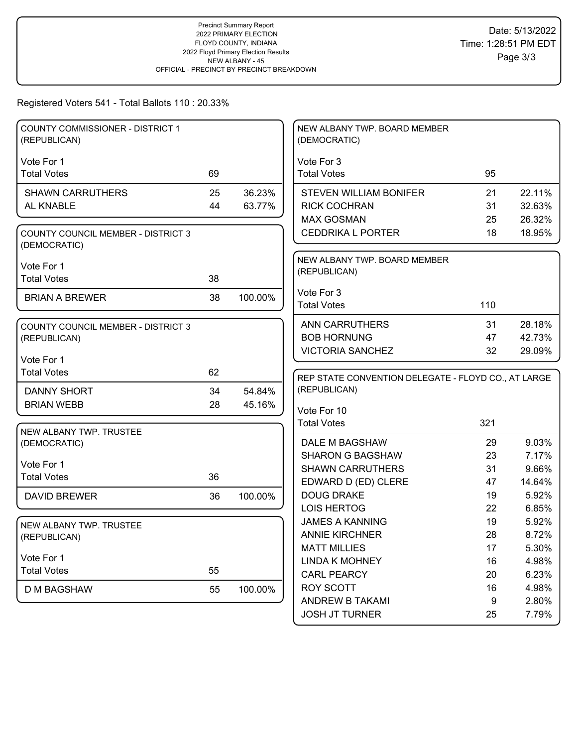# Registered Voters 541 - Total Ballots 110 : 20.33%

| <b>COUNTY COMMISSIONER - DISTRICT 1</b><br>(REPUBLICAN)   |    |         | NEW ALBANY TWP. BOARD MEMBER<br>(DEMOCRATIC)        |     |        |
|-----------------------------------------------------------|----|---------|-----------------------------------------------------|-----|--------|
|                                                           |    |         |                                                     |     |        |
| Vote For 1<br><b>Total Votes</b>                          | 69 |         | Vote For 3<br><b>Total Votes</b>                    | 95  |        |
|                                                           |    |         |                                                     |     |        |
| <b>SHAWN CARRUTHERS</b>                                   | 25 | 36.23%  | <b>STEVEN WILLIAM BONIFER</b>                       | 21  | 22.11% |
| AL KNABLE                                                 | 44 | 63.77%  | <b>RICK COCHRAN</b>                                 | 31  | 32.63% |
|                                                           |    |         | <b>MAX GOSMAN</b>                                   | 25  | 26.32% |
| <b>COUNTY COUNCIL MEMBER - DISTRICT 3</b><br>(DEMOCRATIC) |    |         | <b>CEDDRIKA L PORTER</b>                            | 18  | 18.95% |
|                                                           |    |         | NEW ALBANY TWP. BOARD MEMBER                        |     |        |
| Vote For 1                                                |    |         | (REPUBLICAN)                                        |     |        |
| <b>Total Votes</b>                                        | 38 |         |                                                     |     |        |
| <b>BRIAN A BREWER</b>                                     | 38 | 100.00% | Vote For 3                                          |     |        |
|                                                           |    |         | <b>Total Votes</b>                                  | 110 |        |
| <b>COUNTY COUNCIL MEMBER - DISTRICT 3</b>                 |    |         | <b>ANN CARRUTHERS</b>                               | 31  | 28.18% |
| (REPUBLICAN)                                              |    |         | <b>BOB HORNUNG</b>                                  | 47  | 42.73% |
|                                                           |    |         | <b>VICTORIA SANCHEZ</b>                             | 32  | 29.09% |
| Vote For 1                                                |    |         |                                                     |     |        |
| <b>Total Votes</b>                                        | 62 |         | REP STATE CONVENTION DELEGATE - FLOYD CO., AT LARGE |     |        |
|                                                           |    |         |                                                     |     |        |
| <b>DANNY SHORT</b>                                        | 34 | 54.84%  | (REPUBLICAN)                                        |     |        |
| <b>BRIAN WEBB</b>                                         | 28 | 45.16%  |                                                     |     |        |
|                                                           |    |         | Vote For 10                                         |     |        |
| NEW ALBANY TWP. TRUSTEE                                   |    |         | <b>Total Votes</b>                                  | 321 |        |
| (DEMOCRATIC)                                              |    |         | DALE M BAGSHAW                                      | 29  | 9.03%  |
|                                                           |    |         | <b>SHARON G BAGSHAW</b>                             | 23  | 7.17%  |
| Vote For 1                                                |    |         | <b>SHAWN CARRUTHERS</b>                             | 31  | 9.66%  |
| <b>Total Votes</b>                                        | 36 |         | EDWARD D (ED) CLERE                                 | 47  | 14.64% |
| <b>DAVID BREWER</b>                                       | 36 | 100.00% | <b>DOUG DRAKE</b>                                   | 19  | 5.92%  |
|                                                           |    |         | <b>LOIS HERTOG</b>                                  | 22  | 6.85%  |
|                                                           |    |         | <b>JAMES A KANNING</b>                              | 19  | 5.92%  |
| NEW ALBANY TWP. TRUSTEE                                   |    |         | <b>ANNIE KIRCHNER</b>                               | 28  | 8.72%  |
| (REPUBLICAN)                                              |    |         | <b>MATT MILLIES</b>                                 | 17  | 5.30%  |
| Vote For 1                                                |    |         | <b>LINDA K MOHNEY</b>                               | 16  | 4.98%  |
| <b>Total Votes</b>                                        | 55 |         | <b>CARL PEARCY</b>                                  | 20  | 6.23%  |
|                                                           |    |         | <b>ROY SCOTT</b>                                    | 16  | 4.98%  |
| D M BAGSHAW                                               | 55 | 100.00% | ANDREW B TAKAMI                                     | 9   | 2.80%  |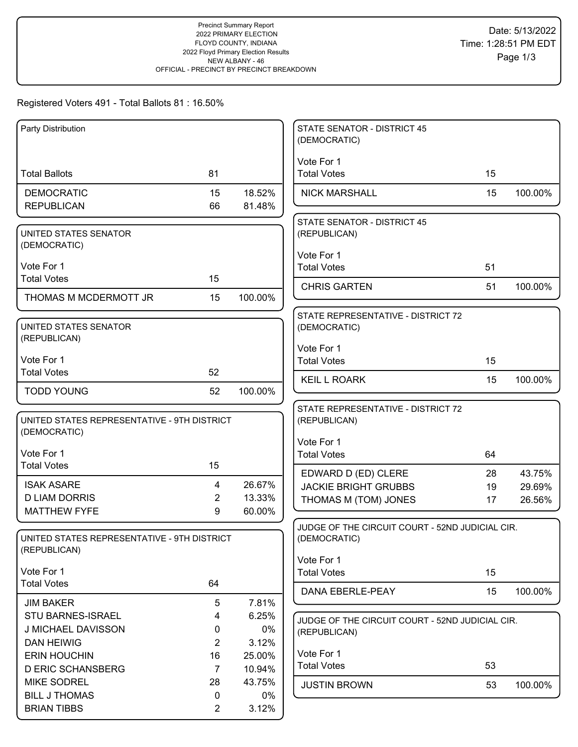# Registered Voters 491 - Total Ballots 81 : 16.50%

| Party Distribution                                          |                |                  | <b>STATE SENATOR - DISTRICT 45</b><br>(DEMOCRATIC) |    |         |
|-------------------------------------------------------------|----------------|------------------|----------------------------------------------------|----|---------|
|                                                             |                |                  | Vote For 1                                         |    |         |
| <b>Total Ballots</b>                                        | 81             |                  | <b>Total Votes</b>                                 | 15 |         |
| <b>DEMOCRATIC</b>                                           | 15             | 18.52%           | <b>NICK MARSHALL</b>                               | 15 | 100.00% |
| <b>REPUBLICAN</b>                                           | 66             | 81.48%           |                                                    |    |         |
| UNITED STATES SENATOR                                       |                |                  | <b>STATE SENATOR - DISTRICT 45</b><br>(REPUBLICAN) |    |         |
| (DEMOCRATIC)                                                |                |                  | Vote For 1                                         |    |         |
| Vote For 1                                                  |                |                  | <b>Total Votes</b>                                 | 51 |         |
| <b>Total Votes</b>                                          | 15             |                  | <b>CHRIS GARTEN</b>                                | 51 | 100.00% |
| THOMAS M MCDERMOTT JR                                       | 15             | 100.00%          |                                                    |    |         |
| UNITED STATES SENATOR                                       |                |                  | STATE REPRESENTATIVE - DISTRICT 72<br>(DEMOCRATIC) |    |         |
| (REPUBLICAN)                                                |                |                  | Vote For 1                                         |    |         |
| Vote For 1                                                  |                |                  | <b>Total Votes</b>                                 | 15 |         |
| <b>Total Votes</b>                                          | 52             |                  | <b>KEIL L ROARK</b>                                | 15 | 100.00% |
| <b>TODD YOUNG</b>                                           | 52             | 100.00%          |                                                    |    |         |
| UNITED STATES REPRESENTATIVE - 9TH DISTRICT                 |                |                  | STATE REPRESENTATIVE - DISTRICT 72                 |    |         |
| (DEMOCRATIC)                                                |                |                  | (REPUBLICAN)                                       |    |         |
|                                                             |                |                  | Vote For 1                                         |    |         |
| Vote For 1<br><b>Total Votes</b>                            | 15             |                  | <b>Total Votes</b>                                 | 64 |         |
|                                                             |                |                  | EDWARD D (ED) CLERE                                | 28 | 43.75%  |
| <b>ISAK ASARE</b><br><b>D LIAM DORRIS</b>                   | 4<br>2         | 26.67%<br>13.33% | <b>JACKIE BRIGHT GRUBBS</b>                        | 19 | 29.69%  |
| <b>MATTHEW FYFE</b>                                         | 9              | 60.00%           | THOMAS M (TOM) JONES                               | 17 | 26.56%  |
|                                                             |                |                  | JUDGE OF THE CIRCUIT COURT - 52ND JUDICIAL CIR.    |    |         |
| UNITED STATES REPRESENTATIVE - 9TH DISTRICT<br>(REPUBLICAN) |                |                  | (DEMOCRATIC)                                       |    |         |
|                                                             |                |                  | Vote For 1                                         |    |         |
| Vote For 1<br><b>Total Votes</b>                            | 64             |                  | <b>Total Votes</b>                                 | 15 |         |
|                                                             |                |                  | DANA EBERLE-PEAY                                   | 15 | 100.00% |
| <b>JIM BAKER</b><br><b>STU BARNES-ISRAEL</b>                | 5<br>4         | 7.81%<br>6.25%   |                                                    |    |         |
| J MICHAEL DAVISSON                                          | 0              | 0%               | JUDGE OF THE CIRCUIT COURT - 52ND JUDICIAL CIR.    |    |         |
| <b>DAN HEIWIG</b>                                           | $\overline{2}$ | 3.12%            | (REPUBLICAN)                                       |    |         |
| <b>ERIN HOUCHIN</b>                                         | 16             | 25.00%           | Vote For 1                                         |    |         |
| <b>D ERIC SCHANSBERG</b>                                    | $\overline{7}$ | 10.94%           | <b>Total Votes</b>                                 | 53 |         |
| <b>MIKE SODREL</b>                                          | 28             | 43.75%           | <b>JUSTIN BROWN</b>                                | 53 | 100.00% |
| <b>BILL J THOMAS</b>                                        | 0              | $0\%$            |                                                    |    |         |
| <b>BRIAN TIBBS</b>                                          | $\overline{2}$ | 3.12%            |                                                    |    |         |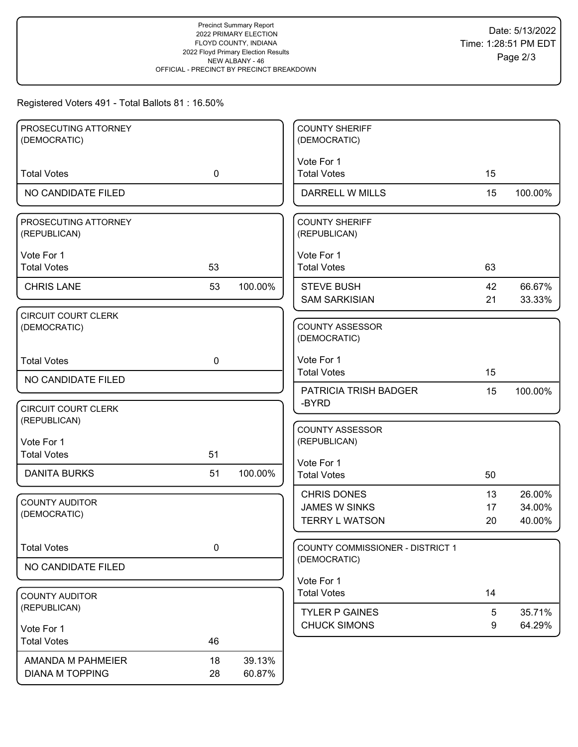## Registered Voters 491 - Total Ballots 81 : 16.50%

| PROSECUTING ATTORNEY       |             |         | <b>COUNTY SHERIFF</b>                      |          |         |
|----------------------------|-------------|---------|--------------------------------------------|----------|---------|
| (DEMOCRATIC)               |             |         | (DEMOCRATIC)                               |          |         |
|                            |             |         | Vote For 1                                 |          |         |
| <b>Total Votes</b>         | $\mathbf 0$ |         | <b>Total Votes</b>                         | 15       |         |
| NO CANDIDATE FILED         |             |         | <b>DARRELL W MILLS</b>                     | 15       | 100.00% |
| PROSECUTING ATTORNEY       |             |         | <b>COUNTY SHERIFF</b>                      |          |         |
| (REPUBLICAN)               |             |         | (REPUBLICAN)                               |          |         |
| Vote For 1                 |             |         | Vote For 1                                 |          |         |
| <b>Total Votes</b>         | 53          |         | <b>Total Votes</b>                         | 63       |         |
| <b>CHRIS LANE</b>          | 53          | 100.00% | <b>STEVE BUSH</b>                          | 42       | 66.67%  |
|                            |             |         | <b>SAM SARKISIAN</b>                       | 21       | 33.33%  |
| <b>CIRCUIT COURT CLERK</b> |             |         |                                            |          |         |
| (DEMOCRATIC)               |             |         | <b>COUNTY ASSESSOR</b>                     |          |         |
|                            |             |         | (DEMOCRATIC)                               |          |         |
| <b>Total Votes</b>         | $\mathbf 0$ |         | Vote For 1                                 |          |         |
| NO CANDIDATE FILED         |             |         | <b>Total Votes</b>                         | 15       |         |
|                            |             |         | PATRICIA TRISH BADGER                      | 15       | 100.00% |
| <b>CIRCUIT COURT CLERK</b> |             |         | -BYRD                                      |          |         |
| (REPUBLICAN)               |             |         | <b>COUNTY ASSESSOR</b>                     |          |         |
| Vote For 1                 |             |         | (REPUBLICAN)                               |          |         |
| <b>Total Votes</b>         | 51          |         | Vote For 1                                 |          |         |
| <b>DANITA BURKS</b>        | 51          | 100.00% | <b>Total Votes</b>                         | 50       |         |
|                            |             |         |                                            |          | 26.00%  |
| <b>COUNTY AUDITOR</b>      |             |         | <b>CHRIS DONES</b><br><b>JAMES W SINKS</b> | 13<br>17 | 34.00%  |
| (DEMOCRATIC)               |             |         | <b>TERRY L WATSON</b>                      | 20       | 40.00%  |
|                            |             |         |                                            |          |         |
| <b>Total Votes</b>         | $\mathbf 0$ |         | <b>COUNTY COMMISSIONER - DISTRICT 1</b>    |          |         |
| NO CANDIDATE FILED         |             |         | (DEMOCRATIC)                               |          |         |
|                            |             |         | Vote For 1                                 |          |         |
| <b>COUNTY AUDITOR</b>      |             |         | <b>Total Votes</b>                         | 14       |         |
| (REPUBLICAN)               |             |         | <b>TYLER P GAINES</b>                      | 5        | 35.71%  |
| Vote For 1                 |             |         | <b>CHUCK SIMONS</b>                        | 9        | 64.29%  |
| <b>Total Votes</b>         | 46          |         |                                            |          |         |
| AMANDA M PAHMEIER          | 18          | 39.13%  |                                            |          |         |
| <b>DIANA M TOPPING</b>     | 28          | 60.87%  |                                            |          |         |